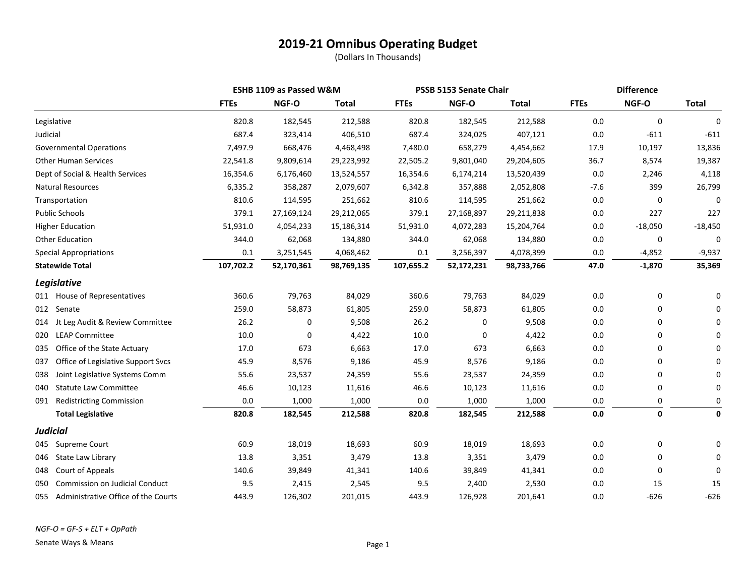|                                              |             | ESHB 1109 as Passed W&M |              | PSSB 5153 Senate Chair |            |              | <b>Difference</b> |             |              |
|----------------------------------------------|-------------|-------------------------|--------------|------------------------|------------|--------------|-------------------|-------------|--------------|
|                                              | <b>FTEs</b> | NGF-O                   | <b>Total</b> | <b>FTEs</b>            | NGF-O      | <b>Total</b> | <b>FTEs</b>       | NGF-O       | <b>Total</b> |
| Legislative                                  | 820.8       | 182,545                 | 212,588      | 820.8                  | 182,545    | 212,588      | 0.0               | $\mathbf 0$ | 0            |
| Judicial                                     | 687.4       | 323,414                 | 406,510      | 687.4                  | 324,025    | 407,121      | 0.0               | $-611$      | $-611$       |
| <b>Governmental Operations</b>               | 7,497.9     | 668,476                 | 4,468,498    | 7,480.0                | 658,279    | 4,454,662    | 17.9              | 10,197      | 13,836       |
| <b>Other Human Services</b>                  | 22,541.8    | 9,809,614               | 29,223,992   | 22,505.2               | 9,801,040  | 29,204,605   | 36.7              | 8,574       | 19,387       |
| Dept of Social & Health Services             | 16,354.6    | 6,176,460               | 13,524,557   | 16,354.6               | 6,174,214  | 13,520,439   | 0.0               | 2,246       | 4,118        |
| <b>Natural Resources</b>                     | 6,335.2     | 358,287                 | 2,079,607    | 6,342.8                | 357,888    | 2,052,808    | $-7.6$            | 399         | 26,799       |
| Transportation                               | 810.6       | 114,595                 | 251,662      | 810.6                  | 114,595    | 251,662      | 0.0               | 0           | 0            |
| <b>Public Schools</b>                        | 379.1       | 27,169,124              | 29,212,065   | 379.1                  | 27,168,897 | 29,211,838   | 0.0               | 227         | 227          |
| <b>Higher Education</b>                      | 51,931.0    | 4,054,233               | 15,186,314   | 51,931.0               | 4,072,283  | 15,204,764   | 0.0               | $-18,050$   | $-18,450$    |
| <b>Other Education</b>                       | 344.0       | 62,068                  | 134,880      | 344.0                  | 62,068     | 134,880      | 0.0               | 0           | 0            |
| <b>Special Appropriations</b>                | 0.1         | 3,251,545               | 4,068,462    | 0.1                    | 3,256,397  | 4,078,399    | 0.0               | $-4,852$    | $-9,937$     |
| <b>Statewide Total</b>                       | 107,702.2   | 52,170,361              | 98,769,135   | 107,655.2              | 52,172,231 | 98,733,766   | 47.0              | $-1,870$    | 35,369       |
| Legislative                                  |             |                         |              |                        |            |              |                   |             |              |
| 011 House of Representatives                 | 360.6       | 79,763                  | 84,029       | 360.6                  | 79,763     | 84,029       | 0.0               | 0           | 0            |
| 012 Senate                                   | 259.0       | 58,873                  | 61,805       | 259.0                  | 58,873     | 61,805       | 0.0               | 0           | 0            |
| Jt Leg Audit & Review Committee<br>014       | 26.2        | 0                       | 9,508        | 26.2                   | 0          | 9,508        | 0.0               | 0           | $\Omega$     |
| <b>LEAP Committee</b><br>020                 | 10.0        | 0                       | 4,422        | 10.0                   | 0          | 4,422        | 0.0               | 0           | $\Omega$     |
| Office of the State Actuary<br>035           | 17.0        | 673                     | 6,663        | 17.0                   | 673        | 6,663        | 0.0               | 0           | $\Omega$     |
| Office of Legislative Support Svcs<br>037    | 45.9        | 8,576                   | 9,186        | 45.9                   | 8,576      | 9,186        | 0.0               | 0           | $\Omega$     |
| Joint Legislative Systems Comm<br>038        | 55.6        | 23,537                  | 24,359       | 55.6                   | 23,537     | 24,359       | 0.0               | 0           | 0            |
| <b>Statute Law Committee</b><br>040          | 46.6        | 10,123                  | 11,616       | 46.6                   | 10,123     | 11,616       | 0.0               | 0           | 0            |
| <b>Redistricting Commission</b><br>091       | 0.0         | 1,000                   | 1,000        | $0.0\,$                | 1,000      | 1,000        | 0.0               | 0           | 0            |
| <b>Total Legislative</b>                     | 820.8       | 182,545                 | 212,588      | 820.8                  | 182,545    | 212,588      | $0.0\,$           | $\mathbf 0$ | 0            |
| <b>Judicial</b>                              |             |                         |              |                        |            |              |                   |             |              |
| Supreme Court<br>045                         | 60.9        | 18,019                  | 18,693       | 60.9                   | 18,019     | 18,693       | 0.0               | 0           | 0            |
| State Law Library<br>046                     | 13.8        | 3,351                   | 3,479        | 13.8                   | 3,351      | 3,479        | 0.0               | 0           | $\Omega$     |
| Court of Appeals<br>048                      | 140.6       | 39,849                  | 41,341       | 140.6                  | 39,849     | 41,341       | 0.0               | 0           | 0            |
| <b>Commission on Judicial Conduct</b><br>050 | 9.5         | 2,415                   | 2,545        | 9.5                    | 2,400      | 2,530        | 0.0               | 15          | 15           |
| Administrative Office of the Courts<br>055   | 443.9       | 126,302                 | 201,015      | 443.9                  | 126,928    | 201,641      | 0.0               | $-626$      | $-626$       |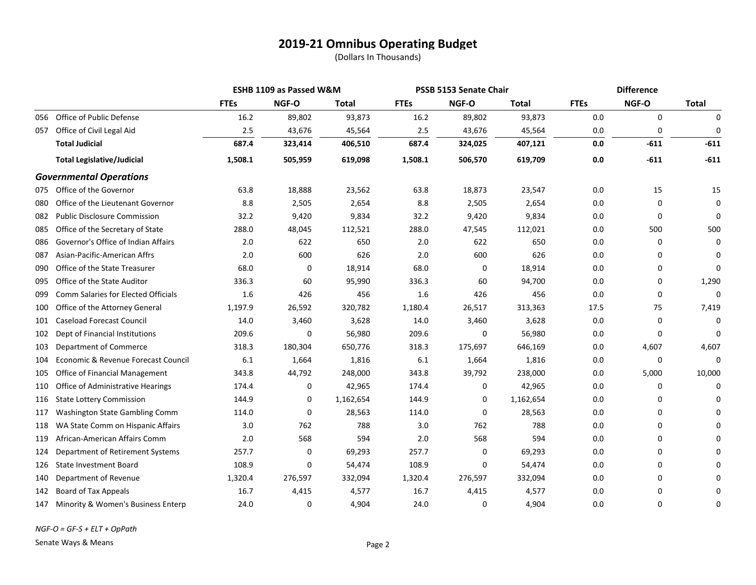|     |                                     |             | ESHB 1109 as Passed W&M |           |             | PSSB 5153 Senate Chair |           | <b>Difference</b> |             |              |
|-----|-------------------------------------|-------------|-------------------------|-----------|-------------|------------------------|-----------|-------------------|-------------|--------------|
|     |                                     | <b>FTEs</b> | NGF-O                   | Total     | <b>FTEs</b> | NGF-O                  | Total     | <b>FTEs</b>       | NGF-O       | <b>Total</b> |
| 056 | Office of Public Defense            | 16.2        | 89,802                  | 93,873    | 16.2        | 89,802                 | 93,873    | 0.0               | $\mathbf 0$ | $\mathbf 0$  |
| 057 | Office of Civil Legal Aid           | 2.5         | 43,676                  | 45,564    | 2.5         | 43,676                 | 45,564    | 0.0               | 0           | 0            |
|     | <b>Total Judicial</b>               | 687.4       | 323,414                 | 406,510   | 687.4       | 324,025                | 407,121   | 0.0               | $-611$      | $-611$       |
|     | <b>Total Legislative/Judicial</b>   | 1,508.1     | 505,959                 | 619,098   | 1,508.1     | 506,570                | 619,709   | 0.0               | $-611$      | $-611$       |
|     | <b>Governmental Operations</b>      |             |                         |           |             |                        |           |                   |             |              |
| 075 | Office of the Governor              | 63.8        | 18,888                  | 23,562    | 63.8        | 18,873                 | 23,547    | 0.0               | 15          | 15           |
| 080 | Office of the Lieutenant Governor   | 8.8         | 2,505                   | 2,654     | 8.8         | 2,505                  | 2,654     | 0.0               | 0           | 0            |
| 082 | <b>Public Disclosure Commission</b> | 32.2        | 9,420                   | 9,834     | 32.2        | 9,420                  | 9,834     | 0.0               | $\Omega$    | $\Omega$     |
| 085 | Office of the Secretary of State    | 288.0       | 48,045                  | 112,521   | 288.0       | 47,545                 | 112,021   | 0.0               | 500         | 500          |
| 086 | Governor's Office of Indian Affairs | 2.0         | 622                     | 650       | 2.0         | 622                    | 650       | 0.0               | $\Omega$    | $\Omega$     |
| 087 | Asian-Pacific-American Affrs        | 2.0         | 600                     | 626       | 2.0         | 600                    | 626       | 0.0               | 0           | 0            |
| 090 | Office of the State Treasurer       | 68.0        | 0                       | 18,914    | 68.0        | 0                      | 18,914    | 0.0               | 0           | $\Omega$     |
| 095 | Office of the State Auditor         | 336.3       | 60                      | 95,990    | 336.3       | 60                     | 94,700    | 0.0               | 0           | 1,290        |
| 099 | Comm Salaries for Elected Officials | 1.6         | 426                     | 456       | 1.6         | 426                    | 456       | 0.0               | 0           | 0            |
| 100 | Office of the Attorney General      | 1,197.9     | 26,592                  | 320,782   | 1,180.4     | 26,517                 | 313,363   | 17.5              | 75          | 7,419        |
| 101 | <b>Caseload Forecast Council</b>    | 14.0        | 3,460                   | 3,628     | 14.0        | 3,460                  | 3,628     | 0.0               | 0           | $\Omega$     |
| 102 | Dept of Financial Institutions      | 209.6       | 0                       | 56,980    | 209.6       | 0                      | 56,980    | 0.0               | 0           | 0            |
| 103 | Department of Commerce              | 318.3       | 180,304                 | 650,776   | 318.3       | 175,697                | 646,169   | 0.0               | 4,607       | 4,607        |
| 104 | Economic & Revenue Forecast Council | 6.1         | 1,664                   | 1,816     | 6.1         | 1,664                  | 1,816     | 0.0               | 0           | 0            |
| 105 | Office of Financial Management      | 343.8       | 44,792                  | 248,000   | 343.8       | 39,792                 | 238,000   | 0.0               | 5,000       | 10,000       |
| 110 | Office of Administrative Hearings   | 174.4       | 0                       | 42,965    | 174.4       | 0                      | 42,965    | 0.0               | $\Omega$    | $\Omega$     |
| 116 | <b>State Lottery Commission</b>     | 144.9       | 0                       | 1,162,654 | 144.9       | 0                      | 1,162,654 | 0.0               | 0           | $\Omega$     |
| 117 | Washington State Gambling Comm      | 114.0       | 0                       | 28,563    | 114.0       | 0                      | 28,563    | 0.0               | 0           | $\Omega$     |
| 118 | WA State Comm on Hispanic Affairs   | 3.0         | 762                     | 788       | 3.0         | 762                    | 788       | 0.0               | $\Omega$    |              |
| 119 | African-American Affairs Comm       | 2.0         | 568                     | 594       | 2.0         | 568                    | 594       | 0.0               | 0           | U            |
| 124 | Department of Retirement Systems    | 257.7       | 0                       | 69,293    | 257.7       | 0                      | 69,293    | 0.0               | 0           | U            |
| 126 | <b>State Investment Board</b>       | 108.9       | 0                       | 54,474    | 108.9       | 0                      | 54,474    | 0.0               | 0           |              |
| 140 | Department of Revenue               | 1,320.4     | 276,597                 | 332,094   | 1,320.4     | 276,597                | 332,094   | 0.0               | 0           |              |
| 142 | Board of Tax Appeals                | 16.7        | 4,415                   | 4,577     | 16.7        | 4,415                  | 4,577     | 0.0               | $\Omega$    | 0            |
| 147 | Minority & Women's Business Enterp  | 24.0        | 0                       | 4,904     | 24.0        | 0                      | 4,904     | 0.0               | 0           | 0            |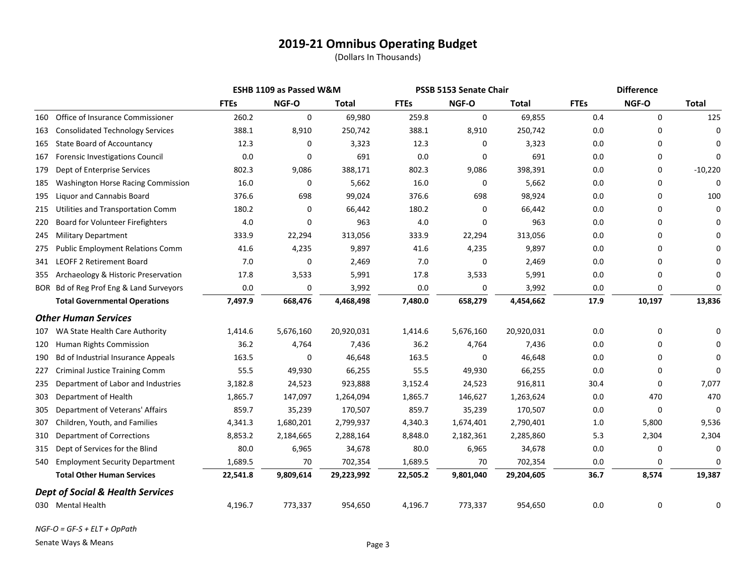(Dollars In Thousands)

|     |                                             |             | ESHB 1109 as Passed W&M |            | PSSB 5153 Senate Chair |           |            | <b>Difference</b> |        |              |
|-----|---------------------------------------------|-------------|-------------------------|------------|------------------------|-----------|------------|-------------------|--------|--------------|
|     |                                             | <b>FTEs</b> | NGF-O                   | Total      | <b>FTEs</b>            | NGF-O     | Total      | <b>FTEs</b>       | NGF-O  | <b>Total</b> |
| 160 | Office of Insurance Commissioner            | 260.2       | 0                       | 69,980     | 259.8                  | 0         | 69,855     | 0.4               | 0      | 125          |
| 163 | <b>Consolidated Technology Services</b>     | 388.1       | 8,910                   | 250,742    | 388.1                  | 8,910     | 250,742    | 0.0               | 0      | $\Omega$     |
| 165 | <b>State Board of Accountancy</b>           | 12.3        | 0                       | 3,323      | 12.3                   | 0         | 3,323      | 0.0               | 0      | O            |
| 167 | <b>Forensic Investigations Council</b>      | 0.0         | 0                       | 691        | 0.0                    | 0         | 691        | 0.0               | 0      | $\Omega$     |
| 179 | Dept of Enterprise Services                 | 802.3       | 9,086                   | 388,171    | 802.3                  | 9,086     | 398,391    | 0.0               | 0      | $-10,220$    |
| 185 | <b>Washington Horse Racing Commission</b>   | 16.0        | 0                       | 5,662      | 16.0                   | 0         | 5,662      | 0.0               | 0      | $\Omega$     |
| 195 | <b>Liquor and Cannabis Board</b>            | 376.6       | 698                     | 99,024     | 376.6                  | 698       | 98,924     | 0.0               | 0      | 100          |
| 215 | Utilities and Transportation Comm           | 180.2       | 0                       | 66,442     | 180.2                  | 0         | 66,442     | 0.0               | 0      | $\Omega$     |
| 220 | Board for Volunteer Firefighters            | 4.0         | 0                       | 963        | 4.0                    | 0         | 963        | 0.0               | 0      |              |
| 245 | <b>Military Department</b>                  | 333.9       | 22,294                  | 313,056    | 333.9                  | 22,294    | 313,056    | 0.0               | 0      |              |
| 275 | <b>Public Employment Relations Comm</b>     | 41.6        | 4,235                   | 9,897      | 41.6                   | 4,235     | 9,897      | 0.0               | 0      |              |
| 341 | <b>LEOFF 2 Retirement Board</b>             | 7.0         | 0                       | 2,469      | 7.0                    | 0         | 2,469      | 0.0               | 0      |              |
| 355 | Archaeology & Historic Preservation         | 17.8        | 3,533                   | 5,991      | 17.8                   | 3,533     | 5,991      | 0.0               | 0      | O            |
|     | BOR Bd of Reg Prof Eng & Land Surveyors     | 0.0         | 0                       | 3,992      | 0.0                    | 0         | 3,992      | 0.0               | 0      | $\Omega$     |
|     | <b>Total Governmental Operations</b>        | 7,497.9     | 668,476                 | 4,468,498  | 7,480.0                | 658,279   | 4,454,662  | 17.9              | 10,197 | 13,836       |
|     | <b>Other Human Services</b>                 |             |                         |            |                        |           |            |                   |        |              |
| 107 | WA State Health Care Authority              | 1,414.6     | 5,676,160               | 20,920,031 | 1,414.6                | 5,676,160 | 20,920,031 | 0.0               | 0      | O            |
| 120 | Human Rights Commission                     | 36.2        | 4,764                   | 7,436      | 36.2                   | 4,764     | 7,436      | 0.0               | 0      |              |
| 190 | Bd of Industrial Insurance Appeals          | 163.5       | 0                       | 46,648     | 163.5                  | 0         | 46,648     | 0.0               | 0      | $\Omega$     |
| 227 | <b>Criminal Justice Training Comm</b>       | 55.5        | 49,930                  | 66,255     | 55.5                   | 49,930    | 66,255     | 0.0               | 0      | O            |
| 235 | Department of Labor and Industries          | 3,182.8     | 24,523                  | 923,888    | 3,152.4                | 24,523    | 916,811    | 30.4              | 0      | 7,077        |
| 303 | Department of Health                        | 1,865.7     | 147,097                 | 1,264,094  | 1,865.7                | 146,627   | 1,263,624  | 0.0               | 470    | 470          |
| 305 | Department of Veterans' Affairs             | 859.7       | 35,239                  | 170,507    | 859.7                  | 35,239    | 170,507    | $0.0\,$           | 0      | $\Omega$     |
| 307 | Children, Youth, and Families               | 4,341.3     | 1,680,201               | 2,799,937  | 4,340.3                | 1,674,401 | 2,790,401  | 1.0               | 5,800  | 9,536        |
| 310 | <b>Department of Corrections</b>            | 8,853.2     | 2,184,665               | 2,288,164  | 8,848.0                | 2,182,361 | 2,285,860  | 5.3               | 2,304  | 2,304        |
| 315 | Dept of Services for the Blind              | 80.0        | 6,965                   | 34,678     | 80.0                   | 6,965     | 34,678     | 0.0               | 0      | $\Omega$     |
| 540 | <b>Employment Security Department</b>       | 1,689.5     | 70                      | 702,354    | 1,689.5                | 70        | 702,354    | 0.0               | 0      | $\Omega$     |
|     | <b>Total Other Human Services</b>           | 22,541.8    | 9,809,614               | 29,223,992 | 22,505.2               | 9,801,040 | 29,204,605 | 36.7              | 8,574  | 19,387       |
|     | <b>Dept of Social &amp; Health Services</b> |             |                         |            |                        |           |            |                   |        |              |
|     | 030 Mental Health                           | 4,196.7     | 773,337                 | 954,650    | 4,196.7                | 773,337   | 954,650    | 0.0               | 0      | $\Omega$     |

*NGF-O = GF-S + ELT + OpPath*

Senate Ways & Means **Page 3**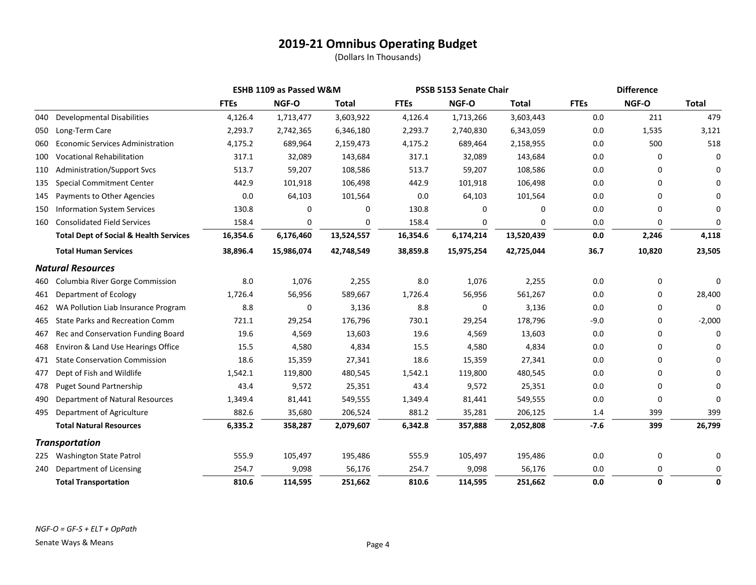|     |                                                   |             | <b>ESHB 1109 as Passed W&amp;M</b> |              | PSSB 5153 Senate Chair |            |              | <b>Difference</b> |          |              |
|-----|---------------------------------------------------|-------------|------------------------------------|--------------|------------------------|------------|--------------|-------------------|----------|--------------|
|     |                                                   | <b>FTEs</b> | NGF-O                              | <b>Total</b> | <b>FTEs</b>            | NGF-O      | <b>Total</b> | <b>FTEs</b>       | NGF-O    | <b>Total</b> |
| 040 | <b>Developmental Disabilities</b>                 | 4,126.4     | 1,713,477                          | 3,603,922    | 4,126.4                | 1,713,266  | 3,603,443    | 0.0               | 211      | 479          |
| 050 | Long-Term Care                                    | 2,293.7     | 2,742,365                          | 6,346,180    | 2,293.7                | 2,740,830  | 6,343,059    | 0.0               | 1,535    | 3,121        |
| 060 | <b>Economic Services Administration</b>           | 4,175.2     | 689,964                            | 2,159,473    | 4,175.2                | 689,464    | 2,158,955    | 0.0               | 500      | 518          |
| 100 | <b>Vocational Rehabilitation</b>                  | 317.1       | 32,089                             | 143,684      | 317.1                  | 32,089     | 143,684      | 0.0               | 0        | $\Omega$     |
| 110 | <b>Administration/Support Svcs</b>                | 513.7       | 59,207                             | 108,586      | 513.7                  | 59,207     | 108,586      | 0.0               | 0        | 0            |
| 135 | <b>Special Commitment Center</b>                  | 442.9       | 101,918                            | 106,498      | 442.9                  | 101,918    | 106,498      | 0.0               | $\Omega$ | $\Omega$     |
| 145 | Payments to Other Agencies                        | 0.0         | 64,103                             | 101,564      | 0.0                    | 64,103     | 101,564      | 0.0               | $\Omega$ | U            |
| 150 | <b>Information System Services</b>                | 130.8       | 0                                  | 0            | 130.8                  | 0          | 0            | 0.0               | $\Omega$ | 0            |
| 160 | <b>Consolidated Field Services</b>                | 158.4       | 0                                  | 0            | 158.4                  | 0          | 0            | 0.0               | 0        | 0            |
|     | <b>Total Dept of Social &amp; Health Services</b> | 16,354.6    | 6,176,460                          | 13,524,557   | 16,354.6               | 6,174,214  | 13,520,439   | 0.0               | 2,246    | 4,118        |
|     | <b>Total Human Services</b>                       | 38,896.4    | 15,986,074                         | 42,748,549   | 38,859.8               | 15,975,254 | 42,725,044   | 36.7              | 10,820   | 23,505       |
|     | <b>Natural Resources</b>                          |             |                                    |              |                        |            |              |                   |          |              |
| 460 | Columbia River Gorge Commission                   | 8.0         | 1,076                              | 2,255        | 8.0                    | 1,076      | 2,255        | 0.0               | 0        | 0            |
| 461 | Department of Ecology                             | 1,726.4     | 56,956                             | 589,667      | 1,726.4                | 56,956     | 561,267      | 0.0               | 0        | 28,400       |
| 462 | WA Pollution Liab Insurance Program               | 8.8         | 0                                  | 3,136        | 8.8                    | 0          | 3,136        | 0.0               | 0        | 0            |
| 465 | <b>State Parks and Recreation Comm</b>            | 721.1       | 29,254                             | 176,796      | 730.1                  | 29,254     | 178,796      | $-9.0$            | 0        | $-2,000$     |
| 467 | Rec and Conservation Funding Board                | 19.6        | 4,569                              | 13,603       | 19.6                   | 4,569      | 13,603       | 0.0               | 0        | 0            |
| 468 | Environ & Land Use Hearings Office                | 15.5        | 4,580                              | 4,834        | 15.5                   | 4,580      | 4,834        | 0.0               | 0        | $\Omega$     |
| 471 | <b>State Conservation Commission</b>              | 18.6        | 15,359                             | 27,341       | 18.6                   | 15,359     | 27,341       | 0.0               | $\Omega$ | 0            |
| 477 | Dept of Fish and Wildlife                         | 1,542.1     | 119,800                            | 480,545      | 1,542.1                | 119,800    | 480,545      | 0.0               | 0        | $\Omega$     |
| 478 | <b>Puget Sound Partnership</b>                    | 43.4        | 9,572                              | 25,351       | 43.4                   | 9,572      | 25,351       | 0.0               | 0        | 0            |
| 490 | Department of Natural Resources                   | 1,349.4     | 81,441                             | 549,555      | 1,349.4                | 81,441     | 549,555      | 0.0               | $\Omega$ | $\Omega$     |
| 495 | Department of Agriculture                         | 882.6       | 35,680                             | 206,524      | 881.2                  | 35,281     | 206,125      | 1.4               | 399      | 399          |
|     | <b>Total Natural Resources</b>                    | 6,335.2     | 358,287                            | 2,079,607    | 6,342.8                | 357,888    | 2,052,808    | $-7.6$            | 399      | 26,799       |
|     | <b>Transportation</b>                             |             |                                    |              |                        |            |              |                   |          |              |
| 225 | <b>Washington State Patrol</b>                    | 555.9       | 105,497                            | 195,486      | 555.9                  | 105,497    | 195,486      | 0.0               | 0        | 0            |
| 240 | Department of Licensing                           | 254.7       | 9,098                              | 56,176       | 254.7                  | 9,098      | 56,176       | 0.0               | $\Omega$ | 0            |
|     | <b>Total Transportation</b>                       | 810.6       | 114,595                            | 251,662      | 810.6                  | 114,595    | 251,662      | 0.0               | 0        | 0            |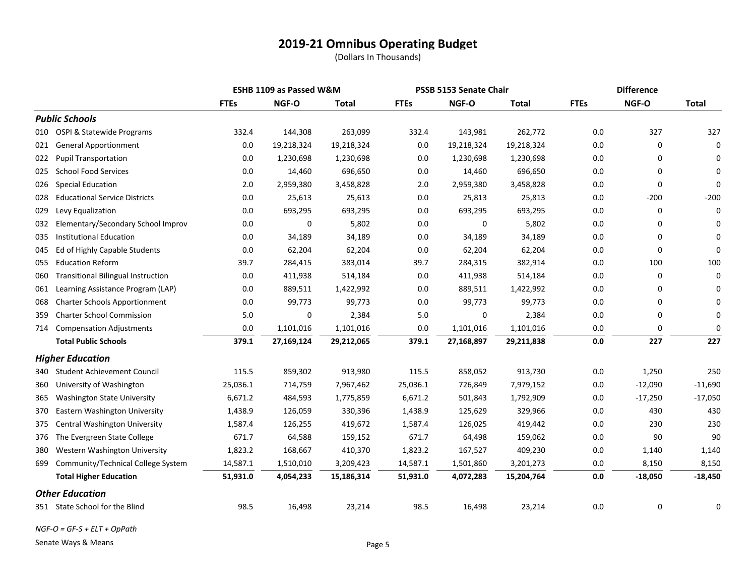(Dollars In Thousands)

|     |                                           |             | <b>ESHB 1109 as Passed W&amp;M</b> |            | PSSB 5153 Senate Chair |            |              | <b>Difference</b> |           |              |
|-----|-------------------------------------------|-------------|------------------------------------|------------|------------------------|------------|--------------|-------------------|-----------|--------------|
|     |                                           | <b>FTEs</b> | NGF-O                              | Total      | <b>FTEs</b>            | NGF-O      | <b>Total</b> | <b>FTEs</b>       | NGF-O     | <b>Total</b> |
|     | <b>Public Schools</b>                     |             |                                    |            |                        |            |              |                   |           |              |
| 010 | OSPI & Statewide Programs                 | 332.4       | 144,308                            | 263,099    | 332.4                  | 143,981    | 262,772      | 0.0               | 327       | 327          |
| 021 | <b>General Apportionment</b>              | 0.0         | 19,218,324                         | 19,218,324 | 0.0                    | 19,218,324 | 19,218,324   | 0.0               | 0         | 0            |
| 022 | <b>Pupil Transportation</b>               | 0.0         | 1,230,698                          | 1,230,698  | 0.0                    | 1,230,698  | 1,230,698    | 0.0               | 0         | $\Omega$     |
| 025 | <b>School Food Services</b>               | 0.0         | 14,460                             | 696,650    | 0.0                    | 14,460     | 696,650      | 0.0               | 0         | $\Omega$     |
| 026 | <b>Special Education</b>                  | 2.0         | 2,959,380                          | 3,458,828  | 2.0                    | 2,959,380  | 3,458,828    | 0.0               | 0         | $\Omega$     |
| 028 | <b>Educational Service Districts</b>      | 0.0         | 25,613                             | 25,613     | 0.0                    | 25,813     | 25,813       | 0.0               | $-200$    | $-200$       |
| 029 | Levy Equalization                         | 0.0         | 693,295                            | 693,295    | 0.0                    | 693,295    | 693,295      | 0.0               | 0         | 0            |
| 032 | Elementary/Secondary School Improv        | 0.0         | 0                                  | 5,802      | 0.0                    | 0          | 5,802        | 0.0               | 0         | $\Omega$     |
| 035 | <b>Institutional Education</b>            | 0.0         | 34,189                             | 34,189     | 0.0                    | 34,189     | 34,189       | 0.0               | 0         | $\Omega$     |
| 045 | Ed of Highly Capable Students             | 0.0         | 62,204                             | 62,204     | $0.0\,$                | 62,204     | 62,204       | 0.0               | 0         | 0            |
| 055 | <b>Education Reform</b>                   | 39.7        | 284,415                            | 383,014    | 39.7                   | 284,315    | 382,914      | 0.0               | 100       | 100          |
| 060 | <b>Transitional Bilingual Instruction</b> | 0.0         | 411,938                            | 514,184    | 0.0                    | 411,938    | 514,184      | 0.0               | 0         | $\Omega$     |
| 061 | Learning Assistance Program (LAP)         | 0.0         | 889,511                            | 1,422,992  | 0.0                    | 889,511    | 1,422,992    | 0.0               | 0         | $\Omega$     |
| 068 | Charter Schools Apportionment             | 0.0         | 99,773                             | 99,773     | 0.0                    | 99,773     | 99,773       | 0.0               | 0         | $\Omega$     |
| 359 | <b>Charter School Commission</b>          | 5.0         | 0                                  | 2,384      | 5.0                    | 0          | 2,384        | 0.0               | 0         | 0            |
| 714 | <b>Compensation Adjustments</b>           | 0.0         | 1,101,016                          | 1,101,016  | 0.0                    | 1,101,016  | 1,101,016    | 0.0               | 0         | 0            |
|     | <b>Total Public Schools</b>               | 379.1       | 27,169,124                         | 29,212,065 | 379.1                  | 27,168,897 | 29,211,838   | 0.0               | 227       | 227          |
|     | <b>Higher Education</b>                   |             |                                    |            |                        |            |              |                   |           |              |
| 340 | <b>Student Achievement Council</b>        | 115.5       | 859,302                            | 913,980    | 115.5                  | 858,052    | 913,730      | 0.0               | 1,250     | 250          |
| 360 | University of Washington                  | 25,036.1    | 714,759                            | 7,967,462  | 25,036.1               | 726,849    | 7,979,152    | 0.0               | $-12,090$ | $-11,690$    |
| 365 | <b>Washington State University</b>        | 6,671.2     | 484,593                            | 1,775,859  | 6,671.2                | 501,843    | 1,792,909    | 0.0               | $-17,250$ | $-17,050$    |
| 370 | Eastern Washington University             | 1,438.9     | 126,059                            | 330,396    | 1,438.9                | 125,629    | 329,966      | 0.0               | 430       | 430          |
| 375 | Central Washington University             | 1,587.4     | 126,255                            | 419,672    | 1,587.4                | 126,025    | 419,442      | 0.0               | 230       | 230          |
| 376 | The Evergreen State College               | 671.7       | 64,588                             | 159,152    | 671.7                  | 64,498     | 159,062      | $0.0\,$           | 90        | 90           |
| 380 | Western Washington University             | 1,823.2     | 168,667                            | 410,370    | 1,823.2                | 167,527    | 409,230      | 0.0               | 1,140     | 1,140        |
| 699 | Community/Technical College System        | 14,587.1    | 1,510,010                          | 3,209,423  | 14,587.1               | 1,501,860  | 3,201,273    | 0.0               | 8,150     | 8,150        |
|     | <b>Total Higher Education</b>             | 51,931.0    | 4,054,233                          | 15,186,314 | 51,931.0               | 4,072,283  | 15,204,764   | $0.0\,$           | $-18,050$ | $-18,450$    |
|     | <b>Other Education</b>                    |             |                                    |            |                        |            |              |                   |           |              |
|     | 351 State School for the Blind            | 98.5        | 16,498                             | 23,214     | 98.5                   | 16,498     | 23,214       | 0.0               | 0         | 0            |

*NGF-O = GF-S + ELT + OpPath*

Senate Ways & Means **Page 5**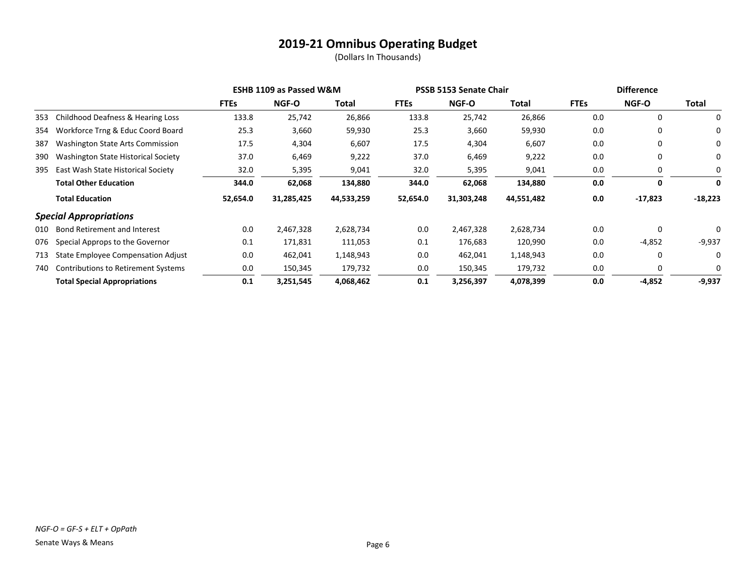|     |                                            | <b>ESHB 1109 as Passed W&amp;M</b> |              |            | PSSB 5153 Senate Chair |              |            | <b>Difference</b> |             |           |
|-----|--------------------------------------------|------------------------------------|--------------|------------|------------------------|--------------|------------|-------------------|-------------|-----------|
|     |                                            | <b>FTEs</b>                        | <b>NGF-O</b> | Total      | <b>FTEs</b>            | <b>NGF-O</b> | Total      | <b>FTEs</b>       | NGF-O       | Total     |
| 353 | Childhood Deafness & Hearing Loss          | 133.8                              | 25,742       | 26,866     | 133.8                  | 25,742       | 26,866     | 0.0               | 0           | 0         |
| 354 | Workforce Trng & Educ Coord Board          | 25.3                               | 3,660        | 59,930     | 25.3                   | 3,660        | 59,930     | 0.0               | $\mathbf 0$ | 0         |
| 387 | <b>Washington State Arts Commission</b>    | 17.5                               | 4,304        | 6,607      | 17.5                   | 4,304        | 6,607      | 0.0               | 0           | 0         |
| 390 | Washington State Historical Society        | 37.0                               | 6,469        | 9,222      | 37.0                   | 6,469        | 9,222      | 0.0               | 0           | 0         |
| 395 | East Wash State Historical Society         | 32.0                               | 5,395        | 9,041      | 32.0                   | 5,395        | 9,041      | 0.0               | 0           | 0         |
|     | <b>Total Other Education</b>               | 344.0                              | 62,068       | 134,880    | 344.0                  | 62,068       | 134,880    | 0.0               | 0           | 0         |
|     | <b>Total Education</b>                     | 52,654.0                           | 31,285,425   | 44,533,259 | 52,654.0               | 31,303,248   | 44,551,482 | 0.0               | -17,823     | $-18,223$ |
|     | <b>Special Appropriations</b>              |                                    |              |            |                        |              |            |                   |             |           |
| 010 | <b>Bond Retirement and Interest</b>        | 0.0                                | 2,467,328    | 2,628,734  | 0.0                    | 2,467,328    | 2,628,734  | 0.0               | 0           | 0         |
| 076 | Special Approps to the Governor            | 0.1                                | 171,831      | 111,053    | 0.1                    | 176,683      | 120,990    | 0.0               | $-4,852$    | $-9,937$  |
| 713 | State Employee Compensation Adjust         | 0.0                                | 462,041      | 1,148,943  | 0.0                    | 462,041      | 1,148,943  | 0.0               | 0           | 0         |
| 740 | <b>Contributions to Retirement Systems</b> | 0.0                                | 150,345      | 179,732    | 0.0                    | 150,345      | 179,732    | 0.0               | 0           | 0         |
|     | <b>Total Special Appropriations</b>        | 0.1                                | 3,251,545    | 4,068,462  | 0.1                    | 3,256,397    | 4,078,399  | 0.0               | $-4,852$    | $-9,937$  |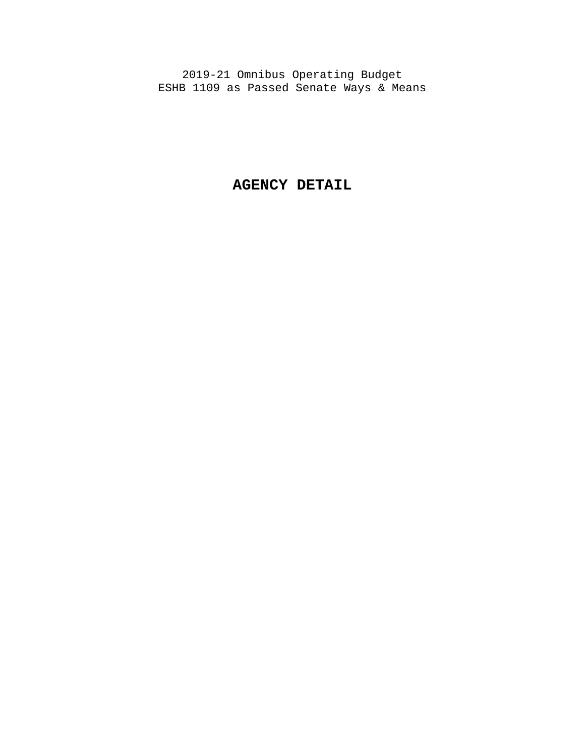**AGENCY DETAIL**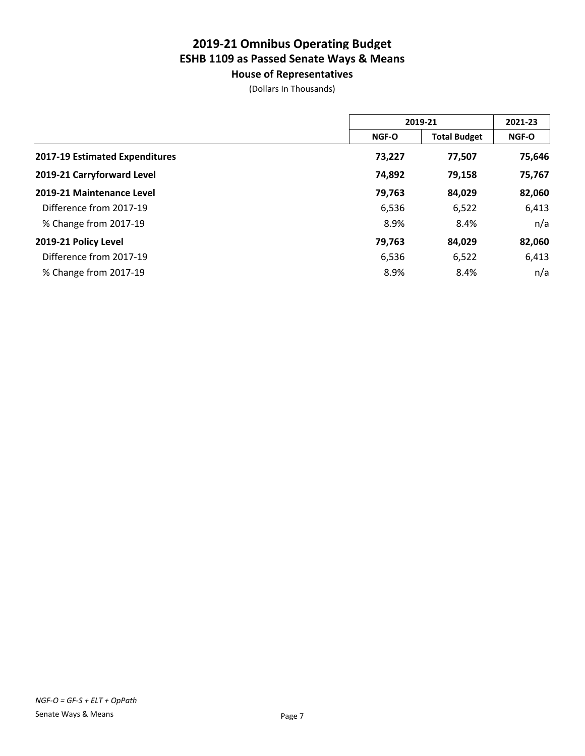**House of Representatives**

|                                |              | 2019-21             |              |  |
|--------------------------------|--------------|---------------------|--------------|--|
|                                | <b>NGF-O</b> | <b>Total Budget</b> | <b>NGF-O</b> |  |
| 2017-19 Estimated Expenditures | 73,227       | 77,507              | 75,646       |  |
| 2019-21 Carryforward Level     | 74,892       | 79,158              | 75,767       |  |
| 2019-21 Maintenance Level      | 79,763       | 84,029              | 82,060       |  |
| Difference from 2017-19        | 6,536        | 6,522               | 6,413        |  |
| % Change from 2017-19          | 8.9%         | 8.4%                | n/a          |  |
| 2019-21 Policy Level           | 79,763       | 84,029              | 82,060       |  |
| Difference from 2017-19        | 6,536        | 6,522               | 6,413        |  |
| % Change from 2017-19          | 8.9%         | 8.4%                | n/a          |  |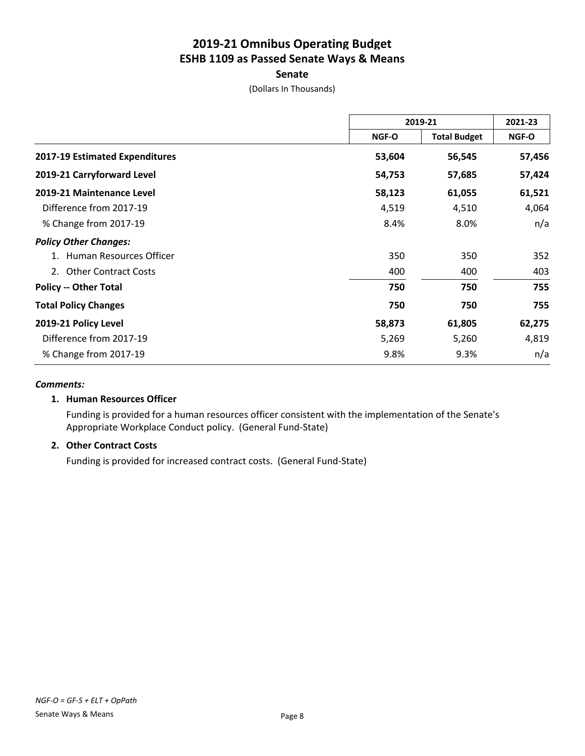### **Senate**

(Dollars In Thousands)

|                                |              | 2019-21             | 2021-23 |
|--------------------------------|--------------|---------------------|---------|
|                                | <b>NGF-O</b> | <b>Total Budget</b> | NGF-O   |
| 2017-19 Estimated Expenditures | 53,604       | 56,545              | 57,456  |
| 2019-21 Carryforward Level     | 54,753       | 57,685              | 57,424  |
| 2019-21 Maintenance Level      | 58,123       | 61,055              | 61,521  |
| Difference from 2017-19        | 4,519        | 4,510               | 4,064   |
| % Change from 2017-19          | 8.4%         | 8.0%                | n/a     |
| <b>Policy Other Changes:</b>   |              |                     |         |
| Human Resources Officer        | 350          | 350                 | 352     |
| 2. Other Contract Costs        | 400          | 400                 | 403     |
| <b>Policy -- Other Total</b>   | 750          | 750                 | 755     |
| <b>Total Policy Changes</b>    | 750          | 750                 | 755     |
| 2019-21 Policy Level           | 58,873       | 61,805              | 62,275  |
| Difference from 2017-19        | 5,269        | 5,260               | 4,819   |
| % Change from 2017-19          | 9.8%         | 9.3%                | n/a     |

#### *Comments:*

### **1. Human Resources Officer**

Funding is provided for a human resources officer consistent with the implementation of the Senate's Appropriate Workplace Conduct policy. (General Fund-State)

### **2. Other Contract Costs**

Funding is provided for increased contract costs. (General Fund-State)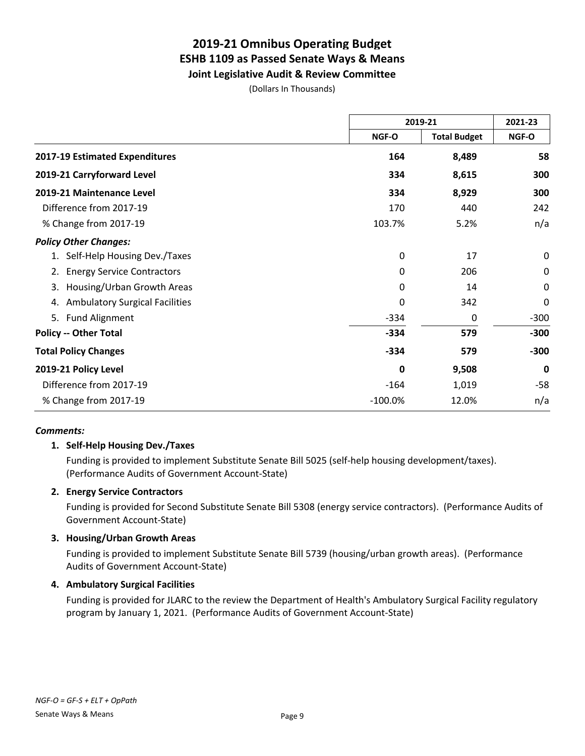### **Joint Legislative Audit & Review Committee**

(Dollars In Thousands)

|                                             |           | 2019-21             | 2021-23     |  |
|---------------------------------------------|-----------|---------------------|-------------|--|
|                                             | NGF-O     | <b>Total Budget</b> | NGF-O       |  |
| 2017-19 Estimated Expenditures              | 164       | 8,489               | 58          |  |
| 2019-21 Carryforward Level                  | 334       | 8,615               | 300         |  |
| 2019-21 Maintenance Level                   | 334       | 8,929               | 300         |  |
| Difference from 2017-19                     | 170       | 440                 | 242         |  |
| % Change from 2017-19                       | 103.7%    | 5.2%                | n/a         |  |
| <b>Policy Other Changes:</b>                |           |                     |             |  |
| 1. Self-Help Housing Dev./Taxes             | 0         | 17                  | 0           |  |
| <b>Energy Service Contractors</b><br>2.     | 0         | 206                 | 0           |  |
| Housing/Urban Growth Areas<br>3.            | 0         | 14                  | $\mathbf 0$ |  |
| <b>Ambulatory Surgical Facilities</b><br>4. | 0         | 342                 | $\mathbf 0$ |  |
| 5. Fund Alignment                           | $-334$    | 0                   | $-300$      |  |
| <b>Policy -- Other Total</b>                | $-334$    | 579                 | $-300$      |  |
| <b>Total Policy Changes</b>                 | $-334$    | 579                 | $-300$      |  |
| 2019-21 Policy Level                        | 0         | 9,508               | $\mathbf 0$ |  |
| Difference from 2017-19                     | $-164$    | 1,019               | $-58$       |  |
| % Change from 2017-19                       | $-100.0%$ | 12.0%               | n/a         |  |

#### *Comments:*

### **1. Self-Help Housing Dev./Taxes**

Funding is provided to implement Substitute Senate Bill 5025 (self-help housing development/taxes). (Performance Audits of Government Account-State)

### **2. Energy Service Contractors**

Funding is provided for Second Substitute Senate Bill 5308 (energy service contractors). (Performance Audits of Government Account-State)

### **3. Housing/Urban Growth Areas**

Funding is provided to implement Substitute Senate Bill 5739 (housing/urban growth areas). (Performance Audits of Government Account-State)

### **4. Ambulatory Surgical Facilities**

Funding is provided for JLARC to the review the Department of Health's Ambulatory Surgical Facility regulatory program by January 1, 2021. (Performance Audits of Government Account-State)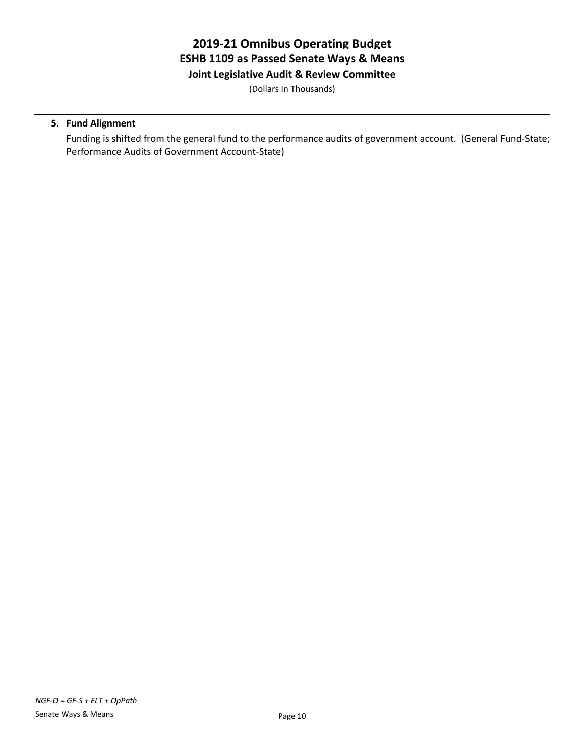**Joint Legislative Audit & Review Committee**

(Dollars In Thousands)

### **5. Fund Alignment**

Funding is shifted from the general fund to the performance audits of government account. (General Fund-State; Performance Audits of Government Account-State)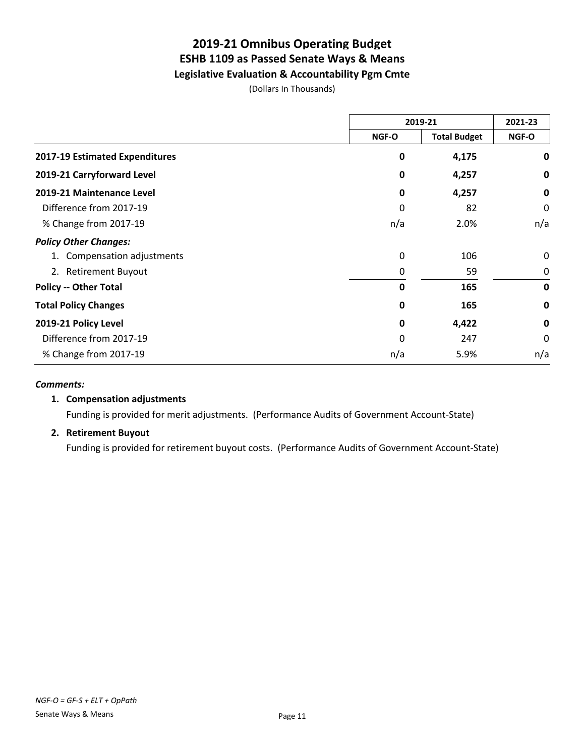**Legislative Evaluation & Accountability Pgm Cmte**

(Dollars In Thousands)

|                                |       | 2019-21             | 2021-23     |  |
|--------------------------------|-------|---------------------|-------------|--|
|                                | NGF-O | <b>Total Budget</b> | NGF-O       |  |
| 2017-19 Estimated Expenditures | 0     | 4,175               | 0           |  |
| 2019-21 Carryforward Level     | 0     | 4,257               | 0           |  |
| 2019-21 Maintenance Level      | 0     | 4,257               | $\mathbf 0$ |  |
| Difference from 2017-19        | 0     | 82                  | 0           |  |
| % Change from 2017-19          | n/a   | 2.0%                | n/a         |  |
| <b>Policy Other Changes:</b>   |       |                     |             |  |
| 1. Compensation adjustments    | 0     | 106                 | $\Omega$    |  |
| 2. Retirement Buyout           | 0     | 59                  | 0           |  |
| <b>Policy -- Other Total</b>   | 0     | 165                 | $\mathbf 0$ |  |
| <b>Total Policy Changes</b>    | 0     | 165                 | 0           |  |
| 2019-21 Policy Level           | 0     | 4,422               | $\mathbf 0$ |  |
| Difference from 2017-19        | 0     | 247                 | $\Omega$    |  |
| % Change from 2017-19          | n/a   | 5.9%                | n/a         |  |

#### *Comments:*

### **1. Compensation adjustments**

Funding is provided for merit adjustments. (Performance Audits of Government Account-State)

### **2. Retirement Buyout**

Funding is provided for retirement buyout costs. (Performance Audits of Government Account-State)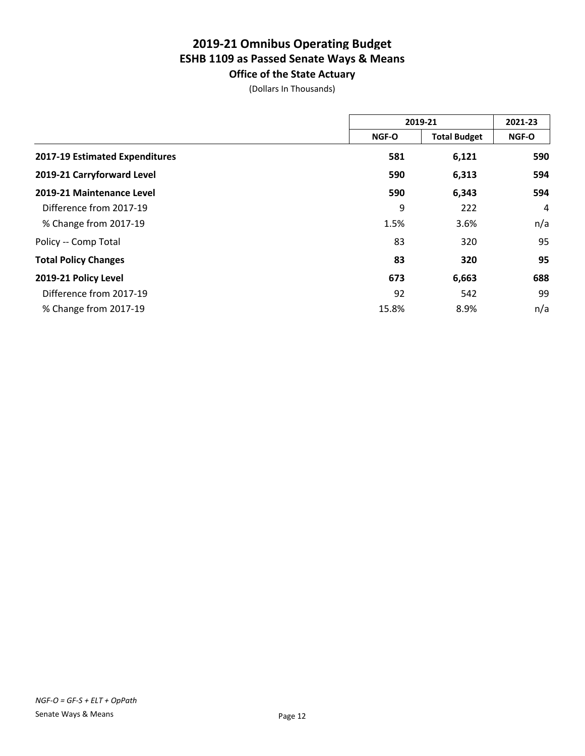**Office of the State Actuary**

|                                |              | 2019-21             | 2021-23 |  |
|--------------------------------|--------------|---------------------|---------|--|
|                                | <b>NGF-O</b> | <b>Total Budget</b> | NGF-O   |  |
| 2017-19 Estimated Expenditures | 581          | 6,121               | 590     |  |
| 2019-21 Carryforward Level     | 590          | 6,313               | 594     |  |
| 2019-21 Maintenance Level      | 590          | 6,343               | 594     |  |
| Difference from 2017-19        | 9            | 222                 | 4       |  |
| % Change from 2017-19          | 1.5%         | 3.6%                | n/a     |  |
| Policy -- Comp Total           | 83           | 320                 | 95      |  |
| <b>Total Policy Changes</b>    | 83           | 320                 | 95      |  |
| 2019-21 Policy Level           | 673          | 6,663               | 688     |  |
| Difference from 2017-19        | 92           | 542                 | 99      |  |
| % Change from 2017-19          | 15.8%        | 8.9%                | n/a     |  |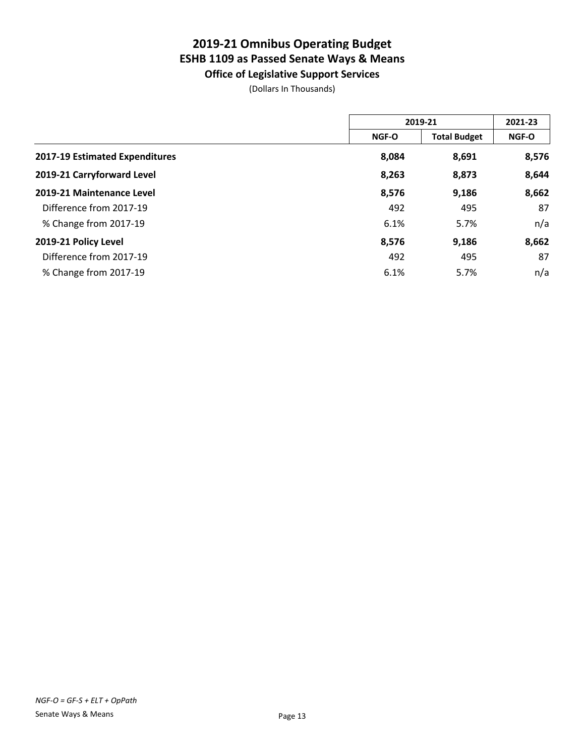**Office of Legislative Support Services**

|                                |              | 2019-21             |       |  |
|--------------------------------|--------------|---------------------|-------|--|
|                                | <b>NGF-O</b> | <b>Total Budget</b> | NGF-O |  |
| 2017-19 Estimated Expenditures | 8,084        | 8,691               | 8,576 |  |
| 2019-21 Carryforward Level     | 8,263        | 8,873               | 8,644 |  |
| 2019-21 Maintenance Level      | 8,576        | 9,186               | 8,662 |  |
| Difference from 2017-19        | 492          | 495                 | 87    |  |
| % Change from 2017-19          | 6.1%         | 5.7%                | n/a   |  |
| 2019-21 Policy Level           | 8,576        | 9,186               | 8,662 |  |
| Difference from 2017-19        | 492          | 495                 | 87    |  |
| % Change from 2017-19          | 6.1%         | 5.7%                | n/a   |  |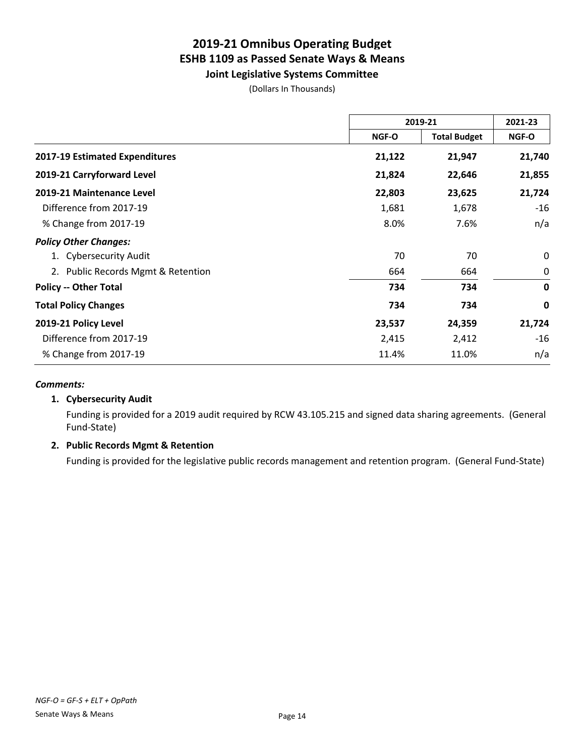**Joint Legislative Systems Committee**

(Dollars In Thousands)

|                                    | 2019-21 |                     | 2021-23     |
|------------------------------------|---------|---------------------|-------------|
|                                    | NGF-O   | <b>Total Budget</b> | NGF-O       |
| 2017-19 Estimated Expenditures     | 21,122  | 21,947              | 21,740      |
| 2019-21 Carryforward Level         | 21,824  | 22,646              | 21,855      |
| 2019-21 Maintenance Level          | 22,803  | 23,625              | 21,724      |
| Difference from 2017-19            | 1,681   | 1,678               | $-16$       |
| % Change from 2017-19              | 8.0%    | 7.6%                | n/a         |
| <b>Policy Other Changes:</b>       |         |                     |             |
| 1. Cybersecurity Audit             | 70      | 70                  | 0           |
| 2. Public Records Mgmt & Retention | 664     | 664                 | 0           |
| <b>Policy -- Other Total</b>       | 734     | 734                 | $\mathbf 0$ |
| <b>Total Policy Changes</b>        | 734     | 734                 | 0           |
| 2019-21 Policy Level               | 23,537  | 24,359              | 21,724      |
| Difference from 2017-19            | 2,415   | 2,412               | $-16$       |
| % Change from 2017-19              | 11.4%   | 11.0%               | n/a         |

#### *Comments:*

### **1. Cybersecurity Audit**

Funding is provided for a 2019 audit required by RCW 43.105.215 and signed data sharing agreements. (General Fund-State)

### **2. Public Records Mgmt & Retention**

Funding is provided for the legislative public records management and retention program. (General Fund-State)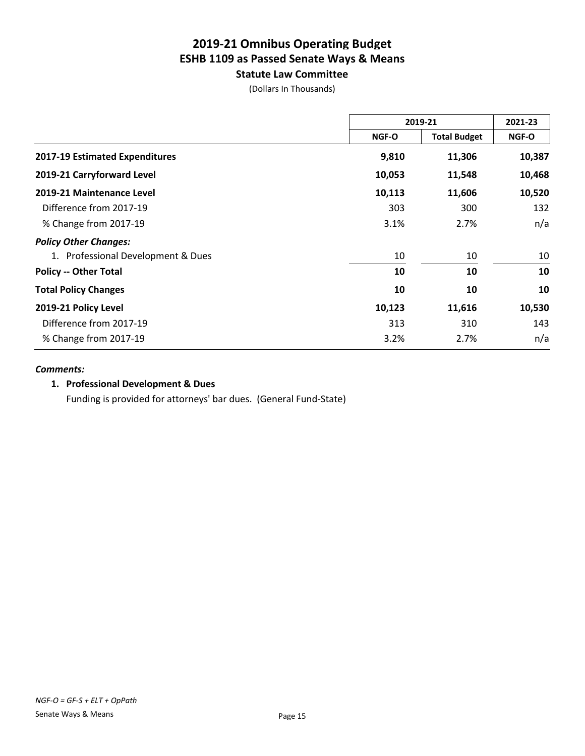**Statute Law Committee**

(Dollars In Thousands)

|                                    | 2019-21 |                     | 2021-23 |
|------------------------------------|---------|---------------------|---------|
|                                    | NGF-O   | <b>Total Budget</b> | NGF-O   |
| 2017-19 Estimated Expenditures     | 9,810   | 11,306              | 10,387  |
| 2019-21 Carryforward Level         | 10,053  | 11,548              | 10,468  |
| 2019-21 Maintenance Level          | 10,113  | 11,606              | 10,520  |
| Difference from 2017-19            | 303     | 300                 | 132     |
| % Change from 2017-19              | 3.1%    | 2.7%                | n/a     |
| <b>Policy Other Changes:</b>       |         |                     |         |
| 1. Professional Development & Dues | 10      | 10                  | 10      |
| <b>Policy -- Other Total</b>       | 10      | 10                  | 10      |
| <b>Total Policy Changes</b>        | 10      | 10                  | 10      |
| 2019-21 Policy Level               | 10,123  | 11,616              | 10,530  |
| Difference from 2017-19            | 313     | 310                 | 143     |
| % Change from 2017-19              | 3.2%    | 2.7%                | n/a     |

### *Comments:*

### **1. Professional Development & Dues**

Funding is provided for attorneys' bar dues. (General Fund-State)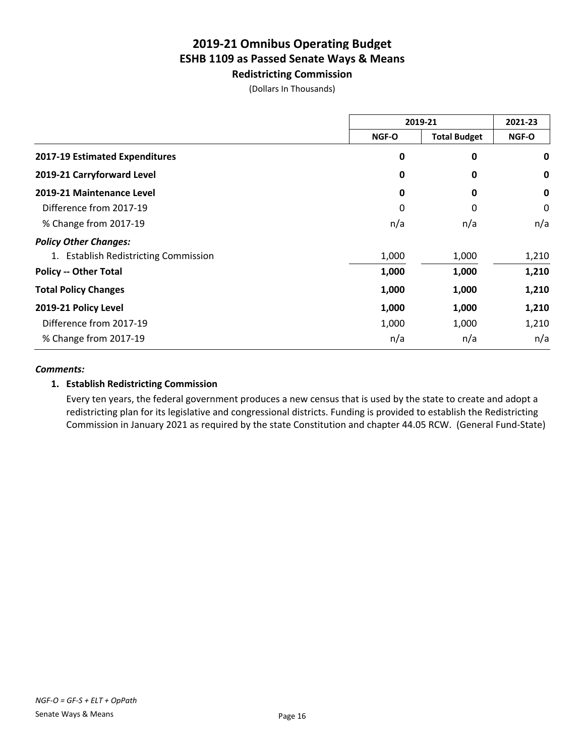**Redistricting Commission**

(Dollars In Thousands)

|                                       | 2019-21 |                     | 2021-23 |
|---------------------------------------|---------|---------------------|---------|
|                                       | NGF-O   | <b>Total Budget</b> | NGF-O   |
| 2017-19 Estimated Expenditures        | 0       | 0                   | 0       |
| 2019-21 Carryforward Level            | 0       | 0                   | 0       |
| 2019-21 Maintenance Level             | 0       | 0                   | 0       |
| Difference from 2017-19               | 0       | 0                   | 0       |
| % Change from 2017-19                 | n/a     | n/a                 | n/a     |
| <b>Policy Other Changes:</b>          |         |                     |         |
| 1. Establish Redistricting Commission | 1,000   | 1,000               | 1,210   |
| <b>Policy -- Other Total</b>          | 1,000   | 1,000               | 1,210   |
| <b>Total Policy Changes</b>           | 1,000   | 1,000               | 1,210   |
| 2019-21 Policy Level                  | 1,000   | 1,000               | 1,210   |
| Difference from 2017-19               | 1,000   | 1,000               | 1,210   |
| % Change from 2017-19                 | n/a     | n/a                 | n/a     |

### *Comments:*

### **1. Establish Redistricting Commission**

Every ten years, the federal government produces a new census that is used by the state to create and adopt a redistricting plan for its legislative and congressional districts. Funding is provided to establish the Redistricting Commission in January 2021 as required by the state Constitution and chapter 44.05 RCW. (General Fund-State)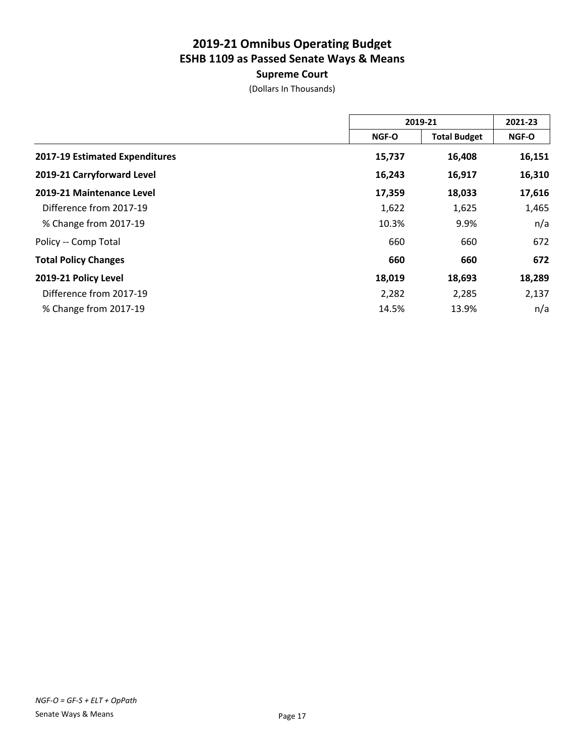### **Supreme Court**

|                                |        | 2019-21             |        |
|--------------------------------|--------|---------------------|--------|
|                                | NGF-O  | <b>Total Budget</b> | NGF-O  |
| 2017-19 Estimated Expenditures | 15,737 | 16,408              | 16,151 |
| 2019-21 Carryforward Level     | 16,243 | 16,917              | 16,310 |
| 2019-21 Maintenance Level      | 17,359 | 18,033              | 17,616 |
| Difference from 2017-19        | 1,622  | 1,625               | 1,465  |
| % Change from 2017-19          | 10.3%  | 9.9%                | n/a    |
| Policy -- Comp Total           | 660    | 660                 | 672    |
| <b>Total Policy Changes</b>    | 660    | 660                 | 672    |
| 2019-21 Policy Level           | 18,019 | 18,693              | 18,289 |
| Difference from 2017-19        | 2,282  | 2,285               | 2,137  |
| % Change from 2017-19          | 14.5%  | 13.9%               | n/a    |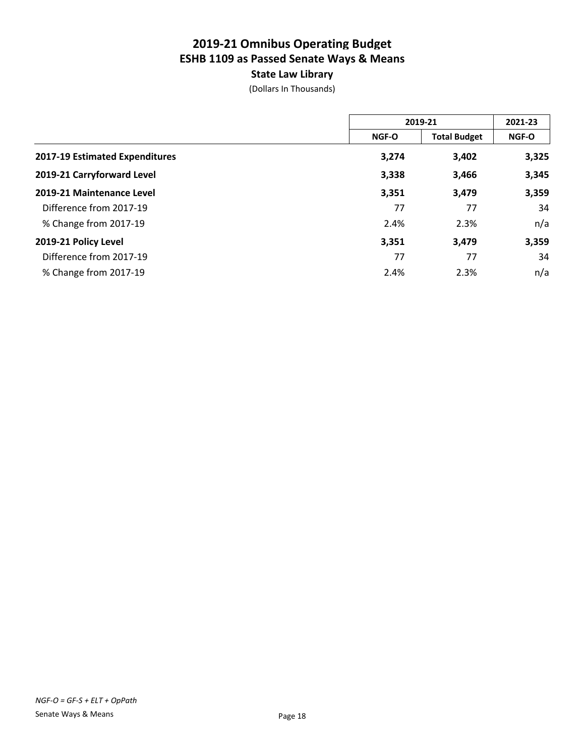### **State Law Library**

|                                | 2019-21      |                     | 2021-23      |  |
|--------------------------------|--------------|---------------------|--------------|--|
|                                | <b>NGF-O</b> | <b>Total Budget</b> | <b>NGF-O</b> |  |
| 2017-19 Estimated Expenditures | 3,274        | 3,402               | 3,325        |  |
| 2019-21 Carryforward Level     | 3,338        | 3,466               | 3,345        |  |
| 2019-21 Maintenance Level      | 3,351        | 3,479               | 3,359        |  |
| Difference from 2017-19        | 77           | 77                  | 34           |  |
| % Change from 2017-19          | 2.4%         | 2.3%                | n/a          |  |
| 2019-21 Policy Level           | 3,351        | 3,479               | 3,359        |  |
| Difference from 2017-19        | 77           | 77                  | 34           |  |
| % Change from 2017-19          | 2.4%         | 2.3%                | n/a          |  |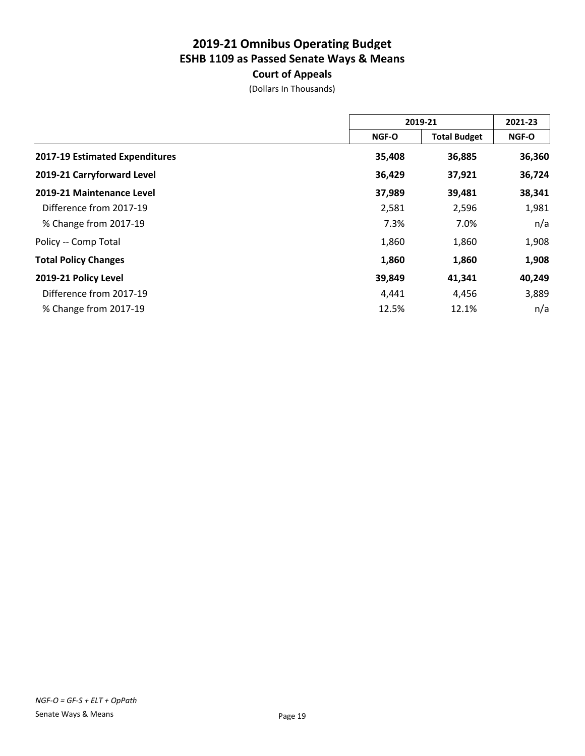### **Court of Appeals**

|                                | 2019-21 |                     | 2021-23 |  |
|--------------------------------|---------|---------------------|---------|--|
|                                | NGF-O   | <b>Total Budget</b> | NGF-O   |  |
| 2017-19 Estimated Expenditures | 35,408  | 36,885              | 36,360  |  |
| 2019-21 Carryforward Level     | 36,429  | 37,921              | 36,724  |  |
| 2019-21 Maintenance Level      | 37,989  | 39,481              | 38,341  |  |
| Difference from 2017-19        | 2,581   | 2,596               | 1,981   |  |
| % Change from 2017-19          | 7.3%    | 7.0%                | n/a     |  |
| Policy -- Comp Total           | 1,860   | 1,860               | 1,908   |  |
| <b>Total Policy Changes</b>    | 1,860   | 1,860               | 1,908   |  |
| 2019-21 Policy Level           | 39,849  | 41,341              | 40,249  |  |
| Difference from 2017-19        | 4,441   | 4,456               | 3,889   |  |
| % Change from 2017-19          | 12.5%   | 12.1%               | n/a     |  |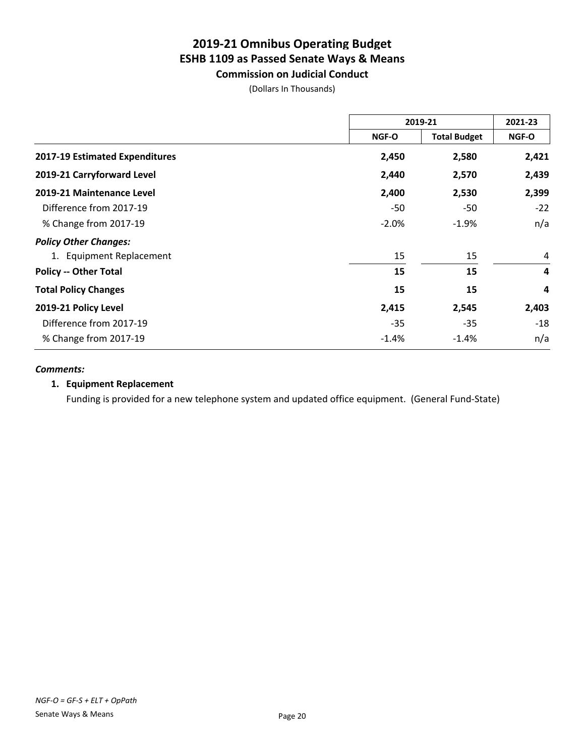**Commission on Judicial Conduct**

(Dollars In Thousands)

|                                | 2019-21  |                     | 2021-23        |
|--------------------------------|----------|---------------------|----------------|
|                                | NGF-O    | <b>Total Budget</b> | NGF-O          |
| 2017-19 Estimated Expenditures | 2,450    | 2,580               | 2,421          |
| 2019-21 Carryforward Level     | 2,440    | 2,570               | 2,439          |
| 2019-21 Maintenance Level      | 2,400    | 2,530               | 2,399          |
| Difference from 2017-19        | -50      | -50                 | $-22$          |
| % Change from 2017-19          | $-2.0\%$ | $-1.9%$             | n/a            |
| <b>Policy Other Changes:</b>   |          |                     |                |
| 1. Equipment Replacement       | 15       | 15                  | 4              |
| <b>Policy -- Other Total</b>   | 15       | 15                  | $\overline{a}$ |
| <b>Total Policy Changes</b>    | 15       | 15                  | 4              |
| 2019-21 Policy Level           | 2,415    | 2,545               | 2,403          |
| Difference from 2017-19        | $-35$    | $-35$               | $-18$          |
| % Change from 2017-19          | $-1.4\%$ | $-1.4%$             | n/a            |

### *Comments:*

### **1. Equipment Replacement**

Funding is provided for a new telephone system and updated office equipment. (General Fund-State)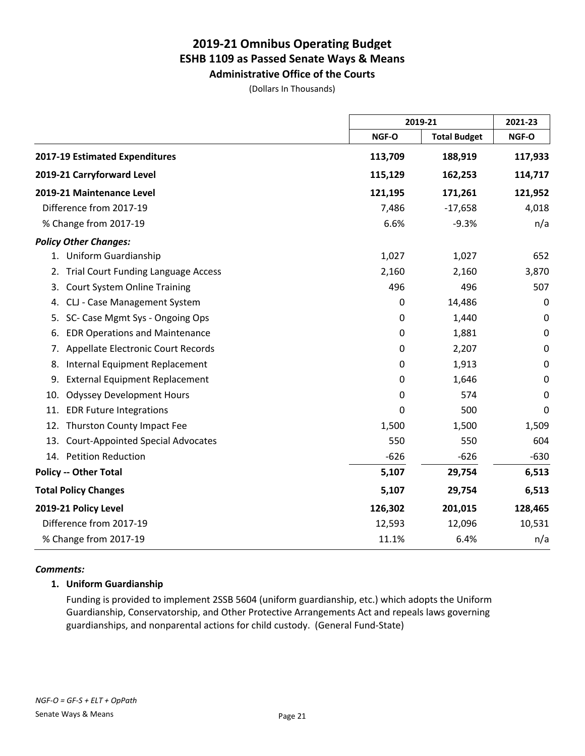### **2019-21 Omnibus Operating Budget ESHB 1109 as Passed Senate Ways & Means Administrative Office of the Courts**

(Dollars In Thousands)

|                                                  |             | 2019-21             |             |
|--------------------------------------------------|-------------|---------------------|-------------|
|                                                  | NGF-O       | <b>Total Budget</b> | NGF-O       |
| 2017-19 Estimated Expenditures                   | 113,709     | 188,919             | 117,933     |
| 2019-21 Carryforward Level                       | 115,129     | 162,253             | 114,717     |
| 2019-21 Maintenance Level                        | 121,195     | 171,261             | 121,952     |
| Difference from 2017-19                          | 7,486       | $-17,658$           | 4,018       |
| % Change from 2017-19                            | 6.6%        | $-9.3%$             | n/a         |
| <b>Policy Other Changes:</b>                     |             |                     |             |
| 1. Uniform Guardianship                          | 1,027       | 1,027               | 652         |
| <b>Trial Court Funding Language Access</b><br>2. | 2,160       | 2,160               | 3,870       |
| <b>Court System Online Training</b><br>3.        | 496         | 496                 | 507         |
| CLJ - Case Management System<br>4.               | $\pmb{0}$   | 14,486              | $\mathbf 0$ |
| SC- Case Mgmt Sys - Ongoing Ops<br>5.            | 0           | 1,440               | $\mathbf 0$ |
| <b>EDR Operations and Maintenance</b><br>6.      | 0           | 1,881               | $\mathbf 0$ |
| Appellate Electronic Court Records<br>7.         | $\mathbf 0$ | 2,207               | $\mathbf 0$ |
| Internal Equipment Replacement<br>8.             | 0           | 1,913               | $\mathbf 0$ |
| <b>External Equipment Replacement</b><br>9.      | 0           | 1,646               | 0           |
| <b>Odyssey Development Hours</b><br>10.          | $\mathbf 0$ | 574                 | $\mathbf 0$ |
| 11.<br><b>EDR Future Integrations</b>            | 0           | 500                 | 0           |
| Thurston County Impact Fee<br>12.                | 1,500       | 1,500               | 1,509       |
| <b>Court-Appointed Special Advocates</b><br>13.  | 550         | 550                 | 604         |
| 14. Petition Reduction                           | $-626$      | $-626$              | $-630$      |
| <b>Policy -- Other Total</b>                     | 5,107       | 29,754              | 6,513       |
| <b>Total Policy Changes</b>                      | 5,107       | 29,754              | 6,513       |
| 2019-21 Policy Level                             | 126,302     | 201,015             | 128,465     |
| Difference from 2017-19                          | 12,593      | 12,096              | 10,531      |
| % Change from 2017-19                            | 11.1%       | 6.4%                | n/a         |

### *Comments:*

### **1. Uniform Guardianship**

Funding is provided to implement 2SSB 5604 (uniform guardianship, etc.) which adopts the Uniform Guardianship, Conservatorship, and Other Protective Arrangements Act and repeals laws governing guardianships, and nonparental actions for child custody. (General Fund-State)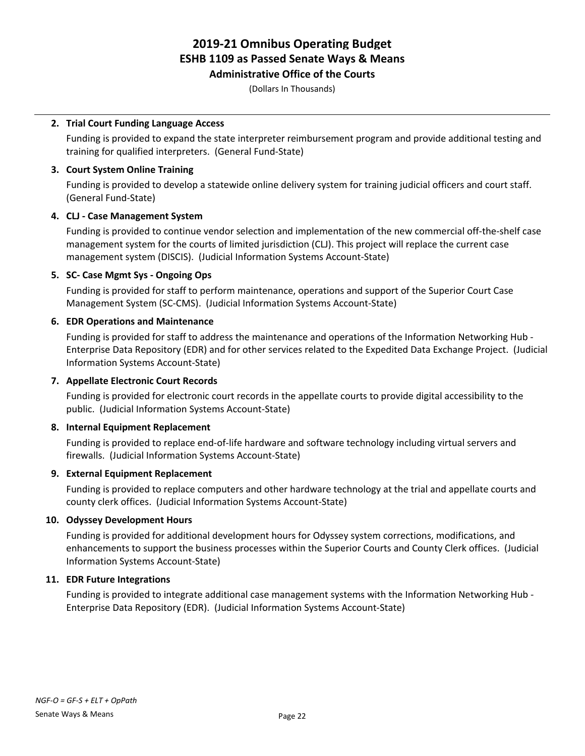**Administrative Office of the Courts**

(Dollars In Thousands)

### **2. Trial Court Funding Language Access**

Funding is provided to expand the state interpreter reimbursement program and provide additional testing and training for qualified interpreters. (General Fund-State)

### **3. Court System Online Training**

Funding is provided to develop a statewide online delivery system for training judicial officers and court staff. (General Fund-State)

### **4. CLJ - Case Management System**

Funding is provided to continue vendor selection and implementation of the new commercial off-the-shelf case management system for the courts of limited jurisdiction (CLJ). This project will replace the current case management system (DISCIS). (Judicial Information Systems Account-State)

### **5. SC- Case Mgmt Sys - Ongoing Ops**

Funding is provided for staff to perform maintenance, operations and support of the Superior Court Case Management System (SC-CMS). (Judicial Information Systems Account-State)

### **6. EDR Operations and Maintenance**

Funding is provided for staff to address the maintenance and operations of the Information Networking Hub - Enterprise Data Repository (EDR) and for other services related to the Expedited Data Exchange Project. (Judicial Information Systems Account-State)

### **7. Appellate Electronic Court Records**

Funding is provided for electronic court records in the appellate courts to provide digital accessibility to the public. (Judicial Information Systems Account-State)

### **8. Internal Equipment Replacement**

Funding is provided to replace end-of-life hardware and software technology including virtual servers and firewalls. (Judicial Information Systems Account-State)

### **9. External Equipment Replacement**

Funding is provided to replace computers and other hardware technology at the trial and appellate courts and county clerk offices. (Judicial Information Systems Account-State)

### **10. Odyssey Development Hours**

Funding is provided for additional development hours for Odyssey system corrections, modifications, and enhancements to support the business processes within the Superior Courts and County Clerk offices. (Judicial Information Systems Account-State)

### **11. EDR Future Integrations**

Funding is provided to integrate additional case management systems with the Information Networking Hub - Enterprise Data Repository (EDR). (Judicial Information Systems Account-State)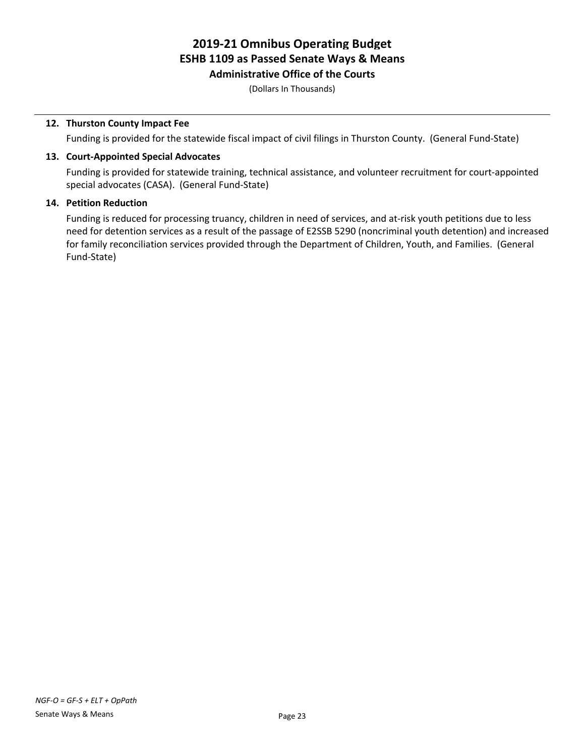**Administrative Office of the Courts**

(Dollars In Thousands)

### **12. Thurston County Impact Fee**

Funding is provided for the statewide fiscal impact of civil filings in Thurston County. (General Fund-State)

### **13. Court-Appointed Special Advocates**

Funding is provided for statewide training, technical assistance, and volunteer recruitment for court-appointed special advocates (CASA). (General Fund-State)

### **14. Petition Reduction**

Funding is reduced for processing truancy, children in need of services, and at-risk youth petitions due to less need for detention services as a result of the passage of E2SSB 5290 (noncriminal youth detention) and increased for family reconciliation services provided through the Department of Children, Youth, and Families. (General Fund-State)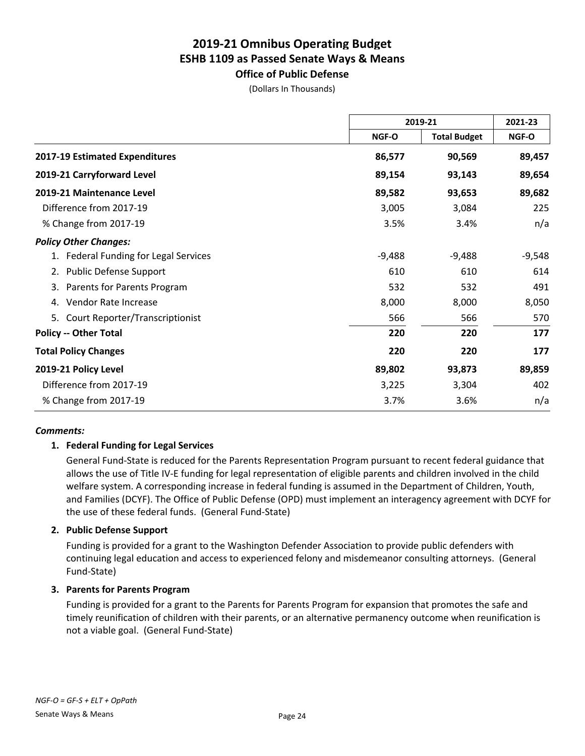**Office of Public Defense**

(Dollars In Thousands)

|                                       | 2019-21  |                     | 2021-23  |
|---------------------------------------|----------|---------------------|----------|
|                                       | NGF-O    | <b>Total Budget</b> | NGF-O    |
| 2017-19 Estimated Expenditures        | 86,577   | 90,569              | 89,457   |
| 2019-21 Carryforward Level            | 89,154   | 93,143              | 89,654   |
| 2019-21 Maintenance Level             | 89,582   | 93,653              | 89,682   |
| Difference from 2017-19               | 3,005    | 3,084               | 225      |
| % Change from 2017-19                 | 3.5%     | 3.4%                | n/a      |
| <b>Policy Other Changes:</b>          |          |                     |          |
| 1. Federal Funding for Legal Services | $-9,488$ | $-9,488$            | $-9,548$ |
| 2. Public Defense Support             | 610      | 610                 | 614      |
| Parents for Parents Program<br>3.     | 532      | 532                 | 491      |
| Vendor Rate Increase<br>4.            | 8,000    | 8,000               | 8,050    |
| Court Reporter/Transcriptionist<br>5. | 566      | 566                 | 570      |
| <b>Policy -- Other Total</b>          | 220      | 220                 | 177      |
| <b>Total Policy Changes</b>           | 220      | 220                 | 177      |
| 2019-21 Policy Level                  | 89,802   | 93,873              | 89,859   |
| Difference from 2017-19               | 3,225    | 3,304               | 402      |
| % Change from 2017-19                 | 3.7%     | 3.6%                | n/a      |

### *Comments:*

### **1. Federal Funding for Legal Services**

General Fund-State is reduced for the Parents Representation Program pursuant to recent federal guidance that allows the use of Title IV-E funding for legal representation of eligible parents and children involved in the child welfare system. A corresponding increase in federal funding is assumed in the Department of Children, Youth, and Families (DCYF). The Office of Public Defense (OPD) must implement an interagency agreement with DCYF for the use of these federal funds. (General Fund-State)

### **2. Public Defense Support**

Funding is provided for a grant to the Washington Defender Association to provide public defenders with continuing legal education and access to experienced felony and misdemeanor consulting attorneys. (General Fund-State)

### **3. Parents for Parents Program**

Funding is provided for a grant to the Parents for Parents Program for expansion that promotes the safe and timely reunification of children with their parents, or an alternative permanency outcome when reunification is not a viable goal. (General Fund-State)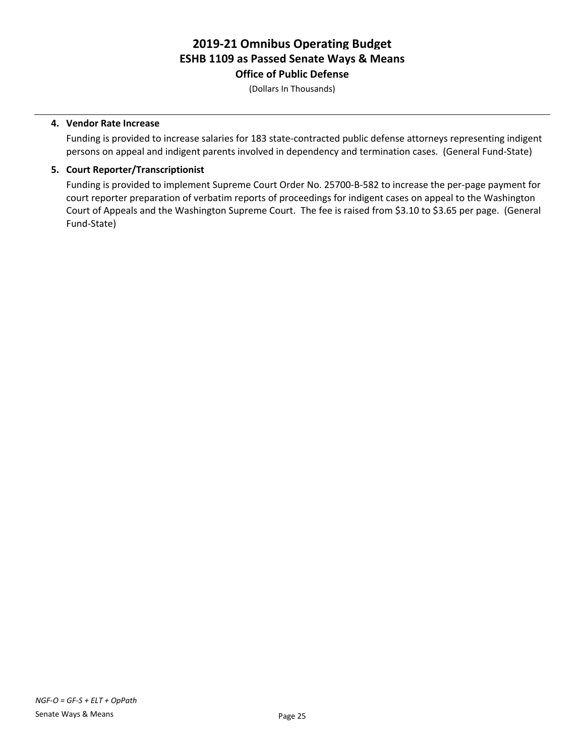### **2019-21 Omnibus Operating Budget ESHB 1109 as Passed Senate Ways & Means Office of Public Defense**

(Dollars In Thousands)

### **4. Vendor Rate Increase**

Funding is provided to increase salaries for 183 state-contracted public defense attorneys representing indigent persons on appeal and indigent parents involved in dependency and termination cases. (General Fund-State)

### **5. Court Reporter/Transcriptionist**

Funding is provided to implement Supreme Court Order No. 25700-B-582 to increase the per-page payment for court reporter preparation of verbatim reports of proceedings for indigent cases on appeal to the Washington Court of Appeals and the Washington Supreme Court. The fee is raised from \$3.10 to \$3.65 per page. (General Fund-State)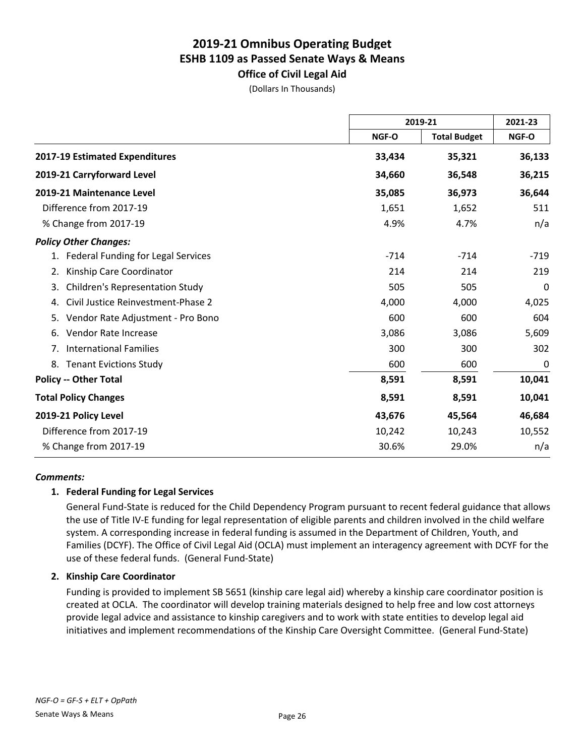**Office of Civil Legal Aid** (Dollars In Thousands)

|                                              | 2019-21 |                     | 2021-23 |
|----------------------------------------------|---------|---------------------|---------|
|                                              | NGF-O   | <b>Total Budget</b> | NGF-O   |
| 2017-19 Estimated Expenditures               | 33,434  | 35,321              | 36,133  |
| 2019-21 Carryforward Level                   | 34,660  | 36,548              | 36,215  |
| 2019-21 Maintenance Level                    | 35,085  | 36,973              | 36,644  |
| Difference from 2017-19                      | 1,651   | 1,652               | 511     |
| % Change from 2017-19                        | 4.9%    | 4.7%                | n/a     |
| <b>Policy Other Changes:</b>                 |         |                     |         |
| 1. Federal Funding for Legal Services        | $-714$  | $-714$              | $-719$  |
| Kinship Care Coordinator<br>2.               | 214     | 214                 | 219     |
| <b>Children's Representation Study</b><br>3. | 505     | 505                 | 0       |
| Civil Justice Reinvestment-Phase 2<br>4.     | 4,000   | 4,000               | 4,025   |
| Vendor Rate Adjustment - Pro Bono<br>5.      | 600     | 600                 | 604     |
| Vendor Rate Increase<br>6.                   | 3,086   | 3,086               | 5,609   |
| <b>International Families</b><br>7.          | 300     | 300                 | 302     |
| <b>Tenant Evictions Study</b><br>8.          | 600     | 600                 | 0       |
| <b>Policy -- Other Total</b>                 | 8,591   | 8,591               | 10,041  |
| <b>Total Policy Changes</b>                  | 8,591   | 8,591               | 10,041  |
| 2019-21 Policy Level                         | 43,676  | 45,564              | 46,684  |
| Difference from 2017-19                      | 10,242  | 10,243              | 10,552  |
| % Change from 2017-19                        | 30.6%   | 29.0%               | n/a     |

### *Comments:*

### **1. Federal Funding for Legal Services**

General Fund-State is reduced for the Child Dependency Program pursuant to recent federal guidance that allows the use of Title IV-E funding for legal representation of eligible parents and children involved in the child welfare system. A corresponding increase in federal funding is assumed in the Department of Children, Youth, and Families (DCYF). The Office of Civil Legal Aid (OCLA) must implement an interagency agreement with DCYF for the use of these federal funds. (General Fund-State)

### **2. Kinship Care Coordinator**

Funding is provided to implement SB 5651 (kinship care legal aid) whereby a kinship care coordinator position is created at OCLA. The coordinator will develop training materials designed to help free and low cost attorneys provide legal advice and assistance to kinship caregivers and to work with state entities to develop legal aid initiatives and implement recommendations of the Kinship Care Oversight Committee. (General Fund-State)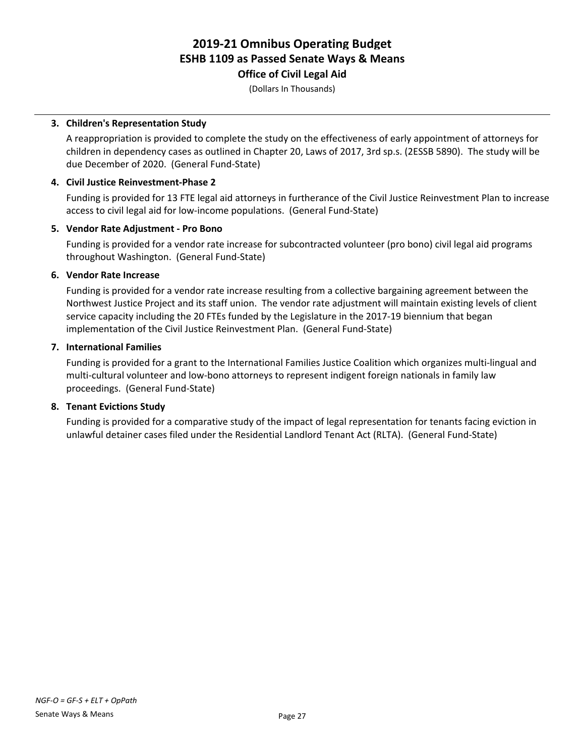### **Office of Civil Legal Aid**

(Dollars In Thousands)

### **3. Children's Representation Study**

A reappropriation is provided to complete the study on the effectiveness of early appointment of attorneys for children in dependency cases as outlined in Chapter 20, Laws of 2017, 3rd sp.s. (2ESSB 5890). The study will be due December of 2020. (General Fund-State)

### **4. Civil Justice Reinvestment-Phase 2**

Funding is provided for 13 FTE legal aid attorneys in furtherance of the Civil Justice Reinvestment Plan to increase access to civil legal aid for low-income populations. (General Fund-State)

### **5. Vendor Rate Adjustment - Pro Bono**

Funding is provided for a vendor rate increase for subcontracted volunteer (pro bono) civil legal aid programs throughout Washington. (General Fund-State)

### **6. Vendor Rate Increase**

Funding is provided for a vendor rate increase resulting from a collective bargaining agreement between the Northwest Justice Project and its staff union. The vendor rate adjustment will maintain existing levels of client service capacity including the 20 FTEs funded by the Legislature in the 2017-19 biennium that began implementation of the Civil Justice Reinvestment Plan. (General Fund-State)

### **7. International Families**

Funding is provided for a grant to the International Families Justice Coalition which organizes multi-lingual and multi-cultural volunteer and low-bono attorneys to represent indigent foreign nationals in family law proceedings. (General Fund-State)

### **8. Tenant Evictions Study**

Funding is provided for a comparative study of the impact of legal representation for tenants facing eviction in unlawful detainer cases filed under the Residential Landlord Tenant Act (RLTA). (General Fund-State)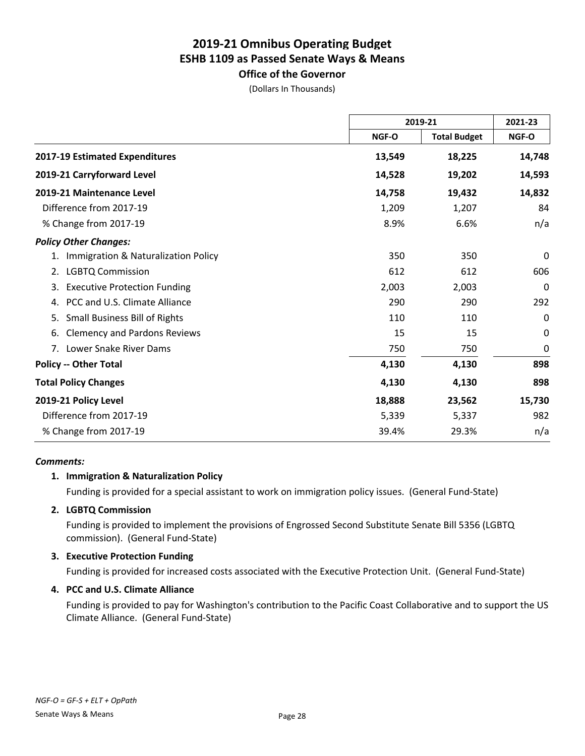### **Office of the Governor**

(Dollars In Thousands)

|                                            | 2019-21 |                     | 2021-23      |
|--------------------------------------------|---------|---------------------|--------------|
|                                            | NGF-O   | <b>Total Budget</b> | <b>NGF-O</b> |
| 2017-19 Estimated Expenditures             | 13,549  | 18,225              | 14,748       |
| 2019-21 Carryforward Level                 | 14,528  | 19,202              | 14,593       |
| 2019-21 Maintenance Level                  | 14,758  | 19,432              | 14,832       |
| Difference from 2017-19                    | 1,209   | 1,207               | 84           |
| % Change from 2017-19                      | 8.9%    | 6.6%                | n/a          |
| <b>Policy Other Changes:</b>               |         |                     |              |
| Immigration & Naturalization Policy<br>1.  | 350     | 350                 | 0            |
| <b>LGBTQ Commission</b><br>2.              | 612     | 612                 | 606          |
| <b>Executive Protection Funding</b><br>3.  | 2,003   | 2,003               | 0            |
| PCC and U.S. Climate Alliance<br>4.        | 290     | 290                 | 292          |
| <b>Small Business Bill of Rights</b><br>5. | 110     | 110                 | 0            |
| <b>Clemency and Pardons Reviews</b><br>6.  | 15      | 15                  | 0            |
| Lower Snake River Dams<br>7.               | 750     | 750                 | 0            |
| <b>Policy -- Other Total</b>               | 4,130   | 4,130               | 898          |
| <b>Total Policy Changes</b>                | 4,130   | 4,130               | 898          |
| 2019-21 Policy Level                       | 18,888  | 23,562              | 15,730       |
| Difference from 2017-19                    | 5,339   | 5,337               | 982          |
| % Change from 2017-19                      | 39.4%   | 29.3%               | n/a          |

#### *Comments:*

### **1. Immigration & Naturalization Policy**

Funding is provided for a special assistant to work on immigration policy issues. (General Fund-State)

### **2. LGBTQ Commission**

Funding is provided to implement the provisions of Engrossed Second Substitute Senate Bill 5356 (LGBTQ commission). (General Fund-State)

### **3. Executive Protection Funding**

Funding is provided for increased costs associated with the Executive Protection Unit. (General Fund-State)

### **4. PCC and U.S. Climate Alliance**

Funding is provided to pay for Washington's contribution to the Pacific Coast Collaborative and to support the US Climate Alliance. (General Fund-State)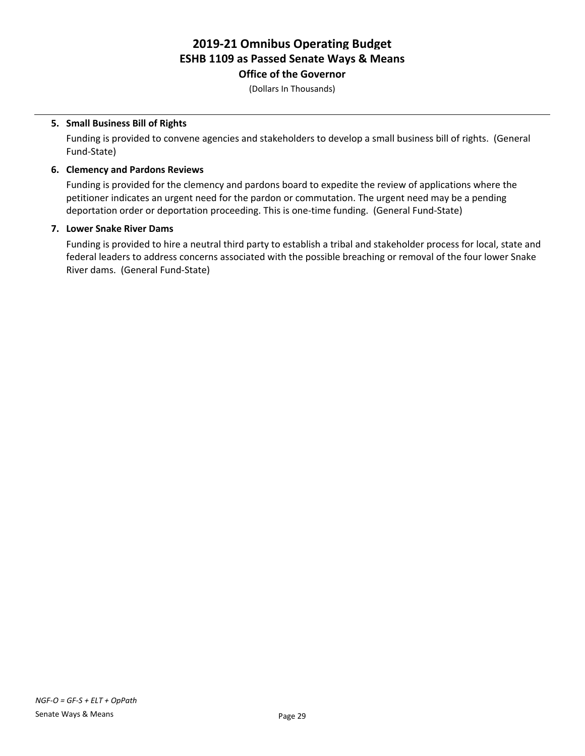**Office of the Governor**

(Dollars In Thousands)

### **5. Small Business Bill of Rights**

Funding is provided to convene agencies and stakeholders to develop a small business bill of rights. (General Fund-State)

### **6. Clemency and Pardons Reviews**

Funding is provided for the clemency and pardons board to expedite the review of applications where the petitioner indicates an urgent need for the pardon or commutation. The urgent need may be a pending deportation order or deportation proceeding. This is one-time funding. (General Fund-State)

### **7. Lower Snake River Dams**

Funding is provided to hire a neutral third party to establish a tribal and stakeholder process for local, state and federal leaders to address concerns associated with the possible breaching or removal of the four lower Snake River dams. (General Fund-State)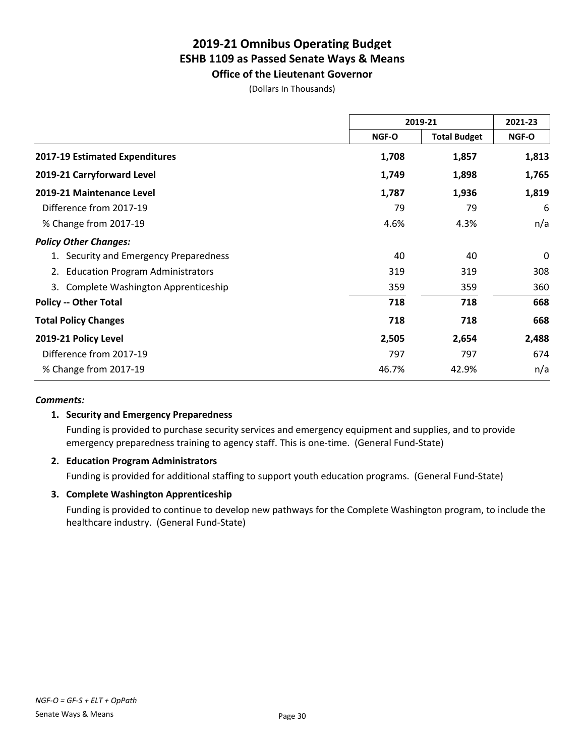**Office of the Lieutenant Governor**

(Dollars In Thousands)

|                                               | 2019-21      |                     | 2021-23 |
|-----------------------------------------------|--------------|---------------------|---------|
|                                               | <b>NGF-O</b> | <b>Total Budget</b> | NGF-O   |
| <b>2017-19 Estimated Expenditures</b>         | 1,708        | 1,857               | 1,813   |
| 2019-21 Carryforward Level                    | 1,749        | 1,898               | 1,765   |
| 2019-21 Maintenance Level                     | 1,787        | 1,936               | 1,819   |
| Difference from 2017-19                       | 79           | 79                  | 6       |
| % Change from 2017-19                         | 4.6%         | 4.3%                | n/a     |
| <b>Policy Other Changes:</b>                  |              |                     |         |
| 1. Security and Emergency Preparedness        | 40           | 40                  | 0       |
| <b>Education Program Administrators</b><br>2. | 319          | 319                 | 308     |
| Complete Washington Apprenticeship<br>3.      | 359          | 359                 | 360     |
| <b>Policy -- Other Total</b>                  | 718          | 718                 | 668     |
| <b>Total Policy Changes</b>                   | 718          | 718                 | 668     |
| 2019-21 Policy Level                          | 2,505        | 2,654               | 2,488   |
| Difference from 2017-19                       | 797          | 797                 | 674     |
| % Change from 2017-19                         | 46.7%        | 42.9%               | n/a     |

### *Comments:*

### **1. Security and Emergency Preparedness**

Funding is provided to purchase security services and emergency equipment and supplies, and to provide emergency preparedness training to agency staff. This is one-time. (General Fund-State)

### **2. Education Program Administrators**

Funding is provided for additional staffing to support youth education programs. (General Fund-State)

### **3. Complete Washington Apprenticeship**

Funding is provided to continue to develop new pathways for the Complete Washington program, to include the healthcare industry. (General Fund-State)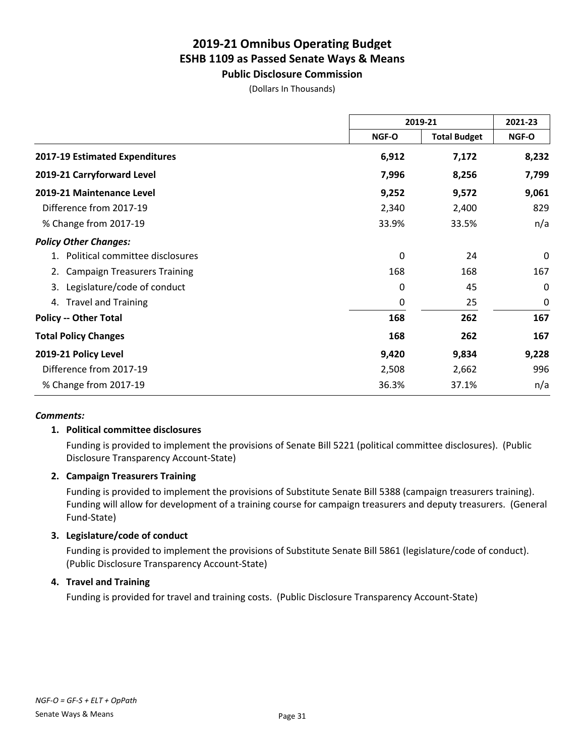**Public Disclosure Commission**

(Dollars In Thousands)

|                                           | 2019-21 |                     | 2021-23      |
|-------------------------------------------|---------|---------------------|--------------|
|                                           | NGF-O   | <b>Total Budget</b> | <b>NGF-O</b> |
| 2017-19 Estimated Expenditures            | 6,912   | 7,172               | 8,232        |
| 2019-21 Carryforward Level                | 7,996   | 8,256               | 7,799        |
| 2019-21 Maintenance Level                 | 9,252   | 9,572               | 9,061        |
| Difference from 2017-19                   | 2,340   | 2,400               | 829          |
| % Change from 2017-19                     | 33.9%   | 33.5%               | n/a          |
| <b>Policy Other Changes:</b>              |         |                     |              |
| 1. Political committee disclosures        | 0       | 24                  | 0            |
| <b>Campaign Treasurers Training</b><br>2. | 168     | 168                 | 167          |
| Legislature/code of conduct<br>3.         | 0       | 45                  | $\Omega$     |
| 4. Travel and Training                    | 0       | 25                  | 0            |
| <b>Policy -- Other Total</b>              | 168     | 262                 | 167          |
| <b>Total Policy Changes</b>               | 168     | 262                 | 167          |
| 2019-21 Policy Level                      | 9,420   | 9,834               | 9,228        |
| Difference from 2017-19                   | 2,508   | 2,662               | 996          |
| % Change from 2017-19                     | 36.3%   | 37.1%               | n/a          |

### *Comments:*

### **1. Political committee disclosures**

Funding is provided to implement the provisions of Senate Bill 5221 (political committee disclosures). (Public Disclosure Transparency Account-State)

### **2. Campaign Treasurers Training**

Funding is provided to implement the provisions of Substitute Senate Bill 5388 (campaign treasurers training). Funding will allow for development of a training course for campaign treasurers and deputy treasurers. (General Fund-State)

### **3. Legislature/code of conduct**

Funding is provided to implement the provisions of Substitute Senate Bill 5861 (legislature/code of conduct). (Public Disclosure Transparency Account-State)

### **4. Travel and Training**

Funding is provided for travel and training costs. (Public Disclosure Transparency Account-State)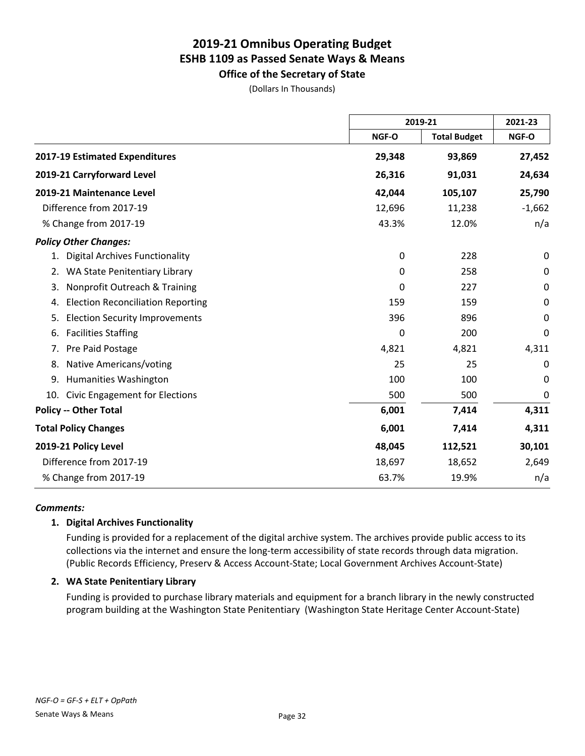**Office of the Secretary of State** (Dollars In Thousands)

|                                                |              | 2019-21             |             |
|------------------------------------------------|--------------|---------------------|-------------|
|                                                | NGF-O        | <b>Total Budget</b> | NGF-O       |
| 2017-19 Estimated Expenditures                 | 29,348       | 93,869              | 27,452      |
| 2019-21 Carryforward Level                     | 26,316       | 91,031              | 24,634      |
| 2019-21 Maintenance Level                      | 42,044       | 105,107             | 25,790      |
| Difference from 2017-19                        | 12,696       | 11,238              | $-1,662$    |
| % Change from 2017-19                          | 43.3%        | 12.0%               | n/a         |
| <b>Policy Other Changes:</b>                   |              |                     |             |
| <b>Digital Archives Functionality</b><br>1.    | 0            | 228                 | 0           |
| WA State Penitentiary Library<br>2.            | 0            | 258                 | $\pmb{0}$   |
| Nonprofit Outreach & Training<br>3.            | $\mathbf{0}$ | 227                 | 0           |
| <b>Election Reconciliation Reporting</b><br>4. | 159          | 159                 | 0           |
| <b>Election Security Improvements</b><br>5.    | 396          | 896                 | $\Omega$    |
| <b>Facilities Staffing</b><br>6.               | 0            | 200                 | 0           |
| Pre Paid Postage<br>7.                         | 4,821        | 4,821               | 4,311       |
| Native Americans/voting<br>8.                  | 25           | 25                  | 0           |
| Humanities Washington<br>9.                    | 100          | 100                 | $\mathbf 0$ |
| Civic Engagement for Elections<br>10.          | 500          | 500                 | $\mathbf 0$ |
| <b>Policy -- Other Total</b>                   | 6,001        | 7,414               | 4,311       |
| <b>Total Policy Changes</b>                    | 6,001        | 7,414               | 4,311       |
| 2019-21 Policy Level                           | 48,045       | 112,521             | 30,101      |
| Difference from 2017-19                        | 18,697       | 18,652              | 2,649       |
| % Change from 2017-19                          | 63.7%        | 19.9%               | n/a         |

### *Comments:*

### **1. Digital Archives Functionality**

Funding is provided for a replacement of the digital archive system. The archives provide public access to its collections via the internet and ensure the long-term accessibility of state records through data migration. (Public Records Efficiency, Preserv & Access Account-State; Local Government Archives Account-State)

### **2. WA State Penitentiary Library**

Funding is provided to purchase library materials and equipment for a branch library in the newly constructed program building at the Washington State Penitentiary (Washington State Heritage Center Account-State)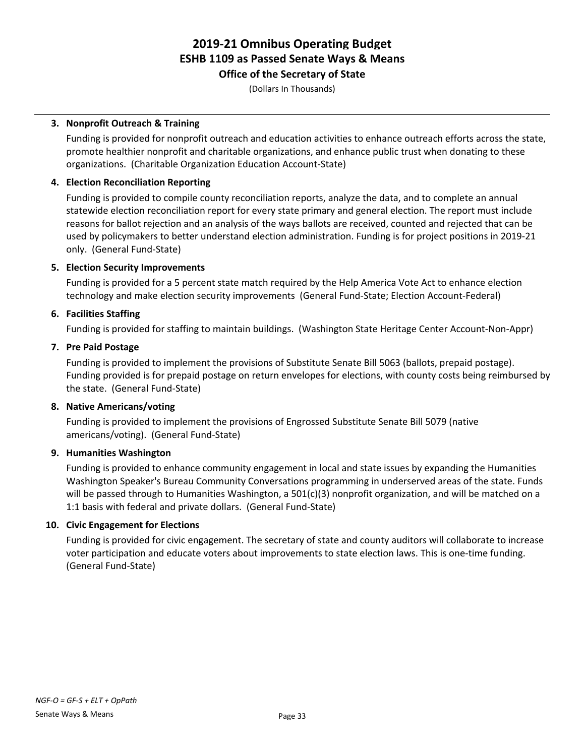**Office of the Secretary of State**

(Dollars In Thousands)

### **3. Nonprofit Outreach & Training**

Funding is provided for nonprofit outreach and education activities to enhance outreach efforts across the state, promote healthier nonprofit and charitable organizations, and enhance public trust when donating to these organizations. (Charitable Organization Education Account-State)

### **4. Election Reconciliation Reporting**

Funding is provided to compile county reconciliation reports, analyze the data, and to complete an annual statewide election reconciliation report for every state primary and general election. The report must include reasons for ballot rejection and an analysis of the ways ballots are received, counted and rejected that can be used by policymakers to better understand election administration. Funding is for project positions in 2019-21 only. (General Fund-State)

### **5. Election Security Improvements**

Funding is provided for a 5 percent state match required by the Help America Vote Act to enhance election technology and make election security improvements (General Fund-State; Election Account-Federal)

### **6. Facilities Staffing**

Funding is provided for staffing to maintain buildings. (Washington State Heritage Center Account-Non-Appr)

### **7. Pre Paid Postage**

Funding is provided to implement the provisions of Substitute Senate Bill 5063 (ballots, prepaid postage). Funding provided is for prepaid postage on return envelopes for elections, with county costs being reimbursed by the state. (General Fund-State)

### **8. Native Americans/voting**

Funding is provided to implement the provisions of Engrossed Substitute Senate Bill 5079 (native americans/voting). (General Fund-State)

### **9. Humanities Washington**

Funding is provided to enhance community engagement in local and state issues by expanding the Humanities Washington Speaker's Bureau Community Conversations programming in underserved areas of the state. Funds will be passed through to Humanities Washington, a 501(c)(3) nonprofit organization, and will be matched on a 1:1 basis with federal and private dollars. (General Fund-State)

### **10. Civic Engagement for Elections**

Funding is provided for civic engagement. The secretary of state and county auditors will collaborate to increase voter participation and educate voters about improvements to state election laws. This is one-time funding. (General Fund-State)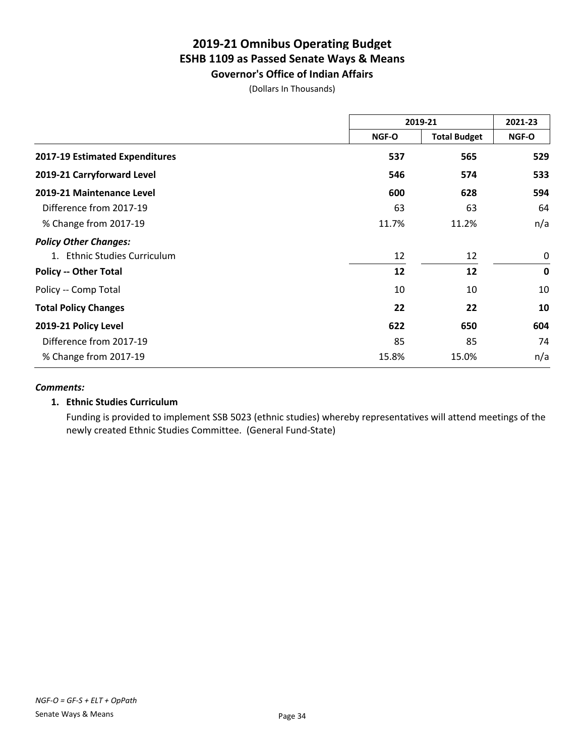**Governor's Office of Indian Affairs** (Dollars In Thousands)

|                                  | 2019-21 |                     | 2021-23     |
|----------------------------------|---------|---------------------|-------------|
|                                  | NGF-O   | <b>Total Budget</b> | NGF-O       |
| 2017-19 Estimated Expenditures   | 537     | 565                 | 529         |
| 2019-21 Carryforward Level       | 546     | 574                 | 533         |
| 2019-21 Maintenance Level        | 600     | 628                 | 594         |
| Difference from 2017-19          | 63      | 63                  | 64          |
| % Change from 2017-19            | 11.7%   | 11.2%               | n/a         |
| <b>Policy Other Changes:</b>     |         |                     |             |
| <b>Ethnic Studies Curriculum</b> | 12      | 12                  | $\mathbf 0$ |
| <b>Policy -- Other Total</b>     | 12      | 12                  | $\mathbf 0$ |
| Policy -- Comp Total             | 10      | 10                  | 10          |
| <b>Total Policy Changes</b>      | 22      | 22                  | 10          |
| 2019-21 Policy Level             | 622     | 650                 | 604         |
| Difference from 2017-19          | 85      | 85                  | 74          |
| % Change from 2017-19            | 15.8%   | 15.0%               | n/a         |

### *Comments:*

### **1. Ethnic Studies Curriculum**

Funding is provided to implement SSB 5023 (ethnic studies) whereby representatives will attend meetings of the newly created Ethnic Studies Committee. (General Fund-State)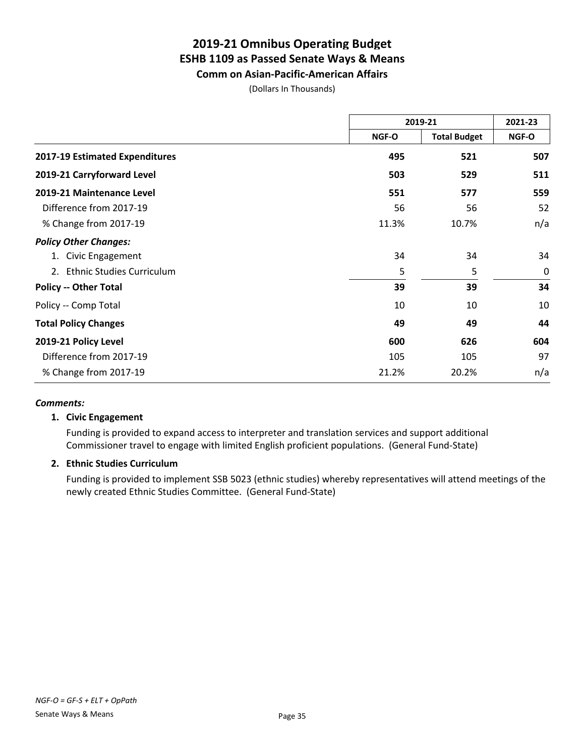**Comm on Asian-Pacific-American Affairs**

(Dollars In Thousands)

|                                | 2019-21 |                     | 2021-23 |
|--------------------------------|---------|---------------------|---------|
|                                | NGF-O   | <b>Total Budget</b> | NGF-O   |
| 2017-19 Estimated Expenditures | 495     | 521                 | 507     |
| 2019-21 Carryforward Level     | 503     | 529                 | 511     |
| 2019-21 Maintenance Level      | 551     | 577                 | 559     |
| Difference from 2017-19        | 56      | 56                  | 52      |
| % Change from 2017-19          | 11.3%   | 10.7%               | n/a     |
| <b>Policy Other Changes:</b>   |         |                     |         |
| 1. Civic Engagement            | 34      | 34                  | 34      |
| 2. Ethnic Studies Curriculum   | 5       | 5                   | 0       |
| <b>Policy -- Other Total</b>   | 39      | 39                  | 34      |
| Policy -- Comp Total           | 10      | 10                  | 10      |
| <b>Total Policy Changes</b>    | 49      | 49                  | 44      |
| 2019-21 Policy Level           | 600     | 626                 | 604     |
| Difference from 2017-19        | 105     | 105                 | 97      |
| % Change from 2017-19          | 21.2%   | 20.2%               | n/a     |

#### *Comments:*

#### **1. Civic Engagement**

Funding is provided to expand access to interpreter and translation services and support additional Commissioner travel to engage with limited English proficient populations. (General Fund-State)

### **2. Ethnic Studies Curriculum**

Funding is provided to implement SSB 5023 (ethnic studies) whereby representatives will attend meetings of the newly created Ethnic Studies Committee. (General Fund-State)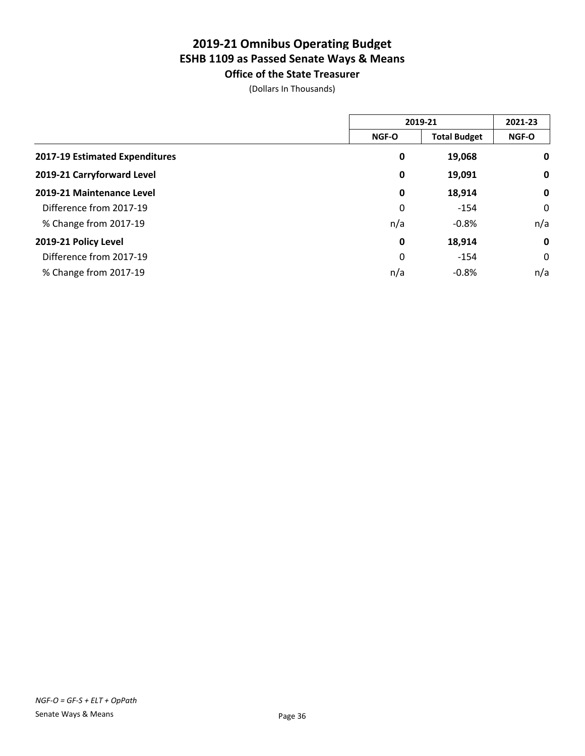**Office of the State Treasurer** (Dollars In Thousands)

|                                |              | 2019-21             |              |
|--------------------------------|--------------|---------------------|--------------|
|                                | <b>NGF-O</b> | <b>Total Budget</b> | <b>NGF-O</b> |
| 2017-19 Estimated Expenditures | 0            | 19,068              | 0            |
| 2019-21 Carryforward Level     | 0            | 19,091              | $\mathbf 0$  |
| 2019-21 Maintenance Level      | 0            | 18,914              | $\mathbf 0$  |
| Difference from 2017-19        | 0            | $-154$              | 0            |
| % Change from 2017-19          | n/a          | $-0.8%$             | n/a          |
| 2019-21 Policy Level           | 0            | 18,914              | $\mathbf 0$  |
| Difference from 2017-19        | 0            | $-154$              | 0            |
| % Change from 2017-19          | n/a          | $-0.8%$             | n/a          |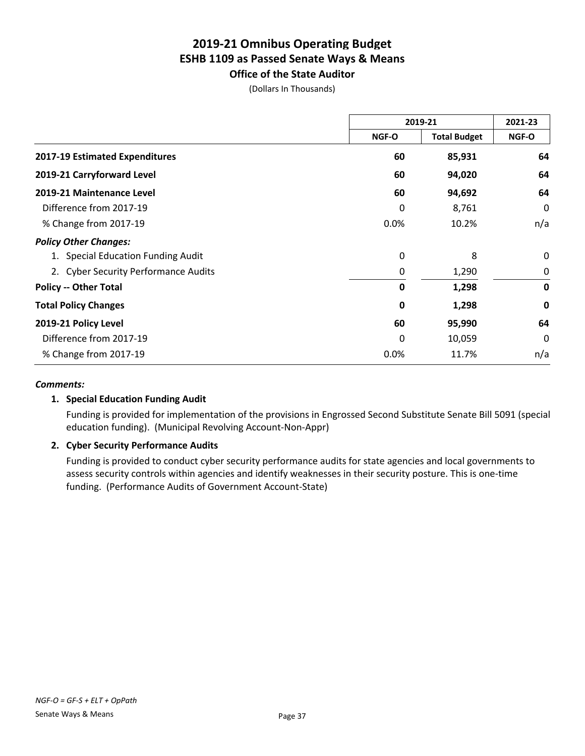**Office of the State Auditor** (Dollars In Thousands)

|                                      | 2019-21      |                     | 2021-23     |
|--------------------------------------|--------------|---------------------|-------------|
|                                      | <b>NGF-O</b> | <b>Total Budget</b> | NGF-O       |
| 2017-19 Estimated Expenditures       | 60           | 85,931              | 64          |
| 2019-21 Carryforward Level           | 60           | 94,020              | 64          |
| 2019-21 Maintenance Level            | 60           | 94,692              | 64          |
| Difference from 2017-19              | 0            | 8,761               | $\Omega$    |
| % Change from 2017-19                | 0.0%         | 10.2%               | n/a         |
| <b>Policy Other Changes:</b>         |              |                     |             |
| 1. Special Education Funding Audit   | 0            | 8                   | 0           |
| 2. Cyber Security Performance Audits | 0            | 1,290               | 0           |
| <b>Policy -- Other Total</b>         | 0            | 1,298               | $\mathbf 0$ |
| <b>Total Policy Changes</b>          | 0            | 1,298               | 0           |
| 2019-21 Policy Level                 | 60           | 95,990              | 64          |
| Difference from 2017-19              | 0            | 10,059              | $\Omega$    |
| % Change from 2017-19                | 0.0%         | 11.7%               | n/a         |

#### *Comments:*

#### **1. Special Education Funding Audit**

Funding is provided for implementation of the provisions in Engrossed Second Substitute Senate Bill 5091 (special education funding). (Municipal Revolving Account-Non-Appr)

#### **2. Cyber Security Performance Audits**

Funding is provided to conduct cyber security performance audits for state agencies and local governments to assess security controls within agencies and identify weaknesses in their security posture. This is one-time funding. (Performance Audits of Government Account-State)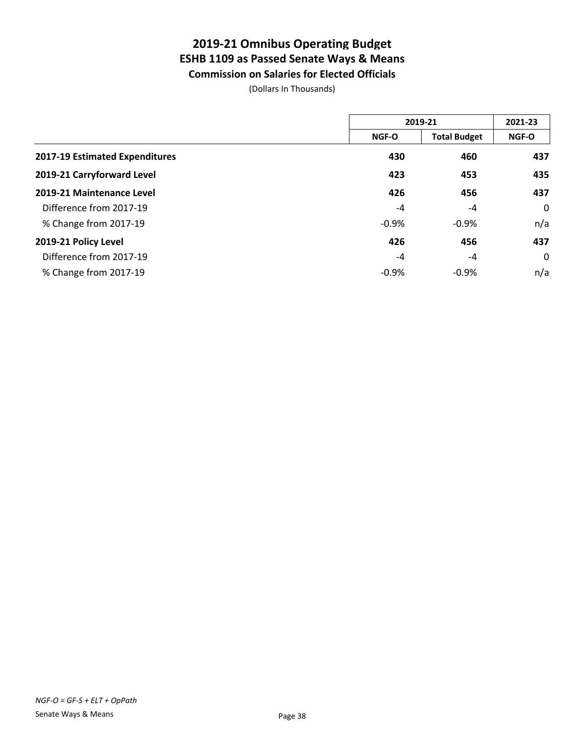**Commission on Salaries for Elected Officials**

(Dollars In Thousands)

|                                | 2019-21      |                     | 2021-23 |
|--------------------------------|--------------|---------------------|---------|
|                                | <b>NGF-O</b> | <b>Total Budget</b> | NGF-O   |
| 2017-19 Estimated Expenditures | 430          | 460                 | 437     |
| 2019-21 Carryforward Level     | 423          | 453                 | 435     |
| 2019-21 Maintenance Level      | 426          | 456                 | 437     |
| Difference from 2017-19        | $-4$         | $-4$                | 0       |
| % Change from 2017-19          | $-0.9%$      | $-0.9%$             | n/a     |
| 2019-21 Policy Level           | 426          | 456                 | 437     |
| Difference from 2017-19        | -4           | $-4$                | 0       |
| % Change from 2017-19          | $-0.9%$      | $-0.9%$             | n/a     |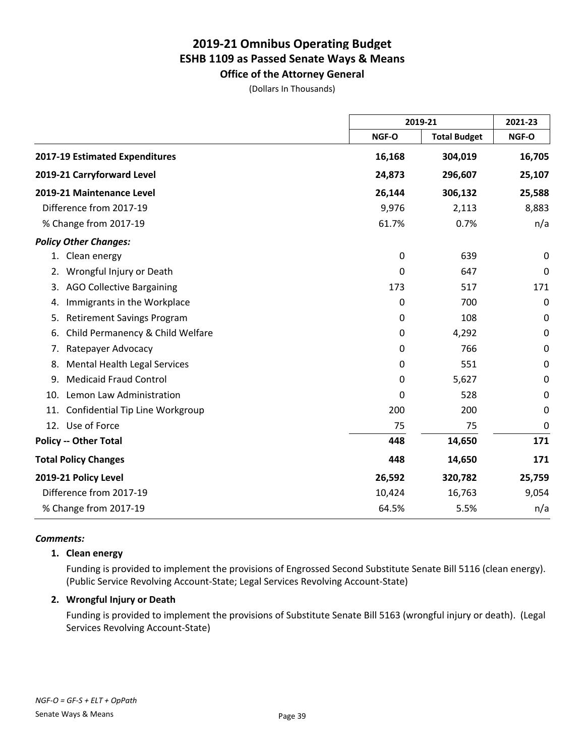**Office of the Attorney General** (Dollars In Thousands)

|                                           |              | 2019-21             |             |
|-------------------------------------------|--------------|---------------------|-------------|
|                                           | NGF-O        | <b>Total Budget</b> | NGF-O       |
| 2017-19 Estimated Expenditures            | 16,168       | 304,019             | 16,705      |
| 2019-21 Carryforward Level                | 24,873       | 296,607             | 25,107      |
| 2019-21 Maintenance Level                 | 26,144       | 306,132             | 25,588      |
| Difference from 2017-19                   | 9,976        | 2,113               | 8,883       |
| % Change from 2017-19                     | 61.7%        | 0.7%                | n/a         |
| <b>Policy Other Changes:</b>              |              |                     |             |
| 1. Clean energy                           | 0            | 639                 | 0           |
| Wrongful Injury or Death<br>2.            | 0            | 647                 | $\mathbf 0$ |
| <b>AGO Collective Bargaining</b><br>3.    | 173          | 517                 | 171         |
| Immigrants in the Workplace<br>4.         | 0            | 700                 | 0           |
| <b>Retirement Savings Program</b><br>5.   | $\mathbf{0}$ | 108                 | 0           |
| Child Permanency & Child Welfare<br>6.    | 0            | 4,292               | 0           |
| Ratepayer Advocacy<br>7.                  | 0            | 766                 | $\mathbf 0$ |
| <b>Mental Health Legal Services</b><br>8. | 0            | 551                 | $\mathbf 0$ |
| <b>Medicaid Fraud Control</b><br>9.       | 0            | 5,627               | $\mathbf 0$ |
| Lemon Law Administration<br>10.           | 0            | 528                 | $\mathbf 0$ |
| Confidential Tip Line Workgroup<br>11.    | 200          | 200                 | 0           |
| 12. Use of Force                          | 75           | 75                  | $\mathbf 0$ |
| <b>Policy -- Other Total</b>              | 448          | 14,650              | 171         |
| <b>Total Policy Changes</b>               | 448          | 14,650              | 171         |
| 2019-21 Policy Level                      | 26,592       | 320,782             | 25,759      |
| Difference from 2017-19                   | 10,424       | 16,763              | 9,054       |
| % Change from 2017-19                     | 64.5%        | 5.5%                | n/a         |

#### *Comments:*

#### **1. Clean energy**

Funding is provided to implement the provisions of Engrossed Second Substitute Senate Bill 5116 (clean energy). (Public Service Revolving Account-State; Legal Services Revolving Account-State)

#### **2. Wrongful Injury or Death**

Funding is provided to implement the provisions of Substitute Senate Bill 5163 (wrongful injury or death). (Legal Services Revolving Account-State)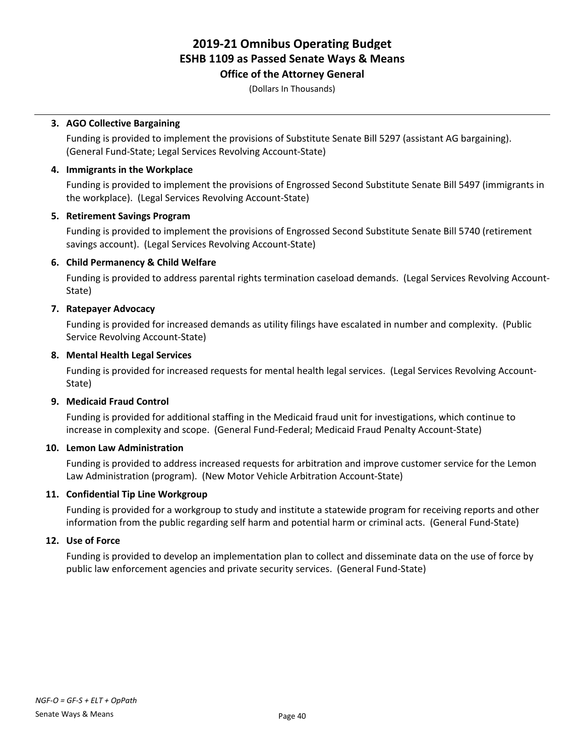**Office of the Attorney General**

(Dollars In Thousands)

#### **3. AGO Collective Bargaining**

Funding is provided to implement the provisions of Substitute Senate Bill 5297 (assistant AG bargaining). (General Fund-State; Legal Services Revolving Account-State)

#### **4. Immigrants in the Workplace**

Funding is provided to implement the provisions of Engrossed Second Substitute Senate Bill 5497 (immigrants in the workplace). (Legal Services Revolving Account-State)

#### **5. Retirement Savings Program**

Funding is provided to implement the provisions of Engrossed Second Substitute Senate Bill 5740 (retirement savings account). (Legal Services Revolving Account-State)

#### **6. Child Permanency & Child Welfare**

Funding is provided to address parental rights termination caseload demands. (Legal Services Revolving Account-State)

#### **7. Ratepayer Advocacy**

Funding is provided for increased demands as utility filings have escalated in number and complexity. (Public Service Revolving Account-State)

#### **8. Mental Health Legal Services**

Funding is provided for increased requests for mental health legal services. (Legal Services Revolving Account-State)

#### **9. Medicaid Fraud Control**

Funding is provided for additional staffing in the Medicaid fraud unit for investigations, which continue to increase in complexity and scope. (General Fund-Federal; Medicaid Fraud Penalty Account-State)

#### **10. Lemon Law Administration**

Funding is provided to address increased requests for arbitration and improve customer service for the Lemon Law Administration (program). (New Motor Vehicle Arbitration Account-State)

#### **11. Confidential Tip Line Workgroup**

Funding is provided for a workgroup to study and institute a statewide program for receiving reports and other information from the public regarding self harm and potential harm or criminal acts. (General Fund-State)

#### **12. Use of Force**

Funding is provided to develop an implementation plan to collect and disseminate data on the use of force by public law enforcement agencies and private security services. (General Fund-State)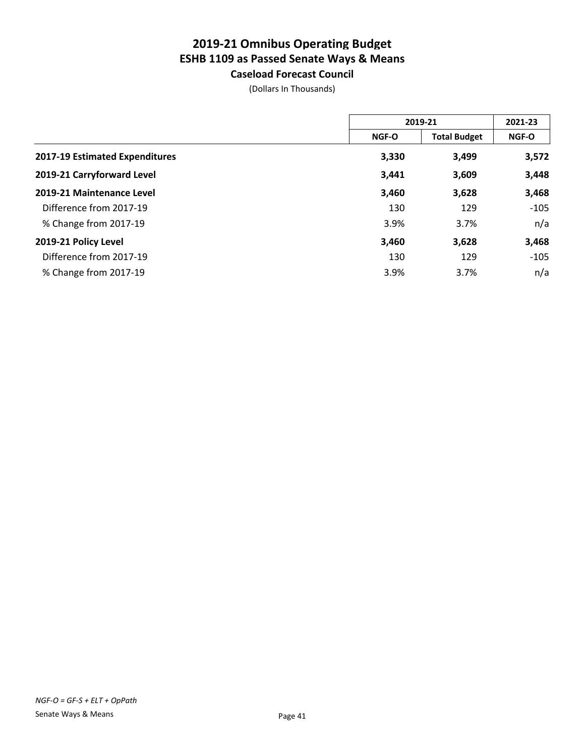**Caseload Forecast Council** (Dollars In Thousands)

|                                | 2019-21      |                     | 2021-23      |  |
|--------------------------------|--------------|---------------------|--------------|--|
|                                | <b>NGF-O</b> | <b>Total Budget</b> | <b>NGF-O</b> |  |
| 2017-19 Estimated Expenditures | 3,330        | 3,499               | 3,572        |  |
| 2019-21 Carryforward Level     | 3,441        | 3,609               | 3,448        |  |
| 2019-21 Maintenance Level      | 3,460        | 3,628               | 3,468        |  |
| Difference from 2017-19        | 130          | 129                 | $-105$       |  |
| % Change from 2017-19          | 3.9%         | 3.7%                | n/a          |  |
| 2019-21 Policy Level           | 3,460        | 3,628               | 3,468        |  |
| Difference from 2017-19        | 130          | 129                 | $-105$       |  |
| % Change from 2017-19          | 3.9%         | 3.7%                | n/a          |  |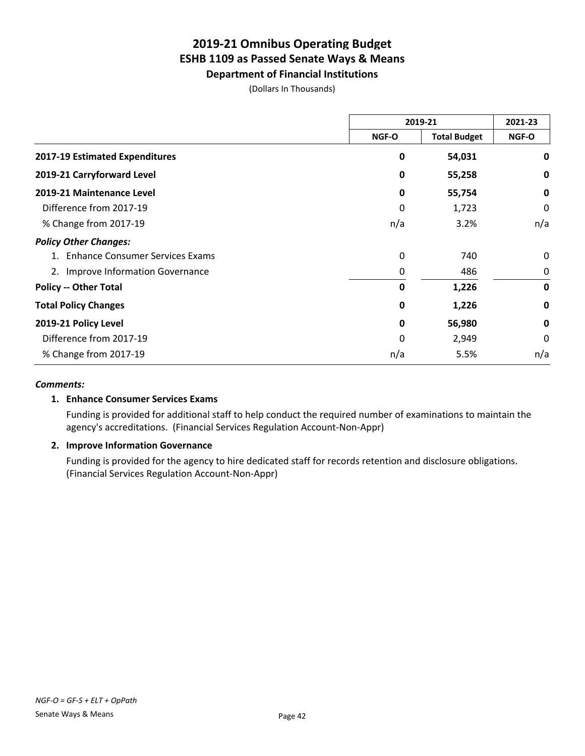**Department of Financial Institutions**

(Dollars In Thousands)

|                                        | 2019-21      |                     | 2021-23     |
|----------------------------------------|--------------|---------------------|-------------|
|                                        | NGF-O        | <b>Total Budget</b> | NGF-O       |
| 2017-19 Estimated Expenditures         | 0            | 54,031              | 0           |
| 2019-21 Carryforward Level             | 0            | 55,258              | 0           |
| 2019-21 Maintenance Level              | 0            | 55,754              | 0           |
| Difference from 2017-19                | 0            | 1,723               | 0           |
| % Change from 2017-19                  | n/a          | 3.2%                | n/a         |
| <b>Policy Other Changes:</b>           |              |                     |             |
| <b>Enhance Consumer Services Exams</b> | $\mathbf{0}$ | 740                 | 0           |
| 2. Improve Information Governance      | 0            | 486                 | 0           |
| <b>Policy -- Other Total</b>           | 0            | 1,226               | 0           |
| <b>Total Policy Changes</b>            | 0            | 1,226               | 0           |
| 2019-21 Policy Level                   | 0            | 56,980              | $\mathbf 0$ |
| Difference from 2017-19                | $\mathbf{0}$ | 2,949               | 0           |
| % Change from 2017-19                  | n/a          | 5.5%                | n/a         |

#### *Comments:*

#### **1. Enhance Consumer Services Exams**

Funding is provided for additional staff to help conduct the required number of examinations to maintain the agency's accreditations. (Financial Services Regulation Account-Non-Appr)

#### **2. Improve Information Governance**

Funding is provided for the agency to hire dedicated staff for records retention and disclosure obligations. (Financial Services Regulation Account-Non-Appr)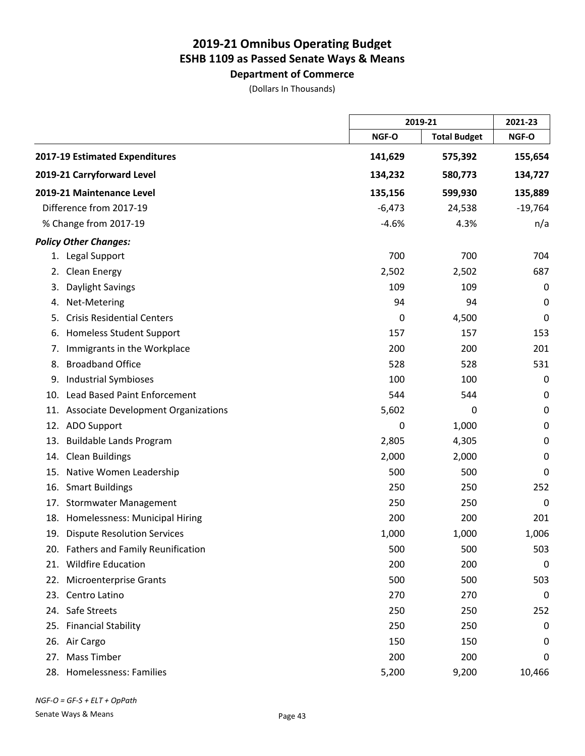**Department of Commerce** (Dollars In Thousands)

|     |                                         |          | 2019-21             |             |
|-----|-----------------------------------------|----------|---------------------|-------------|
|     |                                         | NGF-O    | <b>Total Budget</b> | NGF-O       |
|     | 2017-19 Estimated Expenditures          | 141,629  | 575,392             | 155,654     |
|     | 2019-21 Carryforward Level              | 134,232  | 580,773             | 134,727     |
|     | 2019-21 Maintenance Level               | 135,156  | 599,930             | 135,889     |
|     | Difference from 2017-19                 | $-6,473$ | 24,538              | $-19,764$   |
|     | % Change from 2017-19                   | $-4.6%$  | 4.3%                | n/a         |
|     | <b>Policy Other Changes:</b>            |          |                     |             |
|     | 1. Legal Support                        | 700      | 700                 | 704         |
| 2.  | <b>Clean Energy</b>                     | 2,502    | 2,502               | 687         |
| 3.  | Daylight Savings                        | 109      | 109                 | 0           |
| 4.  | Net-Metering                            | 94       | 94                  | 0           |
| 5.  | <b>Crisis Residential Centers</b>       | 0        | 4,500               | 0           |
| 6.  | <b>Homeless Student Support</b>         | 157      | 157                 | 153         |
| 7.  | Immigrants in the Workplace             | 200      | 200                 | 201         |
| 8.  | <b>Broadband Office</b>                 | 528      | 528                 | 531         |
| 9.  | <b>Industrial Symbioses</b>             | 100      | 100                 | 0           |
|     | 10. Lead Based Paint Enforcement        | 544      | 544                 | 0           |
|     | 11. Associate Development Organizations | 5,602    | 0                   | $\pmb{0}$   |
|     | 12. ADO Support                         | 0        | 1,000               | 0           |
|     | 13. Buildable Lands Program             | 2,805    | 4,305               | 0           |
|     | 14. Clean Buildings                     | 2,000    | 2,000               | 0           |
| 15. | Native Women Leadership                 | 500      | 500                 | 0           |
| 16. | <b>Smart Buildings</b>                  | 250      | 250                 | 252         |
|     | 17. Stormwater Management               | 250      | 250                 | 0           |
|     | 18. Homelessness: Municipal Hiring      | 200      | 200                 | 201         |
|     | 19. Dispute Resolution Services         | 1,000    | 1,000               | 1,006       |
|     | 20. Fathers and Family Reunification    | 500      | 500                 | 503         |
|     | 21. Wildfire Education                  | 200      | 200                 | $\mathbf 0$ |
|     | 22. Microenterprise Grants              | 500      | 500                 | 503         |
|     | 23. Centro Latino                       | 270      | 270                 | 0           |
|     | 24. Safe Streets                        | 250      | 250                 | 252         |
|     | 25. Financial Stability                 | 250      | 250                 | 0           |
|     | 26. Air Cargo                           | 150      | 150                 | 0           |
| 27. | <b>Mass Timber</b>                      | 200      | 200                 | 0           |
|     | 28. Homelessness: Families              | 5,200    | 9,200               | 10,466      |

*NGF-O = GF-S + ELT + OpPath*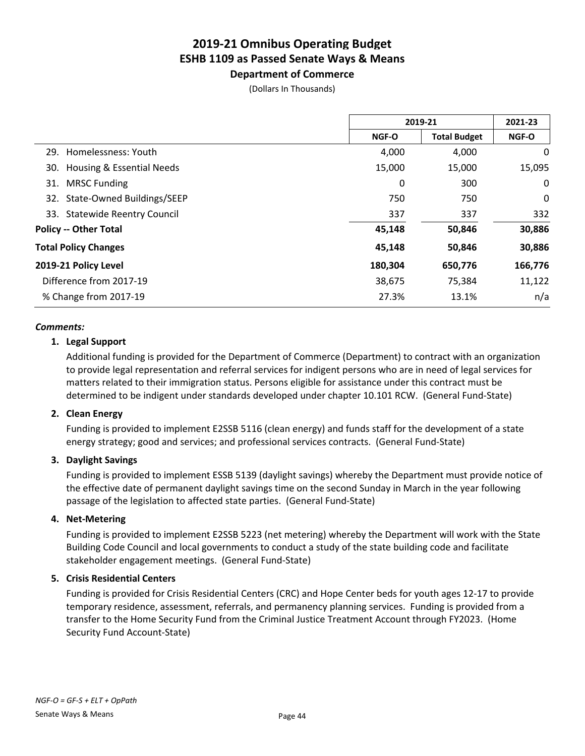**Department of Commerce** (Dollars In Thousands)

| 2019-21 |                     | 2021-23      |
|---------|---------------------|--------------|
| NGF-O   | <b>Total Budget</b> | <b>NGF-O</b> |
| 4,000   | 4,000               | 0            |
| 15,000  | 15,000              | 15,095       |
| 0       | 300                 | 0            |
| 750     | 750                 | 0            |
| 337     | 337                 | 332          |
| 45,148  | 50,846              | 30,886       |
| 45,148  | 50,846              | 30,886       |
| 180,304 | 650,776             | 166,776      |
| 38,675  | 75,384              | 11,122       |
| 27.3%   | 13.1%               | n/a          |
|         |                     |              |

#### *Comments:*

#### **1. Legal Support**

Additional funding is provided for the Department of Commerce (Department) to contract with an organization to provide legal representation and referral services for indigent persons who are in need of legal services for matters related to their immigration status. Persons eligible for assistance under this contract must be determined to be indigent under standards developed under chapter 10.101 RCW. (General Fund-State)

#### **2. Clean Energy**

Funding is provided to implement E2SSB 5116 (clean energy) and funds staff for the development of a state energy strategy; good and services; and professional services contracts. (General Fund-State)

#### **3. Daylight Savings**

Funding is provided to implement ESSB 5139 (daylight savings) whereby the Department must provide notice of the effective date of permanent daylight savings time on the second Sunday in March in the year following passage of the legislation to affected state parties. (General Fund-State)

#### **4. Net-Metering**

Funding is provided to implement E2SSB 5223 (net metering) whereby the Department will work with the State Building Code Council and local governments to conduct a study of the state building code and facilitate stakeholder engagement meetings. (General Fund-State)

#### **5. Crisis Residential Centers**

Funding is provided for Crisis Residential Centers (CRC) and Hope Center beds for youth ages 12-17 to provide temporary residence, assessment, referrals, and permanency planning services. Funding is provided from a transfer to the Home Security Fund from the Criminal Justice Treatment Account through FY2023. (Home Security Fund Account-State)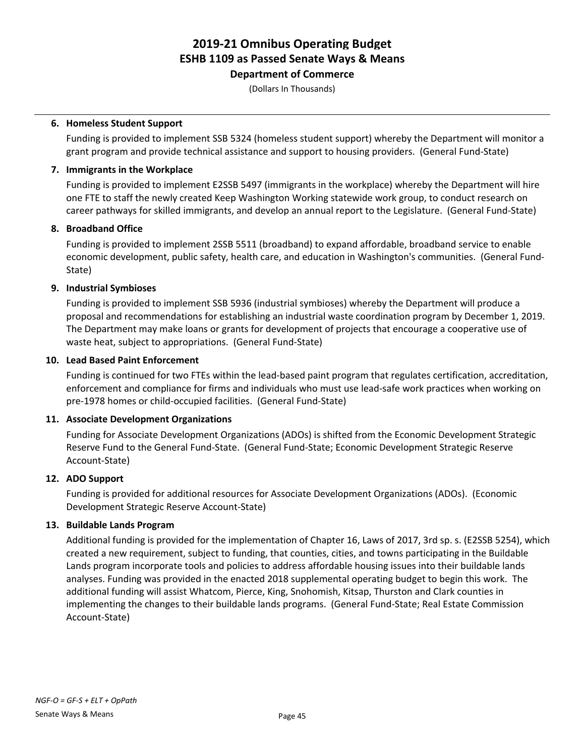**Department of Commerce**

(Dollars In Thousands)

#### **6. Homeless Student Support**

Funding is provided to implement SSB 5324 (homeless student support) whereby the Department will monitor a grant program and provide technical assistance and support to housing providers. (General Fund-State)

#### **7. Immigrants in the Workplace**

Funding is provided to implement E2SSB 5497 (immigrants in the workplace) whereby the Department will hire one FTE to staff the newly created Keep Washington Working statewide work group, to conduct research on career pathways for skilled immigrants, and develop an annual report to the Legislature. (General Fund-State)

#### **8. Broadband Office**

Funding is provided to implement 2SSB 5511 (broadband) to expand affordable, broadband service to enable economic development, public safety, health care, and education in Washington's communities. (General Fund-State)

#### **9. Industrial Symbioses**

Funding is provided to implement SSB 5936 (industrial symbioses) whereby the Department will produce a proposal and recommendations for establishing an industrial waste coordination program by December 1, 2019. The Department may make loans or grants for development of projects that encourage a cooperative use of waste heat, subject to appropriations. (General Fund-State)

#### **10. Lead Based Paint Enforcement**

Funding is continued for two FTEs within the lead-based paint program that regulates certification, accreditation, enforcement and compliance for firms and individuals who must use lead-safe work practices when working on pre-1978 homes or child-occupied facilities. (General Fund-State)

#### **11. Associate Development Organizations**

Funding for Associate Development Organizations (ADOs) is shifted from the Economic Development Strategic Reserve Fund to the General Fund-State. (General Fund-State; Economic Development Strategic Reserve Account-State)

#### **12. ADO Support**

Funding is provided for additional resources for Associate Development Organizations (ADOs). (Economic Development Strategic Reserve Account-State)

#### **13. Buildable Lands Program**

Additional funding is provided for the implementation of Chapter 16, Laws of 2017, 3rd sp. s. (E2SSB 5254), which created a new requirement, subject to funding, that counties, cities, and towns participating in the Buildable Lands program incorporate tools and policies to address affordable housing issues into their buildable lands analyses. Funding was provided in the enacted 2018 supplemental operating budget to begin this work. The additional funding will assist Whatcom, Pierce, King, Snohomish, Kitsap, Thurston and Clark counties in implementing the changes to their buildable lands programs. (General Fund-State; Real Estate Commission Account-State)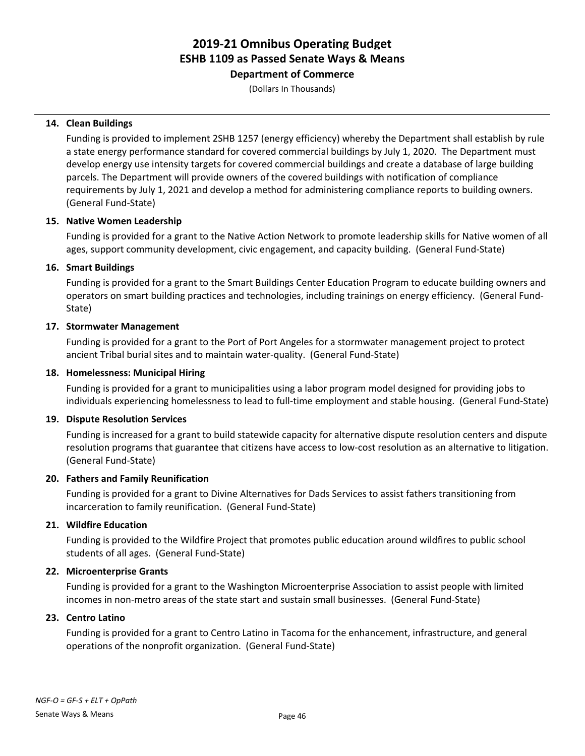**Department of Commerce**

(Dollars In Thousands)

#### **14. Clean Buildings**

Funding is provided to implement 2SHB 1257 (energy efficiency) whereby the Department shall establish by rule a state energy performance standard for covered commercial buildings by July 1, 2020. The Department must develop energy use intensity targets for covered commercial buildings and create a database of large building parcels. The Department will provide owners of the covered buildings with notification of compliance requirements by July 1, 2021 and develop a method for administering compliance reports to building owners. (General Fund-State)

#### **15. Native Women Leadership**

Funding is provided for a grant to the Native Action Network to promote leadership skills for Native women of all ages, support community development, civic engagement, and capacity building. (General Fund-State)

#### **16. Smart Buildings**

Funding is provided for a grant to the Smart Buildings Center Education Program to educate building owners and operators on smart building practices and technologies, including trainings on energy efficiency. (General Fund-State)

#### **17. Stormwater Management**

Funding is provided for a grant to the Port of Port Angeles for a stormwater management project to protect ancient Tribal burial sites and to maintain water-quality. (General Fund-State)

#### **18. Homelessness: Municipal Hiring**

Funding is provided for a grant to municipalities using a labor program model designed for providing jobs to individuals experiencing homelessness to lead to full-time employment and stable housing. (General Fund-State)

#### **19. Dispute Resolution Services**

Funding is increased for a grant to build statewide capacity for alternative dispute resolution centers and dispute resolution programs that guarantee that citizens have access to low-cost resolution as an alternative to litigation. (General Fund-State)

#### **20. Fathers and Family Reunification**

Funding is provided for a grant to Divine Alternatives for Dads Services to assist fathers transitioning from incarceration to family reunification. (General Fund-State)

#### **21. Wildfire Education**

Funding is provided to the Wildfire Project that promotes public education around wildfires to public school students of all ages. (General Fund-State)

#### **22. Microenterprise Grants**

Funding is provided for a grant to the Washington Microenterprise Association to assist people with limited incomes in non-metro areas of the state start and sustain small businesses. (General Fund-State)

#### **23. Centro Latino**

Funding is provided for a grant to Centro Latino in Tacoma for the enhancement, infrastructure, and general operations of the nonprofit organization. (General Fund-State)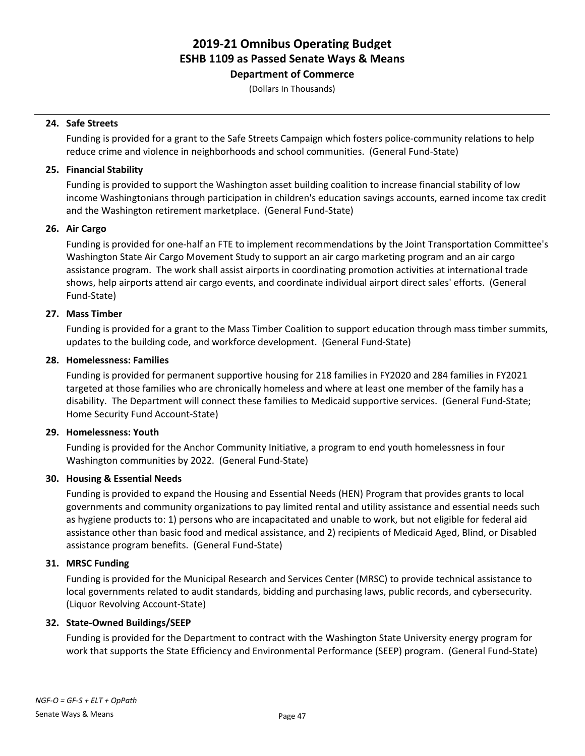**Department of Commerce**

(Dollars In Thousands)

#### **24. Safe Streets**

Funding is provided for a grant to the Safe Streets Campaign which fosters police-community relations to help reduce crime and violence in neighborhoods and school communities. (General Fund-State)

#### **25. Financial Stability**

Funding is provided to support the Washington asset building coalition to increase financial stability of low income Washingtonians through participation in children's education savings accounts, earned income tax credit and the Washington retirement marketplace. (General Fund-State)

#### **26. Air Cargo**

Funding is provided for one-half an FTE to implement recommendations by the Joint Transportation Committee's Washington State Air Cargo Movement Study to support an air cargo marketing program and an air cargo assistance program. The work shall assist airports in coordinating promotion activities at international trade shows, help airports attend air cargo events, and coordinate individual airport direct sales' efforts. (General Fund-State)

#### **27. Mass Timber**

Funding is provided for a grant to the Mass Timber Coalition to support education through mass timber summits, updates to the building code, and workforce development. (General Fund-State)

#### **28. Homelessness: Families**

Funding is provided for permanent supportive housing for 218 families in FY2020 and 284 families in FY2021 targeted at those families who are chronically homeless and where at least one member of the family has a disability. The Department will connect these families to Medicaid supportive services. (General Fund-State; Home Security Fund Account-State)

#### **29. Homelessness: Youth**

Funding is provided for the Anchor Community Initiative, a program to end youth homelessness in four Washington communities by 2022. (General Fund-State)

#### **30. Housing & Essential Needs**

Funding is provided to expand the Housing and Essential Needs (HEN) Program that provides grants to local governments and community organizations to pay limited rental and utility assistance and essential needs such as hygiene products to: 1) persons who are incapacitated and unable to work, but not eligible for federal aid assistance other than basic food and medical assistance, and 2) recipients of Medicaid Aged, Blind, or Disabled assistance program benefits. (General Fund-State)

#### **31. MRSC Funding**

Funding is provided for the Municipal Research and Services Center (MRSC) to provide technical assistance to local governments related to audit standards, bidding and purchasing laws, public records, and cybersecurity. (Liquor Revolving Account-State)

#### **32. State-Owned Buildings/SEEP**

Funding is provided for the Department to contract with the Washington State University energy program for work that supports the State Efficiency and Environmental Performance (SEEP) program. (General Fund-State)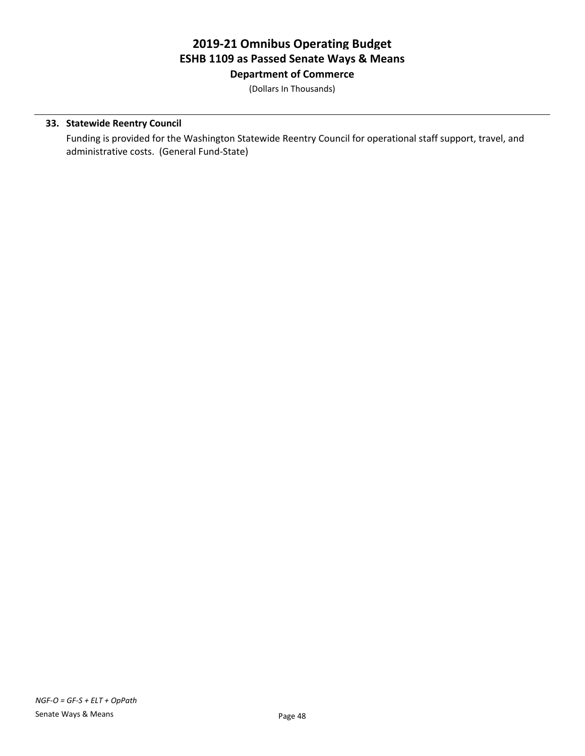**Department of Commerce**

(Dollars In Thousands)

#### **33. Statewide Reentry Council**

Funding is provided for the Washington Statewide Reentry Council for operational staff support, travel, and administrative costs. (General Fund-State)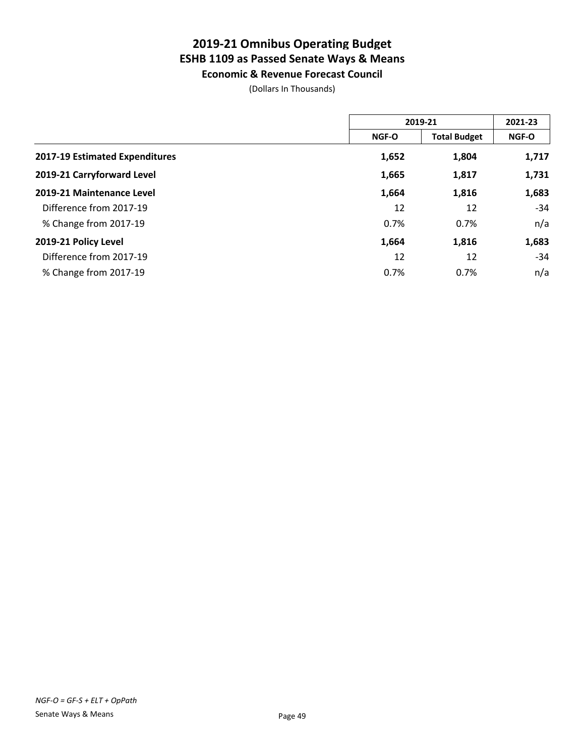**Economic & Revenue Forecast Council**

(Dollars In Thousands)

|                                | 2019-21      |                     | 2021-23      |
|--------------------------------|--------------|---------------------|--------------|
|                                | <b>NGF-O</b> | <b>Total Budget</b> | <b>NGF-O</b> |
| 2017-19 Estimated Expenditures | 1,652        | 1,804               | 1,717        |
| 2019-21 Carryforward Level     | 1,665        | 1,817               | 1,731        |
| 2019-21 Maintenance Level      | 1,664        | 1,816               | 1,683        |
| Difference from 2017-19        | 12           | 12                  | -34          |
| % Change from 2017-19          | 0.7%         | 0.7%                | n/a          |
| 2019-21 Policy Level           | 1,664        | 1,816               | 1,683        |
| Difference from 2017-19        | 12           | 12                  | $-34$        |
| % Change from 2017-19          | 0.7%         | 0.7%                | n/a          |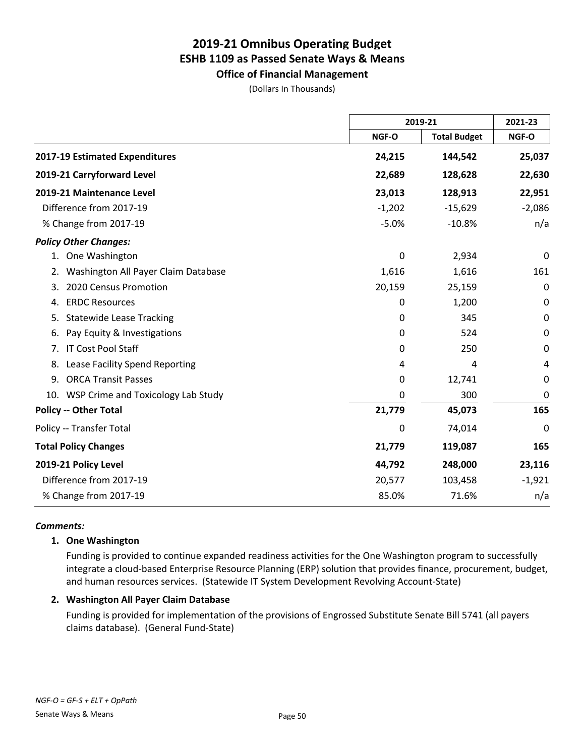**Office of Financial Management**

(Dollars In Thousands)

|                                           |              | 2019-21             |              |
|-------------------------------------------|--------------|---------------------|--------------|
|                                           | <b>NGF-O</b> | <b>Total Budget</b> | <b>NGF-O</b> |
| 2017-19 Estimated Expenditures            | 24,215       | 144,542             | 25,037       |
| 2019-21 Carryforward Level                | 22,689       | 128,628             | 22,630       |
| 2019-21 Maintenance Level                 | 23,013       | 128,913             | 22,951       |
| Difference from 2017-19                   | $-1,202$     | $-15,629$           | $-2,086$     |
| % Change from 2017-19                     | $-5.0%$      | $-10.8%$            | n/a          |
| <b>Policy Other Changes:</b>              |              |                     |              |
| 1. One Washington                         | 0            | 2,934               | 0            |
| Washington All Payer Claim Database<br>2. | 1,616        | 1,616               | 161          |
| 2020 Census Promotion<br>3.               | 20,159       | 25,159              | 0            |
| <b>ERDC Resources</b><br>4.               | 0            | 1,200               | 0            |
| <b>Statewide Lease Tracking</b><br>5.     | 0            | 345                 | 0            |
| Pay Equity & Investigations<br>6.         | 0            | 524                 | 0            |
| IT Cost Pool Staff<br>7.                  | 0            | 250                 | 0            |
| Lease Facility Spend Reporting<br>8.      | 4            | 4                   | 4            |
| <b>ORCA Transit Passes</b><br>9.          | 0            | 12,741              | 0            |
| 10. WSP Crime and Toxicology Lab Study    | 0            | 300                 | 0            |
| <b>Policy -- Other Total</b>              | 21,779       | 45,073              | 165          |
| Policy -- Transfer Total                  | 0            | 74,014              | 0            |
| <b>Total Policy Changes</b>               | 21,779       | 119,087             | 165          |
| 2019-21 Policy Level                      | 44,792       | 248,000             | 23,116       |
| Difference from 2017-19                   | 20,577       | 103,458             | $-1,921$     |
| % Change from 2017-19                     | 85.0%        | 71.6%               | n/a          |

#### *Comments:*

#### **1. One Washington**

Funding is provided to continue expanded readiness activities for the One Washington program to successfully integrate a cloud-based Enterprise Resource Planning (ERP) solution that provides finance, procurement, budget, and human resources services. (Statewide IT System Development Revolving Account-State)

#### **2. Washington All Payer Claim Database**

Funding is provided for implementation of the provisions of Engrossed Substitute Senate Bill 5741 (all payers claims database). (General Fund-State)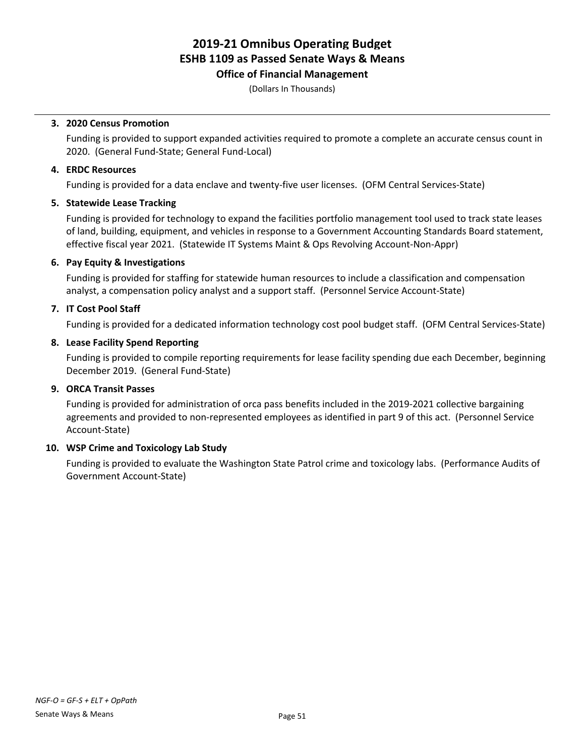#### **Office of Financial Management**

(Dollars In Thousands)

#### **3. 2020 Census Promotion**

Funding is provided to support expanded activities required to promote a complete an accurate census count in 2020. (General Fund-State; General Fund-Local)

#### **4. ERDC Resources**

Funding is provided for a data enclave and twenty-five user licenses. (OFM Central Services-State)

#### **5. Statewide Lease Tracking**

Funding is provided for technology to expand the facilities portfolio management tool used to track state leases of land, building, equipment, and vehicles in response to a Government Accounting Standards Board statement, effective fiscal year 2021. (Statewide IT Systems Maint & Ops Revolving Account-Non-Appr)

#### **6. Pay Equity & Investigations**

Funding is provided for staffing for statewide human resources to include a classification and compensation analyst, a compensation policy analyst and a support staff. (Personnel Service Account-State)

#### **7. IT Cost Pool Staff**

Funding is provided for a dedicated information technology cost pool budget staff. (OFM Central Services-State)

#### **8. Lease Facility Spend Reporting**

Funding is provided to compile reporting requirements for lease facility spending due each December, beginning December 2019. (General Fund-State)

#### **9. ORCA Transit Passes**

Funding is provided for administration of orca pass benefits included in the 2019-2021 collective bargaining agreements and provided to non-represented employees as identified in part 9 of this act. (Personnel Service Account-State)

#### **10. WSP Crime and Toxicology Lab Study**

Funding is provided to evaluate the Washington State Patrol crime and toxicology labs. (Performance Audits of Government Account-State)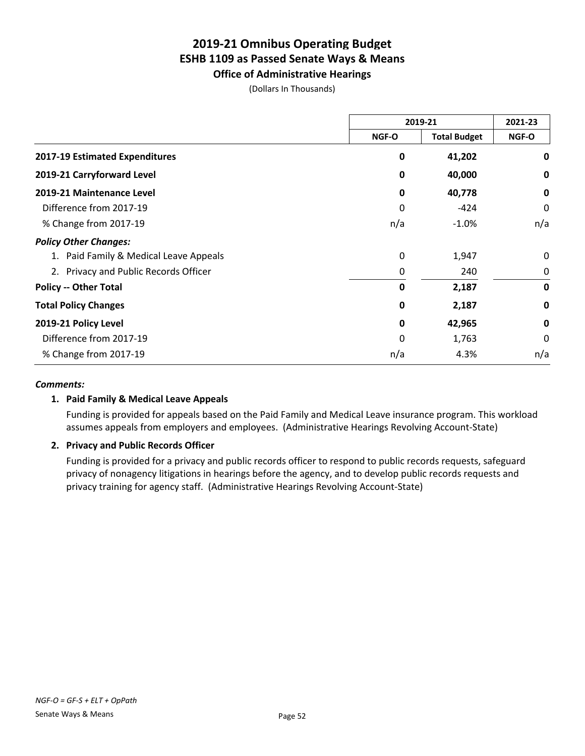**Office of Administrative Hearings**

(Dollars In Thousands)

|                                        | 2019-21      |                     | 2021-23      |
|----------------------------------------|--------------|---------------------|--------------|
|                                        | <b>NGF-O</b> | <b>Total Budget</b> | <b>NGF-O</b> |
| 2017-19 Estimated Expenditures         | 0            | 41,202              | 0            |
| 2019-21 Carryforward Level             | 0            | 40,000              | 0            |
| 2019-21 Maintenance Level              | 0            | 40,778              | 0            |
| Difference from 2017-19                | 0            | $-424$              | 0            |
| % Change from 2017-19                  | n/a          | $-1.0%$             | n/a          |
| <b>Policy Other Changes:</b>           |              |                     |              |
| 1. Paid Family & Medical Leave Appeals | 0            | 1,947               | $\Omega$     |
| 2. Privacy and Public Records Officer  | 0            | 240                 | 0            |
| <b>Policy -- Other Total</b>           | 0            | 2,187               | 0            |
| <b>Total Policy Changes</b>            | 0            | 2,187               | 0            |
| 2019-21 Policy Level                   | 0            | 42,965              | $\mathbf 0$  |
| Difference from 2017-19                | 0            | 1,763               | 0            |
| % Change from 2017-19                  | n/a          | 4.3%                | n/a          |

#### *Comments:*

#### **1. Paid Family & Medical Leave Appeals**

Funding is provided for appeals based on the Paid Family and Medical Leave insurance program. This workload assumes appeals from employers and employees. (Administrative Hearings Revolving Account-State)

#### **2. Privacy and Public Records Officer**

Funding is provided for a privacy and public records officer to respond to public records requests, safeguard privacy of nonagency litigations in hearings before the agency, and to develop public records requests and privacy training for agency staff. (Administrative Hearings Revolving Account-State)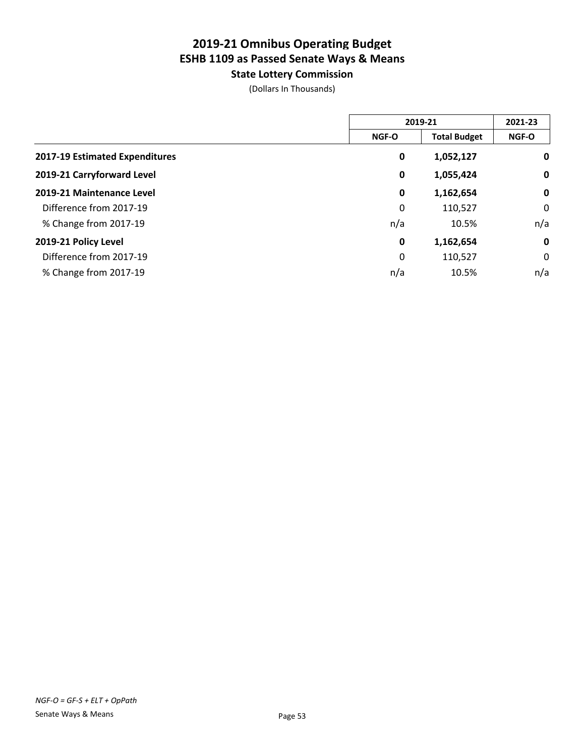**State Lottery Commission**

(Dollars In Thousands)

|                                | 2019-21      |                     | 2021-23     |
|--------------------------------|--------------|---------------------|-------------|
|                                | <b>NGF-O</b> | <b>Total Budget</b> | NGF-O       |
| 2017-19 Estimated Expenditures | 0            | 1,052,127           | 0           |
| 2019-21 Carryforward Level     | 0            | 1,055,424           | $\mathbf 0$ |
| 2019-21 Maintenance Level      | 0            | 1,162,654           | $\mathbf 0$ |
| Difference from 2017-19        | 0            | 110,527             | 0           |
| % Change from 2017-19          | n/a          | 10.5%               | n/a         |
| 2019-21 Policy Level           | 0            | 1,162,654           | $\mathbf 0$ |
| Difference from 2017-19        | 0            | 110,527             | 0           |
| % Change from 2017-19          | n/a          | 10.5%               | n/a         |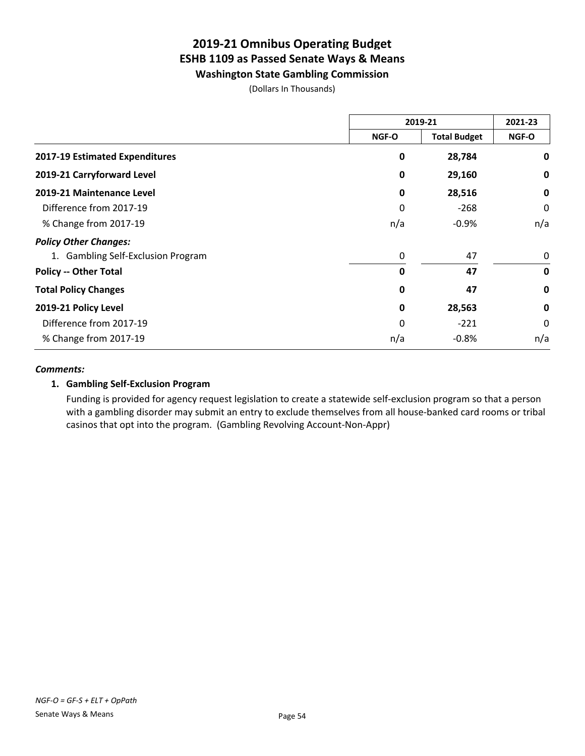**Washington State Gambling Commission**

(Dollars In Thousands)

|                                    | 2019-21 |                     | 2021-23     |
|------------------------------------|---------|---------------------|-------------|
|                                    | NGF-O   | <b>Total Budget</b> | NGF-O       |
| 2017-19 Estimated Expenditures     | 0       | 28,784              | 0           |
| 2019-21 Carryforward Level         | 0       | 29,160              | 0           |
| 2019-21 Maintenance Level          | 0       | 28,516              | 0           |
| Difference from 2017-19            | 0       | $-268$              | 0           |
| % Change from 2017-19              | n/a     | $-0.9%$             | n/a         |
| <b>Policy Other Changes:</b>       |         |                     |             |
| 1. Gambling Self-Exclusion Program | 0       | 47                  | 0           |
| <b>Policy -- Other Total</b>       | 0       | 47                  | $\mathbf 0$ |
| <b>Total Policy Changes</b>        | 0       | 47                  | 0           |
| 2019-21 Policy Level               | 0       | 28,563              | 0           |
| Difference from 2017-19            | 0       | $-221$              | 0           |
| % Change from 2017-19              | n/a     | $-0.8%$             | n/a         |

#### *Comments:*

#### **1. Gambling Self-Exclusion Program**

Funding is provided for agency request legislation to create a statewide self-exclusion program so that a person with a gambling disorder may submit an entry to exclude themselves from all house-banked card rooms or tribal casinos that opt into the program. (Gambling Revolving Account-Non-Appr)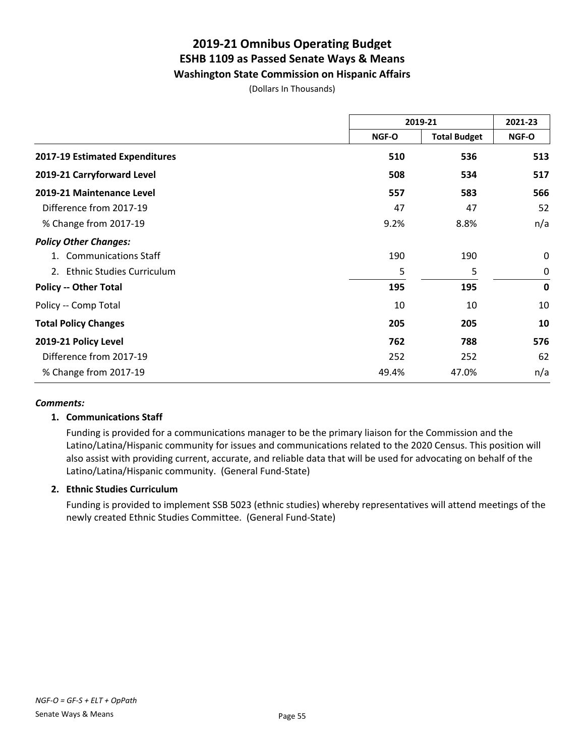**Washington State Commission on Hispanic Affairs**

(Dollars In Thousands)

|                                   | 2019-21 |                     | 2021-23     |
|-----------------------------------|---------|---------------------|-------------|
|                                   | NGF-O   | <b>Total Budget</b> | NGF-O       |
| 2017-19 Estimated Expenditures    | 510     | 536                 | 513         |
| 2019-21 Carryforward Level        | 508     | 534                 | 517         |
| 2019-21 Maintenance Level         | 557     | 583                 | 566         |
| Difference from 2017-19           | 47      | 47                  | 52          |
| % Change from 2017-19             | 9.2%    | 8.8%                | n/a         |
| <b>Policy Other Changes:</b>      |         |                     |             |
| <b>Communications Staff</b><br>1. | 190     | 190                 | 0           |
| 2. Ethnic Studies Curriculum      | 5       | 5                   | $\mathbf 0$ |
| <b>Policy -- Other Total</b>      | 195     | 195                 | $\mathbf 0$ |
| Policy -- Comp Total              | 10      | 10                  | 10          |
| <b>Total Policy Changes</b>       | 205     | 205                 | 10          |
| 2019-21 Policy Level              | 762     | 788                 | 576         |
| Difference from 2017-19           | 252     | 252                 | 62          |
| % Change from 2017-19             | 49.4%   | 47.0%               | n/a         |

#### *Comments:*

#### **1. Communications Staff**

Funding is provided for a communications manager to be the primary liaison for the Commission and the Latino/Latina/Hispanic community for issues and communications related to the 2020 Census. This position will also assist with providing current, accurate, and reliable data that will be used for advocating on behalf of the Latino/Latina/Hispanic community. (General Fund-State)

#### **2. Ethnic Studies Curriculum**

Funding is provided to implement SSB 5023 (ethnic studies) whereby representatives will attend meetings of the newly created Ethnic Studies Committee. (General Fund-State)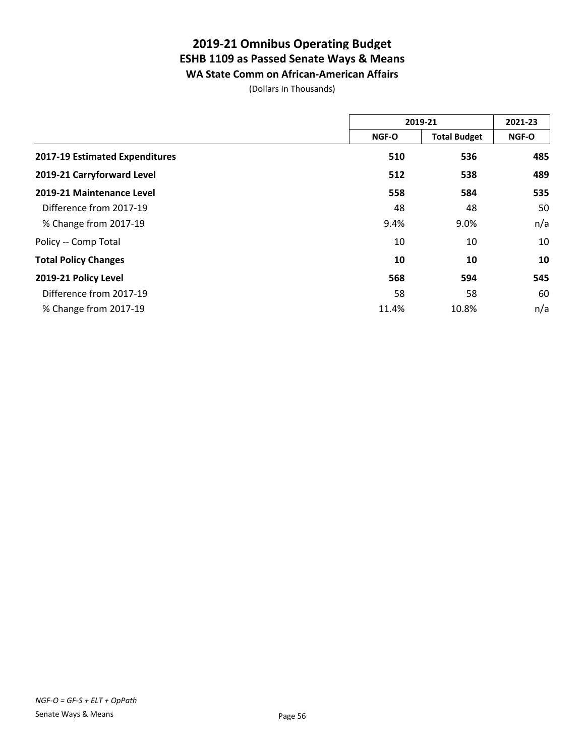### **2019-21 Omnibus Operating Budget ESHB 1109 as Passed Senate Ways & Means WA State Comm on African-American Affairs**

(Dollars In Thousands)

|                                | 2019-21      |                     | 2021-23 |
|--------------------------------|--------------|---------------------|---------|
|                                | <b>NGF-O</b> | <b>Total Budget</b> | NGF-O   |
| 2017-19 Estimated Expenditures | 510          | 536                 | 485     |
| 2019-21 Carryforward Level     | 512          | 538                 | 489     |
| 2019-21 Maintenance Level      | 558          | 584                 | 535     |
| Difference from 2017-19        | 48           | 48                  | 50      |
| % Change from 2017-19          | 9.4%         | 9.0%                | n/a     |
| Policy -- Comp Total           | 10           | 10                  | 10      |
| <b>Total Policy Changes</b>    | 10           | 10                  | 10      |
| 2019-21 Policy Level           | 568          | 594                 | 545     |
| Difference from 2017-19        | 58           | 58                  | 60      |
| % Change from 2017-19          | 11.4%        | 10.8%               | n/a     |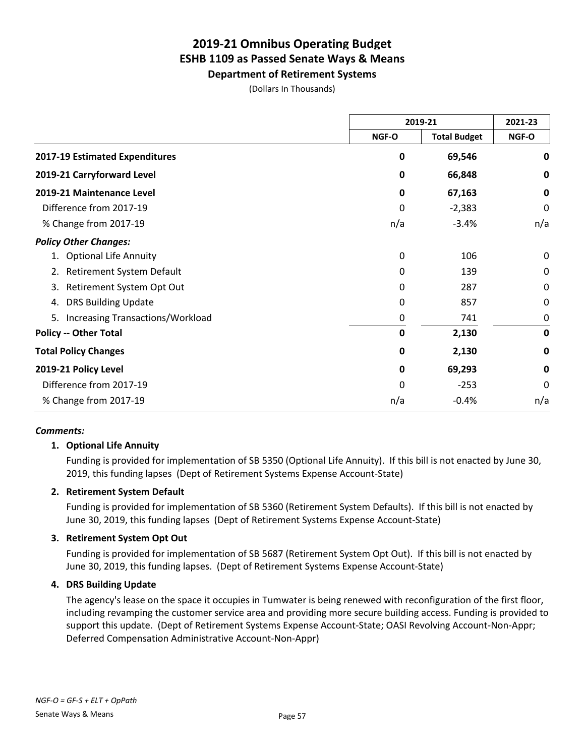**Department of Retirement Systems** (Dollars In Thousands)

|                                        | 2019-21     |                     | 2021-23     |
|----------------------------------------|-------------|---------------------|-------------|
|                                        | NGF-O       | <b>Total Budget</b> | NGF-O       |
| 2017-19 Estimated Expenditures         | 0           | 69,546              | 0           |
| 2019-21 Carryforward Level             | 0           | 66,848              | 0           |
| 2019-21 Maintenance Level              | 0           | 67,163              | 0           |
| Difference from 2017-19                | 0           | $-2,383$            | 0           |
| % Change from 2017-19                  | n/a         | $-3.4%$             | n/a         |
| <b>Policy Other Changes:</b>           |             |                     |             |
| 1. Optional Life Annuity               | 0           | 106                 | 0           |
| 2. Retirement System Default           | 0           | 139                 | 0           |
| Retirement System Opt Out<br>3.        | 0           | 287                 | 0           |
| <b>DRS Building Update</b><br>4.       | 0           | 857                 | 0           |
| Increasing Transactions/Workload<br>5. | 0           | 741                 | 0           |
| <b>Policy -- Other Total</b>           | 0           | 2,130               | 0           |
| <b>Total Policy Changes</b>            | 0           | 2,130               | 0           |
| 2019-21 Policy Level                   | $\mathbf 0$ | 69,293              | $\mathbf 0$ |
| Difference from 2017-19                | 0           | $-253$              | 0           |
| % Change from 2017-19                  | n/a         | $-0.4%$             | n/a         |

#### *Comments:*

#### **1. Optional Life Annuity**

Funding is provided for implementation of SB 5350 (Optional Life Annuity). If this bill is not enacted by June 30, 2019, this funding lapses (Dept of Retirement Systems Expense Account-State)

#### **2. Retirement System Default**

Funding is provided for implementation of SB 5360 (Retirement System Defaults). If this bill is not enacted by June 30, 2019, this funding lapses (Dept of Retirement Systems Expense Account-State)

#### **3. Retirement System Opt Out**

Funding is provided for implementation of SB 5687 (Retirement System Opt Out). If this bill is not enacted by June 30, 2019, this funding lapses. (Dept of Retirement Systems Expense Account-State)

#### **4. DRS Building Update**

The agency's lease on the space it occupies in Tumwater is being renewed with reconfiguration of the first floor, including revamping the customer service area and providing more secure building access. Funding is provided to support this update. (Dept of Retirement Systems Expense Account-State; OASI Revolving Account-Non-Appr; Deferred Compensation Administrative Account-Non-Appr)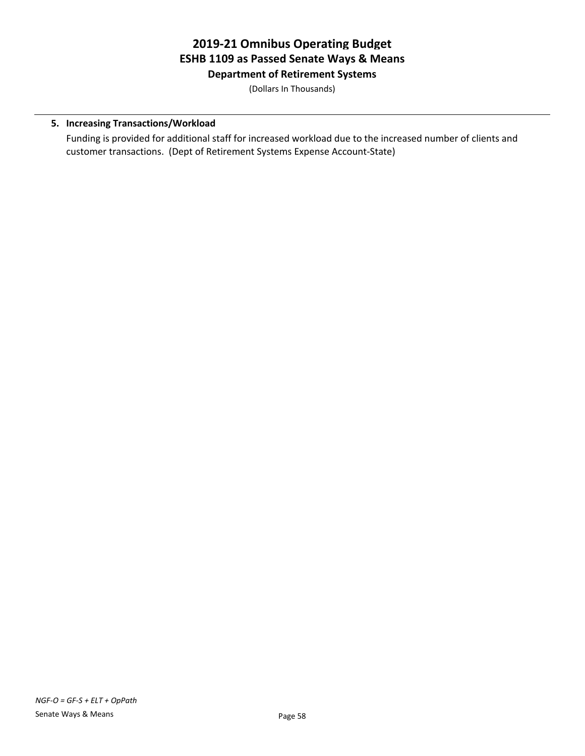### **2019-21 Omnibus Operating Budget ESHB 1109 as Passed Senate Ways & Means Department of Retirement Systems**

(Dollars In Thousands)

#### **5. Increasing Transactions/Workload**

Funding is provided for additional staff for increased workload due to the increased number of clients and customer transactions. (Dept of Retirement Systems Expense Account-State)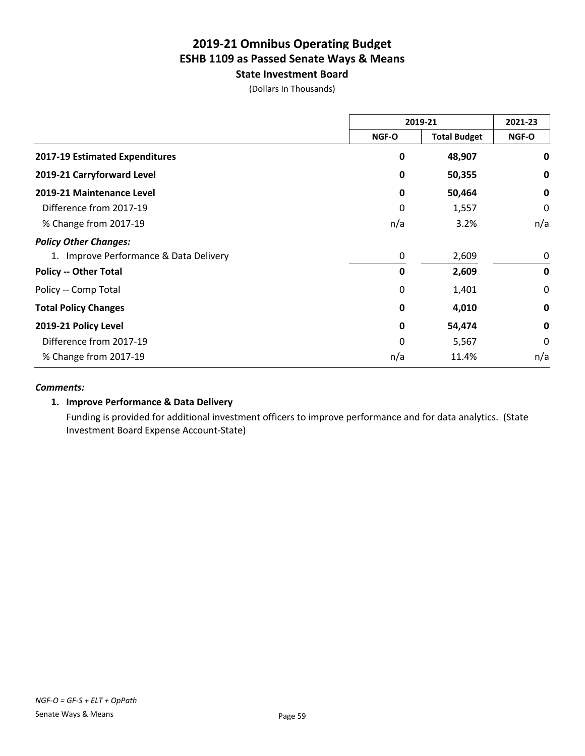**State Investment Board**

(Dollars In Thousands)

|                                        | 2019-21      |                     | 2021-23     |
|----------------------------------------|--------------|---------------------|-------------|
|                                        | NGF-O        | <b>Total Budget</b> | NGF-O       |
| 2017-19 Estimated Expenditures         | $\mathbf 0$  | 48,907              | 0           |
| 2019-21 Carryforward Level             | 0            | 50,355              | 0           |
| 2019-21 Maintenance Level              | 0            | 50,464              | 0           |
| Difference from 2017-19                | 0            | 1,557               | 0           |
| % Change from 2017-19                  | n/a          | 3.2%                | n/a         |
| <b>Policy Other Changes:</b>           |              |                     |             |
| 1. Improve Performance & Data Delivery | 0            | 2,609               | 0           |
| <b>Policy -- Other Total</b>           | $\mathbf 0$  | 2,609               | $\mathbf 0$ |
| Policy -- Comp Total                   | 0            | 1,401               | 0           |
| <b>Total Policy Changes</b>            | $\mathbf 0$  | 4,010               | $\mathbf 0$ |
| 2019-21 Policy Level                   | 0            | 54,474              | $\mathbf 0$ |
| Difference from 2017-19                | $\mathbf{0}$ | 5,567               | 0           |
| % Change from 2017-19                  | n/a          | 11.4%               | n/a         |

#### *Comments:*

#### **1. Improve Performance & Data Delivery**

Funding is provided for additional investment officers to improve performance and for data analytics. (State Investment Board Expense Account-State)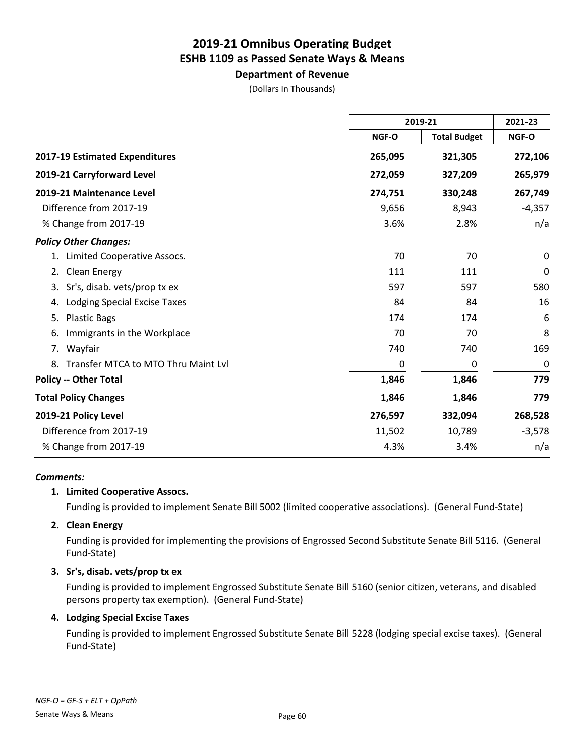# **Department of Revenue**

(Dollars In Thousands)

|                                        | 2019-21 |                     | 2021-23  |  |
|----------------------------------------|---------|---------------------|----------|--|
|                                        | NGF-O   | <b>Total Budget</b> | NGF-O    |  |
| 2017-19 Estimated Expenditures         | 265,095 | 321,305             | 272,106  |  |
| 2019-21 Carryforward Level             | 272,059 | 327,209             | 265,979  |  |
| 2019-21 Maintenance Level              | 274,751 | 330,248             | 267,749  |  |
| Difference from 2017-19                | 9,656   | 8,943               | $-4,357$ |  |
| % Change from 2017-19                  | 3.6%    | 2.8%                | n/a      |  |
| <b>Policy Other Changes:</b>           |         |                     |          |  |
| 1. Limited Cooperative Assocs.         | 70      | 70                  | $\Omega$ |  |
| Clean Energy<br>2.                     | 111     | 111                 | 0        |  |
| Sr's, disab. vets/prop tx ex<br>3.     | 597     | 597                 | 580      |  |
| Lodging Special Excise Taxes<br>4.     | 84      | 84                  | 16       |  |
| <b>Plastic Bags</b><br>5.              | 174     | 174                 | 6        |  |
| Immigrants in the Workplace<br>6.      | 70      | 70                  | 8        |  |
| 7. Wayfair                             | 740     | 740                 | 169      |  |
| 8. Transfer MTCA to MTO Thru Maint Lvl | 0       | 0                   | 0        |  |
| <b>Policy -- Other Total</b>           | 1,846   | 1,846               | 779      |  |
| <b>Total Policy Changes</b>            | 1,846   | 1,846               | 779      |  |
| 2019-21 Policy Level                   | 276,597 | 332,094             | 268,528  |  |
| Difference from 2017-19                | 11,502  | 10,789              | $-3,578$ |  |
| % Change from 2017-19                  | 4.3%    | 3.4%                | n/a      |  |

#### *Comments:*

#### **1. Limited Cooperative Assocs.**

Funding is provided to implement Senate Bill 5002 (limited cooperative associations). (General Fund-State)

#### **2. Clean Energy**

Funding is provided for implementing the provisions of Engrossed Second Substitute Senate Bill 5116. (General Fund-State)

#### **3. Sr's, disab. vets/prop tx ex**

Funding is provided to implement Engrossed Substitute Senate Bill 5160 (senior citizen, veterans, and disabled persons property tax exemption). (General Fund-State)

#### **4. Lodging Special Excise Taxes**

Funding is provided to implement Engrossed Substitute Senate Bill 5228 (lodging special excise taxes). (General Fund-State)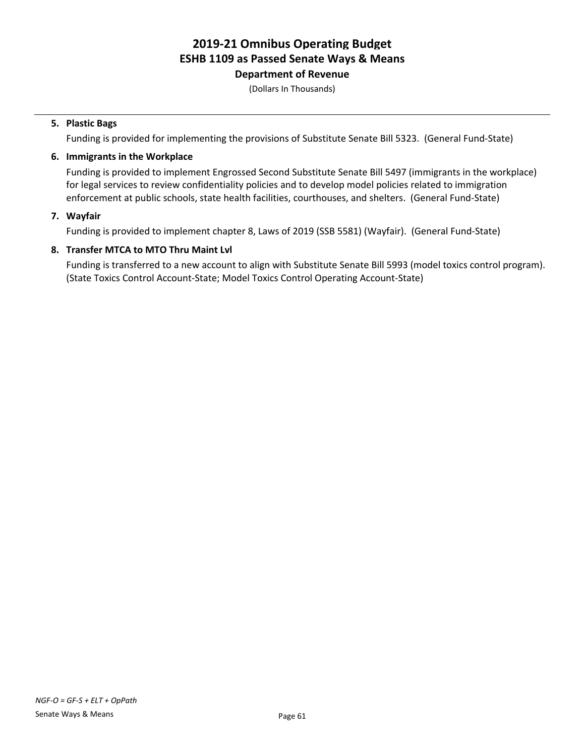### **Department of Revenue**

(Dollars In Thousands)

#### **5. Plastic Bags**

Funding is provided for implementing the provisions of Substitute Senate Bill 5323. (General Fund-State)

#### **6. Immigrants in the Workplace**

Funding is provided to implement Engrossed Second Substitute Senate Bill 5497 (immigrants in the workplace) for legal services to review confidentiality policies and to develop model policies related to immigration enforcement at public schools, state health facilities, courthouses, and shelters. (General Fund-State)

#### **7. Wayfair**

Funding is provided to implement chapter 8, Laws of 2019 (SSB 5581) (Wayfair). (General Fund-State)

#### **8. Transfer MTCA to MTO Thru Maint Lvl**

Funding is transferred to a new account to align with Substitute Senate Bill 5993 (model toxics control program). (State Toxics Control Account-State; Model Toxics Control Operating Account-State)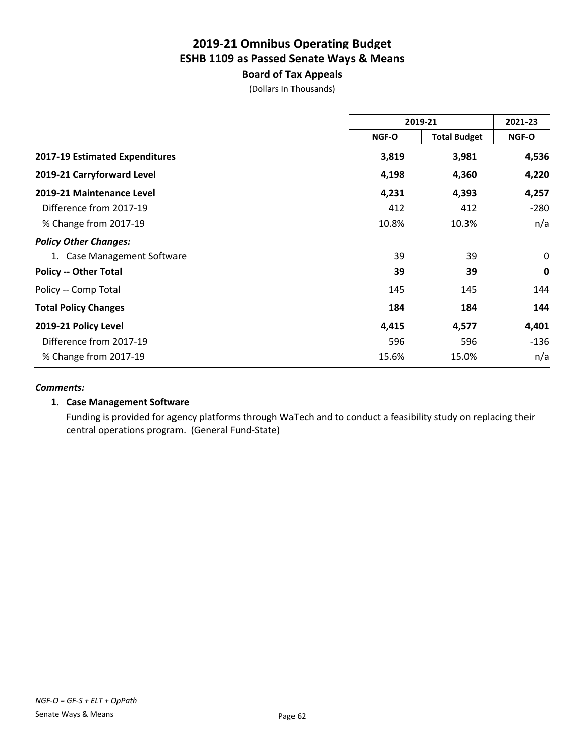### **Board of Tax Appeals**

(Dollars In Thousands)

|                                | 2019-21 |                     | 2021-23     |
|--------------------------------|---------|---------------------|-------------|
|                                | NGF-O   | <b>Total Budget</b> | NGF-O       |
| 2017-19 Estimated Expenditures | 3,819   | 3,981               | 4,536       |
| 2019-21 Carryforward Level     | 4,198   | 4,360               | 4,220       |
| 2019-21 Maintenance Level      | 4,231   | 4,393               | 4,257       |
| Difference from 2017-19        | 412     | 412                 | $-280$      |
| % Change from 2017-19          | 10.8%   | 10.3%               | n/a         |
| <b>Policy Other Changes:</b>   |         |                     |             |
| 1. Case Management Software    | 39      | 39                  | 0           |
| <b>Policy -- Other Total</b>   | 39      | 39                  | $\mathbf 0$ |
| Policy -- Comp Total           | 145     | 145                 | 144         |
| <b>Total Policy Changes</b>    | 184     | 184                 | 144         |
| 2019-21 Policy Level           | 4,415   | 4,577               | 4,401       |
| Difference from 2017-19        | 596     | 596                 | $-136$      |
| % Change from 2017-19          | 15.6%   | 15.0%               | n/a         |

#### *Comments:*

#### **1. Case Management Software**

Funding is provided for agency platforms through WaTech and to conduct a feasibility study on replacing their central operations program. (General Fund-State)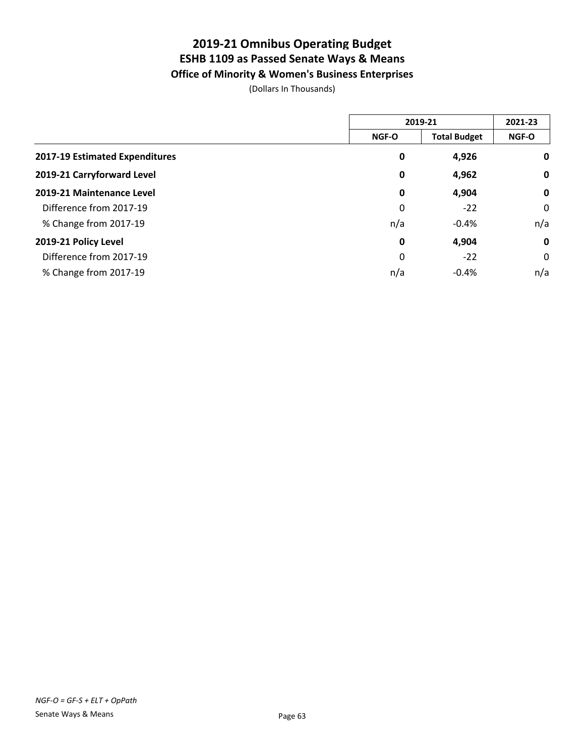**Office of Minority & Women's Business Enterprises**

(Dollars In Thousands)

|                                | 2019-21     |                     | 2021-23      |
|--------------------------------|-------------|---------------------|--------------|
|                                | NGF-O       | <b>Total Budget</b> | <b>NGF-O</b> |
| 2017-19 Estimated Expenditures | 0           | 4,926               | $\mathbf 0$  |
| 2019-21 Carryforward Level     | 0           | 4,962               | $\mathbf 0$  |
| 2019-21 Maintenance Level      | 0           | 4,904               | $\mathbf 0$  |
| Difference from 2017-19        | 0           | $-22$               | 0            |
| % Change from 2017-19          | n/a         | $-0.4%$             | n/a          |
| 2019-21 Policy Level           | $\mathbf 0$ | 4,904               | $\mathbf 0$  |
| Difference from 2017-19        | 0           | $-22$               | 0            |
| % Change from 2017-19          | n/a         | $-0.4%$             | n/a          |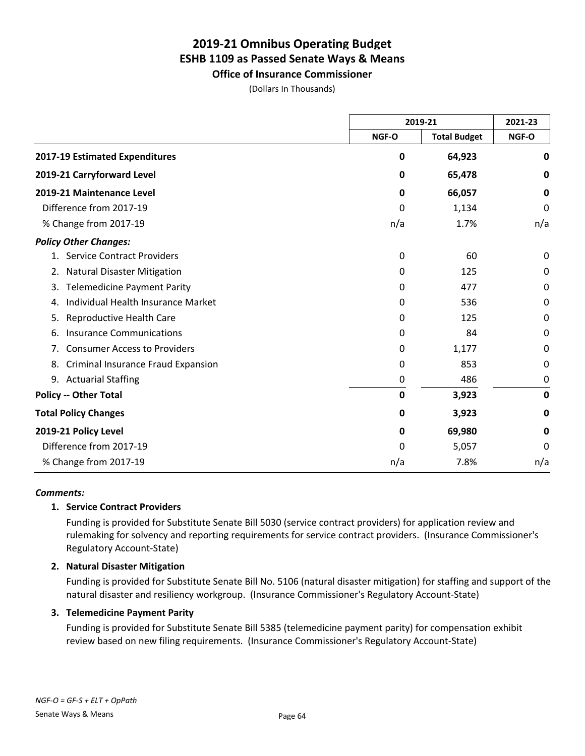**Office of Insurance Commissioner**

(Dollars In Thousands)

|                                           |             | 2019-21             |             |
|-------------------------------------------|-------------|---------------------|-------------|
|                                           | NGF-O       | <b>Total Budget</b> | NGF-O       |
| 2017-19 Estimated Expenditures            | 0           | 64,923              | $\mathbf 0$ |
| 2019-21 Carryforward Level                | 0           | 65,478              | 0           |
| 2019-21 Maintenance Level                 | 0           | 66,057              | 0           |
| Difference from 2017-19                   | 0           | 1,134               | 0           |
| % Change from 2017-19                     | n/a         | 1.7%                | n/a         |
| <b>Policy Other Changes:</b>              |             |                     |             |
| 1. Service Contract Providers             | 0           | 60                  | $\Omega$    |
| <b>Natural Disaster Mitigation</b><br>2.  | 0           | 125                 | 0           |
| <b>Telemedicine Payment Parity</b><br>3.  | 0           | 477                 | 0           |
| Individual Health Insurance Market<br>4.  | 0           | 536                 | 0           |
| Reproductive Health Care<br>5.            | 0           | 125                 | 0           |
| <b>Insurance Communications</b><br>6.     | 0           | 84                  | 0           |
| <b>Consumer Access to Providers</b><br>7. | 0           | 1,177               | 0           |
| Criminal Insurance Fraud Expansion<br>8.  | 0           | 853                 | 0           |
| 9. Actuarial Staffing                     | 0           | 486                 | 0           |
| <b>Policy -- Other Total</b>              | $\mathbf 0$ | 3,923               | $\mathbf 0$ |
| <b>Total Policy Changes</b>               | 0           | 3,923               | 0           |
| 2019-21 Policy Level                      | 0           | 69,980              | $\mathbf 0$ |
| Difference from 2017-19                   | 0           | 5,057               | 0           |
| % Change from 2017-19                     | n/a         | 7.8%                | n/a         |

#### *Comments:*

#### **1. Service Contract Providers**

Funding is provided for Substitute Senate Bill 5030 (service contract providers) for application review and rulemaking for solvency and reporting requirements for service contract providers. (Insurance Commissioner's Regulatory Account-State)

#### **2. Natural Disaster Mitigation**

Funding is provided for Substitute Senate Bill No. 5106 (natural disaster mitigation) for staffing and support of the natural disaster and resiliency workgroup. (Insurance Commissioner's Regulatory Account-State)

#### **3. Telemedicine Payment Parity**

Funding is provided for Substitute Senate Bill 5385 (telemedicine payment parity) for compensation exhibit review based on new filing requirements. (Insurance Commissioner's Regulatory Account-State)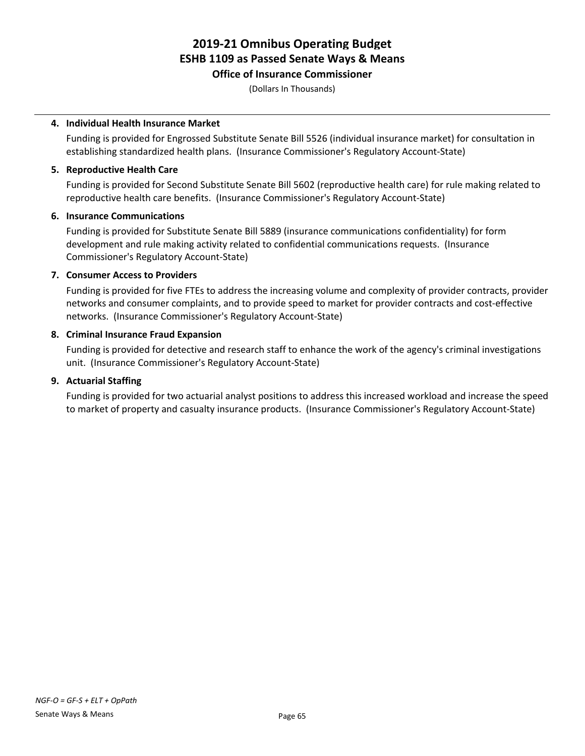### **Office of Insurance Commissioner**

(Dollars In Thousands)

#### **4. Individual Health Insurance Market**

Funding is provided for Engrossed Substitute Senate Bill 5526 (individual insurance market) for consultation in establishing standardized health plans. (Insurance Commissioner's Regulatory Account-State)

#### **5. Reproductive Health Care**

Funding is provided for Second Substitute Senate Bill 5602 (reproductive health care) for rule making related to reproductive health care benefits. (Insurance Commissioner's Regulatory Account-State)

#### **6. Insurance Communications**

Funding is provided for Substitute Senate Bill 5889 (insurance communications confidentiality) for form development and rule making activity related to confidential communications requests. (Insurance Commissioner's Regulatory Account-State)

#### **7. Consumer Access to Providers**

Funding is provided for five FTEs to address the increasing volume and complexity of provider contracts, provider networks and consumer complaints, and to provide speed to market for provider contracts and cost-effective networks. (Insurance Commissioner's Regulatory Account-State)

#### **8. Criminal Insurance Fraud Expansion**

Funding is provided for detective and research staff to enhance the work of the agency's criminal investigations unit. (Insurance Commissioner's Regulatory Account-State)

#### **9. Actuarial Staffing**

Funding is provided for two actuarial analyst positions to address this increased workload and increase the speed to market of property and casualty insurance products. (Insurance Commissioner's Regulatory Account-State)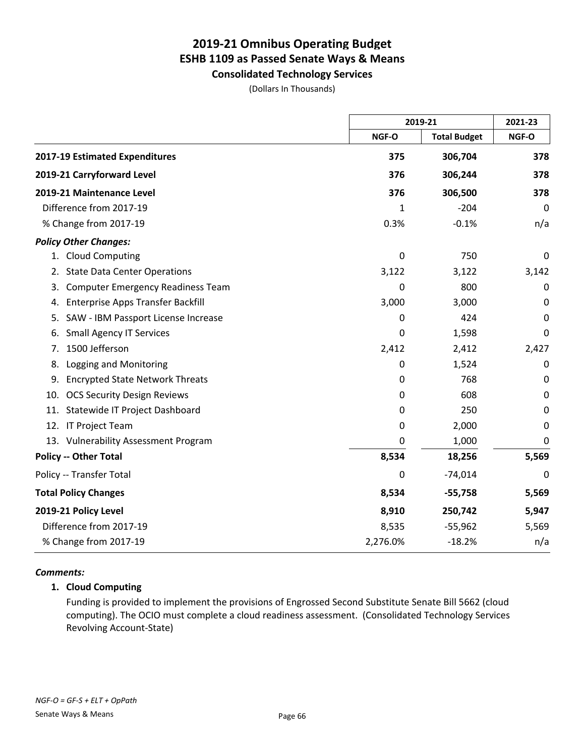**Consolidated Technology Services**

(Dollars In Thousands)

|                                                |          | 2019-21             |       |
|------------------------------------------------|----------|---------------------|-------|
|                                                | NGF-O    | <b>Total Budget</b> | NGF-O |
| 2017-19 Estimated Expenditures                 | 375      | 306,704             | 378   |
| 2019-21 Carryforward Level                     | 376      | 306,244             | 378   |
| 2019-21 Maintenance Level                      | 376      | 306,500             | 378   |
| Difference from 2017-19                        | 1        | $-204$              | 0     |
| % Change from 2017-19                          | 0.3%     | $-0.1%$             | n/a   |
| <b>Policy Other Changes:</b>                   |          |                     |       |
| 1. Cloud Computing                             | 0        | 750                 | 0     |
| <b>State Data Center Operations</b><br>2.      | 3,122    | 3,122               | 3,142 |
| <b>Computer Emergency Readiness Team</b><br>3. | 0        | 800                 | 0     |
| <b>Enterprise Apps Transfer Backfill</b><br>4. | 3,000    | 3,000               | 0     |
| SAW - IBM Passport License Increase<br>5.      | 0        | 424                 | 0     |
| <b>Small Agency IT Services</b><br>6.          | 0        | 1,598               | 0     |
| 1500 Jefferson<br>7.                           | 2,412    | 2,412               | 2,427 |
| Logging and Monitoring<br>8.                   | 0        | 1,524               | 0     |
| <b>Encrypted State Network Threats</b><br>9.   | 0        | 768                 | 0     |
| <b>OCS Security Design Reviews</b><br>10.      | 0        | 608                 | 0     |
| Statewide IT Project Dashboard<br>11.          | 0        | 250                 | 0     |
| IT Project Team<br>12.                         | 0        | 2,000               | 0     |
| 13. Vulnerability Assessment Program           | 0        | 1,000               | 0     |
| <b>Policy -- Other Total</b>                   | 8,534    | 18,256              | 5,569 |
| Policy -- Transfer Total                       | 0        | $-74,014$           | 0     |
| <b>Total Policy Changes</b>                    | 8,534    | $-55,758$           | 5,569 |
| 2019-21 Policy Level                           | 8,910    | 250,742             | 5,947 |
| Difference from 2017-19                        | 8,535    | $-55,962$           | 5,569 |
| % Change from 2017-19                          | 2,276.0% | $-18.2%$            | n/a   |

#### *Comments:*

#### **1. Cloud Computing**

Funding is provided to implement the provisions of Engrossed Second Substitute Senate Bill 5662 (cloud computing). The OCIO must complete a cloud readiness assessment. (Consolidated Technology Services Revolving Account-State)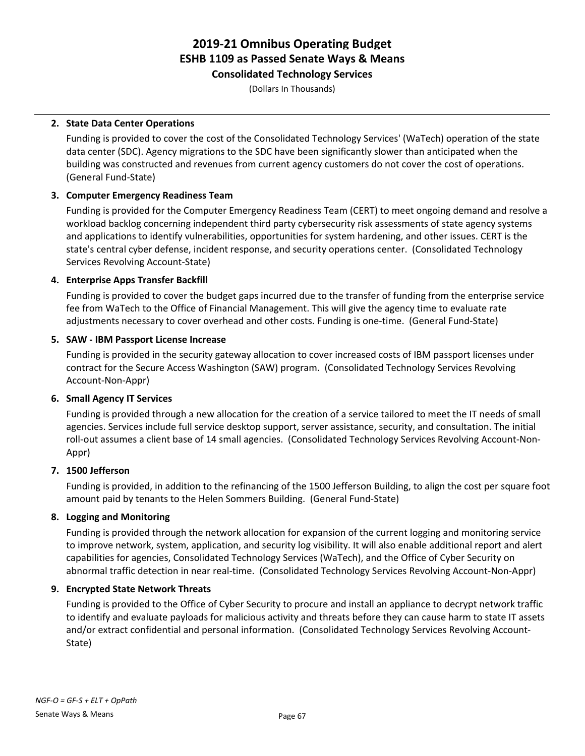**Consolidated Technology Services**

(Dollars In Thousands)

#### **2. State Data Center Operations**

Funding is provided to cover the cost of the Consolidated Technology Services' (WaTech) operation of the state data center (SDC). Agency migrations to the SDC have been significantly slower than anticipated when the building was constructed and revenues from current agency customers do not cover the cost of operations. (General Fund-State)

#### **3. Computer Emergency Readiness Team**

Funding is provided for the Computer Emergency Readiness Team (CERT) to meet ongoing demand and resolve a workload backlog concerning independent third party cybersecurity risk assessments of state agency systems and applications to identify vulnerabilities, opportunities for system hardening, and other issues. CERT is the state's central cyber defense, incident response, and security operations center. (Consolidated Technology Services Revolving Account-State)

#### **4. Enterprise Apps Transfer Backfill**

Funding is provided to cover the budget gaps incurred due to the transfer of funding from the enterprise service fee from WaTech to the Office of Financial Management. This will give the agency time to evaluate rate adjustments necessary to cover overhead and other costs. Funding is one-time. (General Fund-State)

#### **5. SAW - IBM Passport License Increase**

Funding is provided in the security gateway allocation to cover increased costs of IBM passport licenses under contract for the Secure Access Washington (SAW) program. (Consolidated Technology Services Revolving Account-Non-Appr)

#### **6. Small Agency IT Services**

Funding is provided through a new allocation for the creation of a service tailored to meet the IT needs of small agencies. Services include full service desktop support, server assistance, security, and consultation. The initial roll-out assumes a client base of 14 small agencies. (Consolidated Technology Services Revolving Account-Non-Appr)

#### **7. 1500 Jefferson**

Funding is provided, in addition to the refinancing of the 1500 Jefferson Building, to align the cost per square foot amount paid by tenants to the Helen Sommers Building. (General Fund-State)

#### **8. Logging and Monitoring**

Funding is provided through the network allocation for expansion of the current logging and monitoring service to improve network, system, application, and security log visibility. It will also enable additional report and alert capabilities for agencies, Consolidated Technology Services (WaTech), and the Office of Cyber Security on abnormal traffic detection in near real-time. (Consolidated Technology Services Revolving Account-Non-Appr)

#### **9. Encrypted State Network Threats**

Funding is provided to the Office of Cyber Security to procure and install an appliance to decrypt network traffic to identify and evaluate payloads for malicious activity and threats before they can cause harm to state IT assets and/or extract confidential and personal information. (Consolidated Technology Services Revolving Account-State)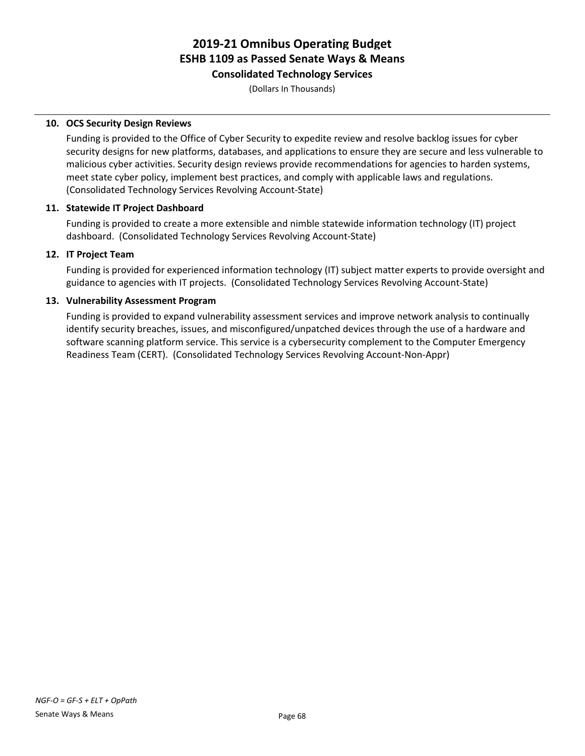#### **Consolidated Technology Services**

(Dollars In Thousands)

#### **10. OCS Security Design Reviews**

Funding is provided to the Office of Cyber Security to expedite review and resolve backlog issues for cyber security designs for new platforms, databases, and applications to ensure they are secure and less vulnerable to malicious cyber activities. Security design reviews provide recommendations for agencies to harden systems, meet state cyber policy, implement best practices, and comply with applicable laws and regulations. (Consolidated Technology Services Revolving Account-State)

#### **11. Statewide IT Project Dashboard**

Funding is provided to create a more extensible and nimble statewide information technology (IT) project dashboard. (Consolidated Technology Services Revolving Account-State)

#### **12. IT Project Team**

Funding is provided for experienced information technology (IT) subject matter experts to provide oversight and guidance to agencies with IT projects. (Consolidated Technology Services Revolving Account-State)

#### **13. Vulnerability Assessment Program**

Funding is provided to expand vulnerability assessment services and improve network analysis to continually identify security breaches, issues, and misconfigured/unpatched devices through the use of a hardware and software scanning platform service. This service is a cybersecurity complement to the Computer Emergency Readiness Team (CERT). (Consolidated Technology Services Revolving Account-Non-Appr)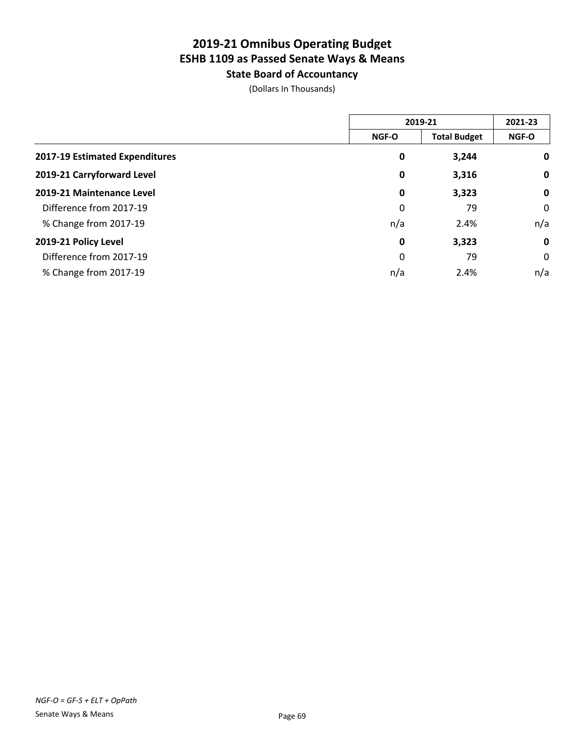**State Board of Accountancy**

(Dollars In Thousands)

|                                | 2019-21      |                     | 2021-23      |
|--------------------------------|--------------|---------------------|--------------|
|                                | <b>NGF-O</b> | <b>Total Budget</b> | <b>NGF-O</b> |
| 2017-19 Estimated Expenditures | 0            | 3,244               | $\mathbf 0$  |
| 2019-21 Carryforward Level     | 0            | 3,316               | $\mathbf 0$  |
| 2019-21 Maintenance Level      | 0            | 3,323               | $\mathbf 0$  |
| Difference from 2017-19        | 0            | 79                  | 0            |
| % Change from 2017-19          | n/a          | 2.4%                | n/a          |
| 2019-21 Policy Level           | $\mathbf 0$  | 3,323               | $\mathbf 0$  |
| Difference from 2017-19        | 0            | 79                  | 0            |
| % Change from 2017-19          | n/a          | 2.4%                | n/a          |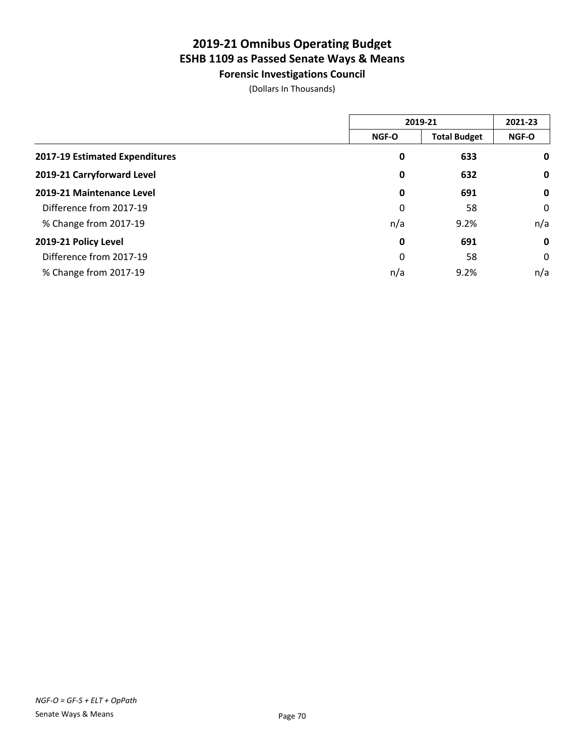**Forensic Investigations Council**

(Dollars In Thousands)

|                                | 2019-21      |                     | 2021-23      |
|--------------------------------|--------------|---------------------|--------------|
|                                | <b>NGF-O</b> | <b>Total Budget</b> | <b>NGF-O</b> |
| 2017-19 Estimated Expenditures | 0            | 633                 | 0            |
| 2019-21 Carryforward Level     | 0            | 632                 | 0            |
| 2019-21 Maintenance Level      | 0            | 691                 | $\mathbf 0$  |
| Difference from 2017-19        | 0            | 58                  | 0            |
| % Change from 2017-19          | n/a          | 9.2%                | n/a          |
| 2019-21 Policy Level           | 0            | 691                 | $\mathbf 0$  |
| Difference from 2017-19        | 0            | 58                  | 0            |
| % Change from 2017-19          | n/a          | 9.2%                | n/a          |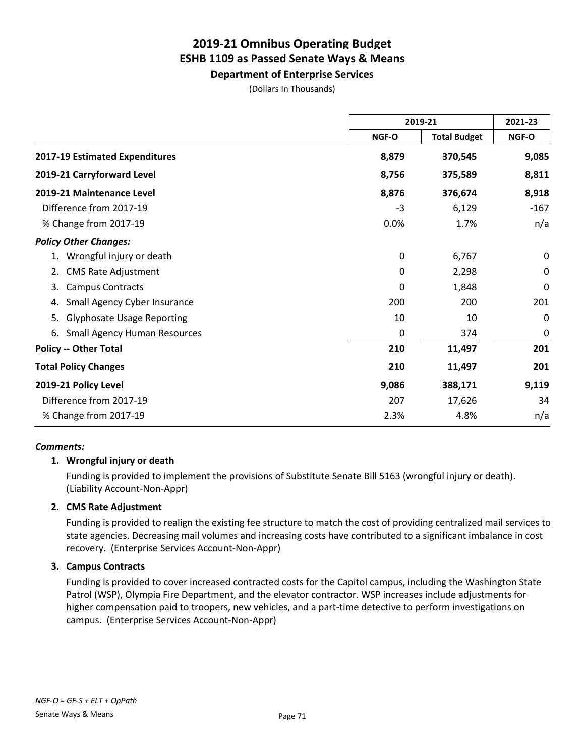**Department of Enterprise Services**

(Dollars In Thousands)

|                                           |       | 2019-21             |              |
|-------------------------------------------|-------|---------------------|--------------|
|                                           | NGF-O | <b>Total Budget</b> | <b>NGF-O</b> |
| 2017-19 Estimated Expenditures            | 8,879 | 370,545             | 9,085        |
| 2019-21 Carryforward Level                | 8,756 | 375,589             | 8,811        |
| 2019-21 Maintenance Level                 | 8,876 | 376,674             | 8,918        |
| Difference from 2017-19                   | $-3$  | 6,129               | $-167$       |
| % Change from 2017-19                     | 0.0%  | 1.7%                | n/a          |
| <b>Policy Other Changes:</b>              |       |                     |              |
| Wrongful injury or death                  | 0     | 6,767               | 0            |
| <b>CMS Rate Adjustment</b><br>2.          | 0     | 2,298               | 0            |
| <b>Campus Contracts</b><br>3.             | 0     | 1,848               | $\mathbf 0$  |
| Small Agency Cyber Insurance<br>4.        | 200   | 200                 | 201          |
| <b>Glyphosate Usage Reporting</b><br>5.   | 10    | 10                  | $\Omega$     |
| <b>Small Agency Human Resources</b><br>6. | 0     | 374                 | 0            |
| <b>Policy -- Other Total</b>              | 210   | 11,497              | 201          |
| <b>Total Policy Changes</b>               | 210   | 11,497              | 201          |
| 2019-21 Policy Level                      | 9,086 | 388,171             | 9,119        |
| Difference from 2017-19                   | 207   | 17,626              | 34           |
| % Change from 2017-19                     | 2.3%  | 4.8%                | n/a          |

#### *Comments:*

#### **1. Wrongful injury or death**

Funding is provided to implement the provisions of Substitute Senate Bill 5163 (wrongful injury or death). (Liability Account-Non-Appr)

#### **2. CMS Rate Adjustment**

Funding is provided to realign the existing fee structure to match the cost of providing centralized mail services to state agencies. Decreasing mail volumes and increasing costs have contributed to a significant imbalance in cost recovery. (Enterprise Services Account-Non-Appr)

#### **3. Campus Contracts**

Funding is provided to cover increased contracted costs for the Capitol campus, including the Washington State Patrol (WSP), Olympia Fire Department, and the elevator contractor. WSP increases include adjustments for higher compensation paid to troopers, new vehicles, and a part-time detective to perform investigations on campus. (Enterprise Services Account-Non-Appr)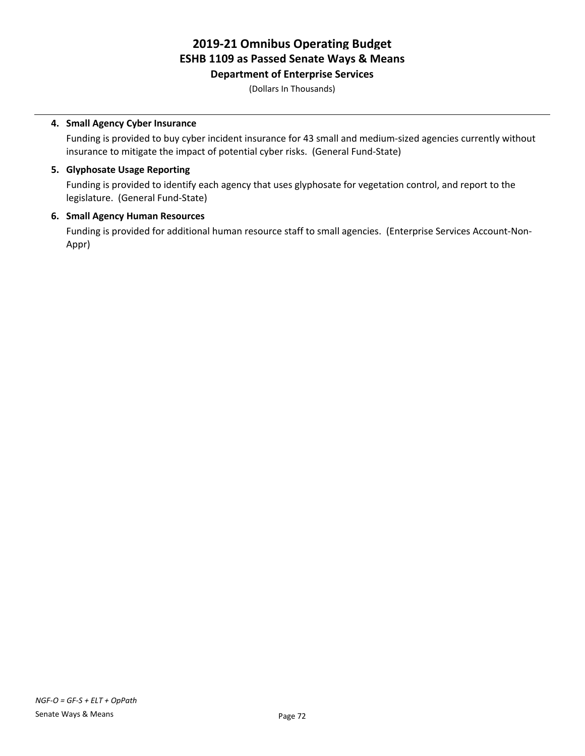**Department of Enterprise Services**

(Dollars In Thousands)

# **4. Small Agency Cyber Insurance**

Funding is provided to buy cyber incident insurance for 43 small and medium-sized agencies currently without insurance to mitigate the impact of potential cyber risks. (General Fund-State)

# **5. Glyphosate Usage Reporting**

Funding is provided to identify each agency that uses glyphosate for vegetation control, and report to the legislature. (General Fund-State)

### **6. Small Agency Human Resources**

Funding is provided for additional human resource staff to small agencies. (Enterprise Services Account-Non-Appr)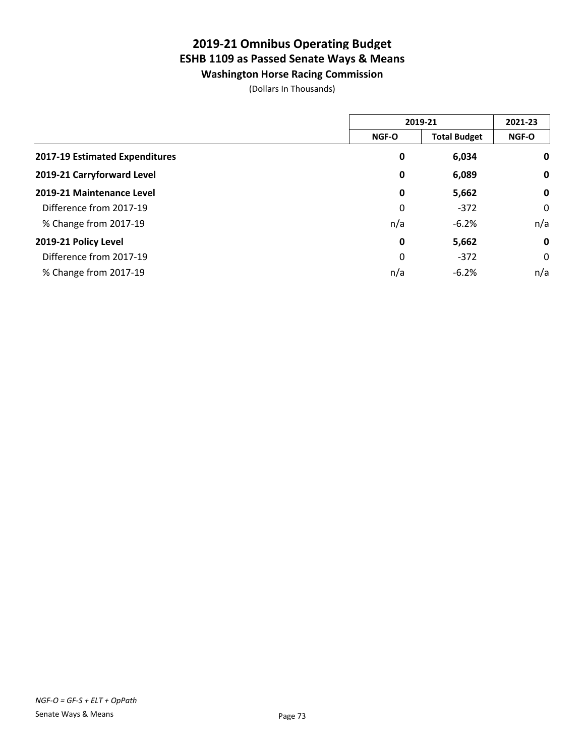**Washington Horse Racing Commission**

(Dollars In Thousands)

|                                | 2019-21      |                     | 2021-23     |
|--------------------------------|--------------|---------------------|-------------|
|                                | <b>NGF-O</b> | <b>Total Budget</b> | NGF-O       |
| 2017-19 Estimated Expenditures | 0            | 6,034               | $\mathbf 0$ |
| 2019-21 Carryforward Level     | 0            | 6,089               | $\mathbf 0$ |
| 2019-21 Maintenance Level      | $\mathbf 0$  | 5,662               | $\mathbf 0$ |
| Difference from 2017-19        | 0            | $-372$              | 0           |
| % Change from 2017-19          | n/a          | $-6.2%$             | n/a         |
| 2019-21 Policy Level           | $\mathbf 0$  | 5,662               | $\mathbf 0$ |
| Difference from 2017-19        | 0            | $-372$              | 0           |
| % Change from 2017-19          | n/a          | $-6.2%$             | n/a         |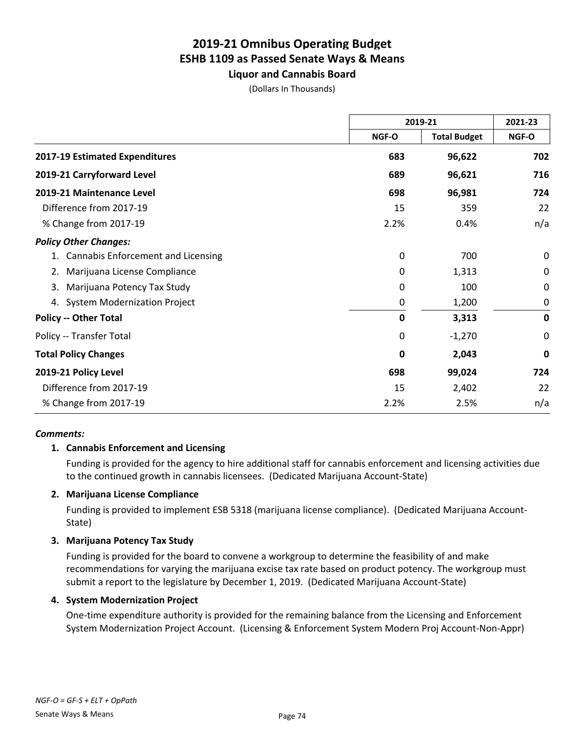**Liquor and Cannabis Board**

|  | (Dollars In Thousands) |
|--|------------------------|
|--|------------------------|

|                                           | 2019-21     |                     | 2021-23     |  |
|-------------------------------------------|-------------|---------------------|-------------|--|
|                                           | NGF-O       | <b>Total Budget</b> | NGF-O       |  |
| 2017-19 Estimated Expenditures            | 683         | 96,622              | 702         |  |
| 2019-21 Carryforward Level                | 689         | 96,621              | 716         |  |
| 2019-21 Maintenance Level                 | 698         | 96,981              | 724         |  |
| Difference from 2017-19                   | 15          | 359                 | 22          |  |
| % Change from 2017-19                     | 2.2%        | 0.4%                | n/a         |  |
| <b>Policy Other Changes:</b>              |             |                     |             |  |
| <b>Cannabis Enforcement and Licensing</b> | 0           | 700                 | 0           |  |
| 2. Marijuana License Compliance           | 0           | 1,313               | 0           |  |
| Marijuana Potency Tax Study<br>3.         | 0           | 100                 | $\mathbf 0$ |  |
| 4. System Modernization Project           | 0           | 1,200               | 0           |  |
| <b>Policy -- Other Total</b>              | $\mathbf 0$ | 3,313               | $\mathbf 0$ |  |
| Policy -- Transfer Total                  | 0           | $-1,270$            | $\mathbf 0$ |  |
| <b>Total Policy Changes</b>               | 0           | 2,043               | $\mathbf 0$ |  |
| 2019-21 Policy Level                      | 698         | 99,024              | 724         |  |
| Difference from 2017-19                   | 15          | 2,402               | 22          |  |
| % Change from 2017-19                     | 2.2%        | 2.5%                | n/a         |  |

#### *Comments:*

### **1. Cannabis Enforcement and Licensing**

Funding is provided for the agency to hire additional staff for cannabis enforcement and licensing activities due to the continued growth in cannabis licensees. (Dedicated Marijuana Account-State)

### **2. Marijuana License Compliance**

Funding is provided to implement ESB 5318 (marijuana license compliance). (Dedicated Marijuana Account-State)

### **3. Marijuana Potency Tax Study**

Funding is provided for the board to convene a workgroup to determine the feasibility of and make recommendations for varying the marijuana excise tax rate based on product potency. The workgroup must submit a report to the legislature by December 1, 2019. (Dedicated Marijuana Account-State)

#### **4. System Modernization Project**

One-time expenditure authority is provided for the remaining balance from the Licensing and Enforcement System Modernization Project Account. (Licensing & Enforcement System Modern Proj Account-Non-Appr)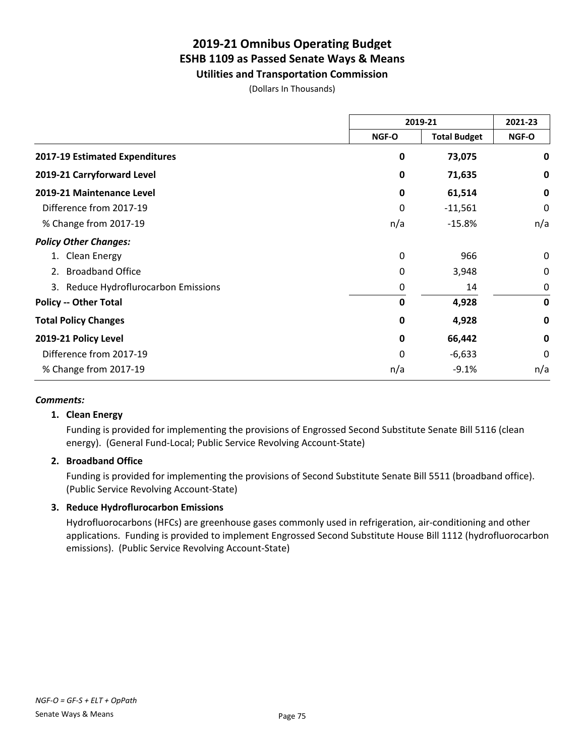# **Utilities and Transportation Commission**

(Dollars In Thousands)

|                                      | 2019-21     |                     | 2021-23     |
|--------------------------------------|-------------|---------------------|-------------|
|                                      | NGF-O       | <b>Total Budget</b> | NGF-O       |
| 2017-19 Estimated Expenditures       | 0           | 73,075              | 0           |
| 2019-21 Carryforward Level           | $\mathbf 0$ | 71,635              | 0           |
| 2019-21 Maintenance Level            | $\mathbf 0$ | 61,514              | $\mathbf 0$ |
| Difference from 2017-19              | 0           | $-11,561$           | 0           |
| % Change from 2017-19                | n/a         | $-15.8\%$           | n/a         |
| <b>Policy Other Changes:</b>         |             |                     |             |
| <b>Clean Energy</b>                  | 0           | 966                 | 0           |
| <b>Broadband Office</b><br>2.        | 0           | 3,948               | 0           |
| 3. Reduce Hydroflurocarbon Emissions | 0           | 14                  | 0           |
| <b>Policy -- Other Total</b>         | 0           | 4,928               | $\mathbf 0$ |
| <b>Total Policy Changes</b>          | 0           | 4,928               | 0           |
| 2019-21 Policy Level                 | 0           | 66,442              | $\mathbf 0$ |
| Difference from 2017-19              | 0           | $-6,633$            | 0           |
| % Change from 2017-19                | n/a         | $-9.1%$             | n/a         |

### *Comments:*

### **1. Clean Energy**

Funding is provided for implementing the provisions of Engrossed Second Substitute Senate Bill 5116 (clean energy). (General Fund-Local; Public Service Revolving Account-State)

### **2. Broadband Office**

Funding is provided for implementing the provisions of Second Substitute Senate Bill 5511 (broadband office). (Public Service Revolving Account-State)

### **3. Reduce Hydroflurocarbon Emissions**

Hydrofluorocarbons (HFCs) are greenhouse gases commonly used in refrigeration, air-conditioning and other applications. Funding is provided to implement Engrossed Second Substitute House Bill 1112 (hydrofluorocarbon emissions). (Public Service Revolving Account-State)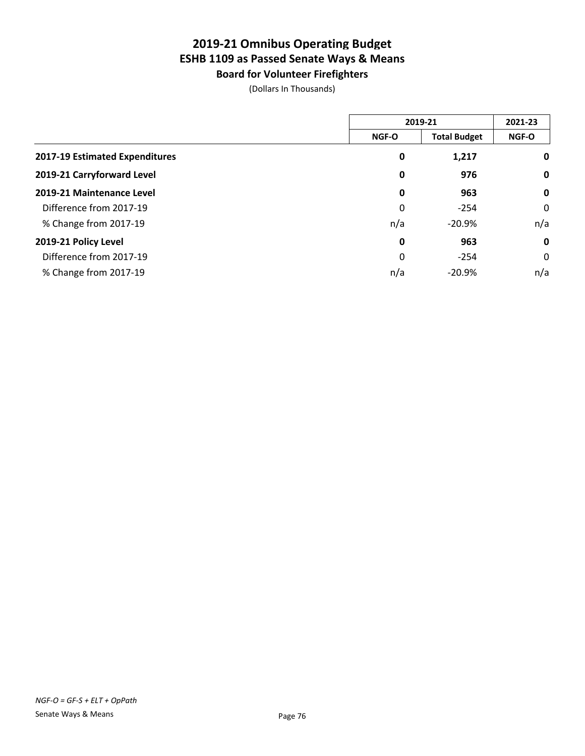**Board for Volunteer Firefighters** (Dollars In Thousands)

|                                | 2019-21      |                     | 2021-23      |
|--------------------------------|--------------|---------------------|--------------|
|                                | <b>NGF-O</b> | <b>Total Budget</b> | <b>NGF-O</b> |
| 2017-19 Estimated Expenditures | 0            | 1,217               | $\mathbf 0$  |
| 2019-21 Carryforward Level     | 0            | 976                 | $\mathbf 0$  |
| 2019-21 Maintenance Level      | 0            | 963                 | $\mathbf 0$  |
| Difference from 2017-19        | 0            | $-254$              | 0            |
| % Change from 2017-19          | n/a          | $-20.9%$            | n/a          |
| 2019-21 Policy Level           | 0            | 963                 | $\mathbf 0$  |
| Difference from 2017-19        | 0            | $-254$              | 0            |
| % Change from 2017-19          | n/a          | $-20.9%$            | n/a          |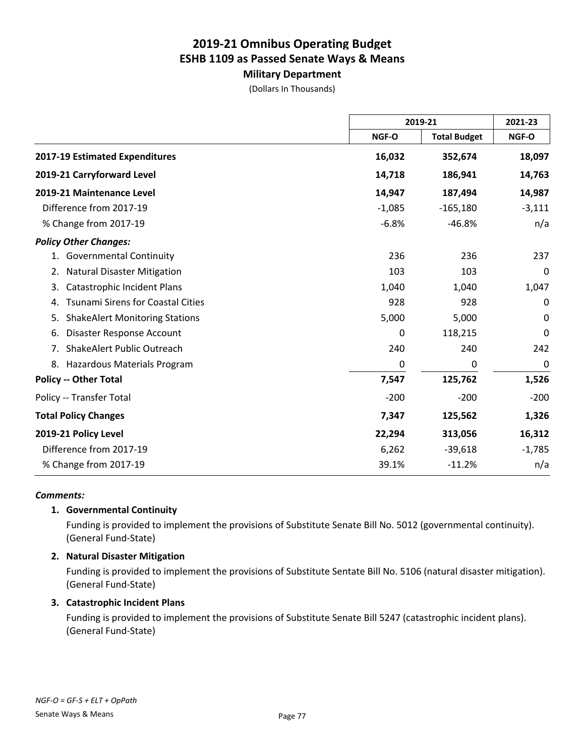# **Military Department**

(Dollars In Thousands)

|                                                |          | 2019-21             |          |
|------------------------------------------------|----------|---------------------|----------|
|                                                | NGF-O    | <b>Total Budget</b> | NGF-O    |
| 2017-19 Estimated Expenditures                 | 16,032   | 352,674             | 18,097   |
| 2019-21 Carryforward Level                     | 14,718   | 186,941             | 14,763   |
| 2019-21 Maintenance Level                      | 14,947   | 187,494             | 14,987   |
| Difference from 2017-19                        | $-1,085$ | $-165,180$          | $-3,111$ |
| % Change from 2017-19                          | $-6.8%$  | $-46.8%$            | n/a      |
| <b>Policy Other Changes:</b>                   |          |                     |          |
| 1. Governmental Continuity                     | 236      | 236                 | 237      |
| <b>Natural Disaster Mitigation</b><br>2.       | 103      | 103                 | 0        |
| <b>Catastrophic Incident Plans</b><br>3.       | 1,040    | 1,040               | 1,047    |
| <b>Tsunami Sirens for Coastal Cities</b><br>4. | 928      | 928                 | 0        |
| <b>ShakeAlert Monitoring Stations</b><br>5.    | 5,000    | 5,000               | 0        |
| Disaster Response Account<br>6.                | 0        | 118,215             | 0        |
| ShakeAlert Public Outreach<br>7.               | 240      | 240                 | 242      |
| Hazardous Materials Program<br>8.              | 0        | 0                   | 0        |
| <b>Policy -- Other Total</b>                   | 7,547    | 125,762             | 1,526    |
| Policy -- Transfer Total                       | $-200$   | $-200$              | $-200$   |
| <b>Total Policy Changes</b>                    | 7,347    | 125,562             | 1,326    |
| 2019-21 Policy Level                           | 22,294   | 313,056             | 16,312   |
| Difference from 2017-19                        | 6,262    | $-39,618$           | $-1,785$ |
| % Change from 2017-19                          | 39.1%    | $-11.2%$            | n/a      |

#### *Comments:*

### **1. Governmental Continuity**

Funding is provided to implement the provisions of Substitute Senate Bill No. 5012 (governmental continuity). (General Fund-State)

### **2. Natural Disaster Mitigation**

Funding is provided to implement the provisions of Substitute Sentate Bill No. 5106 (natural disaster mitigation). (General Fund-State)

### **3. Catastrophic Incident Plans**

Funding is provided to implement the provisions of Substitute Senate Bill 5247 (catastrophic incident plans). (General Fund-State)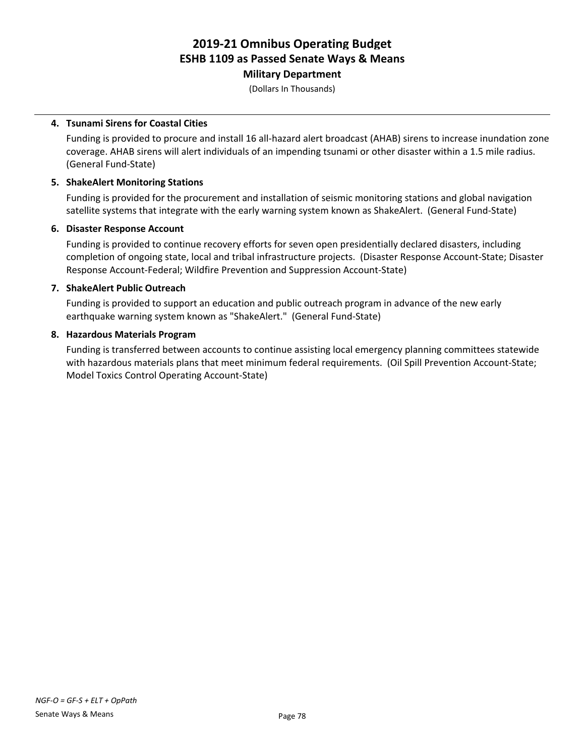### **Military Department**

(Dollars In Thousands)

### **4. Tsunami Sirens for Coastal Cities**

Funding is provided to procure and install 16 all-hazard alert broadcast (AHAB) sirens to increase inundation zone coverage. AHAB sirens will alert individuals of an impending tsunami or other disaster within a 1.5 mile radius. (General Fund-State)

### **5. ShakeAlert Monitoring Stations**

Funding is provided for the procurement and installation of seismic monitoring stations and global navigation satellite systems that integrate with the early warning system known as ShakeAlert. (General Fund-State)

# **6. Disaster Response Account**

Funding is provided to continue recovery efforts for seven open presidentially declared disasters, including completion of ongoing state, local and tribal infrastructure projects. (Disaster Response Account-State; Disaster Response Account-Federal; Wildfire Prevention and Suppression Account-State)

# **7. ShakeAlert Public Outreach**

Funding is provided to support an education and public outreach program in advance of the new early earthquake warning system known as "ShakeAlert." (General Fund-State)

# **8. Hazardous Materials Program**

Funding is transferred between accounts to continue assisting local emergency planning committees statewide with hazardous materials plans that meet minimum federal requirements. (Oil Spill Prevention Account-State; Model Toxics Control Operating Account-State)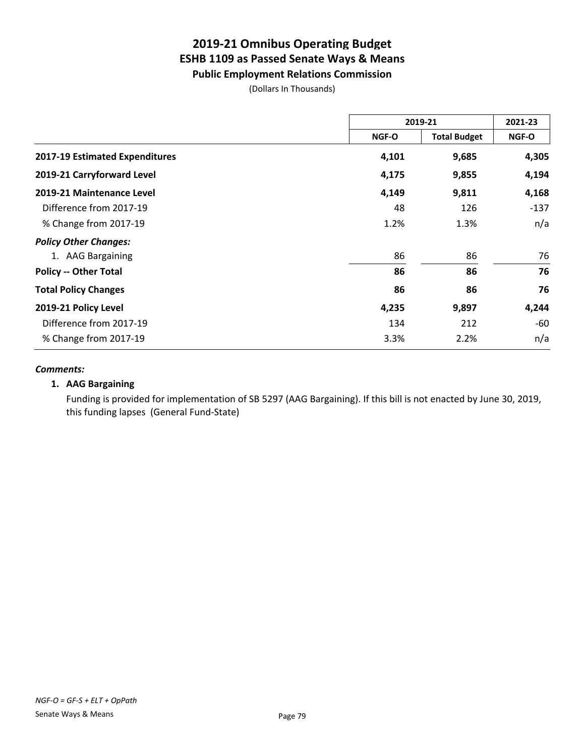# **Public Employment Relations Commission**

(Dollars In Thousands)

|                                | 2019-21 |                     | 2021-23 |
|--------------------------------|---------|---------------------|---------|
|                                | NGF-O   | <b>Total Budget</b> | NGF-O   |
| 2017-19 Estimated Expenditures | 4,101   | 9,685               | 4,305   |
| 2019-21 Carryforward Level     | 4,175   | 9,855               | 4,194   |
| 2019-21 Maintenance Level      | 4,149   | 9,811               | 4,168   |
| Difference from 2017-19        | 48      | 126                 | $-137$  |
| % Change from 2017-19          | 1.2%    | 1.3%                | n/a     |
| <b>Policy Other Changes:</b>   |         |                     |         |
| 1. AAG Bargaining              | 86      | 86                  | 76      |
| <b>Policy -- Other Total</b>   | 86      | 86                  | 76      |
| <b>Total Policy Changes</b>    | 86      | 86                  | 76      |
| 2019-21 Policy Level           | 4,235   | 9,897               | 4,244   |
| Difference from 2017-19        | 134     | 212                 | -60     |
| % Change from 2017-19          | 3.3%    | 2.2%                | n/a     |

#### *Comments:*

# **1. AAG Bargaining**

Funding is provided for implementation of SB 5297 (AAG Bargaining). If this bill is not enacted by June 30, 2019, this funding lapses (General Fund-State)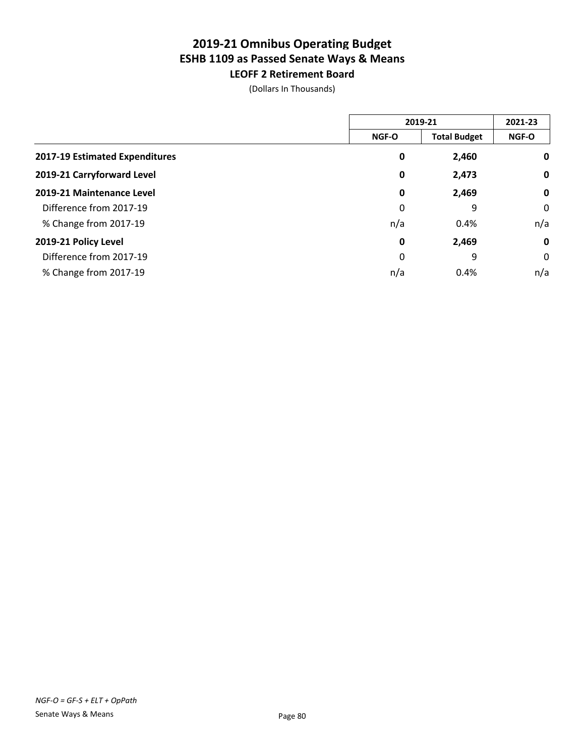# **2019-21 Omnibus Operating Budget ESHB 1109 as Passed Senate Ways & Means LEOFF 2 Retirement Board**

(Dollars In Thousands)

|                                | 2019-21      |                     | 2021-23     |
|--------------------------------|--------------|---------------------|-------------|
|                                | <b>NGF-O</b> | <b>Total Budget</b> | NGF-O       |
| 2017-19 Estimated Expenditures | 0            | 2,460               | 0           |
| 2019-21 Carryforward Level     | 0            | 2,473               | 0           |
| 2019-21 Maintenance Level      | 0            | 2,469               | $\mathbf 0$ |
| Difference from 2017-19        | 0            | 9                   | 0           |
| % Change from 2017-19          | n/a          | 0.4%                | n/a         |
| 2019-21 Policy Level           | 0            | 2,469               | $\mathbf 0$ |
| Difference from 2017-19        | 0            | 9                   | 0           |
| % Change from 2017-19          | n/a          | 0.4%                | n/a         |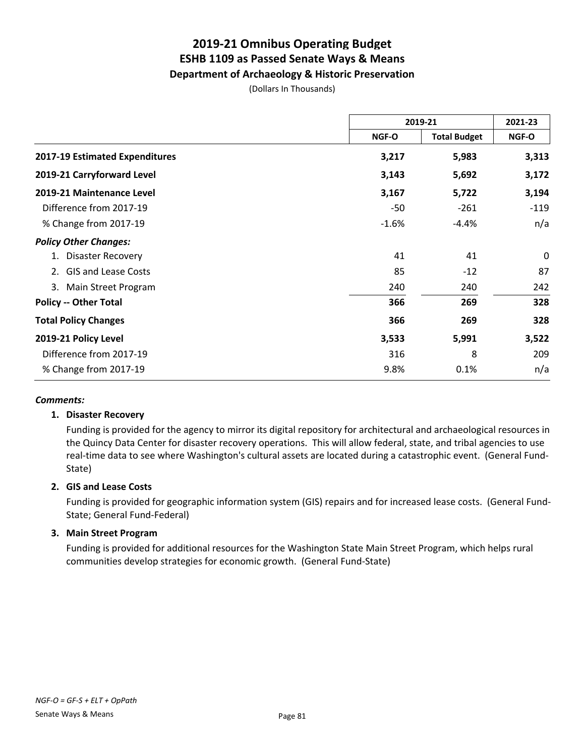# **2019-21 Omnibus Operating Budget ESHB 1109 as Passed Senate Ways & Means Department of Archaeology & Historic Preservation**

(Dollars In Thousands)

|                                  | 2019-21      |                     | 2021-23      |
|----------------------------------|--------------|---------------------|--------------|
|                                  | <b>NGF-O</b> | <b>Total Budget</b> | <b>NGF-O</b> |
| 2017-19 Estimated Expenditures   | 3,217        | 5,983               | 3,313        |
| 2019-21 Carryforward Level       | 3,143        | 5,692               | 3,172        |
| 2019-21 Maintenance Level        | 3,167        | 5,722               | 3,194        |
| Difference from 2017-19          | -50          | $-261$              | $-119$       |
| % Change from 2017-19            | $-1.6%$      | $-4.4%$             | n/a          |
| <b>Policy Other Changes:</b>     |              |                     |              |
| <b>Disaster Recovery</b>         | 41           | 41                  | 0            |
| <b>GIS and Lease Costs</b><br>2. | 85           | $-12$               | 87           |
| Main Street Program<br>3.        | 240          | 240                 | 242          |
| <b>Policy -- Other Total</b>     | 366          | 269                 | 328          |
| <b>Total Policy Changes</b>      | 366          | 269                 | 328          |
| 2019-21 Policy Level             | 3,533        | 5,991               | 3,522        |
| Difference from 2017-19          | 316          | 8                   | 209          |
| % Change from 2017-19            | 9.8%         | 0.1%                | n/a          |

### *Comments:*

### **1. Disaster Recovery**

Funding is provided for the agency to mirror its digital repository for architectural and archaeological resources in the Quincy Data Center for disaster recovery operations. This will allow federal, state, and tribal agencies to use real-time data to see where Washington's cultural assets are located during a catastrophic event. (General Fund-State)

### **2. GIS and Lease Costs**

Funding is provided for geographic information system (GIS) repairs and for increased lease costs. (General Fund-State; General Fund-Federal)

### **3. Main Street Program**

Funding is provided for additional resources for the Washington State Main Street Program, which helps rural communities develop strategies for economic growth. (General Fund-State)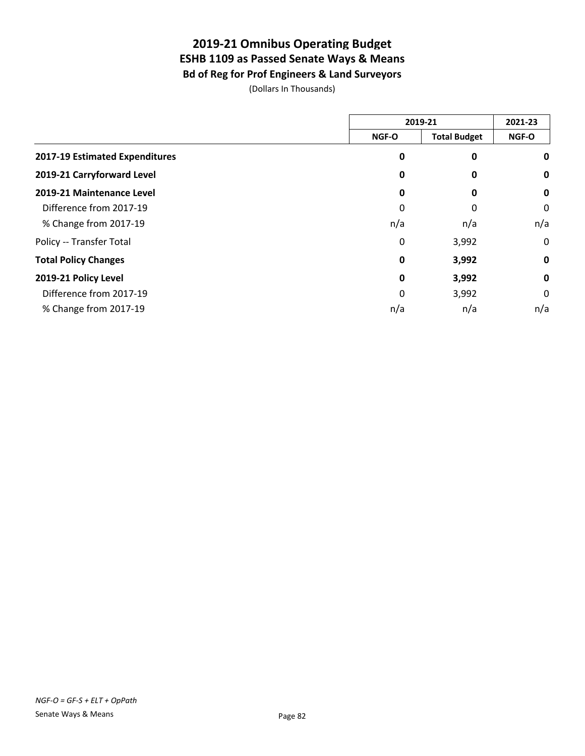# **2019-21 Omnibus Operating Budget ESHB 1109 as Passed Senate Ways & Means Bd of Reg for Prof Engineers & Land Surveyors**

(Dollars In Thousands)

|                                | 2019-21 |                     | 2021-23     |
|--------------------------------|---------|---------------------|-------------|
|                                | NGF-O   | <b>Total Budget</b> | NGF-O       |
| 2017-19 Estimated Expenditures | 0       | $\pmb{0}$           | 0           |
| 2019-21 Carryforward Level     | 0       | 0                   | 0           |
| 2019-21 Maintenance Level      | 0       | 0                   | 0           |
| Difference from 2017-19        | 0       | 0                   | 0           |
| % Change from 2017-19          | n/a     | n/a                 | n/a         |
| Policy -- Transfer Total       | 0       | 3,992               | 0           |
| <b>Total Policy Changes</b>    | 0       | 3,992               | 0           |
| 2019-21 Policy Level           | 0       | 3,992               | $\mathbf 0$ |
| Difference from 2017-19        | 0       | 3,992               | 0           |
| % Change from 2017-19          | n/a     | n/a                 | n/a         |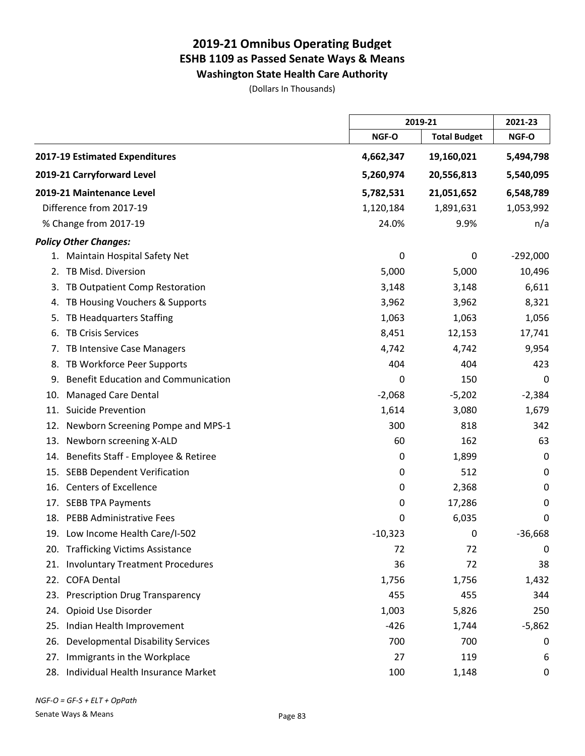**Washington State Health Care Authority**

(Dollars In Thousands)

|                                                  |           | 2019-21             |             |
|--------------------------------------------------|-----------|---------------------|-------------|
|                                                  | NGF-O     | <b>Total Budget</b> | NGF-O       |
| 2017-19 Estimated Expenditures                   | 4,662,347 | 19,160,021          | 5,494,798   |
| 2019-21 Carryforward Level                       | 5,260,974 | 20,556,813          | 5,540,095   |
| 2019-21 Maintenance Level                        | 5,782,531 | 21,051,652          | 6,548,789   |
| Difference from 2017-19                          | 1,120,184 | 1,891,631           | 1,053,992   |
| % Change from 2017-19                            | 24.0%     | 9.9%                | n/a         |
| <b>Policy Other Changes:</b>                     |           |                     |             |
| 1. Maintain Hospital Safety Net                  | 0         | $\mathbf 0$         | $-292,000$  |
| TB Misd. Diversion<br>2.                         | 5,000     | 5,000               | 10,496      |
| TB Outpatient Comp Restoration<br>3.             | 3,148     | 3,148               | 6,611       |
| TB Housing Vouchers & Supports<br>4.             | 3,962     | 3,962               | 8,321       |
| TB Headquarters Staffing<br>5.                   | 1,063     | 1,063               | 1,056       |
| <b>TB Crisis Services</b><br>6.                  | 8,451     | 12,153              | 17,741      |
| TB Intensive Case Managers<br>$\prime$ .         | 4,742     | 4,742               | 9,954       |
| TB Workforce Peer Supports<br>8.                 | 404       | 404                 | 423         |
| <b>Benefit Education and Communication</b><br>9. | 0         | 150                 | 0           |
| <b>Managed Care Dental</b><br>10.                | $-2,068$  | $-5,202$            | $-2,384$    |
| <b>Suicide Prevention</b><br>11.                 | 1,614     | 3,080               | 1,679       |
| Newborn Screening Pompe and MPS-1<br>12.         | 300       | 818                 | 342         |
| Newborn screening X-ALD<br>13.                   | 60        | 162                 | 63          |
| Benefits Staff - Employee & Retiree<br>14.       | 0         | 1,899               | 0           |
| <b>SEBB Dependent Verification</b><br>15.        | 0         | 512                 | 0           |
| 16. Centers of Excellence                        | 0         | 2,368               | 0           |
| 17. SEBB TPA Payments                            | 0         | 17,286              | $\mathbf 0$ |
| 18. PEBB Administrative Fees                     | 0         | 6,035               | 0           |
| 19. Low Income Health Care/I-502                 | $-10,323$ | 0                   | $-36,668$   |
| <b>Trafficking Victims Assistance</b><br>20.     | 72        | 72                  | $\mathbf 0$ |
| <b>Involuntary Treatment Procedures</b><br>21.   | 36        | 72                  | 38          |
| <b>COFA Dental</b><br>22.                        | 1,756     | 1,756               | 1,432       |
| <b>Prescription Drug Transparency</b><br>23.     | 455       | 455                 | 344         |
| Opioid Use Disorder<br>24.                       | 1,003     | 5,826               | 250         |
| Indian Health Improvement<br>25.                 | $-426$    | 1,744               | $-5,862$    |
| <b>Developmental Disability Services</b><br>26.  | 700       | 700                 | 0           |
| Immigrants in the Workplace<br>27.               | 27        | 119                 | 6           |
| Individual Health Insurance Market<br>28.        | 100       | 1,148               | 0           |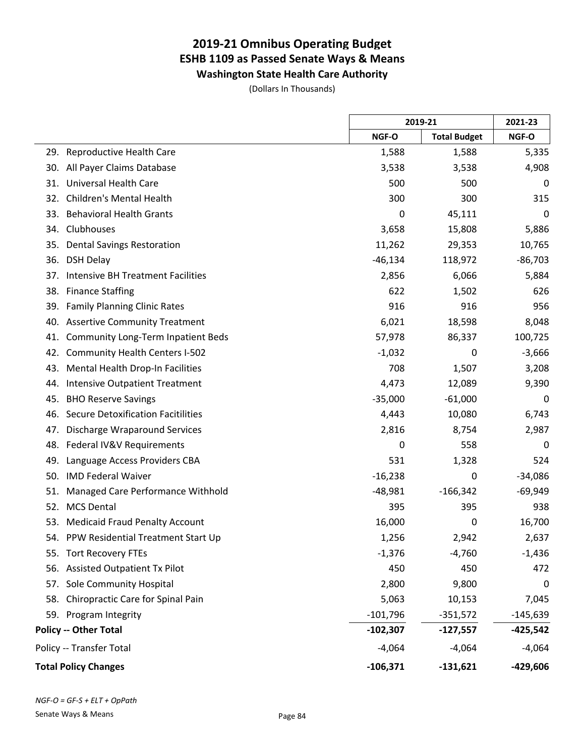**Washington State Health Care Authority**

(Dollars In Thousands)

|     |                                           |            | 2019-21             |            |
|-----|-------------------------------------------|------------|---------------------|------------|
|     |                                           | NGF-O      | <b>Total Budget</b> | NGF-O      |
| 29. | Reproductive Health Care                  | 1,588      | 1,588               | 5,335      |
| 30. | All Payer Claims Database                 | 3,538      | 3,538               | 4,908      |
| 31. | <b>Universal Health Care</b>              | 500        | 500                 | 0          |
| 32. | Children's Mental Health                  | 300        | 300                 | 315        |
| 33. | <b>Behavioral Health Grants</b>           | 0          | 45,111              | 0          |
| 34. | Clubhouses                                | 3,658      | 15,808              | 5,886      |
| 35. | <b>Dental Savings Restoration</b>         | 11,262     | 29,353              | 10,765     |
| 36. | <b>DSH Delay</b>                          | $-46,134$  | 118,972             | $-86,703$  |
| 37. | <b>Intensive BH Treatment Facilities</b>  | 2,856      | 6,066               | 5,884      |
| 38. | <b>Finance Staffing</b>                   | 622        | 1,502               | 626        |
| 39. | <b>Family Planning Clinic Rates</b>       | 916        | 916                 | 956        |
| 40. | <b>Assertive Community Treatment</b>      | 6,021      | 18,598              | 8,048      |
| 41. | <b>Community Long-Term Inpatient Beds</b> | 57,978     | 86,337              | 100,725    |
| 42. | <b>Community Health Centers I-502</b>     | $-1,032$   | 0                   | $-3,666$   |
| 43. | Mental Health Drop-In Facilities          | 708        | 1,507               | 3,208      |
| 44. | <b>Intensive Outpatient Treatment</b>     | 4,473      | 12,089              | 9,390      |
| 45. | <b>BHO Reserve Savings</b>                | $-35,000$  | $-61,000$           | 0          |
| 46. | <b>Secure Detoxification Facitilities</b> | 4,443      | 10,080              | 6,743      |
| 47. | <b>Discharge Wraparound Services</b>      | 2,816      | 8,754               | 2,987      |
| 48. | Federal IV&V Requirements                 | 0          | 558                 | 0          |
| 49. | Language Access Providers CBA             | 531        | 1,328               | 524        |
| 50. | <b>IMD Federal Waiver</b>                 | $-16,238$  | 0                   | $-34,086$  |
| 51. | Managed Care Performance Withhold         | $-48,981$  | $-166,342$          | $-69,949$  |
| 52. | <b>MCS Dental</b>                         | 395        | 395                 | 938        |
| 53. | <b>Medicaid Fraud Penalty Account</b>     | 16,000     | 0                   | 16,700     |
|     | 54. PPW Residential Treatment Start Up    | 1,256      | 2,942               | 2,637      |
|     | 55. Tort Recovery FTEs                    | $-1,376$   | $-4,760$            | $-1,436$   |
|     | 56. Assisted Outpatient Tx Pilot          | 450        | 450                 | 472        |
| 57. | Sole Community Hospital                   | 2,800      | 9,800               | 0          |
| 58. | Chiropractic Care for Spinal Pain         | 5,063      | 10,153              | 7,045      |
|     | 59. Program Integrity                     | $-101,796$ | $-351,572$          | $-145,639$ |
|     | <b>Policy -- Other Total</b>              | $-102,307$ | $-127,557$          | $-425,542$ |
|     | Policy -- Transfer Total                  | $-4,064$   | $-4,064$            | $-4,064$   |
|     | <b>Total Policy Changes</b>               | $-106,371$ | $-131,621$          | $-429,606$ |

 $\overline{a}$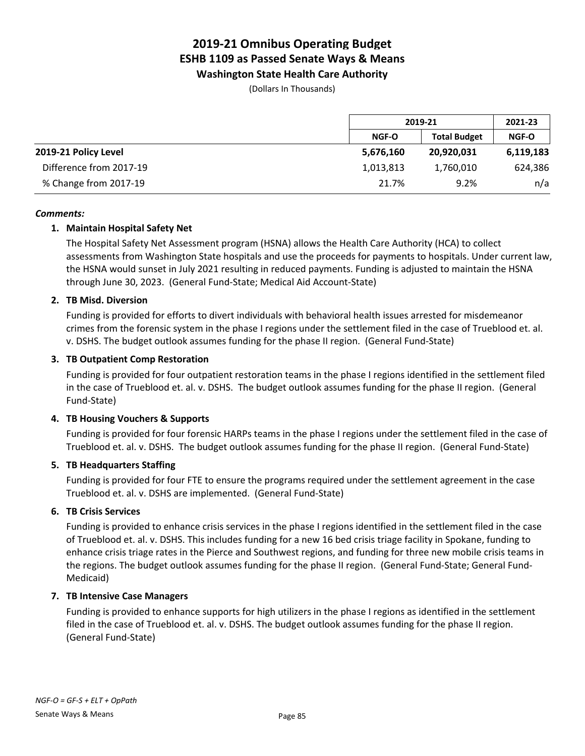**Washington State Health Care Authority**

(Dollars In Thousands)

|                         |           | 2019-21             |              |
|-------------------------|-----------|---------------------|--------------|
|                         | NGF-O     | <b>Total Budget</b> | <b>NGF-O</b> |
| 2019-21 Policy Level    | 5,676,160 | 20,920,031          | 6,119,183    |
| Difference from 2017-19 | 1,013,813 | 1,760,010           | 624,386      |
| % Change from 2017-19   | 21.7%     | 9.2%                | n/a          |

#### *Comments:*

### **1. Maintain Hospital Safety Net**

The Hospital Safety Net Assessment program (HSNA) allows the Health Care Authority (HCA) to collect assessments from Washington State hospitals and use the proceeds for payments to hospitals. Under current law, the HSNA would sunset in July 2021 resulting in reduced payments. Funding is adjusted to maintain the HSNA through June 30, 2023. (General Fund-State; Medical Aid Account-State)

#### **2. TB Misd. Diversion**

Funding is provided for efforts to divert individuals with behavioral health issues arrested for misdemeanor crimes from the forensic system in the phase I regions under the settlement filed in the case of Trueblood et. al. v. DSHS. The budget outlook assumes funding for the phase II region. (General Fund-State)

### **3. TB Outpatient Comp Restoration**

Funding is provided for four outpatient restoration teams in the phase I regions identified in the settlement filed in the case of Trueblood et. al. v. DSHS. The budget outlook assumes funding for the phase II region. (General Fund-State)

### **4. TB Housing Vouchers & Supports**

Funding is provided for four forensic HARPs teams in the phase I regions under the settlement filed in the case of Trueblood et. al. v. DSHS. The budget outlook assumes funding for the phase II region. (General Fund-State)

#### **5. TB Headquarters Staffing**

Funding is provided for four FTE to ensure the programs required under the settlement agreement in the case Trueblood et. al. v. DSHS are implemented. (General Fund-State)

### **6. TB Crisis Services**

Funding is provided to enhance crisis services in the phase I regions identified in the settlement filed in the case of Trueblood et. al. v. DSHS. This includes funding for a new 16 bed crisis triage facility in Spokane, funding to enhance crisis triage rates in the Pierce and Southwest regions, and funding for three new mobile crisis teams in the regions. The budget outlook assumes funding for the phase II region. (General Fund-State; General Fund-Medicaid)

### **7. TB Intensive Case Managers**

Funding is provided to enhance supports for high utilizers in the phase I regions as identified in the settlement filed in the case of Trueblood et. al. v. DSHS. The budget outlook assumes funding for the phase II region. (General Fund-State)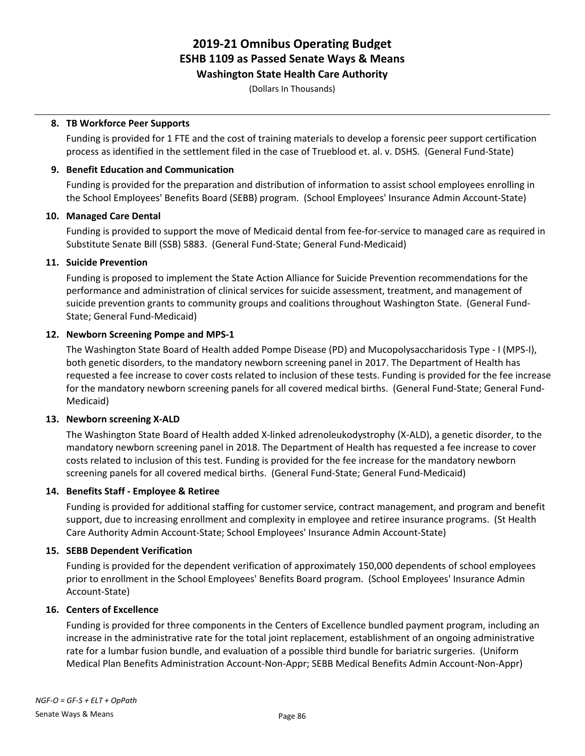**Washington State Health Care Authority**

(Dollars In Thousands)

#### **8. TB Workforce Peer Supports**

Funding is provided for 1 FTE and the cost of training materials to develop a forensic peer support certification process as identified in the settlement filed in the case of Trueblood et. al. v. DSHS. (General Fund-State)

#### **9. Benefit Education and Communication**

Funding is provided for the preparation and distribution of information to assist school employees enrolling in the School Employees' Benefits Board (SEBB) program. (School Employees' Insurance Admin Account-State)

#### **10. Managed Care Dental**

Funding is provided to support the move of Medicaid dental from fee-for-service to managed care as required in Substitute Senate Bill (SSB) 5883. (General Fund-State; General Fund-Medicaid)

#### **11. Suicide Prevention**

Funding is proposed to implement the State Action Alliance for Suicide Prevention recommendations for the performance and administration of clinical services for suicide assessment, treatment, and management of suicide prevention grants to community groups and coalitions throughout Washington State. (General Fund-State; General Fund-Medicaid)

#### **12. Newborn Screening Pompe and MPS-1**

The Washington State Board of Health added Pompe Disease (PD) and Mucopolysaccharidosis Type - I (MPS-I), both genetic disorders, to the mandatory newborn screening panel in 2017. The Department of Health has requested a fee increase to cover costs related to inclusion of these tests. Funding is provided for the fee increase for the mandatory newborn screening panels for all covered medical births. (General Fund-State; General Fund-Medicaid)

#### **13. Newborn screening X-ALD**

The Washington State Board of Health added X-linked adrenoleukodystrophy (X-ALD), a genetic disorder, to the mandatory newborn screening panel in 2018. The Department of Health has requested a fee increase to cover costs related to inclusion of this test. Funding is provided for the fee increase for the mandatory newborn screening panels for all covered medical births. (General Fund-State; General Fund-Medicaid)

### **14. Benefits Staff - Employee & Retiree**

Funding is provided for additional staffing for customer service, contract management, and program and benefit support, due to increasing enrollment and complexity in employee and retiree insurance programs. (St Health Care Authority Admin Account-State; School Employees' Insurance Admin Account-State)

### **15. SEBB Dependent Verification**

Funding is provided for the dependent verification of approximately 150,000 dependents of school employees prior to enrollment in the School Employees' Benefits Board program. (School Employees' Insurance Admin Account-State)

### **16. Centers of Excellence**

Funding is provided for three components in the Centers of Excellence bundled payment program, including an increase in the administrative rate for the total joint replacement, establishment of an ongoing administrative rate for a lumbar fusion bundle, and evaluation of a possible third bundle for bariatric surgeries. (Uniform Medical Plan Benefits Administration Account-Non-Appr; SEBB Medical Benefits Admin Account-Non-Appr)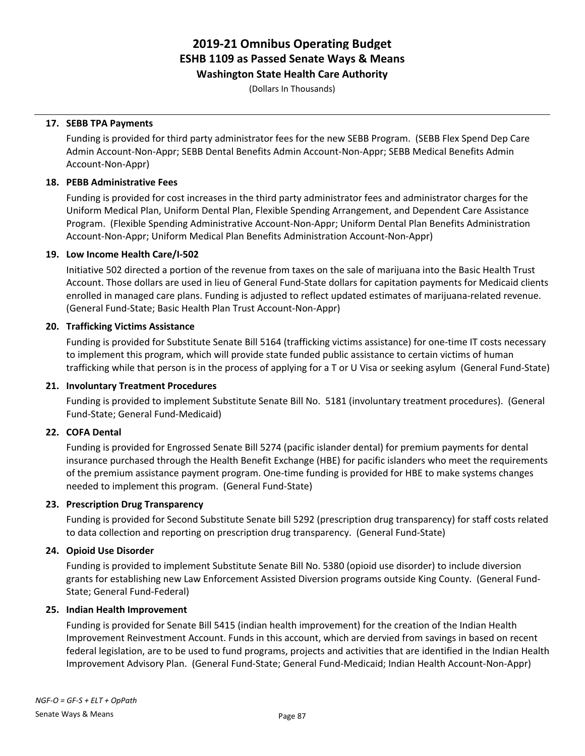**Washington State Health Care Authority**

(Dollars In Thousands)

#### **17. SEBB TPA Payments**

Funding is provided for third party administrator fees for the new SEBB Program. (SEBB Flex Spend Dep Care Admin Account-Non-Appr; SEBB Dental Benefits Admin Account-Non-Appr; SEBB Medical Benefits Admin Account-Non-Appr)

#### **18. PEBB Administrative Fees**

Funding is provided for cost increases in the third party administrator fees and administrator charges for the Uniform Medical Plan, Uniform Dental Plan, Flexible Spending Arrangement, and Dependent Care Assistance Program. (Flexible Spending Administrative Account-Non-Appr; Uniform Dental Plan Benefits Administration Account-Non-Appr; Uniform Medical Plan Benefits Administration Account-Non-Appr)

#### **19. Low Income Health Care/I-502**

Initiative 502 directed a portion of the revenue from taxes on the sale of marijuana into the Basic Health Trust Account. Those dollars are used in lieu of General Fund-State dollars for capitation payments for Medicaid clients enrolled in managed care plans. Funding is adjusted to reflect updated estimates of marijuana-related revenue. (General Fund-State; Basic Health Plan Trust Account-Non-Appr)

### **20. Trafficking Victims Assistance**

Funding is provided for Substitute Senate Bill 5164 (trafficking victims assistance) for one-time IT costs necessary to implement this program, which will provide state funded public assistance to certain victims of human trafficking while that person is in the process of applying for a T or U Visa or seeking asylum (General Fund-State)

#### **21. Involuntary Treatment Procedures**

Funding is provided to implement Substitute Senate Bill No. 5181 (involuntary treatment procedures). (General Fund-State; General Fund-Medicaid)

### **22. COFA Dental**

Funding is provided for Engrossed Senate Bill 5274 (pacific islander dental) for premium payments for dental insurance purchased through the Health Benefit Exchange (HBE) for pacific islanders who meet the requirements of the premium assistance payment program. One-time funding is provided for HBE to make systems changes needed to implement this program. (General Fund-State)

#### **23. Prescription Drug Transparency**

Funding is provided for Second Substitute Senate bill 5292 (prescription drug transparency) for staff costs related to data collection and reporting on prescription drug transparency. (General Fund-State)

#### **24. Opioid Use Disorder**

Funding is provided to implement Substitute Senate Bill No. 5380 (opioid use disorder) to include diversion grants for establishing new Law Enforcement Assisted Diversion programs outside King County. (General Fund-State; General Fund-Federal)

#### **25. Indian Health Improvement**

Funding is provided for Senate Bill 5415 (indian health improvement) for the creation of the Indian Health Improvement Reinvestment Account. Funds in this account, which are dervied from savings in based on recent federal legislation, are to be used to fund programs, projects and activities that are identified in the Indian Health Improvement Advisory Plan. (General Fund-State; General Fund-Medicaid; Indian Health Account-Non-Appr)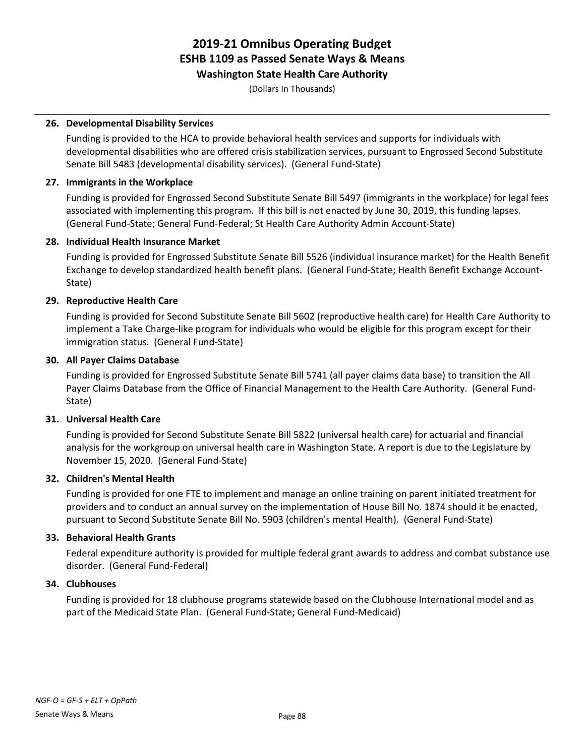# **Washington State Health Care Authority**

(Dollars In Thousands)

### **26. Developmental Disability Services**

Funding is provided to the HCA to provide behavioral health services and supports for individuals with developmental disabilities who are offered crisis stabilization services, pursuant to Engrossed Second Substitute Senate Bill 5483 (developmental disability services). (General Fund-State)

#### **27. Immigrants in the Workplace**

Funding is provided for Engrossed Second Substitute Senate Bill 5497 (immigrants in the workplace) for legal fees associated with implementing this program. If this bill is not enacted by June 30, 2019, this funding lapses. (General Fund-State; General Fund-Federal; St Health Care Authority Admin Account-State)

#### **28. Individual Health Insurance Market**

Funding is provided for Engrossed Substitute Senate Bill 5526 (individual insurance market) for the Health Benefit Exchange to develop standardized health benefit plans. (General Fund-State; Health Benefit Exchange Account-State)

#### **29. Reproductive Health Care**

Funding is provided for Second Substitute Senate Bill 5602 (reproductive health care) for Health Care Authority to implement a Take Charge-like program for individuals who would be eligible for this program except for their immigration status. (General Fund-State)

#### **30. All Payer Claims Database**

Funding is provided for Engrossed Substitute Senate Bill 5741 (all payer claims data base) to transition the All Payer Claims Database from the Office of Financial Management to the Health Care Authority. (General Fund-State)

### **31. Universal Health Care**

Funding is provided for Second Substitute Senate Bill 5822 (universal health care) for actuarial and financial analysis for the workgroup on universal health care in Washington State. A report is due to the Legislature by November 15, 2020. (General Fund-State)

### **32. Children's Mental Health**

Funding is provided for one FTE to implement and manage an online training on parent initiated treatment for providers and to conduct an annual survey on the implementation of House Bill No. 1874 should it be enacted, pursuant to Second Substitute Senate Bill No. 5903 (children's mental Health). (General Fund-State)

### **33. Behavioral Health Grants**

Federal expenditure authority is provided for multiple federal grant awards to address and combat substance use disorder. (General Fund-Federal)

#### **34. Clubhouses**

Funding is provided for 18 clubhouse programs statewide based on the Clubhouse International model and as part of the Medicaid State Plan. (General Fund-State; General Fund-Medicaid)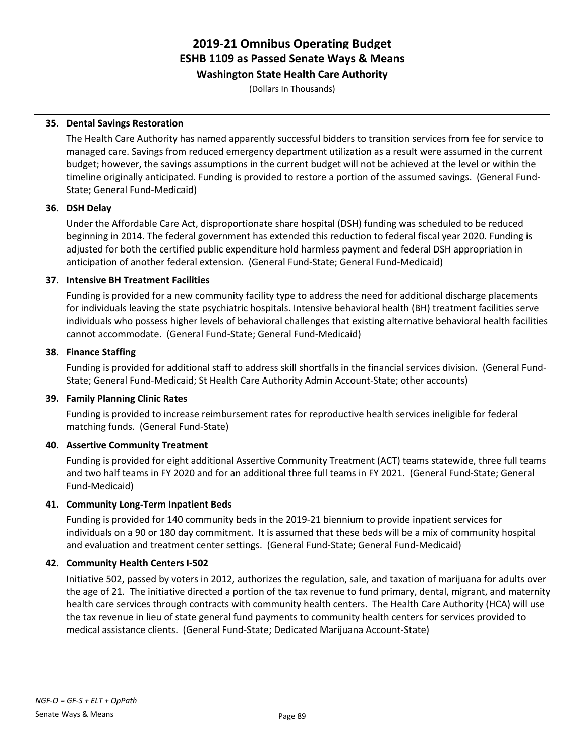**Washington State Health Care Authority**

(Dollars In Thousands)

### **35. Dental Savings Restoration**

The Health Care Authority has named apparently successful bidders to transition services from fee for service to managed care. Savings from reduced emergency department utilization as a result were assumed in the current budget; however, the savings assumptions in the current budget will not be achieved at the level or within the timeline originally anticipated. Funding is provided to restore a portion of the assumed savings. (General Fund-State; General Fund-Medicaid)

### **36. DSH Delay**

Under the Affordable Care Act, disproportionate share hospital (DSH) funding was scheduled to be reduced beginning in 2014. The federal government has extended this reduction to federal fiscal year 2020. Funding is adjusted for both the certified public expenditure hold harmless payment and federal DSH appropriation in anticipation of another federal extension. (General Fund-State; General Fund-Medicaid)

# **37. Intensive BH Treatment Facilities**

Funding is provided for a new community facility type to address the need for additional discharge placements for individuals leaving the state psychiatric hospitals. Intensive behavioral health (BH) treatment facilities serve individuals who possess higher levels of behavioral challenges that existing alternative behavioral health facilities cannot accommodate. (General Fund-State; General Fund-Medicaid)

# **38. Finance Staffing**

Funding is provided for additional staff to address skill shortfalls in the financial services division. (General Fund-State; General Fund-Medicaid; St Health Care Authority Admin Account-State; other accounts)

### **39. Family Planning Clinic Rates**

Funding is provided to increase reimbursement rates for reproductive health services ineligible for federal matching funds. (General Fund-State)

# **40. Assertive Community Treatment**

Funding is provided for eight additional Assertive Community Treatment (ACT) teams statewide, three full teams and two half teams in FY 2020 and for an additional three full teams in FY 2021. (General Fund-State; General Fund-Medicaid)

### **41. Community Long-Term Inpatient Beds**

Funding is provided for 140 community beds in the 2019-21 biennium to provide inpatient services for individuals on a 90 or 180 day commitment. It is assumed that these beds will be a mix of community hospital and evaluation and treatment center settings. (General Fund-State; General Fund-Medicaid)

### **42. Community Health Centers I-502**

Initiative 502, passed by voters in 2012, authorizes the regulation, sale, and taxation of marijuana for adults over the age of 21. The initiative directed a portion of the tax revenue to fund primary, dental, migrant, and maternity health care services through contracts with community health centers. The Health Care Authority (HCA) will use the tax revenue in lieu of state general fund payments to community health centers for services provided to medical assistance clients. (General Fund-State; Dedicated Marijuana Account-State)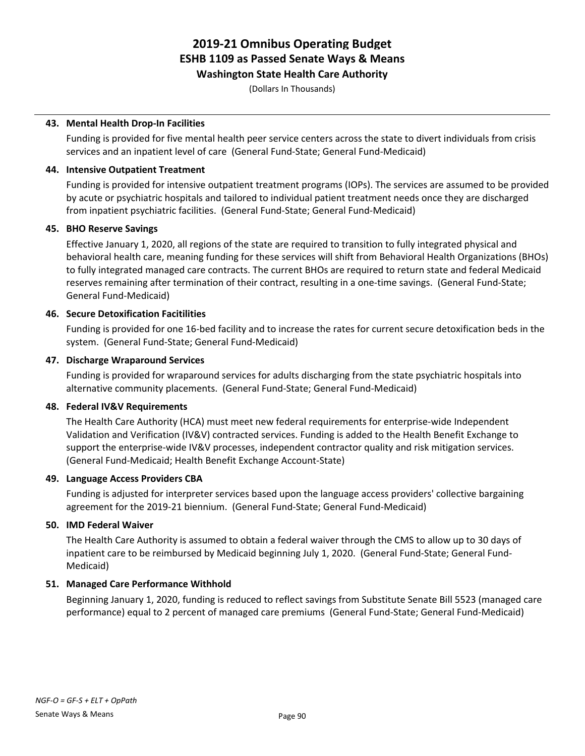**Washington State Health Care Authority**

(Dollars In Thousands)

### **43. Mental Health Drop-In Facilities**

Funding is provided for five mental health peer service centers across the state to divert individuals from crisis services and an inpatient level of care (General Fund-State; General Fund-Medicaid)

### **44. Intensive Outpatient Treatment**

Funding is provided for intensive outpatient treatment programs (IOPs). The services are assumed to be provided by acute or psychiatric hospitals and tailored to individual patient treatment needs once they are discharged from inpatient psychiatric facilities. (General Fund-State; General Fund-Medicaid)

### **45. BHO Reserve Savings**

Effective January 1, 2020, all regions of the state are required to transition to fully integrated physical and behavioral health care, meaning funding for these services will shift from Behavioral Health Organizations (BHOs) to fully integrated managed care contracts. The current BHOs are required to return state and federal Medicaid reserves remaining after termination of their contract, resulting in a one-time savings. (General Fund-State; General Fund-Medicaid)

# **46. Secure Detoxification Facitilities**

Funding is provided for one 16-bed facility and to increase the rates for current secure detoxification beds in the system. (General Fund-State; General Fund-Medicaid)

### **47. Discharge Wraparound Services**

Funding is provided for wraparound services for adults discharging from the state psychiatric hospitals into alternative community placements. (General Fund-State; General Fund-Medicaid)

### **48. Federal IV&V Requirements**

The Health Care Authority (HCA) must meet new federal requirements for enterprise-wide Independent Validation and Verification (IV&V) contracted services. Funding is added to the Health Benefit Exchange to support the enterprise-wide IV&V processes, independent contractor quality and risk mitigation services. (General Fund-Medicaid; Health Benefit Exchange Account-State)

### **49. Language Access Providers CBA**

Funding is adjusted for interpreter services based upon the language access providers' collective bargaining agreement for the 2019-21 biennium. (General Fund-State; General Fund-Medicaid)

### **50. IMD Federal Waiver**

The Health Care Authority is assumed to obtain a federal waiver through the CMS to allow up to 30 days of inpatient care to be reimbursed by Medicaid beginning July 1, 2020. (General Fund-State; General Fund-Medicaid)

### **51. Managed Care Performance Withhold**

Beginning January 1, 2020, funding is reduced to reflect savings from Substitute Senate Bill 5523 (managed care performance) equal to 2 percent of managed care premiums (General Fund-State; General Fund-Medicaid)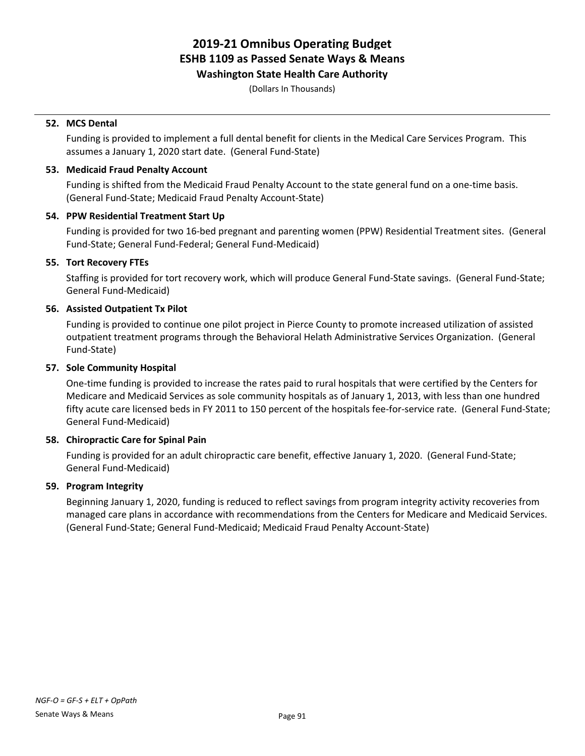#### **Washington State Health Care Authority**

(Dollars In Thousands)

### **52. MCS Dental**

Funding is provided to implement a full dental benefit for clients in the Medical Care Services Program. This assumes a January 1, 2020 start date. (General Fund-State)

#### **53. Medicaid Fraud Penalty Account**

Funding is shifted from the Medicaid Fraud Penalty Account to the state general fund on a one-time basis. (General Fund-State; Medicaid Fraud Penalty Account-State)

#### **54. PPW Residential Treatment Start Up**

Funding is provided for two 16-bed pregnant and parenting women (PPW) Residential Treatment sites. (General Fund-State; General Fund-Federal; General Fund-Medicaid)

### **55. Tort Recovery FTEs**

Staffing is provided for tort recovery work, which will produce General Fund-State savings. (General Fund-State; General Fund-Medicaid)

#### **56. Assisted Outpatient Tx Pilot**

Funding is provided to continue one pilot project in Pierce County to promote increased utilization of assisted outpatient treatment programs through the Behavioral Helath Administrative Services Organization. (General Fund-State)

#### **57. Sole Community Hospital**

One-time funding is provided to increase the rates paid to rural hospitals that were certified by the Centers for Medicare and Medicaid Services as sole community hospitals as of January 1, 2013, with less than one hundred fifty acute care licensed beds in FY 2011 to 150 percent of the hospitals fee-for-service rate. (General Fund-State; General Fund-Medicaid)

### **58. Chiropractic Care for Spinal Pain**

Funding is provided for an adult chiropractic care benefit, effective January 1, 2020. (General Fund-State; General Fund-Medicaid)

### **59. Program Integrity**

Beginning January 1, 2020, funding is reduced to reflect savings from program integrity activity recoveries from managed care plans in accordance with recommendations from the Centers for Medicare and Medicaid Services. (General Fund-State; General Fund-Medicaid; Medicaid Fraud Penalty Account-State)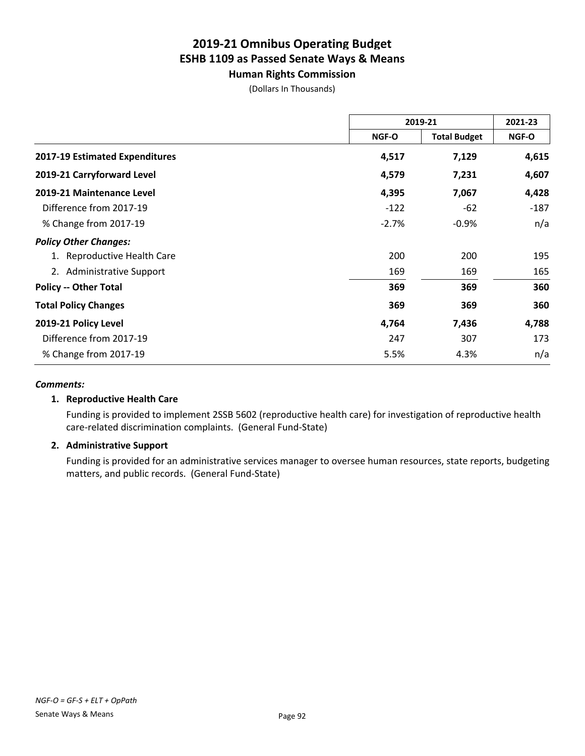**Human Rights Commission** (Dollars In Thousands)

|                                | 2019-21      |                     | 2021-23 |
|--------------------------------|--------------|---------------------|---------|
|                                | <b>NGF-O</b> | <b>Total Budget</b> | NGF-O   |
| 2017-19 Estimated Expenditures | 4,517        | 7,129               | 4,615   |
| 2019-21 Carryforward Level     | 4,579        | 7,231               | 4,607   |
| 2019-21 Maintenance Level      | 4,395        | 7,067               | 4,428   |
| Difference from 2017-19        | $-122$       | $-62$               | $-187$  |
| % Change from 2017-19          | $-2.7%$      | $-0.9%$             | n/a     |
| <b>Policy Other Changes:</b>   |              |                     |         |
| 1. Reproductive Health Care    | 200          | 200                 | 195     |
| 2. Administrative Support      | 169          | 169                 | 165     |
| <b>Policy -- Other Total</b>   | 369          | 369                 | 360     |
| <b>Total Policy Changes</b>    | 369          | 369                 | 360     |
| 2019-21 Policy Level           | 4,764        | 7,436               | 4,788   |
| Difference from 2017-19        | 247          | 307                 | 173     |
| % Change from 2017-19          | 5.5%         | 4.3%                | n/a     |

### *Comments:*

### **1. Reproductive Health Care**

Funding is provided to implement 2SSB 5602 (reproductive health care) for investigation of reproductive health care-related discrimination complaints. (General Fund-State)

### **2. Administrative Support**

Funding is provided for an administrative services manager to oversee human resources, state reports, budgeting matters, and public records. (General Fund-State)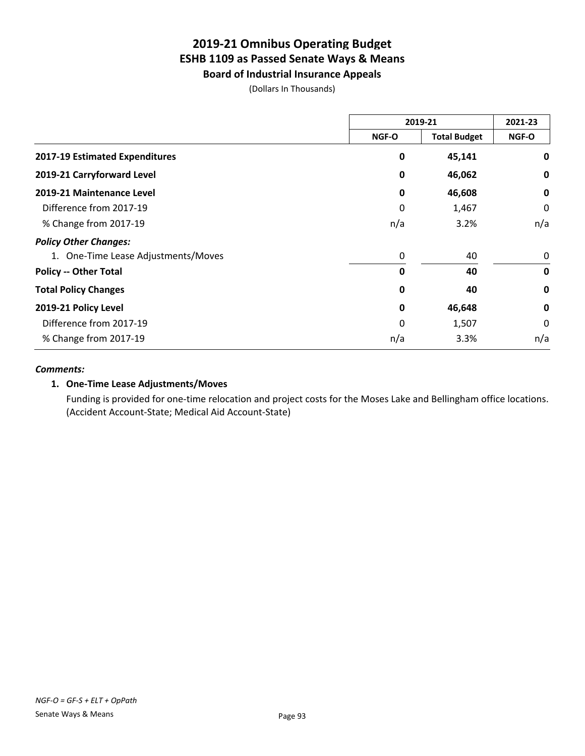**Board of Industrial Insurance Appeals**

(Dollars In Thousands)

|                                     | 2019-21     |                     | 2021-23     |
|-------------------------------------|-------------|---------------------|-------------|
|                                     | NGF-O       | <b>Total Budget</b> | NGF-O       |
| 2017-19 Estimated Expenditures      | 0           | 45,141              | 0           |
| 2019-21 Carryforward Level          | 0           | 46,062              | 0           |
| 2019-21 Maintenance Level           | $\mathbf 0$ | 46,608              | $\mathbf 0$ |
| Difference from 2017-19             | 0           | 1,467               | 0           |
| % Change from 2017-19               | n/a         | 3.2%                | n/a         |
| <b>Policy Other Changes:</b>        |             |                     |             |
| 1. One-Time Lease Adjustments/Moves | 0           | 40                  | 0           |
| <b>Policy -- Other Total</b>        | 0           | 40                  | $\mathbf 0$ |
| <b>Total Policy Changes</b>         | 0           | 40                  | $\mathbf 0$ |
| 2019-21 Policy Level                | $\mathbf 0$ | 46,648              | $\mathbf 0$ |
| Difference from 2017-19             | 0           | 1,507               | 0           |
| % Change from 2017-19               | n/a         | 3.3%                | n/a         |

#### *Comments:*

# **1. One-Time Lease Adjustments/Moves**

Funding is provided for one-time relocation and project costs for the Moses Lake and Bellingham office locations. (Accident Account-State; Medical Aid Account-State)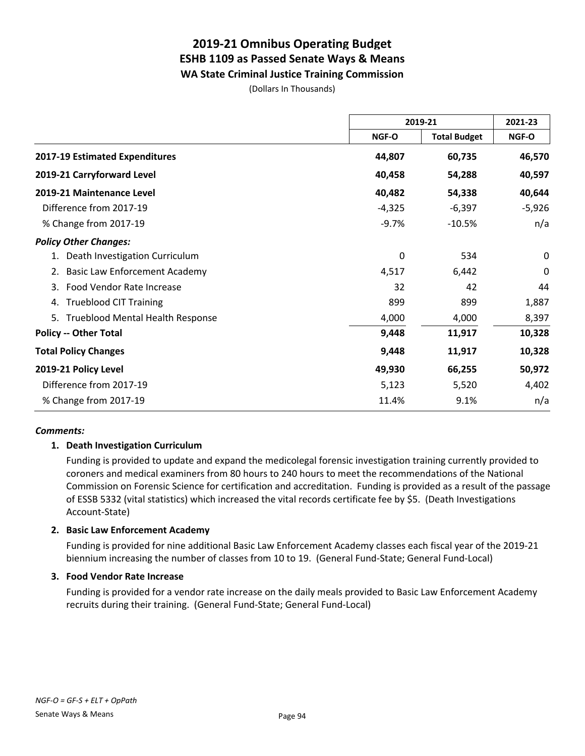**WA State Criminal Justice Training Commission**

(Dollars In Thousands)

|                                        | 2019-21  |                     | 2021-23  |  |
|----------------------------------------|----------|---------------------|----------|--|
|                                        | NGF-O    | <b>Total Budget</b> | NGF-O    |  |
| 2017-19 Estimated Expenditures         | 44,807   | 60,735              | 46,570   |  |
| 2019-21 Carryforward Level             | 40,458   | 54,288              | 40,597   |  |
| 2019-21 Maintenance Level              | 40,482   | 54,338              | 40,644   |  |
| Difference from 2017-19                | $-4,325$ | $-6,397$            | $-5,926$ |  |
| % Change from 2017-19                  | $-9.7%$  | $-10.5%$            | n/a      |  |
| <b>Policy Other Changes:</b>           |          |                     |          |  |
| Death Investigation Curriculum         | 0        | 534                 | $\Omega$ |  |
| <b>Basic Law Enforcement Academy</b>   | 4,517    | 6,442               | 0        |  |
| Food Vendor Rate Increase<br>3.        | 32       | 42                  | 44       |  |
| <b>Trueblood CIT Training</b><br>4.    | 899      | 899                 | 1,887    |  |
| Trueblood Mental Health Response<br>5. | 4,000    | 4,000               | 8,397    |  |
| <b>Policy -- Other Total</b>           | 9,448    | 11,917              | 10,328   |  |
| <b>Total Policy Changes</b>            | 9,448    | 11,917              | 10,328   |  |
| 2019-21 Policy Level                   | 49,930   | 66,255              | 50,972   |  |
| Difference from 2017-19                | 5,123    | 5,520               | 4,402    |  |
| % Change from 2017-19                  | 11.4%    | 9.1%                | n/a      |  |

### *Comments:*

### **1. Death Investigation Curriculum**

Funding is provided to update and expand the medicolegal forensic investigation training currently provided to coroners and medical examiners from 80 hours to 240 hours to meet the recommendations of the National Commission on Forensic Science for certification and accreditation. Funding is provided as a result of the passage of ESSB 5332 (vital statistics) which increased the vital records certificate fee by \$5. (Death Investigations Account-State)

### **2. Basic Law Enforcement Academy**

Funding is provided for nine additional Basic Law Enforcement Academy classes each fiscal year of the 2019-21 biennium increasing the number of classes from 10 to 19. (General Fund-State; General Fund-Local)

#### **3. Food Vendor Rate Increase**

Funding is provided for a vendor rate increase on the daily meals provided to Basic Law Enforcement Academy recruits during their training. (General Fund-State; General Fund-Local)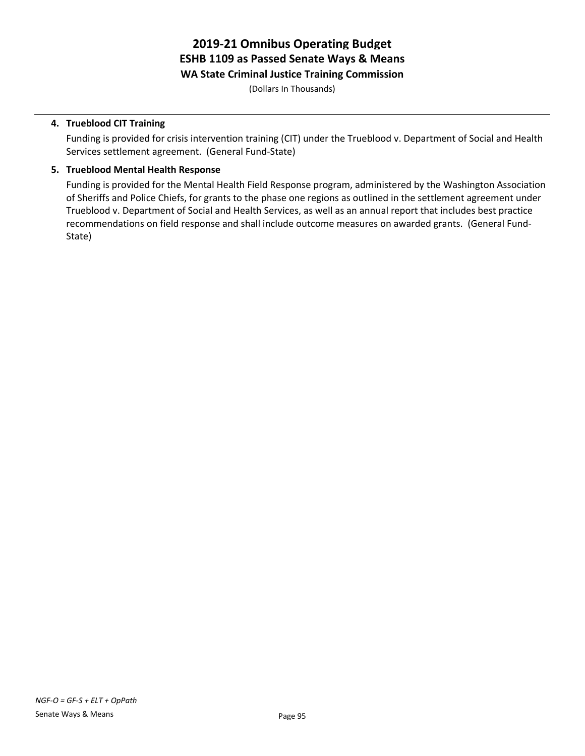# **2019-21 Omnibus Operating Budget ESHB 1109 as Passed Senate Ways & Means WA State Criminal Justice Training Commission**

(Dollars In Thousands)

### **4. Trueblood CIT Training**

Funding is provided for crisis intervention training (CIT) under the Trueblood v. Department of Social and Health Services settlement agreement. (General Fund-State)

### **5. Trueblood Mental Health Response**

Funding is provided for the Mental Health Field Response program, administered by the Washington Association of Sheriffs and Police Chiefs, for grants to the phase one regions as outlined in the settlement agreement under Trueblood v. Department of Social and Health Services, as well as an annual report that includes best practice recommendations on field response and shall include outcome measures on awarded grants. (General Fund-State)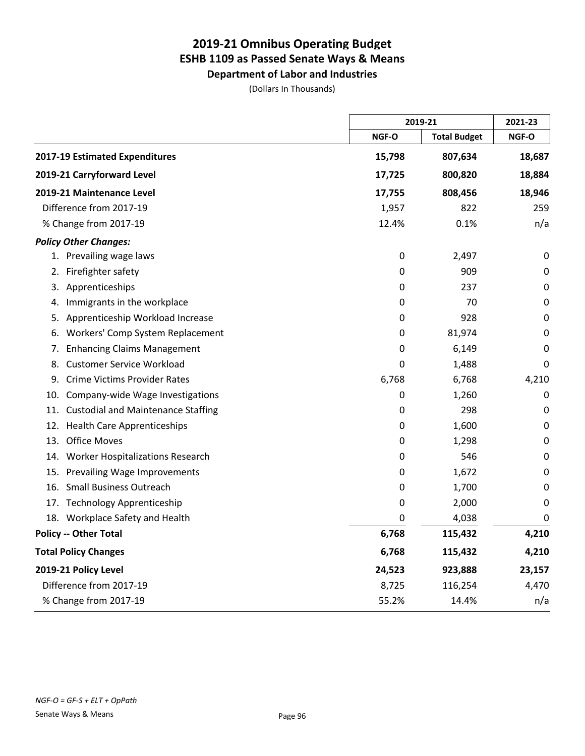**Department of Labor and Industries**

(Dollars In Thousands)

|                                                  | 2019-21 |                     | 2021-23 |
|--------------------------------------------------|---------|---------------------|---------|
|                                                  | NGF-O   | <b>Total Budget</b> | NGF-O   |
| 2017-19 Estimated Expenditures                   | 15,798  | 807,634             | 18,687  |
| 2019-21 Carryforward Level                       | 17,725  | 800,820             | 18,884  |
| 2019-21 Maintenance Level                        | 17,755  | 808,456             | 18,946  |
| Difference from 2017-19                          | 1,957   | 822                 | 259     |
| % Change from 2017-19                            | 12.4%   | 0.1%                | n/a     |
| <b>Policy Other Changes:</b>                     |         |                     |         |
| 1. Prevailing wage laws                          | 0       | 2,497               | 0       |
| Firefighter safety<br>2.                         | 0       | 909                 | 0       |
| 3. Apprenticeships                               | 0       | 237                 | 0       |
| Immigrants in the workplace<br>4.                | 0       | 70                  | 0       |
| Apprenticeship Workload Increase<br>5.           | 0       | 928                 | 0       |
| Workers' Comp System Replacement<br>6.           | 0       | 81,974              | 0       |
| <b>Enhancing Claims Management</b><br>7.         | 0       | 6,149               | 0       |
| <b>Customer Service Workload</b><br>8.           | 0       | 1,488               | 0       |
| <b>Crime Victims Provider Rates</b><br>9.        | 6,768   | 6,768               | 4,210   |
| 10. Company-wide Wage Investigations             | 0       | 1,260               | 0       |
| <b>Custodial and Maintenance Staffing</b><br>11. | 0       | 298                 | 0       |
| 12. Health Care Apprenticeships                  | 0       | 1,600               | 0       |
| <b>Office Moves</b><br>13.                       | 0       | 1,298               | 0       |
| 14. Worker Hospitalizations Research             | 0       | 546                 | 0       |
| 15. Prevailing Wage Improvements                 | 0       | 1,672               | 0       |
| 16. Small Business Outreach                      | 0       | 1,700               | 0       |
| 17. Technology Apprenticeship                    | 0       | 2,000               | 0       |
| 18. Workplace Safety and Health                  | 0       | 4,038               | 0       |
| <b>Policy -- Other Total</b>                     | 6,768   | 115,432             | 4,210   |
| <b>Total Policy Changes</b>                      | 6,768   | 115,432             | 4,210   |
| 2019-21 Policy Level                             | 24,523  | 923,888             | 23,157  |
| Difference from 2017-19                          | 8,725   | 116,254             | 4,470   |
| % Change from 2017-19                            | 55.2%   | 14.4%               | n/a     |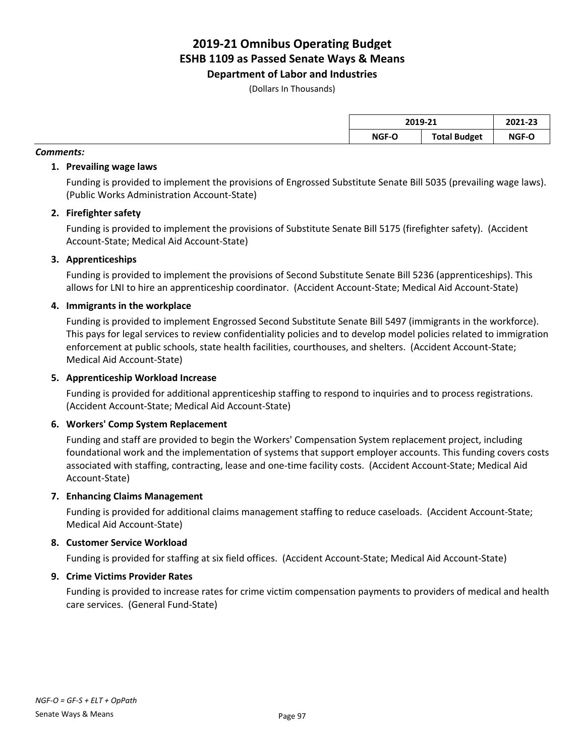**Department of Labor and Industries**

(Dollars In Thousands)

| 2019-21 |                     | 2021-23 |  |
|---------|---------------------|---------|--|
| NGF-O   | <b>Total Budget</b> | NGF-O   |  |

#### *Comments:*

### **1. Prevailing wage laws**

Funding is provided to implement the provisions of Engrossed Substitute Senate Bill 5035 (prevailing wage laws). (Public Works Administration Account-State)

# **2. Firefighter safety**

Funding is provided to implement the provisions of Substitute Senate Bill 5175 (firefighter safety). (Accident Account-State; Medical Aid Account-State)

# **3. Apprenticeships**

Funding is provided to implement the provisions of Second Substitute Senate Bill 5236 (apprenticeships). This allows for LNI to hire an apprenticeship coordinator. (Accident Account-State; Medical Aid Account-State)

# **4. Immigrants in the workplace**

Funding is provided to implement Engrossed Second Substitute Senate Bill 5497 (immigrants in the workforce). This pays for legal services to review confidentiality policies and to develop model policies related to immigration enforcement at public schools, state health facilities, courthouses, and shelters. (Accident Account-State; Medical Aid Account-State)

### **5. Apprenticeship Workload Increase**

Funding is provided for additional apprenticeship staffing to respond to inquiries and to process registrations. (Accident Account-State; Medical Aid Account-State)

### **6. Workers' Comp System Replacement**

Funding and staff are provided to begin the Workers' Compensation System replacement project, including foundational work and the implementation of systems that support employer accounts. This funding covers costs associated with staffing, contracting, lease and one-time facility costs. (Accident Account-State; Medical Aid Account-State)

### **7. Enhancing Claims Management**

Funding is provided for additional claims management staffing to reduce caseloads. (Accident Account-State; Medical Aid Account-State)

### **8. Customer Service Workload**

Funding is provided for staffing at six field offices. (Accident Account-State; Medical Aid Account-State)

### **9. Crime Victims Provider Rates**

Funding is provided to increase rates for crime victim compensation payments to providers of medical and health care services. (General Fund-State)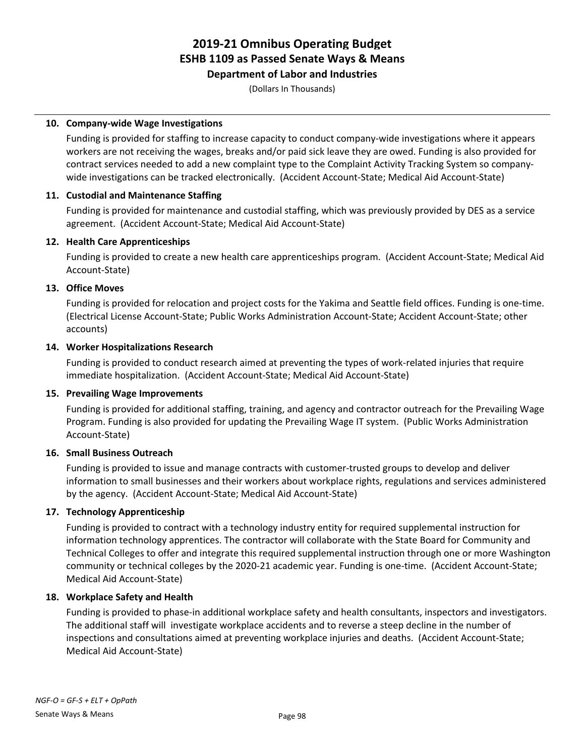**Department of Labor and Industries**

(Dollars In Thousands)

# **10. Company-wide Wage Investigations**

Funding is provided for staffing to increase capacity to conduct company-wide investigations where it appears workers are not receiving the wages, breaks and/or paid sick leave they are owed. Funding is also provided for contract services needed to add a new complaint type to the Complaint Activity Tracking System so companywide investigations can be tracked electronically. (Accident Account-State; Medical Aid Account-State)

# **11. Custodial and Maintenance Staffing**

Funding is provided for maintenance and custodial staffing, which was previously provided by DES as a service agreement. (Accident Account-State; Medical Aid Account-State)

# **12. Health Care Apprenticeships**

Funding is provided to create a new health care apprenticeships program. (Accident Account-State; Medical Aid Account-State)

# **13. Office Moves**

Funding is provided for relocation and project costs for the Yakima and Seattle field offices. Funding is one-time. (Electrical License Account-State; Public Works Administration Account-State; Accident Account-State; other accounts)

# **14. Worker Hospitalizations Research**

Funding is provided to conduct research aimed at preventing the types of work-related injuries that require immediate hospitalization. (Accident Account-State; Medical Aid Account-State)

# **15. Prevailing Wage Improvements**

Funding is provided for additional staffing, training, and agency and contractor outreach for the Prevailing Wage Program. Funding is also provided for updating the Prevailing Wage IT system. (Public Works Administration Account-State)

### **16. Small Business Outreach**

Funding is provided to issue and manage contracts with customer-trusted groups to develop and deliver information to small businesses and their workers about workplace rights, regulations and services administered by the agency. (Accident Account-State; Medical Aid Account-State)

### **17. Technology Apprenticeship**

Funding is provided to contract with a technology industry entity for required supplemental instruction for information technology apprentices. The contractor will collaborate with the State Board for Community and Technical Colleges to offer and integrate this required supplemental instruction through one or more Washington community or technical colleges by the 2020-21 academic year. Funding is one-time. (Accident Account-State; Medical Aid Account-State)

### **18. Workplace Safety and Health**

Funding is provided to phase-in additional workplace safety and health consultants, inspectors and investigators. The additional staff will investigate workplace accidents and to reverse a steep decline in the number of inspections and consultations aimed at preventing workplace injuries and deaths. (Accident Account-State; Medical Aid Account-State)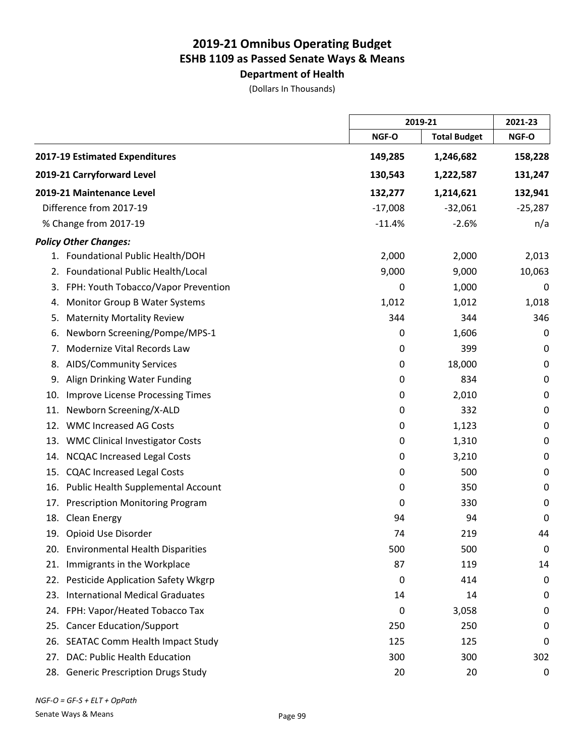# **Department of Health**

(Dollars In Thousands)

|     |                                        | 2019-21   |                     | 2021-23     |
|-----|----------------------------------------|-----------|---------------------|-------------|
|     |                                        | NGF-O     | <b>Total Budget</b> | NGF-O       |
|     | 2017-19 Estimated Expenditures         | 149,285   | 1,246,682           | 158,228     |
|     | 2019-21 Carryforward Level             | 130,543   | 1,222,587           | 131,247     |
|     | 2019-21 Maintenance Level              | 132,277   | 1,214,621           | 132,941     |
|     | Difference from 2017-19                | $-17,008$ | $-32,061$           | $-25,287$   |
|     | % Change from 2017-19                  | $-11.4%$  | $-2.6%$             | n/a         |
|     | <b>Policy Other Changes:</b>           |           |                     |             |
|     | 1. Foundational Public Health/DOH      | 2,000     | 2,000               | 2,013       |
| 2.  | Foundational Public Health/Local       | 9,000     | 9,000               | 10,063      |
| 3.  | FPH: Youth Tobacco/Vapor Prevention    | 0         | 1,000               | 0           |
| 4.  | Monitor Group B Water Systems          | 1,012     | 1,012               | 1,018       |
| 5.  | <b>Maternity Mortality Review</b>      | 344       | 344                 | 346         |
| 6.  | Newborn Screening/Pompe/MPS-1          | 0         | 1,606               | 0           |
| 7.  | Modernize Vital Records Law            | 0         | 399                 | 0           |
| 8.  | <b>AIDS/Community Services</b>         | 0         | 18,000              | $\mathbf 0$ |
| 9.  | Align Drinking Water Funding           | 0         | 834                 | $\mathbf 0$ |
| 10. | Improve License Processing Times       | 0         | 2,010               | $\mathbf 0$ |
| 11. | Newborn Screening/X-ALD                | 0         | 332                 | $\mathbf 0$ |
| 12. | <b>WMC Increased AG Costs</b>          | 0         | 1,123               | 0           |
| 13. | <b>WMC Clinical Investigator Costs</b> | 0         | 1,310               | $\mathbf 0$ |
| 14. | <b>NCQAC Increased Legal Costs</b>     | 0         | 3,210               | $\pmb{0}$   |
| 15. | <b>CQAC Increased Legal Costs</b>      | 0         | 500                 | 0           |
| 16. | Public Health Supplemental Account     | 0         | 350                 | $\mathbf 0$ |
| 17. | <b>Prescription Monitoring Program</b> | 0         | 330                 | 0           |
| 18. | <b>Clean Energy</b>                    | 94        | 94                  | 0           |
|     | 19. Opioid Use Disorder                | 74        | 219                 | 44          |
|     | 20. Environmental Health Disparities   | 500       | 500                 | 0           |
| 21. | Immigrants in the Workplace            | 87        | 119                 | 14          |
|     | 22. Pesticide Application Safety Wkgrp | 0         | 414                 | 0           |
| 23. | <b>International Medical Graduates</b> | 14        | 14                  | 0           |
| 24. | FPH: Vapor/Heated Tobacco Tax          | 0         | 3,058               | 0           |
| 25. | <b>Cancer Education/Support</b>        | 250       | 250                 | 0           |
| 26. | <b>SEATAC Comm Health Impact Study</b> | 125       | 125                 | 0           |
| 27. | DAC: Public Health Education           | 300       | 300                 | 302         |
|     | 28. Generic Prescription Drugs Study   | 20        | 20                  | 0           |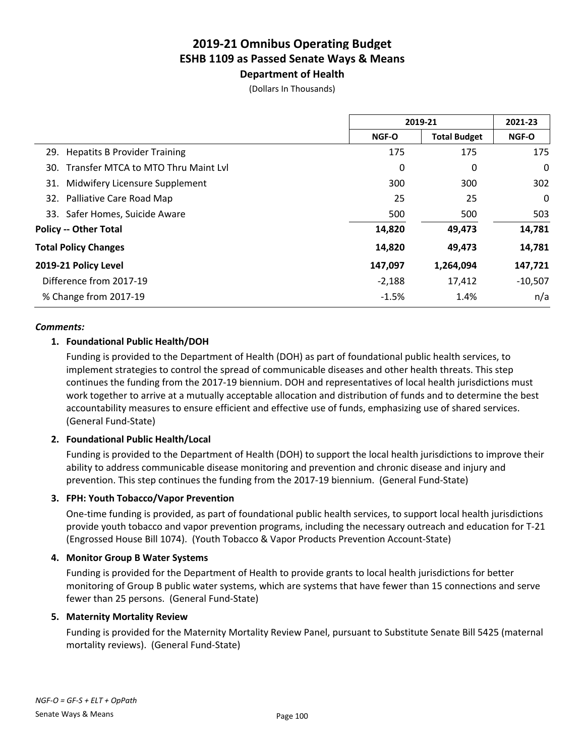# **Department of Health**

(Dollars In Thousands)

|                                         |          | 2019-21             |              |
|-----------------------------------------|----------|---------------------|--------------|
|                                         | NGF-O    | <b>Total Budget</b> | <b>NGF-O</b> |
| 29. Hepatits B Provider Training        | 175      | 175                 | 175          |
| 30. Transfer MTCA to MTO Thru Maint Lvl | 0        | 0                   | 0            |
| Midwifery Licensure Supplement<br>31.   | 300      | 300                 | 302          |
| 32. Palliative Care Road Map            | 25       | 25                  | 0            |
| 33. Safer Homes, Suicide Aware          | 500      | 500                 | 503          |
| <b>Policy -- Other Total</b>            | 14,820   | 49,473              | 14,781       |
| <b>Total Policy Changes</b>             | 14,820   | 49,473              | 14,781       |
| 2019-21 Policy Level                    | 147,097  | 1,264,094           | 147,721      |
| Difference from 2017-19                 | $-2,188$ | 17,412              | $-10,507$    |
| % Change from 2017-19                   | $-1.5%$  | 1.4%                | n/a          |
|                                         |          |                     |              |

#### *Comments:*

### **1. Foundational Public Health/DOH**

Funding is provided to the Department of Health (DOH) as part of foundational public health services, to implement strategies to control the spread of communicable diseases and other health threats. This step continues the funding from the 2017-19 biennium. DOH and representatives of local health jurisdictions must work together to arrive at a mutually acceptable allocation and distribution of funds and to determine the best accountability measures to ensure efficient and effective use of funds, emphasizing use of shared services. (General Fund-State)

### **2. Foundational Public Health/Local**

Funding is provided to the Department of Health (DOH) to support the local health jurisdictions to improve their ability to address communicable disease monitoring and prevention and chronic disease and injury and prevention. This step continues the funding from the 2017-19 biennium. (General Fund-State)

### **3. FPH: Youth Tobacco/Vapor Prevention**

One-time funding is provided, as part of foundational public health services, to support local health jurisdictions provide youth tobacco and vapor prevention programs, including the necessary outreach and education for T-21 (Engrossed House Bill 1074). (Youth Tobacco & Vapor Products Prevention Account-State)

### **4. Monitor Group B Water Systems**

Funding is provided for the Department of Health to provide grants to local health jurisdictions for better monitoring of Group B public water systems, which are systems that have fewer than 15 connections and serve fewer than 25 persons. (General Fund-State)

### **5. Maternity Mortality Review**

Funding is provided for the Maternity Mortality Review Panel, pursuant to Substitute Senate Bill 5425 (maternal mortality reviews). (General Fund-State)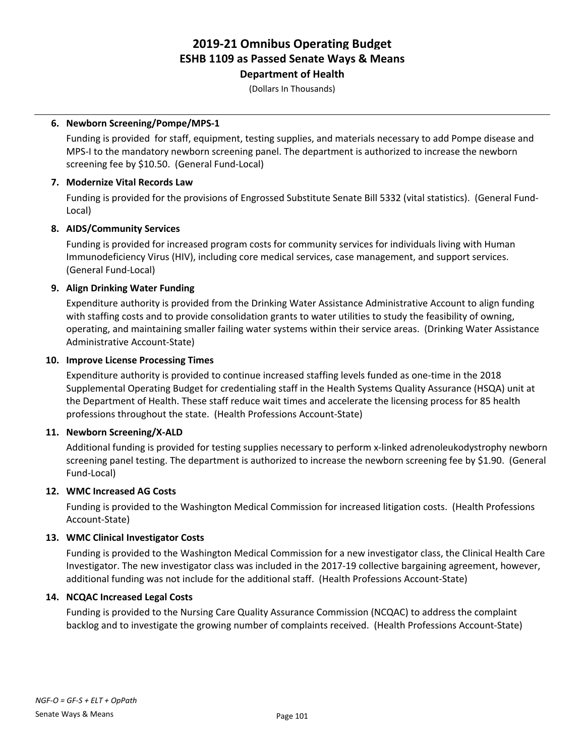# **Department of Health**

(Dollars In Thousands)

### **6. Newborn Screening/Pompe/MPS-1**

Funding is provided for staff, equipment, testing supplies, and materials necessary to add Pompe disease and MPS-I to the mandatory newborn screening panel. The department is authorized to increase the newborn screening fee by \$10.50. (General Fund-Local)

### **7. Modernize Vital Records Law**

Funding is provided for the provisions of Engrossed Substitute Senate Bill 5332 (vital statistics). (General Fund-Local)

# **8. AIDS/Community Services**

Funding is provided for increased program costs for community services for individuals living with Human Immunodeficiency Virus (HIV), including core medical services, case management, and support services. (General Fund-Local)

# **9. Align Drinking Water Funding**

Expenditure authority is provided from the Drinking Water Assistance Administrative Account to align funding with staffing costs and to provide consolidation grants to water utilities to study the feasibility of owning, operating, and maintaining smaller failing water systems within their service areas. (Drinking Water Assistance Administrative Account-State)

### **10. Improve License Processing Times**

Expenditure authority is provided to continue increased staffing levels funded as one-time in the 2018 Supplemental Operating Budget for credentialing staff in the Health Systems Quality Assurance (HSQA) unit at the Department of Health. These staff reduce wait times and accelerate the licensing process for 85 health professions throughout the state. (Health Professions Account-State)

### **11. Newborn Screening/X-ALD**

Additional funding is provided for testing supplies necessary to perform x-linked adrenoleukodystrophy newborn screening panel testing. The department is authorized to increase the newborn screening fee by \$1.90. (General Fund-Local)

### **12. WMC Increased AG Costs**

Funding is provided to the Washington Medical Commission for increased litigation costs. (Health Professions Account-State)

### **13. WMC Clinical Investigator Costs**

Funding is provided to the Washington Medical Commission for a new investigator class, the Clinical Health Care Investigator. The new investigator class was included in the 2017-19 collective bargaining agreement, however, additional funding was not include for the additional staff. (Health Professions Account-State)

### **14. NCQAC Increased Legal Costs**

Funding is provided to the Nursing Care Quality Assurance Commission (NCQAC) to address the complaint backlog and to investigate the growing number of complaints received. (Health Professions Account-State)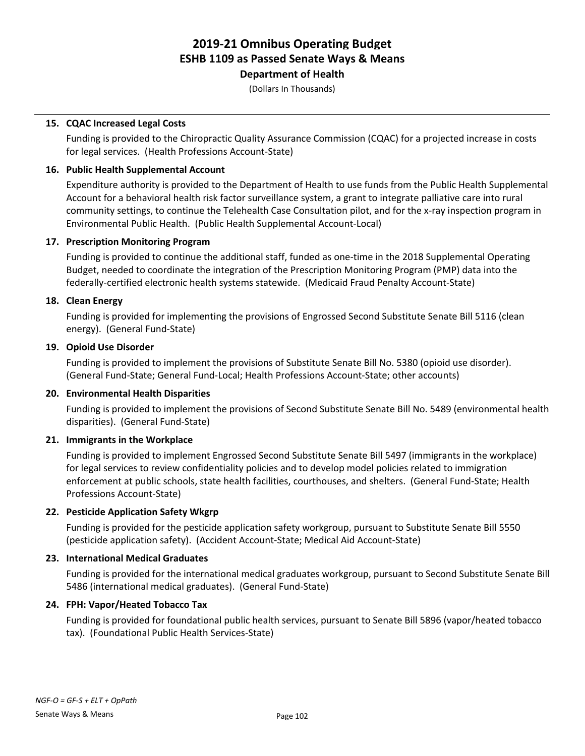# **Department of Health**

(Dollars In Thousands)

# **15. CQAC Increased Legal Costs**

Funding is provided to the Chiropractic Quality Assurance Commission (CQAC) for a projected increase in costs for legal services. (Health Professions Account-State)

### **16. Public Health Supplemental Account**

Expenditure authority is provided to the Department of Health to use funds from the Public Health Supplemental Account for a behavioral health risk factor surveillance system, a grant to integrate palliative care into rural community settings, to continue the Telehealth Case Consultation pilot, and for the x-ray inspection program in Environmental Public Health. (Public Health Supplemental Account-Local)

### **17. Prescription Monitoring Program**

Funding is provided to continue the additional staff, funded as one-time in the 2018 Supplemental Operating Budget, needed to coordinate the integration of the Prescription Monitoring Program (PMP) data into the federally-certified electronic health systems statewide. (Medicaid Fraud Penalty Account-State)

# **18. Clean Energy**

Funding is provided for implementing the provisions of Engrossed Second Substitute Senate Bill 5116 (clean energy). (General Fund-State)

### **19. Opioid Use Disorder**

Funding is provided to implement the provisions of Substitute Senate Bill No. 5380 (opioid use disorder). (General Fund-State; General Fund-Local; Health Professions Account-State; other accounts)

### **20. Environmental Health Disparities**

Funding is provided to implement the provisions of Second Substitute Senate Bill No. 5489 (environmental health disparities). (General Fund-State)

### **21. Immigrants in the Workplace**

Funding is provided to implement Engrossed Second Substitute Senate Bill 5497 (immigrants in the workplace) for legal services to review confidentiality policies and to develop model policies related to immigration enforcement at public schools, state health facilities, courthouses, and shelters. (General Fund-State; Health Professions Account-State)

### **22. Pesticide Application Safety Wkgrp**

Funding is provided for the pesticide application safety workgroup, pursuant to Substitute Senate Bill 5550 (pesticide application safety). (Accident Account-State; Medical Aid Account-State)

### **23. International Medical Graduates**

Funding is provided for the international medical graduates workgroup, pursuant to Second Substitute Senate Bill 5486 (international medical graduates). (General Fund-State)

### **24. FPH: Vapor/Heated Tobacco Tax**

Funding is provided for foundational public health services, pursuant to Senate Bill 5896 (vapor/heated tobacco tax). (Foundational Public Health Services-State)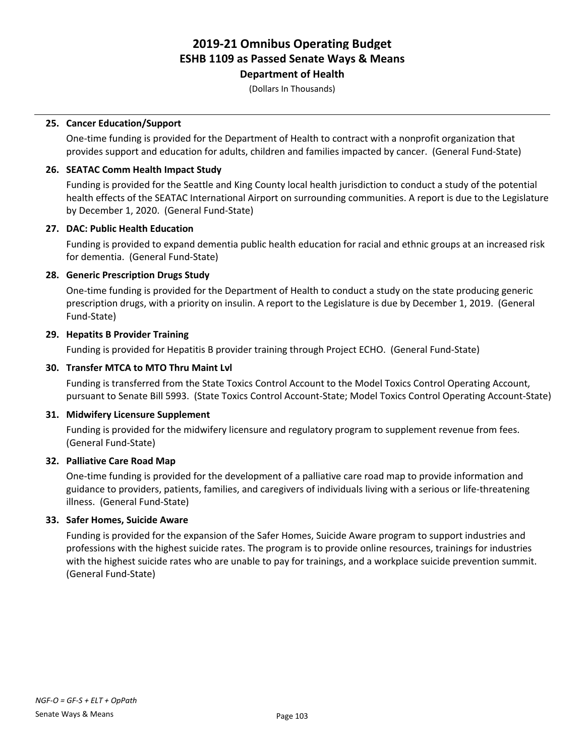**Department of Health**

(Dollars In Thousands)

### **25. Cancer Education/Support**

One-time funding is provided for the Department of Health to contract with a nonprofit organization that provides support and education for adults, children and families impacted by cancer. (General Fund-State)

#### **26. SEATAC Comm Health Impact Study**

Funding is provided for the Seattle and King County local health jurisdiction to conduct a study of the potential health effects of the SEATAC International Airport on surrounding communities. A report is due to the Legislature by December 1, 2020. (General Fund-State)

#### **27. DAC: Public Health Education**

Funding is provided to expand dementia public health education for racial and ethnic groups at an increased risk for dementia. (General Fund-State)

#### **28. Generic Prescription Drugs Study**

One-time funding is provided for the Department of Health to conduct a study on the state producing generic prescription drugs, with a priority on insulin. A report to the Legislature is due by December 1, 2019. (General Fund-State)

#### **29. Hepatits B Provider Training**

Funding is provided for Hepatitis B provider training through Project ECHO. (General Fund-State)

#### **30. Transfer MTCA to MTO Thru Maint Lvl**

Funding is transferred from the State Toxics Control Account to the Model Toxics Control Operating Account, pursuant to Senate Bill 5993. (State Toxics Control Account-State; Model Toxics Control Operating Account-State)

#### **31. Midwifery Licensure Supplement**

Funding is provided for the midwifery licensure and regulatory program to supplement revenue from fees. (General Fund-State)

#### **32. Palliative Care Road Map**

One-time funding is provided for the development of a palliative care road map to provide information and guidance to providers, patients, families, and caregivers of individuals living with a serious or life-threatening illness. (General Fund-State)

#### **33. Safer Homes, Suicide Aware**

Funding is provided for the expansion of the Safer Homes, Suicide Aware program to support industries and professions with the highest suicide rates. The program is to provide online resources, trainings for industries with the highest suicide rates who are unable to pay for trainings, and a workplace suicide prevention summit. (General Fund-State)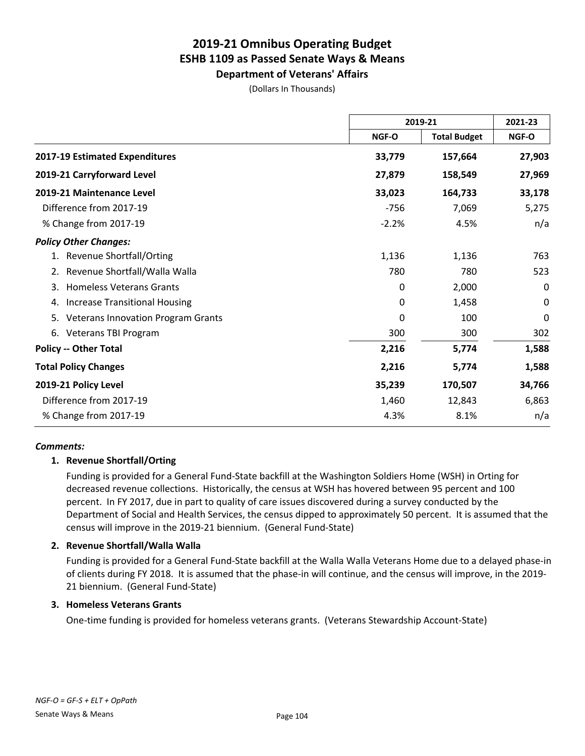**Department of Veterans' Affairs** (Dollars In Thousands)

|                                                 |              | 2019-21             |             |
|-------------------------------------------------|--------------|---------------------|-------------|
|                                                 | NGF-O        | <b>Total Budget</b> | NGF-O       |
| 2017-19 Estimated Expenditures                  | 33,779       | 157,664             | 27,903      |
| 2019-21 Carryforward Level                      | 27,879       | 158,549             | 27,969      |
| 2019-21 Maintenance Level                       | 33,023       | 164,733             | 33,178      |
| Difference from 2017-19                         | $-756$       | 7,069               | 5,275       |
| % Change from 2017-19                           | $-2.2%$      | 4.5%                | n/a         |
| <b>Policy Other Changes:</b>                    |              |                     |             |
| 1. Revenue Shortfall/Orting                     | 1,136        | 1,136               | 763         |
| Revenue Shortfall/Walla Walla<br>2.             | 780          | 780                 | 523         |
| <b>Homeless Veterans Grants</b><br>3.           | $\mathbf{0}$ | 2,000               | 0           |
| <b>Increase Transitional Housing</b><br>4.      | 0            | 1,458               | $\mathbf 0$ |
| <b>Veterans Innovation Program Grants</b><br>5. | 0            | 100                 | 0           |
| 6. Veterans TBI Program                         | 300          | 300                 | 302         |
| <b>Policy -- Other Total</b>                    | 2,216        | 5,774               | 1,588       |
| <b>Total Policy Changes</b>                     | 2,216        | 5,774               | 1,588       |
| 2019-21 Policy Level                            | 35,239       | 170,507             | 34,766      |
| Difference from 2017-19                         | 1,460        | 12,843              | 6,863       |
| % Change from 2017-19                           | 4.3%         | 8.1%                | n/a         |

### *Comments:*

### **1. Revenue Shortfall/Orting**

Funding is provided for a General Fund-State backfill at the Washington Soldiers Home (WSH) in Orting for decreased revenue collections. Historically, the census at WSH has hovered between 95 percent and 100 percent. In FY 2017, due in part to quality of care issues discovered during a survey conducted by the Department of Social and Health Services, the census dipped to approximately 50 percent. It is assumed that the census will improve in the 2019-21 biennium. (General Fund-State)

#### **2. Revenue Shortfall/Walla Walla**

Funding is provided for a General Fund-State backfill at the Walla Walla Veterans Home due to a delayed phase-in of clients during FY 2018. It is assumed that the phase-in will continue, and the census will improve, in the 2019- 21 biennium. (General Fund-State)

#### **3. Homeless Veterans Grants**

One-time funding is provided for homeless veterans grants. (Veterans Stewardship Account-State)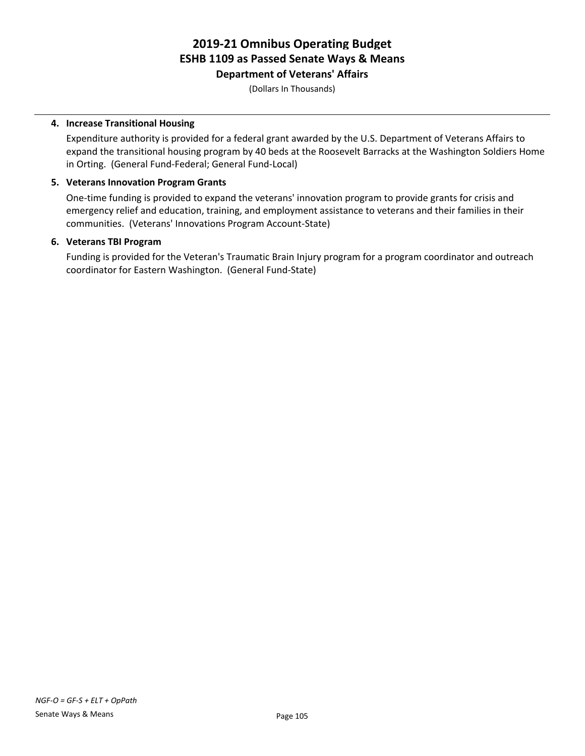**Department of Veterans' Affairs**

(Dollars In Thousands)

### **4. Increase Transitional Housing**

Expenditure authority is provided for a federal grant awarded by the U.S. Department of Veterans Affairs to expand the transitional housing program by 40 beds at the Roosevelt Barracks at the Washington Soldiers Home in Orting. (General Fund-Federal; General Fund-Local)

### **5. Veterans Innovation Program Grants**

One-time funding is provided to expand the veterans' innovation program to provide grants for crisis and emergency relief and education, training, and employment assistance to veterans and their families in their communities. (Veterans' Innovations Program Account-State)

# **6. Veterans TBI Program**

Funding is provided for the Veteran's Traumatic Brain Injury program for a program coordinator and outreach coordinator for Eastern Washington. (General Fund-State)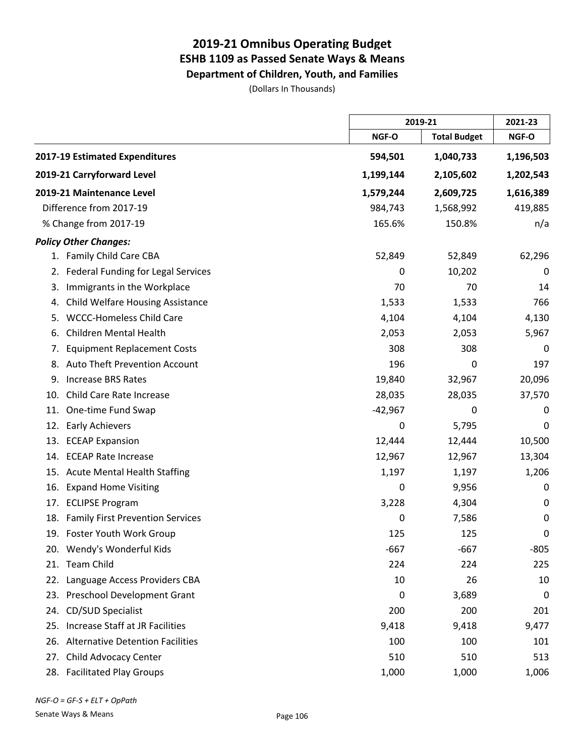**Department of Children, Youth, and Families**

(Dollars In Thousands)

|                                                |           | 2019-21             |           |
|------------------------------------------------|-----------|---------------------|-----------|
|                                                | NGF-O     | <b>Total Budget</b> | NGF-O     |
| 2017-19 Estimated Expenditures                 | 594,501   | 1,040,733           | 1,196,503 |
| 2019-21 Carryforward Level                     | 1,199,144 | 2,105,602           | 1,202,543 |
| 2019-21 Maintenance Level                      | 1,579,244 | 2,609,725           | 1,616,389 |
| Difference from 2017-19                        | 984,743   | 1,568,992           | 419,885   |
| % Change from 2017-19                          | 165.6%    | 150.8%              | n/a       |
| <b>Policy Other Changes:</b>                   |           |                     |           |
| 1. Family Child Care CBA                       | 52,849    | 52,849              | 62,296    |
| Federal Funding for Legal Services<br>2.       | 0         | 10,202              | 0         |
| Immigrants in the Workplace<br>3.              | 70        | 70                  | 14        |
| <b>Child Welfare Housing Assistance</b><br>4.  | 1,533     | 1,533               | 766       |
| <b>WCCC-Homeless Child Care</b><br>5.          | 4,104     | 4,104               | 4,130     |
| <b>Children Mental Health</b><br>6.            | 2,053     | 2,053               | 5,967     |
| <b>Equipment Replacement Costs</b><br>7.       | 308       | 308                 | 0         |
| <b>Auto Theft Prevention Account</b><br>8.     | 196       | 0                   | 197       |
| <b>Increase BRS Rates</b><br>9.                | 19,840    | 32,967              | 20,096    |
| Child Care Rate Increase<br>10.                | 28,035    | 28,035              | 37,570    |
| One-time Fund Swap<br>11.                      | $-42,967$ | 0                   | 0         |
| <b>Early Achievers</b><br>12.                  | 0         | 5,795               | 0         |
| <b>ECEAP Expansion</b><br>13.                  | 12,444    | 12,444              | 10,500    |
| <b>ECEAP Rate Increase</b><br>14.              | 12,967    | 12,967              | 13,304    |
| <b>Acute Mental Health Staffing</b><br>15.     | 1,197     | 1,197               | 1,206     |
| <b>Expand Home Visiting</b><br>16.             | 0         | 9,956               | 0         |
| <b>ECLIPSE Program</b><br>17.                  | 3,228     | 4,304               | 0         |
| <b>Family First Prevention Services</b><br>18. | 0         | 7,586               | 0         |
| 19. Foster Youth Work Group                    | 125       | 125                 | 0         |
| 20. Wendy's Wonderful Kids                     | $-667$    | $-667$              | $-805$    |
| 21. Team Child                                 | 224       | 224                 | 225       |
| 22. Language Access Providers CBA              | 10        | 26                  | 10        |
| 23. Preschool Development Grant                | 0         | 3,689               | 0         |
| CD/SUD Specialist<br>24.                       | 200       | 200                 | 201       |
| 25. Increase Staff at JR Facilities            | 9,418     | 9,418               | 9,477     |
| 26. Alternative Detention Facilities           | 100       | 100                 | 101       |
| Child Advocacy Center<br>27.                   | 510       | 510                 | 513       |
| 28. Facilitated Play Groups                    | 1,000     | 1,000               | 1,006     |

*NGF-O = GF-S + ELT + OpPath*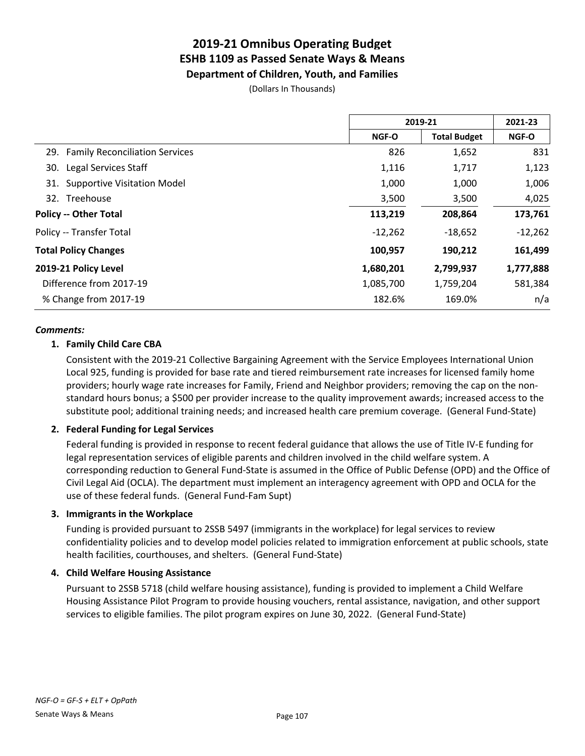**Department of Children, Youth, and Families**

(Dollars In Thousands)

|                                    | 2019-21   |                     | 2021-23      |  |
|------------------------------------|-----------|---------------------|--------------|--|
|                                    | NGF-O     | <b>Total Budget</b> | <b>NGF-O</b> |  |
| 29. Family Reconciliation Services | 826       | 1,652               | 831          |  |
| Legal Services Staff<br>30.        | 1,116     | 1,717               | 1,123        |  |
| 31. Supportive Visitation Model    | 1,000     | 1,000               | 1,006        |  |
| 32. Treehouse                      | 3,500     | 3,500               | 4,025        |  |
| <b>Policy -- Other Total</b>       | 113,219   | 208,864             | 173,761      |  |
| Policy -- Transfer Total           | $-12,262$ | $-18,652$           | $-12,262$    |  |
| <b>Total Policy Changes</b>        | 100,957   | 190,212             | 161,499      |  |
| 2019-21 Policy Level               | 1,680,201 | 2,799,937           | 1,777,888    |  |
| Difference from 2017-19            | 1,085,700 | 1,759,204           | 581,384      |  |
| % Change from 2017-19              | 182.6%    | 169.0%              | n/a          |  |

#### *Comments:*

### **1. Family Child Care CBA**

Consistent with the 2019-21 Collective Bargaining Agreement with the Service Employees International Union Local 925, funding is provided for base rate and tiered reimbursement rate increases for licensed family home providers; hourly wage rate increases for Family, Friend and Neighbor providers; removing the cap on the nonstandard hours bonus; a \$500 per provider increase to the quality improvement awards; increased access to the substitute pool; additional training needs; and increased health care premium coverage. (General Fund-State)

#### **2. Federal Funding for Legal Services**

Federal funding is provided in response to recent federal guidance that allows the use of Title IV-E funding for legal representation services of eligible parents and children involved in the child welfare system. A corresponding reduction to General Fund-State is assumed in the Office of Public Defense (OPD) and the Office of Civil Legal Aid (OCLA). The department must implement an interagency agreement with OPD and OCLA for the use of these federal funds. (General Fund-Fam Supt)

#### **3. Immigrants in the Workplace**

Funding is provided pursuant to 2SSB 5497 (immigrants in the workplace) for legal services to review confidentiality policies and to develop model policies related to immigration enforcement at public schools, state health facilities, courthouses, and shelters. (General Fund-State)

### **4. Child Welfare Housing Assistance**

Pursuant to 2SSB 5718 (child welfare housing assistance), funding is provided to implement a Child Welfare Housing Assistance Pilot Program to provide housing vouchers, rental assistance, navigation, and other support services to eligible families. The pilot program expires on June 30, 2022. (General Fund-State)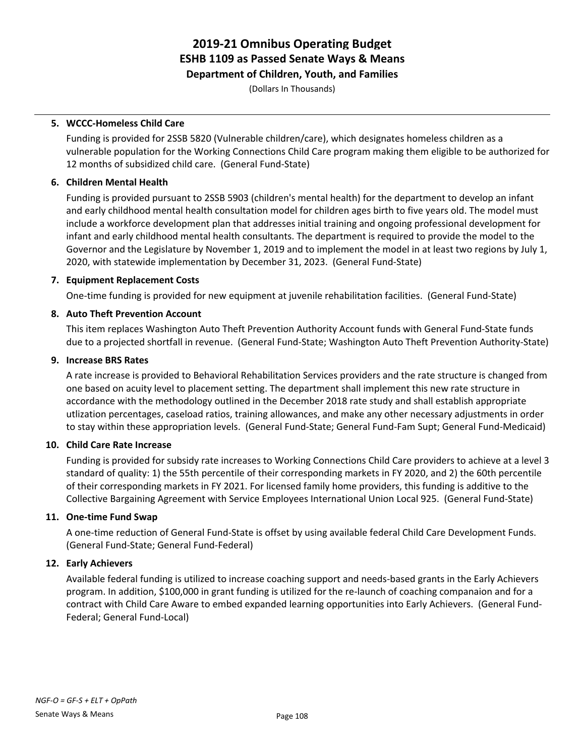**Department of Children, Youth, and Families**

(Dollars In Thousands)

### **5. WCCC-Homeless Child Care**

Funding is provided for 2SSB 5820 (Vulnerable children/care), which designates homeless children as a vulnerable population for the Working Connections Child Care program making them eligible to be authorized for 12 months of subsidized child care. (General Fund-State)

### **6. Children Mental Health**

Funding is provided pursuant to 2SSB 5903 (children's mental health) for the department to develop an infant and early childhood mental health consultation model for children ages birth to five years old. The model must include a workforce development plan that addresses initial training and ongoing professional development for infant and early childhood mental health consultants. The department is required to provide the model to the Governor and the Legislature by November 1, 2019 and to implement the model in at least two regions by July 1, 2020, with statewide implementation by December 31, 2023. (General Fund-State)

### **7. Equipment Replacement Costs**

One-time funding is provided for new equipment at juvenile rehabilitation facilities. (General Fund-State)

### **8. Auto Theft Prevention Account**

This item replaces Washington Auto Theft Prevention Authority Account funds with General Fund-State funds due to a projected shortfall in revenue. (General Fund-State; Washington Auto Theft Prevention Authority-State)

### **9. Increase BRS Rates**

A rate increase is provided to Behavioral Rehabilitation Services providers and the rate structure is changed from one based on acuity level to placement setting. The department shall implement this new rate structure in accordance with the methodology outlined in the December 2018 rate study and shall establish appropriate utlization percentages, caseload ratios, training allowances, and make any other necessary adjustments in order to stay within these appropriation levels. (General Fund-State; General Fund-Fam Supt; General Fund-Medicaid)

### **10. Child Care Rate Increase**

Funding is provided for subsidy rate increases to Working Connections Child Care providers to achieve at a level 3 standard of quality: 1) the 55th percentile of their corresponding markets in FY 2020, and 2) the 60th percentile of their corresponding markets in FY 2021. For licensed family home providers, this funding is additive to the Collective Bargaining Agreement with Service Employees International Union Local 925. (General Fund-State)

### **11. One-time Fund Swap**

A one-time reduction of General Fund-State is offset by using available federal Child Care Development Funds. (General Fund-State; General Fund-Federal)

### **12. Early Achievers**

Available federal funding is utilized to increase coaching support and needs-based grants in the Early Achievers program. In addition, \$100,000 in grant funding is utilized for the re-launch of coaching companaion and for a contract with Child Care Aware to embed expanded learning opportunities into Early Achievers. (General Fund-Federal; General Fund-Local)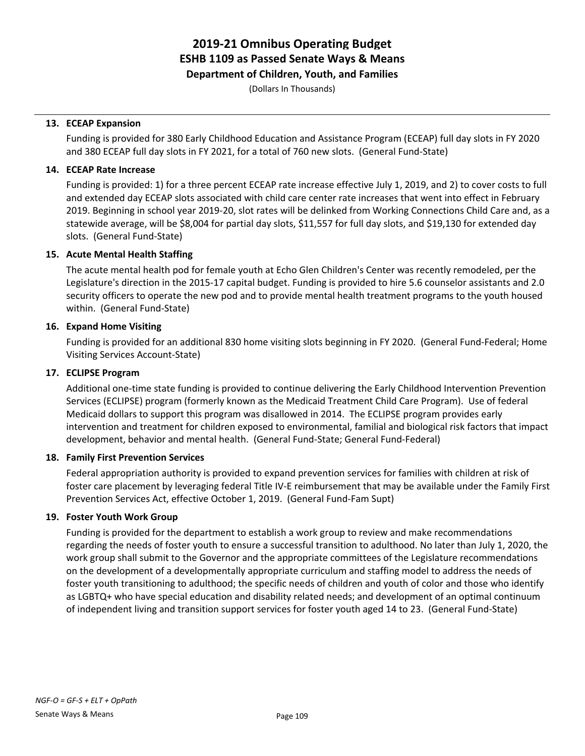**Department of Children, Youth, and Families**

(Dollars In Thousands)

### **13. ECEAP Expansion**

Funding is provided for 380 Early Childhood Education and Assistance Program (ECEAP) full day slots in FY 2020 and 380 ECEAP full day slots in FY 2021, for a total of 760 new slots. (General Fund-State)

### **14. ECEAP Rate Increase**

Funding is provided: 1) for a three percent ECEAP rate increase effective July 1, 2019, and 2) to cover costs to full and extended day ECEAP slots associated with child care center rate increases that went into effect in February 2019. Beginning in school year 2019-20, slot rates will be delinked from Working Connections Child Care and, as a statewide average, will be \$8,004 for partial day slots, \$11,557 for full day slots, and \$19,130 for extended day slots. (General Fund-State)

### **15. Acute Mental Health Staffing**

The acute mental health pod for female youth at Echo Glen Children's Center was recently remodeled, per the Legislature's direction in the 2015-17 capital budget. Funding is provided to hire 5.6 counselor assistants and 2.0 security officers to operate the new pod and to provide mental health treatment programs to the youth housed within. (General Fund-State)

### **16. Expand Home Visiting**

Funding is provided for an additional 830 home visiting slots beginning in FY 2020. (General Fund-Federal; Home Visiting Services Account-State)

### **17. ECLIPSE Program**

Additional one-time state funding is provided to continue delivering the Early Childhood Intervention Prevention Services (ECLIPSE) program (formerly known as the Medicaid Treatment Child Care Program). Use of federal Medicaid dollars to support this program was disallowed in 2014. The ECLIPSE program provides early intervention and treatment for children exposed to environmental, familial and biological risk factors that impact development, behavior and mental health. (General Fund-State; General Fund-Federal)

### **18. Family First Prevention Services**

Federal appropriation authority is provided to expand prevention services for families with children at risk of foster care placement by leveraging federal Title IV-E reimbursement that may be available under the Family First Prevention Services Act, effective October 1, 2019. (General Fund-Fam Supt)

### **19. Foster Youth Work Group**

Funding is provided for the department to establish a work group to review and make recommendations regarding the needs of foster youth to ensure a successful transition to adulthood. No later than July 1, 2020, the work group shall submit to the Governor and the appropriate committees of the Legislature recommendations on the development of a developmentally appropriate curriculum and staffing model to address the needs of foster youth transitioning to adulthood; the specific needs of children and youth of color and those who identify as LGBTQ+ who have special education and disability related needs; and development of an optimal continuum of independent living and transition support services for foster youth aged 14 to 23. (General Fund-State)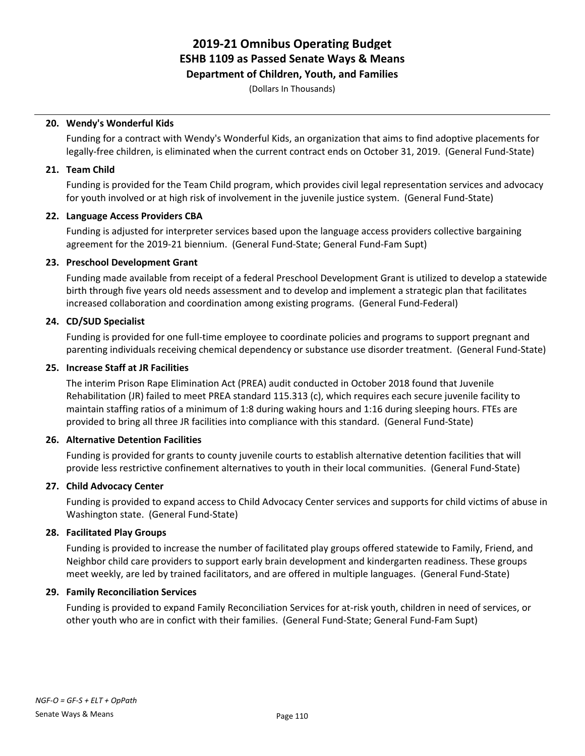**Department of Children, Youth, and Families**

(Dollars In Thousands)

### **20. Wendy's Wonderful Kids**

Funding for a contract with Wendy's Wonderful Kids, an organization that aims to find adoptive placements for legally-free children, is eliminated when the current contract ends on October 31, 2019. (General Fund-State)

### **21. Team Child**

Funding is provided for the Team Child program, which provides civil legal representation services and advocacy for youth involved or at high risk of involvement in the juvenile justice system. (General Fund-State)

### **22. Language Access Providers CBA**

Funding is adjusted for interpreter services based upon the language access providers collective bargaining agreement for the 2019-21 biennium. (General Fund-State; General Fund-Fam Supt)

### **23. Preschool Development Grant**

Funding made available from receipt of a federal Preschool Development Grant is utilized to develop a statewide birth through five years old needs assessment and to develop and implement a strategic plan that facilitates increased collaboration and coordination among existing programs. (General Fund-Federal)

### **24. CD/SUD Specialist**

Funding is provided for one full-time employee to coordinate policies and programs to support pregnant and parenting individuals receiving chemical dependency or substance use disorder treatment. (General Fund-State)

### **25. Increase Staff at JR Facilities**

The interim Prison Rape Elimination Act (PREA) audit conducted in October 2018 found that Juvenile Rehabilitation (JR) failed to meet PREA standard 115.313 (c), which requires each secure juvenile facility to maintain staffing ratios of a minimum of 1:8 during waking hours and 1:16 during sleeping hours. FTEs are provided to bring all three JR facilities into compliance with this standard. (General Fund-State)

### **26. Alternative Detention Facilities**

Funding is provided for grants to county juvenile courts to establish alternative detention facilities that will provide less restrictive confinement alternatives to youth in their local communities. (General Fund-State)

### **27. Child Advocacy Center**

Funding is provided to expand access to Child Advocacy Center services and supports for child victims of abuse in Washington state. (General Fund-State)

### **28. Facilitated Play Groups**

Funding is provided to increase the number of facilitated play groups offered statewide to Family, Friend, and Neighbor child care providers to support early brain development and kindergarten readiness. These groups meet weekly, are led by trained facilitators, and are offered in multiple languages. (General Fund-State)

### **29. Family Reconciliation Services**

Funding is provided to expand Family Reconciliation Services for at-risk youth, children in need of services, or other youth who are in confict with their families. (General Fund-State; General Fund-Fam Supt)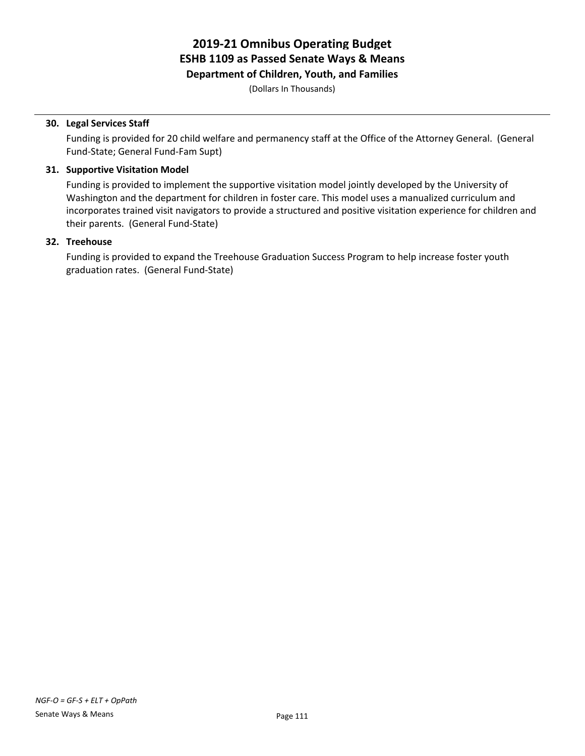**Department of Children, Youth, and Families**

(Dollars In Thousands)

### **30. Legal Services Staff**

Funding is provided for 20 child welfare and permanency staff at the Office of the Attorney General. (General Fund-State; General Fund-Fam Supt)

### **31. Supportive Visitation Model**

Funding is provided to implement the supportive visitation model jointly developed by the University of Washington and the department for children in foster care. This model uses a manualized curriculum and incorporates trained visit navigators to provide a structured and positive visitation experience for children and their parents. (General Fund-State)

### **32. Treehouse**

Funding is provided to expand the Treehouse Graduation Success Program to help increase foster youth graduation rates. (General Fund-State)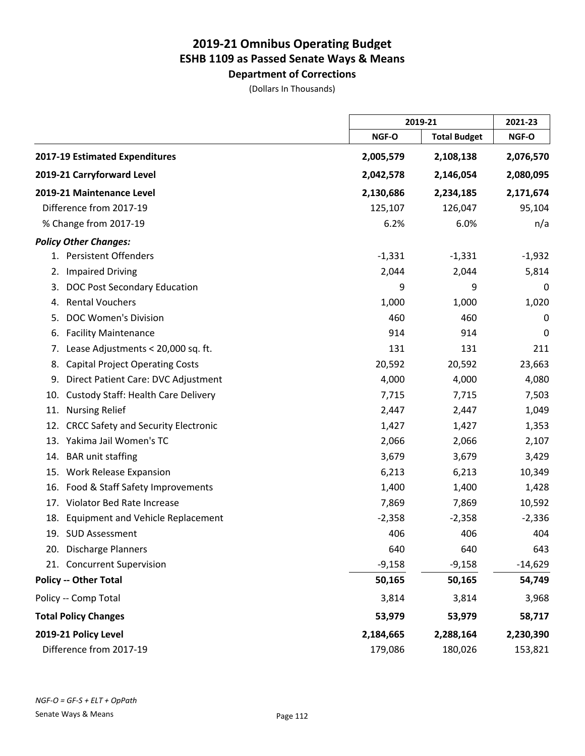**Department of Corrections** (Dollars In Thousands)

|                                                   |           | 2019-21             |           |
|---------------------------------------------------|-----------|---------------------|-----------|
|                                                   | NGF-O     | <b>Total Budget</b> | NGF-O     |
| 2017-19 Estimated Expenditures                    | 2,005,579 | 2,108,138           | 2,076,570 |
| 2019-21 Carryforward Level                        | 2,042,578 | 2,146,054           | 2,080,095 |
| 2019-21 Maintenance Level                         | 2,130,686 | 2,234,185           | 2,171,674 |
| Difference from 2017-19                           | 125,107   | 126,047             | 95,104    |
| % Change from 2017-19                             | 6.2%      | 6.0%                | n/a       |
| <b>Policy Other Changes:</b>                      |           |                     |           |
| 1. Persistent Offenders                           | $-1,331$  | $-1,331$            | $-1,932$  |
| <b>Impaired Driving</b><br>2.                     | 2,044     | 2,044               | 5,814     |
| DOC Post Secondary Education<br>3.                | 9         | 9                   | 0         |
| <b>Rental Vouchers</b><br>4.                      | 1,000     | 1,000               | 1,020     |
| <b>DOC Women's Division</b><br>5.                 | 460       | 460                 | 0         |
| <b>Facility Maintenance</b><br>6.                 | 914       | 914                 | 0         |
| Lease Adjustments < 20,000 sq. ft.<br>7.          | 131       | 131                 | 211       |
| <b>Capital Project Operating Costs</b><br>8.      | 20,592    | 20,592              | 23,663    |
| Direct Patient Care: DVC Adjustment<br>9.         | 4,000     | 4,000               | 4,080     |
| <b>Custody Staff: Health Care Delivery</b><br>10. | 7,715     | 7,715               | 7,503     |
| <b>Nursing Relief</b><br>11.                      | 2,447     | 2,447               | 1,049     |
| <b>CRCC Safety and Security Electronic</b><br>12. | 1,427     | 1,427               | 1,353     |
| Yakima Jail Women's TC<br>13.                     | 2,066     | 2,066               | 2,107     |
| <b>BAR</b> unit staffing<br>14.                   | 3,679     | 3,679               | 3,429     |
| <b>Work Release Expansion</b><br>15.              | 6,213     | 6,213               | 10,349    |
| Food & Staff Safety Improvements<br>16.           | 1,400     | 1,400               | 1,428     |
| Violator Bed Rate Increase<br>17.                 | 7,869     | 7,869               | 10,592    |
| <b>Equipment and Vehicle Replacement</b><br>18.   | $-2,358$  | $-2,358$            | $-2,336$  |
| 19. SUD Assessment                                | 406       | 406                 | 404       |
| 20. Discharge Planners                            | 640       | 640                 | 643       |
| 21. Concurrent Supervision                        | $-9,158$  | $-9,158$            | $-14,629$ |
| <b>Policy -- Other Total</b>                      | 50,165    | 50,165              | 54,749    |
| Policy -- Comp Total                              | 3,814     | 3,814               | 3,968     |
| <b>Total Policy Changes</b>                       | 53,979    | 53,979              | 58,717    |
| 2019-21 Policy Level                              | 2,184,665 | 2,288,164           | 2,230,390 |
| Difference from 2017-19                           | 179,086   | 180,026             | 153,821   |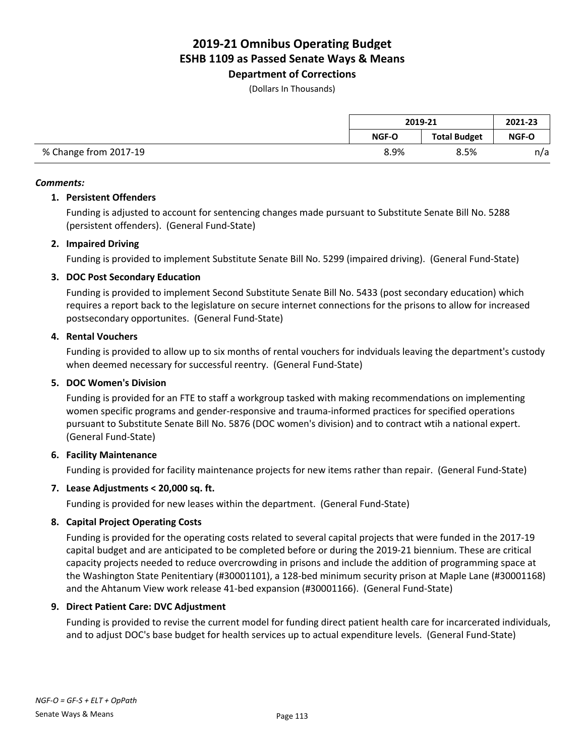**Department of Corrections**

(Dollars In Thousands)

|                       | 2019-21 |                     | 2021-23 |
|-----------------------|---------|---------------------|---------|
|                       | NGF-O   | <b>Total Budget</b> | NGF-O   |
| % Change from 2017-19 | 8.9%    | 8.5%                | n/a     |

### *Comments:*

### **1. Persistent Offenders**

Funding is adjusted to account for sentencing changes made pursuant to Substitute Senate Bill No. 5288 (persistent offenders). (General Fund-State)

### **2. Impaired Driving**

Funding is provided to implement Substitute Senate Bill No. 5299 (impaired driving). (General Fund-State)

### **3. DOC Post Secondary Education**

Funding is provided to implement Second Substitute Senate Bill No. 5433 (post secondary education) which requires a report back to the legislature on secure internet connections for the prisons to allow for increased postsecondary opportunites. (General Fund-State)

### **4. Rental Vouchers**

Funding is provided to allow up to six months of rental vouchers for indviduals leaving the department's custody when deemed necessary for successful reentry. (General Fund-State)

### **5. DOC Women's Division**

Funding is provided for an FTE to staff a workgroup tasked with making recommendations on implementing women specific programs and gender-responsive and trauma-informed practices for specified operations pursuant to Substitute Senate Bill No. 5876 (DOC women's division) and to contract wtih a national expert. (General Fund-State)

### **6. Facility Maintenance**

Funding is provided for facility maintenance projects for new items rather than repair. (General Fund-State)

### **7. Lease Adjustments < 20,000 sq. ft.**

Funding is provided for new leases within the department. (General Fund-State)

### **8. Capital Project Operating Costs**

Funding is provided for the operating costs related to several capital projects that were funded in the 2017-19 capital budget and are anticipated to be completed before or during the 2019-21 biennium. These are critical capacity projects needed to reduce overcrowding in prisons and include the addition of programming space at the Washington State Penitentiary (#30001101), a 128-bed minimum security prison at Maple Lane (#30001168) and the Ahtanum View work release 41-bed expansion (#30001166). (General Fund-State)

### **9. Direct Patient Care: DVC Adjustment**

Funding is provided to revise the current model for funding direct patient health care for incarcerated individuals, and to adjust DOC's base budget for health services up to actual expenditure levels. (General Fund-State)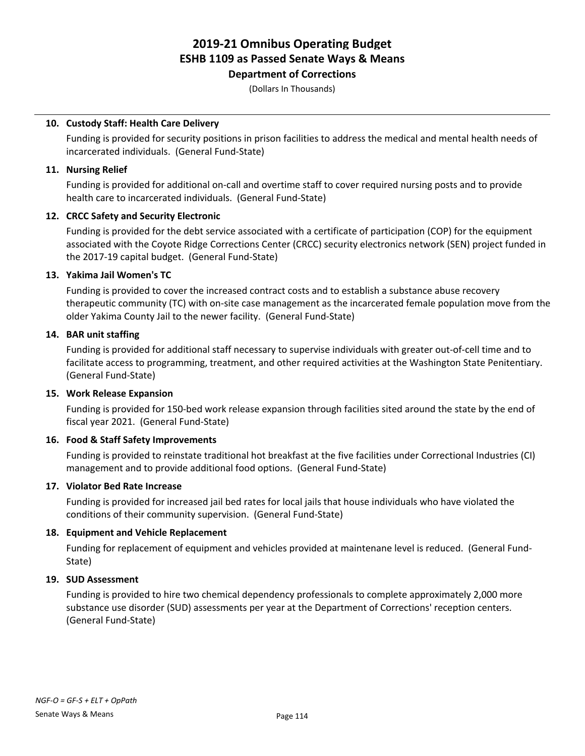### **Department of Corrections**

(Dollars In Thousands)

### **10. Custody Staff: Health Care Delivery**

Funding is provided for security positions in prison facilities to address the medical and mental health needs of incarcerated individuals. (General Fund-State)

### **11. Nursing Relief**

Funding is provided for additional on-call and overtime staff to cover required nursing posts and to provide health care to incarcerated individuals. (General Fund-State)

### **12. CRCC Safety and Security Electronic**

Funding is provided for the debt service associated with a certificate of participation (COP) for the equipment associated with the Coyote Ridge Corrections Center (CRCC) security electronics network (SEN) project funded in the 2017-19 capital budget. (General Fund-State)

### **13. Yakima Jail Women's TC**

Funding is provided to cover the increased contract costs and to establish a substance abuse recovery therapeutic community (TC) with on-site case management as the incarcerated female population move from the older Yakima County Jail to the newer facility. (General Fund-State)

### **14. BAR unit staffing**

Funding is provided for additional staff necessary to supervise individuals with greater out-of-cell time and to facilitate access to programming, treatment, and other required activities at the Washington State Penitentiary. (General Fund-State)

### **15. Work Release Expansion**

Funding is provided for 150-bed work release expansion through facilities sited around the state by the end of fiscal year 2021. (General Fund-State)

### **16. Food & Staff Safety Improvements**

Funding is provided to reinstate traditional hot breakfast at the five facilities under Correctional Industries (CI) management and to provide additional food options. (General Fund-State)

### **17. Violator Bed Rate Increase**

Funding is provided for increased jail bed rates for local jails that house individuals who have violated the conditions of their community supervision. (General Fund-State)

### **18. Equipment and Vehicle Replacement**

Funding for replacement of equipment and vehicles provided at maintenane level is reduced. (General Fund-State)

### **19. SUD Assessment**

Funding is provided to hire two chemical dependency professionals to complete approximately 2,000 more substance use disorder (SUD) assessments per year at the Department of Corrections' reception centers. (General Fund-State)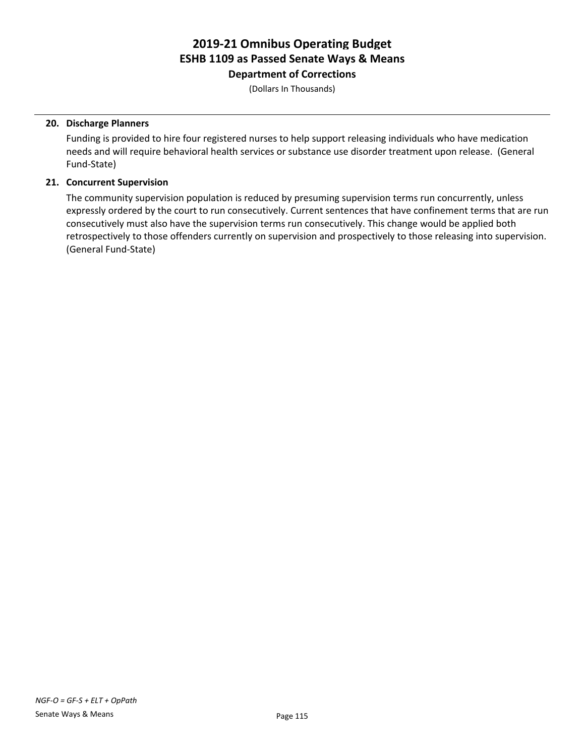**Department of Corrections**

(Dollars In Thousands)

### **20. Discharge Planners**

Funding is provided to hire four registered nurses to help support releasing individuals who have medication needs and will require behavioral health services or substance use disorder treatment upon release. (General Fund-State)

### **21. Concurrent Supervision**

The community supervision population is reduced by presuming supervision terms run concurrently, unless expressly ordered by the court to run consecutively. Current sentences that have confinement terms that are run consecutively must also have the supervision terms run consecutively. This change would be applied both retrospectively to those offenders currently on supervision and prospectively to those releasing into supervision. (General Fund-State)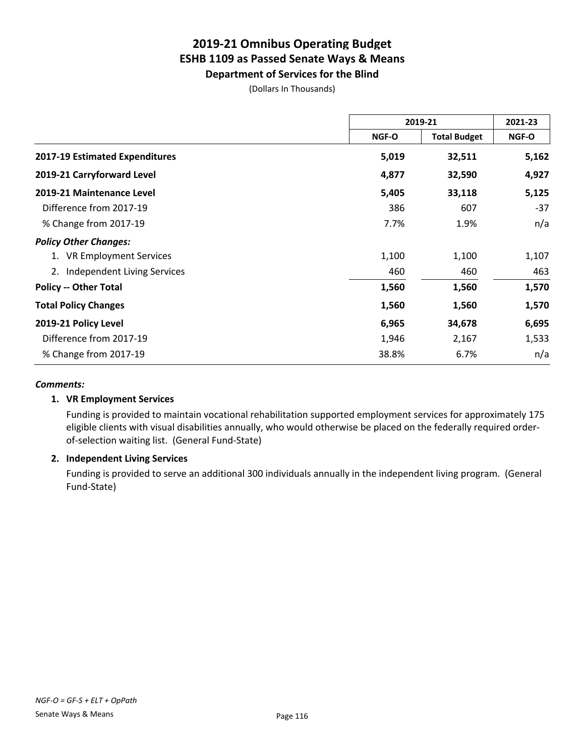**Department of Services for the Blind**

(Dollars In Thousands)

|                                   |       | 2019-21             | 2021-23 |
|-----------------------------------|-------|---------------------|---------|
|                                   | NGF-O | <b>Total Budget</b> | NGF-O   |
| 2017-19 Estimated Expenditures    | 5,019 | 32,511              | 5,162   |
| 2019-21 Carryforward Level        | 4,877 | 32,590              | 4,927   |
| 2019-21 Maintenance Level         | 5,405 | 33,118              | 5,125   |
| Difference from 2017-19           | 386   | 607                 | $-37$   |
| % Change from 2017-19             | 7.7%  | 1.9%                | n/a     |
| <b>Policy Other Changes:</b>      |       |                     |         |
| 1. VR Employment Services         | 1,100 | 1,100               | 1,107   |
| Independent Living Services<br>2. | 460   | 460                 | 463     |
| <b>Policy -- Other Total</b>      | 1,560 | 1,560               | 1,570   |
| <b>Total Policy Changes</b>       | 1,560 | 1,560               | 1,570   |
| 2019-21 Policy Level              | 6,965 | 34,678              | 6,695   |
| Difference from 2017-19           | 1,946 | 2,167               | 1,533   |
| % Change from 2017-19             | 38.8% | 6.7%                | n/a     |

### *Comments:*

### **1. VR Employment Services**

Funding is provided to maintain vocational rehabilitation supported employment services for approximately 175 eligible clients with visual disabilities annually, who would otherwise be placed on the federally required orderof-selection waiting list. (General Fund-State)

### **2. Independent Living Services**

Funding is provided to serve an additional 300 individuals annually in the independent living program. (General Fund-State)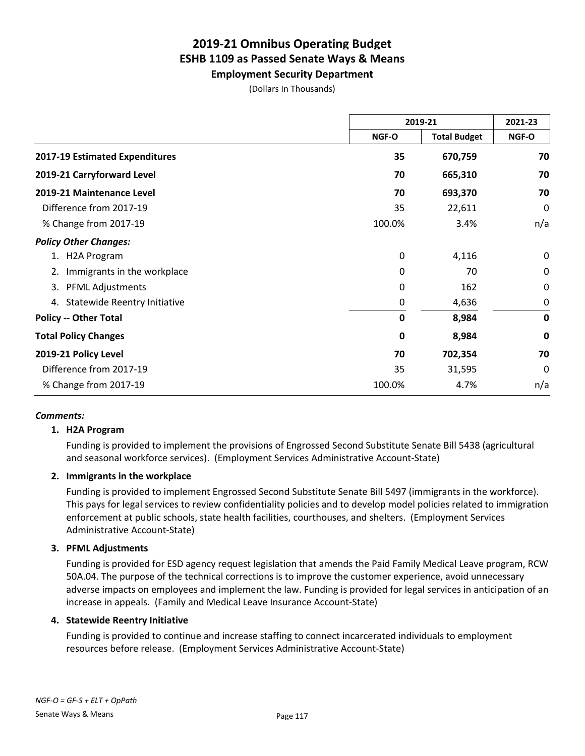**Employment Security Department**

(Dollars In Thousands)

|                                    | 2019-21 |                     | 2021-23     |
|------------------------------------|---------|---------------------|-------------|
|                                    | NGF-O   | <b>Total Budget</b> | NGF-O       |
| 2017-19 Estimated Expenditures     | 35      | 670,759             | 70          |
| 2019-21 Carryforward Level         | 70      | 665,310             | 70          |
| 2019-21 Maintenance Level          | 70      | 693,370             | 70          |
| Difference from 2017-19            | 35      | 22,611              | 0           |
| % Change from 2017-19              | 100.0%  | 3.4%                | n/a         |
| <b>Policy Other Changes:</b>       |         |                     |             |
| H2A Program                        | 0       | 4,116               | 0           |
| Immigrants in the workplace<br>2.  | 0       | 70                  | 0           |
| <b>PFML Adjustments</b><br>3.      | 0       | 162                 | $\Omega$    |
| Statewide Reentry Initiative<br>4. | 0       | 4,636               | 0           |
| <b>Policy -- Other Total</b>       | 0       | 8,984               | $\mathbf 0$ |
| <b>Total Policy Changes</b>        | 0       | 8,984               | $\mathbf 0$ |
| 2019-21 Policy Level               | 70      | 702,354             | 70          |
| Difference from 2017-19            | 35      | 31,595              | $\Omega$    |
| % Change from 2017-19              | 100.0%  | 4.7%                | n/a         |

### *Comments:*

### **1. H2A Program**

Funding is provided to implement the provisions of Engrossed Second Substitute Senate Bill 5438 (agricultural and seasonal workforce services). (Employment Services Administrative Account-State)

### **2. Immigrants in the workplace**

Funding is provided to implement Engrossed Second Substitute Senate Bill 5497 (immigrants in the workforce). This pays for legal services to review confidentiality policies and to develop model policies related to immigration enforcement at public schools, state health facilities, courthouses, and shelters. (Employment Services Administrative Account-State)

### **3. PFML Adjustments**

Funding is provided for ESD agency request legislation that amends the Paid Family Medical Leave program, RCW 50A.04. The purpose of the technical corrections is to improve the customer experience, avoid unnecessary adverse impacts on employees and implement the law. Funding is provided for legal services in anticipation of an increase in appeals. (Family and Medical Leave Insurance Account-State)

### **4. Statewide Reentry Initiative**

Funding is provided to continue and increase staffing to connect incarcerated individuals to employment resources before release. (Employment Services Administrative Account-State)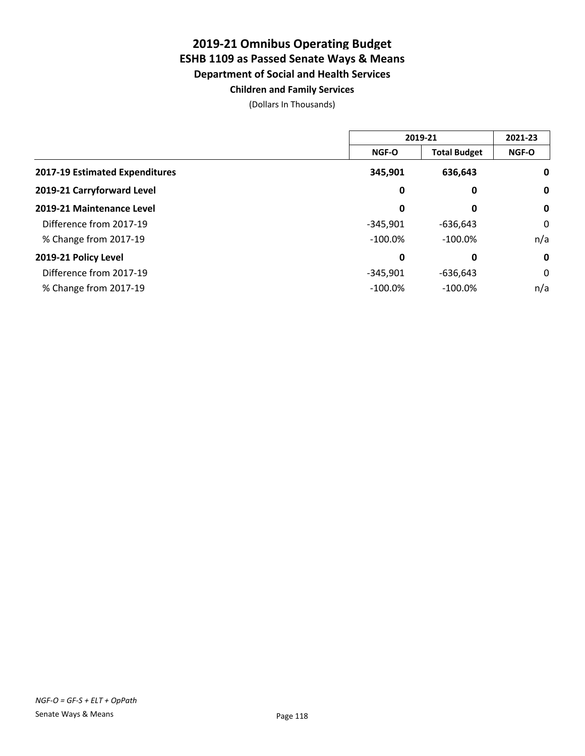### **2019-21 Omnibus Operating Budget ESHB 1109 as Passed Senate Ways & Means Department of Social and Health Services Children and Family Services**

|                                |              | 2019-21             | 2021-23      |
|--------------------------------|--------------|---------------------|--------------|
|                                | <b>NGF-O</b> | <b>Total Budget</b> | <b>NGF-O</b> |
| 2017-19 Estimated Expenditures | 345,901      | 636,643             | 0            |
| 2019-21 Carryforward Level     | 0            | 0                   | $\mathbf 0$  |
| 2019-21 Maintenance Level      | 0            | 0                   | $\mathbf 0$  |
| Difference from 2017-19        | $-345.901$   | $-636,643$          | 0            |
| % Change from 2017-19          | $-100.0\%$   | $-100.0\%$          | n/a          |
| 2019-21 Policy Level           | 0            | 0                   | $\mathbf 0$  |
| Difference from 2017-19        | $-345.901$   | $-636.643$          | 0            |
| % Change from 2017-19          | $-100.0%$    | $-100.0\%$          | n/a          |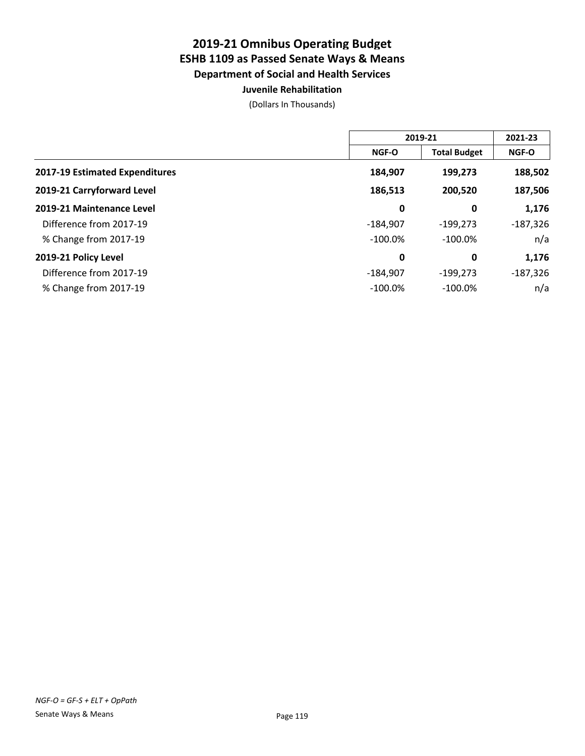### **Juvenile Rehabilitation**

|                                |              | 2019-21             |              |
|--------------------------------|--------------|---------------------|--------------|
|                                | <b>NGF-O</b> | <b>Total Budget</b> | <b>NGF-O</b> |
| 2017-19 Estimated Expenditures | 184,907      | 199,273             | 188,502      |
| 2019-21 Carryforward Level     | 186,513      | 200,520             | 187,506      |
| 2019-21 Maintenance Level      | 0            | 0                   | 1,176        |
| Difference from 2017-19        | $-184,907$   | $-199,273$          | $-187,326$   |
| % Change from 2017-19          | $-100.0\%$   | $-100.0\%$          | n/a          |
| 2019-21 Policy Level           | 0            | 0                   | 1,176        |
| Difference from 2017-19        | $-184,907$   | $-199,273$          | $-187,326$   |
| % Change from 2017-19          | $-100.0%$    | $-100.0%$           | n/a          |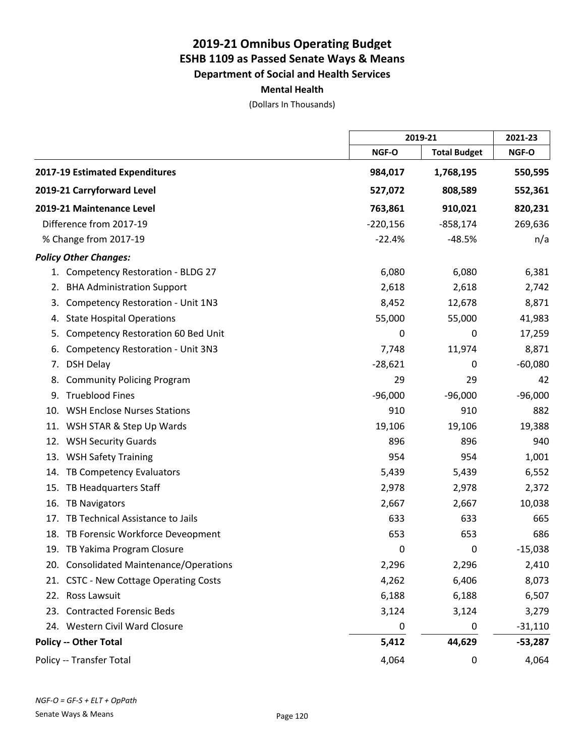**Mental Health**

|     |                                          |            | 2019-21             |           |
|-----|------------------------------------------|------------|---------------------|-----------|
|     |                                          | NGF-O      | <b>Total Budget</b> | NGF-O     |
|     | 2017-19 Estimated Expenditures           | 984,017    | 1,768,195           | 550,595   |
|     | 2019-21 Carryforward Level               | 527,072    | 808,589             | 552,361   |
|     | 2019-21 Maintenance Level                | 763,861    | 910,021             | 820,231   |
|     | Difference from 2017-19                  | $-220,156$ | $-858,174$          | 269,636   |
|     | % Change from 2017-19                    | $-22.4%$   | $-48.5%$            | n/a       |
|     | <b>Policy Other Changes:</b>             |            |                     |           |
|     | 1. Competency Restoration - BLDG 27      | 6,080      | 6,080               | 6,381     |
| 2.  | <b>BHA Administration Support</b>        | 2,618      | 2,618               | 2,742     |
| 3.  | Competency Restoration - Unit 1N3        | 8,452      | 12,678              | 8,871     |
| 4.  | <b>State Hospital Operations</b>         | 55,000     | 55,000              | 41,983    |
| 5.  | Competency Restoration 60 Bed Unit       | 0          | 0                   | 17,259    |
| 6.  | <b>Competency Restoration - Unit 3N3</b> | 7,748      | 11,974              | 8,871     |
| 7.  | <b>DSH Delay</b>                         | $-28,621$  | 0                   | $-60,080$ |
| 8.  | <b>Community Policing Program</b>        | 29         | 29                  | 42        |
| 9.  | <b>Trueblood Fines</b>                   | $-96,000$  | $-96,000$           | $-96,000$ |
| 10. | <b>WSH Enclose Nurses Stations</b>       | 910        | 910                 | 882       |
|     | 11. WSH STAR & Step Up Wards             | 19,106     | 19,106              | 19,388    |
|     | 12. WSH Security Guards                  | 896        | 896                 | 940       |
|     | 13. WSH Safety Training                  | 954        | 954                 | 1,001     |
| 14. | TB Competency Evaluators                 | 5,439      | 5,439               | 6,552     |
| 15. | TB Headquarters Staff                    | 2,978      | 2,978               | 2,372     |
| 16. | <b>TB Navigators</b>                     | 2,667      | 2,667               | 10,038    |
| 17. | TB Technical Assistance to Jails         | 633        | 633                 | 665       |
|     | 18. TB Forensic Workforce Deveopment     | 653        | 653                 | 686       |
|     | 19. TB Yakima Program Closure            | 0          | 0                   | $-15,038$ |
|     | 20. Consolidated Maintenance/Operations  | 2,296      | 2,296               | 2,410     |
|     | 21. CSTC - New Cottage Operating Costs   | 4,262      | 6,406               | 8,073     |
|     | 22. Ross Lawsuit                         | 6,188      | 6,188               | 6,507     |
|     | 23. Contracted Forensic Beds             | 3,124      | 3,124               | 3,279     |
|     | 24. Western Civil Ward Closure           | 0          | 0                   | $-31,110$ |
|     | <b>Policy -- Other Total</b>             | 5,412      | 44,629              | $-53,287$ |
|     | Policy -- Transfer Total                 | 4,064      | 0                   | 4,064     |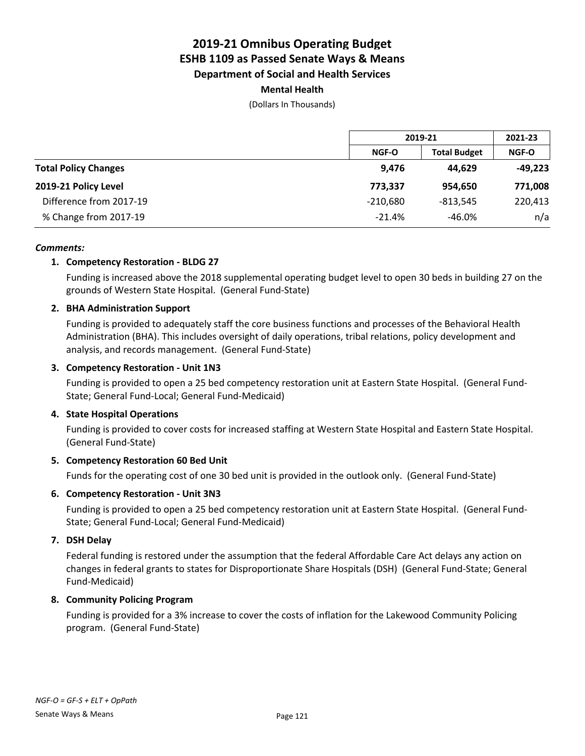### **Mental Health**

(Dollars In Thousands)

|                             | 2019-21      |                     | 2021-23      |
|-----------------------------|--------------|---------------------|--------------|
|                             | <b>NGF-O</b> | <b>Total Budget</b> | <b>NGF-O</b> |
| <b>Total Policy Changes</b> | 9,476        | 44.629              | $-49,223$    |
| 2019-21 Policy Level        | 773,337      | 954.650             | 771,008      |
| Difference from 2017-19     | $-210,680$   | $-813.545$          | 220,413      |
| % Change from 2017-19       | $-21.4%$     | $-46.0%$            | n/a          |

### *Comments:*

### **1. Competency Restoration - BLDG 27**

Funding is increased above the 2018 supplemental operating budget level to open 30 beds in building 27 on the grounds of Western State Hospital. (General Fund-State)

### **2. BHA Administration Support**

Funding is provided to adequately staff the core business functions and processes of the Behavioral Health Administration (BHA). This includes oversight of daily operations, tribal relations, policy development and analysis, and records management. (General Fund-State)

### **3. Competency Restoration - Unit 1N3**

Funding is provided to open a 25 bed competency restoration unit at Eastern State Hospital. (General Fund-State; General Fund-Local; General Fund-Medicaid)

### **4. State Hospital Operations**

Funding is provided to cover costs for increased staffing at Western State Hospital and Eastern State Hospital. (General Fund-State)

### **5. Competency Restoration 60 Bed Unit**

Funds for the operating cost of one 30 bed unit is provided in the outlook only. (General Fund-State)

### **6. Competency Restoration - Unit 3N3**

Funding is provided to open a 25 bed competency restoration unit at Eastern State Hospital. (General Fund-State; General Fund-Local; General Fund-Medicaid)

### **7. DSH Delay**

Federal funding is restored under the assumption that the federal Affordable Care Act delays any action on changes in federal grants to states for Disproportionate Share Hospitals (DSH) (General Fund-State; General Fund-Medicaid)

### **8. Community Policing Program**

Funding is provided for a 3% increase to cover the costs of inflation for the Lakewood Community Policing program. (General Fund-State)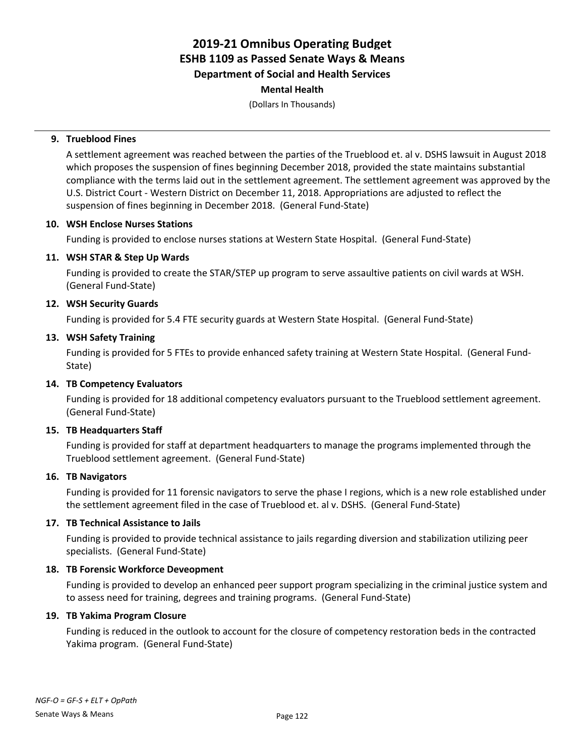(Dollars In Thousands)

### **9. Trueblood Fines**

A settlement agreement was reached between the parties of the Trueblood et. al v. DSHS lawsuit in August 2018 which proposes the suspension of fines beginning December 2018, provided the state maintains substantial compliance with the terms laid out in the settlement agreement. The settlement agreement was approved by the U.S. District Court - Western District on December 11, 2018. Appropriations are adjusted to reflect the suspension of fines beginning in December 2018. (General Fund-State)

### **10. WSH Enclose Nurses Stations**

Funding is provided to enclose nurses stations at Western State Hospital. (General Fund-State)

### **11. WSH STAR & Step Up Wards**

Funding is provided to create the STAR/STEP up program to serve assaultive patients on civil wards at WSH. (General Fund-State)

### **12. WSH Security Guards**

Funding is provided for 5.4 FTE security guards at Western State Hospital. (General Fund-State)

### **13. WSH Safety Training**

Funding is provided for 5 FTEs to provide enhanced safety training at Western State Hospital. (General Fund-State)

### **14. TB Competency Evaluators**

Funding is provided for 18 additional competency evaluators pursuant to the Trueblood settlement agreement. (General Fund-State)

### **15. TB Headquarters Staff**

Funding is provided for staff at department headquarters to manage the programs implemented through the Trueblood settlement agreement. (General Fund-State)

### **16. TB Navigators**

Funding is provided for 11 forensic navigators to serve the phase I regions, which is a new role established under the settlement agreement filed in the case of Trueblood et. al v. DSHS. (General Fund-State)

### **17. TB Technical Assistance to Jails**

Funding is provided to provide technical assistance to jails regarding diversion and stabilization utilizing peer specialists. (General Fund-State)

### **18. TB Forensic Workforce Deveopment**

Funding is provided to develop an enhanced peer support program specializing in the criminal justice system and to assess need for training, degrees and training programs. (General Fund-State)

### **19. TB Yakima Program Closure**

Funding is reduced in the outlook to account for the closure of competency restoration beds in the contracted Yakima program. (General Fund-State)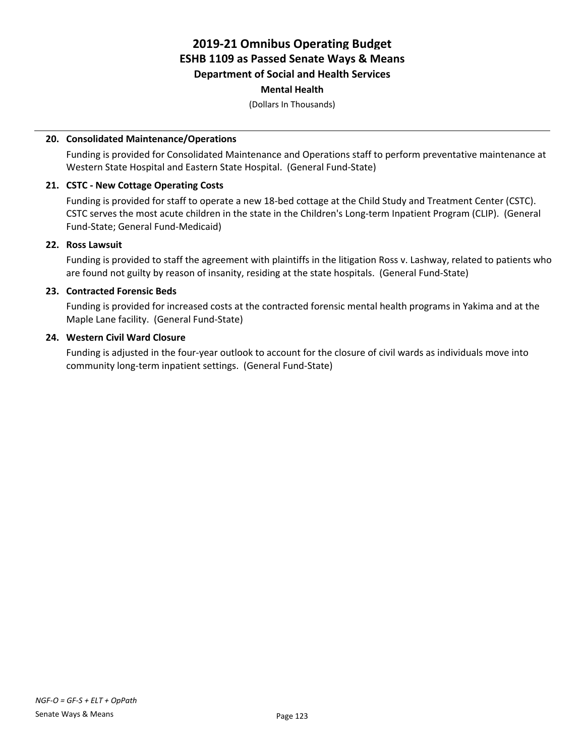(Dollars In Thousands)

### **20. Consolidated Maintenance/Operations**

Funding is provided for Consolidated Maintenance and Operations staff to perform preventative maintenance at Western State Hospital and Eastern State Hospital. (General Fund-State)

### **21. CSTC - New Cottage Operating Costs**

Funding is provided for staff to operate a new 18-bed cottage at the Child Study and Treatment Center (CSTC). CSTC serves the most acute children in the state in the Children's Long-term Inpatient Program (CLIP). (General Fund-State; General Fund-Medicaid)

### **22. Ross Lawsuit**

Funding is provided to staff the agreement with plaintiffs in the litigation Ross v. Lashway, related to patients who are found not guilty by reason of insanity, residing at the state hospitals. (General Fund-State)

### **23. Contracted Forensic Beds**

Funding is provided for increased costs at the contracted forensic mental health programs in Yakima and at the Maple Lane facility. (General Fund-State)

### **24. Western Civil Ward Closure**

Funding is adjusted in the four-year outlook to account for the closure of civil wards as individuals move into community long-term inpatient settings. (General Fund-State)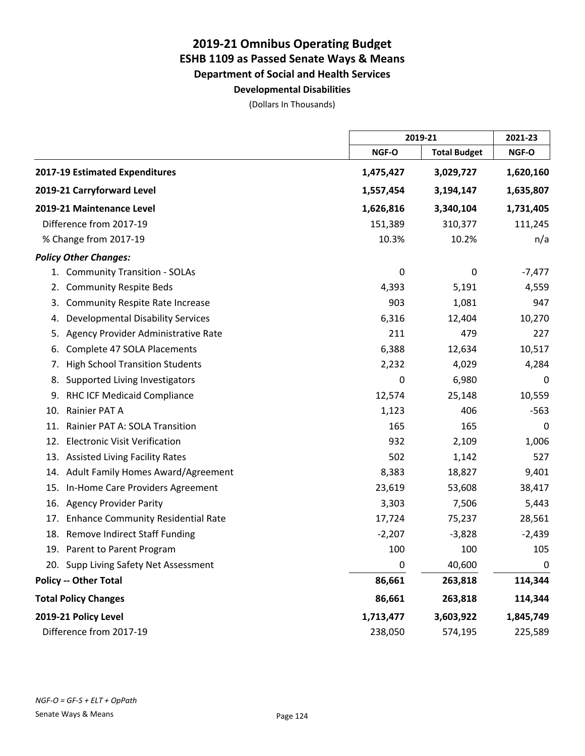**Developmental Disabilities**

|                                                  |           | 2019-21             |             |
|--------------------------------------------------|-----------|---------------------|-------------|
|                                                  | NGF-O     | <b>Total Budget</b> | NGF-O       |
| 2017-19 Estimated Expenditures                   | 1,475,427 | 3,029,727           | 1,620,160   |
| 2019-21 Carryforward Level                       | 1,557,454 | 3,194,147           | 1,635,807   |
| 2019-21 Maintenance Level                        | 1,626,816 | 3,340,104           | 1,731,405   |
| Difference from 2017-19                          | 151,389   | 310,377             | 111,245     |
| % Change from 2017-19                            | 10.3%     | 10.2%               | n/a         |
| <b>Policy Other Changes:</b>                     |           |                     |             |
| 1. Community Transition - SOLAs                  | 0         | 0                   | $-7,477$    |
| <b>Community Respite Beds</b><br>2.              | 4,393     | 5,191               | 4,559       |
| <b>Community Respite Rate Increase</b><br>3.     | 903       | 1,081               | 947         |
| <b>Developmental Disability Services</b><br>4.   | 6,316     | 12,404              | 10,270      |
| Agency Provider Administrative Rate<br>5.        | 211       | 479                 | 227         |
| Complete 47 SOLA Placements<br>6.                | 6,388     | 12,634              | 10,517      |
| <b>High School Transition Students</b><br>7.     | 2,232     | 4,029               | 4,284       |
| Supported Living Investigators<br>8.             | 0         | 6,980               | 0           |
| RHC ICF Medicaid Compliance<br>9.                | 12,574    | 25,148              | 10,559      |
| Rainier PAT A<br>10.                             | 1,123     | 406                 | $-563$      |
| Rainier PAT A: SOLA Transition<br>11.            | 165       | 165                 | 0           |
| <b>Electronic Visit Verification</b><br>12.      | 932       | 2,109               | 1,006       |
| 13. Assisted Living Facility Rates               | 502       | 1,142               | 527         |
| 14. Adult Family Homes Award/Agreement           | 8,383     | 18,827              | 9,401       |
| In-Home Care Providers Agreement<br>15.          | 23,619    | 53,608              | 38,417      |
| <b>Agency Provider Parity</b><br>16.             | 3,303     | 7,506               | 5,443       |
| <b>Enhance Community Residential Rate</b><br>17. | 17,724    | 75,237              | 28,561      |
| 18. Remove Indirect Staff Funding                | $-2,207$  | $-3,828$            | $-2,439$    |
| 19. Parent to Parent Program                     | 100       | 100                 | 105         |
| 20. Supp Living Safety Net Assessment            | 0         | 40,600              | $\mathbf 0$ |
| <b>Policy -- Other Total</b>                     | 86,661    | 263,818             | 114,344     |
| <b>Total Policy Changes</b>                      | 86,661    | 263,818             | 114,344     |
| 2019-21 Policy Level                             | 1,713,477 | 3,603,922           | 1,845,749   |
| Difference from 2017-19                          | 238,050   | 574,195             | 225,589     |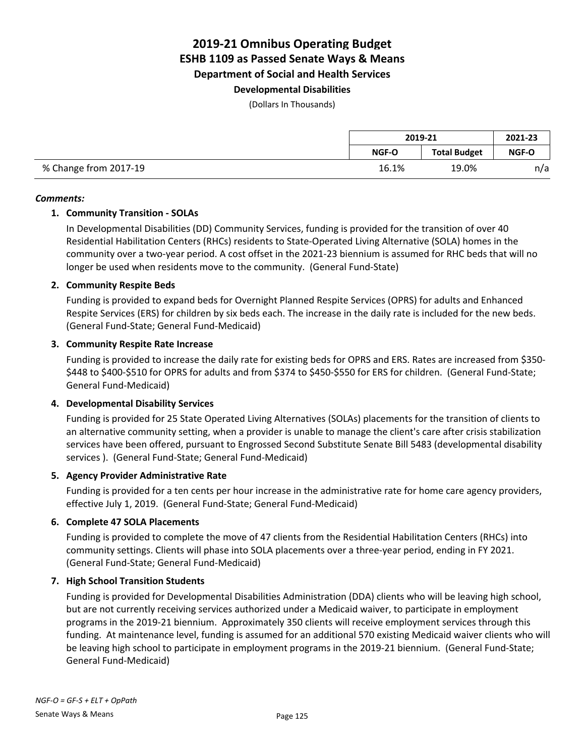**Department of Social and Health Services**

### **Developmental Disabilities**

(Dollars In Thousands)

|                       | 2019-21 |                     | 2021-23      |
|-----------------------|---------|---------------------|--------------|
|                       | NGF-O   | <b>Total Budget</b> | <b>NGF-O</b> |
| % Change from 2017-19 | 16.1%   | 19.0%               | n/a          |

### *Comments:*

### **1. Community Transition - SOLAs**

In Developmental Disabilities (DD) Community Services, funding is provided for the transition of over 40 Residential Habilitation Centers (RHCs) residents to State-Operated Living Alternative (SOLA) homes in the community over a two-year period. A cost offset in the 2021-23 biennium is assumed for RHC beds that will no longer be used when residents move to the community. (General Fund-State)

### **2. Community Respite Beds**

Funding is provided to expand beds for Overnight Planned Respite Services (OPRS) for adults and Enhanced Respite Services (ERS) for children by six beds each. The increase in the daily rate is included for the new beds. (General Fund-State; General Fund-Medicaid)

### **3. Community Respite Rate Increase**

Funding is provided to increase the daily rate for existing beds for OPRS and ERS. Rates are increased from \$350- \$448 to \$400-\$510 for OPRS for adults and from \$374 to \$450-\$550 for ERS for children. (General Fund-State; General Fund-Medicaid)

### **4. Developmental Disability Services**

Funding is provided for 25 State Operated Living Alternatives (SOLAs) placements for the transition of clients to an alternative community setting, when a provider is unable to manage the client's care after crisis stabilization services have been offered, pursuant to Engrossed Second Substitute Senate Bill 5483 (developmental disability services ). (General Fund-State; General Fund-Medicaid)

### **5. Agency Provider Administrative Rate**

Funding is provided for a ten cents per hour increase in the administrative rate for home care agency providers, effective July 1, 2019. (General Fund-State; General Fund-Medicaid)

### **6. Complete 47 SOLA Placements**

Funding is provided to complete the move of 47 clients from the Residential Habilitation Centers (RHCs) into community settings. Clients will phase into SOLA placements over a three-year period, ending in FY 2021. (General Fund-State; General Fund-Medicaid)

### **7. High School Transition Students**

Funding is provided for Developmental Disabilities Administration (DDA) clients who will be leaving high school, but are not currently receiving services authorized under a Medicaid waiver, to participate in employment programs in the 2019-21 biennium. Approximately 350 clients will receive employment services through this funding. At maintenance level, funding is assumed for an additional 570 existing Medicaid waiver clients who will be leaving high school to participate in employment programs in the 2019-21 biennium. (General Fund-State; General Fund-Medicaid)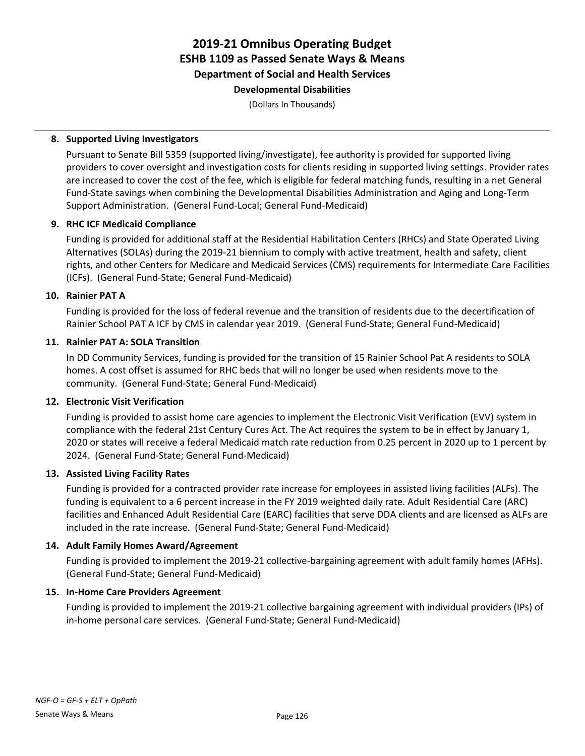### **2019-21 Omnibus Operating Budget ESHB 1109 as Passed Senate Ways & Means Department of Social and Health Services Developmental Disabilities**

(Dollars In Thousands)

### **8. Supported Living Investigators**

Pursuant to Senate Bill 5359 (supported living/investigate), fee authority is provided for supported living providers to cover oversight and investigation costs for clients residing in supported living settings. Provider rates are increased to cover the cost of the fee, which is eligible for federal matching funds, resulting in a net General Fund-State savings when combining the Developmental Disabilities Administration and Aging and Long-Term Support Administration. (General Fund-Local; General Fund-Medicaid)

### **9. RHC ICF Medicaid Compliance**

Funding is provided for additional staff at the Residential Habilitation Centers (RHCs) and State Operated Living Alternatives (SOLAs) during the 2019-21 biennium to comply with active treatment, health and safety, client rights, and other Centers for Medicare and Medicaid Services (CMS) requirements for Intermediate Care Facilities (ICFs). (General Fund-State; General Fund-Medicaid)

### **10. Rainier PAT A**

Funding is provided for the loss of federal revenue and the transition of residents due to the decertification of Rainier School PAT A ICF by CMS in calendar year 2019. (General Fund-State; General Fund-Medicaid)

### **11. Rainier PAT A: SOLA Transition**

In DD Community Services, funding is provided for the transition of 15 Rainier School Pat A residents to SOLA homes. A cost offset is assumed for RHC beds that will no longer be used when residents move to the community. (General Fund-State; General Fund-Medicaid)

### **12. Electronic Visit Verification**

Funding is provided to assist home care agencies to implement the Electronic Visit Verification (EVV) system in compliance with the federal 21st Century Cures Act. The Act requires the system to be in effect by January 1, 2020 or states will receive a federal Medicaid match rate reduction from 0.25 percent in 2020 up to 1 percent by 2024. (General Fund-State; General Fund-Medicaid)

### **13. Assisted Living Facility Rates**

Funding is provided for a contracted provider rate increase for employees in assisted living facilities (ALFs). The funding is equivalent to a 6 percent increase in the FY 2019 weighted daily rate. Adult Residential Care (ARC) facilities and Enhanced Adult Residential Care (EARC) facilities that serve DDA clients and are licensed as ALFs are included in the rate increase. (General Fund-State; General Fund-Medicaid)

### **14. Adult Family Homes Award/Agreement**

Funding is provided to implement the 2019-21 collective-bargaining agreement with adult family homes (AFHs). (General Fund-State; General Fund-Medicaid)

### **15. In-Home Care Providers Agreement**

Funding is provided to implement the 2019-21 collective bargaining agreement with individual providers (IPs) of in-home personal care services. (General Fund-State; General Fund-Medicaid)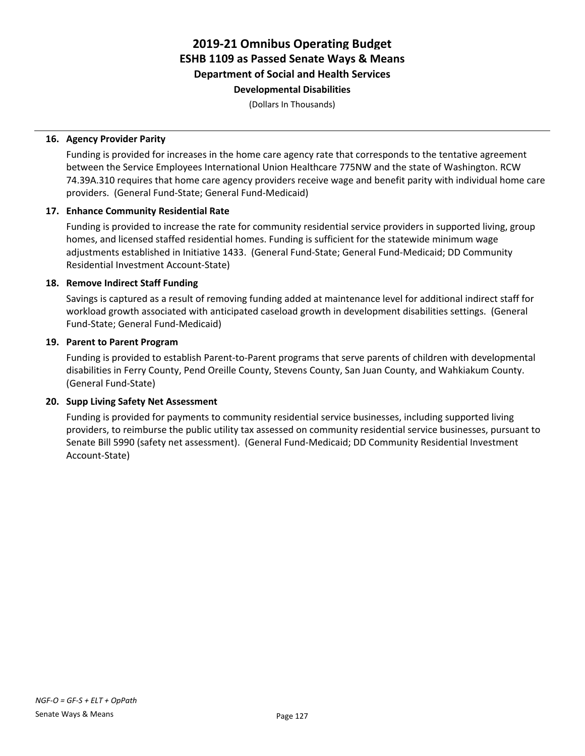### **2019-21 Omnibus Operating Budget ESHB 1109 as Passed Senate Ways & Means Department of Social and Health Services Developmental Disabilities**

(Dollars In Thousands)

### **16. Agency Provider Parity**

Funding is provided for increases in the home care agency rate that corresponds to the tentative agreement between the Service Employees International Union Healthcare 775NW and the state of Washington. RCW 74.39A.310 requires that home care agency providers receive wage and benefit parity with individual home care providers. (General Fund-State; General Fund-Medicaid)

### **17. Enhance Community Residential Rate**

Funding is provided to increase the rate for community residential service providers in supported living, group homes, and licensed staffed residential homes. Funding is sufficient for the statewide minimum wage adjustments established in Initiative 1433. (General Fund-State; General Fund-Medicaid; DD Community Residential Investment Account-State)

### **18. Remove Indirect Staff Funding**

Savings is captured as a result of removing funding added at maintenance level for additional indirect staff for workload growth associated with anticipated caseload growth in development disabilities settings. (General Fund-State; General Fund-Medicaid)

### **19. Parent to Parent Program**

Funding is provided to establish Parent-to-Parent programs that serve parents of children with developmental disabilities in Ferry County, Pend Oreille County, Stevens County, San Juan County, and Wahkiakum County. (General Fund-State)

### **20. Supp Living Safety Net Assessment**

Funding is provided for payments to community residential service businesses, including supported living providers, to reimburse the public utility tax assessed on community residential service businesses, pursuant to Senate Bill 5990 (safety net assessment). (General Fund-Medicaid; DD Community Residential Investment Account-State)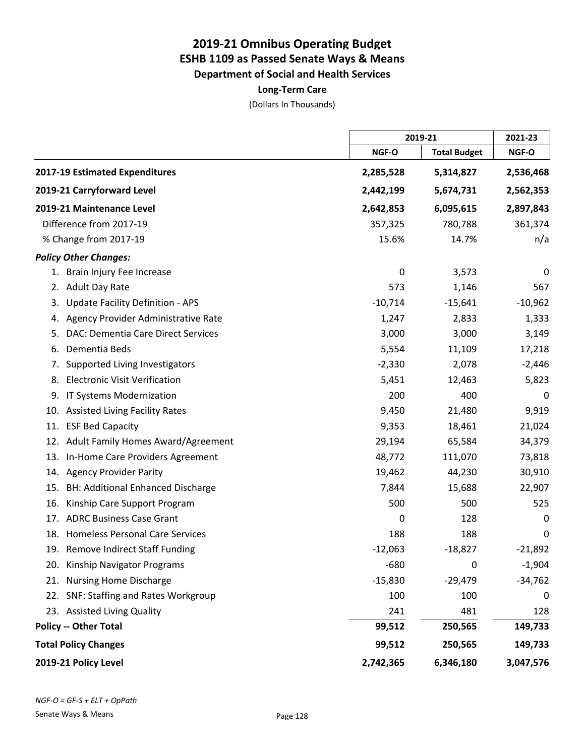**Long-Term Care**

|     |                                          |           | 2019-21             |           |
|-----|------------------------------------------|-----------|---------------------|-----------|
|     |                                          | NGF-O     | <b>Total Budget</b> | NGF-O     |
|     | 2017-19 Estimated Expenditures           | 2,285,528 | 5,314,827           | 2,536,468 |
|     | 2019-21 Carryforward Level               | 2,442,199 | 5,674,731           | 2,562,353 |
|     | 2019-21 Maintenance Level                | 2,642,853 | 6,095,615           | 2,897,843 |
|     | Difference from 2017-19                  | 357,325   | 780,788             | 361,374   |
|     | % Change from 2017-19                    | 15.6%     | 14.7%               | n/a       |
|     | <b>Policy Other Changes:</b>             |           |                     |           |
|     | 1. Brain Injury Fee Increase             | 0         | 3,573               | 0         |
| 2.  | <b>Adult Day Rate</b>                    | 573       | 1,146               | 567       |
| 3.  | <b>Update Facility Definition - APS</b>  | $-10,714$ | $-15,641$           | $-10,962$ |
| 4.  | Agency Provider Administrative Rate      | 1,247     | 2,833               | 1,333     |
| 5.  | DAC: Dementia Care Direct Services       | 3,000     | 3,000               | 3,149     |
| 6.  | Dementia Beds                            | 5,554     | 11,109              | 17,218    |
| 7.  | Supported Living Investigators           | $-2,330$  | 2,078               | $-2,446$  |
| 8.  | <b>Electronic Visit Verification</b>     | 5,451     | 12,463              | 5,823     |
| 9.  | IT Systems Modernization                 | 200       | 400                 | 0         |
|     | 10. Assisted Living Facility Rates       | 9,450     | 21,480              | 9,919     |
| 11. | <b>ESF Bed Capacity</b>                  | 9,353     | 18,461              | 21,024    |
|     | 12. Adult Family Homes Award/Agreement   | 29,194    | 65,584              | 34,379    |
|     | 13. In-Home Care Providers Agreement     | 48,772    | 111,070             | 73,818    |
|     | 14. Agency Provider Parity               | 19,462    | 44,230              | 30,910    |
|     | 15. BH: Additional Enhanced Discharge    | 7,844     | 15,688              | 22,907    |
| 16. | Kinship Care Support Program             | 500       | 500                 | 525       |
| 17. | <b>ADRC Business Case Grant</b>          | 0         | 128                 | 0         |
|     | 18. Homeless Personal Care Services      | 188       | 188                 | 0         |
|     | 19. Remove Indirect Staff Funding        | $-12,063$ | $-18,827$           | $-21,892$ |
|     | 20. Kinship Navigator Programs           | $-680$    | 0                   | $-1,904$  |
| 21. | <b>Nursing Home Discharge</b>            | $-15,830$ | $-29,479$           | $-34,762$ |
| 22. | <b>SNF: Staffing and Rates Workgroup</b> | 100       | 100                 | 0         |
|     | 23. Assisted Living Quality              | 241       | 481                 | 128       |
|     | <b>Policy -- Other Total</b>             | 99,512    | 250,565             | 149,733   |
|     | <b>Total Policy Changes</b>              | 99,512    | 250,565             | 149,733   |
|     | 2019-21 Policy Level                     | 2,742,365 | 6,346,180           | 3,047,576 |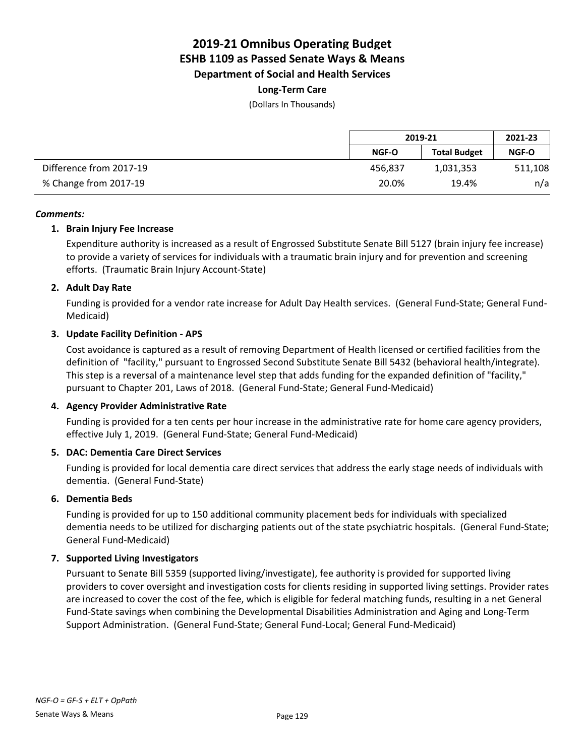### **Long-Term Care**

(Dollars In Thousands)

|                         | 2019-21 |                     | 2021-23      |
|-------------------------|---------|---------------------|--------------|
|                         | NGF-O   | <b>Total Budget</b> | <b>NGF-O</b> |
| Difference from 2017-19 | 456.837 | 1,031,353           | 511,108      |
| % Change from 2017-19   | 20.0%   | 19.4%               | n/a          |

### *Comments:*

### **1. Brain Injury Fee Increase**

Expenditure authority is increased as a result of Engrossed Substitute Senate Bill 5127 (brain injury fee increase) to provide a variety of services for individuals with a traumatic brain injury and for prevention and screening efforts. (Traumatic Brain Injury Account-State)

### **2. Adult Day Rate**

Funding is provided for a vendor rate increase for Adult Day Health services. (General Fund-State; General Fund-Medicaid)

### **3. Update Facility Definition - APS**

Cost avoidance is captured as a result of removing Department of Health licensed or certified facilities from the definition of "facility," pursuant to Engrossed Second Substitute Senate Bill 5432 (behavioral health/integrate). This step is a reversal of a maintenance level step that adds funding for the expanded definition of "facility," pursuant to Chapter 201, Laws of 2018. (General Fund-State; General Fund-Medicaid)

### **4. Agency Provider Administrative Rate**

Funding is provided for a ten cents per hour increase in the administrative rate for home care agency providers, effective July 1, 2019. (General Fund-State; General Fund-Medicaid)

### **5. DAC: Dementia Care Direct Services**

Funding is provided for local dementia care direct services that address the early stage needs of individuals with dementia. (General Fund-State)

### **6. Dementia Beds**

Funding is provided for up to 150 additional community placement beds for individuals with specialized dementia needs to be utilized for discharging patients out of the state psychiatric hospitals. (General Fund-State; General Fund-Medicaid)

### **7. Supported Living Investigators**

Pursuant to Senate Bill 5359 (supported living/investigate), fee authority is provided for supported living providers to cover oversight and investigation costs for clients residing in supported living settings. Provider rates are increased to cover the cost of the fee, which is eligible for federal matching funds, resulting in a net General Fund-State savings when combining the Developmental Disabilities Administration and Aging and Long-Term Support Administration. (General Fund-State; General Fund-Local; General Fund-Medicaid)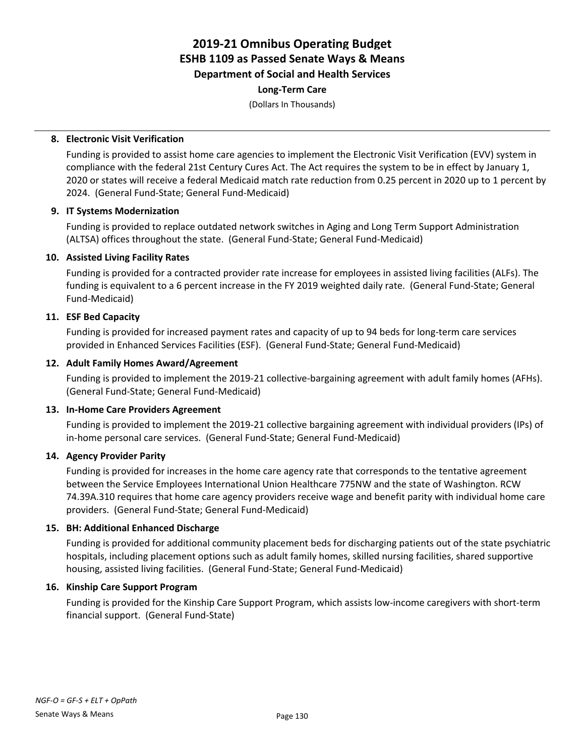### **Long-Term Care**

(Dollars In Thousands)

### **8. Electronic Visit Verification**

Funding is provided to assist home care agencies to implement the Electronic Visit Verification (EVV) system in compliance with the federal 21st Century Cures Act. The Act requires the system to be in effect by January 1, 2020 or states will receive a federal Medicaid match rate reduction from 0.25 percent in 2020 up to 1 percent by 2024. (General Fund-State; General Fund-Medicaid)

### **9. IT Systems Modernization**

Funding is provided to replace outdated network switches in Aging and Long Term Support Administration (ALTSA) offices throughout the state. (General Fund-State; General Fund-Medicaid)

### **10. Assisted Living Facility Rates**

Funding is provided for a contracted provider rate increase for employees in assisted living facilities (ALFs). The funding is equivalent to a 6 percent increase in the FY 2019 weighted daily rate. (General Fund-State; General Fund-Medicaid)

### **11. ESF Bed Capacity**

Funding is provided for increased payment rates and capacity of up to 94 beds for long-term care services provided in Enhanced Services Facilities (ESF). (General Fund-State; General Fund-Medicaid)

### **12. Adult Family Homes Award/Agreement**

Funding is provided to implement the 2019-21 collective-bargaining agreement with adult family homes (AFHs). (General Fund-State; General Fund-Medicaid)

### **13. In-Home Care Providers Agreement**

Funding is provided to implement the 2019-21 collective bargaining agreement with individual providers (IPs) of in-home personal care services. (General Fund-State; General Fund-Medicaid)

### **14. Agency Provider Parity**

Funding is provided for increases in the home care agency rate that corresponds to the tentative agreement between the Service Employees International Union Healthcare 775NW and the state of Washington. RCW 74.39A.310 requires that home care agency providers receive wage and benefit parity with individual home care providers. (General Fund-State; General Fund-Medicaid)

### **15. BH: Additional Enhanced Discharge**

Funding is provided for additional community placement beds for discharging patients out of the state psychiatric hospitals, including placement options such as adult family homes, skilled nursing facilities, shared supportive housing, assisted living facilities. (General Fund-State; General Fund-Medicaid)

### **16. Kinship Care Support Program**

Funding is provided for the Kinship Care Support Program, which assists low-income caregivers with short-term financial support. (General Fund-State)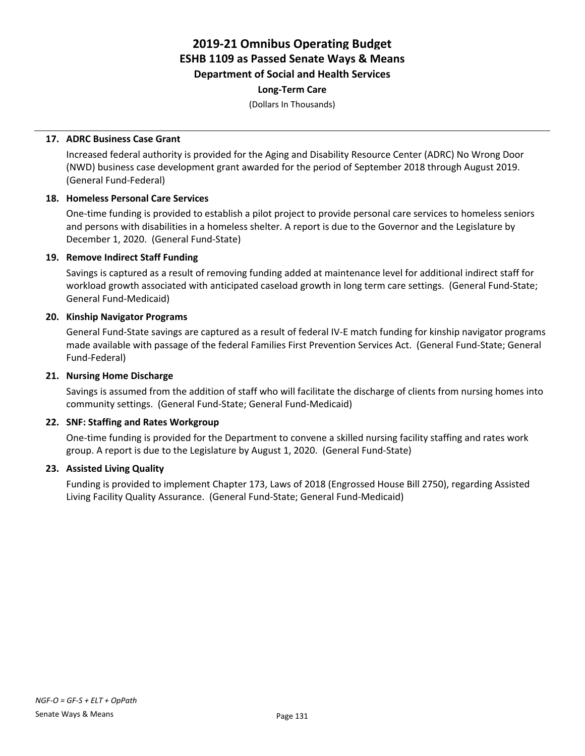### **Long-Term Care**

(Dollars In Thousands)

### **17. ADRC Business Case Grant**

Increased federal authority is provided for the Aging and Disability Resource Center (ADRC) No Wrong Door (NWD) business case development grant awarded for the period of September 2018 through August 2019. (General Fund-Federal)

### **18. Homeless Personal Care Services**

One-time funding is provided to establish a pilot project to provide personal care services to homeless seniors and persons with disabilities in a homeless shelter. A report is due to the Governor and the Legislature by December 1, 2020. (General Fund-State)

### **19. Remove Indirect Staff Funding**

Savings is captured as a result of removing funding added at maintenance level for additional indirect staff for workload growth associated with anticipated caseload growth in long term care settings. (General Fund-State; General Fund-Medicaid)

### **20. Kinship Navigator Programs**

General Fund-State savings are captured as a result of federal IV-E match funding for kinship navigator programs made available with passage of the federal Families First Prevention Services Act. (General Fund-State; General Fund-Federal)

### **21. Nursing Home Discharge**

Savings is assumed from the addition of staff who will facilitate the discharge of clients from nursing homes into community settings. (General Fund-State; General Fund-Medicaid)

### **22. SNF: Staffing and Rates Workgroup**

One-time funding is provided for the Department to convene a skilled nursing facility staffing and rates work group. A report is due to the Legislature by August 1, 2020. (General Fund-State)

### **23. Assisted Living Quality**

Funding is provided to implement Chapter 173, Laws of 2018 (Engrossed House Bill 2750), regarding Assisted Living Facility Quality Assurance. (General Fund-State; General Fund-Medicaid)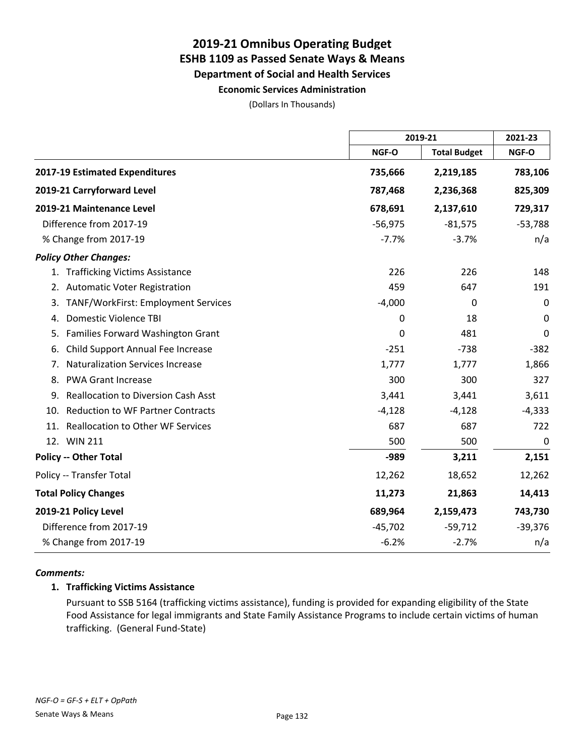**Economic Services Administration**

(Dollars In Thousands)

|                                                  |           | 2019-21             |             |
|--------------------------------------------------|-----------|---------------------|-------------|
|                                                  | NGF-O     | <b>Total Budget</b> | NGF-O       |
| 2017-19 Estimated Expenditures                   | 735,666   | 2,219,185           | 783,106     |
| 2019-21 Carryforward Level                       | 787,468   | 2,236,368           | 825,309     |
| 2019-21 Maintenance Level                        | 678,691   | 2,137,610           | 729,317     |
| Difference from 2017-19                          | $-56,975$ | $-81,575$           | $-53,788$   |
| % Change from 2017-19                            | $-7.7%$   | $-3.7%$             | n/a         |
| <b>Policy Other Changes:</b>                     |           |                     |             |
| 1. Trafficking Victims Assistance                | 226       | 226                 | 148         |
| 2. Automatic Voter Registration                  | 459       | 647                 | 191         |
| TANF/WorkFirst: Employment Services<br>3.        | $-4,000$  | $\mathbf 0$         | $\mathbf 0$ |
| <b>Domestic Violence TBI</b><br>4.               | 0         | 18                  | $\mathbf 0$ |
| Families Forward Washington Grant<br>5.          | 0         | 481                 | 0           |
| Child Support Annual Fee Increase<br>6.          | $-251$    | $-738$              | $-382$      |
| <b>Naturalization Services Increase</b><br>7.    | 1,777     | 1,777               | 1,866       |
| <b>PWA Grant Increase</b><br>8.                  | 300       | 300                 | 327         |
| <b>Reallocation to Diversion Cash Asst</b><br>9. | 3,441     | 3,441               | 3,611       |
| <b>Reduction to WF Partner Contracts</b><br>10.  | $-4,128$  | $-4,128$            | $-4,333$    |
| 11. Reallocation to Other WF Services            | 687       | 687                 | 722         |
| 12. WIN 211                                      | 500       | 500                 | $\mathbf 0$ |
| <b>Policy -- Other Total</b>                     | $-989$    | 3,211               | 2,151       |
| Policy -- Transfer Total                         | 12,262    | 18,652              | 12,262      |
| <b>Total Policy Changes</b>                      | 11,273    | 21,863              | 14,413      |
| 2019-21 Policy Level                             | 689,964   | 2,159,473           | 743,730     |
| Difference from 2017-19                          | $-45,702$ | $-59,712$           | $-39,376$   |
| % Change from 2017-19                            | $-6.2%$   | $-2.7%$             | n/a         |

### *Comments:*

### **1. Trafficking Victims Assistance**

Pursuant to SSB 5164 (trafficking victims assistance), funding is provided for expanding eligibility of the State Food Assistance for legal immigrants and State Family Assistance Programs to include certain victims of human trafficking. (General Fund-State)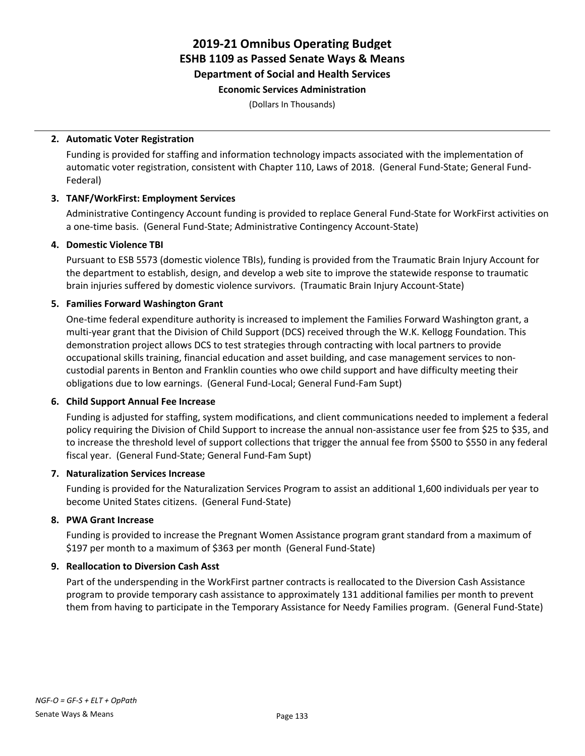### **Economic Services Administration**

(Dollars In Thousands)

### **2. Automatic Voter Registration**

Funding is provided for staffing and information technology impacts associated with the implementation of automatic voter registration, consistent with Chapter 110, Laws of 2018. (General Fund-State; General Fund-Federal)

### **3. TANF/WorkFirst: Employment Services**

Administrative Contingency Account funding is provided to replace General Fund-State for WorkFirst activities on a one-time basis. (General Fund-State; Administrative Contingency Account-State)

### **4. Domestic Violence TBI**

Pursuant to ESB 5573 (domestic violence TBIs), funding is provided from the Traumatic Brain Injury Account for the department to establish, design, and develop a web site to improve the statewide response to traumatic brain injuries suffered by domestic violence survivors. (Traumatic Brain Injury Account-State)

### **5. Families Forward Washington Grant**

One-time federal expenditure authority is increased to implement the Families Forward Washington grant, a multi-year grant that the Division of Child Support (DCS) received through the W.K. Kellogg Foundation. This demonstration project allows DCS to test strategies through contracting with local partners to provide occupational skills training, financial education and asset building, and case management services to noncustodial parents in Benton and Franklin counties who owe child support and have difficulty meeting their obligations due to low earnings. (General Fund-Local; General Fund-Fam Supt)

### **6. Child Support Annual Fee Increase**

Funding is adjusted for staffing, system modifications, and client communications needed to implement a federal policy requiring the Division of Child Support to increase the annual non-assistance user fee from \$25 to \$35, and to increase the threshold level of support collections that trigger the annual fee from \$500 to \$550 in any federal fiscal year. (General Fund-State; General Fund-Fam Supt)

### **7. Naturalization Services Increase**

Funding is provided for the Naturalization Services Program to assist an additional 1,600 individuals per year to become United States citizens. (General Fund-State)

### **8. PWA Grant Increase**

Funding is provided to increase the Pregnant Women Assistance program grant standard from a maximum of \$197 per month to a maximum of \$363 per month (General Fund-State)

### **9. Reallocation to Diversion Cash Asst**

Part of the underspending in the WorkFirst partner contracts is reallocated to the Diversion Cash Assistance program to provide temporary cash assistance to approximately 131 additional families per month to prevent them from having to participate in the Temporary Assistance for Needy Families program. (General Fund-State)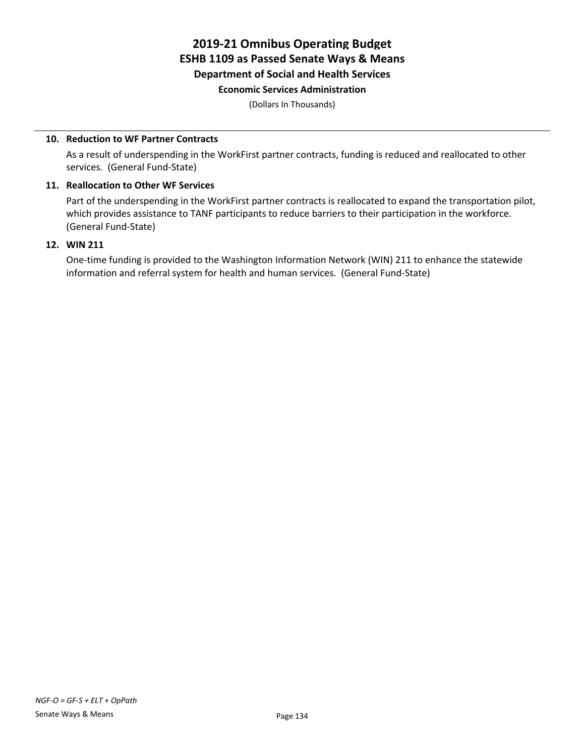### **Economic Services Administration**

(Dollars In Thousands)

### **10. Reduction to WF Partner Contracts**

As a result of underspending in the WorkFirst partner contracts, funding is reduced and reallocated to other services. (General Fund-State)

### **11. Reallocation to Other WF Services**

Part of the underspending in the WorkFirst partner contracts is reallocated to expand the transportation pilot, which provides assistance to TANF participants to reduce barriers to their participation in the workforce. (General Fund-State)

### **12. WIN 211**

One-time funding is provided to the Washington Information Network (WIN) 211 to enhance the statewide information and referral system for health and human services. (General Fund-State)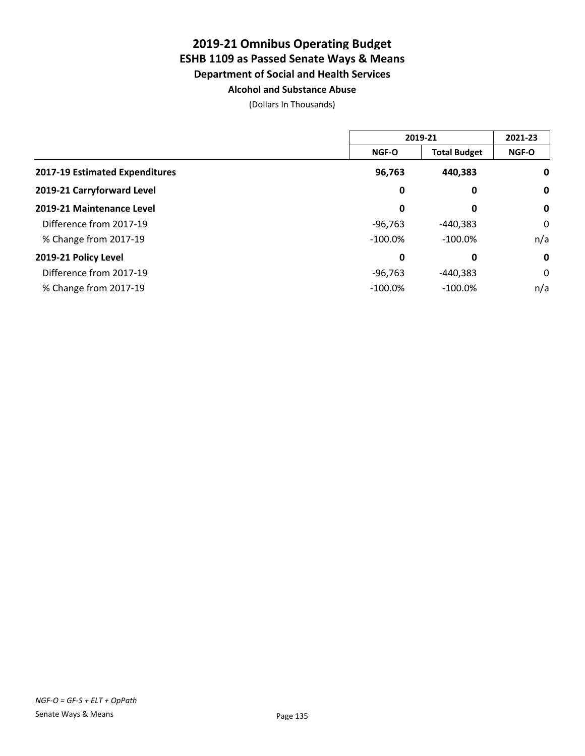### **2019-21 Omnibus Operating Budget ESHB 1109 as Passed Senate Ways & Means Department of Social and Health Services Alcohol and Substance Abuse**

|                                | 2019-21      |                     | 2021-23      |
|--------------------------------|--------------|---------------------|--------------|
|                                | <b>NGF-O</b> | <b>Total Budget</b> | <b>NGF-O</b> |
| 2017-19 Estimated Expenditures | 96,763       | 440,383             | 0            |
| 2019-21 Carryforward Level     | 0            | 0                   | $\mathbf 0$  |
| 2019-21 Maintenance Level      | 0            | 0                   | $\mathbf 0$  |
| Difference from 2017-19        | $-96,763$    | $-440,383$          | 0            |
| % Change from 2017-19          | $-100.0\%$   | $-100.0\%$          | n/a          |
| 2019-21 Policy Level           | 0            | 0                   | $\mathbf 0$  |
| Difference from 2017-19        | $-96,763$    | $-440,383$          | 0            |
| % Change from 2017-19          | $-100.0\%$   | $-100.0\%$          | n/a          |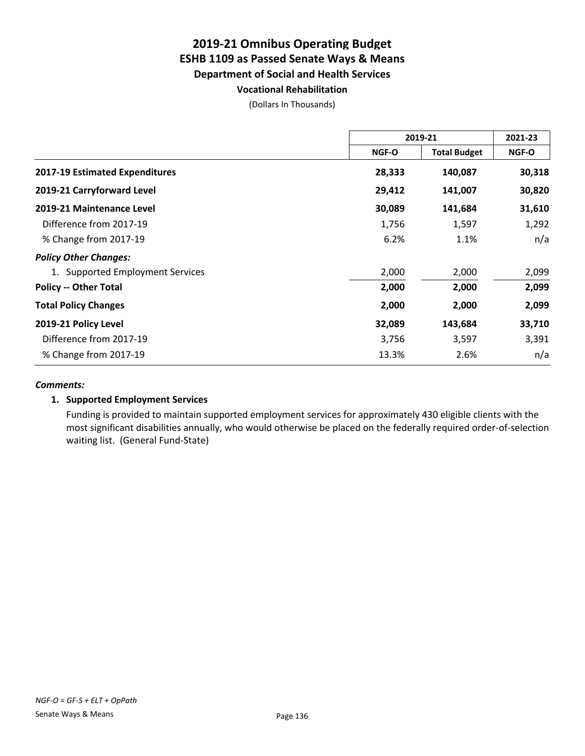### **Vocational Rehabilitation**

(Dollars In Thousands)

|                                       | 2019-21 |                     | 2021-23      |
|---------------------------------------|---------|---------------------|--------------|
|                                       | NGF-O   | <b>Total Budget</b> | <b>NGF-O</b> |
| <b>2017-19 Estimated Expenditures</b> | 28,333  | 140,087             | 30,318       |
| 2019-21 Carryforward Level            | 29,412  | 141,007             | 30,820       |
| 2019-21 Maintenance Level             | 30,089  | 141,684             | 31,610       |
| Difference from 2017-19               | 1,756   | 1,597               | 1,292        |
| % Change from 2017-19                 | 6.2%    | 1.1%                | n/a          |
| <b>Policy Other Changes:</b>          |         |                     |              |
| 1. Supported Employment Services      | 2,000   | 2,000               | 2,099        |
| <b>Policy -- Other Total</b>          | 2,000   | 2,000               | 2,099        |
| <b>Total Policy Changes</b>           | 2,000   | 2,000               | 2,099        |
| 2019-21 Policy Level                  | 32,089  | 143,684             | 33,710       |
| Difference from 2017-19               | 3,756   | 3,597               | 3,391        |
| % Change from 2017-19                 | 13.3%   | 2.6%                | n/a          |

### *Comments:*

### **1. Supported Employment Services**

Funding is provided to maintain supported employment services for approximately 430 eligible clients with the most significant disabilities annually, who would otherwise be placed on the federally required order-of-selection waiting list. (General Fund-State)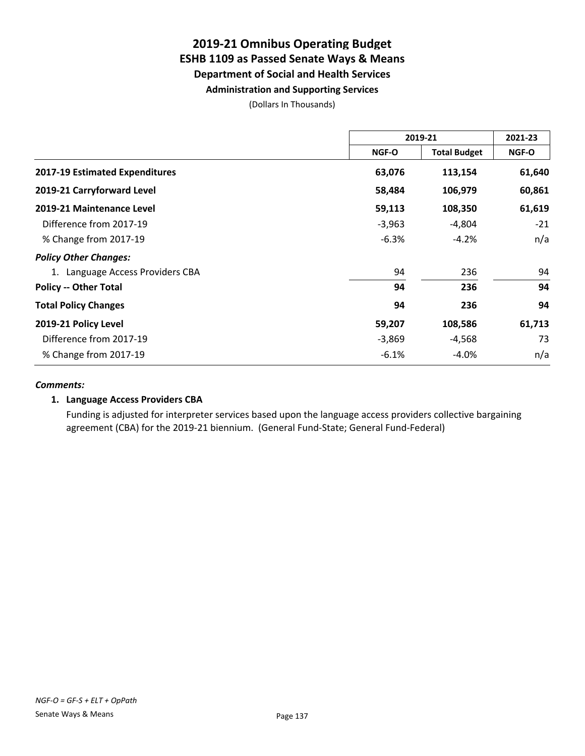### **Administration and Supporting Services**

(Dollars In Thousands)

|                                       | 2019-21  |                     | 2021-23      |
|---------------------------------------|----------|---------------------|--------------|
|                                       | NGF-O    | <b>Total Budget</b> | <b>NGF-O</b> |
| <b>2017-19 Estimated Expenditures</b> | 63,076   | 113,154             | 61,640       |
| 2019-21 Carryforward Level            | 58,484   | 106,979             | 60,861       |
| 2019-21 Maintenance Level             | 59,113   | 108,350             | 61,619       |
| Difference from 2017-19               | $-3,963$ | $-4,804$            | $-21$        |
| % Change from 2017-19                 | $-6.3%$  | $-4.2%$             | n/a          |
| <b>Policy Other Changes:</b>          |          |                     |              |
| 1. Language Access Providers CBA      | 94       | 236                 | 94           |
| <b>Policy -- Other Total</b>          | 94       | 236                 | 94           |
| <b>Total Policy Changes</b>           | 94       | 236                 | 94           |
| 2019-21 Policy Level                  | 59,207   | 108,586             | 61,713       |
| Difference from 2017-19               | $-3,869$ | -4,568              | 73           |
| % Change from 2017-19                 | $-6.1%$  | $-4.0%$             | n/a          |

### *Comments:*

### **1. Language Access Providers CBA**

Funding is adjusted for interpreter services based upon the language access providers collective bargaining agreement (CBA) for the 2019-21 biennium. (General Fund-State; General Fund-Federal)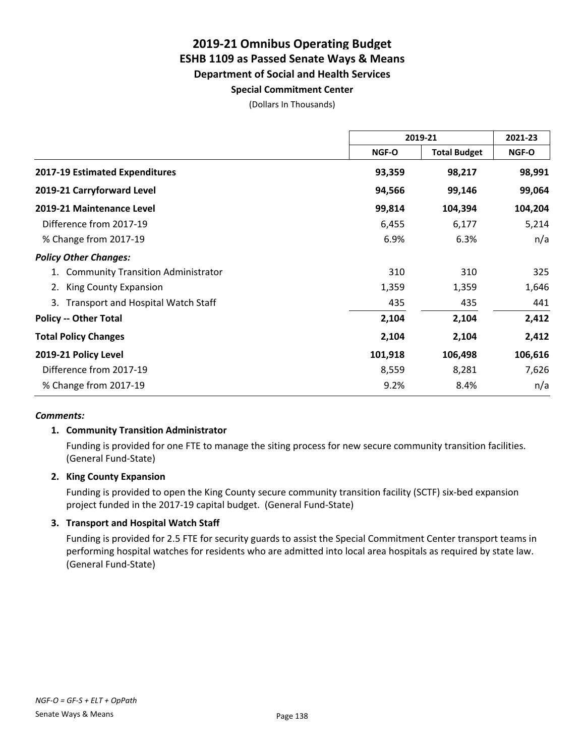# **Special Commitment Center**

(Dollars In Thousands)

|                                                 | 2019-21 |                     | 2021-23 |
|-------------------------------------------------|---------|---------------------|---------|
|                                                 | NGF-O   | <b>Total Budget</b> | NGF-O   |
| 2017-19 Estimated Expenditures                  | 93,359  | 98,217              | 98,991  |
| 2019-21 Carryforward Level                      | 94,566  | 99,146              | 99,064  |
| 2019-21 Maintenance Level                       | 99,814  | 104,394             | 104,204 |
| Difference from 2017-19                         | 6,455   | 6,177               | 5,214   |
| % Change from 2017-19                           | 6.9%    | 6.3%                | n/a     |
| <b>Policy Other Changes:</b>                    |         |                     |         |
| <b>Community Transition Administrator</b>       | 310     | 310                 | 325     |
| King County Expansion<br>2.                     | 1,359   | 1,359               | 1,646   |
| <b>Transport and Hospital Watch Staff</b><br>3. | 435     | 435                 | 441     |
| <b>Policy -- Other Total</b>                    | 2,104   | 2,104               | 2,412   |
| <b>Total Policy Changes</b>                     | 2,104   | 2,104               | 2,412   |
| 2019-21 Policy Level                            | 101,918 | 106,498             | 106,616 |
| Difference from 2017-19                         | 8,559   | 8,281               | 7,626   |
| % Change from 2017-19                           | 9.2%    | 8.4%                | n/a     |

### *Comments:*

### **1. Community Transition Administrator**

Funding is provided for one FTE to manage the siting process for new secure community transition facilities. (General Fund-State)

### **2. King County Expansion**

Funding is provided to open the King County secure community transition facility (SCTF) six-bed expansion project funded in the 2017-19 capital budget. (General Fund-State)

### **3. Transport and Hospital Watch Staff**

Funding is provided for 2.5 FTE for security guards to assist the Special Commitment Center transport teams in performing hospital watches for residents who are admitted into local area hospitals as required by state law. (General Fund-State)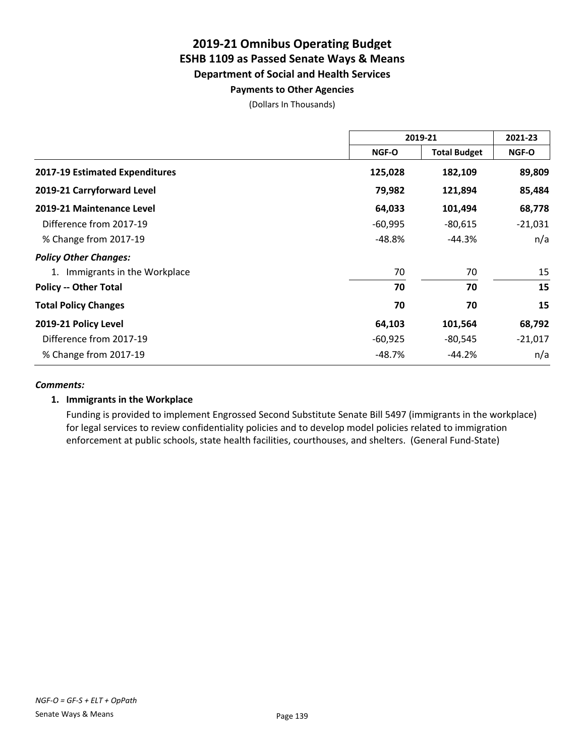### **Payments to Other Agencies**

(Dollars In Thousands)

|                                | 2019-21   |                     | 2021-23   |
|--------------------------------|-----------|---------------------|-----------|
|                                | NGF-O     | <b>Total Budget</b> | NGF-O     |
| 2017-19 Estimated Expenditures | 125,028   | 182,109             | 89,809    |
| 2019-21 Carryforward Level     | 79,982    | 121,894             | 85,484    |
| 2019-21 Maintenance Level      | 64,033    | 101,494             | 68,778    |
| Difference from 2017-19        | $-60,995$ | $-80,615$           | $-21,031$ |
| % Change from 2017-19          | -48.8%    | -44.3%              | n/a       |
| <b>Policy Other Changes:</b>   |           |                     |           |
| Immigrants in the Workplace    | 70        | 70                  | 15        |
| <b>Policy -- Other Total</b>   | 70        | 70                  | 15        |
| <b>Total Policy Changes</b>    | 70        | 70                  | 15        |
| 2019-21 Policy Level           | 64,103    | 101,564             | 68,792    |
| Difference from 2017-19        | $-60,925$ | $-80,545$           | $-21,017$ |
| % Change from 2017-19          | -48.7%    | $-44.2%$            | n/a       |

### *Comments:*

### **1. Immigrants in the Workplace**

Funding is provided to implement Engrossed Second Substitute Senate Bill 5497 (immigrants in the workplace) for legal services to review confidentiality policies and to develop model policies related to immigration enforcement at public schools, state health facilities, courthouses, and shelters. (General Fund-State)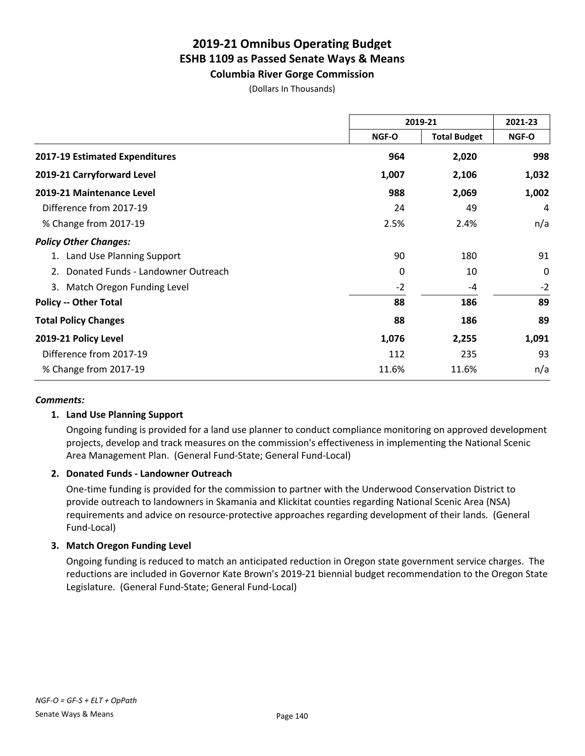**Columbia River Gorge Commission**

(Dollars In Thousands)

|                                          | 2019-21      |                     | 2021-23      |
|------------------------------------------|--------------|---------------------|--------------|
|                                          | <b>NGF-O</b> | <b>Total Budget</b> | <b>NGF-O</b> |
| 2017-19 Estimated Expenditures           | 964          | 2,020               | 998          |
| 2019-21 Carryforward Level               | 1,007        | 2,106               | 1,032        |
| 2019-21 Maintenance Level                | 988          | 2,069               | 1,002        |
| Difference from 2017-19                  | 24           | 49                  | 4            |
| % Change from 2017-19                    | 2.5%         | 2.4%                | n/a          |
| <b>Policy Other Changes:</b>             |              |                     |              |
| Land Use Planning Support                | 90           | 180                 | 91           |
| Donated Funds - Landowner Outreach<br>2. | 0            | 10                  | 0            |
| Match Oregon Funding Level<br>3.         | $-2$         | -4                  | $-2$         |
| <b>Policy -- Other Total</b>             | 88           | 186                 | 89           |
| <b>Total Policy Changes</b>              | 88           | 186                 | 89           |
| 2019-21 Policy Level                     | 1,076        | 2,255               | 1,091        |
| Difference from 2017-19                  | 112          | 235                 | 93           |
| % Change from 2017-19                    | 11.6%        | 11.6%               | n/a          |

### *Comments:*

### **1. Land Use Planning Support**

Ongoing funding is provided for a land use planner to conduct compliance monitoring on approved development projects, develop and track measures on the commission's effectiveness in implementing the National Scenic Area Management Plan. (General Fund-State; General Fund-Local)

### **2. Donated Funds - Landowner Outreach**

One-time funding is provided for the commission to partner with the Underwood Conservation District to provide outreach to landowners in Skamania and Klickitat counties regarding National Scenic Area (NSA) requirements and advice on resource-protective approaches regarding development of their lands. (General Fund-Local)

### **3. Match Oregon Funding Level**

Ongoing funding is reduced to match an anticipated reduction in Oregon state government service charges. The reductions are included in Governor Kate Brown's 2019-21 biennial budget recommendation to the Oregon State Legislature. (General Fund-State; General Fund-Local)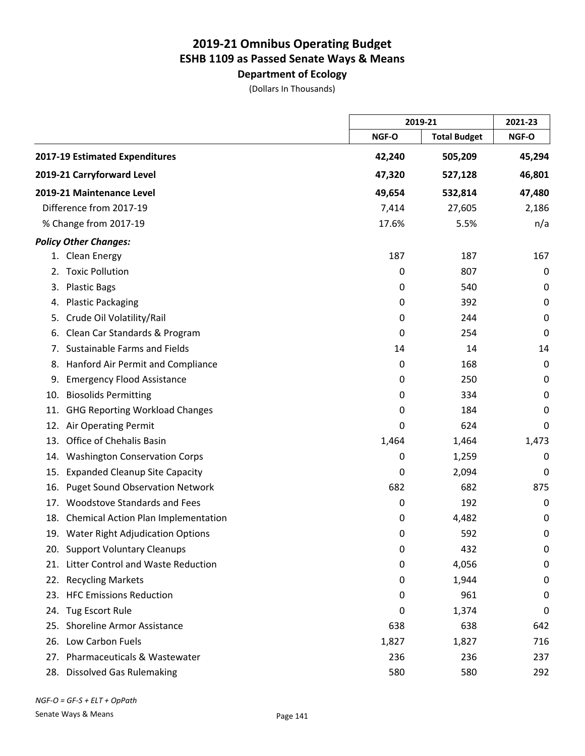**Department of Ecology**

(Dollars In Thousands)

|     |                                         |        | 2019-21             |             |
|-----|-----------------------------------------|--------|---------------------|-------------|
|     |                                         | NGF-O  | <b>Total Budget</b> | NGF-O       |
|     | 2017-19 Estimated Expenditures          | 42,240 | 505,209             | 45,294      |
|     | 2019-21 Carryforward Level              | 47,320 | 527,128             | 46,801      |
|     | 2019-21 Maintenance Level               | 49,654 | 532,814             | 47,480      |
|     | Difference from 2017-19                 | 7,414  | 27,605              | 2,186       |
|     | % Change from 2017-19                   | 17.6%  | 5.5%                | n/a         |
|     | <b>Policy Other Changes:</b>            |        |                     |             |
|     | 1. Clean Energy                         | 187    | 187                 | 167         |
| 2.  | <b>Toxic Pollution</b>                  | 0      | 807                 | 0           |
| 3.  | <b>Plastic Bags</b>                     | 0      | 540                 | 0           |
| 4.  | <b>Plastic Packaging</b>                | 0      | 392                 | $\mathbf 0$ |
| 5.  | Crude Oil Volatility/Rail               | 0      | 244                 | 0           |
| 6.  | Clean Car Standards & Program           | 0      | 254                 | 0           |
| 7.  | Sustainable Farms and Fields            | 14     | 14                  | 14          |
| 8.  | Hanford Air Permit and Compliance       | 0      | 168                 | 0           |
| 9.  | <b>Emergency Flood Assistance</b>       | 0      | 250                 | 0           |
| 10. | <b>Biosolids Permitting</b>             | 0      | 334                 | $\mathbf 0$ |
| 11. | <b>GHG Reporting Workload Changes</b>   | 0      | 184                 | 0           |
| 12. | Air Operating Permit                    | 0      | 624                 | 0           |
| 13. | Office of Chehalis Basin                | 1,464  | 1,464               | 1,473       |
| 14. | <b>Washington Conservation Corps</b>    | 0      | 1,259               | 0           |
| 15. | <b>Expanded Cleanup Site Capacity</b>   | 0      | 2,094               | 0           |
| 16. | <b>Puget Sound Observation Network</b>  | 682    | 682                 | 875         |
| 17. | <b>Woodstove Standards and Fees</b>     | 0      | 192                 | 0           |
|     | 18. Chemical Action Plan Implementation | 0      | 4,482               | 0           |
|     | 19. Water Right Adjudication Options    | 0      | 592                 | 0           |
|     | 20. Support Voluntary Cleanups          | 0      | 432                 | 0           |
| 21. | Litter Control and Waste Reduction      | 0      | 4,056               | $\pmb{0}$   |
|     | 22. Recycling Markets                   | 0      | 1,944               | 0           |
|     | 23. HFC Emissions Reduction             | 0      | 961                 | 0           |
| 24. | <b>Tug Escort Rule</b>                  | 0      | 1,374               | 0           |
| 25. | <b>Shoreline Armor Assistance</b>       | 638    | 638                 | 642         |
|     | 26. Low Carbon Fuels                    | 1,827  | 1,827               | 716         |
| 27. | Pharmaceuticals & Wastewater            | 236    | 236                 | 237         |
|     | 28. Dissolved Gas Rulemaking            | 580    | 580                 | 292         |

*NGF-O = GF-S + ELT + OpPath*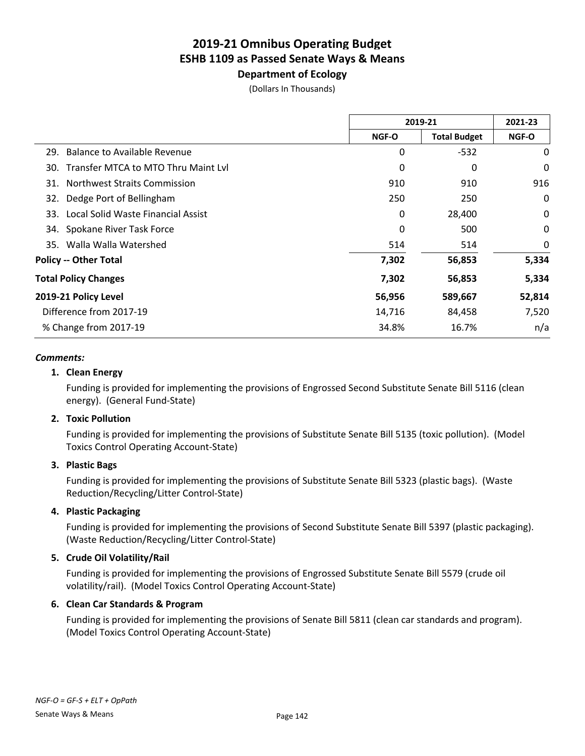# **Department of Ecology**

(Dollars In Thousands)

|                                            | 2019-21      |                     | 2021-23      |
|--------------------------------------------|--------------|---------------------|--------------|
|                                            | <b>NGF-O</b> | <b>Total Budget</b> | <b>NGF-O</b> |
| Balance to Available Revenue<br>29.        | 0            | $-532$              | 0            |
| Transfer MTCA to MTO Thru Maint Lyl<br>30. | 0            | 0                   | 0            |
| <b>Northwest Straits Commission</b><br>31. | 910          | 910                 | 916          |
| Dedge Port of Bellingham<br>32.            | 250          | 250                 | 0            |
| Local Solid Waste Financial Assist<br>33.  | 0            | 28,400              | 0            |
| Spokane River Task Force<br>34.            | 0            | 500                 | 0            |
| 35. Walla Walla Watershed                  | 514          | 514                 | 0            |
| <b>Policy -- Other Total</b>               | 7,302        | 56,853              | 5,334        |
| <b>Total Policy Changes</b>                | 7,302        | 56,853              | 5,334        |
| 2019-21 Policy Level                       | 56,956       | 589,667             | 52,814       |
| Difference from 2017-19                    | 14,716       | 84,458              | 7,520        |
| % Change from 2017-19                      | 34.8%        | 16.7%               | n/a          |
|                                            |              |                     |              |

### *Comments:*

### **1. Clean Energy**

Funding is provided for implementing the provisions of Engrossed Second Substitute Senate Bill 5116 (clean energy). (General Fund-State)

### **2. Toxic Pollution**

Funding is provided for implementing the provisions of Substitute Senate Bill 5135 (toxic pollution). (Model Toxics Control Operating Account-State)

### **3. Plastic Bags**

Funding is provided for implementing the provisions of Substitute Senate Bill 5323 (plastic bags). (Waste Reduction/Recycling/Litter Control-State)

### **4. Plastic Packaging**

Funding is provided for implementing the provisions of Second Substitute Senate Bill 5397 (plastic packaging). (Waste Reduction/Recycling/Litter Control-State)

### **5. Crude Oil Volatility/Rail**

Funding is provided for implementing the provisions of Engrossed Substitute Senate Bill 5579 (crude oil volatility/rail). (Model Toxics Control Operating Account-State)

### **6. Clean Car Standards & Program**

Funding is provided for implementing the provisions of Senate Bill 5811 (clean car standards and program). (Model Toxics Control Operating Account-State)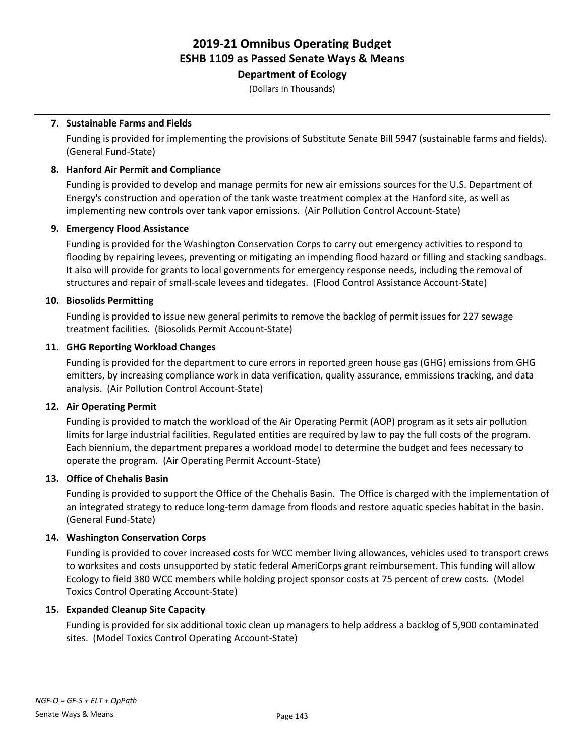**Department of Ecology**

(Dollars In Thousands)

### **7. Sustainable Farms and Fields**

Funding is provided for implementing the provisions of Substitute Senate Bill 5947 (sustainable farms and fields). (General Fund-State)

### **8. Hanford Air Permit and Compliance**

Funding is provided to develop and manage permits for new air emissions sources for the U.S. Department of Energy's construction and operation of the tank waste treatment complex at the Hanford site, as well as implementing new controls over tank vapor emissions. (Air Pollution Control Account-State)

### **9. Emergency Flood Assistance**

Funding is provided for the Washington Conservation Corps to carry out emergency activities to respond to flooding by repairing levees, preventing or mitigating an impending flood hazard or filling and stacking sandbags. It also will provide for grants to local governments for emergency response needs, including the removal of structures and repair of small-scale levees and tidegates. (Flood Control Assistance Account-State)

### **10. Biosolids Permitting**

Funding is provided to issue new general perimits to remove the backlog of permit issues for 227 sewage treatment facilities. (Biosolids Permit Account-State)

### **11. GHG Reporting Workload Changes**

Funding is provided for the department to cure errors in reported green house gas (GHG) emissions from GHG emitters, by increasing compliance work in data verification, quality assurance, emmissions tracking, and data analysis. (Air Pollution Control Account-State)

### **12. Air Operating Permit**

Funding is provided to match the workload of the Air Operating Permit (AOP) program as it sets air pollution limits for large industrial facilities. Regulated entities are required by law to pay the full costs of the program. Each biennium, the department prepares a workload model to determine the budget and fees necessary to operate the program. (Air Operating Permit Account-State)

### **13. Office of Chehalis Basin**

Funding is provided to support the Office of the Chehalis Basin. The Office is charged with the implementation of an integrated strategy to reduce long-term damage from floods and restore aquatic species habitat in the basin. (General Fund-State)

### **14. Washington Conservation Corps**

Funding is provided to cover increased costs for WCC member living allowances, vehicles used to transport crews to worksites and costs unsupported by static federal AmeriCorps grant reimbursement. This funding will allow Ecology to field 380 WCC members while holding project sponsor costs at 75 percent of crew costs. (Model Toxics Control Operating Account-State)

### **15. Expanded Cleanup Site Capacity**

Funding is provided for six additional toxic clean up managers to help address a backlog of 5,900 contaminated sites. (Model Toxics Control Operating Account-State)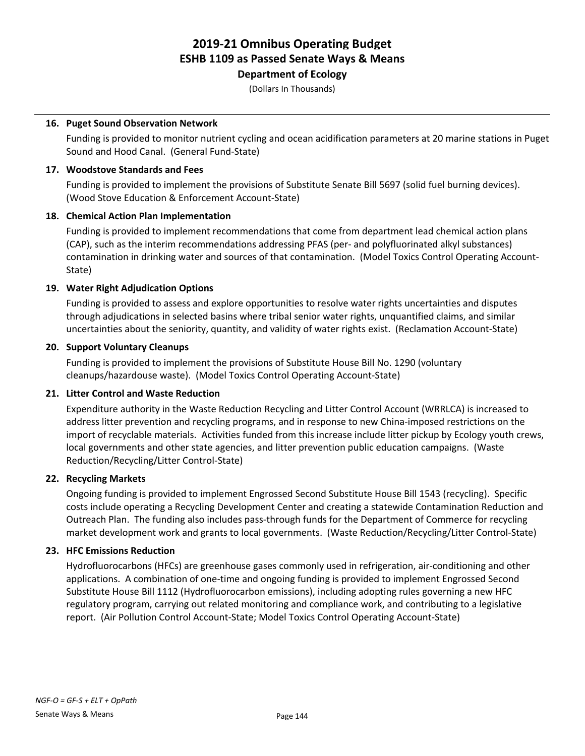# **Department of Ecology**

(Dollars In Thousands)

### **16. Puget Sound Observation Network**

Funding is provided to monitor nutrient cycling and ocean acidification parameters at 20 marine stations in Puget Sound and Hood Canal. (General Fund-State)

### **17. Woodstove Standards and Fees**

Funding is provided to implement the provisions of Substitute Senate Bill 5697 (solid fuel burning devices). (Wood Stove Education & Enforcement Account-State)

### **18. Chemical Action Plan Implementation**

Funding is provided to implement recommendations that come from department lead chemical action plans (CAP), such as the interim recommendations addressing PFAS (per- and polyfluorinated alkyl substances) contamination in drinking water and sources of that contamination. (Model Toxics Control Operating Account-State)

### **19. Water Right Adjudication Options**

Funding is provided to assess and explore opportunities to resolve water rights uncertainties and disputes through adjudications in selected basins where tribal senior water rights, unquantified claims, and similar uncertainties about the seniority, quantity, and validity of water rights exist. (Reclamation Account-State)

### **20. Support Voluntary Cleanups**

Funding is provided to implement the provisions of Substitute House Bill No. 1290 (voluntary cleanups/hazardouse waste). (Model Toxics Control Operating Account-State)

### **21. Litter Control and Waste Reduction**

Expenditure authority in the Waste Reduction Recycling and Litter Control Account (WRRLCA) is increased to address litter prevention and recycling programs, and in response to new China-imposed restrictions on the import of recyclable materials. Activities funded from this increase include litter pickup by Ecology youth crews, local governments and other state agencies, and litter prevention public education campaigns. (Waste Reduction/Recycling/Litter Control-State)

### **22. Recycling Markets**

Ongoing funding is provided to implement Engrossed Second Substitute House Bill 1543 (recycling). Specific costs include operating a Recycling Development Center and creating a statewide Contamination Reduction and Outreach Plan. The funding also includes pass-through funds for the Department of Commerce for recycling market development work and grants to local governments. (Waste Reduction/Recycling/Litter Control-State)

### **23. HFC Emissions Reduction**

Hydrofluorocarbons (HFCs) are greenhouse gases commonly used in refrigeration, air-conditioning and other applications. A combination of one-time and ongoing funding is provided to implement Engrossed Second Substitute House Bill 1112 (Hydrofluorocarbon emissions), including adopting rules governing a new HFC regulatory program, carrying out related monitoring and compliance work, and contributing to a legislative report. (Air Pollution Control Account-State; Model Toxics Control Operating Account-State)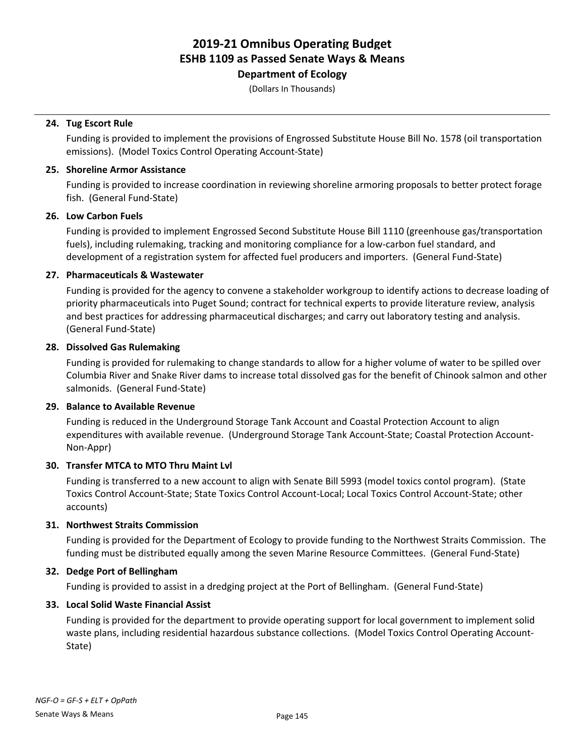**Department of Ecology**

(Dollars In Thousands)

### **24. Tug Escort Rule**

Funding is provided to implement the provisions of Engrossed Substitute House Bill No. 1578 (oil transportation emissions). (Model Toxics Control Operating Account-State)

### **25. Shoreline Armor Assistance**

Funding is provided to increase coordination in reviewing shoreline armoring proposals to better protect forage fish. (General Fund-State)

### **26. Low Carbon Fuels**

Funding is provided to implement Engrossed Second Substitute House Bill 1110 (greenhouse gas/transportation fuels), including rulemaking, tracking and monitoring compliance for a low-carbon fuel standard, and development of a registration system for affected fuel producers and importers. (General Fund-State)

### **27. Pharmaceuticals & Wastewater**

Funding is provided for the agency to convene a stakeholder workgroup to identify actions to decrease loading of priority pharmaceuticals into Puget Sound; contract for technical experts to provide literature review, analysis and best practices for addressing pharmaceutical discharges; and carry out laboratory testing and analysis. (General Fund-State)

### **28. Dissolved Gas Rulemaking**

Funding is provided for rulemaking to change standards to allow for a higher volume of water to be spilled over Columbia River and Snake River dams to increase total dissolved gas for the benefit of Chinook salmon and other salmonids. (General Fund-State)

### **29. Balance to Available Revenue**

Funding is reduced in the Underground Storage Tank Account and Coastal Protection Account to align expenditures with available revenue. (Underground Storage Tank Account-State; Coastal Protection Account-Non-Appr)

### **30. Transfer MTCA to MTO Thru Maint Lvl**

Funding is transferred to a new account to align with Senate Bill 5993 (model toxics contol program). (State Toxics Control Account-State; State Toxics Control Account-Local; Local Toxics Control Account-State; other accounts)

### **31. Northwest Straits Commission**

Funding is provided for the Department of Ecology to provide funding to the Northwest Straits Commission. The funding must be distributed equally among the seven Marine Resource Committees. (General Fund-State)

### **32. Dedge Port of Bellingham**

Funding is provided to assist in a dredging project at the Port of Bellingham. (General Fund-State)

### **33. Local Solid Waste Financial Assist**

Funding is provided for the department to provide operating support for local government to implement solid waste plans, including residential hazardous substance collections. (Model Toxics Control Operating Account-State)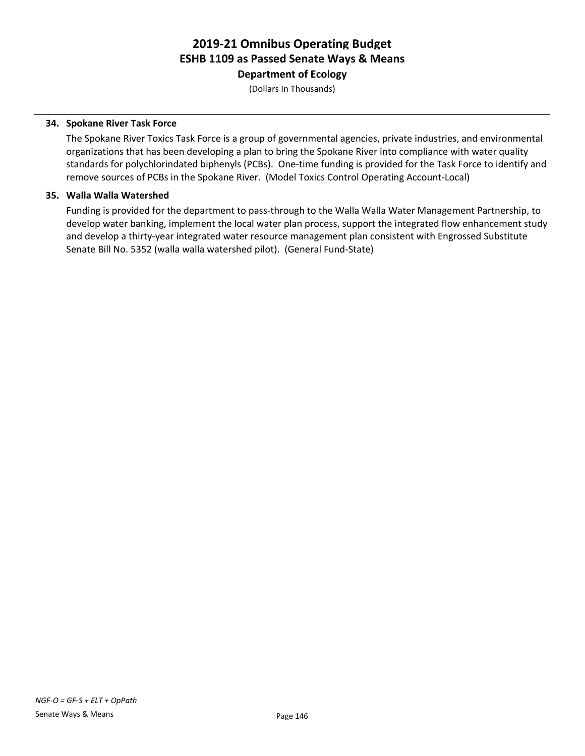**Department of Ecology**

(Dollars In Thousands)

### **34. Spokane River Task Force**

The Spokane River Toxics Task Force is a group of governmental agencies, private industries, and environmental organizations that has been developing a plan to bring the Spokane River into compliance with water quality standards for polychlorindated biphenyls (PCBs). One-time funding is provided for the Task Force to identify and remove sources of PCBs in the Spokane River. (Model Toxics Control Operating Account-Local)

### **35. Walla Walla Watershed**

Funding is provided for the department to pass-through to the Walla Walla Water Management Partnership, to develop water banking, implement the local water plan process, support the integrated flow enhancement study and develop a thirty-year integrated water resource management plan consistent with Engrossed Substitute Senate Bill No. 5352 (walla walla watershed pilot). (General Fund-State)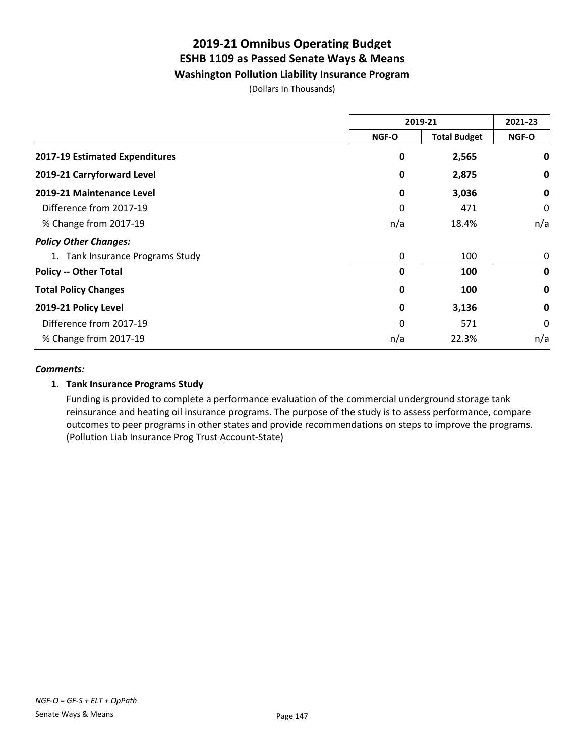# **Washington Pollution Liability Insurance Program**

(Dollars In Thousands)

|                                  | 2019-21      |                     | 2021-23     |
|----------------------------------|--------------|---------------------|-------------|
|                                  | <b>NGF-O</b> | <b>Total Budget</b> | NGF-O       |
| 2017-19 Estimated Expenditures   | 0            | 2,565               | 0           |
| 2019-21 Carryforward Level       | 0            | 2,875               | 0           |
| 2019-21 Maintenance Level        | 0            | 3,036               | 0           |
| Difference from 2017-19          | 0            | 471                 | 0           |
| % Change from 2017-19            | n/a          | 18.4%               | n/a         |
| <b>Policy Other Changes:</b>     |              |                     |             |
| 1. Tank Insurance Programs Study | 0            | 100                 | 0           |
| <b>Policy -- Other Total</b>     | 0            | 100                 | $\mathbf 0$ |
| <b>Total Policy Changes</b>      | 0            | 100                 | $\mathbf 0$ |
| 2019-21 Policy Level             | 0            | 3,136               | $\mathbf 0$ |
| Difference from 2017-19          | 0            | 571                 | 0           |
| % Change from 2017-19            | n/a          | 22.3%               | n/a         |

#### *Comments:*

### **1. Tank Insurance Programs Study**

Funding is provided to complete a performance evaluation of the commercial underground storage tank reinsurance and heating oil insurance programs. The purpose of the study is to assess performance, compare outcomes to peer programs in other states and provide recommendations on steps to improve the programs. (Pollution Liab Insurance Prog Trust Account-State)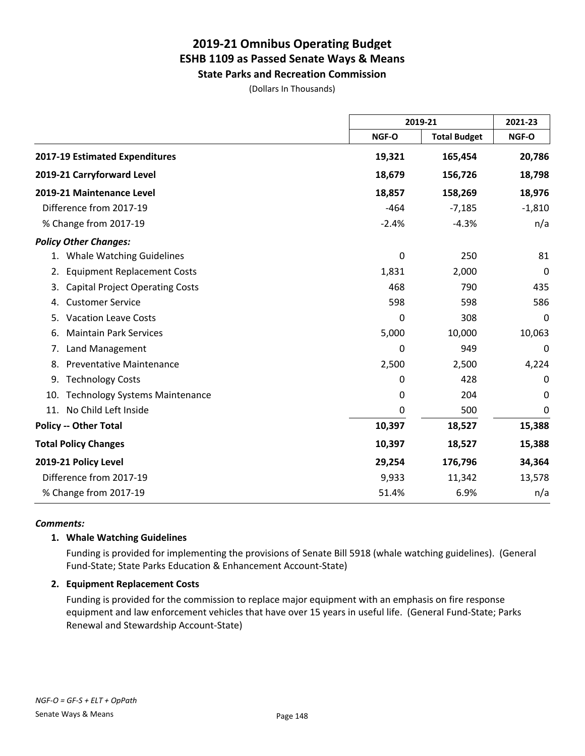**State Parks and Recreation Commission**

(Dollars In Thousands)

|                                              | 2019-21 |                     | 2021-23  |
|----------------------------------------------|---------|---------------------|----------|
|                                              | NGF-O   | <b>Total Budget</b> | NGF-O    |
| 2017-19 Estimated Expenditures               | 19,321  | 165,454             | 20,786   |
| 2019-21 Carryforward Level                   | 18,679  | 156,726             | 18,798   |
| 2019-21 Maintenance Level                    | 18,857  | 158,269             | 18,976   |
| Difference from 2017-19                      | $-464$  | $-7,185$            | $-1,810$ |
| % Change from 2017-19                        | $-2.4%$ | $-4.3%$             | n/a      |
| <b>Policy Other Changes:</b>                 |         |                     |          |
| 1. Whale Watching Guidelines                 | 0       | 250                 | 81       |
| <b>Equipment Replacement Costs</b><br>2.     | 1,831   | 2,000               | 0        |
| <b>Capital Project Operating Costs</b><br>3. | 468     | 790                 | 435      |
| <b>Customer Service</b><br>4.                | 598     | 598                 | 586      |
| <b>Vacation Leave Costs</b><br>5.            | 0       | 308                 | 0        |
| <b>Maintain Park Services</b><br>6.          | 5,000   | 10,000              | 10,063   |
| Land Management<br>7.                        | 0       | 949                 | 0        |
| <b>Preventative Maintenance</b><br>8.        | 2,500   | 2,500               | 4,224    |
| <b>Technology Costs</b><br>9.                | 0       | 428                 | 0        |
| <b>Technology Systems Maintenance</b><br>10. | 0       | 204                 | 0        |
| No Child Left Inside<br>11.                  | 0       | 500                 | 0        |
| <b>Policy -- Other Total</b>                 | 10,397  | 18,527              | 15,388   |
| <b>Total Policy Changes</b>                  | 10,397  | 18,527              | 15,388   |
| 2019-21 Policy Level                         | 29,254  | 176,796             | 34,364   |
| Difference from 2017-19                      | 9,933   | 11,342              | 13,578   |
| % Change from 2017-19                        | 51.4%   | 6.9%                | n/a      |

#### *Comments:*

### **1. Whale Watching Guidelines**

Funding is provided for implementing the provisions of Senate Bill 5918 (whale watching guidelines). (General Fund-State; State Parks Education & Enhancement Account-State)

### **2. Equipment Replacement Costs**

Funding is provided for the commission to replace major equipment with an emphasis on fire response equipment and law enforcement vehicles that have over 15 years in useful life. (General Fund-State; Parks Renewal and Stewardship Account-State)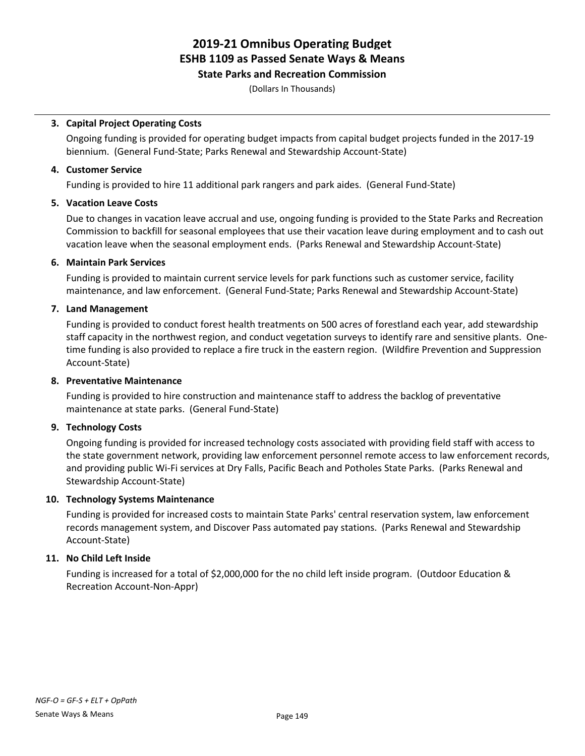### **State Parks and Recreation Commission**

(Dollars In Thousands)

### **3. Capital Project Operating Costs**

Ongoing funding is provided for operating budget impacts from capital budget projects funded in the 2017-19 biennium. (General Fund-State; Parks Renewal and Stewardship Account-State)

### **4. Customer Service**

Funding is provided to hire 11 additional park rangers and park aides. (General Fund-State)

### **5. Vacation Leave Costs**

Due to changes in vacation leave accrual and use, ongoing funding is provided to the State Parks and Recreation Commission to backfill for seasonal employees that use their vacation leave during employment and to cash out vacation leave when the seasonal employment ends. (Parks Renewal and Stewardship Account-State)

### **6. Maintain Park Services**

Funding is provided to maintain current service levels for park functions such as customer service, facility maintenance, and law enforcement. (General Fund-State; Parks Renewal and Stewardship Account-State)

### **7. Land Management**

Funding is provided to conduct forest health treatments on 500 acres of forestland each year, add stewardship staff capacity in the northwest region, and conduct vegetation surveys to identify rare and sensitive plants. Onetime funding is also provided to replace a fire truck in the eastern region. (Wildfire Prevention and Suppression Account-State)

### **8. Preventative Maintenance**

Funding is provided to hire construction and maintenance staff to address the backlog of preventative maintenance at state parks. (General Fund-State)

### **9. Technology Costs**

Ongoing funding is provided for increased technology costs associated with providing field staff with access to the state government network, providing law enforcement personnel remote access to law enforcement records, and providing public Wi-Fi services at Dry Falls, Pacific Beach and Potholes State Parks. (Parks Renewal and Stewardship Account-State)

### **10. Technology Systems Maintenance**

Funding is provided for increased costs to maintain State Parks' central reservation system, law enforcement records management system, and Discover Pass automated pay stations. (Parks Renewal and Stewardship Account-State)

### **11. No Child Left Inside**

Funding is increased for a total of \$2,000,000 for the no child left inside program. (Outdoor Education & Recreation Account-Non-Appr)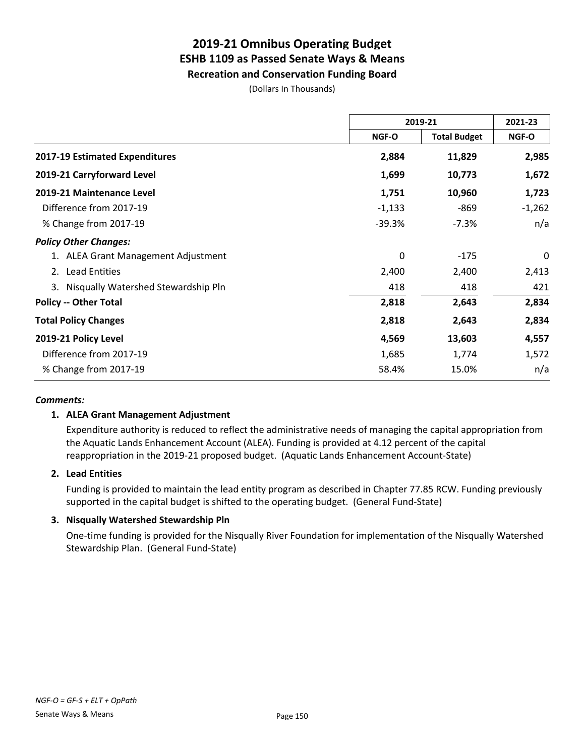**Recreation and Conservation Funding Board**

(Dollars In Thousands)

|                                        | 2019-21                             |              | 2021-23  |
|----------------------------------------|-------------------------------------|--------------|----------|
|                                        | <b>Total Budget</b><br><b>NGF-O</b> | <b>NGF-O</b> |          |
| <b>2017-19 Estimated Expenditures</b>  | 2,884                               | 11,829       | 2,985    |
| 2019-21 Carryforward Level             | 1,699                               | 10,773       | 1,672    |
| 2019-21 Maintenance Level              | 1,751                               | 10,960       | 1,723    |
| Difference from 2017-19                | $-1,133$                            | -869         | $-1,262$ |
| % Change from 2017-19                  | $-39.3%$                            | $-7.3%$      | n/a      |
| <b>Policy Other Changes:</b>           |                                     |              |          |
| 1. ALEA Grant Management Adjustment    | 0                                   | $-175$       | 0        |
| <b>Lead Entities</b><br>2.             | 2,400                               | 2,400        | 2,413    |
| 3. Nisqually Watershed Stewardship Pln | 418                                 | 418          | 421      |
| <b>Policy -- Other Total</b>           | 2,818                               | 2,643        | 2,834    |
| <b>Total Policy Changes</b>            | 2,818                               | 2,643        | 2,834    |
| 2019-21 Policy Level                   | 4,569                               | 13,603       | 4,557    |
| Difference from 2017-19                | 1,685                               | 1,774        | 1,572    |
| % Change from 2017-19                  | 58.4%                               | 15.0%        | n/a      |

### *Comments:*

### **1. ALEA Grant Management Adjustment**

Expenditure authority is reduced to reflect the administrative needs of managing the capital appropriation from the Aquatic Lands Enhancement Account (ALEA). Funding is provided at 4.12 percent of the capital reappropriation in the 2019-21 proposed budget. (Aquatic Lands Enhancement Account-State)

### **2. Lead Entities**

Funding is provided to maintain the lead entity program as described in Chapter 77.85 RCW. Funding previously supported in the capital budget is shifted to the operating budget. (General Fund-State)

### **3. Nisqually Watershed Stewardship Pln**

One-time funding is provided for the Nisqually River Foundation for implementation of the Nisqually Watershed Stewardship Plan. (General Fund-State)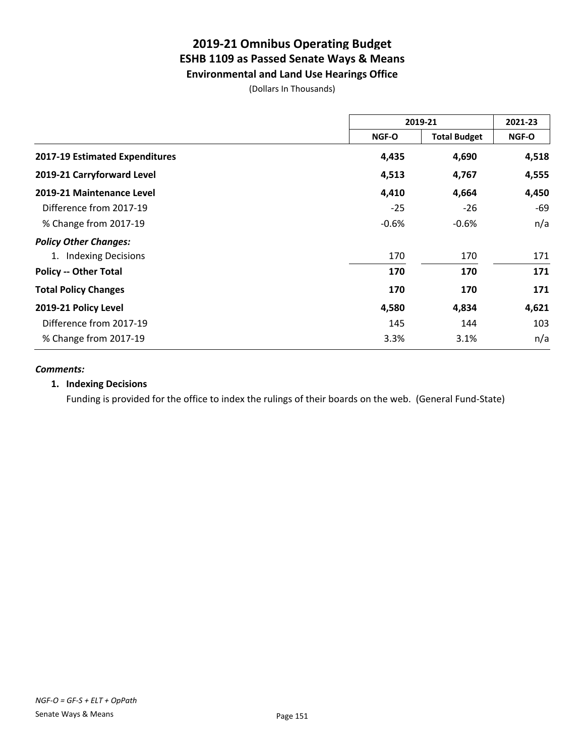# **2019-21 Omnibus Operating Budget ESHB 1109 as Passed Senate Ways & Means Environmental and Land Use Hearings Office**

(Dollars In Thousands)

|                                | 2019-21 |                     | 2021-23 |
|--------------------------------|---------|---------------------|---------|
|                                | NGF-O   | <b>Total Budget</b> | NGF-O   |
| 2017-19 Estimated Expenditures | 4,435   | 4,690               | 4,518   |
| 2019-21 Carryforward Level     | 4,513   | 4,767               | 4,555   |
| 2019-21 Maintenance Level      | 4,410   | 4,664               | 4,450   |
| Difference from 2017-19        | $-25$   | $-26$               | -69     |
| % Change from 2017-19          | $-0.6%$ | $-0.6%$             | n/a     |
| <b>Policy Other Changes:</b>   |         |                     |         |
| 1. Indexing Decisions          | 170     | 170                 | 171     |
| <b>Policy -- Other Total</b>   | 170     | 170                 | 171     |
| <b>Total Policy Changes</b>    | 170     | 170                 | 171     |
| 2019-21 Policy Level           | 4,580   | 4,834               | 4,621   |
| Difference from 2017-19        | 145     | 144                 | 103     |
| % Change from 2017-19          | 3.3%    | 3.1%                | n/a     |

#### *Comments:*

### **1. Indexing Decisions**

Funding is provided for the office to index the rulings of their boards on the web. (General Fund-State)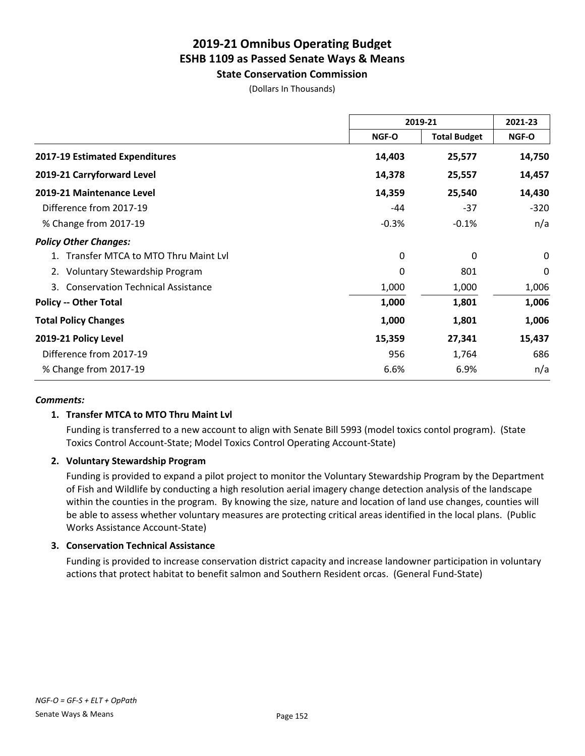**State Conservation Commission**

(Dollars In Thousands)

|                                                | 2019-21      |                     | 2021-23  |
|------------------------------------------------|--------------|---------------------|----------|
|                                                | <b>NGF-O</b> | <b>Total Budget</b> | NGF-O    |
| 2017-19 Estimated Expenditures                 | 14,403       | 25,577              | 14,750   |
| 2019-21 Carryforward Level                     | 14,378       | 25,557              | 14,457   |
| 2019-21 Maintenance Level                      | 14,359       | 25,540              | 14,430   |
| Difference from 2017-19                        | -44          | $-37$               | $-320$   |
| % Change from 2017-19                          | $-0.3%$      | $-0.1%$             | n/a      |
| <b>Policy Other Changes:</b>                   |              |                     |          |
| Transfer MTCA to MTO Thru Maint Lyl            | 0            | 0                   | $\Omega$ |
| <b>Voluntary Stewardship Program</b><br>2.     | 0            | 801                 | 0        |
| <b>Conservation Technical Assistance</b><br>3. | 1,000        | 1,000               | 1,006    |
| <b>Policy -- Other Total</b>                   | 1,000        | 1,801               | 1,006    |
| <b>Total Policy Changes</b>                    | 1,000        | 1,801               | 1,006    |
| 2019-21 Policy Level                           | 15,359       | 27,341              | 15,437   |
| Difference from 2017-19                        | 956          | 1,764               | 686      |
| % Change from 2017-19                          | 6.6%         | 6.9%                | n/a      |

### *Comments:*

### **1. Transfer MTCA to MTO Thru Maint Lvl**

Funding is transferred to a new account to align with Senate Bill 5993 (model toxics contol program). (State Toxics Control Account-State; Model Toxics Control Operating Account-State)

### **2. Voluntary Stewardship Program**

Funding is provided to expand a pilot project to monitor the Voluntary Stewardship Program by the Department of Fish and Wildlife by conducting a high resolution aerial imagery change detection analysis of the landscape within the counties in the program. By knowing the size, nature and location of land use changes, counties will be able to assess whether voluntary measures are protecting critical areas identified in the local plans. (Public Works Assistance Account-State)

### **3. Conservation Technical Assistance**

Funding is provided to increase conservation district capacity and increase landowner participation in voluntary actions that protect habitat to benefit salmon and Southern Resident orcas. (General Fund-State)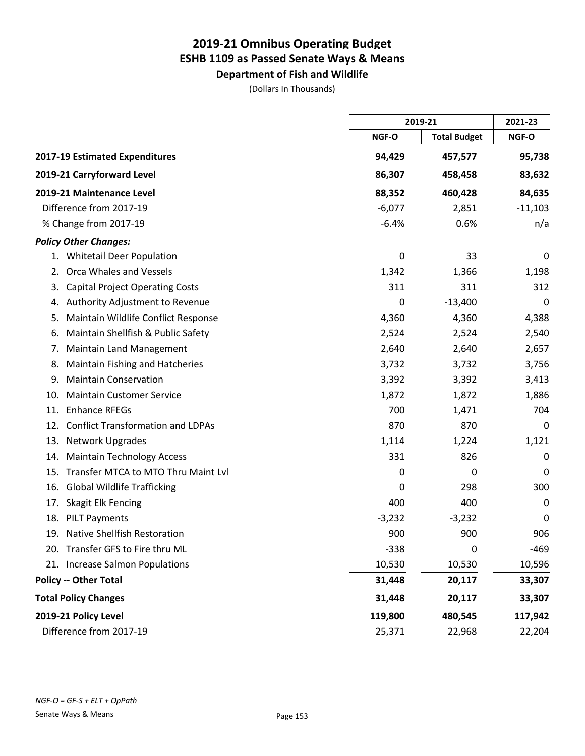**Department of Fish and Wildlife** (Dollars In Thousands)

|                                                 |          | 2019-21             |           |
|-------------------------------------------------|----------|---------------------|-----------|
|                                                 | NGF-O    | <b>Total Budget</b> | NGF-O     |
| 2017-19 Estimated Expenditures                  | 94,429   | 457,577             | 95,738    |
| 2019-21 Carryforward Level                      | 86,307   | 458,458             | 83,632    |
| 2019-21 Maintenance Level                       | 88,352   | 460,428             | 84,635    |
| Difference from 2017-19                         | $-6,077$ | 2,851               | $-11,103$ |
| % Change from 2017-19                           | $-6.4%$  | 0.6%                | n/a       |
| <b>Policy Other Changes:</b>                    |          |                     |           |
| 1. Whitetail Deer Population                    | 0        | 33                  | 0         |
| Orca Whales and Vessels<br>2.                   | 1,342    | 1,366               | 1,198     |
| <b>Capital Project Operating Costs</b><br>3.    | 311      | 311                 | 312       |
| Authority Adjustment to Revenue<br>4.           | 0        | $-13,400$           | 0         |
| Maintain Wildlife Conflict Response<br>5.       | 4,360    | 4,360               | 4,388     |
| Maintain Shellfish & Public Safety<br>6.        | 2,524    | 2,524               | 2,540     |
| <b>Maintain Land Management</b><br>7.           | 2,640    | 2,640               | 2,657     |
| <b>Maintain Fishing and Hatcheries</b><br>8.    | 3,732    | 3,732               | 3,756     |
| <b>Maintain Conservation</b><br>9.              | 3,392    | 3,392               | 3,413     |
| <b>Maintain Customer Service</b><br>10.         | 1,872    | 1,872               | 1,886     |
| <b>Enhance RFEGs</b><br>11.                     | 700      | 1,471               | 704       |
| <b>Conflict Transformation and LDPAs</b><br>12. | 870      | 870                 | 0         |
| 13.<br>Network Upgrades                         | 1,114    | 1,224               | 1,121     |
| <b>Maintain Technology Access</b><br>14.        | 331      | 826                 | 0         |
| Transfer MTCA to MTO Thru Maint Lvl<br>15.      | 0        | 0                   | 0         |
| <b>Global Wildlife Trafficking</b><br>16.       | 0        | 298                 | 300       |
| Skagit Elk Fencing<br>17.                       | 400      | 400                 | 0         |
| 18.<br><b>PILT Payments</b>                     | $-3,232$ | $-3,232$            | 0         |
| <b>Native Shellfish Restoration</b><br>19.      | 900      | 900                 | 906       |
| 20. Transfer GFS to Fire thru ML                | $-338$   | $\mathbf 0$         | $-469$    |
| <b>Increase Salmon Populations</b><br>21.       | 10,530   | 10,530              | 10,596    |
| <b>Policy -- Other Total</b>                    | 31,448   | 20,117              | 33,307    |
| <b>Total Policy Changes</b>                     | 31,448   | 20,117              | 33,307    |
| 2019-21 Policy Level                            | 119,800  | 480,545             | 117,942   |
| Difference from 2017-19                         | 25,371   | 22,968              | 22,204    |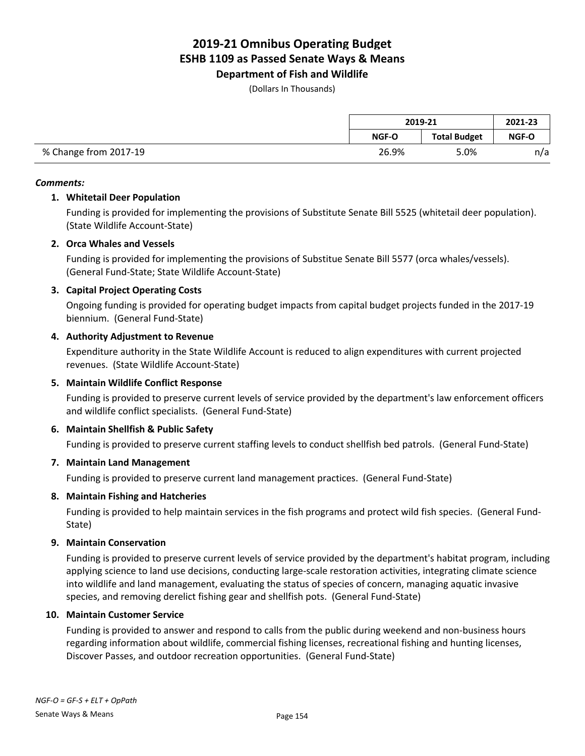**Department of Fish and Wildlife**

(Dollars In Thousands)

|                       | 2019-21      |                     | 2021-23      |
|-----------------------|--------------|---------------------|--------------|
|                       | <b>NGF-O</b> | <b>Total Budget</b> | <b>NGF-O</b> |
| % Change from 2017-19 | 26.9%        | 5.0%                | n/a          |

#### *Comments:*

### **1. Whitetail Deer Population**

Funding is provided for implementing the provisions of Substitute Senate Bill 5525 (whitetail deer population). (State Wildlife Account-State)

### **2. Orca Whales and Vessels**

Funding is provided for implementing the provisions of Substitue Senate Bill 5577 (orca whales/vessels). (General Fund-State; State Wildlife Account-State)

### **3. Capital Project Operating Costs**

Ongoing funding is provided for operating budget impacts from capital budget projects funded in the 2017-19 biennium. (General Fund-State)

### **4. Authority Adjustment to Revenue**

Expenditure authority in the State Wildlife Account is reduced to align expenditures with current projected revenues. (State Wildlife Account-State)

### **5. Maintain Wildlife Conflict Response**

Funding is provided to preserve current levels of service provided by the department's law enforcement officers and wildlife conflict specialists. (General Fund-State)

### **6. Maintain Shellfish & Public Safety**

Funding is provided to preserve current staffing levels to conduct shellfish bed patrols. (General Fund-State)

### **7. Maintain Land Management**

Funding is provided to preserve current land management practices. (General Fund-State)

### **8. Maintain Fishing and Hatcheries**

Funding is provided to help maintain services in the fish programs and protect wild fish species. (General Fund-State)

### **9. Maintain Conservation**

Funding is provided to preserve current levels of service provided by the department's habitat program, including applying science to land use decisions, conducting large-scale restoration activities, integrating climate science into wildlife and land management, evaluating the status of species of concern, managing aquatic invasive species, and removing derelict fishing gear and shellfish pots. (General Fund-State)

### **10. Maintain Customer Service**

Funding is provided to answer and respond to calls from the public during weekend and non-business hours regarding information about wildlife, commercial fishing licenses, recreational fishing and hunting licenses, Discover Passes, and outdoor recreation opportunities. (General Fund-State)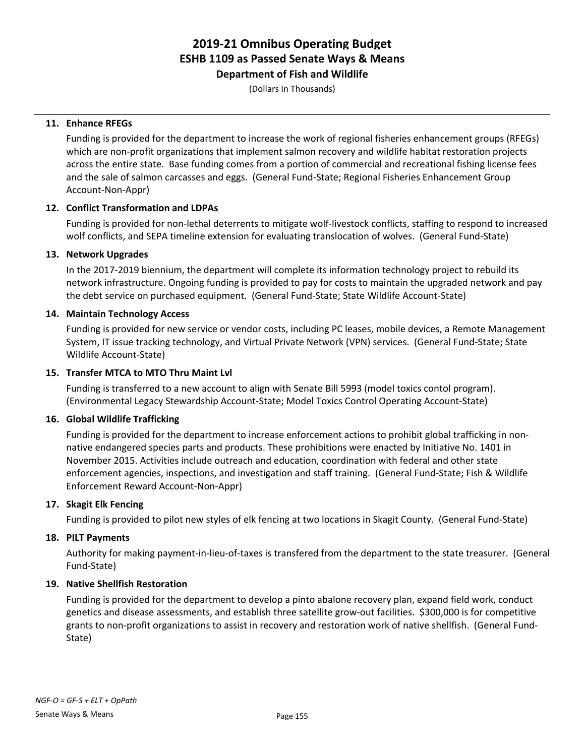**Department of Fish and Wildlife**

(Dollars In Thousands)

### **11. Enhance RFEGs**

Funding is provided for the department to increase the work of regional fisheries enhancement groups (RFEGs) which are non-profit organizations that implement salmon recovery and wildlife habitat restoration projects across the entire state. Base funding comes from a portion of commercial and recreational fishing license fees and the sale of salmon carcasses and eggs. (General Fund-State; Regional Fisheries Enhancement Group Account-Non-Appr)

### **12. Conflict Transformation and LDPAs**

Funding is provided for non-lethal deterrents to mitigate wolf-livestock conflicts, staffing to respond to increased wolf conflicts, and SEPA timeline extension for evaluating translocation of wolves. (General Fund-State)

### **13. Network Upgrades**

In the 2017-2019 biennium, the department will complete its information technology project to rebuild its network infrastructure. Ongoing funding is provided to pay for costs to maintain the upgraded network and pay the debt service on purchased equipment. (General Fund-State; State Wildlife Account-State)

### **14. Maintain Technology Access**

Funding is provided for new service or vendor costs, including PC leases, mobile devices, a Remote Management System, IT issue tracking technology, and Virtual Private Network (VPN) services. (General Fund-State; State Wildlife Account-State)

### **15. Transfer MTCA to MTO Thru Maint Lvl**

Funding is transferred to a new account to align with Senate Bill 5993 (model toxics contol program). (Environmental Legacy Stewardship Account-State; Model Toxics Control Operating Account-State)

### **16. Global Wildlife Trafficking**

Funding is provided for the department to increase enforcement actions to prohibit global trafficking in nonnative endangered species parts and products. These prohibitions were enacted by Initiative No. 1401 in November 2015. Activities include outreach and education, coordination with federal and other state enforcement agencies, inspections, and investigation and staff training. (General Fund-State; Fish & Wildlife Enforcement Reward Account-Non-Appr)

### **17. Skagit Elk Fencing**

Funding is provided to pilot new styles of elk fencing at two locations in Skagit County. (General Fund-State)

### **18. PILT Payments**

Authority for making payment-in-lieu-of-taxes is transfered from the department to the state treasurer. (General Fund-State)

### **19. Native Shellfish Restoration**

Funding is provided for the department to develop a pinto abalone recovery plan, expand field work, conduct genetics and disease assessments, and establish three satellite grow-out facilities. \$300,000 is for competitive grants to non-profit organizations to assist in recovery and restoration work of native shellfish. (General Fund-State)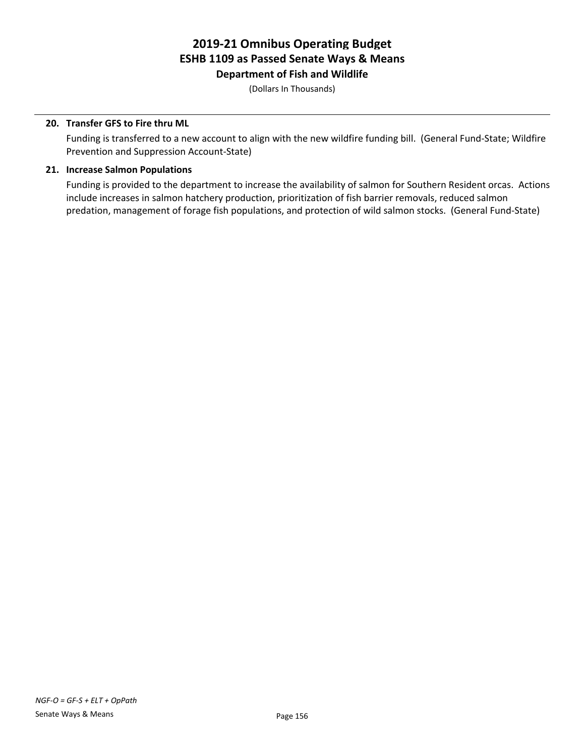**Department of Fish and Wildlife**

(Dollars In Thousands)

### **20. Transfer GFS to Fire thru ML**

Funding is transferred to a new account to align with the new wildfire funding bill. (General Fund-State; Wildfire Prevention and Suppression Account-State)

### **21. Increase Salmon Populations**

Funding is provided to the department to increase the availability of salmon for Southern Resident orcas. Actions include increases in salmon hatchery production, prioritization of fish barrier removals, reduced salmon predation, management of forage fish populations, and protection of wild salmon stocks. (General Fund-State)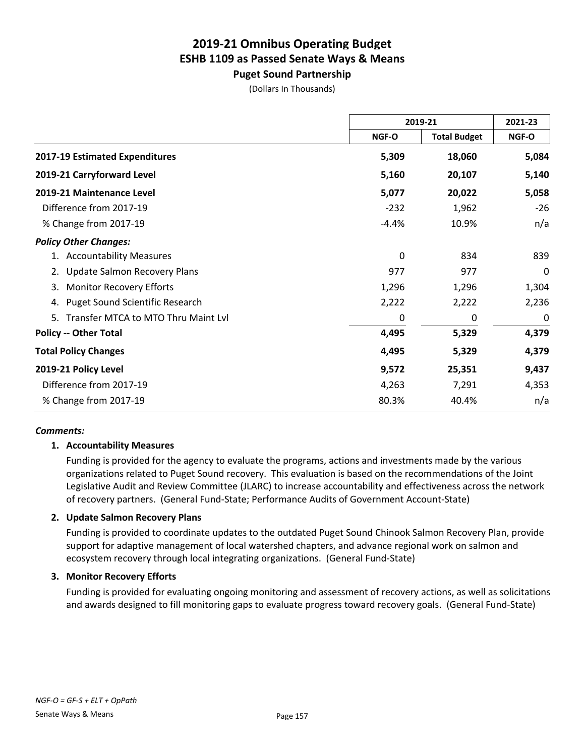**Puget Sound Partnership**

|                                              |         | 2019-21             |       |
|----------------------------------------------|---------|---------------------|-------|
|                                              | NGF-O   | <b>Total Budget</b> | NGF-O |
| 2017-19 Estimated Expenditures               | 5,309   | 18,060              | 5,084 |
| 2019-21 Carryforward Level                   | 5,160   | 20,107              | 5,140 |
| 2019-21 Maintenance Level                    | 5,077   | 20,022              | 5,058 |
| Difference from 2017-19                      | $-232$  | 1,962               | $-26$ |
| % Change from 2017-19                        | $-4.4%$ | 10.9%               | n/a   |
| <b>Policy Other Changes:</b>                 |         |                     |       |
| 1. Accountability Measures                   | 0       | 834                 | 839   |
| Update Salmon Recovery Plans                 | 977     | 977                 | 0     |
| <b>Monitor Recovery Efforts</b><br>3.        | 1,296   | 1,296               | 1,304 |
| <b>Puget Sound Scientific Research</b><br>4. | 2,222   | 2,222               | 2,236 |
| Transfer MTCA to MTO Thru Maint Lvl<br>5.    | 0       | 0                   | 0     |
| <b>Policy -- Other Total</b>                 | 4,495   | 5,329               | 4,379 |
| <b>Total Policy Changes</b>                  | 4,495   | 5,329               | 4,379 |
| 2019-21 Policy Level                         | 9,572   | 25,351              | 9,437 |
| Difference from 2017-19                      | 4,263   | 7,291               | 4,353 |
| % Change from 2017-19                        | 80.3%   | 40.4%               | n/a   |

### *Comments:*

### **1. Accountability Measures**

Funding is provided for the agency to evaluate the programs, actions and investments made by the various organizations related to Puget Sound recovery. This evaluation is based on the recommendations of the Joint Legislative Audit and Review Committee (JLARC) to increase accountability and effectiveness across the network of recovery partners. (General Fund-State; Performance Audits of Government Account-State)

#### **2. Update Salmon Recovery Plans**

Funding is provided to coordinate updates to the outdated Puget Sound Chinook Salmon Recovery Plan, provide support for adaptive management of local watershed chapters, and advance regional work on salmon and ecosystem recovery through local integrating organizations. (General Fund-State)

#### **3. Monitor Recovery Efforts**

Funding is provided for evaluating ongoing monitoring and assessment of recovery actions, as well as solicitations and awards designed to fill monitoring gaps to evaluate progress toward recovery goals. (General Fund-State)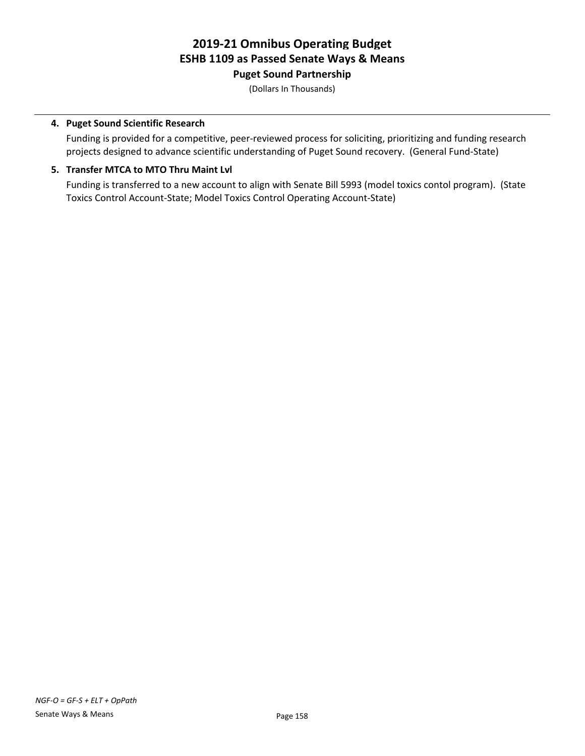**Puget Sound Partnership**

(Dollars In Thousands)

### **4. Puget Sound Scientific Research**

Funding is provided for a competitive, peer-reviewed process for soliciting, prioritizing and funding research projects designed to advance scientific understanding of Puget Sound recovery. (General Fund-State)

### **5. Transfer MTCA to MTO Thru Maint Lvl**

Funding is transferred to a new account to align with Senate Bill 5993 (model toxics contol program). (State Toxics Control Account-State; Model Toxics Control Operating Account-State)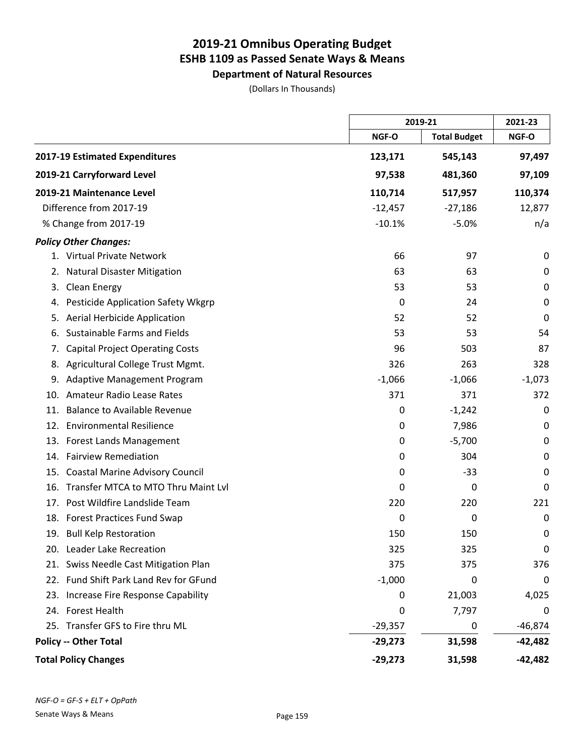**Department of Natural Resources**

(Dollars In Thousands)

|     |                                        |           | 2019-21             |           |
|-----|----------------------------------------|-----------|---------------------|-----------|
|     |                                        | NGF-O     | <b>Total Budget</b> | NGF-O     |
|     | 2017-19 Estimated Expenditures         | 123,171   | 545,143             | 97,497    |
|     | 2019-21 Carryforward Level             | 97,538    | 481,360             | 97,109    |
|     | 2019-21 Maintenance Level              | 110,714   | 517,957             | 110,374   |
|     | Difference from 2017-19                | $-12,457$ | $-27,186$           | 12,877    |
|     | % Change from 2017-19                  | $-10.1%$  | $-5.0%$             | n/a       |
|     | <b>Policy Other Changes:</b>           |           |                     |           |
|     | 1. Virtual Private Network             | 66        | 97                  | 0         |
| 2.  | <b>Natural Disaster Mitigation</b>     | 63        | 63                  | 0         |
| 3.  | Clean Energy                           | 53        | 53                  | 0         |
| 4.  | Pesticide Application Safety Wkgrp     | 0         | 24                  | 0         |
| 5.  | Aerial Herbicide Application           | 52        | 52                  | 0         |
| 6.  | Sustainable Farms and Fields           | 53        | 53                  | 54        |
| 7.  | <b>Capital Project Operating Costs</b> | 96        | 503                 | 87        |
| 8.  | Agricultural College Trust Mgmt.       | 326       | 263                 | 328       |
| 9.  | Adaptive Management Program            | $-1,066$  | $-1,066$            | $-1,073$  |
| 10. | <b>Amateur Radio Lease Rates</b>       | 371       | 371                 | 372       |
| 11. | <b>Balance to Available Revenue</b>    | 0         | $-1,242$            | 0         |
|     | 12. Environmental Resilience           | 0         | 7,986               | 0         |
|     | 13. Forest Lands Management            | 0         | $-5,700$            | 0         |
|     | 14. Fairview Remediation               | 0         | 304                 | 0         |
| 15. | <b>Coastal Marine Advisory Council</b> | 0         | $-33$               | 0         |
| 16. | Transfer MTCA to MTO Thru Maint Lvl    | 0         | 0                   | 0         |
| 17. | Post Wildfire Landslide Team           | 220       | 220                 | 221       |
|     | 18. Forest Practices Fund Swap         | 0         | 0                   | 0         |
|     | 19. Bull Kelp Restoration              | 150       | 150                 | 0         |
|     | 20. Leader Lake Recreation             | 325       | 325                 | 0         |
|     | 21. Swiss Needle Cast Mitigation Plan  | 375       | 375                 | 376       |
|     | 22. Fund Shift Park Land Rev for GFund | $-1,000$  | 0                   | 0         |
|     | 23. Increase Fire Response Capability  | 0         | 21,003              | 4,025     |
|     | 24. Forest Health                      | 0         | 7,797               | 0         |
|     | 25. Transfer GFS to Fire thru ML       | $-29,357$ | 0                   | $-46,874$ |
|     | <b>Policy -- Other Total</b>           | $-29,273$ | 31,598              | -42,482   |
|     | <b>Total Policy Changes</b>            | $-29,273$ | 31,598              | $-42,482$ |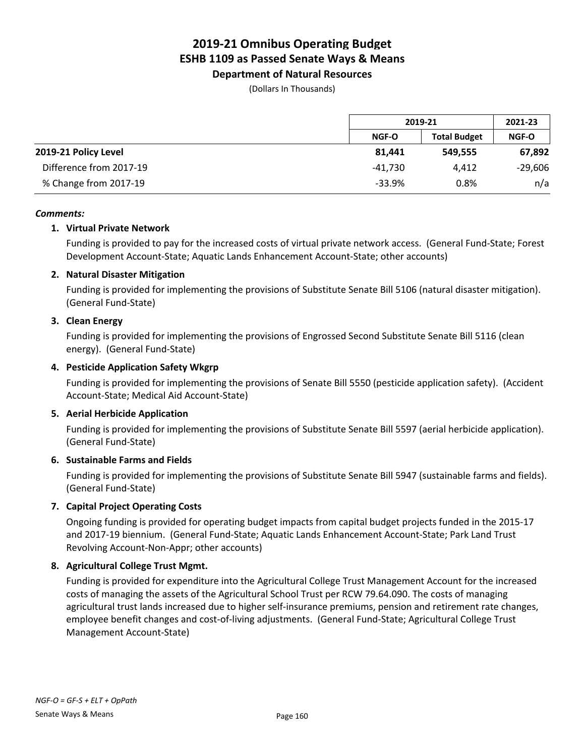**Department of Natural Resources**

(Dollars In Thousands)

|                         |              | 2019-21             |              |
|-------------------------|--------------|---------------------|--------------|
|                         | <b>NGF-O</b> | <b>Total Budget</b> | <b>NGF-O</b> |
| 2019-21 Policy Level    | 81.441       | 549.555             | 67,892       |
| Difference from 2017-19 | -41.730      | 4.412               | $-29,606$    |
| % Change from 2017-19   | $-33.9%$     | 0.8%                | n/a          |

### *Comments:*

### **1. Virtual Private Network**

Funding is provided to pay for the increased costs of virtual private network access. (General Fund-State; Forest Development Account-State; Aquatic Lands Enhancement Account-State; other accounts)

### **2. Natural Disaster Mitigation**

Funding is provided for implementing the provisions of Substitute Senate Bill 5106 (natural disaster mitigation). (General Fund-State)

### **3. Clean Energy**

Funding is provided for implementing the provisions of Engrossed Second Substitute Senate Bill 5116 (clean energy). (General Fund-State)

### **4. Pesticide Application Safety Wkgrp**

Funding is provided for implementing the provisions of Senate Bill 5550 (pesticide application safety). (Accident Account-State; Medical Aid Account-State)

### **5. Aerial Herbicide Application**

Funding is provided for implementing the provisions of Substitute Senate Bill 5597 (aerial herbicide application). (General Fund-State)

### **6. Sustainable Farms and Fields**

Funding is provided for implementing the provisions of Substitute Senate Bill 5947 (sustainable farms and fields). (General Fund-State)

### **7. Capital Project Operating Costs**

Ongoing funding is provided for operating budget impacts from capital budget projects funded in the 2015-17 and 2017-19 biennium. (General Fund-State; Aquatic Lands Enhancement Account-State; Park Land Trust Revolving Account-Non-Appr; other accounts)

#### **8. Agricultural College Trust Mgmt.**

Funding is provided for expenditure into the Agricultural College Trust Management Account for the increased costs of managing the assets of the Agricultural School Trust per RCW 79.64.090. The costs of managing agricultural trust lands increased due to higher self-insurance premiums, pension and retirement rate changes, employee benefit changes and cost-of-living adjustments. (General Fund-State; Agricultural College Trust Management Account-State)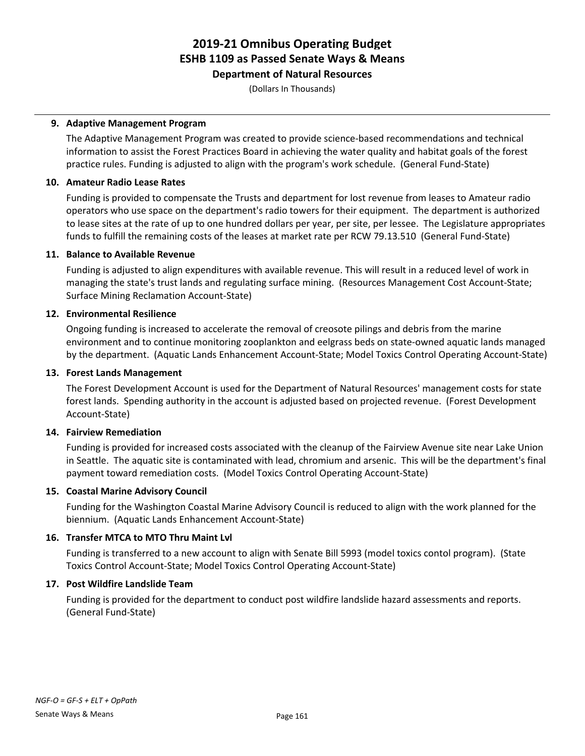**Department of Natural Resources**

(Dollars In Thousands)

### **9. Adaptive Management Program**

The Adaptive Management Program was created to provide science-based recommendations and technical information to assist the Forest Practices Board in achieving the water quality and habitat goals of the forest practice rules. Funding is adjusted to align with the program's work schedule. (General Fund-State)

### **10. Amateur Radio Lease Rates**

Funding is provided to compensate the Trusts and department for lost revenue from leases to Amateur radio operators who use space on the department's radio towers for their equipment. The department is authorized to lease sites at the rate of up to one hundred dollars per year, per site, per lessee. The Legislature appropriates funds to fulfill the remaining costs of the leases at market rate per RCW 79.13.510 (General Fund-State)

### **11. Balance to Available Revenue**

Funding is adjusted to align expenditures with available revenue. This will result in a reduced level of work in managing the state's trust lands and regulating surface mining. (Resources Management Cost Account-State; Surface Mining Reclamation Account-State)

### **12. Environmental Resilience**

Ongoing funding is increased to accelerate the removal of creosote pilings and debris from the marine environment and to continue monitoring zooplankton and eelgrass beds on state-owned aquatic lands managed by the department. (Aquatic Lands Enhancement Account-State; Model Toxics Control Operating Account-State)

### **13. Forest Lands Management**

The Forest Development Account is used for the Department of Natural Resources' management costs for state forest lands. Spending authority in the account is adjusted based on projected revenue. (Forest Development Account-State)

#### **14. Fairview Remediation**

Funding is provided for increased costs associated with the cleanup of the Fairview Avenue site near Lake Union in Seattle. The aquatic site is contaminated with lead, chromium and arsenic. This will be the department's final payment toward remediation costs. (Model Toxics Control Operating Account-State)

### **15. Coastal Marine Advisory Council**

Funding for the Washington Coastal Marine Advisory Council is reduced to align with the work planned for the biennium. (Aquatic Lands Enhancement Account-State)

### **16. Transfer MTCA to MTO Thru Maint Lvl**

Funding is transferred to a new account to align with Senate Bill 5993 (model toxics contol program). (State Toxics Control Account-State; Model Toxics Control Operating Account-State)

### **17. Post Wildfire Landslide Team**

Funding is provided for the department to conduct post wildfire landslide hazard assessments and reports. (General Fund-State)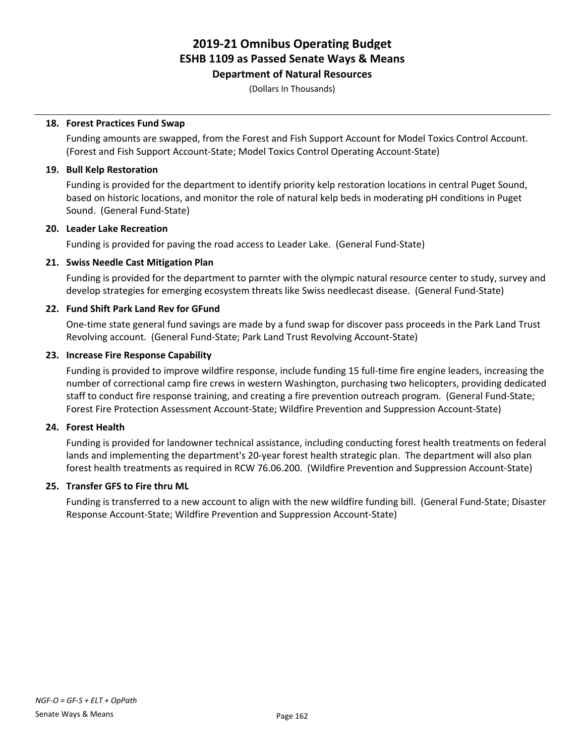**Department of Natural Resources**

(Dollars In Thousands)

### **18. Forest Practices Fund Swap**

Funding amounts are swapped, from the Forest and Fish Support Account for Model Toxics Control Account. (Forest and Fish Support Account-State; Model Toxics Control Operating Account-State)

### **19. Bull Kelp Restoration**

Funding is provided for the department to identify priority kelp restoration locations in central Puget Sound, based on historic locations, and monitor the role of natural kelp beds in moderating pH conditions in Puget Sound. (General Fund-State)

### **20. Leader Lake Recreation**

Funding is provided for paving the road access to Leader Lake. (General Fund-State)

### **21. Swiss Needle Cast Mitigation Plan**

Funding is provided for the department to parnter with the olympic natural resource center to study, survey and develop strategies for emerging ecosystem threats like Swiss needlecast disease. (General Fund-State)

### **22. Fund Shift Park Land Rev for GFund**

One-time state general fund savings are made by a fund swap for discover pass proceeds in the Park Land Trust Revolving account. (General Fund-State; Park Land Trust Revolving Account-State)

### **23. Increase Fire Response Capability**

Funding is provided to improve wildfire response, include funding 15 full-time fire engine leaders, increasing the number of correctional camp fire crews in western Washington, purchasing two helicopters, providing dedicated staff to conduct fire response training, and creating a fire prevention outreach program. (General Fund-State; Forest Fire Protection Assessment Account-State; Wildfire Prevention and Suppression Account-State)

#### **24. Forest Health**

Funding is provided for landowner technical assistance, including conducting forest health treatments on federal lands and implementing the department's 20-year forest health strategic plan. The department will also plan forest health treatments as required in RCW 76.06.200. (Wildfire Prevention and Suppression Account-State)

### **25. Transfer GFS to Fire thru ML**

Funding is transferred to a new account to align with the new wildfire funding bill. (General Fund-State; Disaster Response Account-State; Wildfire Prevention and Suppression Account-State)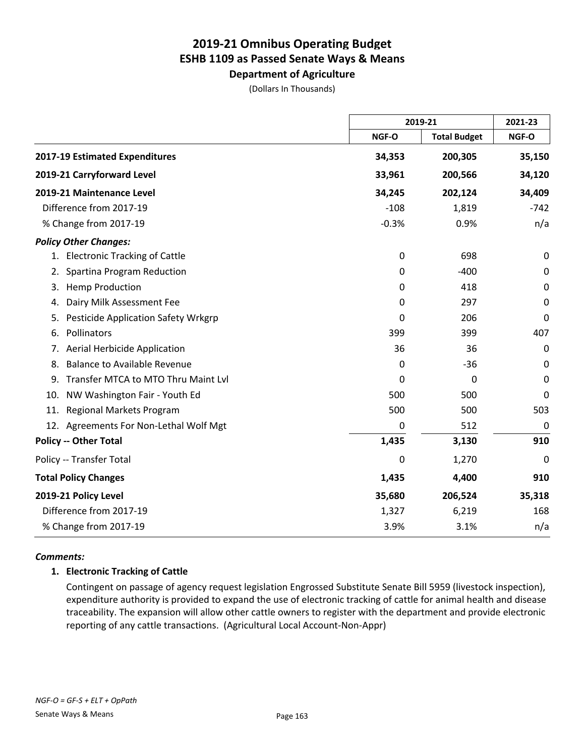**Department of Agriculture**

|  | (Dollars In Thousands) |
|--|------------------------|
|--|------------------------|

|                                           |         | 2019-21             |             |
|-------------------------------------------|---------|---------------------|-------------|
|                                           | NGF-O   | <b>Total Budget</b> | NGF-O       |
| 2017-19 Estimated Expenditures            | 34,353  | 200,305             | 35,150      |
| 2019-21 Carryforward Level                | 33,961  | 200,566             | 34,120      |
| 2019-21 Maintenance Level                 | 34,245  | 202,124             | 34,409      |
| Difference from 2017-19                   | $-108$  | 1,819               | $-742$      |
| % Change from 2017-19                     | $-0.3%$ | 0.9%                | n/a         |
| <b>Policy Other Changes:</b>              |         |                     |             |
| 1. Electronic Tracking of Cattle          | 0       | 698                 | 0           |
| Spartina Program Reduction<br>2.          | 0       | $-400$              | $\mathbf 0$ |
| <b>Hemp Production</b><br>3.              | 0       | 418                 | $\pmb{0}$   |
| Dairy Milk Assessment Fee<br>4.           | 0       | 297                 | $\mathbf 0$ |
| Pesticide Application Safety Wrkgrp<br>5. | 0       | 206                 | 0           |
| Pollinators<br>6.                         | 399     | 399                 | 407         |
| <b>Aerial Herbicide Application</b><br>7. | 36      | 36                  | 0           |
| <b>Balance to Available Revenue</b><br>8. | 0       | $-36$               | 0           |
| Transfer MTCA to MTO Thru Maint Lvl<br>9. | 0       | 0                   | 0           |
| NW Washington Fair - Youth Ed<br>10.      | 500     | 500                 | 0           |
| <b>Regional Markets Program</b><br>11.    | 500     | 500                 | 503         |
| 12. Agreements For Non-Lethal Wolf Mgt    | 0       | 512                 | $\mathbf 0$ |
| <b>Policy -- Other Total</b>              | 1,435   | 3,130               | 910         |
| Policy -- Transfer Total                  | 0       | 1,270               | 0           |
| <b>Total Policy Changes</b>               | 1,435   | 4,400               | 910         |
| 2019-21 Policy Level                      | 35,680  | 206,524             | 35,318      |
| Difference from 2017-19                   | 1,327   | 6,219               | 168         |
| % Change from 2017-19                     | 3.9%    | 3.1%                | n/a         |

#### *Comments:*

### **1. Electronic Tracking of Cattle**

Contingent on passage of agency request legislation Engrossed Substitute Senate Bill 5959 (livestock inspection), expenditure authority is provided to expand the use of electronic tracking of cattle for animal health and disease traceability. The expansion will allow other cattle owners to register with the department and provide electronic reporting of any cattle transactions. (Agricultural Local Account-Non-Appr)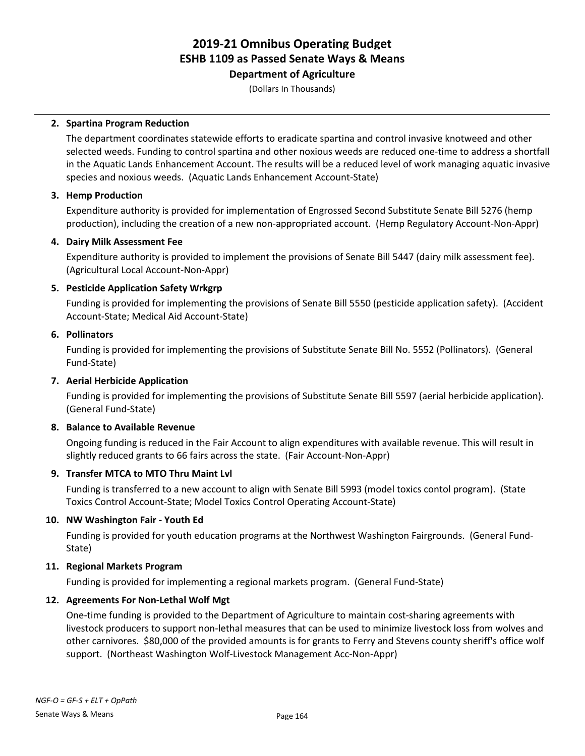# **Department of Agriculture**

(Dollars In Thousands)

### **2. Spartina Program Reduction**

The department coordinates statewide efforts to eradicate spartina and control invasive knotweed and other selected weeds. Funding to control spartina and other noxious weeds are reduced one-time to address a shortfall in the Aquatic Lands Enhancement Account. The results will be a reduced level of work managing aquatic invasive species and noxious weeds. (Aquatic Lands Enhancement Account-State)

### **3. Hemp Production**

Expenditure authority is provided for implementation of Engrossed Second Substitute Senate Bill 5276 (hemp production), including the creation of a new non-appropriated account. (Hemp Regulatory Account-Non-Appr)

### **4. Dairy Milk Assessment Fee**

Expenditure authority is provided to implement the provisions of Senate Bill 5447 (dairy milk assessment fee). (Agricultural Local Account-Non-Appr)

### **5. Pesticide Application Safety Wrkgrp**

Funding is provided for implementing the provisions of Senate Bill 5550 (pesticide application safety). (Accident Account-State; Medical Aid Account-State)

### **6. Pollinators**

Funding is provided for implementing the provisions of Substitute Senate Bill No. 5552 (Pollinators). (General Fund-State)

## **7. Aerial Herbicide Application**

Funding is provided for implementing the provisions of Substitute Senate Bill 5597 (aerial herbicide application). (General Fund-State)

## **8. Balance to Available Revenue**

Ongoing funding is reduced in the Fair Account to align expenditures with available revenue. This will result in slightly reduced grants to 66 fairs across the state. (Fair Account-Non-Appr)

## **9. Transfer MTCA to MTO Thru Maint Lvl**

Funding is transferred to a new account to align with Senate Bill 5993 (model toxics contol program). (State Toxics Control Account-State; Model Toxics Control Operating Account-State)

### **10. NW Washington Fair - Youth Ed**

Funding is provided for youth education programs at the Northwest Washington Fairgrounds. (General Fund-State)

### **11. Regional Markets Program**

Funding is provided for implementing a regional markets program. (General Fund-State)

### **12. Agreements For Non-Lethal Wolf Mgt**

One-time funding is provided to the Department of Agriculture to maintain cost-sharing agreements with livestock producers to support non-lethal measures that can be used to minimize livestock loss from wolves and other carnivores. \$80,000 of the provided amounts is for grants to Ferry and Stevens county sheriff's office wolf support. (Northeast Washington Wolf-Livestock Management Acc-Non-Appr)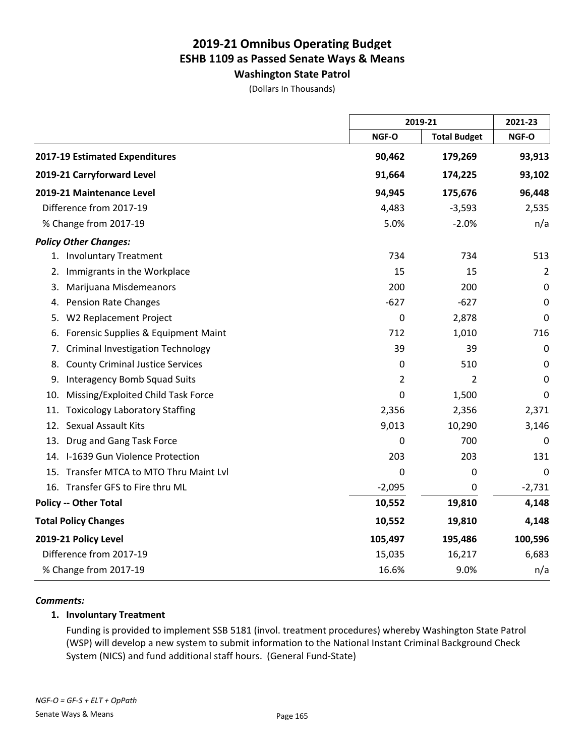**Washington State Patrol**

(Dollars In Thousands)

|                                                |           | 2019-21             |             |
|------------------------------------------------|-----------|---------------------|-------------|
|                                                | NGF-O     | <b>Total Budget</b> | NGF-O       |
| 2017-19 Estimated Expenditures                 | 90,462    | 179,269             | 93,913      |
| 2019-21 Carryforward Level                     | 91,664    | 174,225             | 93,102      |
| 2019-21 Maintenance Level                      | 94,945    | 175,676             | 96,448      |
| Difference from 2017-19                        | 4,483     | $-3,593$            | 2,535       |
| % Change from 2017-19                          | 5.0%      | $-2.0%$             | n/a         |
| <b>Policy Other Changes:</b>                   |           |                     |             |
| 1. Involuntary Treatment                       | 734       | 734                 | 513         |
| Immigrants in the Workplace<br>2.              | 15        | 15                  | 2           |
| Marijuana Misdemeanors<br>3.                   | 200       | 200                 | $\pmb{0}$   |
| <b>Pension Rate Changes</b><br>4.              | $-627$    | $-627$              | $\pmb{0}$   |
| W2 Replacement Project<br>5.                   | $\pmb{0}$ | 2,878               | $\mathbf 0$ |
| Forensic Supplies & Equipment Maint<br>6.      | 712       | 1,010               | 716         |
| <b>Criminal Investigation Technology</b><br>7. | 39        | 39                  | $\pmb{0}$   |
| <b>County Criminal Justice Services</b><br>8.  | 0         | 510                 | 0           |
| <b>Interagency Bomb Squad Suits</b><br>9.      | 2         | 2                   | 0           |
| Missing/Exploited Child Task Force<br>10.      | 0         | 1,500               | 0           |
| <b>Toxicology Laboratory Staffing</b><br>11.   | 2,356     | 2,356               | 2,371       |
| 12. Sexual Assault Kits                        | 9,013     | 10,290              | 3,146       |
| Drug and Gang Task Force<br>13.                | 0         | 700                 | 0           |
| 14. I-1639 Gun Violence Protection             | 203       | 203                 | 131         |
| 15. Transfer MTCA to MTO Thru Maint Lvl        | 0         | 0                   | 0           |
| 16. Transfer GFS to Fire thru ML               | $-2,095$  | 0                   | $-2,731$    |
| <b>Policy -- Other Total</b>                   | 10,552    | 19,810              | 4,148       |
| <b>Total Policy Changes</b>                    | 10,552    | 19,810              | 4,148       |
| 2019-21 Policy Level                           | 105,497   | 195,486             | 100,596     |
| Difference from 2017-19                        | 15,035    | 16,217              | 6,683       |
| % Change from 2017-19                          | 16.6%     | 9.0%                | n/a         |

#### *Comments:*

### **1. Involuntary Treatment**

Funding is provided to implement SSB 5181 (invol. treatment procedures) whereby Washington State Patrol (WSP) will develop a new system to submit information to the National Instant Criminal Background Check System (NICS) and fund additional staff hours. (General Fund-State)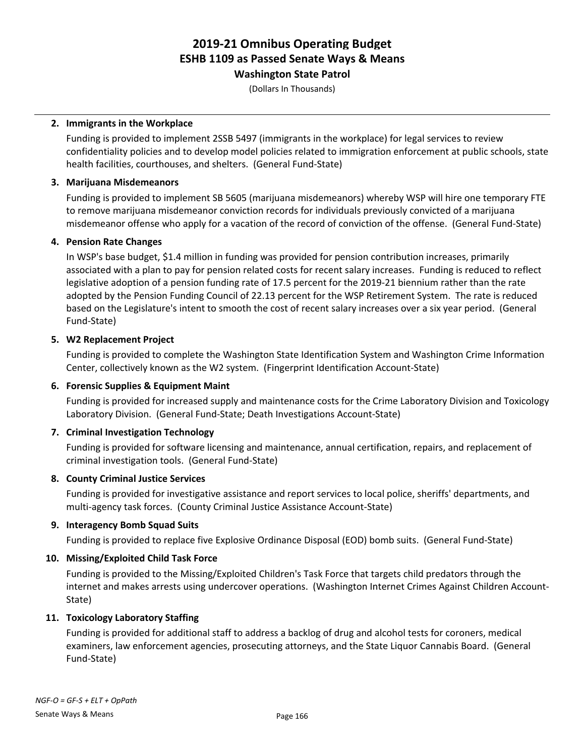**Washington State Patrol**

(Dollars In Thousands)

### **2. Immigrants in the Workplace**

Funding is provided to implement 2SSB 5497 (immigrants in the workplace) for legal services to review confidentiality policies and to develop model policies related to immigration enforcement at public schools, state health facilities, courthouses, and shelters. (General Fund-State)

### **3. Marijuana Misdemeanors**

Funding is provided to implement SB 5605 (marijuana misdemeanors) whereby WSP will hire one temporary FTE to remove marijuana misdemeanor conviction records for individuals previously convicted of a marijuana misdemeanor offense who apply for a vacation of the record of conviction of the offense. (General Fund-State)

### **4. Pension Rate Changes**

In WSP's base budget, \$1.4 million in funding was provided for pension contribution increases, primarily associated with a plan to pay for pension related costs for recent salary increases. Funding is reduced to reflect legislative adoption of a pension funding rate of 17.5 percent for the 2019-21 biennium rather than the rate adopted by the Pension Funding Council of 22.13 percent for the WSP Retirement System. The rate is reduced based on the Legislature's intent to smooth the cost of recent salary increases over a six year period. (General Fund-State)

### **5. W2 Replacement Project**

Funding is provided to complete the Washington State Identification System and Washington Crime Information Center, collectively known as the W2 system. (Fingerprint Identification Account-State)

## **6. Forensic Supplies & Equipment Maint**

Funding is provided for increased supply and maintenance costs for the Crime Laboratory Division and Toxicology Laboratory Division. (General Fund-State; Death Investigations Account-State)

### **7. Criminal Investigation Technology**

Funding is provided for software licensing and maintenance, annual certification, repairs, and replacement of criminal investigation tools. (General Fund-State)

## **8. County Criminal Justice Services**

Funding is provided for investigative assistance and report services to local police, sheriffs' departments, and multi-agency task forces. (County Criminal Justice Assistance Account-State)

### **9. Interagency Bomb Squad Suits**

Funding is provided to replace five Explosive Ordinance Disposal (EOD) bomb suits. (General Fund-State)

## **10. Missing/Exploited Child Task Force**

Funding is provided to the Missing/Exploited Children's Task Force that targets child predators through the internet and makes arrests using undercover operations. (Washington Internet Crimes Against Children Account-State)

### **11. Toxicology Laboratory Staffing**

Funding is provided for additional staff to address a backlog of drug and alcohol tests for coroners, medical examiners, law enforcement agencies, prosecuting attorneys, and the State Liquor Cannabis Board. (General Fund-State)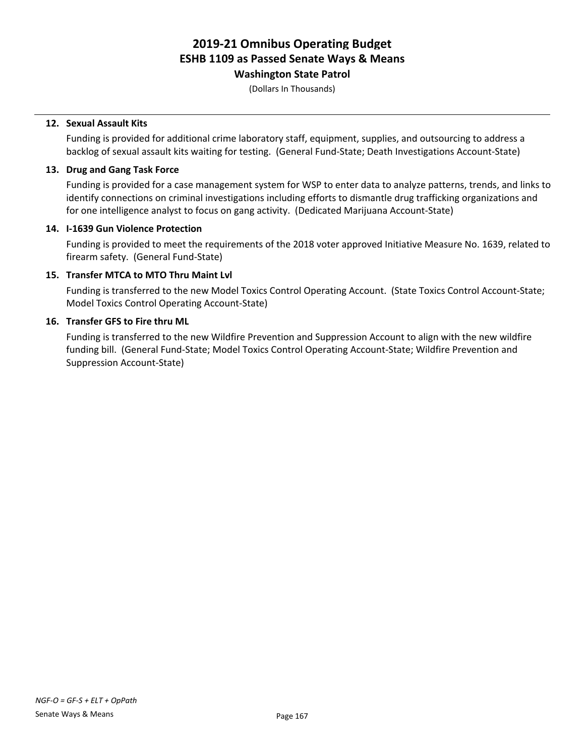**Washington State Patrol**

(Dollars In Thousands)

### **12. Sexual Assault Kits**

Funding is provided for additional crime laboratory staff, equipment, supplies, and outsourcing to address a backlog of sexual assault kits waiting for testing. (General Fund-State; Death Investigations Account-State)

### **13. Drug and Gang Task Force**

Funding is provided for a case management system for WSP to enter data to analyze patterns, trends, and links to identify connections on criminal investigations including efforts to dismantle drug trafficking organizations and for one intelligence analyst to focus on gang activity. (Dedicated Marijuana Account-State)

### **14. I-1639 Gun Violence Protection**

Funding is provided to meet the requirements of the 2018 voter approved Initiative Measure No. 1639, related to firearm safety. (General Fund-State)

### **15. Transfer MTCA to MTO Thru Maint Lvl**

Funding is transferred to the new Model Toxics Control Operating Account. (State Toxics Control Account-State; Model Toxics Control Operating Account-State)

### **16. Transfer GFS to Fire thru ML**

Funding is transferred to the new Wildfire Prevention and Suppression Account to align with the new wildfire funding bill. (General Fund-State; Model Toxics Control Operating Account-State; Wildfire Prevention and Suppression Account-State)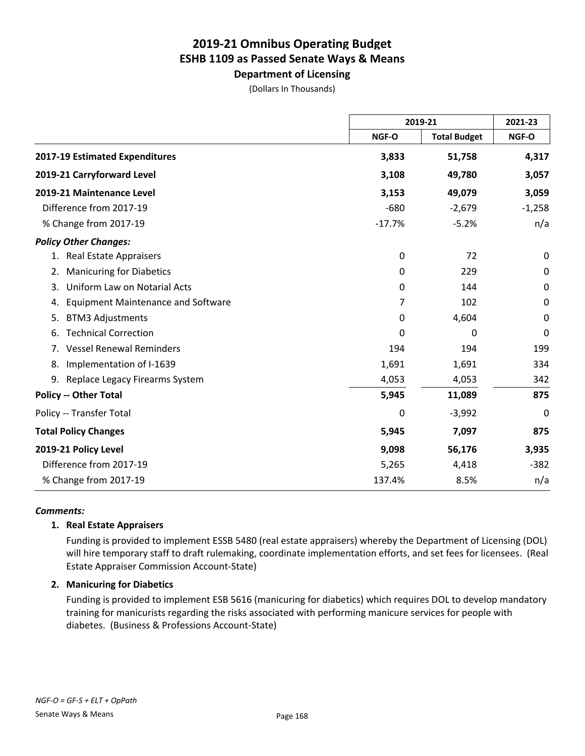**Department of Licensing**

(Dollars In Thousands)

|                                                 |          | 2019-21             |             |
|-------------------------------------------------|----------|---------------------|-------------|
|                                                 | NGF-O    | <b>Total Budget</b> | NGF-O       |
| 2017-19 Estimated Expenditures                  | 3,833    | 51,758              | 4,317       |
| 2019-21 Carryforward Level                      | 3,108    | 49,780              | 3,057       |
| 2019-21 Maintenance Level                       | 3,153    | 49,079              | 3,059       |
| Difference from 2017-19                         | $-680$   | $-2,679$            | $-1,258$    |
| % Change from 2017-19                           | $-17.7%$ | $-5.2%$             | n/a         |
| <b>Policy Other Changes:</b>                    |          |                     |             |
| <b>Real Estate Appraisers</b><br>1.             | 0        | 72                  | 0           |
| <b>Manicuring for Diabetics</b><br>2.           | 0        | 229                 | $\mathbf 0$ |
| Uniform Law on Notarial Acts<br>3.              | 0        | 144                 | $\mathbf 0$ |
| <b>Equipment Maintenance and Software</b><br>4. | 7        | 102                 | $\pmb{0}$   |
| <b>BTM3 Adjustments</b><br>5.                   | 0        | 4,604               | 0           |
| <b>Technical Correction</b><br>6.               | 0        | 0                   | $\mathbf 0$ |
| <b>Vessel Renewal Reminders</b><br>7.           | 194      | 194                 | 199         |
| Implementation of I-1639<br>8.                  | 1,691    | 1,691               | 334         |
| 9. Replace Legacy Firearms System               | 4,053    | 4,053               | 342         |
| <b>Policy -- Other Total</b>                    | 5,945    | 11,089              | 875         |
| Policy -- Transfer Total                        | 0        | $-3,992$            | 0           |
| <b>Total Policy Changes</b>                     | 5,945    | 7,097               | 875         |
| 2019-21 Policy Level                            | 9,098    | 56,176              | 3,935       |
| Difference from 2017-19                         | 5,265    | 4,418               | $-382$      |
| % Change from 2017-19                           | 137.4%   | 8.5%                | n/a         |

#### *Comments:*

### **1. Real Estate Appraisers**

Funding is provided to implement ESSB 5480 (real estate appraisers) whereby the Department of Licensing (DOL) will hire temporary staff to draft rulemaking, coordinate implementation efforts, and set fees for licensees. (Real Estate Appraiser Commission Account-State)

#### **2. Manicuring for Diabetics**

Funding is provided to implement ESB 5616 (manicuring for diabetics) which requires DOL to develop mandatory training for manicurists regarding the risks associated with performing manicure services for people with diabetes. (Business & Professions Account-State)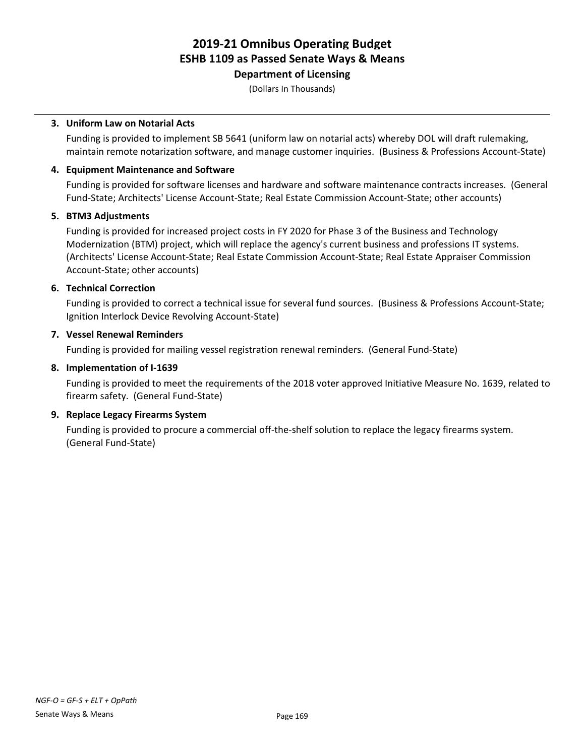**Department of Licensing**

(Dollars In Thousands)

### **3. Uniform Law on Notarial Acts**

Funding is provided to implement SB 5641 (uniform law on notarial acts) whereby DOL will draft rulemaking, maintain remote notarization software, and manage customer inquiries. (Business & Professions Account-State)

### **4. Equipment Maintenance and Software**

Funding is provided for software licenses and hardware and software maintenance contracts increases. (General Fund-State; Architects' License Account-State; Real Estate Commission Account-State; other accounts)

### **5. BTM3 Adjustments**

Funding is provided for increased project costs in FY 2020 for Phase 3 of the Business and Technology Modernization (BTM) project, which will replace the agency's current business and professions IT systems. (Architects' License Account-State; Real Estate Commission Account-State; Real Estate Appraiser Commission Account-State; other accounts)

### **6. Technical Correction**

Funding is provided to correct a technical issue for several fund sources. (Business & Professions Account-State; Ignition Interlock Device Revolving Account-State)

### **7. Vessel Renewal Reminders**

Funding is provided for mailing vessel registration renewal reminders. (General Fund-State)

### **8. Implementation of I-1639**

Funding is provided to meet the requirements of the 2018 voter approved Initiative Measure No. 1639, related to firearm safety. (General Fund-State)

### **9. Replace Legacy Firearms System**

Funding is provided to procure a commercial off-the-shelf solution to replace the legacy firearms system. (General Fund-State)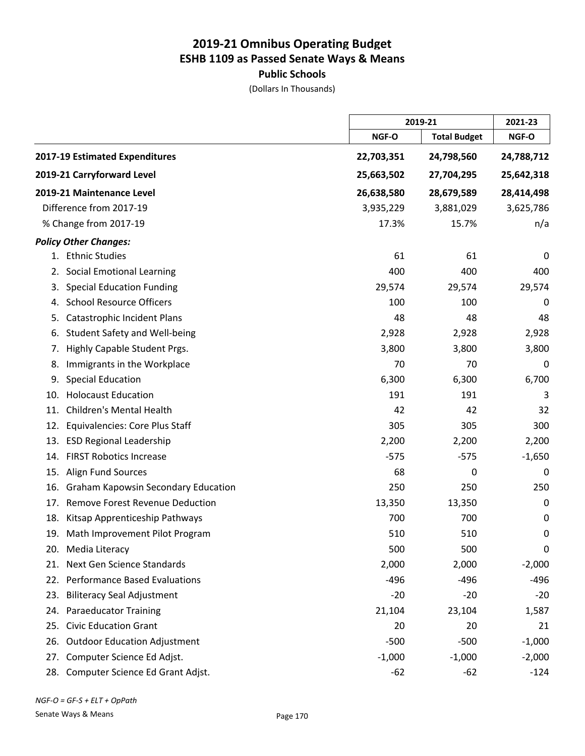# **Public Schools**

(Dollars In Thousands)

|     |                                            | 2019-21    |                     | 2021-23      |
|-----|--------------------------------------------|------------|---------------------|--------------|
|     |                                            | NGF-O      | <b>Total Budget</b> | <b>NGF-O</b> |
|     | 2017-19 Estimated Expenditures             | 22,703,351 | 24,798,560          | 24,788,712   |
|     | 2019-21 Carryforward Level                 | 25,663,502 | 27,704,295          | 25,642,318   |
|     | 2019-21 Maintenance Level                  | 26,638,580 | 28,679,589          | 28,414,498   |
|     | Difference from 2017-19                    | 3,935,229  | 3,881,029           | 3,625,786    |
|     | % Change from 2017-19                      | 17.3%      | 15.7%               | n/a          |
|     | <b>Policy Other Changes:</b>               |            |                     |              |
|     | 1. Ethnic Studies                          | 61         | 61                  | 0            |
| 2.  | <b>Social Emotional Learning</b>           | 400        | 400                 | 400          |
| 3.  | <b>Special Education Funding</b>           | 29,574     | 29,574              | 29,574       |
| 4.  | <b>School Resource Officers</b>            | 100        | 100                 | 0            |
| 5.  | Catastrophic Incident Plans                | 48         | 48                  | 48           |
| 6.  | Student Safety and Well-being              | 2,928      | 2,928               | 2,928        |
| 7.  | Highly Capable Student Prgs.               | 3,800      | 3,800               | 3,800        |
| 8.  | Immigrants in the Workplace                | 70         | 70                  | 0            |
| 9.  | <b>Special Education</b>                   | 6,300      | 6,300               | 6,700        |
| 10. | <b>Holocaust Education</b>                 | 191        | 191                 | 3            |
| 11. | <b>Children's Mental Health</b>            | 42         | 42                  | 32           |
| 12. | Equivalencies: Core Plus Staff             | 305        | 305                 | 300          |
| 13. | <b>ESD Regional Leadership</b>             | 2,200      | 2,200               | 2,200        |
| 14. | <b>FIRST Robotics Increase</b>             | $-575$     | $-575$              | $-1,650$     |
| 15. | <b>Align Fund Sources</b>                  | 68         | 0                   | 0            |
| 16. | <b>Graham Kapowsin Secondary Education</b> | 250        | 250                 | 250          |
| 17. | Remove Forest Revenue Deduction            | 13,350     | 13,350              | $\mathbf 0$  |
| 18. | Kitsap Apprenticeship Pathways             | 700        | 700                 | 0            |
|     | 19. Math Improvement Pilot Program         | 510        | 510                 | $\mathbf 0$  |
| 20. | Media Literacy                             | 500        | 500                 | 0            |
| 21. | Next Gen Science Standards                 | 2,000      | 2,000               | $-2,000$     |
| 22. | <b>Performance Based Evaluations</b>       | $-496$     | $-496$              | $-496$       |
| 23. | <b>Biliteracy Seal Adjustment</b>          | $-20$      | $-20$               | $-20$        |
| 24. | <b>Paraeducator Training</b>               | 21,104     | 23,104              | 1,587        |
| 25. | <b>Civic Education Grant</b>               | 20         | 20                  | 21           |
| 26. | <b>Outdoor Education Adjustment</b>        | $-500$     | $-500$              | $-1,000$     |
| 27. | Computer Science Ed Adjst.                 | $-1,000$   | $-1,000$            | $-2,000$     |
| 28. | Computer Science Ed Grant Adjst.           | $-62$      | $-62$               | $-124$       |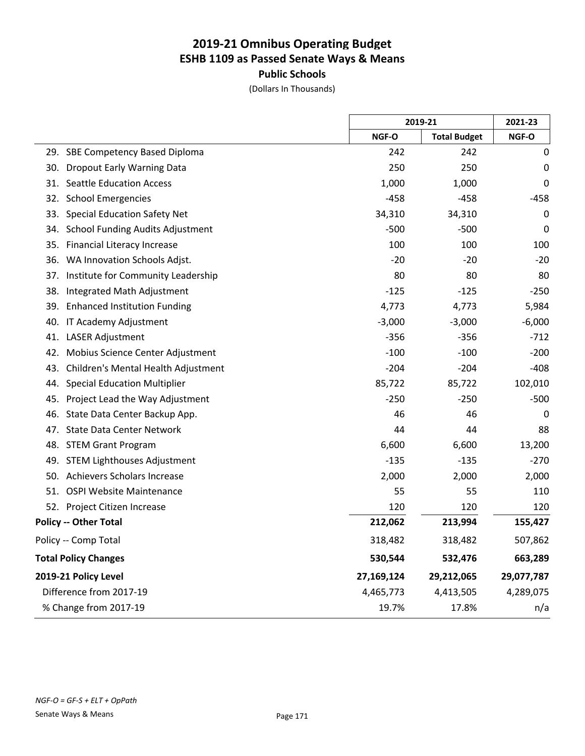**Public Schools**

(Dollars In Thousands)

|                                                |            | 2019-21             |            |
|------------------------------------------------|------------|---------------------|------------|
|                                                | NGF-O      | <b>Total Budget</b> | NGF-O      |
| 29. SBE Competency Based Diploma               | 242        | 242                 | 0          |
| <b>Dropout Early Warning Data</b><br>30.       | 250        | 250                 | 0          |
| <b>Seattle Education Access</b><br>31.         | 1,000      | 1,000               | 0          |
| <b>School Emergencies</b><br>32.               | $-458$     | $-458$              | $-458$     |
| 33.<br><b>Special Education Safety Net</b>     | 34,310     | 34,310              | 0          |
| <b>School Funding Audits Adjustment</b><br>34. | $-500$     | $-500$              | 0          |
| 35.<br><b>Financial Literacy Increase</b>      | 100        | 100                 | 100        |
| WA Innovation Schools Adjst.<br>36.            | $-20$      | $-20$               | $-20$      |
| 37.<br>Institute for Community Leadership      | 80         | 80                  | 80         |
| Integrated Math Adjustment<br>38.              | $-125$     | $-125$              | $-250$     |
| 39.<br><b>Enhanced Institution Funding</b>     | 4,773      | 4,773               | 5,984      |
| 40.<br>IT Academy Adjustment                   | $-3,000$   | $-3,000$            | $-6,000$   |
| 41.<br><b>LASER Adjustment</b>                 | $-356$     | $-356$              | $-712$     |
| 42.<br>Mobius Science Center Adjustment        | $-100$     | $-100$              | $-200$     |
| Children's Mental Health Adjustment<br>43.     | $-204$     | $-204$              | $-408$     |
| <b>Special Education Multiplier</b><br>44.     | 85,722     | 85,722              | 102,010    |
| Project Lead the Way Adjustment<br>45.         | $-250$     | $-250$              | $-500$     |
| State Data Center Backup App.<br>46.           | 46         | 46                  | 0          |
| <b>State Data Center Network</b><br>47.        | 44         | 44                  | 88         |
| 48. STEM Grant Program                         | 6,600      | 6,600               | 13,200     |
| <b>STEM Lighthouses Adjustment</b><br>49.      | $-135$     | $-135$              | $-270$     |
| 50. Achievers Scholars Increase                | 2,000      | 2,000               | 2,000      |
| 51. OSPI Website Maintenance                   | 55         | 55                  | 110        |
| 52. Project Citizen Increase                   | 120        | 120                 | 120        |
| <b>Policy -- Other Total</b>                   | 212,062    | 213,994             | 155,427    |
| Policy -- Comp Total                           | 318,482    | 318,482             | 507,862    |
| <b>Total Policy Changes</b>                    | 530,544    | 532,476             | 663,289    |
| 2019-21 Policy Level                           | 27,169,124 | 29,212,065          | 29,077,787 |
| Difference from 2017-19                        | 4,465,773  | 4,413,505           | 4,289,075  |
| % Change from 2017-19                          | 19.7%      | 17.8%               | n/a        |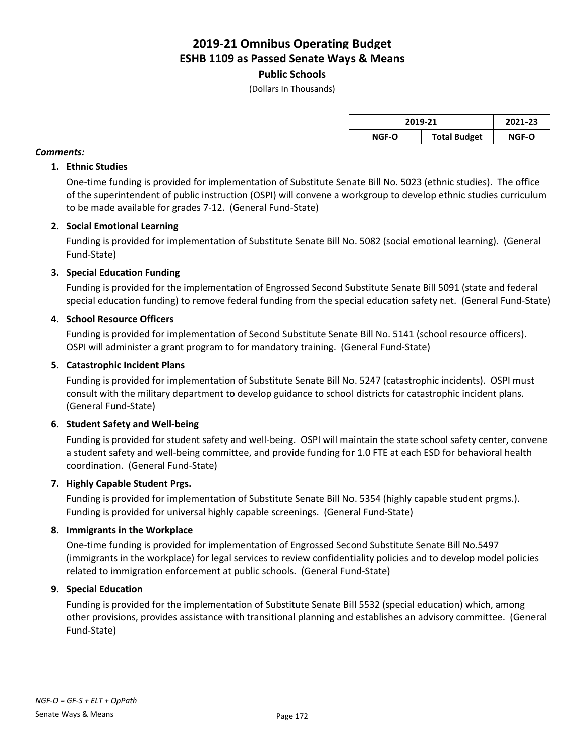### **Public Schools**

(Dollars In Thousands)

| 2019-21 |                     | 2021-23 |  |
|---------|---------------------|---------|--|
| NGF-O   | <b>Total Budget</b> | NGF-O   |  |

### *Comments:*

### **1. Ethnic Studies**

One-time funding is provided for implementation of Substitute Senate Bill No. 5023 (ethnic studies). The office of the superintendent of public instruction (OSPI) will convene a workgroup to develop ethnic studies curriculum to be made available for grades 7-12. (General Fund-State)

### **2. Social Emotional Learning**

Funding is provided for implementation of Substitute Senate Bill No. 5082 (social emotional learning). (General Fund-State)

### **3. Special Education Funding**

Funding is provided for the implementation of Engrossed Second Substitute Senate Bill 5091 (state and federal special education funding) to remove federal funding from the special education safety net. (General Fund-State)

### **4. School Resource Officers**

Funding is provided for implementation of Second Substitute Senate Bill No. 5141 (school resource officers). OSPI will administer a grant program to for mandatory training. (General Fund-State)

### **5. Catastrophic Incident Plans**

Funding is provided for implementation of Substitute Senate Bill No. 5247 (catastrophic incidents). OSPI must consult with the military department to develop guidance to school districts for catastrophic incident plans. (General Fund-State)

### **6. Student Safety and Well-being**

Funding is provided for student safety and well-being. OSPI will maintain the state school safety center, convene a student safety and well-being committee, and provide funding for 1.0 FTE at each ESD for behavioral health coordination. (General Fund-State)

### **7. Highly Capable Student Prgs.**

Funding is provided for implementation of Substitute Senate Bill No. 5354 (highly capable student prgms.). Funding is provided for universal highly capable screenings. (General Fund-State)

### **8. Immigrants in the Workplace**

One-time funding is provided for implementation of Engrossed Second Substitute Senate Bill No.5497 (immigrants in the workplace) for legal services to review confidentiality policies and to develop model policies related to immigration enforcement at public schools. (General Fund-State)

### **9. Special Education**

Funding is provided for the implementation of Substitute Senate Bill 5532 (special education) which, among other provisions, provides assistance with transitional planning and establishes an advisory committee. (General Fund-State)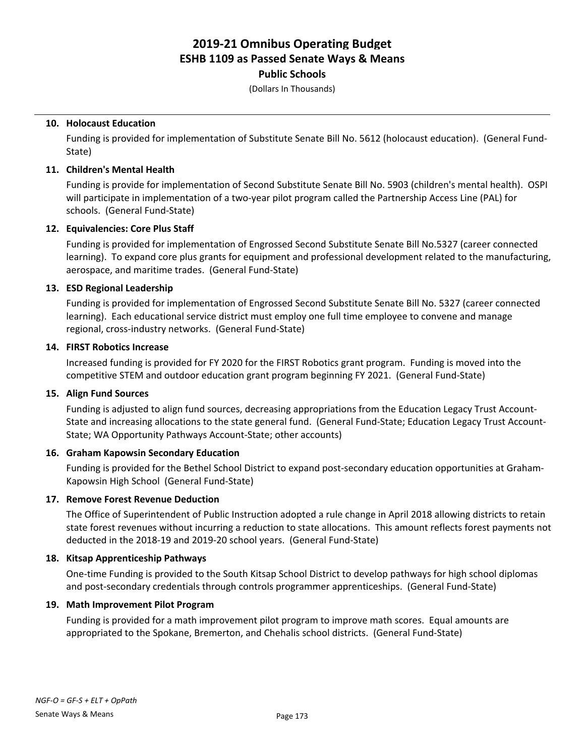### **Public Schools**

(Dollars In Thousands)

### **10. Holocaust Education**

Funding is provided for implementation of Substitute Senate Bill No. 5612 (holocaust education). (General Fund-State)

### **11. Children's Mental Health**

Funding is provide for implementation of Second Substitute Senate Bill No. 5903 (children's mental health). OSPI will participate in implementation of a two-year pilot program called the Partnership Access Line (PAL) for schools. (General Fund-State)

### **12. Equivalencies: Core Plus Staff**

Funding is provided for implementation of Engrossed Second Substitute Senate Bill No.5327 (career connected learning). To expand core plus grants for equipment and professional development related to the manufacturing, aerospace, and maritime trades. (General Fund-State)

### **13. ESD Regional Leadership**

Funding is provided for implementation of Engrossed Second Substitute Senate Bill No. 5327 (career connected learning). Each educational service district must employ one full time employee to convene and manage regional, cross-industry networks. (General Fund-State)

### **14. FIRST Robotics Increase**

Increased funding is provided for FY 2020 for the FIRST Robotics grant program. Funding is moved into the competitive STEM and outdoor education grant program beginning FY 2021. (General Fund-State)

### **15. Align Fund Sources**

Funding is adjusted to align fund sources, decreasing appropriations from the Education Legacy Trust Account-State and increasing allocations to the state general fund. (General Fund-State; Education Legacy Trust Account-State; WA Opportunity Pathways Account-State; other accounts)

### **16. Graham Kapowsin Secondary Education**

Funding is provided for the Bethel School District to expand post-secondary education opportunities at Graham-Kapowsin High School (General Fund-State)

### **17. Remove Forest Revenue Deduction**

The Office of Superintendent of Public Instruction adopted a rule change in April 2018 allowing districts to retain state forest revenues without incurring a reduction to state allocations. This amount reflects forest payments not deducted in the 2018-19 and 2019-20 school years. (General Fund-State)

#### **18. Kitsap Apprenticeship Pathways**

One-time Funding is provided to the South Kitsap School District to develop pathways for high school diplomas and post-secondary credentials through controls programmer apprenticeships. (General Fund-State)

### **19. Math Improvement Pilot Program**

Funding is provided for a math improvement pilot program to improve math scores. Equal amounts are appropriated to the Spokane, Bremerton, and Chehalis school districts. (General Fund-State)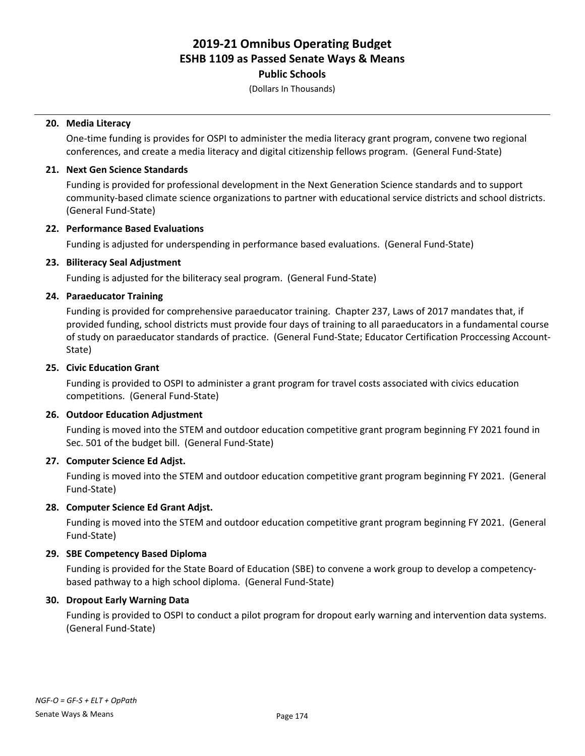### **Public Schools**

(Dollars In Thousands)

### **20. Media Literacy**

One-time funding is provides for OSPI to administer the media literacy grant program, convene two regional conferences, and create a media literacy and digital citizenship fellows program. (General Fund-State)

### **21. Next Gen Science Standards**

Funding is provided for professional development in the Next Generation Science standards and to support community-based climate science organizations to partner with educational service districts and school districts. (General Fund-State)

### **22. Performance Based Evaluations**

Funding is adjusted for underspending in performance based evaluations. (General Fund-State)

### **23. Biliteracy Seal Adjustment**

Funding is adjusted for the biliteracy seal program. (General Fund-State)

### **24. Paraeducator Training**

Funding is provided for comprehensive paraeducator training. Chapter 237, Laws of 2017 mandates that, if provided funding, school districts must provide four days of training to all paraeducators in a fundamental course of study on paraeducator standards of practice. (General Fund-State; Educator Certification Proccessing Account-State)

### **25. Civic Education Grant**

Funding is provided to OSPI to administer a grant program for travel costs associated with civics education competitions. (General Fund-State)

#### **26. Outdoor Education Adjustment**

Funding is moved into the STEM and outdoor education competitive grant program beginning FY 2021 found in Sec. 501 of the budget bill. (General Fund-State)

#### **27. Computer Science Ed Adjst.**

Funding is moved into the STEM and outdoor education competitive grant program beginning FY 2021. (General Fund-State)

#### **28. Computer Science Ed Grant Adjst.**

Funding is moved into the STEM and outdoor education competitive grant program beginning FY 2021. (General Fund-State)

#### **29. SBE Competency Based Diploma**

Funding is provided for the State Board of Education (SBE) to convene a work group to develop a competencybased pathway to a high school diploma. (General Fund-State)

#### **30. Dropout Early Warning Data**

Funding is provided to OSPI to conduct a pilot program for dropout early warning and intervention data systems. (General Fund-State)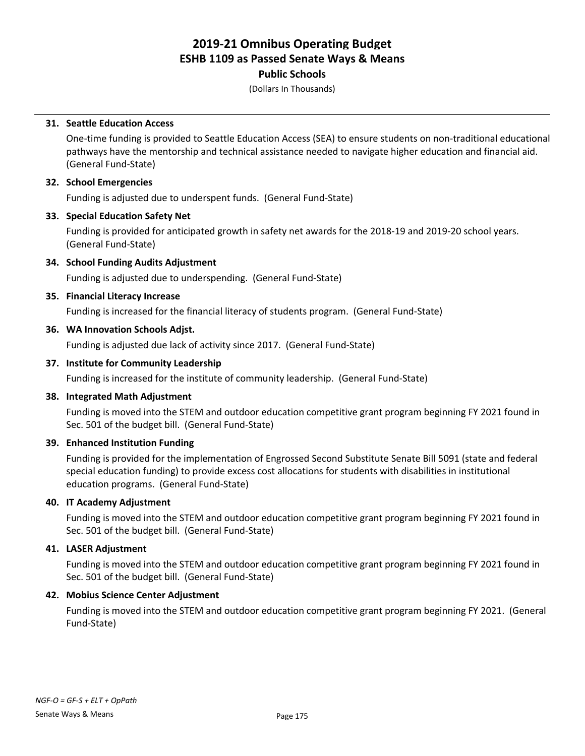### **Public Schools**

(Dollars In Thousands)

### **31. Seattle Education Access**

One-time funding is provided to Seattle Education Access (SEA) to ensure students on non-traditional educational pathways have the mentorship and technical assistance needed to navigate higher education and financial aid. (General Fund-State)

### **32. School Emergencies**

Funding is adjusted due to underspent funds. (General Fund-State)

### **33. Special Education Safety Net**

Funding is provided for anticipated growth in safety net awards for the 2018-19 and 2019-20 school years. (General Fund-State)

### **34. School Funding Audits Adjustment**

Funding is adjusted due to underspending. (General Fund-State)

### **35. Financial Literacy Increase**

Funding is increased for the financial literacy of students program. (General Fund-State)

### **36. WA Innovation Schools Adjst.**

Funding is adjusted due lack of activity since 2017. (General Fund-State)

### **37. Institute for Community Leadership**

Funding is increased for the institute of community leadership. (General Fund-State)

### **38. Integrated Math Adjustment**

Funding is moved into the STEM and outdoor education competitive grant program beginning FY 2021 found in Sec. 501 of the budget bill. (General Fund-State)

### **39. Enhanced Institution Funding**

Funding is provided for the implementation of Engrossed Second Substitute Senate Bill 5091 (state and federal special education funding) to provide excess cost allocations for students with disabilities in institutional education programs. (General Fund-State)

### **40. IT Academy Adjustment**

Funding is moved into the STEM and outdoor education competitive grant program beginning FY 2021 found in Sec. 501 of the budget bill. (General Fund-State)

### **41. LASER Adjustment**

Funding is moved into the STEM and outdoor education competitive grant program beginning FY 2021 found in Sec. 501 of the budget bill. (General Fund-State)

#### **42. Mobius Science Center Adjustment**

Funding is moved into the STEM and outdoor education competitive grant program beginning FY 2021. (General Fund-State)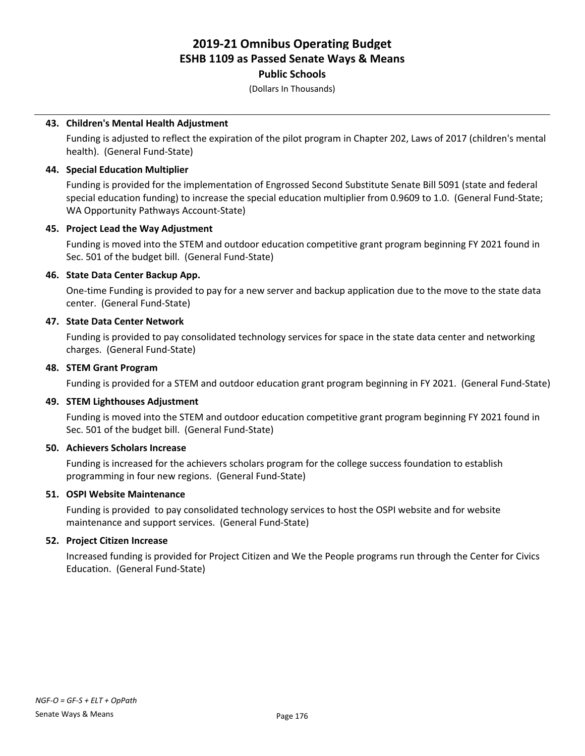### **Public Schools**

(Dollars In Thousands)

### **43. Children's Mental Health Adjustment**

Funding is adjusted to reflect the expiration of the pilot program in Chapter 202, Laws of 2017 (children's mental health). (General Fund-State)

### **44. Special Education Multiplier**

Funding is provided for the implementation of Engrossed Second Substitute Senate Bill 5091 (state and federal special education funding) to increase the special education multiplier from 0.9609 to 1.0. (General Fund-State; WA Opportunity Pathways Account-State)

### **45. Project Lead the Way Adjustment**

Funding is moved into the STEM and outdoor education competitive grant program beginning FY 2021 found in Sec. 501 of the budget bill. (General Fund-State)

### **46. State Data Center Backup App.**

One-time Funding is provided to pay for a new server and backup application due to the move to the state data center. (General Fund-State)

### **47. State Data Center Network**

Funding is provided to pay consolidated technology services for space in the state data center and networking charges. (General Fund-State)

### **48. STEM Grant Program**

Funding is provided for a STEM and outdoor education grant program beginning in FY 2021. (General Fund-State)

#### **49. STEM Lighthouses Adjustment**

Funding is moved into the STEM and outdoor education competitive grant program beginning FY 2021 found in Sec. 501 of the budget bill. (General Fund-State)

#### **50. Achievers Scholars Increase**

Funding is increased for the achievers scholars program for the college success foundation to establish programming in four new regions. (General Fund-State)

#### **51. OSPI Website Maintenance**

Funding is provided to pay consolidated technology services to host the OSPI website and for website maintenance and support services. (General Fund-State)

#### **52. Project Citizen Increase**

Increased funding is provided for Project Citizen and We the People programs run through the Center for Civics Education. (General Fund-State)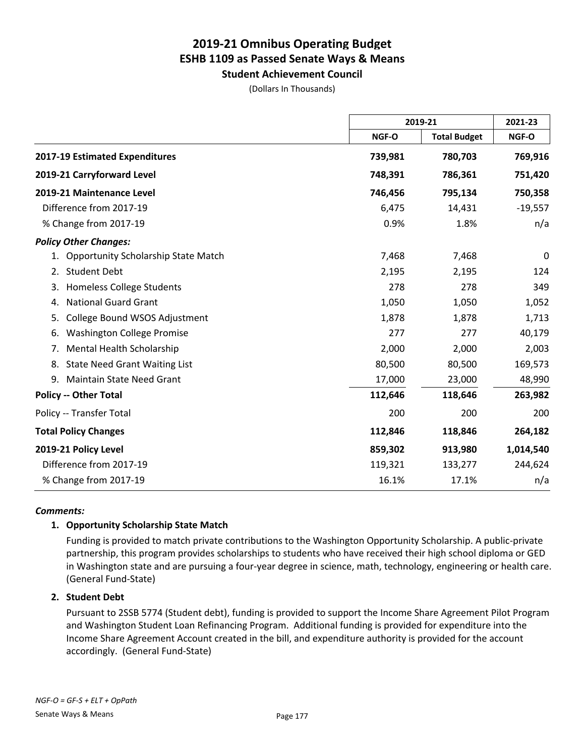**Student Achievement Council** (Dollars In Thousands)

|                                                  |         | 2019-21             |           |
|--------------------------------------------------|---------|---------------------|-----------|
|                                                  | NGF-O   | <b>Total Budget</b> | NGF-O     |
| 2017-19 Estimated Expenditures                   | 739,981 | 780,703             | 769,916   |
| 2019-21 Carryforward Level                       | 748,391 | 786,361             | 751,420   |
| 2019-21 Maintenance Level                        | 746,456 | 795,134             | 750,358   |
| Difference from 2017-19                          | 6,475   | 14,431              | $-19,557$ |
| % Change from 2017-19                            | 0.9%    | 1.8%                | n/a       |
| <b>Policy Other Changes:</b>                     |         |                     |           |
| <b>Opportunity Scholarship State Match</b><br>1. | 7,468   | 7,468               | 0         |
| <b>Student Debt</b><br>2.                        | 2,195   | 2,195               | 124       |
| <b>Homeless College Students</b><br>3.           | 278     | 278                 | 349       |
| <b>National Guard Grant</b><br>4.                | 1,050   | 1,050               | 1,052     |
| College Bound WSOS Adjustment<br>5.              | 1,878   | 1,878               | 1,713     |
| <b>Washington College Promise</b><br>6.          | 277     | 277                 | 40,179    |
| Mental Health Scholarship<br>7.                  | 2,000   | 2,000               | 2,003     |
| <b>State Need Grant Waiting List</b><br>8.       | 80,500  | 80,500              | 169,573   |
| <b>Maintain State Need Grant</b><br>9.           | 17,000  | 23,000              | 48,990    |
| <b>Policy -- Other Total</b>                     | 112,646 | 118,646             | 263,982   |
| Policy -- Transfer Total                         | 200     | 200                 | 200       |
| <b>Total Policy Changes</b>                      | 112,846 | 118,846             | 264,182   |
| 2019-21 Policy Level                             | 859,302 | 913,980             | 1,014,540 |
| Difference from 2017-19                          | 119,321 | 133,277             | 244,624   |
| % Change from 2017-19                            | 16.1%   | 17.1%               | n/a       |

### *Comments:*

### **1. Opportunity Scholarship State Match**

Funding is provided to match private contributions to the Washington Opportunity Scholarship. A public-private partnership, this program provides scholarships to students who have received their high school diploma or GED in Washington state and are pursuing a four-year degree in science, math, technology, engineering or health care. (General Fund-State)

#### **2. Student Debt**

Pursuant to 2SSB 5774 (Student debt), funding is provided to support the Income Share Agreement Pilot Program and Washington Student Loan Refinancing Program. Additional funding is provided for expenditure into the Income Share Agreement Account created in the bill, and expenditure authority is provided for the account accordingly. (General Fund-State)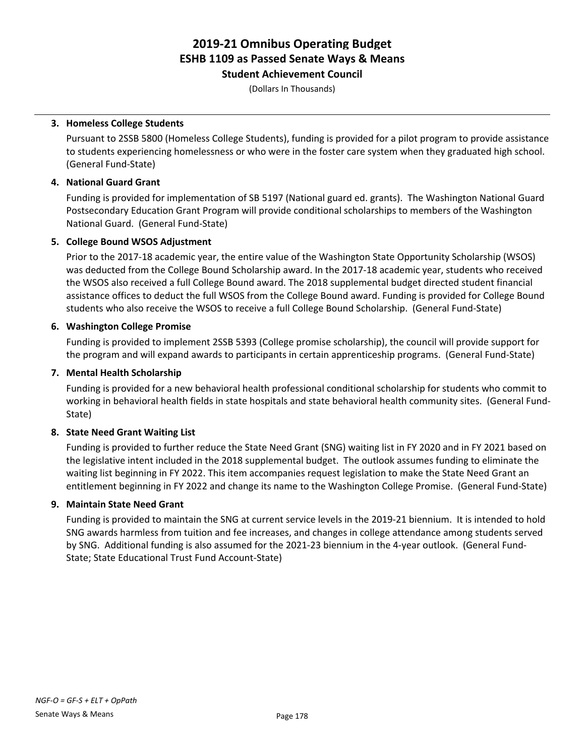**Student Achievement Council**

(Dollars In Thousands)

### **3. Homeless College Students**

Pursuant to 2SSB 5800 (Homeless College Students), funding is provided for a pilot program to provide assistance to students experiencing homelessness or who were in the foster care system when they graduated high school. (General Fund-State)

### **4. National Guard Grant**

Funding is provided for implementation of SB 5197 (National guard ed. grants). The Washington National Guard Postsecondary Education Grant Program will provide conditional scholarships to members of the Washington National Guard. (General Fund-State)

### **5. College Bound WSOS Adjustment**

Prior to the 2017-18 academic year, the entire value of the Washington State Opportunity Scholarship (WSOS) was deducted from the College Bound Scholarship award. In the 2017-18 academic year, students who received the WSOS also received a full College Bound award. The 2018 supplemental budget directed student financial assistance offices to deduct the full WSOS from the College Bound award. Funding is provided for College Bound students who also receive the WSOS to receive a full College Bound Scholarship. (General Fund-State)

### **6. Washington College Promise**

Funding is provided to implement 2SSB 5393 (College promise scholarship), the council will provide support for the program and will expand awards to participants in certain apprenticeship programs. (General Fund-State)

### **7. Mental Health Scholarship**

Funding is provided for a new behavioral health professional conditional scholarship for students who commit to working in behavioral health fields in state hospitals and state behavioral health community sites. (General Fund-State)

## **8. State Need Grant Waiting List**

Funding is provided to further reduce the State Need Grant (SNG) waiting list in FY 2020 and in FY 2021 based on the legislative intent included in the 2018 supplemental budget. The outlook assumes funding to eliminate the waiting list beginning in FY 2022. This item accompanies request legislation to make the State Need Grant an entitlement beginning in FY 2022 and change its name to the Washington College Promise. (General Fund-State)

### **9. Maintain State Need Grant**

Funding is provided to maintain the SNG at current service levels in the 2019-21 biennium. It is intended to hold SNG awards harmless from tuition and fee increases, and changes in college attendance among students served by SNG. Additional funding is also assumed for the 2021-23 biennium in the 4-year outlook. (General Fund-State; State Educational Trust Fund Account-State)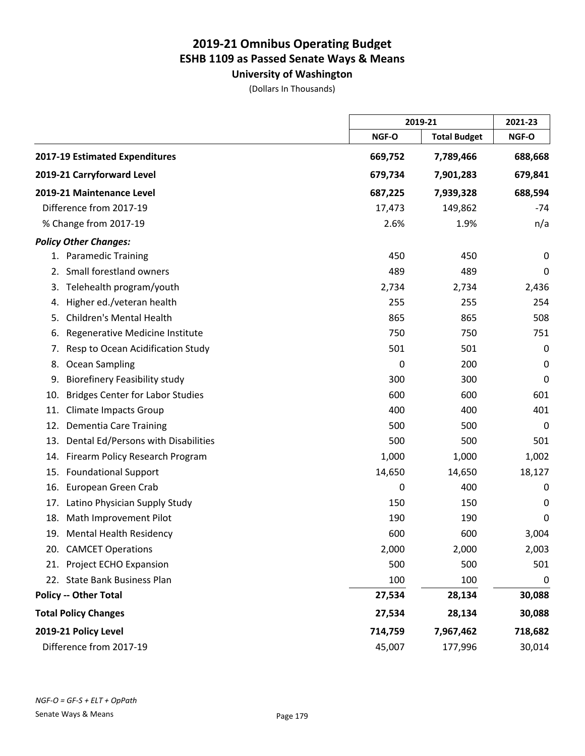**University of Washington**

(Dollars In Thousands)

|                                |                                         | 2019-21 |                     | 2021-23     |
|--------------------------------|-----------------------------------------|---------|---------------------|-------------|
|                                |                                         | NGF-O   | <b>Total Budget</b> | NGF-O       |
| 2017-19 Estimated Expenditures |                                         | 669,752 | 7,789,466           | 688,668     |
| 2019-21 Carryforward Level     |                                         | 679,734 | 7,901,283           | 679,841     |
| 2019-21 Maintenance Level      |                                         | 687,225 | 7,939,328           | 688,594     |
| Difference from 2017-19        |                                         | 17,473  | 149,862             | $-74$       |
| % Change from 2017-19          |                                         | 2.6%    | 1.9%                | n/a         |
| <b>Policy Other Changes:</b>   |                                         |         |                     |             |
| 1. Paramedic Training          |                                         | 450     | 450                 | 0           |
| 2.                             | Small forestland owners                 | 489     | 489                 | 0           |
| 3.                             | Telehealth program/youth                | 2,734   | 2,734               | 2,436       |
| 4.                             | Higher ed./veteran health               | 255     | 255                 | 254         |
| 5.                             | <b>Children's Mental Health</b>         | 865     | 865                 | 508         |
| 6.                             | Regenerative Medicine Institute         | 750     | 750                 | 751         |
| 7.                             | Resp to Ocean Acidification Study       | 501     | 501                 | $\mathbf 0$ |
| Ocean Sampling<br>8.           |                                         | 0       | 200                 | 0           |
| 9.                             | <b>Biorefinery Feasibility study</b>    | 300     | 300                 | 0           |
| 10.                            | <b>Bridges Center for Labor Studies</b> | 600     | 600                 | 601         |
| 11.                            | <b>Climate Impacts Group</b>            | 400     | 400                 | 401         |
| 12.                            | <b>Dementia Care Training</b>           | 500     | 500                 | 0           |
| 13.                            | Dental Ed/Persons with Disabilities     | 500     | 500                 | 501         |
| 14.                            | Firearm Policy Research Program         | 1,000   | 1,000               | 1,002       |
| 15.                            | <b>Foundational Support</b>             | 14,650  | 14,650              | 18,127      |
| 16.                            | European Green Crab                     | 0       | 400                 | 0           |
| 17.                            | Latino Physician Supply Study           | 150     | 150                 | 0           |
| 18.                            | Math Improvement Pilot                  | 190     | 190                 | 0           |
|                                | 19. Mental Health Residency             | 600     | 600                 | 3,004       |
| 20. CAMCET Operations          |                                         | 2,000   | 2,000               | 2,003       |
| 21.                            | Project ECHO Expansion                  | 500     | 500                 | 501         |
| 22. State Bank Business Plan   |                                         | 100     | 100                 | 0           |
| <b>Policy -- Other Total</b>   |                                         | 27,534  | 28,134              | 30,088      |
| <b>Total Policy Changes</b>    |                                         | 27,534  | 28,134              | 30,088      |
| 2019-21 Policy Level           |                                         | 714,759 | 7,967,462           | 718,682     |
| Difference from 2017-19        |                                         | 45,007  | 177,996             | 30,014      |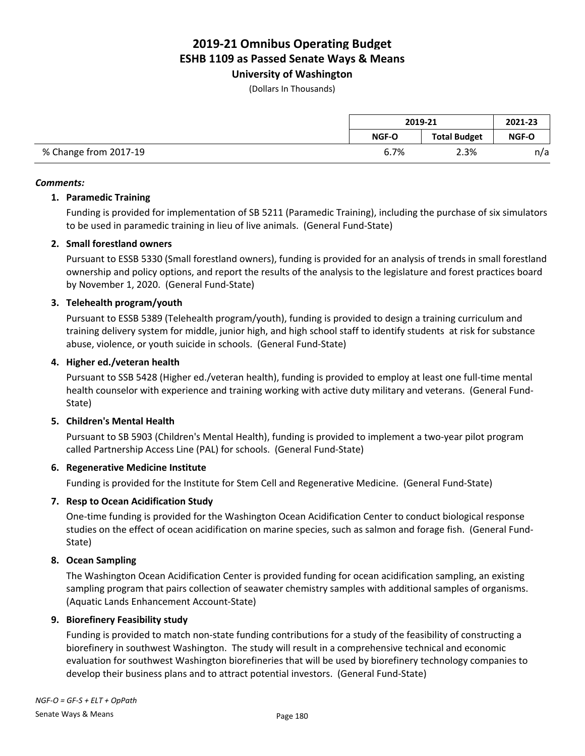### **University of Washington**

(Dollars In Thousands)

|                       | 2019-21      |                     | 2021-23 |
|-----------------------|--------------|---------------------|---------|
|                       | <b>NGF-O</b> | <b>Total Budget</b> | NGF-O   |
| % Change from 2017-19 | 6.7%         | 2.3%                | n/a     |

#### *Comments:*

#### **1. Paramedic Training**

Funding is provided for implementation of SB 5211 (Paramedic Training), including the purchase of six simulators to be used in paramedic training in lieu of live animals. (General Fund-State)

#### **2. Small forestland owners**

Pursuant to ESSB 5330 (Small forestland owners), funding is provided for an analysis of trends in small forestland ownership and policy options, and report the results of the analysis to the legislature and forest practices board by November 1, 2020. (General Fund-State)

#### **3. Telehealth program/youth**

Pursuant to ESSB 5389 (Telehealth program/youth), funding is provided to design a training curriculum and training delivery system for middle, junior high, and high school staff to identify students at risk for substance abuse, violence, or youth suicide in schools. (General Fund-State)

#### **4. Higher ed./veteran health**

Pursuant to SSB 5428 (Higher ed./veteran health), funding is provided to employ at least one full-time mental health counselor with experience and training working with active duty military and veterans. (General Fund-State)

#### **5. Children's Mental Health**

Pursuant to SB 5903 (Children's Mental Health), funding is provided to implement a two-year pilot program called Partnership Access Line (PAL) for schools. (General Fund-State)

#### **6. Regenerative Medicine Institute**

Funding is provided for the Institute for Stem Cell and Regenerative Medicine. (General Fund-State)

#### **7. Resp to Ocean Acidification Study**

One-time funding is provided for the Washington Ocean Acidification Center to conduct biological response studies on the effect of ocean acidification on marine species, such as salmon and forage fish. (General Fund-State)

#### **8. Ocean Sampling**

The Washington Ocean Acidification Center is provided funding for ocean acidification sampling, an existing sampling program that pairs collection of seawater chemistry samples with additional samples of organisms. (Aquatic Lands Enhancement Account-State)

#### **9. Biorefinery Feasibility study**

Funding is provided to match non-state funding contributions for a study of the feasibility of constructing a biorefinery in southwest Washington. The study will result in a comprehensive technical and economic evaluation for southwest Washington biorefineries that will be used by biorefinery technology companies to develop their business plans and to attract potential investors. (General Fund-State)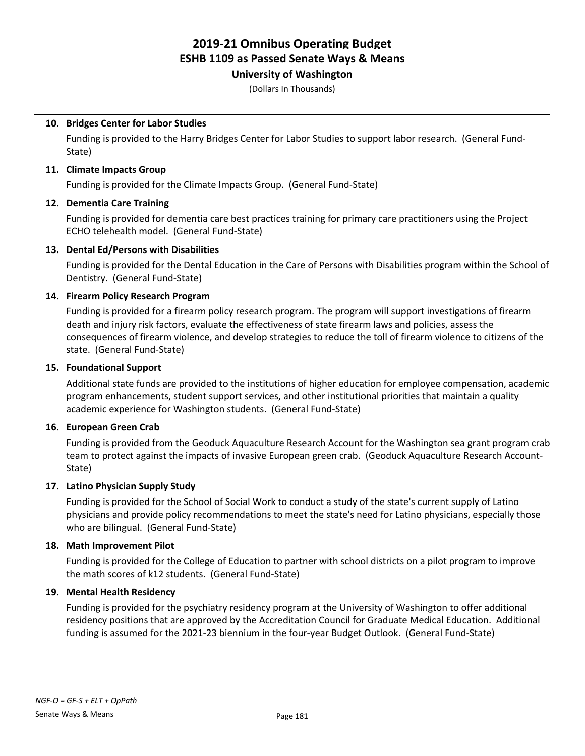### **University of Washington**

(Dollars In Thousands)

#### **10. Bridges Center for Labor Studies**

Funding is provided to the Harry Bridges Center for Labor Studies to support labor research. (General Fund-State)

#### **11. Climate Impacts Group**

Funding is provided for the Climate Impacts Group. (General Fund-State)

#### **12. Dementia Care Training**

Funding is provided for dementia care best practices training for primary care practitioners using the Project ECHO telehealth model. (General Fund-State)

#### **13. Dental Ed/Persons with Disabilities**

Funding is provided for the Dental Education in the Care of Persons with Disabilities program within the School of Dentistry. (General Fund-State)

#### **14. Firearm Policy Research Program**

Funding is provided for a firearm policy research program. The program will support investigations of firearm death and injury risk factors, evaluate the effectiveness of state firearm laws and policies, assess the consequences of firearm violence, and develop strategies to reduce the toll of firearm violence to citizens of the state. (General Fund-State)

#### **15. Foundational Support**

Additional state funds are provided to the institutions of higher education for employee compensation, academic program enhancements, student support services, and other institutional priorities that maintain a quality academic experience for Washington students. (General Fund-State)

#### **16. European Green Crab**

Funding is provided from the Geoduck Aquaculture Research Account for the Washington sea grant program crab team to protect against the impacts of invasive European green crab. (Geoduck Aquaculture Research Account-State)

#### **17. Latino Physician Supply Study**

Funding is provided for the School of Social Work to conduct a study of the state's current supply of Latino physicians and provide policy recommendations to meet the state's need for Latino physicians, especially those who are bilingual. (General Fund-State)

#### **18. Math Improvement Pilot**

Funding is provided for the College of Education to partner with school districts on a pilot program to improve the math scores of k12 students. (General Fund-State)

#### **19. Mental Health Residency**

Funding is provided for the psychiatry residency program at the University of Washington to offer additional residency positions that are approved by the Accreditation Council for Graduate Medical Education. Additional funding is assumed for the 2021-23 biennium in the four-year Budget Outlook. (General Fund-State)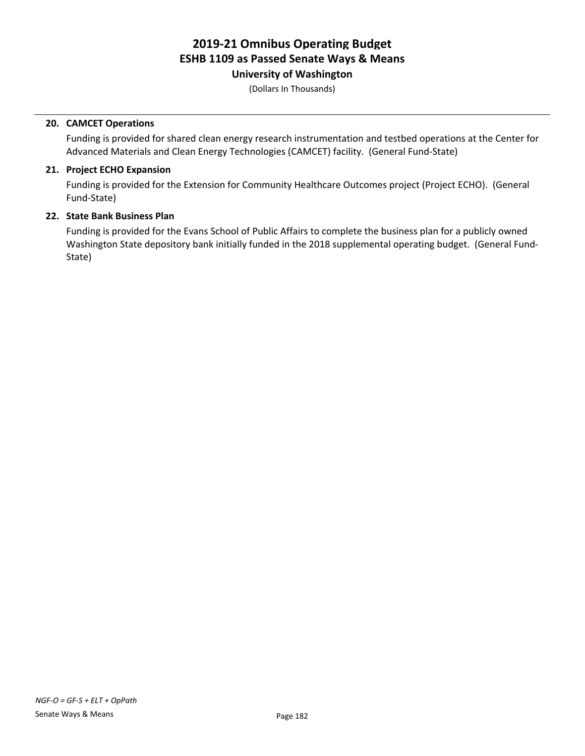**University of Washington**

(Dollars In Thousands)

#### **20. CAMCET Operations**

Funding is provided for shared clean energy research instrumentation and testbed operations at the Center for Advanced Materials and Clean Energy Technologies (CAMCET) facility. (General Fund-State)

#### **21. Project ECHO Expansion**

Funding is provided for the Extension for Community Healthcare Outcomes project (Project ECHO). (General Fund-State)

#### **22. State Bank Business Plan**

Funding is provided for the Evans School of Public Affairs to complete the business plan for a publicly owned Washington State depository bank initially funded in the 2018 supplemental operating budget. (General Fund-State)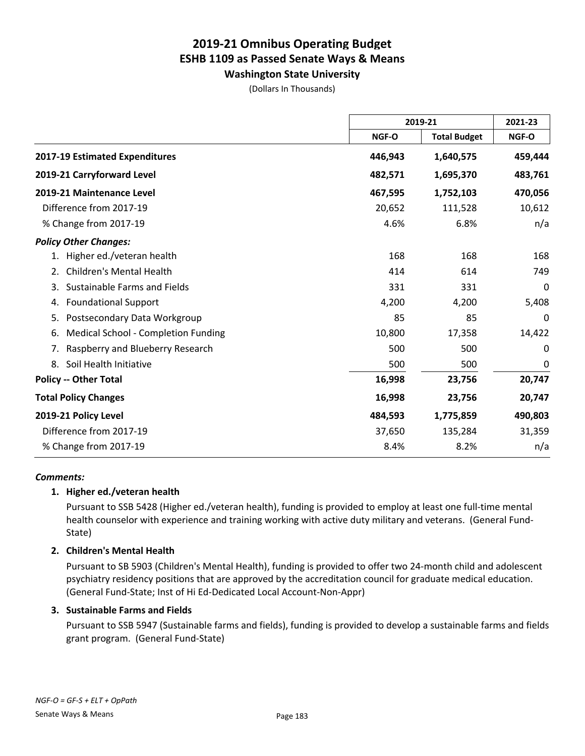**Washington State University** (Dollars In Thousands)

|                                           |         | 2019-21             |         |
|-------------------------------------------|---------|---------------------|---------|
|                                           | NGF-O   | <b>Total Budget</b> | NGF-O   |
| 2017-19 Estimated Expenditures            | 446,943 | 1,640,575           | 459,444 |
| 2019-21 Carryforward Level                | 482,571 | 1,695,370           | 483,761 |
| 2019-21 Maintenance Level                 | 467,595 | 1,752,103           | 470,056 |
| Difference from 2017-19                   | 20,652  | 111,528             | 10,612  |
| % Change from 2017-19                     | 4.6%    | 6.8%                | n/a     |
| <b>Policy Other Changes:</b>              |         |                     |         |
| Higher ed./veteran health<br>1.           | 168     | 168                 | 168     |
| <b>Children's Mental Health</b><br>2.     | 414     | 614                 | 749     |
| Sustainable Farms and Fields<br>3.        | 331     | 331                 | 0       |
| <b>Foundational Support</b><br>4.         | 4,200   | 4,200               | 5,408   |
| Postsecondary Data Workgroup<br>5.        | 85      | 85                  | 0       |
| Medical School - Completion Funding<br>6. | 10,800  | 17,358              | 14,422  |
| Raspberry and Blueberry Research<br>7.    | 500     | 500                 | 0       |
| Soil Health Initiative<br>8.              | 500     | 500                 | 0       |
| <b>Policy -- Other Total</b>              | 16,998  | 23,756              | 20,747  |
| <b>Total Policy Changes</b>               | 16,998  | 23,756              | 20,747  |
| 2019-21 Policy Level                      | 484,593 | 1,775,859           | 490,803 |
| Difference from 2017-19                   | 37,650  | 135,284             | 31,359  |
| % Change from 2017-19                     | 8.4%    | 8.2%                | n/a     |

#### *Comments:*

#### **1. Higher ed./veteran health**

Pursuant to SSB 5428 (Higher ed./veteran health), funding is provided to employ at least one full-time mental health counselor with experience and training working with active duty military and veterans. (General Fund-State)

#### **2. Children's Mental Health**

Pursuant to SB 5903 (Children's Mental Health), funding is provided to offer two 24-month child and adolescent psychiatry residency positions that are approved by the accreditation council for graduate medical education. (General Fund-State; Inst of Hi Ed-Dedicated Local Account-Non-Appr)

#### **3. Sustainable Farms and Fields**

Pursuant to SSB 5947 (Sustainable farms and fields), funding is provided to develop a sustainable farms and fields grant program. (General Fund-State)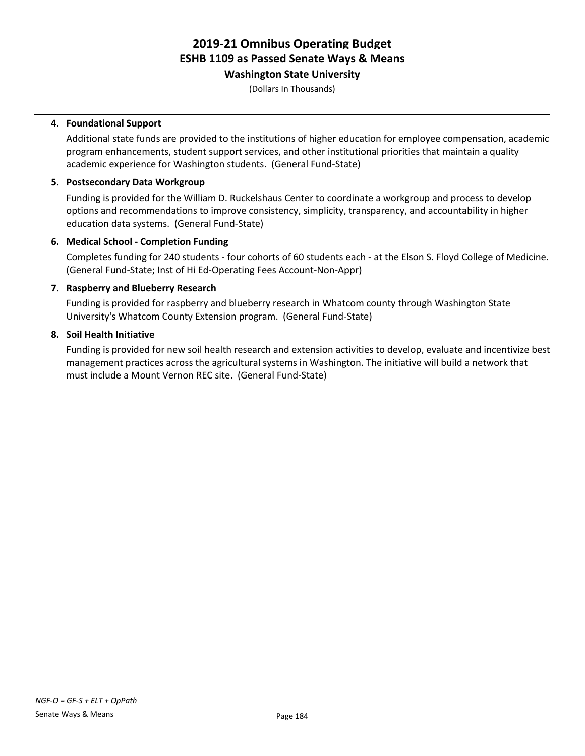**Washington State University**

(Dollars In Thousands)

#### **4. Foundational Support**

Additional state funds are provided to the institutions of higher education for employee compensation, academic program enhancements, student support services, and other institutional priorities that maintain a quality academic experience for Washington students. (General Fund-State)

#### **5. Postsecondary Data Workgroup**

Funding is provided for the William D. Ruckelshaus Center to coordinate a workgroup and process to develop options and recommendations to improve consistency, simplicity, transparency, and accountability in higher education data systems. (General Fund-State)

#### **6. Medical School - Completion Funding**

Completes funding for 240 students - four cohorts of 60 students each - at the Elson S. Floyd College of Medicine. (General Fund-State; Inst of Hi Ed-Operating Fees Account-Non-Appr)

#### **7. Raspberry and Blueberry Research**

Funding is provided for raspberry and blueberry research in Whatcom county through Washington State University's Whatcom County Extension program. (General Fund-State)

#### **8. Soil Health Initiative**

Funding is provided for new soil health research and extension activities to develop, evaluate and incentivize best management practices across the agricultural systems in Washington. The initiative will build a network that must include a Mount Vernon REC site. (General Fund-State)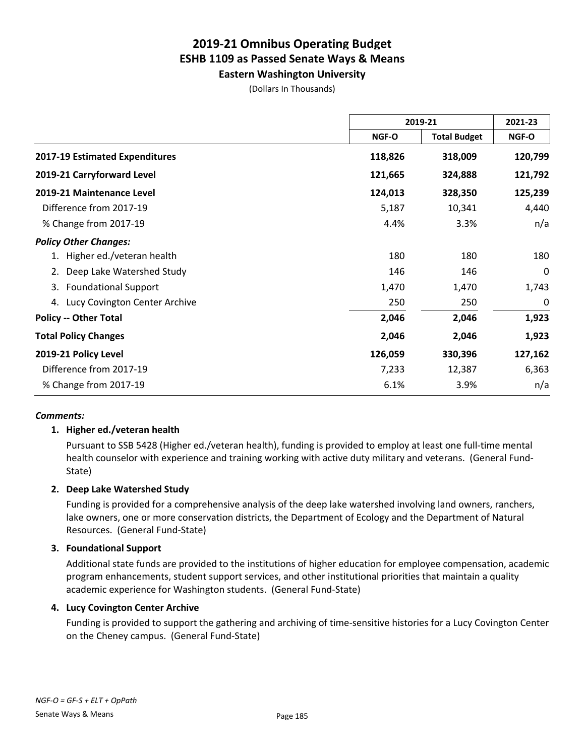**Eastern Washington University**

(Dollars In Thousands)

|                                   | 2019-21 |                     | 2021-23 |
|-----------------------------------|---------|---------------------|---------|
|                                   | NGF-O   | <b>Total Budget</b> | NGF-O   |
| 2017-19 Estimated Expenditures    | 118,826 | 318,009             | 120,799 |
| 2019-21 Carryforward Level        | 121,665 | 324,888             | 121,792 |
| 2019-21 Maintenance Level         | 124,013 | 328,350             | 125,239 |
| Difference from 2017-19           | 5,187   | 10,341              | 4,440   |
| % Change from 2017-19             | 4.4%    | 3.3%                | n/a     |
| <b>Policy Other Changes:</b>      |         |                     |         |
| Higher ed./veteran health         | 180     | 180                 | 180     |
| Deep Lake Watershed Study<br>2.   | 146     | 146                 | 0       |
| <b>Foundational Support</b><br>3. | 1,470   | 1,470               | 1,743   |
| 4. Lucy Covington Center Archive  | 250     | 250                 | 0       |
| <b>Policy -- Other Total</b>      | 2,046   | 2,046               | 1,923   |
| <b>Total Policy Changes</b>       | 2,046   | 2,046               | 1,923   |
| 2019-21 Policy Level              | 126,059 | 330,396             | 127,162 |
| Difference from 2017-19           | 7,233   | 12,387              | 6,363   |
| % Change from 2017-19             | 6.1%    | 3.9%                | n/a     |

#### *Comments:*

#### **1. Higher ed./veteran health**

Pursuant to SSB 5428 (Higher ed./veteran health), funding is provided to employ at least one full-time mental health counselor with experience and training working with active duty military and veterans. (General Fund-State)

#### **2. Deep Lake Watershed Study**

Funding is provided for a comprehensive analysis of the deep lake watershed involving land owners, ranchers, lake owners, one or more conservation districts, the Department of Ecology and the Department of Natural Resources. (General Fund-State)

#### **3. Foundational Support**

Additional state funds are provided to the institutions of higher education for employee compensation, academic program enhancements, student support services, and other institutional priorities that maintain a quality academic experience for Washington students. (General Fund-State)

#### **4. Lucy Covington Center Archive**

Funding is provided to support the gathering and archiving of time-sensitive histories for a Lucy Covington Center on the Cheney campus. (General Fund-State)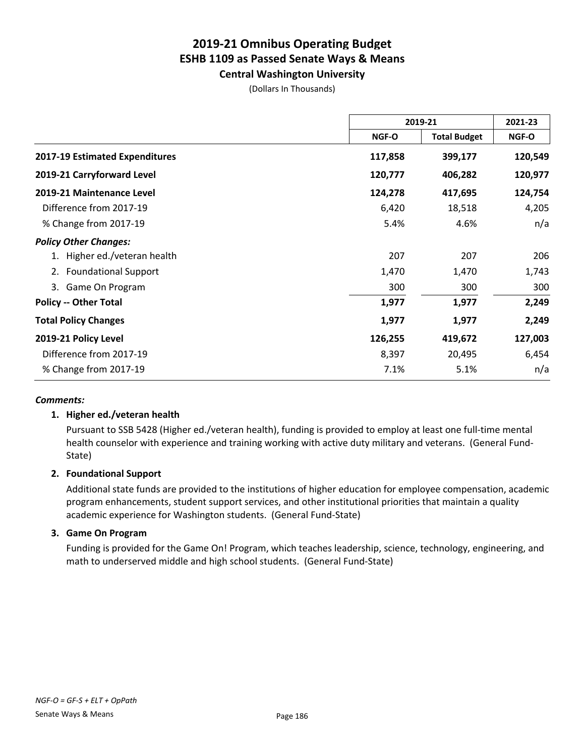**Central Washington University**

| (Dollars In Thousands) |  |
|------------------------|--|
|------------------------|--|

|                                   | 2019-21                      |         | 2021-23 |
|-----------------------------------|------------------------------|---------|---------|
|                                   | <b>Total Budget</b><br>NGF-O | NGF-O   |         |
| 2017-19 Estimated Expenditures    | 117,858                      | 399,177 | 120,549 |
| 2019-21 Carryforward Level        | 120,777                      | 406,282 | 120,977 |
| 2019-21 Maintenance Level         | 124,278                      | 417,695 | 124,754 |
| Difference from 2017-19           | 6,420                        | 18,518  | 4,205   |
| % Change from 2017-19             | 5.4%                         | 4.6%    | n/a     |
| <b>Policy Other Changes:</b>      |                              |         |         |
| Higher ed./veteran health         | 207                          | 207     | 206     |
| <b>Foundational Support</b><br>2. | 1,470                        | 1,470   | 1,743   |
| Game On Program<br>3.             | 300                          | 300     | 300     |
| <b>Policy -- Other Total</b>      | 1,977                        | 1,977   | 2,249   |
| <b>Total Policy Changes</b>       | 1,977                        | 1,977   | 2,249   |
| 2019-21 Policy Level              | 126,255                      | 419,672 | 127,003 |
| Difference from 2017-19           | 8,397                        | 20,495  | 6,454   |
| % Change from 2017-19             | 7.1%                         | 5.1%    | n/a     |

#### *Comments:*

#### **1. Higher ed./veteran health**

Pursuant to SSB 5428 (Higher ed./veteran health), funding is provided to employ at least one full-time mental health counselor with experience and training working with active duty military and veterans. (General Fund-State)

#### **2. Foundational Support**

Additional state funds are provided to the institutions of higher education for employee compensation, academic program enhancements, student support services, and other institutional priorities that maintain a quality academic experience for Washington students. (General Fund-State)

#### **3. Game On Program**

Funding is provided for the Game On! Program, which teaches leadership, science, technology, engineering, and math to underserved middle and high school students. (General Fund-State)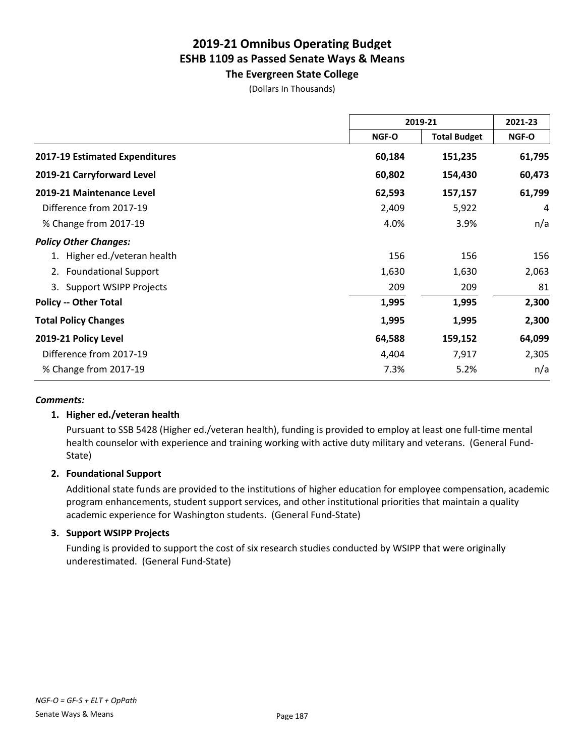**The Evergreen State College**

(Dollars In Thousands)

|                                     | 2019-21                      |              | 2021-23 |
|-------------------------------------|------------------------------|--------------|---------|
|                                     | <b>Total Budget</b><br>NGF-O | <b>NGF-O</b> |         |
| 2017-19 Estimated Expenditures      | 60,184                       | 151,235      | 61,795  |
| 2019-21 Carryforward Level          | 60,802                       | 154,430      | 60,473  |
| 2019-21 Maintenance Level           | 62,593                       | 157,157      | 61,799  |
| Difference from 2017-19             | 2,409                        | 5,922        | 4       |
| % Change from 2017-19               | 4.0%                         | 3.9%         | n/a     |
| <b>Policy Other Changes:</b>        |                              |              |         |
| 1. Higher ed./veteran health        | 156                          | 156          | 156     |
| <b>Foundational Support</b><br>2.   | 1,630                        | 1,630        | 2,063   |
| <b>Support WSIPP Projects</b><br>3. | 209                          | 209          | 81      |
| <b>Policy -- Other Total</b>        | 1,995                        | 1,995        | 2,300   |
| <b>Total Policy Changes</b>         | 1,995                        | 1,995        | 2,300   |
| 2019-21 Policy Level                | 64,588                       | 159,152      | 64,099  |
| Difference from 2017-19             | 4,404                        | 7,917        | 2,305   |
| % Change from 2017-19               | 7.3%                         | 5.2%         | n/a     |

#### *Comments:*

#### **1. Higher ed./veteran health**

Pursuant to SSB 5428 (Higher ed./veteran health), funding is provided to employ at least one full-time mental health counselor with experience and training working with active duty military and veterans. (General Fund-State)

#### **2. Foundational Support**

Additional state funds are provided to the institutions of higher education for employee compensation, academic program enhancements, student support services, and other institutional priorities that maintain a quality academic experience for Washington students. (General Fund-State)

#### **3. Support WSIPP Projects**

Funding is provided to support the cost of six research studies conducted by WSIPP that were originally underestimated. (General Fund-State)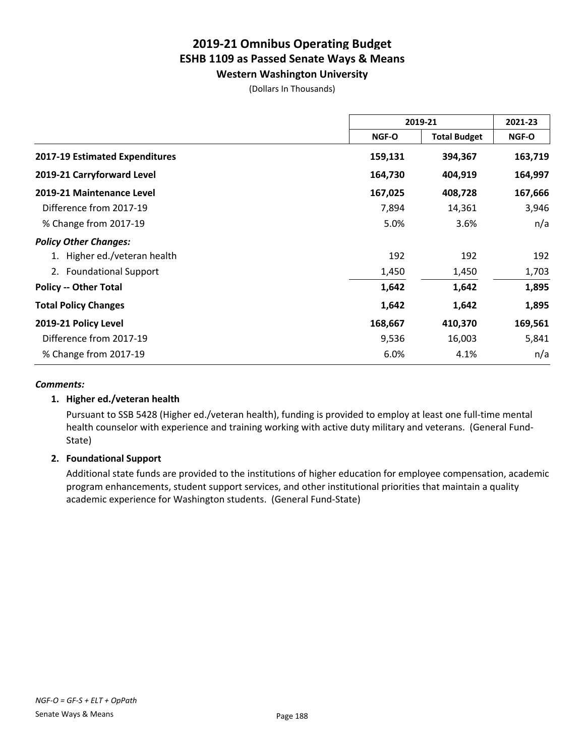**Western Washington University**

(Dollars In Thousands)

|                                   | 2019-21 |                     | 2021-23      |
|-----------------------------------|---------|---------------------|--------------|
|                                   | NGF-O   | <b>Total Budget</b> | <b>NGF-O</b> |
| 2017-19 Estimated Expenditures    | 159,131 | 394,367             | 163,719      |
| 2019-21 Carryforward Level        | 164,730 | 404,919             | 164,997      |
| 2019-21 Maintenance Level         | 167,025 | 408,728             | 167,666      |
| Difference from 2017-19           | 7,894   | 14,361              | 3,946        |
| % Change from 2017-19             | 5.0%    | 3.6%                | n/a          |
| <b>Policy Other Changes:</b>      |         |                     |              |
| 1. Higher ed./veteran health      | 192     | 192                 | 192          |
| <b>Foundational Support</b><br>2. | 1,450   | 1,450               | 1,703        |
| <b>Policy -- Other Total</b>      | 1,642   | 1,642               | 1,895        |
| <b>Total Policy Changes</b>       | 1,642   | 1,642               | 1,895        |
| 2019-21 Policy Level              | 168,667 | 410,370             | 169,561      |
| Difference from 2017-19           | 9,536   | 16,003              | 5,841        |
| % Change from 2017-19             | 6.0%    | 4.1%                | n/a          |

#### *Comments:*

#### **1. Higher ed./veteran health**

Pursuant to SSB 5428 (Higher ed./veteran health), funding is provided to employ at least one full-time mental health counselor with experience and training working with active duty military and veterans. (General Fund-State)

#### **2. Foundational Support**

Additional state funds are provided to the institutions of higher education for employee compensation, academic program enhancements, student support services, and other institutional priorities that maintain a quality academic experience for Washington students. (General Fund-State)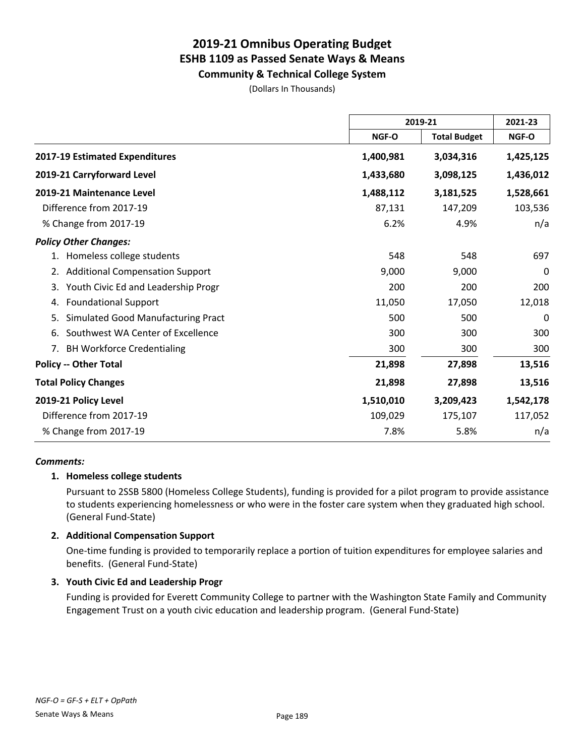**Community & Technical College System**

(Dollars In Thousands)

|                                              | 2019-21   |                     | 2021-23   |
|----------------------------------------------|-----------|---------------------|-----------|
|                                              | NGF-O     | <b>Total Budget</b> | NGF-O     |
| 2017-19 Estimated Expenditures               | 1,400,981 | 3,034,316           | 1,425,125 |
| 2019-21 Carryforward Level                   | 1,433,680 | 3,098,125           | 1,436,012 |
| 2019-21 Maintenance Level                    | 1,488,112 | 3,181,525           | 1,528,661 |
| Difference from 2017-19                      | 87,131    | 147,209             | 103,536   |
| % Change from 2017-19                        | 6.2%      | 4.9%                | n/a       |
| <b>Policy Other Changes:</b>                 |           |                     |           |
| Homeless college students                    | 548       | 548                 | 697       |
| <b>Additional Compensation Support</b><br>2. | 9,000     | 9,000               | 0         |
| Youth Civic Ed and Leadership Progr<br>3.    | 200       | 200                 | 200       |
| <b>Foundational Support</b><br>4.            | 11,050    | 17,050              | 12,018    |
| Simulated Good Manufacturing Pract<br>5.     | 500       | 500                 | $\Omega$  |
| Southwest WA Center of Excellence<br>6.      | 300       | 300                 | 300       |
| <b>BH Workforce Credentialing</b><br>7.      | 300       | 300                 | 300       |
| <b>Policy -- Other Total</b>                 | 21,898    | 27,898              | 13,516    |
| <b>Total Policy Changes</b>                  | 21,898    | 27,898              | 13,516    |
| 2019-21 Policy Level                         | 1,510,010 | 3,209,423           | 1,542,178 |
| Difference from 2017-19                      | 109,029   | 175,107             | 117,052   |
| % Change from 2017-19                        | 7.8%      | 5.8%                | n/a       |

#### *Comments:*

#### **1. Homeless college students**

Pursuant to 2SSB 5800 (Homeless College Students), funding is provided for a pilot program to provide assistance to students experiencing homelessness or who were in the foster care system when they graduated high school. (General Fund-State)

#### **2. Additional Compensation Support**

One-time funding is provided to temporarily replace a portion of tuition expenditures for employee salaries and benefits. (General Fund-State)

#### **3. Youth Civic Ed and Leadership Progr**

Funding is provided for Everett Community College to partner with the Washington State Family and Community Engagement Trust on a youth civic education and leadership program. (General Fund-State)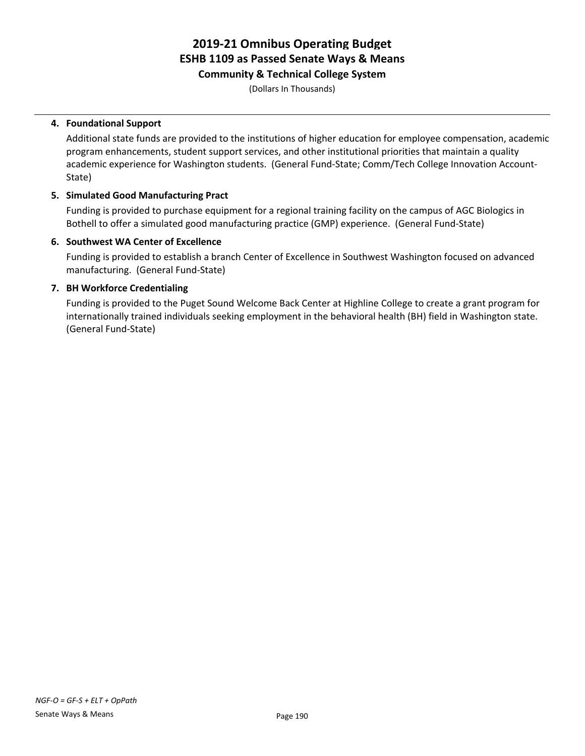**Community & Technical College System**

(Dollars In Thousands)

#### **4. Foundational Support**

Additional state funds are provided to the institutions of higher education for employee compensation, academic program enhancements, student support services, and other institutional priorities that maintain a quality academic experience for Washington students. (General Fund-State; Comm/Tech College Innovation Account-State)

#### **5. Simulated Good Manufacturing Pract**

Funding is provided to purchase equipment for a regional training facility on the campus of AGC Biologics in Bothell to offer a simulated good manufacturing practice (GMP) experience. (General Fund-State)

#### **6. Southwest WA Center of Excellence**

Funding is provided to establish a branch Center of Excellence in Southwest Washington focused on advanced manufacturing. (General Fund-State)

#### **7. BH Workforce Credentialing**

Funding is provided to the Puget Sound Welcome Back Center at Highline College to create a grant program for internationally trained individuals seeking employment in the behavioral health (BH) field in Washington state. (General Fund-State)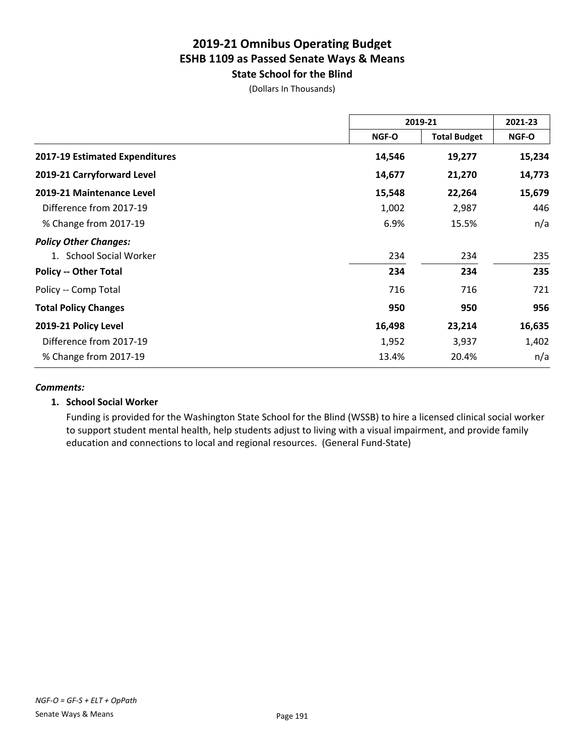### **2019-21 Omnibus Operating Budget ESHB 1109 as Passed Senate Ways & Means State School for the Blind**

(Dollars In Thousands)

|                                | 2019-21 |                     | 2021-23 |
|--------------------------------|---------|---------------------|---------|
|                                | NGF-O   | <b>Total Budget</b> | NGF-O   |
| 2017-19 Estimated Expenditures | 14,546  | 19,277              | 15,234  |
| 2019-21 Carryforward Level     | 14,677  | 21,270              | 14,773  |
| 2019-21 Maintenance Level      | 15,548  | 22,264              | 15,679  |
| Difference from 2017-19        | 1,002   | 2,987               | 446     |
| % Change from 2017-19          | 6.9%    | 15.5%               | n/a     |
| <b>Policy Other Changes:</b>   |         |                     |         |
| 1. School Social Worker        | 234     | 234                 | 235     |
| <b>Policy -- Other Total</b>   | 234     | 234                 | 235     |
| Policy -- Comp Total           | 716     | 716                 | 721     |
| <b>Total Policy Changes</b>    | 950     | 950                 | 956     |
| 2019-21 Policy Level           | 16,498  | 23,214              | 16,635  |
| Difference from 2017-19        | 1,952   | 3,937               | 1,402   |
| % Change from 2017-19          | 13.4%   | 20.4%               | n/a     |

#### *Comments:*

#### **1. School Social Worker**

Funding is provided for the Washington State School for the Blind (WSSB) to hire a licensed clinical social worker to support student mental health, help students adjust to living with a visual impairment, and provide family education and connections to local and regional resources. (General Fund-State)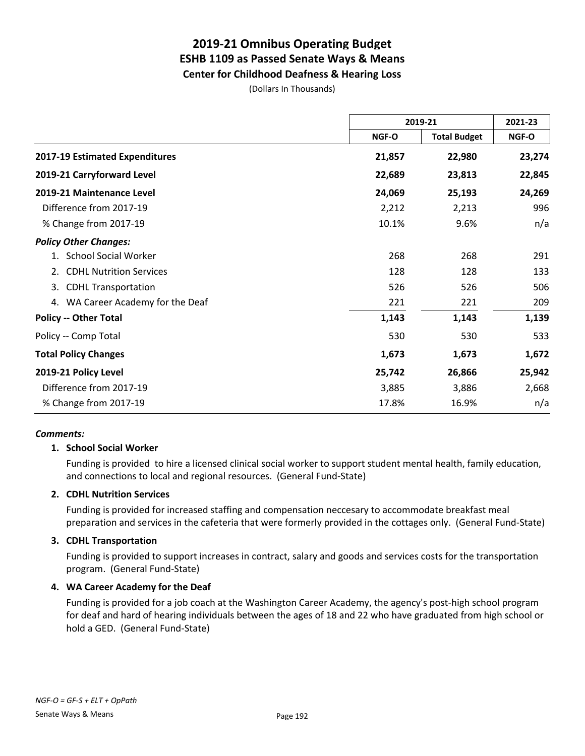### **2019-21 Omnibus Operating Budget ESHB 1109 as Passed Senate Ways & Means Center for Childhood Deafness & Hearing Loss**

(Dollars In Thousands)

|                                      | 2019-21      |                     | 2021-23 |
|--------------------------------------|--------------|---------------------|---------|
|                                      | <b>NGF-O</b> | <b>Total Budget</b> | NGF-O   |
| 2017-19 Estimated Expenditures       | 21,857       | 22,980              | 23,274  |
| 2019-21 Carryforward Level           | 22,689       | 23,813              | 22,845  |
| 2019-21 Maintenance Level            | 24,069       | 25,193              | 24,269  |
| Difference from 2017-19              | 2,212        | 2,213               | 996     |
| % Change from 2017-19                | 10.1%        | 9.6%                | n/a     |
| <b>Policy Other Changes:</b>         |              |                     |         |
| 1. School Social Worker              | 268          | 268                 | 291     |
| <b>CDHL Nutrition Services</b><br>2. | 128          | 128                 | 133     |
| <b>CDHL Transportation</b><br>3.     | 526          | 526                 | 506     |
| 4. WA Career Academy for the Deaf    | 221          | 221                 | 209     |
| <b>Policy -- Other Total</b>         | 1,143        | 1,143               | 1,139   |
| Policy -- Comp Total                 | 530          | 530                 | 533     |
| <b>Total Policy Changes</b>          | 1,673        | 1,673               | 1,672   |
| 2019-21 Policy Level                 | 25,742       | 26,866              | 25,942  |
| Difference from 2017-19              | 3,885        | 3,886               | 2,668   |
| % Change from 2017-19                | 17.8%        | 16.9%               | n/a     |

#### *Comments:*

#### **1. School Social Worker**

Funding is provided to hire a licensed clinical social worker to support student mental health, family education, and connections to local and regional resources. (General Fund-State)

#### **2. CDHL Nutrition Services**

Funding is provided for increased staffing and compensation neccesary to accommodate breakfast meal preparation and services in the cafeteria that were formerly provided in the cottages only. (General Fund-State)

#### **3. CDHL Transportation**

Funding is provided to support increases in contract, salary and goods and services costs for the transportation program. (General Fund-State)

#### **4. WA Career Academy for the Deaf**

Funding is provided for a job coach at the Washington Career Academy, the agency's post-high school program for deaf and hard of hearing individuals between the ages of 18 and 22 who have graduated from high school or hold a GED. (General Fund-State)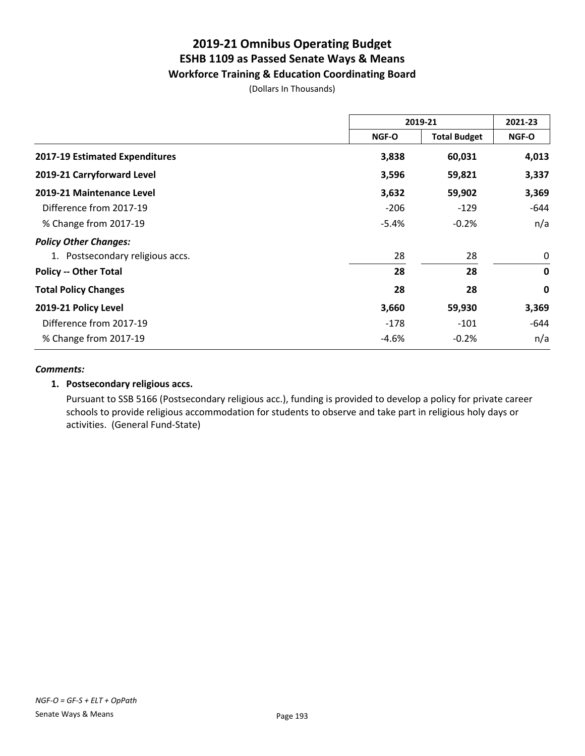### **2019-21 Omnibus Operating Budget ESHB 1109 as Passed Senate Ways & Means Workforce Training & Education Coordinating Board**

(Dollars In Thousands)

|                                  | 2019-21      |                     | 2021-23     |
|----------------------------------|--------------|---------------------|-------------|
|                                  | <b>NGF-O</b> | <b>Total Budget</b> | NGF-O       |
| 2017-19 Estimated Expenditures   | 3,838        | 60,031              | 4,013       |
| 2019-21 Carryforward Level       | 3,596        | 59,821              | 3,337       |
| 2019-21 Maintenance Level        | 3,632        | 59,902              | 3,369       |
| Difference from 2017-19          | $-206$       | $-129$              | -644        |
| % Change from 2017-19            | $-5.4%$      | $-0.2%$             | n/a         |
| <b>Policy Other Changes:</b>     |              |                     |             |
| 1. Postsecondary religious accs. | 28           | 28                  | 0           |
| <b>Policy -- Other Total</b>     | 28           | 28                  | $\mathbf 0$ |
| <b>Total Policy Changes</b>      | 28           | 28                  | $\mathbf 0$ |
| 2019-21 Policy Level             | 3,660        | 59,930              | 3,369       |
| Difference from 2017-19          | -178         | $-101$              | -644        |
| % Change from 2017-19            | -4.6%        | $-0.2%$             | n/a         |

#### *Comments:*

#### **1. Postsecondary religious accs.**

Pursuant to SSB 5166 (Postsecondary religious acc.), funding is provided to develop a policy for private career schools to provide religious accommodation for students to observe and take part in religious holy days or activities. (General Fund-State)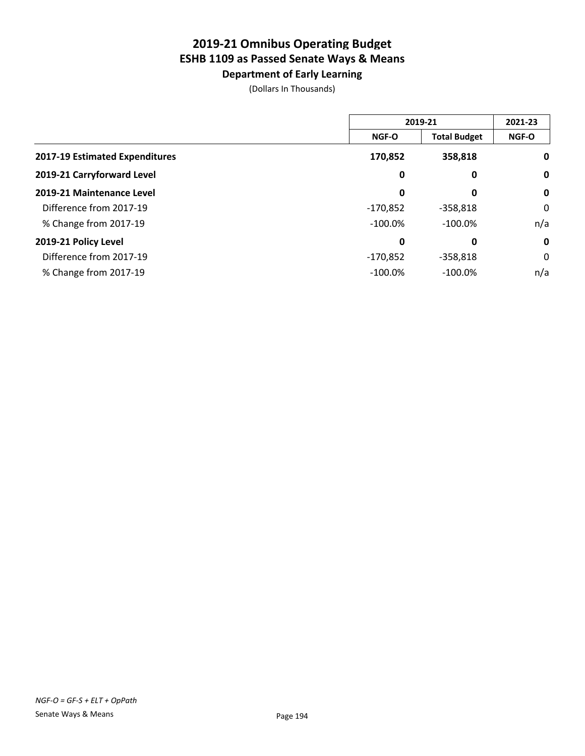**Department of Early Learning**

|                                |            | 2019-21             |              |
|--------------------------------|------------|---------------------|--------------|
|                                | NGF-O      | <b>Total Budget</b> | <b>NGF-O</b> |
| 2017-19 Estimated Expenditures | 170,852    | 358,818             | $\mathbf 0$  |
| 2019-21 Carryforward Level     | 0          | 0                   | $\mathbf 0$  |
| 2019-21 Maintenance Level      | 0          | 0                   | $\mathbf 0$  |
| Difference from 2017-19        | $-170,852$ | $-358.818$          | 0            |
| % Change from 2017-19          | $-100.0\%$ | $-100.0%$           | n/a          |
| 2019-21 Policy Level           | 0          | 0                   | $\mathbf 0$  |
| Difference from 2017-19        | $-170,852$ | $-358.818$          | 0            |
| % Change from 2017-19          | $-100.0%$  | $-100.0\%$          | n/a          |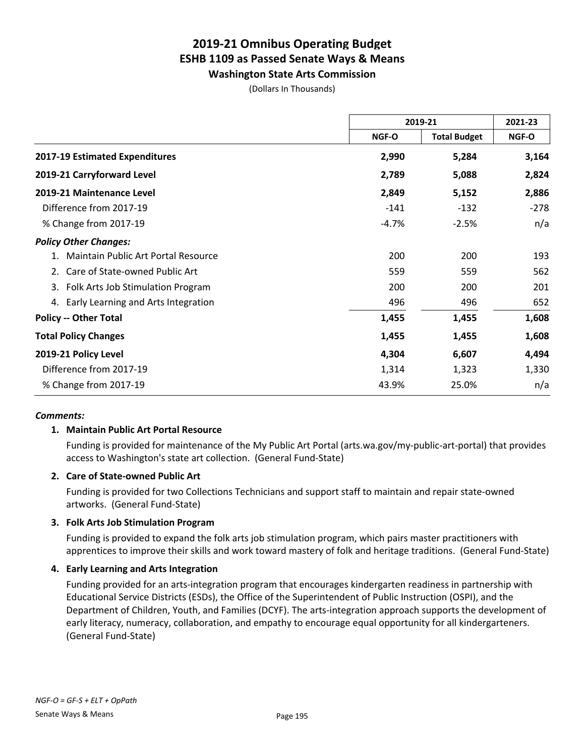**Washington State Arts Commission**

(Dollars In Thousands)

|                                         | 2019-21      |                     | 2021-23 |
|-----------------------------------------|--------------|---------------------|---------|
|                                         | <b>NGF-O</b> | <b>Total Budget</b> | NGF-O   |
| 2017-19 Estimated Expenditures          | 2,990        | 5,284               | 3,164   |
| 2019-21 Carryforward Level              | 2,789        | 5,088               | 2,824   |
| 2019-21 Maintenance Level               | 2,849        | 5,152               | 2,886   |
| Difference from 2017-19                 | $-141$       | $-132$              | $-278$  |
| % Change from 2017-19                   | $-4.7%$      | $-2.5%$             | n/a     |
| <b>Policy Other Changes:</b>            |              |                     |         |
| Maintain Public Art Portal Resource     | 200          | 200                 | 193     |
| Care of State-owned Public Art<br>2.    | 559          | 559                 | 562     |
| Folk Arts Job Stimulation Program<br>3. | 200          | 200                 | 201     |
| 4. Early Learning and Arts Integration  | 496          | 496                 | 652     |
| <b>Policy -- Other Total</b>            | 1,455        | 1,455               | 1,608   |
| <b>Total Policy Changes</b>             | 1,455        | 1,455               | 1,608   |
| 2019-21 Policy Level                    | 4,304        | 6,607               | 4,494   |
| Difference from 2017-19                 | 1,314        | 1,323               | 1,330   |
| % Change from 2017-19                   | 43.9%        | 25.0%               | n/a     |

#### *Comments:*

#### **1. Maintain Public Art Portal Resource**

Funding is provided for maintenance of the My Public Art Portal (arts.wa.gov/my-public-art-portal) that provides access to Washington's state art collection. (General Fund-State)

#### **2. Care of State-owned Public Art**

Funding is provided for two Collections Technicians and support staff to maintain and repair state-owned artworks. (General Fund-State)

#### **3. Folk Arts Job Stimulation Program**

Funding is provided to expand the folk arts job stimulation program, which pairs master practitioners with apprentices to improve their skills and work toward mastery of folk and heritage traditions. (General Fund-State)

#### **4. Early Learning and Arts Integration**

Funding provided for an arts-integration program that encourages kindergarten readiness in partnership with Educational Service Districts (ESDs), the Office of the Superintendent of Public Instruction (OSPI), and the Department of Children, Youth, and Families (DCYF). The arts-integration approach supports the development of early literacy, numeracy, collaboration, and empathy to encourage equal opportunity for all kindergarteners. (General Fund-State)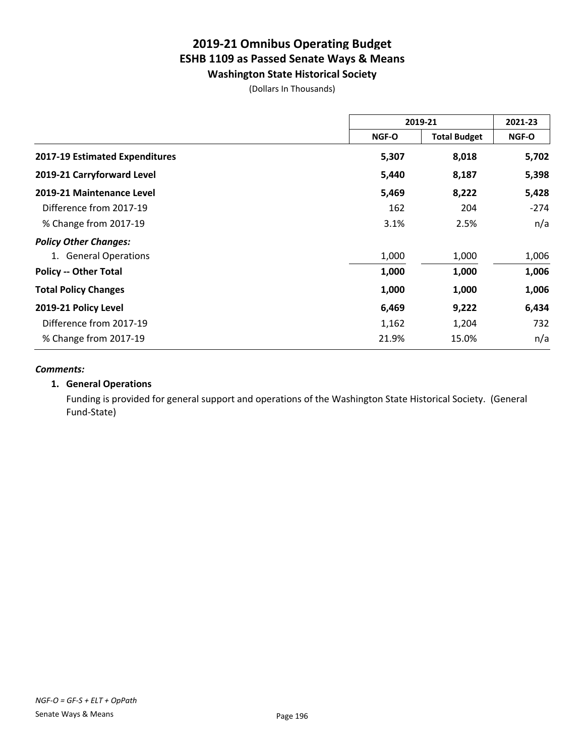**Washington State Historical Society**

(Dollars In Thousands)

|                                | 2019-21 |                     | 2021-23 |
|--------------------------------|---------|---------------------|---------|
|                                | NGF-O   | <b>Total Budget</b> | NGF-O   |
| 2017-19 Estimated Expenditures | 5,307   | 8,018               | 5,702   |
| 2019-21 Carryforward Level     | 5,440   | 8,187               | 5,398   |
| 2019-21 Maintenance Level      | 5,469   | 8,222               | 5,428   |
| Difference from 2017-19        | 162     | 204                 | -274    |
| % Change from 2017-19          | 3.1%    | 2.5%                | n/a     |
| <b>Policy Other Changes:</b>   |         |                     |         |
| 1. General Operations          | 1,000   | 1,000               | 1,006   |
| <b>Policy -- Other Total</b>   | 1,000   | 1,000               | 1,006   |
| <b>Total Policy Changes</b>    | 1,000   | 1,000               | 1,006   |
| 2019-21 Policy Level           | 6,469   | 9,222               | 6,434   |
| Difference from 2017-19        | 1,162   | 1,204               | 732     |
| % Change from 2017-19          | 21.9%   | 15.0%               | n/a     |

#### *Comments:*

#### **1. General Operations**

Funding is provided for general support and operations of the Washington State Historical Society. (General Fund-State)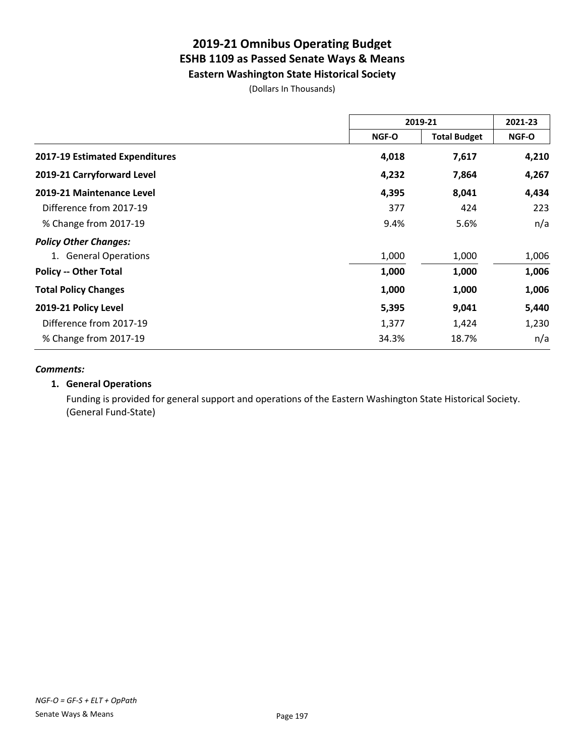**Eastern Washington State Historical Society**

(Dollars In Thousands)

|                                | 2019-21 |                     | 2021-23 |
|--------------------------------|---------|---------------------|---------|
|                                | NGF-O   | <b>Total Budget</b> | NGF-O   |
| 2017-19 Estimated Expenditures | 4,018   | 7,617               | 4,210   |
| 2019-21 Carryforward Level     | 4,232   | 7,864               | 4,267   |
| 2019-21 Maintenance Level      | 4,395   | 8,041               | 4,434   |
| Difference from 2017-19        | 377     | 424                 | 223     |
| % Change from 2017-19          | 9.4%    | 5.6%                | n/a     |
| <b>Policy Other Changes:</b>   |         |                     |         |
| 1. General Operations          | 1,000   | 1,000               | 1,006   |
| <b>Policy -- Other Total</b>   | 1,000   | 1,000               | 1,006   |
| <b>Total Policy Changes</b>    | 1,000   | 1,000               | 1,006   |
| 2019-21 Policy Level           | 5,395   | 9,041               | 5,440   |
| Difference from 2017-19        | 1,377   | 1,424               | 1,230   |
| % Change from 2017-19          | 34.3%   | 18.7%               | n/a     |

#### *Comments:*

#### **1. General Operations**

Funding is provided for general support and operations of the Eastern Washington State Historical Society. (General Fund-State)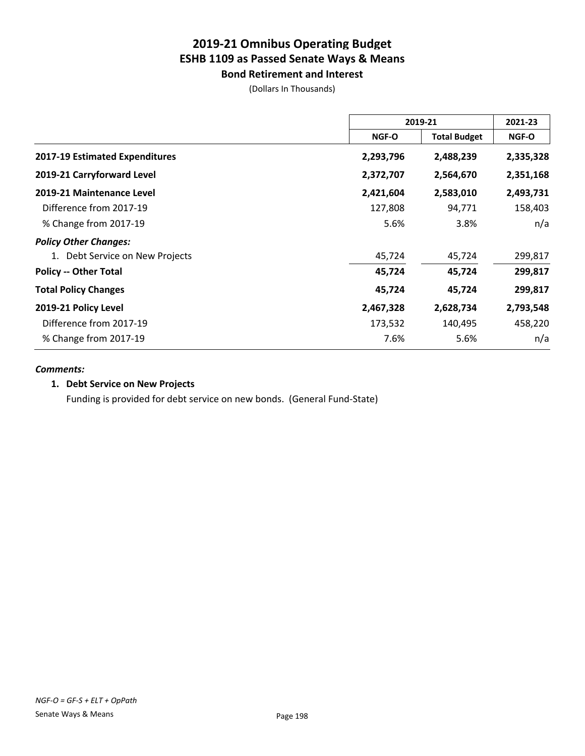**Bond Retirement and Interest** (Dollars In Thousands)

|                                       | 2019-21      |                     | 2021-23      |
|---------------------------------------|--------------|---------------------|--------------|
|                                       | <b>NGF-O</b> | <b>Total Budget</b> | <b>NGF-O</b> |
| <b>2017-19 Estimated Expenditures</b> | 2,293,796    | 2,488,239           | 2,335,328    |
| 2019-21 Carryforward Level            | 2,372,707    | 2,564,670           | 2,351,168    |
| 2019-21 Maintenance Level             | 2,421,604    | 2,583,010           | 2,493,731    |
| Difference from 2017-19               | 127,808      | 94,771              | 158,403      |
| % Change from 2017-19                 | 5.6%         | 3.8%                | n/a          |
| <b>Policy Other Changes:</b>          |              |                     |              |
| 1. Debt Service on New Projects       | 45,724       | 45,724              | 299,817      |
| <b>Policy -- Other Total</b>          | 45,724       | 45,724              | 299,817      |
| <b>Total Policy Changes</b>           | 45,724       | 45,724              | 299,817      |
| 2019-21 Policy Level                  | 2,467,328    | 2,628,734           | 2,793,548    |
| Difference from 2017-19               | 173,532      | 140,495             | 458,220      |
| % Change from 2017-19                 | 7.6%         | 5.6%                | n/a          |

#### *Comments:*

### **1. Debt Service on New Projects**

Funding is provided for debt service on new bonds. (General Fund-State)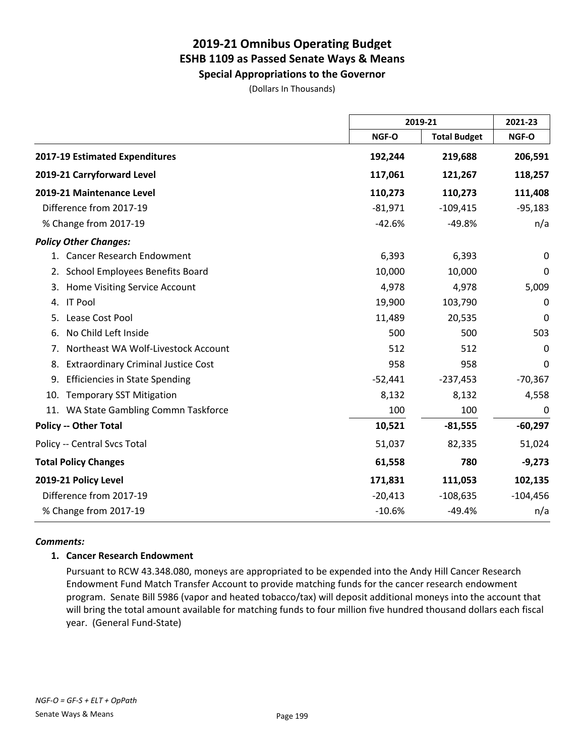**Special Appropriations to the Governor**

(Dollars In Thousands)

|                                                  |           | 2019-21             |             |
|--------------------------------------------------|-----------|---------------------|-------------|
|                                                  | NGF-O     | <b>Total Budget</b> | NGF-O       |
| 2017-19 Estimated Expenditures                   | 192,244   | 219,688             | 206,591     |
| 2019-21 Carryforward Level                       | 117,061   | 121,267             | 118,257     |
| 2019-21 Maintenance Level                        | 110,273   | 110,273             | 111,408     |
| Difference from 2017-19                          | $-81,971$ | $-109,415$          | $-95,183$   |
| % Change from 2017-19                            | $-42.6%$  | $-49.8%$            | n/a         |
| <b>Policy Other Changes:</b>                     |           |                     |             |
| 1. Cancer Research Endowment                     | 6,393     | 6,393               | 0           |
| School Employees Benefits Board<br>2.            | 10,000    | 10,000              | 0           |
| Home Visiting Service Account<br>3.              | 4,978     | 4,978               | 5,009       |
| <b>IT Pool</b><br>4.                             | 19,900    | 103,790             | $\mathbf 0$ |
| Lease Cost Pool<br>5.                            | 11,489    | 20,535              | $\mathbf 0$ |
| No Child Left Inside<br>6.                       | 500       | 500                 | 503         |
| Northeast WA Wolf-Livestock Account<br>7.        | 512       | 512                 | 0           |
| <b>Extraordinary Criminal Justice Cost</b><br>8. | 958       | 958                 | 0           |
| <b>Efficiencies in State Spending</b><br>9.      | $-52,441$ | $-237,453$          | $-70,367$   |
| <b>Temporary SST Mitigation</b><br>10.           | 8,132     | 8,132               | 4,558       |
| 11. WA State Gambling Commn Taskforce            | 100       | 100                 | 0           |
| <b>Policy -- Other Total</b>                     | 10,521    | $-81,555$           | $-60,297$   |
| Policy -- Central Svcs Total                     | 51,037    | 82,335              | 51,024      |
| <b>Total Policy Changes</b>                      | 61,558    | 780                 | $-9,273$    |
| 2019-21 Policy Level                             | 171,831   | 111,053             | 102,135     |
| Difference from 2017-19                          | $-20,413$ | $-108,635$          | $-104,456$  |
| % Change from 2017-19                            | $-10.6%$  | $-49.4%$            | n/a         |

#### *Comments:*

#### **1. Cancer Research Endowment**

Pursuant to RCW 43.348.080, moneys are appropriated to be expended into the Andy Hill Cancer Research Endowment Fund Match Transfer Account to provide matching funds for the cancer research endowment program. Senate Bill 5986 (vapor and heated tobacco/tax) will deposit additional moneys into the account that will bring the total amount available for matching funds to four million five hundred thousand dollars each fiscal year. (General Fund-State)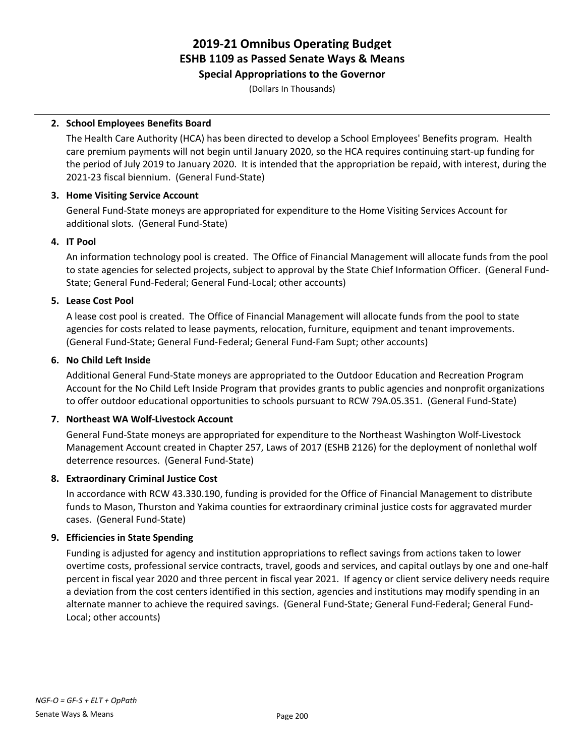#### **Special Appropriations to the Governor**

(Dollars In Thousands)

#### **2. School Employees Benefits Board**

The Health Care Authority (HCA) has been directed to develop a School Employees' Benefits program. Health care premium payments will not begin until January 2020, so the HCA requires continuing start-up funding for the period of July 2019 to January 2020. It is intended that the appropriation be repaid, with interest, during the 2021-23 fiscal biennium. (General Fund-State)

#### **3. Home Visiting Service Account**

General Fund-State moneys are appropriated for expenditure to the Home Visiting Services Account for additional slots. (General Fund-State)

#### **4. IT Pool**

An information technology pool is created. The Office of Financial Management will allocate funds from the pool to state agencies for selected projects, subject to approval by the State Chief Information Officer. (General Fund-State; General Fund-Federal; General Fund-Local; other accounts)

#### **5. Lease Cost Pool**

A lease cost pool is created. The Office of Financial Management will allocate funds from the pool to state agencies for costs related to lease payments, relocation, furniture, equipment and tenant improvements. (General Fund-State; General Fund-Federal; General Fund-Fam Supt; other accounts)

#### **6. No Child Left Inside**

Additional General Fund-State moneys are appropriated to the Outdoor Education and Recreation Program Account for the No Child Left Inside Program that provides grants to public agencies and nonprofit organizations to offer outdoor educational opportunities to schools pursuant to RCW 79A.05.351. (General Fund-State)

#### **7. Northeast WA Wolf-Livestock Account**

General Fund-State moneys are appropriated for expenditure to the Northeast Washington Wolf-Livestock Management Account created in Chapter 257, Laws of 2017 (ESHB 2126) for the deployment of nonlethal wolf deterrence resources. (General Fund-State)

#### **8. Extraordinary Criminal Justice Cost**

In accordance with RCW 43.330.190, funding is provided for the Office of Financial Management to distribute funds to Mason, Thurston and Yakima counties for extraordinary criminal justice costs for aggravated murder cases. (General Fund-State)

#### **9. Efficiencies in State Spending**

Funding is adjusted for agency and institution appropriations to reflect savings from actions taken to lower overtime costs, professional service contracts, travel, goods and services, and capital outlays by one and one-half percent in fiscal year 2020 and three percent in fiscal year 2021. If agency or client service delivery needs require a deviation from the cost centers identified in this section, agencies and institutions may modify spending in an alternate manner to achieve the required savings. (General Fund-State; General Fund-Federal; General Fund-Local; other accounts)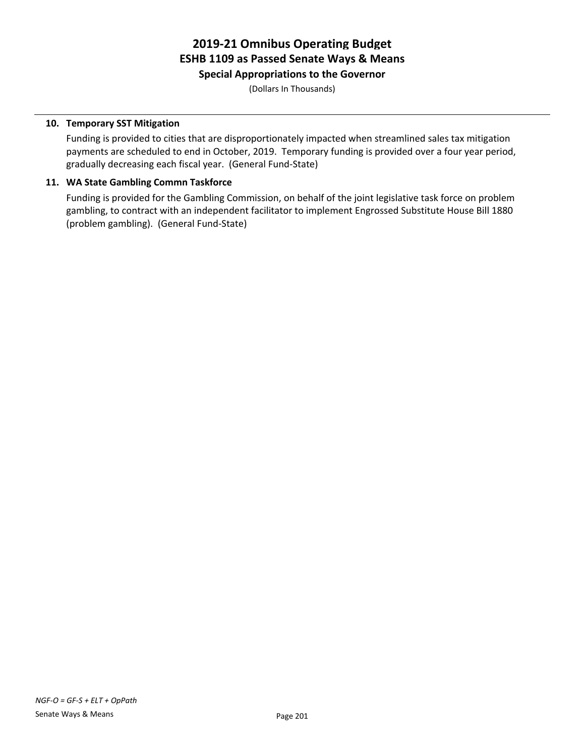**Special Appropriations to the Governor**

(Dollars In Thousands)

#### **10. Temporary SST Mitigation**

Funding is provided to cities that are disproportionately impacted when streamlined sales tax mitigation payments are scheduled to end in October, 2019. Temporary funding is provided over a four year period, gradually decreasing each fiscal year. (General Fund-State)

#### **11. WA State Gambling Commn Taskforce**

Funding is provided for the Gambling Commission, on behalf of the joint legislative task force on problem gambling, to contract with an independent facilitator to implement Engrossed Substitute House Bill 1880 (problem gambling). (General Fund-State)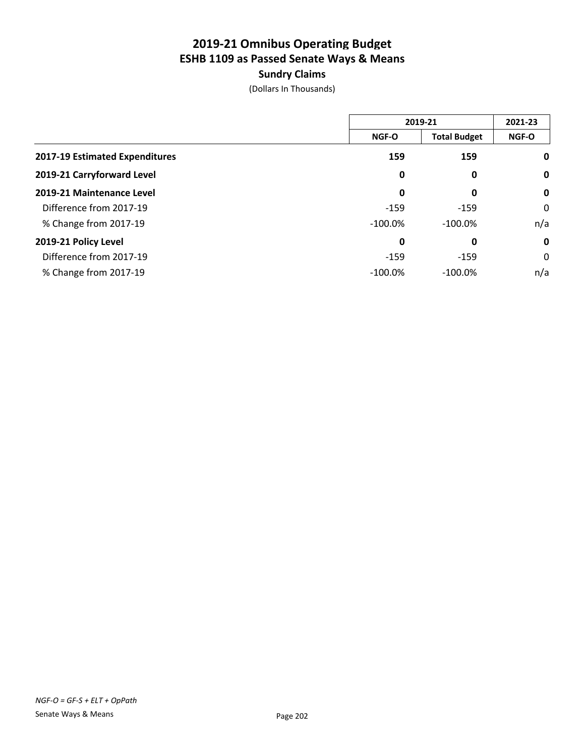### **Sundry Claims**

|                                |              | 2019-21             |              |
|--------------------------------|--------------|---------------------|--------------|
|                                | <b>NGF-O</b> | <b>Total Budget</b> | <b>NGF-O</b> |
| 2017-19 Estimated Expenditures | 159          | 159                 | $\mathbf 0$  |
| 2019-21 Carryforward Level     | 0            | 0                   | $\mathbf 0$  |
| 2019-21 Maintenance Level      | 0            | 0                   | $\mathbf 0$  |
| Difference from 2017-19        | $-159$       | $-159$              | 0            |
| % Change from 2017-19          | $-100.0\%$   | $-100.0%$           | n/a          |
| 2019-21 Policy Level           | 0            | 0                   | $\mathbf 0$  |
| Difference from 2017-19        | $-159$       | $-159$              | 0            |
| % Change from 2017-19          | $-100.0\%$   | $-100.0\%$          | n/a          |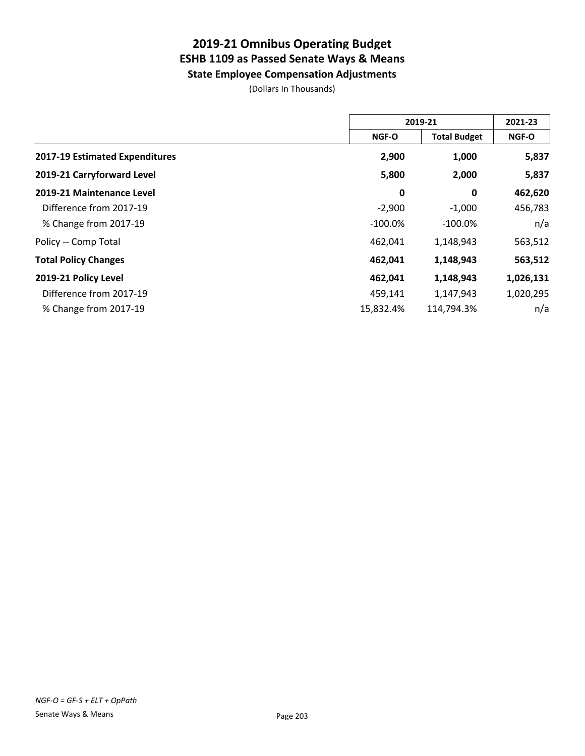**State Employee Compensation Adjustments**

|                                | 2019-21    |                     | 2021-23   |
|--------------------------------|------------|---------------------|-----------|
|                                | NGF-O      | <b>Total Budget</b> | NGF-O     |
| 2017-19 Estimated Expenditures | 2,900      | 1,000               | 5,837     |
| 2019-21 Carryforward Level     | 5,800      | 2,000               | 5,837     |
| 2019-21 Maintenance Level      | 0          | 0                   | 462,620   |
| Difference from 2017-19        | $-2,900$   | $-1,000$            | 456,783   |
| % Change from 2017-19          | $-100.0\%$ | $-100.0%$           | n/a       |
| Policy -- Comp Total           | 462,041    | 1,148,943           | 563,512   |
| <b>Total Policy Changes</b>    | 462,041    | 1,148,943           | 563,512   |
| 2019-21 Policy Level           | 462,041    | 1,148,943           | 1,026,131 |
| Difference from 2017-19        | 459,141    | 1,147,943           | 1,020,295 |
| % Change from 2017-19          | 15,832.4%  | 114,794.3%          | n/a       |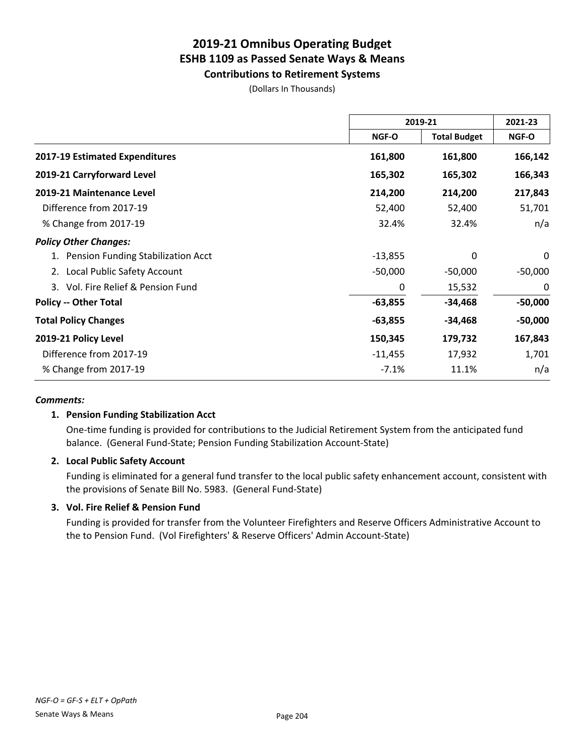**Contributions to Retirement Systems**

(Dollars In Thousands)

|                                       | 2019-21      |                     | 2021-23      |
|---------------------------------------|--------------|---------------------|--------------|
|                                       | <b>NGF-O</b> | <b>Total Budget</b> | <b>NGF-O</b> |
| 2017-19 Estimated Expenditures        | 161,800      | 161,800             | 166,142      |
| 2019-21 Carryforward Level            | 165,302      | 165,302             | 166,343      |
| 2019-21 Maintenance Level             | 214,200      | 214,200             | 217,843      |
| Difference from 2017-19               | 52,400       | 52,400              | 51,701       |
| % Change from 2017-19                 | 32.4%        | 32.4%               | n/a          |
| <b>Policy Other Changes:</b>          |              |                     |              |
| Pension Funding Stabilization Acct    | $-13,855$    | 0                   | 0            |
| Local Public Safety Account<br>2.     | $-50,000$    | $-50,000$           | $-50,000$    |
| Vol. Fire Relief & Pension Fund<br>3. | 0            | 15,532              | 0            |
| <b>Policy -- Other Total</b>          | -63,855      | $-34,468$           | $-50,000$    |
| <b>Total Policy Changes</b>           | $-63,855$    | $-34,468$           | $-50,000$    |
| 2019-21 Policy Level                  | 150,345      | 179,732             | 167,843      |
| Difference from 2017-19               | $-11,455$    | 17,932              | 1,701        |
| % Change from 2017-19                 | $-7.1%$      | 11.1%               | n/a          |

#### *Comments:*

#### **1. Pension Funding Stabilization Acct**

One-time funding is provided for contributions to the Judicial Retirement System from the anticipated fund balance. (General Fund-State; Pension Funding Stabilization Account-State)

#### **2. Local Public Safety Account**

Funding is eliminated for a general fund transfer to the local public safety enhancement account, consistent with the provisions of Senate Bill No. 5983. (General Fund-State)

#### **3. Vol. Fire Relief & Pension Fund**

Funding is provided for transfer from the Volunteer Firefighters and Reserve Officers Administrative Account to the to Pension Fund. (Vol Firefighters' & Reserve Officers' Admin Account-State)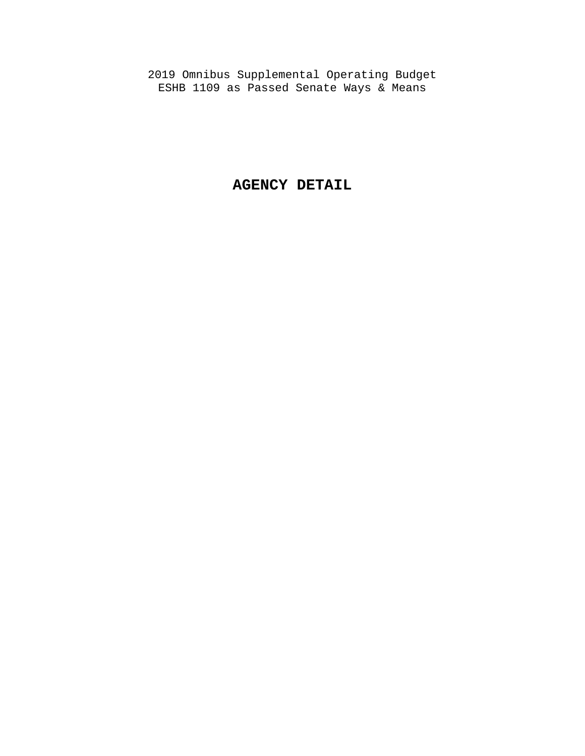2019 Omnibus Supplemental Operating Budget ESHB 1109 as Passed Senate Ways & Means

### **AGENCY DETAIL**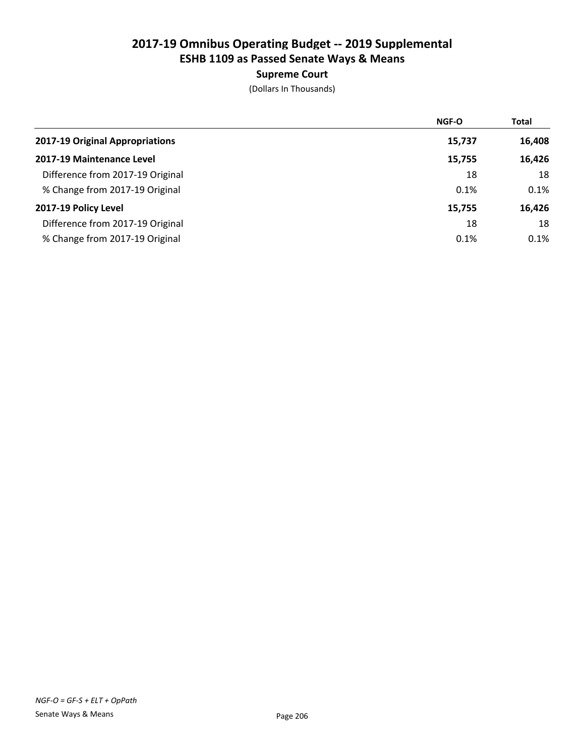### Supreme Court

|                                  | NGF-O  | <b>Total</b> |
|----------------------------------|--------|--------------|
| 2017-19 Original Appropriations  | 15,737 | 16,408       |
| 2017-19 Maintenance Level        | 15,755 | 16,426       |
| Difference from 2017-19 Original | 18     | 18           |
| % Change from 2017-19 Original   | 0.1%   | 0.1%         |
| 2017-19 Policy Level             | 15,755 | 16,426       |
| Difference from 2017-19 Original | 18     | 18           |
| % Change from 2017-19 Original   | 0.1%   | 0.1%         |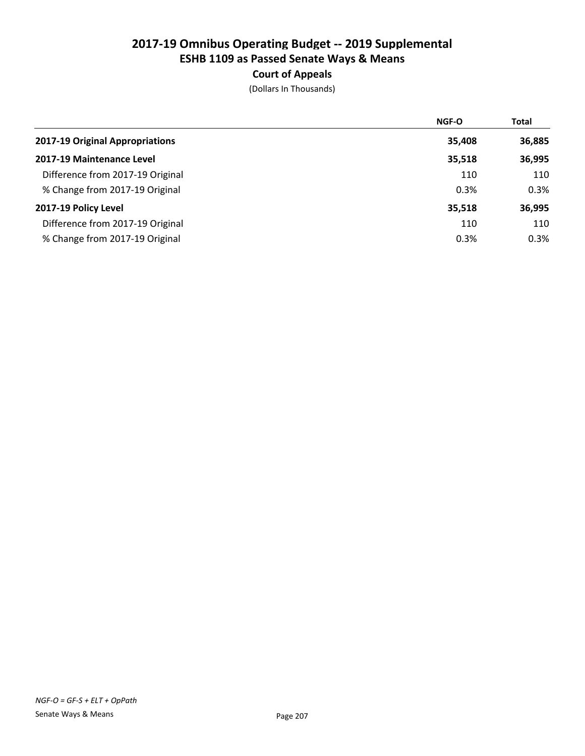### Court of Appeals

|                                  | <b>NGF-O</b> | Total  |
|----------------------------------|--------------|--------|
| 2017-19 Original Appropriations  | 35,408       | 36,885 |
| 2017-19 Maintenance Level        | 35,518       | 36,995 |
| Difference from 2017-19 Original | 110          | 110    |
| % Change from 2017-19 Original   | 0.3%         | 0.3%   |
| 2017-19 Policy Level             | 35,518       | 36,995 |
| Difference from 2017-19 Original | 110          | 110    |
| % Change from 2017-19 Original   | 0.3%         | 0.3%   |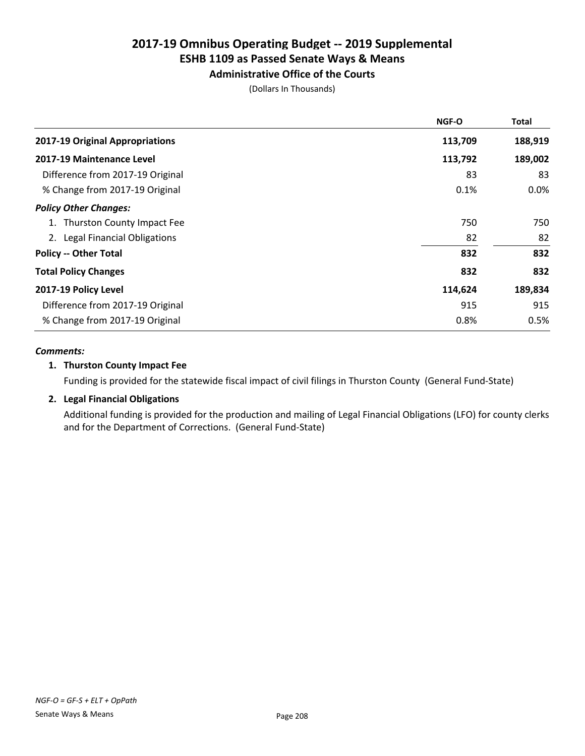### Administrative Office of the Courts

(Dollars In Thousands)

|                                  | <b>NGF-O</b> | <b>Total</b> |
|----------------------------------|--------------|--------------|
| 2017-19 Original Appropriations  | 113,709      | 188,919      |
| 2017-19 Maintenance Level        | 113,792      | 189,002      |
| Difference from 2017-19 Original | 83           | 83           |
| % Change from 2017-19 Original   | 0.1%         | 0.0%         |
| <b>Policy Other Changes:</b>     |              |              |
| 1. Thurston County Impact Fee    | 750          | 750          |
| 2. Legal Financial Obligations   | 82           | 82           |
| <b>Policy -- Other Total</b>     | 832          | 832          |
| <b>Total Policy Changes</b>      | 832          | 832          |
| 2017-19 Policy Level             | 114,624      | 189,834      |
| Difference from 2017-19 Original | 915          | 915          |
| % Change from 2017-19 Original   | 0.8%         | 0.5%         |

#### *Comments:*

#### 1. Thurston County Impact Fee

Funding is provided for the statewide fiscal impact of civil filings in Thurston County (General Fund-State)

### 2. Legal Financial Obligations

Additional funding is provided for the production and mailing of Legal Financial Obligations (LFO) for county clerks and for the Department of Corrections. (General Fund-State)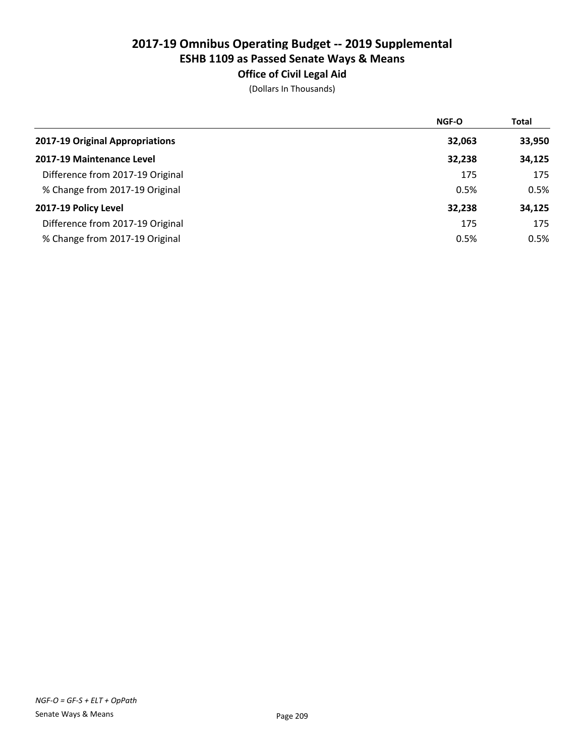# Office of Civil Legal Aid

|                                  | NGF-O  | <b>Total</b> |
|----------------------------------|--------|--------------|
| 2017-19 Original Appropriations  | 32,063 | 33,950       |
| 2017-19 Maintenance Level        | 32,238 | 34,125       |
| Difference from 2017-19 Original | 175    | 175          |
| % Change from 2017-19 Original   | 0.5%   | 0.5%         |
| 2017-19 Policy Level             | 32,238 | 34,125       |
| Difference from 2017-19 Original | 175    | 175          |
| % Change from 2017-19 Original   | 0.5%   | 0.5%         |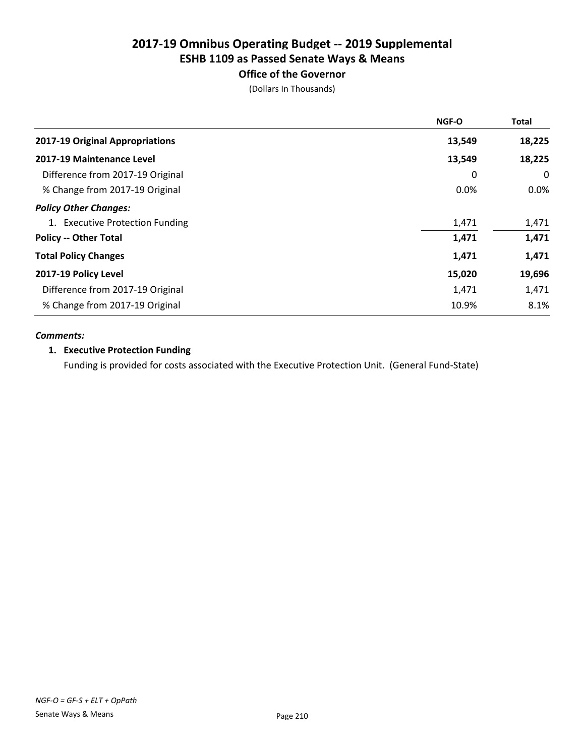### Office of the Governor

(Dollars In Thousands)

|                                  | <b>NGF-O</b> | <b>Total</b> |
|----------------------------------|--------------|--------------|
| 2017-19 Original Appropriations  | 13,549       | 18,225       |
| 2017-19 Maintenance Level        | 13,549       | 18,225       |
| Difference from 2017-19 Original | 0            | 0            |
| % Change from 2017-19 Original   | 0.0%         | $0.0\%$      |
| <b>Policy Other Changes:</b>     |              |              |
| 1. Executive Protection Funding  | 1,471        | 1,471        |
| <b>Policy -- Other Total</b>     | 1,471        | 1,471        |
| <b>Total Policy Changes</b>      | 1,471        | 1,471        |
| 2017-19 Policy Level             | 15,020       | 19,696       |
| Difference from 2017-19 Original | 1,471        | 1,471        |
| % Change from 2017-19 Original   | 10.9%        | 8.1%         |

#### *Comments:*

#### 1. Executive Protection Funding

Funding is provided for costs associated with the Executive Protection Unit. (General Fund-State)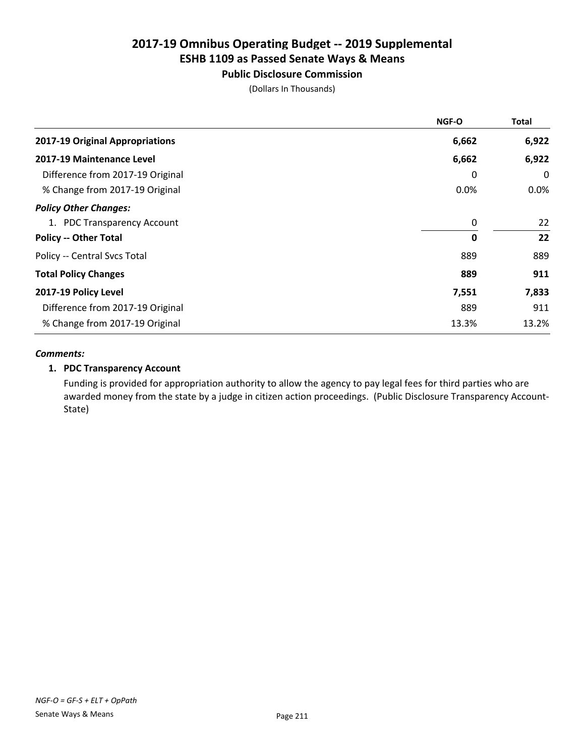### Public Disclosure Commission

(Dollars In Thousands)

|                                  | <b>NGF-O</b> | <b>Total</b> |
|----------------------------------|--------------|--------------|
| 2017-19 Original Appropriations  | 6,662        | 6,922        |
| 2017-19 Maintenance Level        | 6,662        | 6,922        |
| Difference from 2017-19 Original | 0            | 0            |
| % Change from 2017-19 Original   | 0.0%         | $0.0\%$      |
| <b>Policy Other Changes:</b>     |              |              |
| 1. PDC Transparency Account      | 0            | 22           |
| <b>Policy -- Other Total</b>     | 0            | 22           |
| Policy -- Central Svcs Total     | 889          | 889          |
| <b>Total Policy Changes</b>      | 889          | 911          |
| 2017-19 Policy Level             | 7,551        | 7,833        |
| Difference from 2017-19 Original | 889          | 911          |
| % Change from 2017-19 Original   | 13.3%        | 13.2%        |

#### *Comments:*

#### 1. PDC Transparency Account

Funding is provided for appropriation authority to allow the agency to pay legal fees for third parties who are awarded money from the state by a judge in citizen action proceedings. (Public Disclosure Transparency Account-State)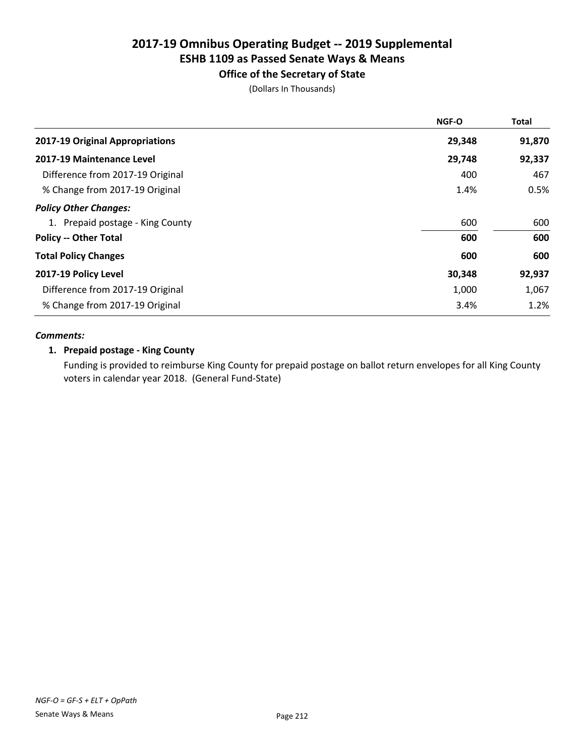### Office of the Secretary of State

(Dollars In Thousands)

| <b>NGF-O</b> | <b>Total</b> |
|--------------|--------------|
| 29,348       | 91,870       |
| 29,748       | 92,337       |
| 400          | 467          |
| 1.4%         | 0.5%         |
|              |              |
| 600          | 600          |
| 600          | 600          |
| 600          | 600          |
| 30,348       | 92,937       |
| 1,000        | 1,067        |
| 3.4%         | 1.2%         |
|              |              |

#### *Comments:*

#### 1. Prepaid postage - King County

Funding is provided to reimburse King County for prepaid postage on ballot return envelopes for all King County voters in calendar year 2018. (General Fund-State)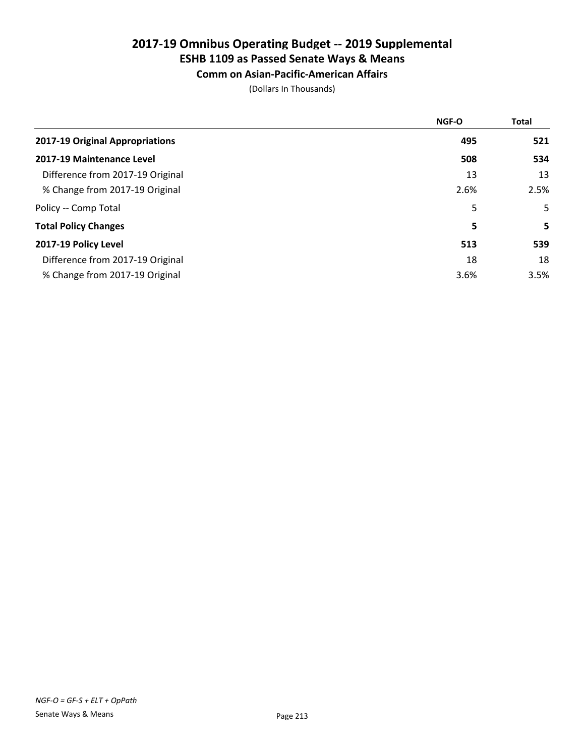# 2017-19 Omnibus Operating Budget -- 2019 Supplemental

# ESHB 1109 as Passed Senate Ways & Means

### Comm on Asian-Pacific-American Affairs

|                                  | <b>NGF-O</b> | <b>Total</b> |
|----------------------------------|--------------|--------------|
| 2017-19 Original Appropriations  | 495          | 521          |
| 2017-19 Maintenance Level        | 508          | 534          |
| Difference from 2017-19 Original | 13           | 13           |
| % Change from 2017-19 Original   | 2.6%         | 2.5%         |
| Policy -- Comp Total             | 5            | 5            |
| <b>Total Policy Changes</b>      | 5            | 5            |
| 2017-19 Policy Level             | 513          | 539          |
| Difference from 2017-19 Original | 18           | 18           |
| % Change from 2017-19 Original   | 3.6%         | 3.5%         |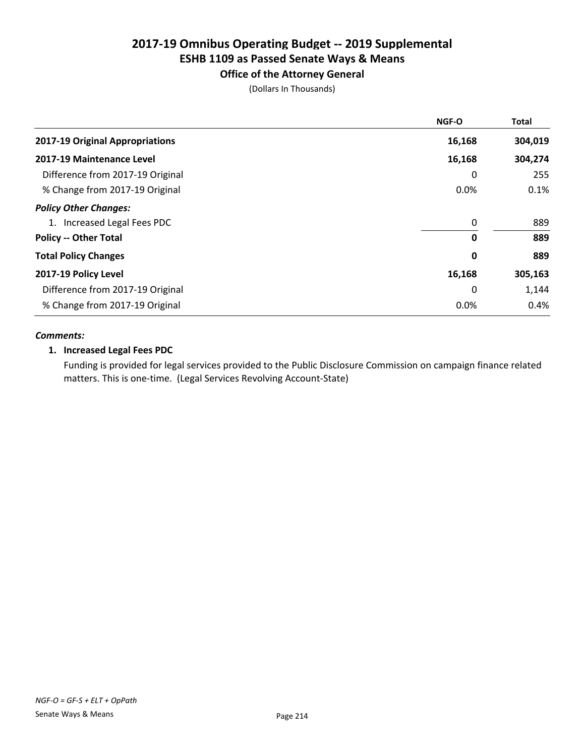#### Office of the Attorney General

(Dollars In Thousands)

|                                  | <b>NGF-O</b> | <b>Total</b> |
|----------------------------------|--------------|--------------|
| 2017-19 Original Appropriations  | 16,168       | 304,019      |
| 2017-19 Maintenance Level        | 16,168       | 304,274      |
| Difference from 2017-19 Original | 0            | 255          |
| % Change from 2017-19 Original   | 0.0%         | 0.1%         |
| <b>Policy Other Changes:</b>     |              |              |
| 1. Increased Legal Fees PDC      | 0            | 889          |
| <b>Policy -- Other Total</b>     | 0            | 889          |
| <b>Total Policy Changes</b>      | 0            | 889          |
| 2017-19 Policy Level             | 16,168       | 305,163      |
| Difference from 2017-19 Original | 0            | 1,144        |
| % Change from 2017-19 Original   | 0.0%         | 0.4%         |

#### *Comments:*

#### 1. Increased Legal Fees PDC

Funding is provided for legal services provided to the Public Disclosure Commission on campaign finance related matters. This is one-time. (Legal Services Revolving Account-State)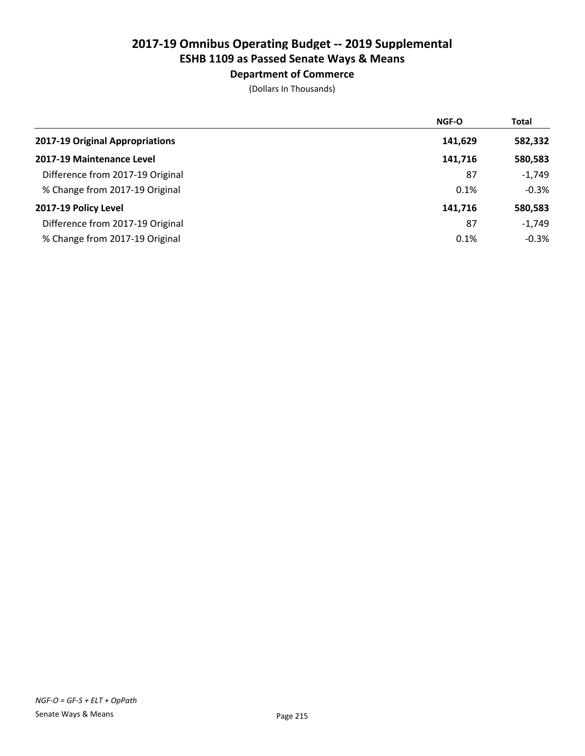### Department of Commerce

|                                  | <b>NGF-O</b> | Total    |
|----------------------------------|--------------|----------|
| 2017-19 Original Appropriations  | 141,629      | 582,332  |
| 2017-19 Maintenance Level        | 141,716      | 580,583  |
| Difference from 2017-19 Original | 87           | $-1,749$ |
| % Change from 2017-19 Original   | 0.1%         | $-0.3%$  |
| 2017-19 Policy Level             | 141,716      | 580,583  |
| Difference from 2017-19 Original | 87           | $-1,749$ |
| % Change from 2017-19 Original   | 0.1%         | $-0.3%$  |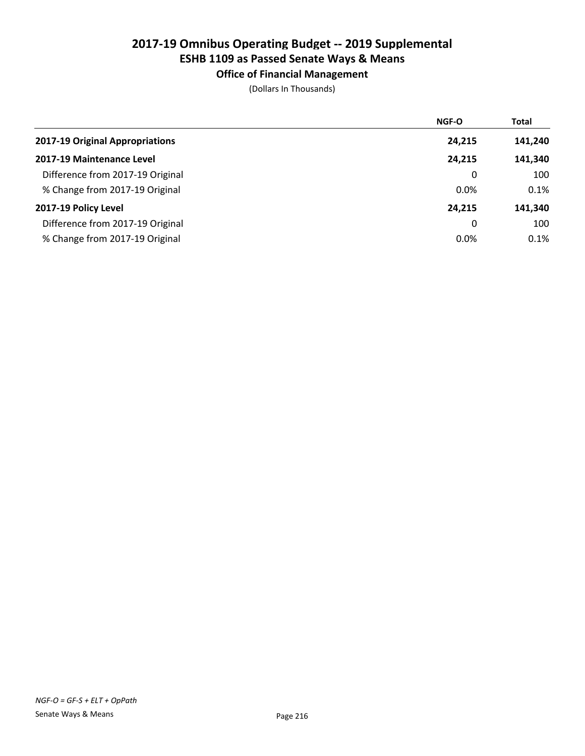### Office of Financial Management

|                                  | <b>NGF-O</b> | <b>Total</b> |
|----------------------------------|--------------|--------------|
| 2017-19 Original Appropriations  | 24,215       | 141,240      |
| 2017-19 Maintenance Level        | 24,215       | 141,340      |
| Difference from 2017-19 Original | 0            | 100          |
| % Change from 2017-19 Original   | 0.0%         | 0.1%         |
| 2017-19 Policy Level             | 24,215       | 141,340      |
| Difference from 2017-19 Original | 0            | 100          |
| % Change from 2017-19 Original   | 0.0%         | 0.1%         |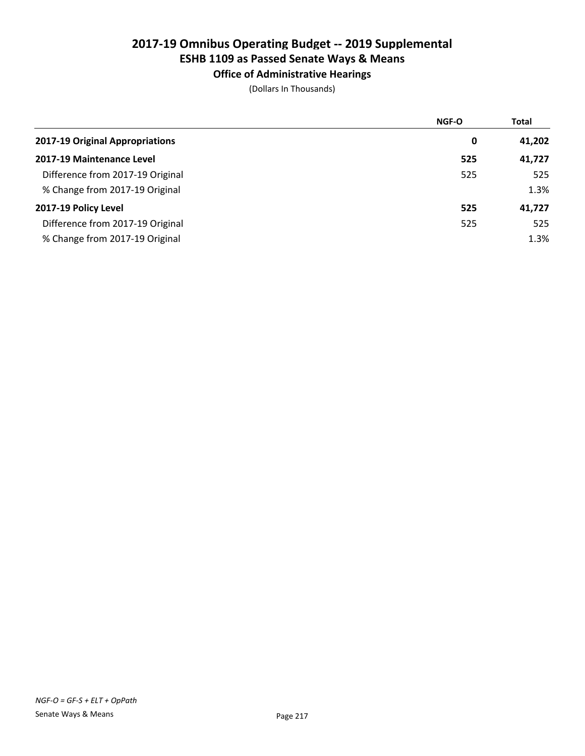### Office of Administrative Hearings

|                                  | NGF-O | <b>Total</b> |
|----------------------------------|-------|--------------|
| 2017-19 Original Appropriations  | 0     | 41,202       |
| 2017-19 Maintenance Level        | 525   | 41,727       |
| Difference from 2017-19 Original | 525   | 525          |
| % Change from 2017-19 Original   |       | 1.3%         |
| 2017-19 Policy Level             | 525   | 41,727       |
| Difference from 2017-19 Original | 525   | 525          |
| % Change from 2017-19 Original   |       | 1.3%         |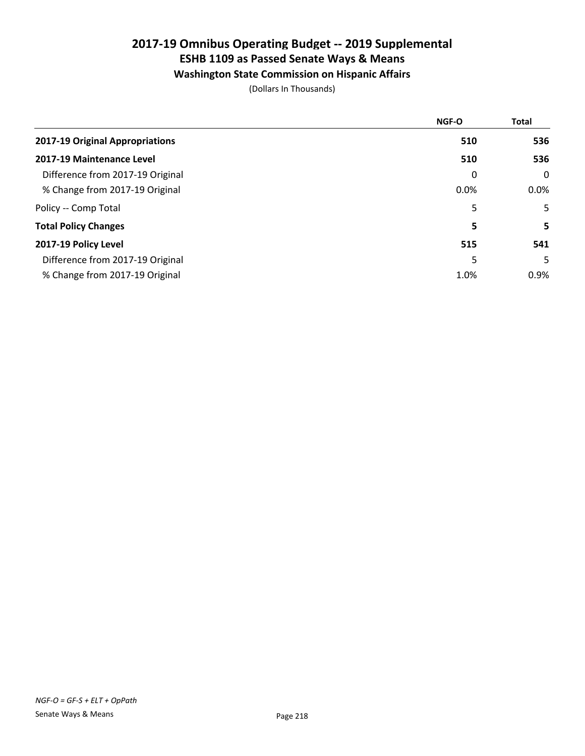### Washington State Commission on Hispanic Affairs

|                                  | <b>NGF-O</b> | <b>Total</b> |
|----------------------------------|--------------|--------------|
| 2017-19 Original Appropriations  | 510          | 536          |
| 2017-19 Maintenance Level        | 510          | 536          |
| Difference from 2017-19 Original | 0            | $\mathbf 0$  |
| % Change from 2017-19 Original   | 0.0%         | $0.0\%$      |
| Policy -- Comp Total             | 5            | 5            |
| <b>Total Policy Changes</b>      | 5            | 5.           |
| 2017-19 Policy Level             | 515          | 541          |
| Difference from 2017-19 Original | 5            | 5.           |
| % Change from 2017-19 Original   | 1.0%         | 0.9%         |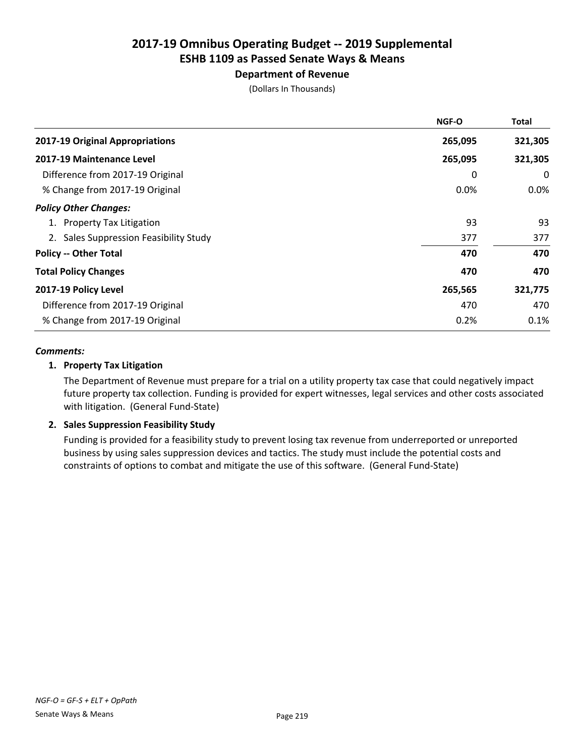### Department of Revenue

(Dollars In Thousands)

|                                        | <b>NGF-O</b> | Total   |
|----------------------------------------|--------------|---------|
| 2017-19 Original Appropriations        | 265,095      | 321,305 |
| 2017-19 Maintenance Level              | 265,095      | 321,305 |
| Difference from 2017-19 Original       | 0            | 0       |
| % Change from 2017-19 Original         | 0.0%         | $0.0\%$ |
| <b>Policy Other Changes:</b>           |              |         |
| 1. Property Tax Litigation             | 93           | 93      |
| 2. Sales Suppression Feasibility Study | 377          | 377     |
| <b>Policy -- Other Total</b>           | 470          | 470     |
| <b>Total Policy Changes</b>            | 470          | 470     |
| 2017-19 Policy Level                   | 265,565      | 321,775 |
| Difference from 2017-19 Original       | 470          | 470     |
| % Change from 2017-19 Original         | 0.2%         | 0.1%    |

#### *Comments:*

#### 1. Property Tax Litigation

The Department of Revenue must prepare for a trial on a utility property tax case that could negatively impact future property tax collection. Funding is provided for expert witnesses, legal services and other costs associated with litigation. (General Fund-State)

#### 2. Sales Suppression Feasibility Study

Funding is provided for a feasibility study to prevent losing tax revenue from underreported or unreported business by using sales suppression devices and tactics. The study must include the potential costs and constraints of options to combat and mitigate the use of this software. (General Fund-State)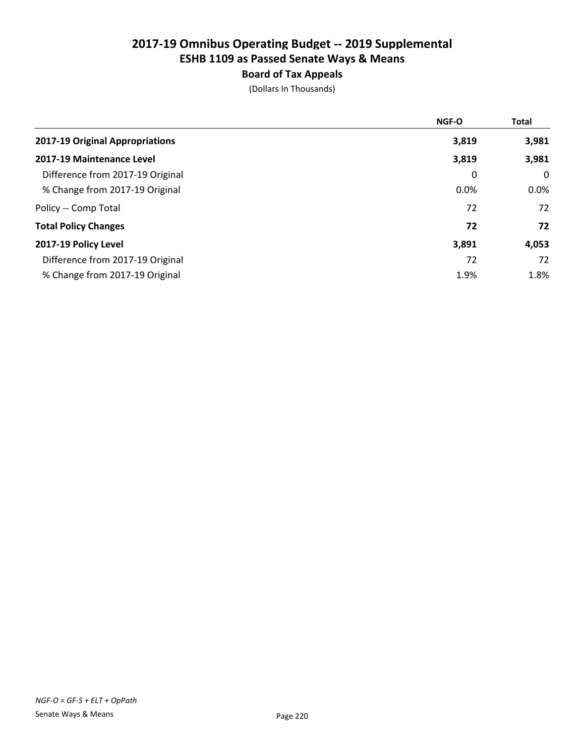### Board of Tax Appeals

|                                  | <b>NGF-O</b> | <b>Total</b> |
|----------------------------------|--------------|--------------|
| 2017-19 Original Appropriations  | 3,819        | 3,981        |
| 2017-19 Maintenance Level        | 3,819        | 3,981        |
| Difference from 2017-19 Original | 0            | 0            |
| % Change from 2017-19 Original   | 0.0%         | $0.0\%$      |
| Policy -- Comp Total             | 72           | 72           |
| <b>Total Policy Changes</b>      | 72           | 72           |
| 2017-19 Policy Level             | 3,891        | 4,053        |
| Difference from 2017-19 Original | 72           | 72           |
| % Change from 2017-19 Original   | 1.9%         | 1.8%         |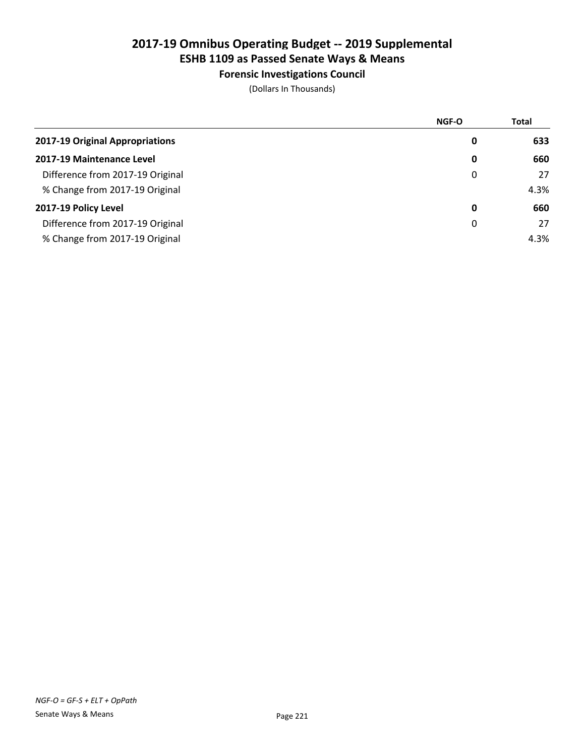### Forensic Investigations Council

|                                  | <b>NGF-O</b> | <b>Total</b> |
|----------------------------------|--------------|--------------|
| 2017-19 Original Appropriations  | 0            | 633          |
| 2017-19 Maintenance Level        | 0            | 660          |
| Difference from 2017-19 Original | 0            | 27           |
| % Change from 2017-19 Original   |              | 4.3%         |
| 2017-19 Policy Level             | 0            | 660          |
| Difference from 2017-19 Original | 0            | 27           |
| % Change from 2017-19 Original   |              | 4.3%         |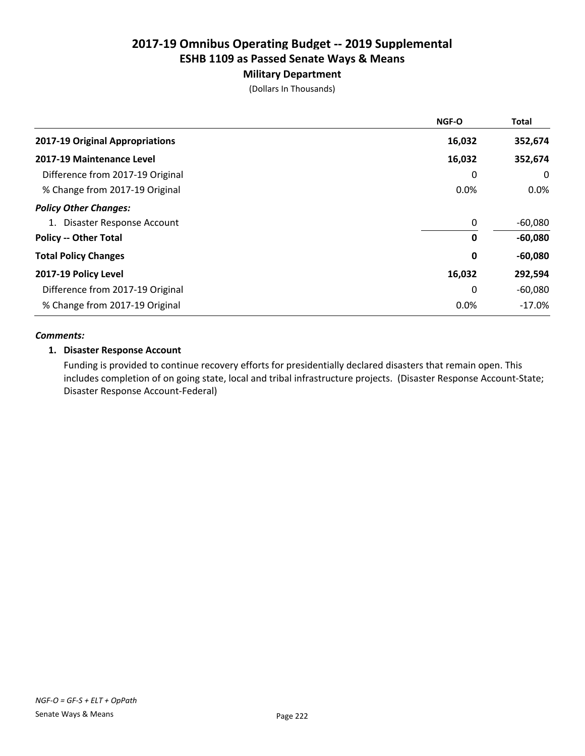### Military Department

(Dollars In Thousands)

|                                  | <b>NGF-O</b> | <b>Total</b> |
|----------------------------------|--------------|--------------|
| 2017-19 Original Appropriations  | 16,032       | 352,674      |
| 2017-19 Maintenance Level        | 16,032       | 352,674      |
| Difference from 2017-19 Original | 0            | 0            |
| % Change from 2017-19 Original   | 0.0%         | $0.0\%$      |
| <b>Policy Other Changes:</b>     |              |              |
| 1. Disaster Response Account     | 0            | $-60,080$    |
| <b>Policy -- Other Total</b>     | 0            | $-60,080$    |
| <b>Total Policy Changes</b>      | 0            | $-60,080$    |
| 2017-19 Policy Level             | 16,032       | 292,594      |
| Difference from 2017-19 Original | 0            | $-60,080$    |
| % Change from 2017-19 Original   | 0.0%         | $-17.0%$     |

#### *Comments:*

#### 1. Disaster Response Account

Funding is provided to continue recovery efforts for presidentially declared disasters that remain open. This includes completion of on going state, local and tribal infrastructure projects. (Disaster Response Account-State; Disaster Response Account-Federal)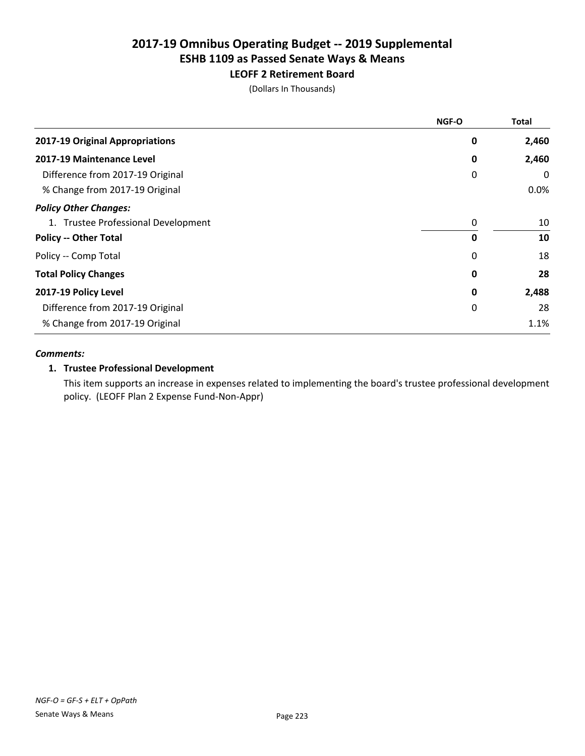### LEOFF 2 Retirement Board

(Dollars In Thousands)

|                                     | NGF-O | <b>Total</b> |
|-------------------------------------|-------|--------------|
| 2017-19 Original Appropriations     | 0     | 2,460        |
| 2017-19 Maintenance Level           | 0     | 2,460        |
| Difference from 2017-19 Original    | 0     | 0            |
| % Change from 2017-19 Original      |       | 0.0%         |
| <b>Policy Other Changes:</b>        |       |              |
| 1. Trustee Professional Development | 0     | 10           |
| <b>Policy -- Other Total</b>        | 0     | 10           |
| Policy -- Comp Total                | 0     | 18           |
| <b>Total Policy Changes</b>         | 0     | 28           |
| 2017-19 Policy Level                | 0     | 2,488        |
| Difference from 2017-19 Original    | 0     | 28           |
| % Change from 2017-19 Original      |       | 1.1%         |

#### *Comments:*

#### 1. Trustee Professional Development

This item supports an increase in expenses related to implementing the board's trustee professional development policy. (LEOFF Plan 2 Expense Fund-Non-Appr)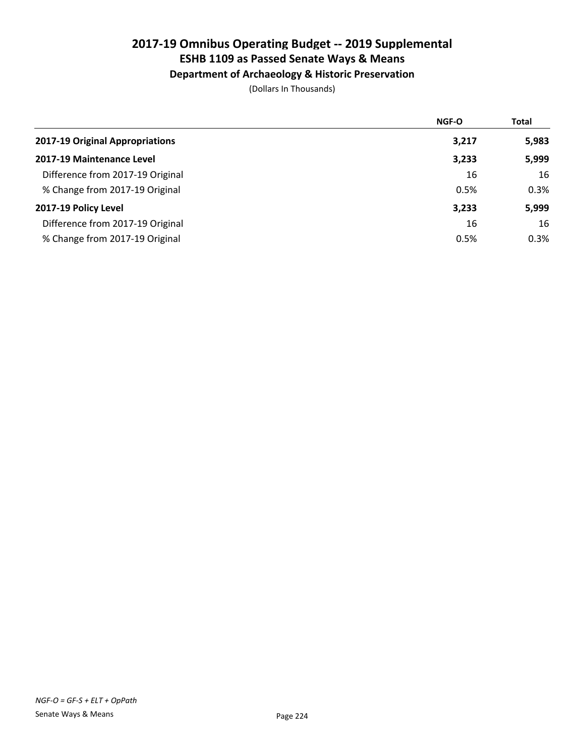#### Department of Archaeology & Historic Preservation

|                                  | NGF-O | <b>Total</b> |
|----------------------------------|-------|--------------|
| 2017-19 Original Appropriations  | 3,217 | 5,983        |
| 2017-19 Maintenance Level        | 3,233 | 5,999        |
| Difference from 2017-19 Original | 16    | 16           |
| % Change from 2017-19 Original   | 0.5%  | 0.3%         |
| 2017-19 Policy Level             | 3,233 | 5,999        |
| Difference from 2017-19 Original | 16    | 16           |
| % Change from 2017-19 Original   | 0.5%  | 0.3%         |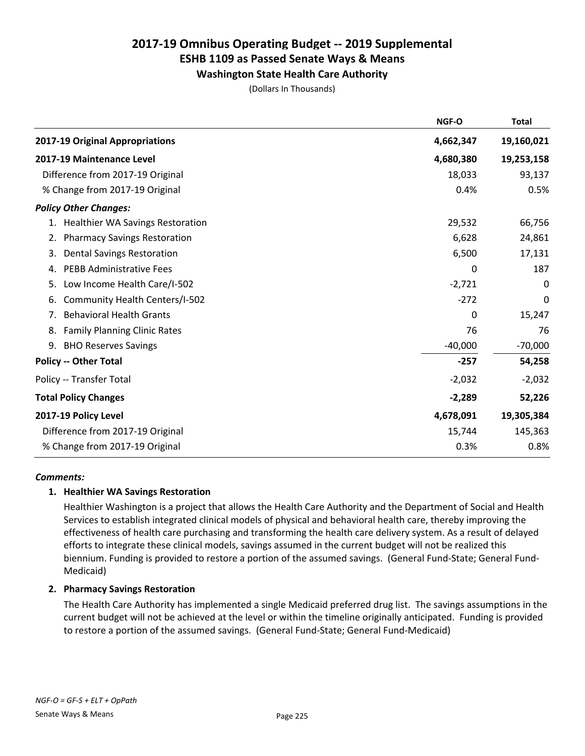### Washington State Health Care Authority

(Dollars In Thousands)

|                                           | NGF-O     | <b>Total</b> |
|-------------------------------------------|-----------|--------------|
| 2017-19 Original Appropriations           | 4,662,347 | 19,160,021   |
| 2017-19 Maintenance Level                 | 4,680,380 | 19,253,158   |
| Difference from 2017-19 Original          | 18,033    | 93,137       |
| % Change from 2017-19 Original            | 0.4%      | 0.5%         |
| <b>Policy Other Changes:</b>              |           |              |
| 1. Healthier WA Savings Restoration       | 29,532    | 66,756       |
| 2. Pharmacy Savings Restoration           | 6,628     | 24,861       |
| <b>Dental Savings Restoration</b><br>3.   | 6,500     | 17,131       |
| <b>PEBB Administrative Fees</b><br>4.     | 0         | 187          |
| Low Income Health Care/I-502<br>5.        | $-2,721$  | 0            |
| Community Health Centers/I-502<br>6.      | $-272$    | 0            |
| <b>Behavioral Health Grants</b><br>7.     | 0         | 15,247       |
| <b>Family Planning Clinic Rates</b><br>8. | 76        | 76           |
| <b>BHO Reserves Savings</b><br>9.         | $-40,000$ | $-70,000$    |
| <b>Policy -- Other Total</b>              | $-257$    | 54,258       |
| Policy -- Transfer Total                  | $-2,032$  | $-2,032$     |
| <b>Total Policy Changes</b>               | $-2,289$  | 52,226       |
| 2017-19 Policy Level                      | 4,678,091 | 19,305,384   |
| Difference from 2017-19 Original          | 15,744    | 145,363      |
| % Change from 2017-19 Original            | 0.3%      | 0.8%         |

#### *Comments:*

#### 1. Healthier WA Savings Restoration

Healthier Washington is a project that allows the Health Care Authority and the Department of Social and Health Services to establish integrated clinical models of physical and behavioral health care, thereby improving the effectiveness of health care purchasing and transforming the health care delivery system. As a result of delayed efforts to integrate these clinical models, savings assumed in the current budget will not be realized this biennium. Funding is provided to restore a portion of the assumed savings. (General Fund-State; General Fund-Medicaid)

#### 2. Pharmacy Savings Restoration

The Health Care Authority has implemented a single Medicaid preferred drug list. The savings assumptions in the current budget will not be achieved at the level or within the timeline originally anticipated. Funding is provided to restore a portion of the assumed savings. (General Fund-State; General Fund-Medicaid)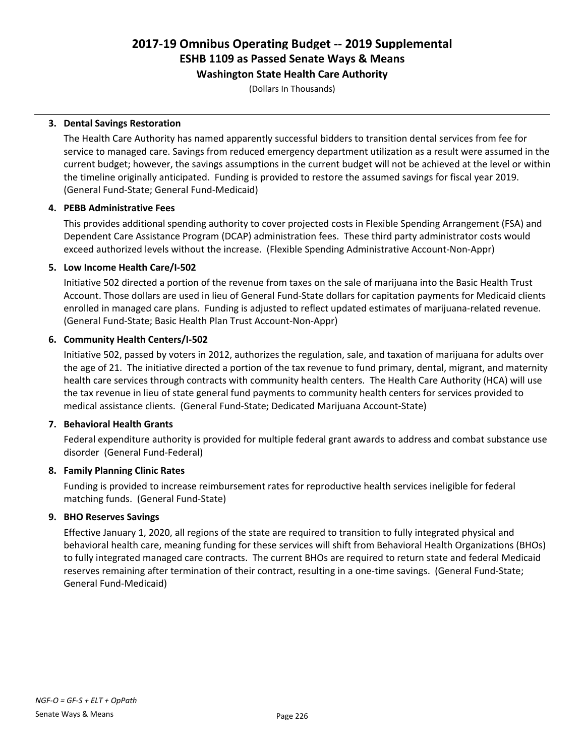#### Washington State Health Care Authority

(Dollars In Thousands)

#### 3. Dental Savings Restoration

The Health Care Authority has named apparently successful bidders to transition dental services from fee for service to managed care. Savings from reduced emergency department utilization as a result were assumed in the current budget; however, the savings assumptions in the current budget will not be achieved at the level or within the timeline originally anticipated. Funding is provided to restore the assumed savings for fiscal year 2019. (General Fund-State; General Fund-Medicaid)

#### 4. PEBB Administrative Fees

This provides additional spending authority to cover projected costs in Flexible Spending Arrangement (FSA) and Dependent Care Assistance Program (DCAP) administration fees. These third party administrator costs would exceed authorized levels without the increase. (Flexible Spending Administrative Account-Non-Appr)

#### 5. Low Income Health Care/I-502

Initiative 502 directed a portion of the revenue from taxes on the sale of marijuana into the Basic Health Trust Account. Those dollars are used in lieu of General Fund-State dollars for capitation payments for Medicaid clients enrolled in managed care plans. Funding is adjusted to reflect updated estimates of marijuana-related revenue. (General Fund-State; Basic Health Plan Trust Account-Non-Appr)

#### 6. Community Health Centers/I-502

Initiative 502, passed by voters in 2012, authorizes the regulation, sale, and taxation of marijuana for adults over the age of 21. The initiative directed a portion of the tax revenue to fund primary, dental, migrant, and maternity health care services through contracts with community health centers. The Health Care Authority (HCA) will use the tax revenue in lieu of state general fund payments to community health centers for services provided to medical assistance clients. (General Fund-State; Dedicated Marijuana Account-State)

#### 7. Behavioral Health Grants

Federal expenditure authority is provided for multiple federal grant awards to address and combat substance use disorder (General Fund-Federal)

#### 8. Family Planning Clinic Rates

Funding is provided to increase reimbursement rates for reproductive health services ineligible for federal matching funds. (General Fund-State)

#### 9. BHO Reserves Savings

Effective January 1, 2020, all regions of the state are required to transition to fully integrated physical and behavioral health care, meaning funding for these services will shift from Behavioral Health Organizations (BHOs) to fully integrated managed care contracts. The current BHOs are required to return state and federal Medicaid reserves remaining after termination of their contract, resulting in a one-time savings. (General Fund-State; General Fund-Medicaid)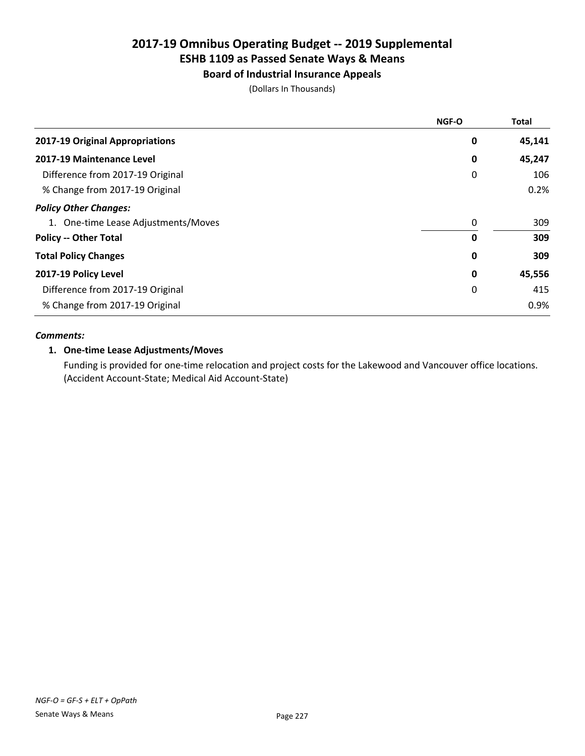### Board of Industrial Insurance Appeals

(Dollars In Thousands)

|                                     | <b>NGF-O</b> | <b>Total</b> |
|-------------------------------------|--------------|--------------|
| 2017-19 Original Appropriations     | 0            | 45,141       |
| 2017-19 Maintenance Level           | 0            | 45,247       |
| Difference from 2017-19 Original    | 0            | 106          |
| % Change from 2017-19 Original      |              | 0.2%         |
| <b>Policy Other Changes:</b>        |              |              |
| 1. One-time Lease Adjustments/Moves | 0            | 309          |
| <b>Policy -- Other Total</b>        | 0            | 309          |
| <b>Total Policy Changes</b>         | 0            | 309          |
| 2017-19 Policy Level                | 0            | 45,556       |
| Difference from 2017-19 Original    | 0            | 415          |
| % Change from 2017-19 Original      |              | 0.9%         |

#### *Comments:*

#### 1. One-time Lease Adjustments/Moves

Funding is provided for one-time relocation and project costs for the Lakewood and Vancouver office locations. (Accident Account-State; Medical Aid Account-State)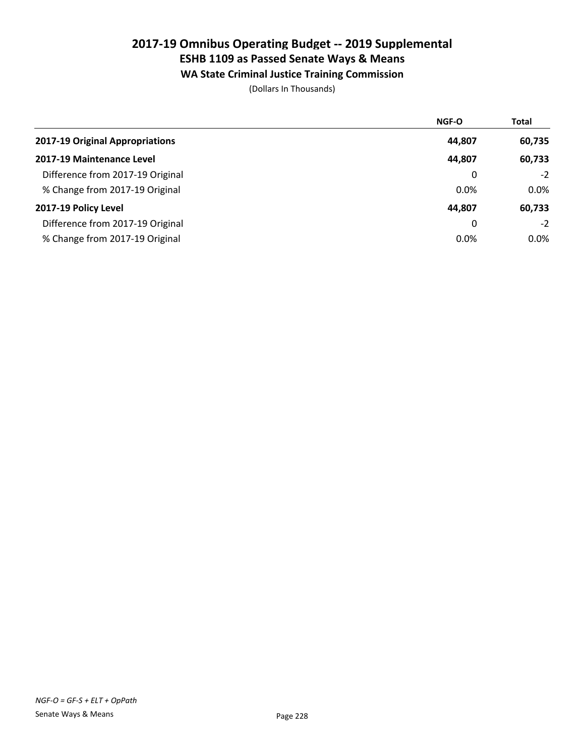### WA State Criminal Justice Training Commission

|                                  | NGF-O  | <b>Total</b> |
|----------------------------------|--------|--------------|
| 2017-19 Original Appropriations  | 44,807 | 60,735       |
| 2017-19 Maintenance Level        | 44,807 | 60,733       |
| Difference from 2017-19 Original | 0      | $-2$         |
| % Change from 2017-19 Original   | 0.0%   | $0.0\%$      |
| 2017-19 Policy Level             | 44,807 | 60,733       |
| Difference from 2017-19 Original | 0      | $-2$         |
| % Change from 2017-19 Original   | 0.0%   | $0.0\%$      |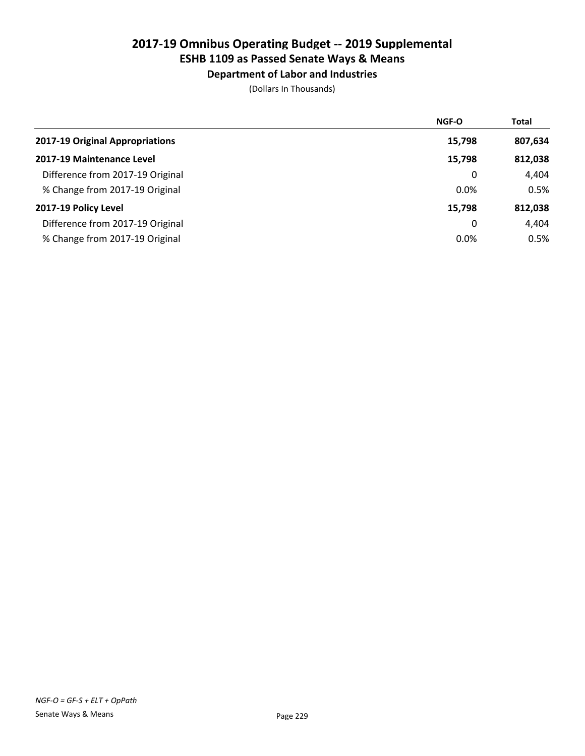### Department of Labor and Industries

|                                  | <b>NGF-O</b> | <b>Total</b> |
|----------------------------------|--------------|--------------|
| 2017-19 Original Appropriations  | 15,798       | 807,634      |
| 2017-19 Maintenance Level        | 15,798       | 812,038      |
| Difference from 2017-19 Original | 0            | 4,404        |
| % Change from 2017-19 Original   | 0.0%         | 0.5%         |
| 2017-19 Policy Level             | 15,798       | 812,038      |
| Difference from 2017-19 Original | 0            | 4,404        |
| % Change from 2017-19 Original   | 0.0%         | 0.5%         |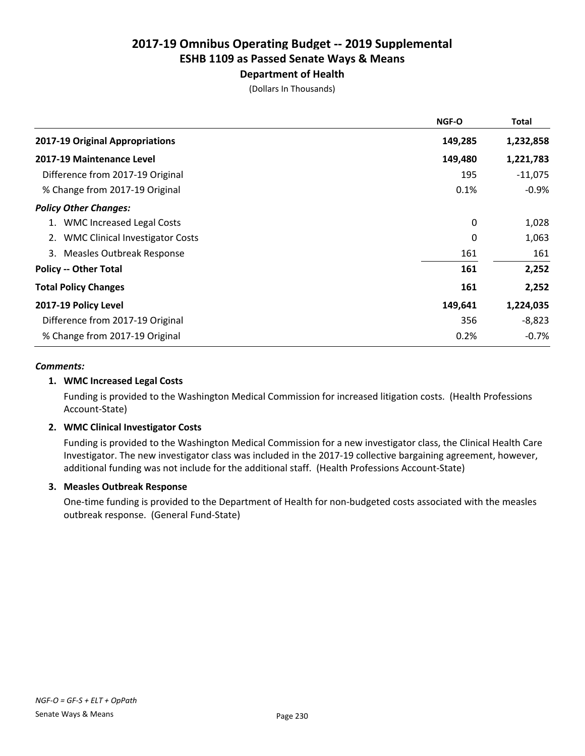### Department of Health

(Dollars In Thousands)

|                                        | <b>NGF-O</b> | Total     |
|----------------------------------------|--------------|-----------|
| 2017-19 Original Appropriations        | 149,285      | 1,232,858 |
| 2017-19 Maintenance Level              | 149,480      | 1,221,783 |
| Difference from 2017-19 Original       | 195          | $-11,075$ |
| % Change from 2017-19 Original         | 0.1%         | $-0.9%$   |
| <b>Policy Other Changes:</b>           |              |           |
| <b>WMC Increased Legal Costs</b><br>1. | 0            | 1,028     |
| <b>WMC Clinical Investigator Costs</b> | 0            | 1,063     |
| 3. Measles Outbreak Response           | 161          | 161       |
| <b>Policy -- Other Total</b>           | 161          | 2,252     |
| <b>Total Policy Changes</b>            | 161          | 2,252     |
| 2017-19 Policy Level                   | 149,641      | 1,224,035 |
| Difference from 2017-19 Original       | 356          | $-8,823$  |
| % Change from 2017-19 Original         | 0.2%         | $-0.7\%$  |

#### *Comments:*

#### 1. WMC Increased Legal Costs

Funding is provided to the Washington Medical Commission for increased litigation costs. (Health Professions Account-State)

#### 2. WMC Clinical Investigator Costs

Funding is provided to the Washington Medical Commission for a new investigator class, the Clinical Health Care Investigator. The new investigator class was included in the 2017-19 collective bargaining agreement, however, additional funding was not include for the additional staff. (Health Professions Account-State)

#### 3. Measles Outbreak Response

One-time funding is provided to the Department of Health for non-budgeted costs associated with the measles outbreak response. (General Fund-State)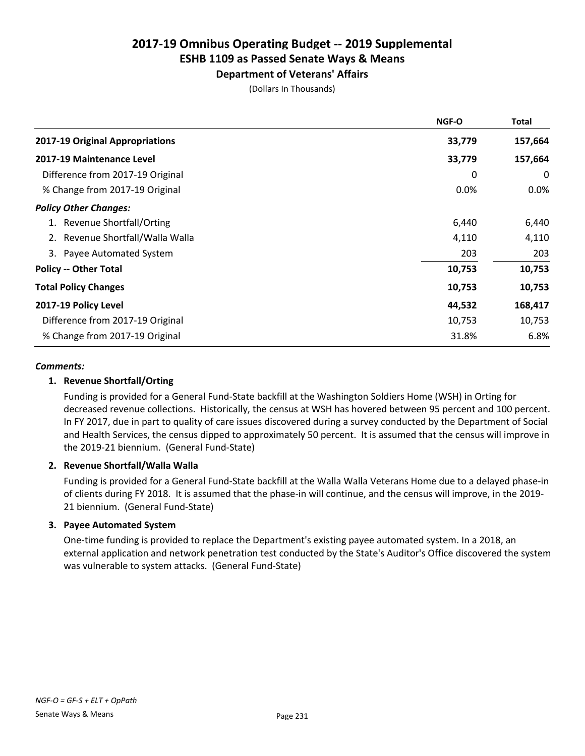#### Department of Veterans' Affairs

(Dollars In Thousands)

| <b>NGF-O</b> | <b>Total</b> |
|--------------|--------------|
| 33,779       | 157,664      |
| 33,779       | 157,664      |
| 0            | 0            |
| 0.0%         | $0.0\%$      |
|              |              |
| 6,440        | 6,440        |
| 4,110        | 4,110        |
| 203          | 203          |
| 10,753       | 10,753       |
| 10,753       | 10,753       |
| 44,532       | 168,417      |
| 10,753       | 10,753       |
| 31.8%        | 6.8%         |
|              |              |

#### *Comments:*

#### 1. Revenue Shortfall/Orting

Funding is provided for a General Fund-State backfill at the Washington Soldiers Home (WSH) in Orting for decreased revenue collections. Historically, the census at WSH has hovered between 95 percent and 100 percent. In FY 2017, due in part to quality of care issues discovered during a survey conducted by the Department of Social and Health Services, the census dipped to approximately 50 percent. It is assumed that the census will improve in the 2019-21 biennium. (General Fund-State)

#### 2. Revenue Shortfall/Walla Walla

Funding is provided for a General Fund-State backfill at the Walla Walla Veterans Home due to a delayed phase-in of clients during FY 2018. It is assumed that the phase-in will continue, and the census will improve, in the 2019- 21 biennium. (General Fund-State)

#### 3. Payee Automated System

One-time funding is provided to replace the Department's existing payee automated system. In a 2018, an external application and network penetration test conducted by the State's Auditor's Office discovered the system was vulnerable to system attacks. (General Fund-State)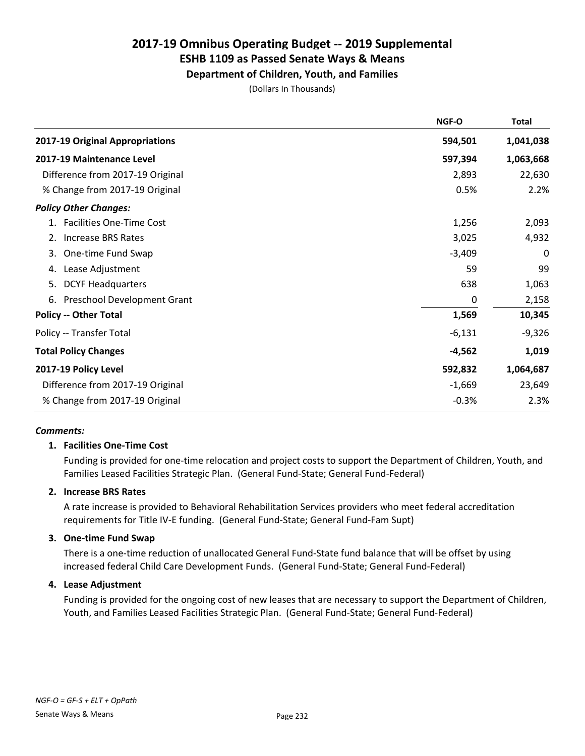# Department of Children, Youth, and Families

(Dollars In Thousands)

|                                  | NGF-O    | <b>Total</b> |
|----------------------------------|----------|--------------|
| 2017-19 Original Appropriations  | 594,501  | 1,041,038    |
| 2017-19 Maintenance Level        | 597,394  | 1,063,668    |
| Difference from 2017-19 Original | 2,893    | 22,630       |
| % Change from 2017-19 Original   | 0.5%     | 2.2%         |
| <b>Policy Other Changes:</b>     |          |              |
| 1. Facilities One-Time Cost      | 1,256    | 2,093        |
| Increase BRS Rates<br>2.         | 3,025    | 4,932        |
| One-time Fund Swap<br>3.         | $-3,409$ | 0            |
| Lease Adjustment<br>4.           | 59       | 99           |
| <b>DCYF Headquarters</b><br>5.   | 638      | 1,063        |
| 6. Preschool Development Grant   | 0        | 2,158        |
| <b>Policy -- Other Total</b>     | 1,569    | 10,345       |
| Policy -- Transfer Total         | $-6,131$ | $-9,326$     |
| <b>Total Policy Changes</b>      | $-4,562$ | 1,019        |
| 2017-19 Policy Level             | 592,832  | 1,064,687    |
| Difference from 2017-19 Original | $-1,669$ | 23,649       |
| % Change from 2017-19 Original   | $-0.3%$  | 2.3%         |

#### *Comments:*

#### 1. Facilities One-Time Cost

Funding is provided for one-time relocation and project costs to support the Department of Children, Youth, and Families Leased Facilities Strategic Plan. (General Fund-State; General Fund-Federal)

#### 2. Increase BRS Rates

A rate increase is provided to Behavioral Rehabilitation Services providers who meet federal accreditation requirements for Title IV-E funding. (General Fund-State; General Fund-Fam Supt)

#### 3. One-time Fund Swap

There is a one-time reduction of unallocated General Fund-State fund balance that will be offset by using increased federal Child Care Development Funds. (General Fund-State; General Fund-Federal)

#### 4. Lease Adjustment

Funding is provided for the ongoing cost of new leases that are necessary to support the Department of Children, Youth, and Families Leased Facilities Strategic Plan. (General Fund-State; General Fund-Federal)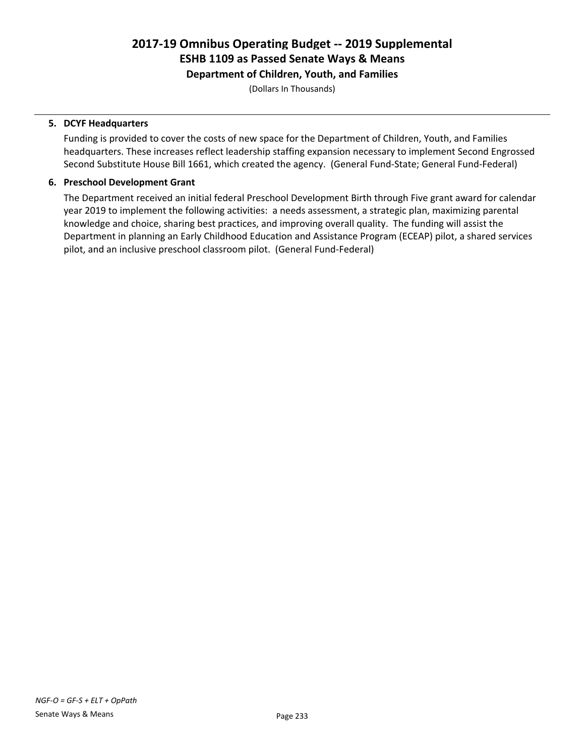Department of Children, Youth, and Families

(Dollars In Thousands)

#### 5. DCYF Headquarters

Funding is provided to cover the costs of new space for the Department of Children, Youth, and Families headquarters. These increases reflect leadership staffing expansion necessary to implement Second Engrossed Second Substitute House Bill 1661, which created the agency. (General Fund-State; General Fund-Federal)

#### 6. Preschool Development Grant

The Department received an initial federal Preschool Development Birth through Five grant award for calendar year 2019 to implement the following activities: a needs assessment, a strategic plan, maximizing parental knowledge and choice, sharing best practices, and improving overall quality. The funding will assist the Department in planning an Early Childhood Education and Assistance Program (ECEAP) pilot, a shared services pilot, and an inclusive preschool classroom pilot. (General Fund-Federal)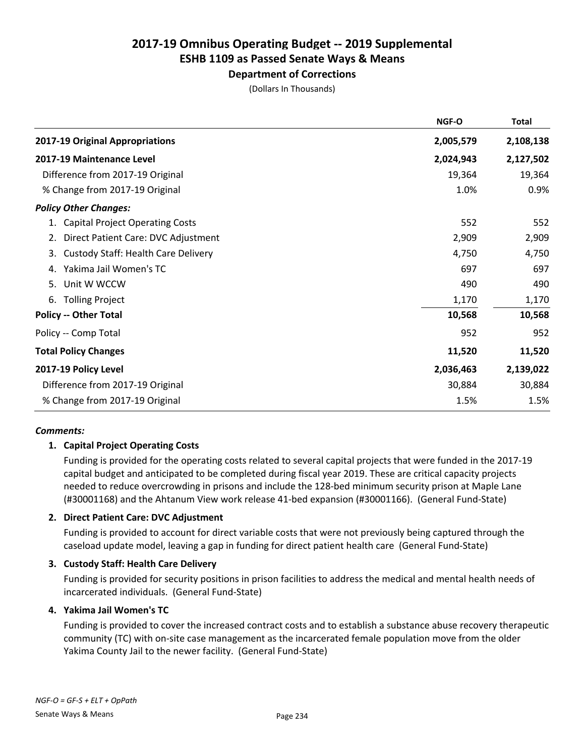#### Department of Corrections

(Dollars In Thousands)

| 2017-19 Original Appropriations<br>2,005,579<br>2,108,138<br>2,024,943<br>2,127,502<br>2017-19 Maintenance Level<br>Difference from 2017-19 Original<br>19,364<br>1.0%<br>% Change from 2017-19 Original | <b>Total</b> |
|----------------------------------------------------------------------------------------------------------------------------------------------------------------------------------------------------------|--------------|
|                                                                                                                                                                                                          |              |
|                                                                                                                                                                                                          |              |
|                                                                                                                                                                                                          | 19,364       |
|                                                                                                                                                                                                          | 0.9%         |
| <b>Policy Other Changes:</b>                                                                                                                                                                             |              |
| 552<br>1. Capital Project Operating Costs                                                                                                                                                                | 552          |
| 2,909<br>Direct Patient Care: DVC Adjustment<br>2.                                                                                                                                                       | 2,909        |
| <b>Custody Staff: Health Care Delivery</b><br>4,750<br>3.                                                                                                                                                | 4,750        |
| Yakima Jail Women's TC<br>697<br>4.                                                                                                                                                                      | 697          |
| Unit W WCCW<br>490<br>5.                                                                                                                                                                                 | 490          |
| <b>Tolling Project</b><br>1,170<br>6.                                                                                                                                                                    | 1,170        |
| <b>Policy -- Other Total</b><br>10,568                                                                                                                                                                   | 10,568       |
| Policy -- Comp Total<br>952                                                                                                                                                                              | 952          |
| <b>Total Policy Changes</b><br>11,520                                                                                                                                                                    | 11,520       |
| 2017-19 Policy Level<br>2,139,022<br>2,036,463                                                                                                                                                           |              |
| Difference from 2017-19 Original<br>30,884                                                                                                                                                               | 30,884       |
| % Change from 2017-19 Original<br>1.5%                                                                                                                                                                   | 1.5%         |

#### *Comments:*

#### 1. Capital Project Operating Costs

Funding is provided for the operating costs related to several capital projects that were funded in the 2017-19 capital budget and anticipated to be completed during fiscal year 2019. These are critical capacity projects needed to reduce overcrowding in prisons and include the 128-bed minimum security prison at Maple Lane (#30001168) and the Ahtanum View work release 41-bed expansion (#30001166). (General Fund-State)

#### 2. Direct Patient Care: DVC Adjustment

Funding is provided to account for direct variable costs that were not previously being captured through the caseload update model, leaving a gap in funding for direct patient health care (General Fund-State)

#### 3. Custody Staff: Health Care Delivery

Funding is provided for security positions in prison facilities to address the medical and mental health needs of incarcerated individuals. (General Fund-State)

#### 4. Yakima Jail Women's TC

Funding is provided to cover the increased contract costs and to establish a substance abuse recovery therapeutic community (TC) with on-site case management as the incarcerated female population move from the older Yakima County Jail to the newer facility. (General Fund-State)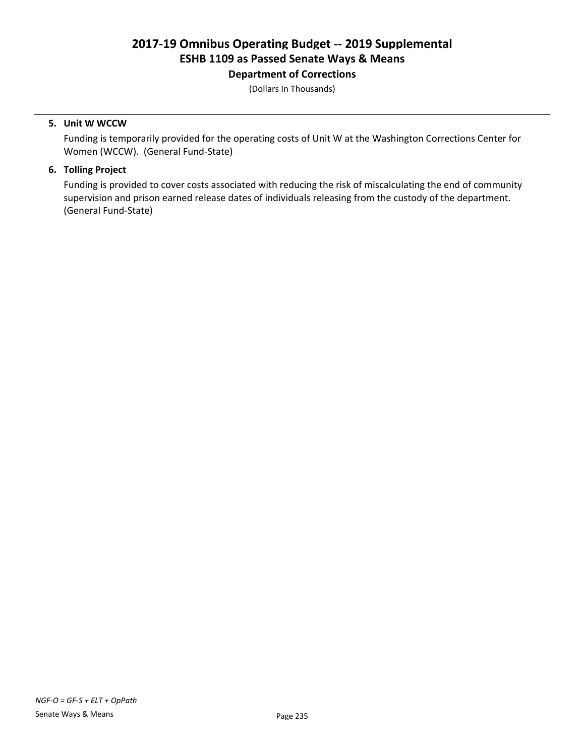Department of Corrections

(Dollars In Thousands)

#### 5. Unit W WCCW

Funding is temporarily provided for the operating costs of Unit W at the Washington Corrections Center for Women (WCCW). (General Fund-State)

#### 6. Tolling Project

Funding is provided to cover costs associated with reducing the risk of miscalculating the end of community supervision and prison earned release dates of individuals releasing from the custody of the department. (General Fund-State)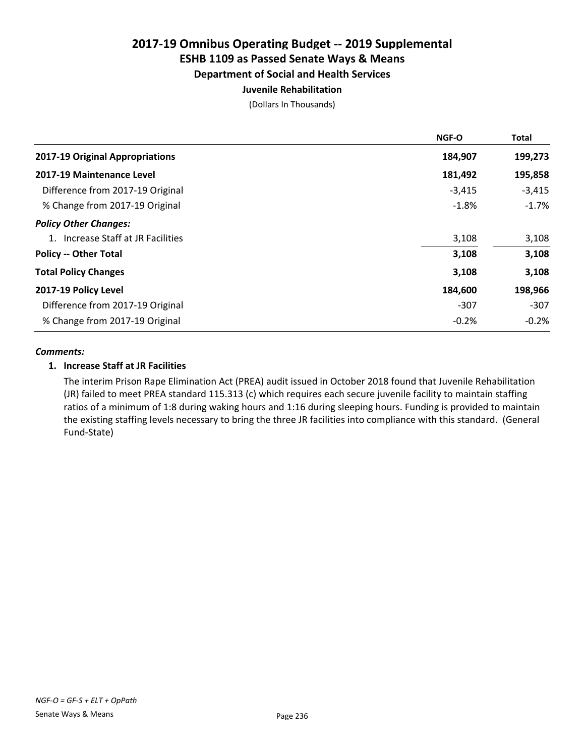#### Department of Social and Health Services

#### Juvenile Rehabilitation

(Dollars In Thousands)

|                                    | NGF-O    | <b>Total</b> |
|------------------------------------|----------|--------------|
| 2017-19 Original Appropriations    | 184,907  | 199,273      |
| 2017-19 Maintenance Level          | 181,492  | 195,858      |
| Difference from 2017-19 Original   | $-3,415$ | $-3,415$     |
| % Change from 2017-19 Original     | $-1.8%$  | $-1.7%$      |
| <b>Policy Other Changes:</b>       |          |              |
| 1. Increase Staff at JR Facilities | 3,108    | 3,108        |
| <b>Policy -- Other Total</b>       | 3,108    | 3,108        |
| <b>Total Policy Changes</b>        | 3,108    | 3,108        |
| 2017-19 Policy Level               | 184,600  | 198,966      |
| Difference from 2017-19 Original   | $-307$   | $-307$       |
| % Change from 2017-19 Original     | $-0.2%$  | $-0.2%$      |

#### *Comments:*

#### 1. Increase Staff at JR Facilities

The interim Prison Rape Elimination Act (PREA) audit issued in October 2018 found that Juvenile Rehabilitation (JR) failed to meet PREA standard 115.313 (c) which requires each secure juvenile facility to maintain staffing ratios of a minimum of 1:8 during waking hours and 1:16 during sleeping hours. Funding is provided to maintain the existing staffing levels necessary to bring the three JR facilities into compliance with this standard. (General Fund-State)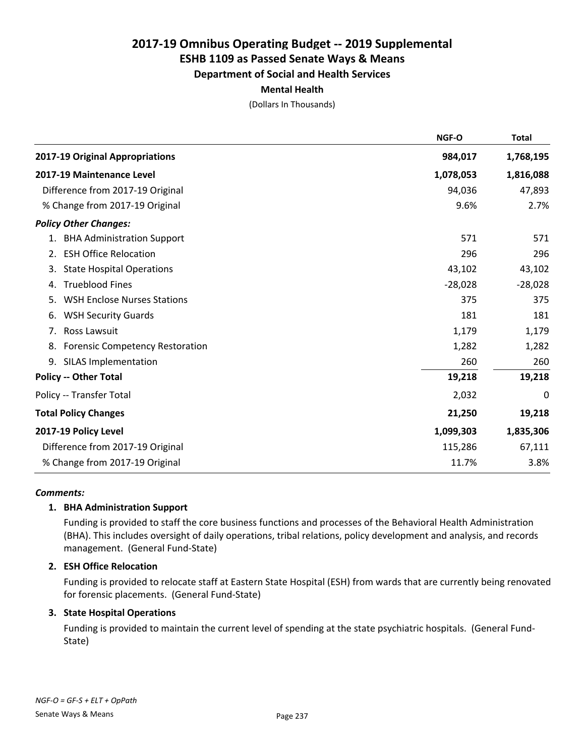#### Department of Social and Health Services

#### Mental Health

(Dollars In Thousands)

|                                              | NGF-O     | <b>Total</b> |
|----------------------------------------------|-----------|--------------|
| 2017-19 Original Appropriations              | 984,017   | 1,768,195    |
| 2017-19 Maintenance Level                    | 1,078,053 | 1,816,088    |
| Difference from 2017-19 Original             | 94,036    | 47,893       |
| % Change from 2017-19 Original               | 9.6%      | 2.7%         |
| <b>Policy Other Changes:</b>                 |           |              |
| 1. BHA Administration Support                | 571       | 571          |
| 2. ESH Office Relocation                     | 296       | 296          |
| <b>State Hospital Operations</b><br>3.       | 43,102    | 43,102       |
| <b>Trueblood Fines</b><br>4.                 | $-28,028$ | $-28,028$    |
| <b>WSH Enclose Nurses Stations</b><br>5.     | 375       | 375          |
| <b>WSH Security Guards</b><br>6.             | 181       | 181          |
| 7. Ross Lawsuit                              | 1,179     | 1,179        |
| <b>Forensic Competency Restoration</b><br>8. | 1,282     | 1,282        |
| <b>SILAS Implementation</b><br>9.            | 260       | 260          |
| <b>Policy -- Other Total</b>                 | 19,218    | 19,218       |
| Policy -- Transfer Total                     | 2,032     | 0            |
| <b>Total Policy Changes</b>                  | 21,250    | 19,218       |
| 2017-19 Policy Level                         | 1,099,303 | 1,835,306    |
| Difference from 2017-19 Original             | 115,286   | 67,111       |
| % Change from 2017-19 Original               | 11.7%     | 3.8%         |

#### *Comments:*

#### 1. BHA Administration Support

Funding is provided to staff the core business functions and processes of the Behavioral Health Administration (BHA). This includes oversight of daily operations, tribal relations, policy development and analysis, and records management. (General Fund-State)

#### 2. ESH Office Relocation

Funding is provided to relocate staff at Eastern State Hospital (ESH) from wards that are currently being renovated for forensic placements. (General Fund-State)

#### 3. State Hospital Operations

Funding is provided to maintain the current level of spending at the state psychiatric hospitals. (General Fund-State)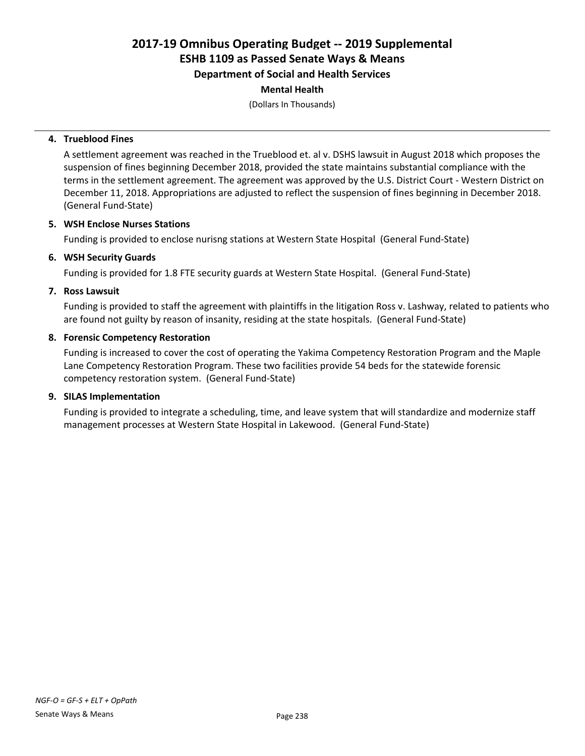Department of Social and Health Services

#### Mental Health

(Dollars In Thousands)

#### 4. Trueblood Fines

A settlement agreement was reached in the Trueblood et. al v. DSHS lawsuit in August 2018 which proposes the suspension of fines beginning December 2018, provided the state maintains substantial compliance with the terms in the settlement agreement. The agreement was approved by the U.S. District Court - Western District on December 11, 2018. Appropriations are adjusted to reflect the suspension of fines beginning in December 2018. (General Fund-State)

#### 5. WSH Enclose Nurses Stations

Funding is provided to enclose nurisng stations at Western State Hospital (General Fund-State)

#### 6. WSH Security Guards

Funding is provided for 1.8 FTE security guards at Western State Hospital. (General Fund-State)

#### 7. Ross Lawsuit

Funding is provided to staff the agreement with plaintiffs in the litigation Ross v. Lashway, related to patients who are found not guilty by reason of insanity, residing at the state hospitals. (General Fund-State)

#### 8. Forensic Competency Restoration

Funding is increased to cover the cost of operating the Yakima Competency Restoration Program and the Maple Lane Competency Restoration Program. These two facilities provide 54 beds for the statewide forensic competency restoration system. (General Fund-State)

#### 9. SILAS Implementation

Funding is provided to integrate a scheduling, time, and leave system that will standardize and modernize staff management processes at Western State Hospital in Lakewood. (General Fund-State)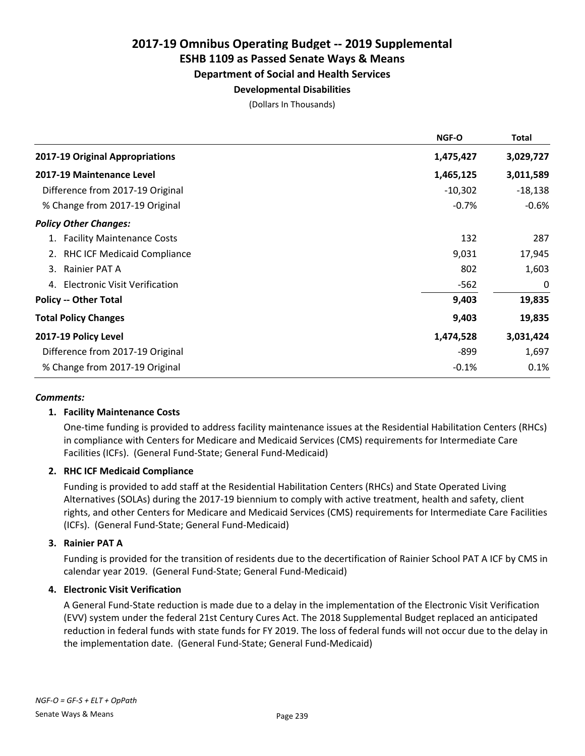# Department of Social and Health Services

# Developmental Disabilities

(Dollars In Thousands)

|                                            | <b>NGF-O</b> | Total     |
|--------------------------------------------|--------------|-----------|
| 2017-19 Original Appropriations            | 1,475,427    | 3,029,727 |
| 2017-19 Maintenance Level                  | 1,465,125    | 3,011,589 |
| Difference from 2017-19 Original           | $-10,302$    | $-18,138$ |
| % Change from 2017-19 Original             | $-0.7%$      | $-0.6%$   |
| <b>Policy Other Changes:</b>               |              |           |
| 1. Facility Maintenance Costs              | 132          | 287       |
| 2. RHC ICF Medicaid Compliance             | 9,031        | 17,945    |
| 3. Rainier PAT A                           | 802          | 1,603     |
| <b>Electronic Visit Verification</b><br>4. | $-562$       | 0         |
| <b>Policy -- Other Total</b>               | 9,403        | 19,835    |
| <b>Total Policy Changes</b>                | 9,403        | 19,835    |
| 2017-19 Policy Level                       | 1,474,528    | 3,031,424 |
| Difference from 2017-19 Original           | -899         | 1,697     |
| % Change from 2017-19 Original             | $-0.1%$      | 0.1%      |

#### *Comments:*

#### 1. Facility Maintenance Costs

One-time funding is provided to address facility maintenance issues at the Residential Habilitation Centers (RHCs) in compliance with Centers for Medicare and Medicaid Services (CMS) requirements for Intermediate Care Facilities (ICFs). (General Fund-State; General Fund-Medicaid)

#### 2. RHC ICF Medicaid Compliance

Funding is provided to add staff at the Residential Habilitation Centers (RHCs) and State Operated Living Alternatives (SOLAs) during the 2017-19 biennium to comply with active treatment, health and safety, client rights, and other Centers for Medicare and Medicaid Services (CMS) requirements for Intermediate Care Facilities (ICFs). (General Fund-State; General Fund-Medicaid)

#### 3. Rainier PAT A

Funding is provided for the transition of residents due to the decertification of Rainier School PAT A ICF by CMS in calendar year 2019. (General Fund-State; General Fund-Medicaid)

#### 4. Electronic Visit Verification

A General Fund-State reduction is made due to a delay in the implementation of the Electronic Visit Verification (EVV) system under the federal 21st Century Cures Act. The 2018 Supplemental Budget replaced an anticipated reduction in federal funds with state funds for FY 2019. The loss of federal funds will not occur due to the delay in the implementation date. (General Fund-State; General Fund-Medicaid)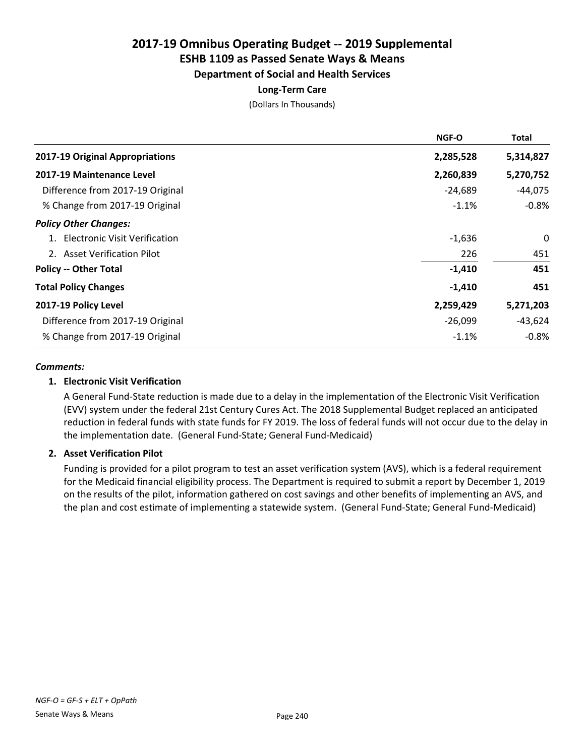Department of Social and Health Services

#### Long-Term Care

(Dollars In Thousands)

|                                  | <b>NGF-O</b> | Total     |
|----------------------------------|--------------|-----------|
| 2017-19 Original Appropriations  | 2,285,528    | 5,314,827 |
| 2017-19 Maintenance Level        | 2,260,839    | 5,270,752 |
| Difference from 2017-19 Original | $-24,689$    | $-44,075$ |
| % Change from 2017-19 Original   | $-1.1%$      | $-0.8%$   |
| <b>Policy Other Changes:</b>     |              |           |
| 1. Electronic Visit Verification | $-1,636$     | 0         |
| 2. Asset Verification Pilot      | 226          | 451       |
| <b>Policy -- Other Total</b>     | $-1,410$     | 451       |
| <b>Total Policy Changes</b>      | $-1,410$     | 451       |
| 2017-19 Policy Level             | 2,259,429    | 5,271,203 |
| Difference from 2017-19 Original | $-26,099$    | $-43,624$ |
| % Change from 2017-19 Original   | $-1.1%$      | $-0.8\%$  |

#### *Comments:*

#### 1. Electronic Visit Verification

A General Fund-State reduction is made due to a delay in the implementation of the Electronic Visit Verification (EVV) system under the federal 21st Century Cures Act. The 2018 Supplemental Budget replaced an anticipated reduction in federal funds with state funds for FY 2019. The loss of federal funds will not occur due to the delay in the implementation date. (General Fund-State; General Fund-Medicaid)

#### 2. Asset Verification Pilot

Funding is provided for a pilot program to test an asset verification system (AVS), which is a federal requirement for the Medicaid financial eligibility process. The Department is required to submit a report by December 1, 2019 on the results of the pilot, information gathered on cost savings and other benefits of implementing an AVS, and the plan and cost estimate of implementing a statewide system. (General Fund-State; General Fund-Medicaid)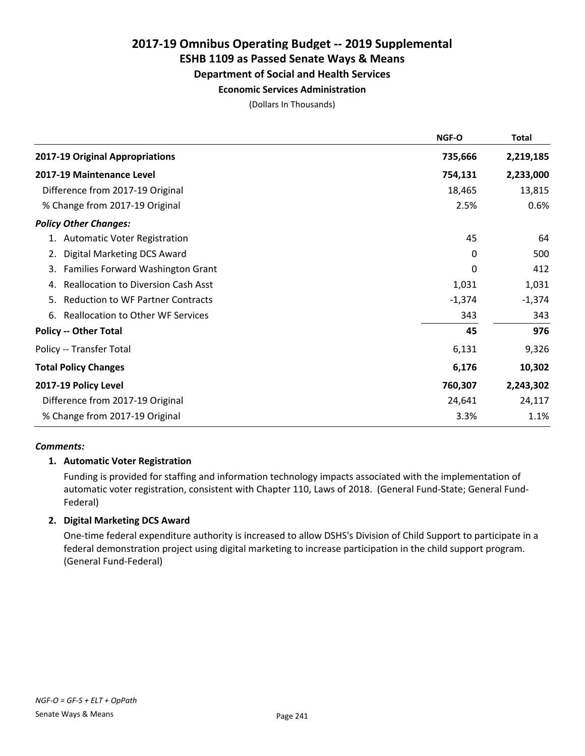# 2017-19 Omnibus Operating Budget -- 2019 Supplemental

# ESHB 1109 as Passed Senate Ways & Means

### Department of Social and Health Services

#### Economic Services Administration

(Dollars In Thousands)

|                                                  | NGF-O    | <b>Total</b> |
|--------------------------------------------------|----------|--------------|
| 2017-19 Original Appropriations                  | 735,666  | 2,219,185    |
| 2017-19 Maintenance Level                        | 754,131  | 2,233,000    |
| Difference from 2017-19 Original                 | 18,465   | 13,815       |
| % Change from 2017-19 Original                   | 2.5%     | 0.6%         |
| <b>Policy Other Changes:</b>                     |          |              |
| 1. Automatic Voter Registration                  | 45       | 64           |
| Digital Marketing DCS Award<br>2.                | 0        | 500          |
| Families Forward Washington Grant<br>3.          | $\Omega$ | 412          |
| <b>Reallocation to Diversion Cash Asst</b><br>4. | 1,031    | 1,031        |
| <b>Reduction to WF Partner Contracts</b><br>5.   | $-1,374$ | $-1,374$     |
| <b>Reallocation to Other WF Services</b><br>6.   | 343      | 343          |
| <b>Policy -- Other Total</b>                     | 45       | 976          |
| Policy -- Transfer Total                         | 6,131    | 9,326        |
| <b>Total Policy Changes</b>                      | 6,176    | 10,302       |
| 2017-19 Policy Level                             | 760,307  | 2,243,302    |
| Difference from 2017-19 Original                 | 24,641   | 24,117       |
| % Change from 2017-19 Original                   | 3.3%     | 1.1%         |

#### *Comments:*

#### 1. Automatic Voter Registration

Funding is provided for staffing and information technology impacts associated with the implementation of automatic voter registration, consistent with Chapter 110, Laws of 2018. (General Fund-State; General Fund-Federal)

### 2. Digital Marketing DCS Award

One-time federal expenditure authority is increased to allow DSHS's Division of Child Support to participate in a federal demonstration project using digital marketing to increase participation in the child support program. (General Fund-Federal)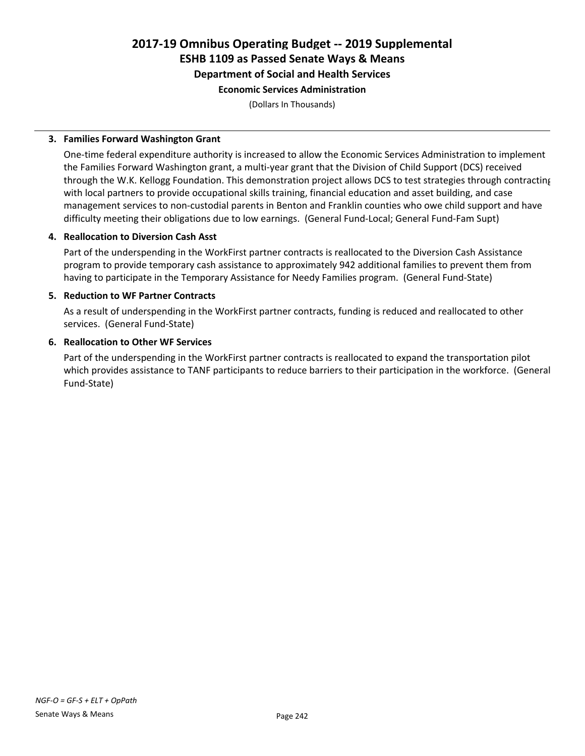Department of Social and Health Services

#### Economic Services Administration

(Dollars In Thousands)

#### 3. Families Forward Washington Grant

One-time federal expenditure authority is increased to allow the Economic Services Administration to implement the Families Forward Washington grant, a multi-year grant that the Division of Child Support (DCS) received through the W.K. Kellogg Foundation. This demonstration project allows DCS to test strategies through contracting with local partners to provide occupational skills training, financial education and asset building, and case management services to non-custodial parents in Benton and Franklin counties who owe child support and have difficulty meeting their obligations due to low earnings. (General Fund-Local; General Fund-Fam Supt)

#### 4. Reallocation to Diversion Cash Asst

Part of the underspending in the WorkFirst partner contracts is reallocated to the Diversion Cash Assistance program to provide temporary cash assistance to approximately 942 additional families to prevent them from having to participate in the Temporary Assistance for Needy Families program. (General Fund-State)

#### 5. Reduction to WF Partner Contracts

As a result of underspending in the WorkFirst partner contracts, funding is reduced and reallocated to other services. (General Fund-State)

#### 6. Reallocation to Other WF Services

Part of the underspending in the WorkFirst partner contracts is reallocated to expand the transportation pilot which provides assistance to TANF participants to reduce barriers to their participation in the workforce. (General Fund-State)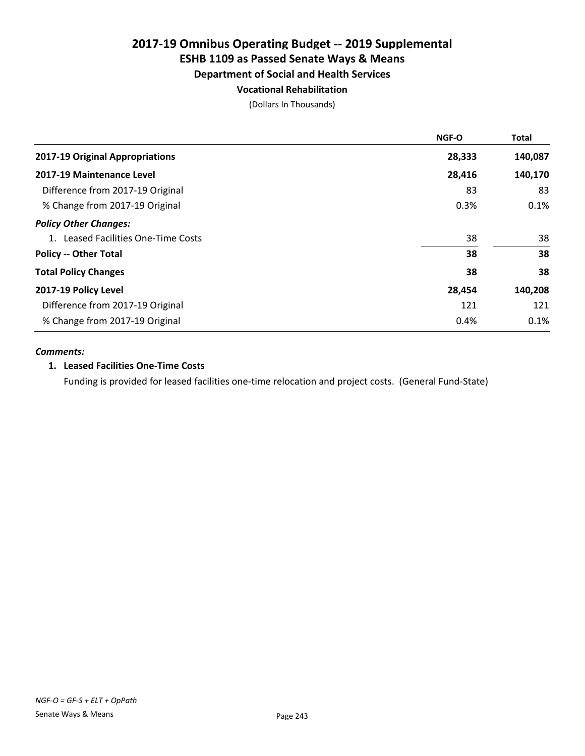#### Department of Social and Health Services

#### Vocational Rehabilitation

(Dollars In Thousands)

|                                     | <b>NGF-O</b> | <b>Total</b> |
|-------------------------------------|--------------|--------------|
| 2017-19 Original Appropriations     | 28,333       | 140,087      |
| 2017-19 Maintenance Level           | 28,416       | 140,170      |
| Difference from 2017-19 Original    | 83           | 83           |
| % Change from 2017-19 Original      | 0.3%         | 0.1%         |
| <b>Policy Other Changes:</b>        |              |              |
| 1. Leased Facilities One-Time Costs | 38           | 38           |
| <b>Policy -- Other Total</b>        | 38           | 38           |
| <b>Total Policy Changes</b>         | 38           | 38           |
| 2017-19 Policy Level                | 28,454       | 140,208      |
| Difference from 2017-19 Original    | 121          | 121          |
| % Change from 2017-19 Original      | 0.4%         | 0.1%         |

#### *Comments:*

#### 1. Leased Facilities One-Time Costs

Funding is provided for leased facilities one-time relocation and project costs. (General Fund-State)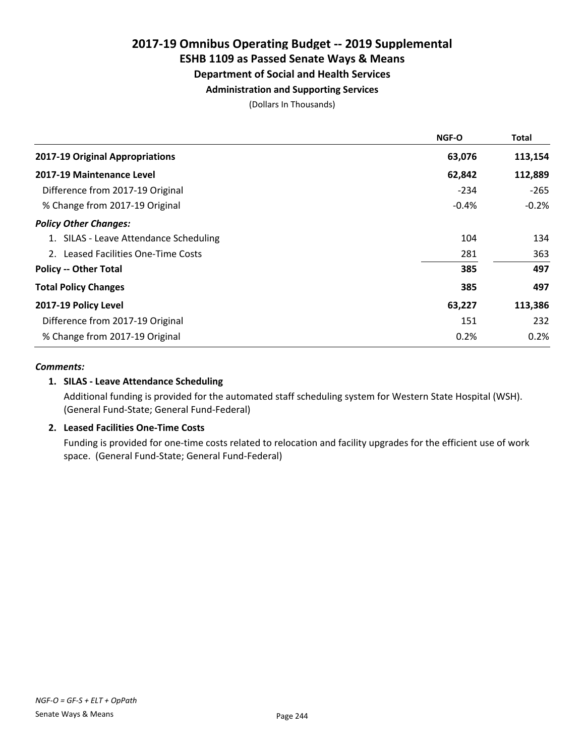# 2017-19 Omnibus Operating Budget -- 2019 Supplemental

# ESHB 1109 as Passed Senate Ways & Means

### Department of Social and Health Services

### Administration and Supporting Services

(Dollars In Thousands)

|                                        | <b>NGF-O</b> | <b>Total</b> |
|----------------------------------------|--------------|--------------|
| 2017-19 Original Appropriations        | 63,076       | 113,154      |
| 2017-19 Maintenance Level              | 62,842       | 112,889      |
| Difference from 2017-19 Original       | $-234$       | -265         |
| % Change from 2017-19 Original         | $-0.4%$      | $-0.2%$      |
| <b>Policy Other Changes:</b>           |              |              |
| 1. SILAS - Leave Attendance Scheduling | 104          | 134          |
| 2. Leased Facilities One-Time Costs    | 281          | 363          |
| <b>Policy -- Other Total</b>           | 385          | 497          |
| <b>Total Policy Changes</b>            | 385          | 497          |
| 2017-19 Policy Level                   | 63,227       | 113,386      |
| Difference from 2017-19 Original       | 151          | 232          |
| % Change from 2017-19 Original         | 0.2%         | 0.2%         |

#### *Comments:*

#### 1. SILAS - Leave Attendance Scheduling

Additional funding is provided for the automated staff scheduling system for Western State Hospital (WSH). (General Fund-State; General Fund-Federal)

#### 2. Leased Facilities One-Time Costs

Funding is provided for one-time costs related to relocation and facility upgrades for the efficient use of work space. (General Fund-State; General Fund-Federal)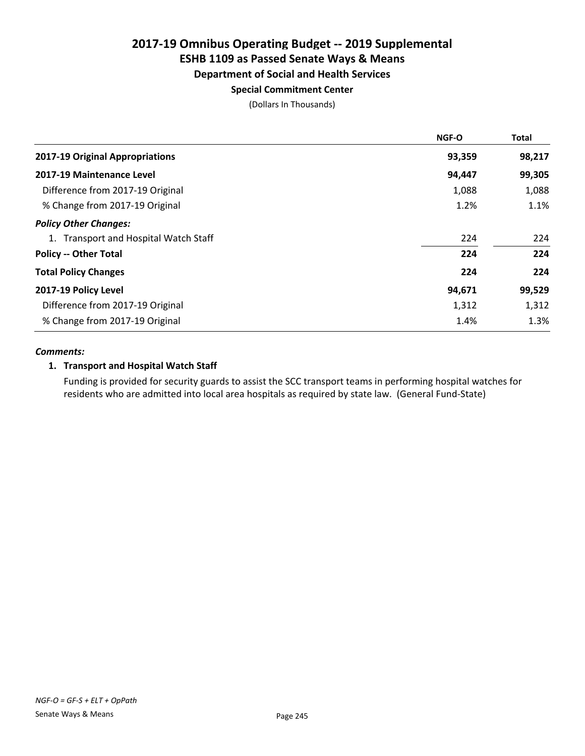### Department of Social and Health Services

#### Special Commitment Center

(Dollars In Thousands)

| NGF-O  | <b>Total</b> |
|--------|--------------|
| 93,359 | 98,217       |
| 94,447 | 99,305       |
| 1,088  | 1,088        |
| 1.2%   | 1.1%         |
|        |              |
| 224    | 224          |
| 224    | 224          |
| 224    | 224          |
| 94,671 | 99,529       |
| 1,312  | 1,312        |
| 1.4%   | 1.3%         |
|        |              |

#### *Comments:*

#### 1. Transport and Hospital Watch Staff

Funding is provided for security guards to assist the SCC transport teams in performing hospital watches for residents who are admitted into local area hospitals as required by state law. (General Fund-State)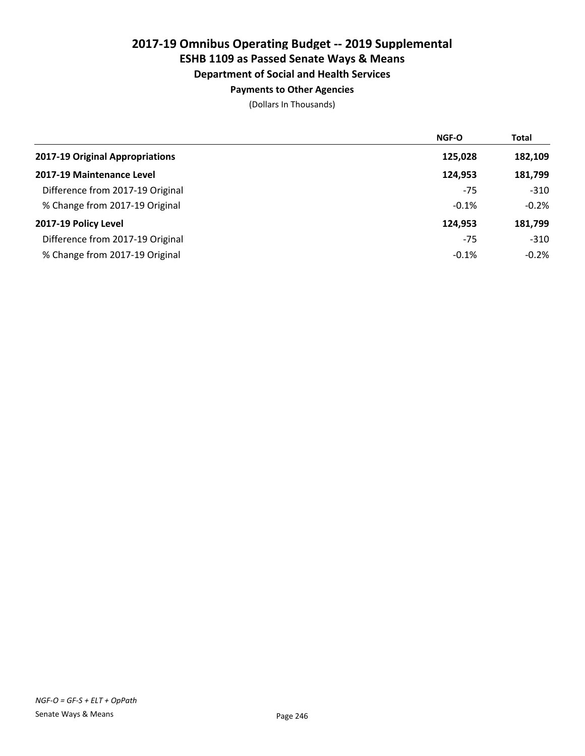# Department of Social and Health Services

### Payments to Other Agencies

|                                  | <b>NGF-O</b> | <b>Total</b> |
|----------------------------------|--------------|--------------|
| 2017-19 Original Appropriations  | 125,028      | 182,109      |
| 2017-19 Maintenance Level        | 124.953      | 181,799      |
| Difference from 2017-19 Original | $-75$        | $-310$       |
| % Change from 2017-19 Original   | $-0.1%$      | $-0.2%$      |
| 2017-19 Policy Level             | 124.953      | 181,799      |
| Difference from 2017-19 Original | $-75$        | $-310$       |
| % Change from 2017-19 Original   | $-0.1%$      | $-0.2%$      |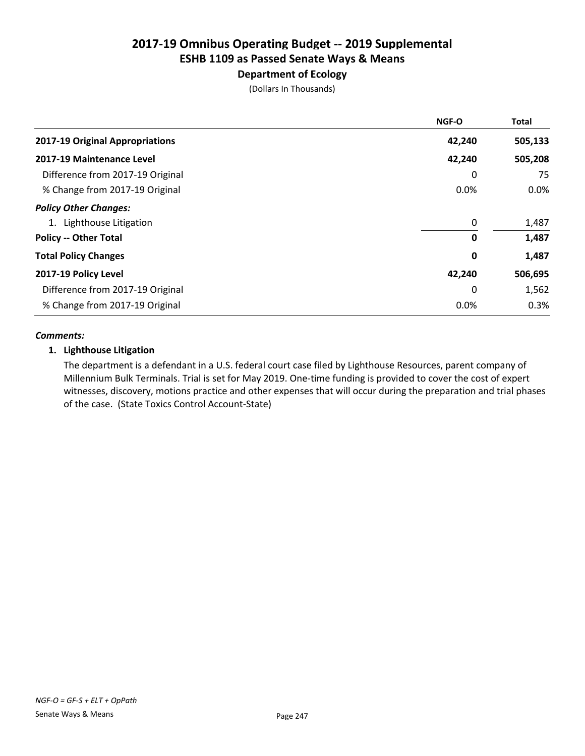### Department of Ecology

(Dollars In Thousands)

|                                  | NGF-O  | <b>Total</b> |
|----------------------------------|--------|--------------|
| 2017-19 Original Appropriations  | 42,240 | 505,133      |
| 2017-19 Maintenance Level        | 42,240 | 505,208      |
| Difference from 2017-19 Original | 0      | 75           |
| % Change from 2017-19 Original   | 0.0%   | $0.0\%$      |
| <b>Policy Other Changes:</b>     |        |              |
| 1. Lighthouse Litigation         | 0      | 1,487        |
| <b>Policy -- Other Total</b>     | 0      | 1,487        |
| <b>Total Policy Changes</b>      | 0      | 1,487        |
| 2017-19 Policy Level             | 42,240 | 506,695      |
| Difference from 2017-19 Original | 0      | 1,562        |
| % Change from 2017-19 Original   | 0.0%   | 0.3%         |

#### *Comments:*

#### 1. Lighthouse Litigation

The department is a defendant in a U.S. federal court case filed by Lighthouse Resources, parent company of Millennium Bulk Terminals. Trial is set for May 2019. One-time funding is provided to cover the cost of expert witnesses, discovery, motions practice and other expenses that will occur during the preparation and trial phases of the case. (State Toxics Control Account-State)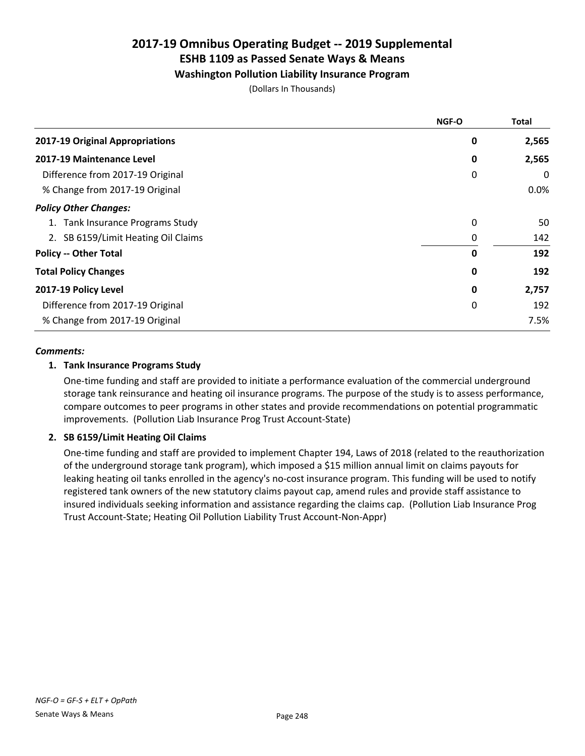#### Washington Pollution Liability Insurance Program

(Dollars In Thousands)

|                                     | NGF-O | <b>Total</b> |
|-------------------------------------|-------|--------------|
| 2017-19 Original Appropriations     | 0     | 2,565        |
| 2017-19 Maintenance Level           | 0     | 2,565        |
| Difference from 2017-19 Original    | 0     | 0            |
| % Change from 2017-19 Original      |       | 0.0%         |
| <b>Policy Other Changes:</b>        |       |              |
| 1. Tank Insurance Programs Study    | 0     | 50           |
| 2. SB 6159/Limit Heating Oil Claims | 0     | 142          |
| <b>Policy -- Other Total</b>        | O     | 192          |
| <b>Total Policy Changes</b>         | 0     | 192          |
| 2017-19 Policy Level                | 0     | 2,757        |
| Difference from 2017-19 Original    | 0     | 192          |
| % Change from 2017-19 Original      |       | 7.5%         |

#### *Comments:*

#### 1. Tank Insurance Programs Study

One-time funding and staff are provided to initiate a performance evaluation of the commercial underground storage tank reinsurance and heating oil insurance programs. The purpose of the study is to assess performance, compare outcomes to peer programs in other states and provide recommendations on potential programmatic improvements. (Pollution Liab Insurance Prog Trust Account-State)

#### 2. SB 6159/Limit Heating Oil Claims

One-time funding and staff are provided to implement Chapter 194, Laws of 2018 (related to the reauthorization of the underground storage tank program), which imposed a \$15 million annual limit on claims payouts for leaking heating oil tanks enrolled in the agency's no-cost insurance program. This funding will be used to notify registered tank owners of the new statutory claims payout cap, amend rules and provide staff assistance to insured individuals seeking information and assistance regarding the claims cap. (Pollution Liab Insurance Prog Trust Account-State; Heating Oil Pollution Liability Trust Account-Non-Appr)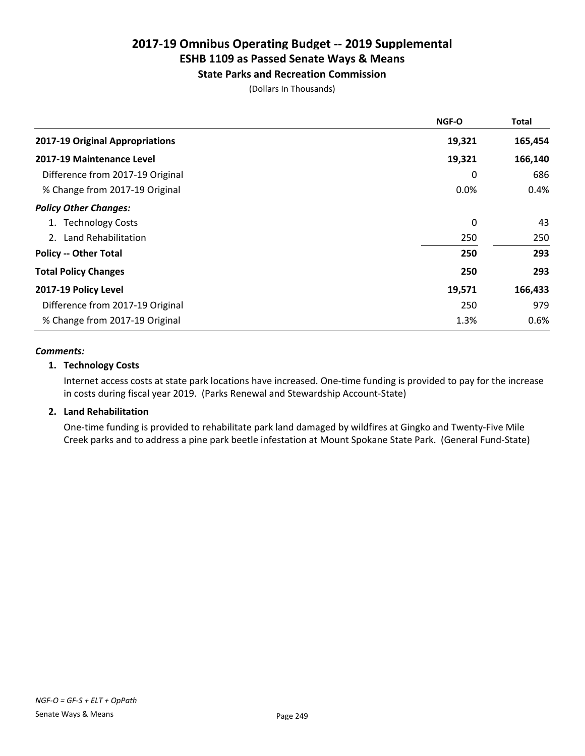# State Parks and Recreation Commission

(Dollars In Thousands)

|                                  | <b>NGF-O</b> | Total   |
|----------------------------------|--------------|---------|
| 2017-19 Original Appropriations  | 19,321       | 165,454 |
| 2017-19 Maintenance Level        | 19,321       | 166,140 |
| Difference from 2017-19 Original | 0            | 686     |
| % Change from 2017-19 Original   | 0.0%         | 0.4%    |
| <b>Policy Other Changes:</b>     |              |         |
| 1. Technology Costs              | 0            | 43      |
| 2. Land Rehabilitation           | 250          | 250     |
| <b>Policy -- Other Total</b>     | 250          | 293     |
| <b>Total Policy Changes</b>      | 250          | 293     |
| 2017-19 Policy Level             | 19,571       | 166,433 |
| Difference from 2017-19 Original | 250          | 979     |
| % Change from 2017-19 Original   | 1.3%         | 0.6%    |

#### *Comments:*

#### 1. Technology Costs

Internet access costs at state park locations have increased. One-time funding is provided to pay for the increase in costs during fiscal year 2019. (Parks Renewal and Stewardship Account-State)

#### 2. Land Rehabilitation

One-time funding is provided to rehabilitate park land damaged by wildfires at Gingko and Twenty-Five Mile Creek parks and to address a pine park beetle infestation at Mount Spokane State Park. (General Fund-State)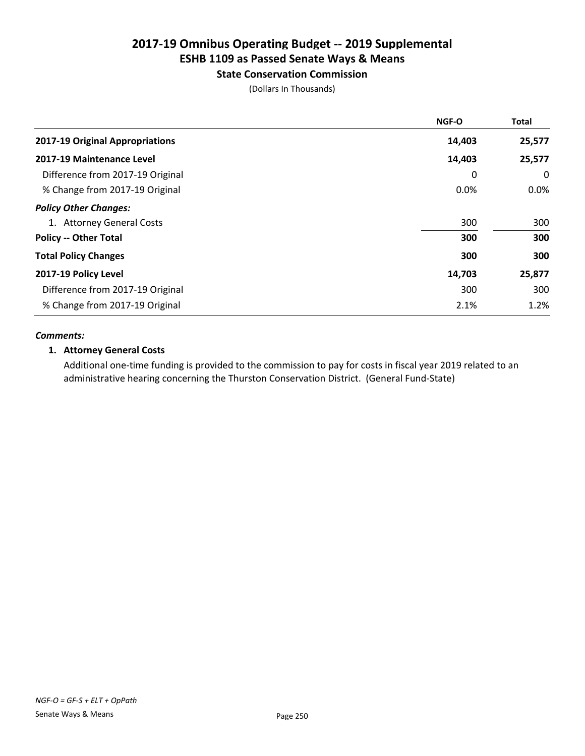#### State Conservation Commission

(Dollars In Thousands)

|                                  | NGF-O  | <b>Total</b> |
|----------------------------------|--------|--------------|
| 2017-19 Original Appropriations  | 14,403 | 25,577       |
| 2017-19 Maintenance Level        | 14,403 | 25,577       |
| Difference from 2017-19 Original | 0      | 0            |
| % Change from 2017-19 Original   | 0.0%   | $0.0\%$      |
| <b>Policy Other Changes:</b>     |        |              |
| 1. Attorney General Costs        | 300    | 300          |
| <b>Policy -- Other Total</b>     | 300    | 300          |
| <b>Total Policy Changes</b>      | 300    | 300          |
| 2017-19 Policy Level             | 14,703 | 25,877       |
| Difference from 2017-19 Original | 300    | 300          |
| % Change from 2017-19 Original   | 2.1%   | 1.2%         |

#### *Comments:*

#### 1. Attorney General Costs

Additional one-time funding is provided to the commission to pay for costs in fiscal year 2019 related to an administrative hearing concerning the Thurston Conservation District. (General Fund-State)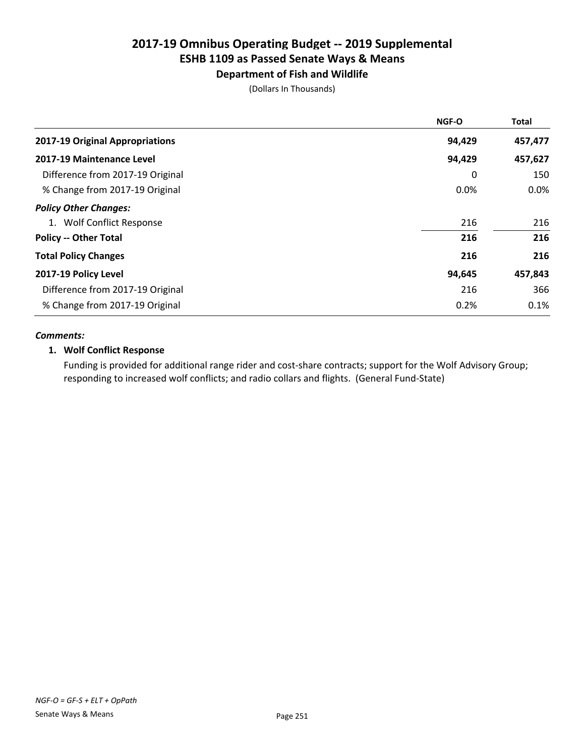#### Department of Fish and Wildlife

(Dollars In Thousands)

|                                  | NGF-O  | <b>Total</b> |
|----------------------------------|--------|--------------|
| 2017-19 Original Appropriations  | 94,429 | 457,477      |
| 2017-19 Maintenance Level        | 94,429 | 457,627      |
| Difference from 2017-19 Original | 0      | 150          |
| % Change from 2017-19 Original   | 0.0%   | $0.0\%$      |
| <b>Policy Other Changes:</b>     |        |              |
| 1. Wolf Conflict Response        | 216    | 216          |
| <b>Policy -- Other Total</b>     | 216    | 216          |
| <b>Total Policy Changes</b>      | 216    | 216          |
| 2017-19 Policy Level             | 94,645 | 457,843      |
| Difference from 2017-19 Original | 216    | 366          |
| % Change from 2017-19 Original   | 0.2%   | 0.1%         |

#### *Comments:*

#### 1. Wolf Conflict Response

Funding is provided for additional range rider and cost-share contracts; support for the Wolf Advisory Group; responding to increased wolf conflicts; and radio collars and flights. (General Fund-State)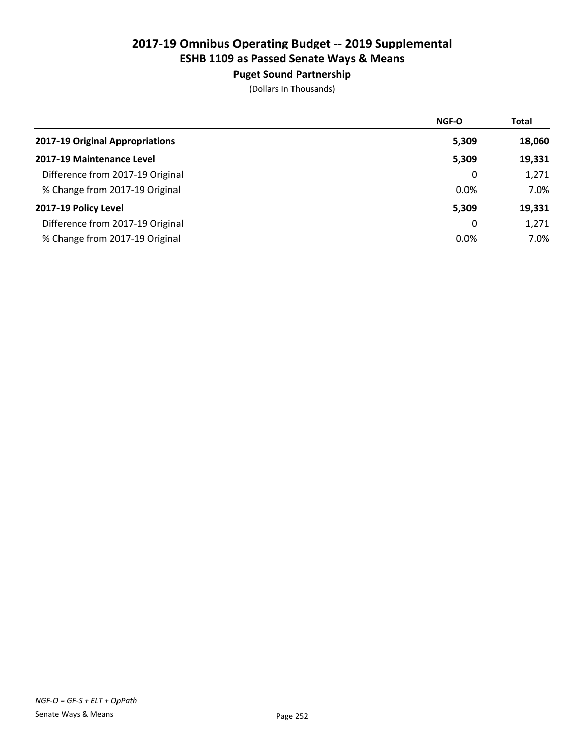## Puget Sound Partnership

|                                  | NGF-O | <b>Total</b> |
|----------------------------------|-------|--------------|
| 2017-19 Original Appropriations  | 5,309 | 18,060       |
| 2017-19 Maintenance Level        | 5,309 | 19,331       |
| Difference from 2017-19 Original | 0     | 1,271        |
| % Change from 2017-19 Original   | 0.0%  | 7.0%         |
| 2017-19 Policy Level             | 5,309 | 19,331       |
| Difference from 2017-19 Original | 0     | 1,271        |
| % Change from 2017-19 Original   | 0.0%  | 7.0%         |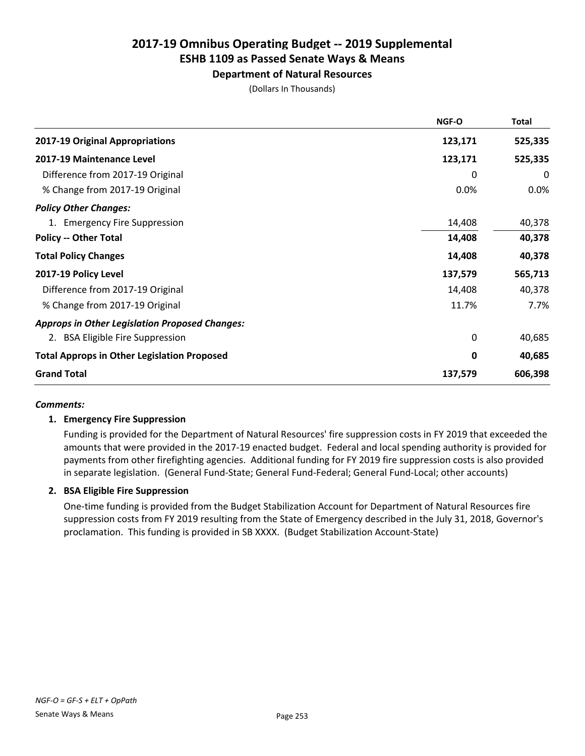## Department of Natural Resources

(Dollars In Thousands)

|                                                       | NGF-O    | <b>Total</b> |
|-------------------------------------------------------|----------|--------------|
| 2017-19 Original Appropriations                       | 123,171  | 525,335      |
| 2017-19 Maintenance Level                             | 123,171  | 525,335      |
| Difference from 2017-19 Original                      | 0        | 0            |
| % Change from 2017-19 Original                        | 0.0%     | 0.0%         |
| <b>Policy Other Changes:</b>                          |          |              |
| 1. Emergency Fire Suppression                         | 14,408   | 40,378       |
| <b>Policy -- Other Total</b>                          | 14,408   | 40,378       |
| <b>Total Policy Changes</b>                           | 14,408   | 40,378       |
| 2017-19 Policy Level                                  | 137,579  | 565,713      |
| Difference from 2017-19 Original                      | 14,408   | 40,378       |
| % Change from 2017-19 Original                        | 11.7%    | 7.7%         |
| <b>Approps in Other Legislation Proposed Changes:</b> |          |              |
| 2. BSA Eligible Fire Suppression                      | $\Omega$ | 40,685       |
| <b>Total Approps in Other Legislation Proposed</b>    | 0        | 40,685       |
| <b>Grand Total</b>                                    | 137,579  | 606,398      |

#### *Comments:*

## 1. Emergency Fire Suppression

Funding is provided for the Department of Natural Resources' fire suppression costs in FY 2019 that exceeded the amounts that were provided in the 2017-19 enacted budget. Federal and local spending authority is provided for payments from other firefighting agencies. Additional funding for FY 2019 fire suppression costs is also provided in separate legislation. (General Fund-State; General Fund-Federal; General Fund-Local; other accounts)

## 2. BSA Eligible Fire Suppression

One-time funding is provided from the Budget Stabilization Account for Department of Natural Resources fire suppression costs from FY 2019 resulting from the State of Emergency described in the July 31, 2018, Governor's proclamation. This funding is provided in SB XXXX. (Budget Stabilization Account-State)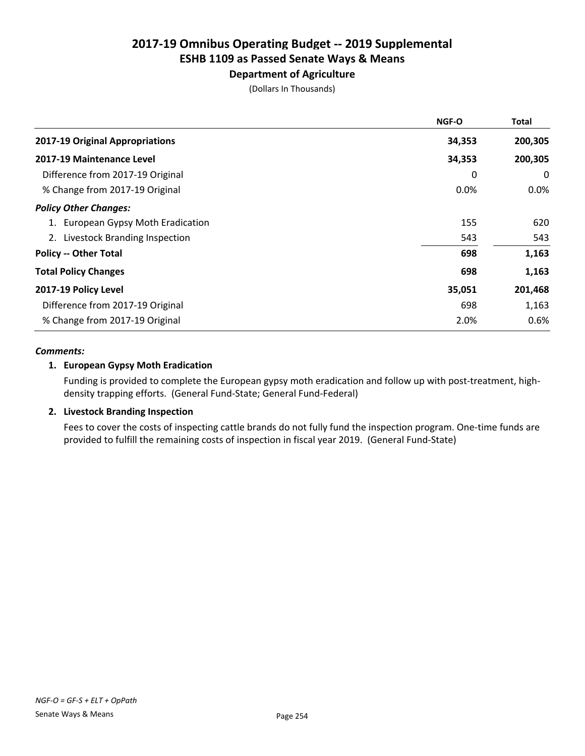# Department of Agriculture

(Dollars In Thousands)

|                                    | <b>NGF-O</b> | Total   |
|------------------------------------|--------------|---------|
| 2017-19 Original Appropriations    | 34,353       | 200,305 |
| 2017-19 Maintenance Level          | 34,353       | 200,305 |
| Difference from 2017-19 Original   | 0            | 0       |
| % Change from 2017-19 Original     | $0.0\%$      | $0.0\%$ |
| <b>Policy Other Changes:</b>       |              |         |
| 1. European Gypsy Moth Eradication | 155          | 620     |
| 2. Livestock Branding Inspection   | 543          | 543     |
| <b>Policy -- Other Total</b>       | 698          | 1,163   |
| <b>Total Policy Changes</b>        | 698          | 1,163   |
| 2017-19 Policy Level               | 35,051       | 201,468 |
| Difference from 2017-19 Original   | 698          | 1,163   |
| % Change from 2017-19 Original     | 2.0%         | 0.6%    |

#### *Comments:*

## 1. European Gypsy Moth Eradication

Funding is provided to complete the European gypsy moth eradication and follow up with post-treatment, highdensity trapping efforts. (General Fund-State; General Fund-Federal)

## 2. Livestock Branding Inspection

Fees to cover the costs of inspecting cattle brands do not fully fund the inspection program. One-time funds are provided to fulfill the remaining costs of inspection in fiscal year 2019. (General Fund-State)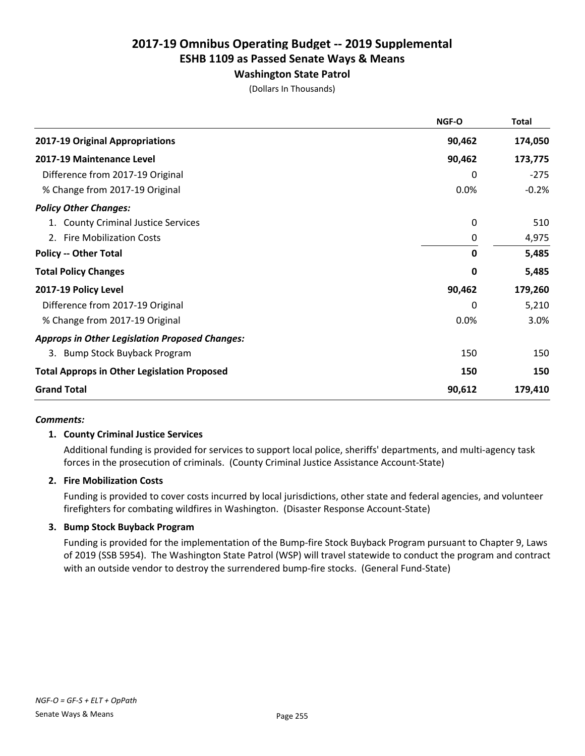# Washington State Patrol

(Dollars In Thousands)

|                                                       | NGF-O        | <b>Total</b> |
|-------------------------------------------------------|--------------|--------------|
| 2017-19 Original Appropriations                       | 90,462       | 174,050      |
| 2017-19 Maintenance Level                             | 90,462       | 173,775      |
| Difference from 2017-19 Original                      | 0            | $-275$       |
| % Change from 2017-19 Original                        | 0.0%         | $-0.2%$      |
| <b>Policy Other Changes:</b>                          |              |              |
| 1. County Criminal Justice Services                   | 0            | 510          |
| 2. Fire Mobilization Costs                            | $\mathbf 0$  | 4,975        |
| <b>Policy -- Other Total</b>                          | $\mathbf{0}$ | 5,485        |
| <b>Total Policy Changes</b>                           | 0            | 5,485        |
| 2017-19 Policy Level                                  | 90,462       | 179,260      |
| Difference from 2017-19 Original                      | 0            | 5,210        |
| % Change from 2017-19 Original                        | 0.0%         | 3.0%         |
| <b>Approps in Other Legislation Proposed Changes:</b> |              |              |
| 3. Bump Stock Buyback Program                         | 150          | 150          |
| <b>Total Approps in Other Legislation Proposed</b>    | 150          | 150          |
| <b>Grand Total</b>                                    | 90,612       | 179,410      |

#### *Comments:*

## 1. County Criminal Justice Services

Additional funding is provided for services to support local police, sheriffs' departments, and multi-agency task forces in the prosecution of criminals. (County Criminal Justice Assistance Account-State)

## 2. Fire Mobilization Costs

Funding is provided to cover costs incurred by local jurisdictions, other state and federal agencies, and volunteer firefighters for combating wildfires in Washington. (Disaster Response Account-State)

#### 3. Bump Stock Buyback Program

Funding is provided for the implementation of the Bump-fire Stock Buyback Program pursuant to Chapter 9, Laws of 2019 (SSB 5954). The Washington State Patrol (WSP) will travel statewide to conduct the program and contract with an outside vendor to destroy the surrendered bump-fire stocks. (General Fund-State)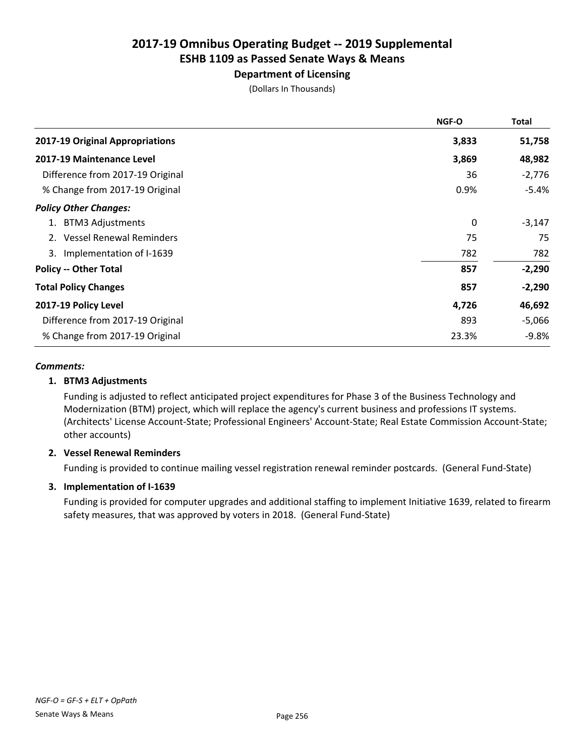## Department of Licensing

(Dollars In Thousands)

|                                  | <b>NGF-O</b> | Total    |
|----------------------------------|--------------|----------|
| 2017-19 Original Appropriations  | 3,833        | 51,758   |
| 2017-19 Maintenance Level        | 3,869        | 48,982   |
| Difference from 2017-19 Original | 36           | $-2,776$ |
| % Change from 2017-19 Original   | 0.9%         | $-5.4%$  |
| <b>Policy Other Changes:</b>     |              |          |
| <b>BTM3 Adjustments</b><br>1.    | 0            | $-3,147$ |
| <b>Vessel Renewal Reminders</b>  | 75           | 75       |
| 3. Implementation of I-1639      | 782          | 782      |
| <b>Policy -- Other Total</b>     | 857          | $-2,290$ |
| <b>Total Policy Changes</b>      | 857          | $-2,290$ |
| 2017-19 Policy Level             | 4,726        | 46,692   |
| Difference from 2017-19 Original | 893          | $-5,066$ |
| % Change from 2017-19 Original   | 23.3%        | -9.8%    |

#### *Comments:*

## 1. BTM3 Adjustments

Funding is adjusted to reflect anticipated project expenditures for Phase 3 of the Business Technology and Modernization (BTM) project, which will replace the agency's current business and professions IT systems. (Architects' License Account-State; Professional Engineers' Account-State; Real Estate Commission Account-State; other accounts)

## 2. Vessel Renewal Reminders

Funding is provided to continue mailing vessel registration renewal reminder postcards. (General Fund-State)

## 3. Implementation of I-1639

Funding is provided for computer upgrades and additional staffing to implement Initiative 1639, related to firearm safety measures, that was approved by voters in 2018. (General Fund-State)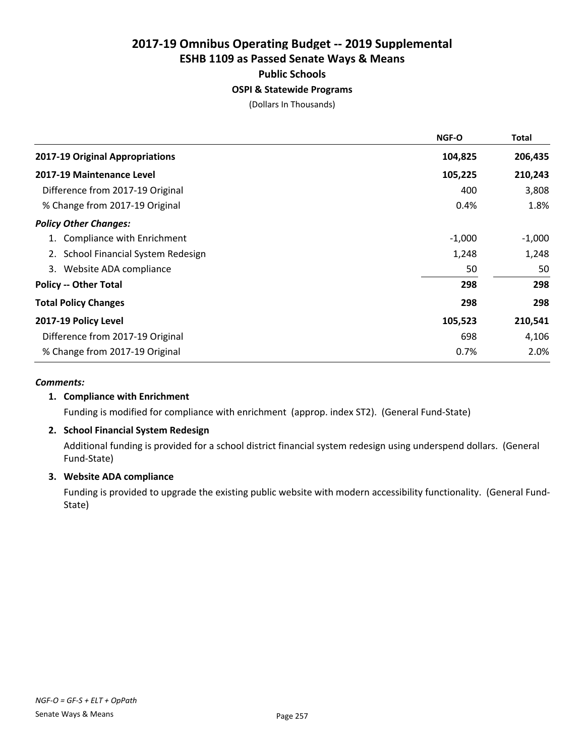## OSPI & Statewide Programs

(Dollars In Thousands)

|                                         | NGF-O    | <b>Total</b> |
|-----------------------------------------|----------|--------------|
| 2017-19 Original Appropriations         | 104,825  | 206,435      |
| 2017-19 Maintenance Level               | 105,225  | 210,243      |
| Difference from 2017-19 Original        | 400      | 3,808        |
| % Change from 2017-19 Original          | 0.4%     | 1.8%         |
| <b>Policy Other Changes:</b>            |          |              |
| Compliance with Enrichment              | $-1,000$ | $-1,000$     |
| <b>School Financial System Redesign</b> | 1,248    | 1,248        |
| Website ADA compliance<br>3.            | 50       | 50           |
| <b>Policy -- Other Total</b>            | 298      | 298          |
| <b>Total Policy Changes</b>             | 298      | 298          |
| 2017-19 Policy Level                    | 105,523  | 210,541      |
| Difference from 2017-19 Original        | 698      | 4,106        |
| % Change from 2017-19 Original          | 0.7%     | 2.0%         |

#### *Comments:*

## 1. Compliance with Enrichment

Funding is modified for compliance with enrichment (approp. index ST2). (General Fund-State)

## 2. School Financial System Redesign

Additional funding is provided for a school district financial system redesign using underspend dollars. (General Fund-State)

## 3. Website ADA compliance

Funding is provided to upgrade the existing public website with modern accessibility functionality. (General Fund-State)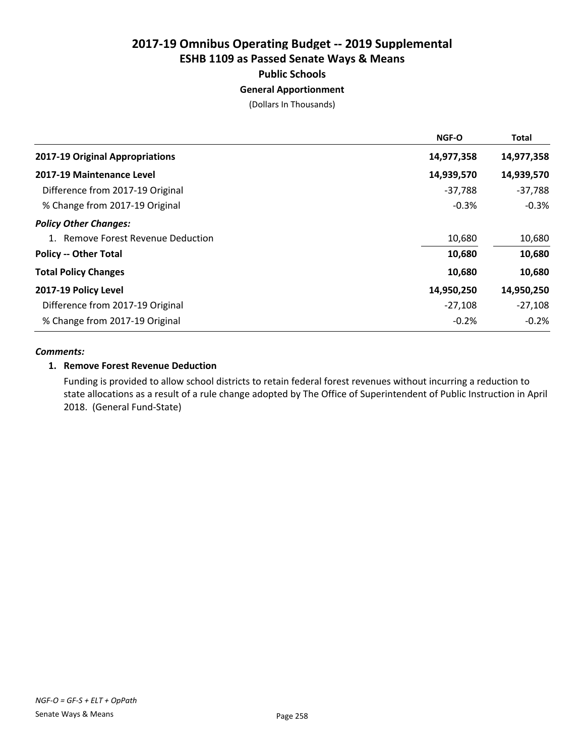## General Apportionment

(Dollars In Thousands)

| <b>NGF-O</b> | <b>Total</b> |
|--------------|--------------|
| 14,977,358   | 14,977,358   |
| 14,939,570   | 14,939,570   |
| $-37,788$    | $-37,788$    |
| $-0.3%$      | $-0.3%$      |
|              |              |
| 10,680       | 10,680       |
| 10,680       | 10,680       |
| 10,680       | 10,680       |
| 14,950,250   | 14,950,250   |
| $-27,108$    | $-27,108$    |
| $-0.2%$      | $-0.2%$      |
|              |              |

#### *Comments:*

#### 1. Remove Forest Revenue Deduction

Funding is provided to allow school districts to retain federal forest revenues without incurring a reduction to state allocations as a result of a rule change adopted by The Office of Superintendent of Public Instruction in April 2018. (General Fund-State)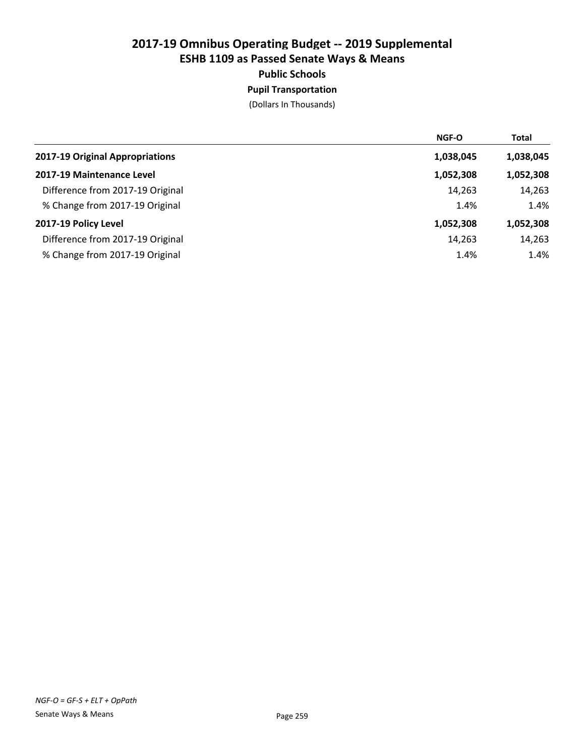## Pupil Transportation

|                                  | <b>NGF-O</b> | <b>Total</b> |
|----------------------------------|--------------|--------------|
| 2017-19 Original Appropriations  | 1,038,045    | 1,038,045    |
| 2017-19 Maintenance Level        | 1,052,308    | 1,052,308    |
| Difference from 2017-19 Original | 14,263       | 14,263       |
| % Change from 2017-19 Original   | 1.4%         | 1.4%         |
| 2017-19 Policy Level             | 1,052,308    | 1,052,308    |
| Difference from 2017-19 Original | 14,263       | 14,263       |
| % Change from 2017-19 Original   | 1.4%         | 1.4%         |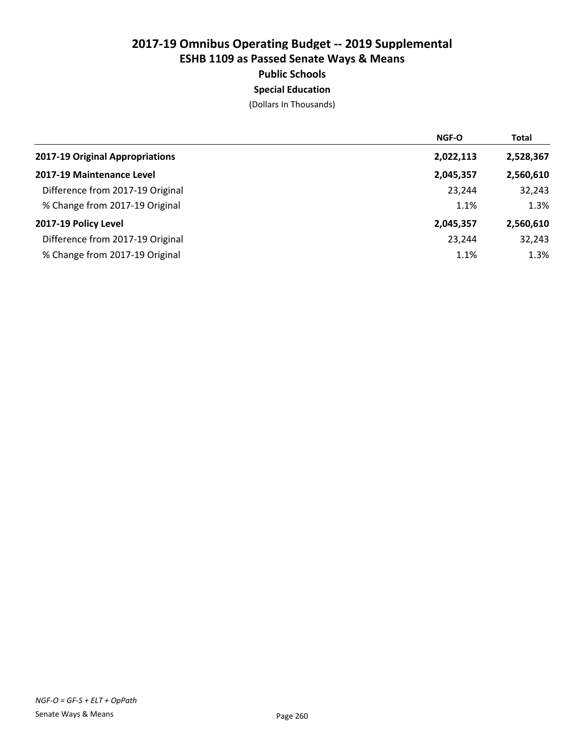Special Education

| <b>NGF-O</b> | <b>Total</b> |
|--------------|--------------|
| 2,022,113    | 2,528,367    |
| 2,045,357    | 2,560,610    |
| 23,244       | 32,243       |
| 1.1%         | 1.3%         |
| 2,045,357    | 2,560,610    |
| 23,244       | 32,243       |
| 1.1%         | 1.3%         |
|              |              |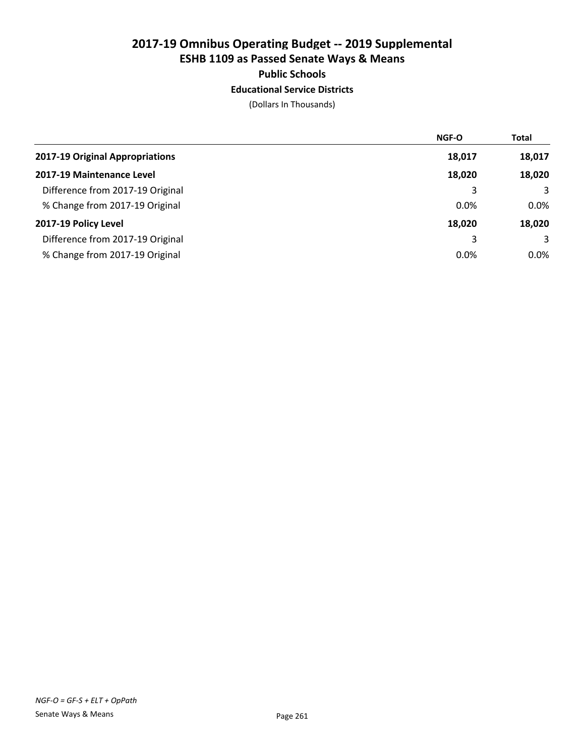## Educational Service Districts

|                                  | <b>NGF-O</b> | <b>Total</b> |
|----------------------------------|--------------|--------------|
| 2017-19 Original Appropriations  | 18,017       | 18,017       |
| 2017-19 Maintenance Level        | 18,020       | 18,020       |
| Difference from 2017-19 Original | 3            | 3            |
| % Change from 2017-19 Original   | 0.0%         | $0.0\%$      |
| 2017-19 Policy Level             | 18,020       | 18,020       |
| Difference from 2017-19 Original | 3            | 3            |
| % Change from 2017-19 Original   | 0.0%         | $0.0\%$      |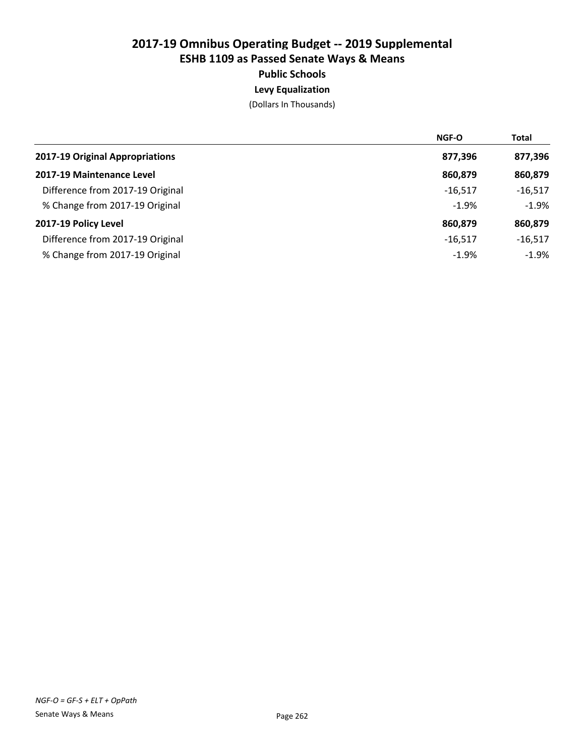# Levy Equalization

|                                  | <b>NGF-O</b> | <b>Total</b> |
|----------------------------------|--------------|--------------|
| 2017-19 Original Appropriations  | 877,396      | 877,396      |
| 2017-19 Maintenance Level        | 860,879      | 860,879      |
| Difference from 2017-19 Original | $-16.517$    | $-16,517$    |
| % Change from 2017-19 Original   | $-1.9%$      | $-1.9%$      |
| 2017-19 Policy Level             | 860,879      | 860,879      |
| Difference from 2017-19 Original | $-16.517$    | $-16,517$    |
| % Change from 2017-19 Original   | $-1.9%$      | $-1.9%$      |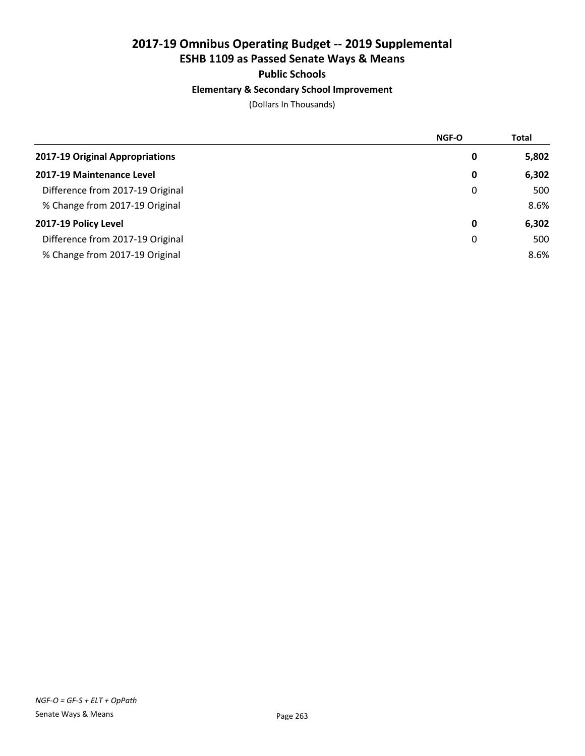# Public Schools

## Elementary & Secondary School Improvement

|                                  | <b>NGF-O</b> | <b>Total</b> |
|----------------------------------|--------------|--------------|
| 2017-19 Original Appropriations  | 0            | 5,802        |
| 2017-19 Maintenance Level        | 0            | 6,302        |
| Difference from 2017-19 Original | 0            | 500          |
| % Change from 2017-19 Original   |              | 8.6%         |
| 2017-19 Policy Level             | 0            | 6,302        |
| Difference from 2017-19 Original | 0            | 500          |
| % Change from 2017-19 Original   |              | 8.6%         |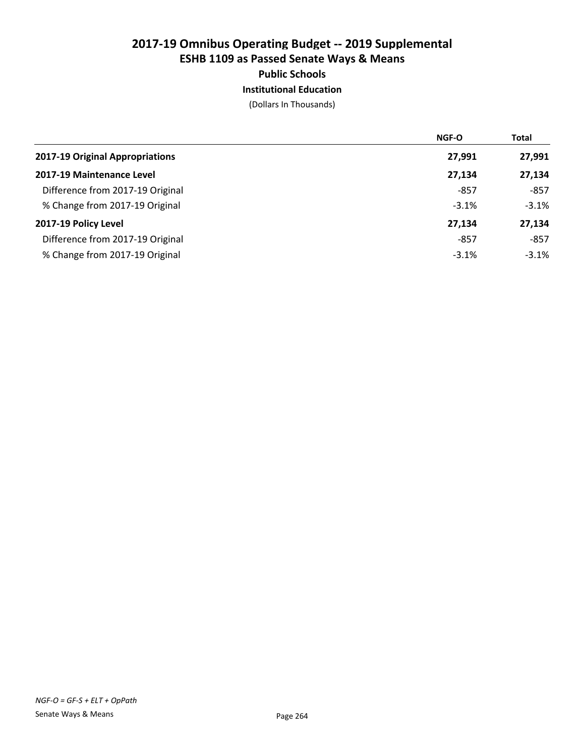## Institutional Education

|                                  | <b>NGF-O</b> | <b>Total</b> |
|----------------------------------|--------------|--------------|
| 2017-19 Original Appropriations  | 27,991       | 27,991       |
| 2017-19 Maintenance Level        | 27,134       | 27,134       |
| Difference from 2017-19 Original | -857         | $-857$       |
| % Change from 2017-19 Original   | $-3.1%$      | $-3.1%$      |
| 2017-19 Policy Level             | 27,134       | 27,134       |
| Difference from 2017-19 Original | -857         | $-857$       |
| % Change from 2017-19 Original   | $-3.1%$      | $-3.1%$      |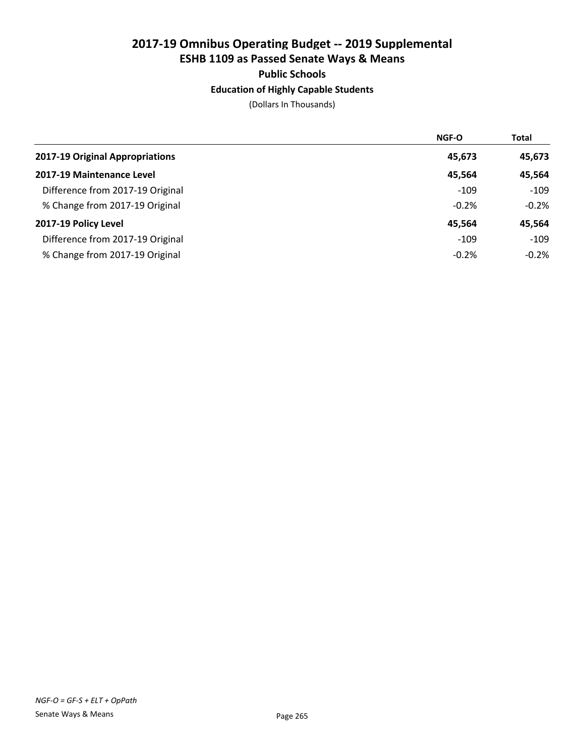## Education of Highly Capable Students

|                                  | <b>NGF-O</b> | <b>Total</b> |
|----------------------------------|--------------|--------------|
| 2017-19 Original Appropriations  | 45,673       | 45,673       |
| 2017-19 Maintenance Level        | 45.564       | 45,564       |
| Difference from 2017-19 Original | $-109$       | $-109$       |
| % Change from 2017-19 Original   | $-0.2%$      | $-0.2%$      |
| 2017-19 Policy Level             | 45.564       | 45,564       |
| Difference from 2017-19 Original | $-109$       | $-109$       |
| % Change from 2017-19 Original   | $-0.2%$      | $-0.2%$      |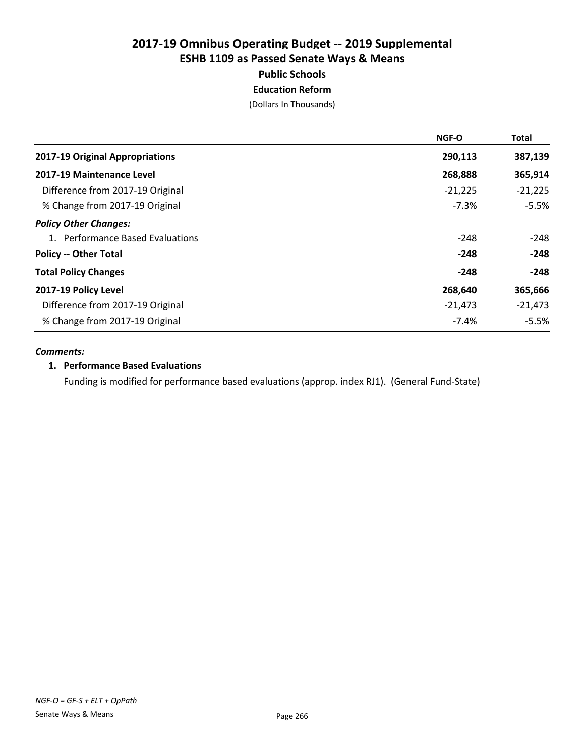Education Reform

(Dollars In Thousands)

|                                  | NGF-O     | <b>Total</b> |
|----------------------------------|-----------|--------------|
| 2017-19 Original Appropriations  | 290,113   | 387,139      |
| 2017-19 Maintenance Level        | 268,888   | 365,914      |
| Difference from 2017-19 Original | $-21,225$ | $-21,225$    |
| % Change from 2017-19 Original   | $-7.3%$   | $-5.5%$      |
| <b>Policy Other Changes:</b>     |           |              |
| 1. Performance Based Evaluations | $-248$    | $-248$       |
| <b>Policy -- Other Total</b>     | $-248$    | $-248$       |
| <b>Total Policy Changes</b>      | $-248$    | $-248$       |
| 2017-19 Policy Level             | 268,640   | 365,666      |
| Difference from 2017-19 Original | $-21,473$ | $-21,473$    |
| % Change from 2017-19 Original   | $-7.4%$   | $-5.5%$      |

## *Comments:*

#### 1. Performance Based Evaluations

Funding is modified for performance based evaluations (approp. index RJ1). (General Fund-State)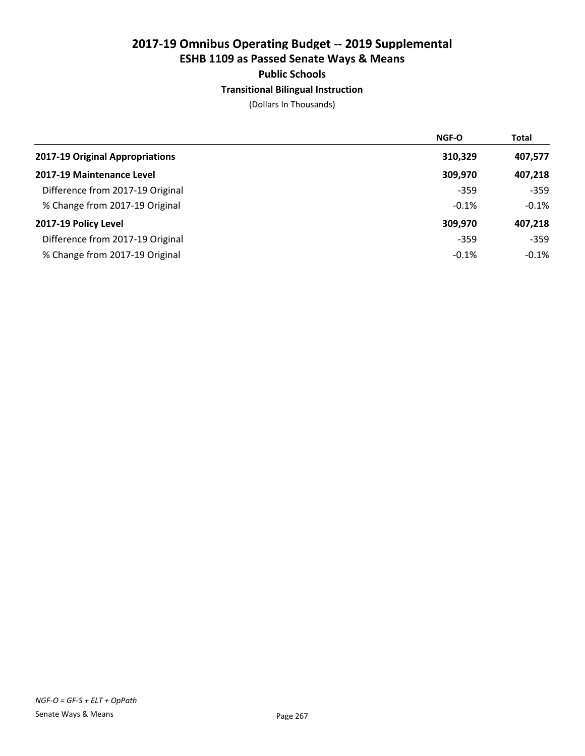## Transitional Bilingual Instruction

|                                  | <b>NGF-O</b> | <b>Total</b> |
|----------------------------------|--------------|--------------|
| 2017-19 Original Appropriations  | 310,329      | 407,577      |
| 2017-19 Maintenance Level        | 309,970      | 407,218      |
| Difference from 2017-19 Original | $-359$       | $-359$       |
| % Change from 2017-19 Original   | $-0.1%$      | $-0.1%$      |
| 2017-19 Policy Level             | 309,970      | 407,218      |
| Difference from 2017-19 Original | $-359$       | $-359$       |
| % Change from 2017-19 Original   | $-0.1%$      | $-0.1%$      |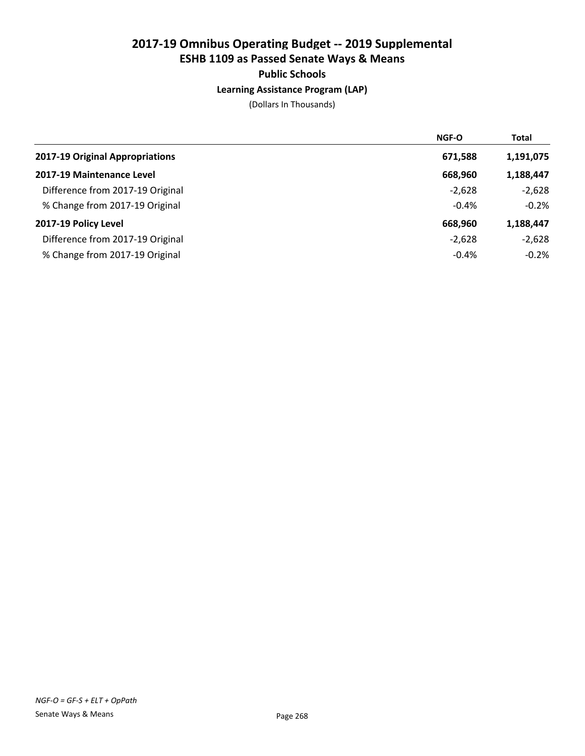## Learning Assistance Program (LAP)

|                                  | <b>NGF-O</b> | <b>Total</b> |
|----------------------------------|--------------|--------------|
| 2017-19 Original Appropriations  | 671,588      | 1,191,075    |
| 2017-19 Maintenance Level        | 668,960      | 1,188,447    |
| Difference from 2017-19 Original | $-2,628$     | $-2,628$     |
| % Change from 2017-19 Original   | $-0.4%$      | $-0.2%$      |
| 2017-19 Policy Level             | 668,960      | 1,188,447    |
| Difference from 2017-19 Original | $-2,628$     | $-2,628$     |
| % Change from 2017-19 Original   | $-0.4%$      | $-0.2%$      |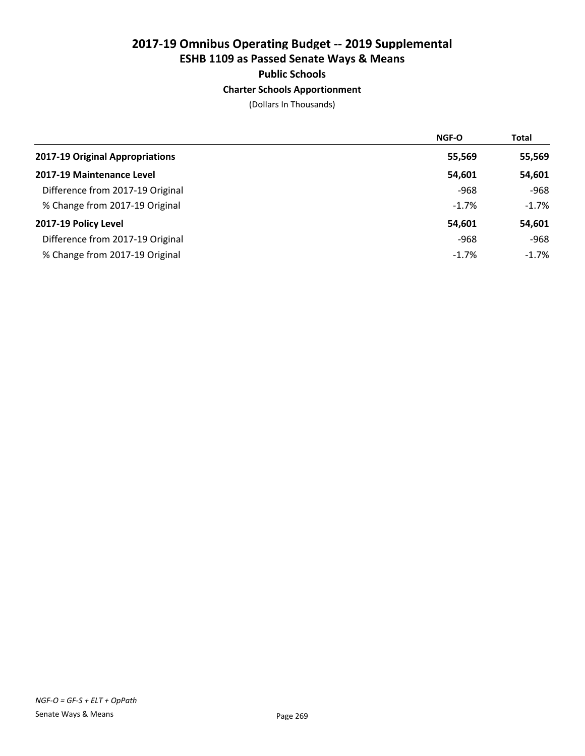## Charter Schools Apportionment

|                                  | <b>NGF-O</b> | <b>Total</b> |
|----------------------------------|--------------|--------------|
| 2017-19 Original Appropriations  | 55,569       | 55,569       |
| 2017-19 Maintenance Level        | 54,601       | 54,601       |
| Difference from 2017-19 Original | $-968$       | $-968$       |
| % Change from 2017-19 Original   | $-1.7%$      | $-1.7%$      |
| 2017-19 Policy Level             | 54,601       | 54,601       |
| Difference from 2017-19 Original | -968         | $-968$       |
| % Change from 2017-19 Original   | $-1.7%$      | $-1.7%$      |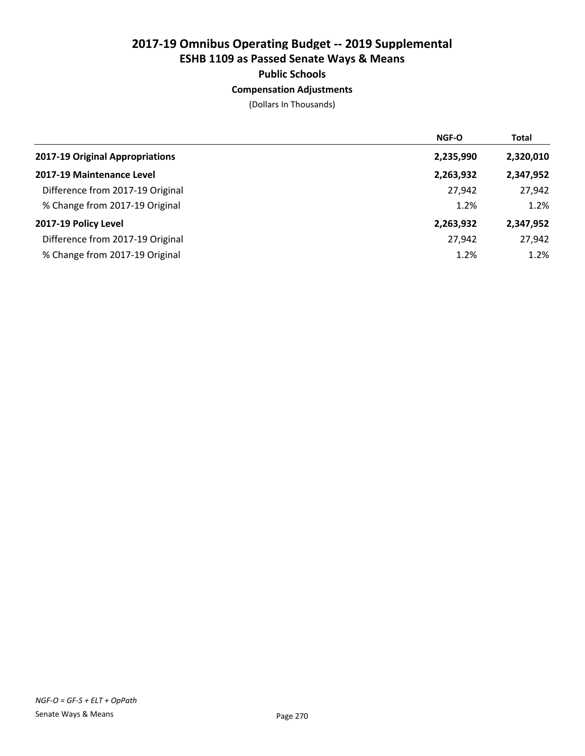## Compensation Adjustments

|                                  | NGF-O     | <b>Total</b> |
|----------------------------------|-----------|--------------|
| 2017-19 Original Appropriations  | 2,235,990 | 2,320,010    |
| 2017-19 Maintenance Level        | 2,263,932 | 2,347,952    |
| Difference from 2017-19 Original | 27,942    | 27,942       |
| % Change from 2017-19 Original   | 1.2%      | 1.2%         |
| 2017-19 Policy Level             | 2,263,932 | 2,347,952    |
| Difference from 2017-19 Original | 27,942    | 27,942       |
| % Change from 2017-19 Original   | 1.2%      | 1.2%         |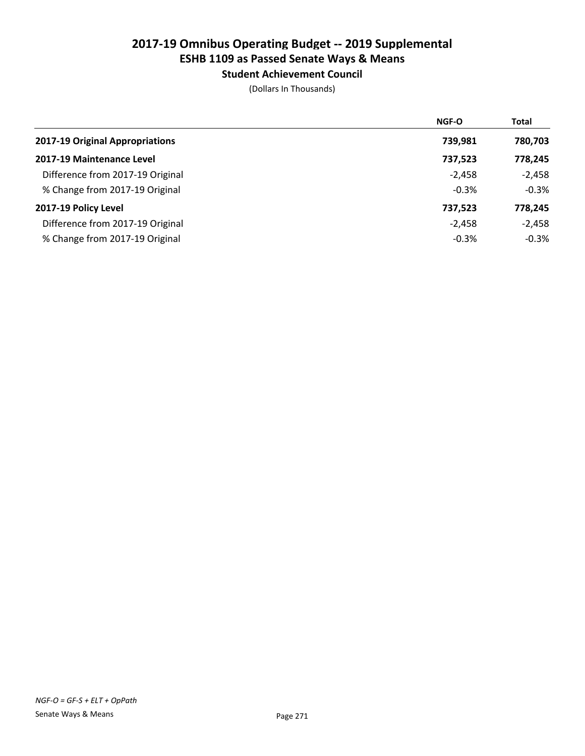Student Achievement Council

|                                  | NGF-O    | <b>Total</b> |
|----------------------------------|----------|--------------|
| 2017-19 Original Appropriations  | 739,981  | 780,703      |
| 2017-19 Maintenance Level        | 737,523  | 778,245      |
| Difference from 2017-19 Original | $-2,458$ | $-2,458$     |
| % Change from 2017-19 Original   | $-0.3%$  | $-0.3%$      |
| 2017-19 Policy Level             | 737,523  | 778,245      |
| Difference from 2017-19 Original | $-2,458$ | $-2,458$     |
| % Change from 2017-19 Original   | $-0.3%$  | $-0.3%$      |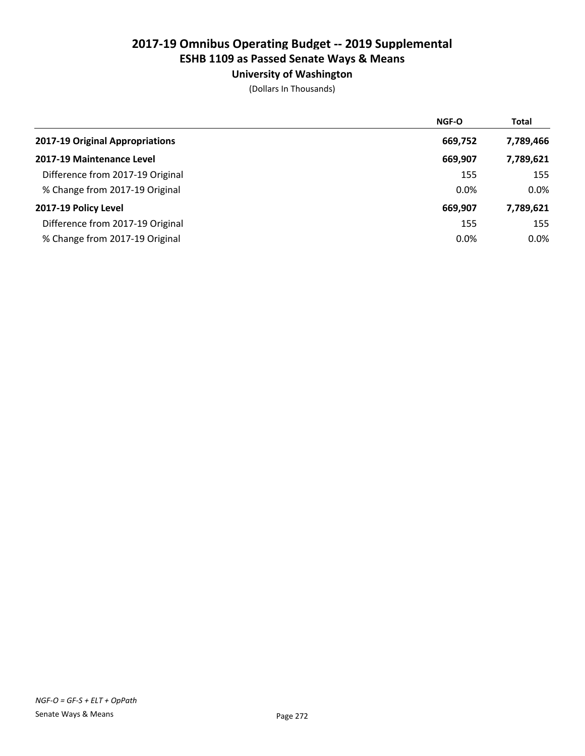## University of Washington

|                                  | <b>NGF-O</b> | <b>Total</b> |
|----------------------------------|--------------|--------------|
| 2017-19 Original Appropriations  | 669,752      | 7,789,466    |
| 2017-19 Maintenance Level        | 669,907      | 7,789,621    |
| Difference from 2017-19 Original | 155          | 155          |
| % Change from 2017-19 Original   | 0.0%         | $0.0\%$      |
| 2017-19 Policy Level             | 669,907      | 7,789,621    |
| Difference from 2017-19 Original | 155          | 155          |
| % Change from 2017-19 Original   | 0.0%         | $0.0\%$      |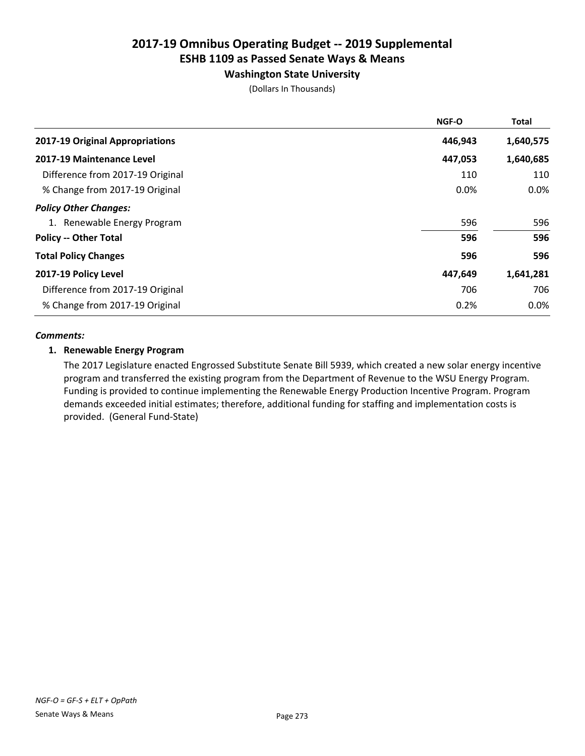## Washington State University

(Dollars In Thousands)

|                                  | <b>NGF-O</b> | <b>Total</b> |
|----------------------------------|--------------|--------------|
| 2017-19 Original Appropriations  | 446,943      | 1,640,575    |
| 2017-19 Maintenance Level        | 447,053      | 1,640,685    |
| Difference from 2017-19 Original | 110          | 110          |
| % Change from 2017-19 Original   | 0.0%         | 0.0%         |
| <b>Policy Other Changes:</b>     |              |              |
| 1. Renewable Energy Program      | 596          | 596          |
| <b>Policy -- Other Total</b>     | 596          | 596          |
| <b>Total Policy Changes</b>      | 596          | 596          |
| 2017-19 Policy Level             | 447,649      | 1,641,281    |
| Difference from 2017-19 Original | 706          | 706          |
| % Change from 2017-19 Original   | 0.2%         | $0.0\%$      |

## *Comments:*

## 1. Renewable Energy Program

The 2017 Legislature enacted Engrossed Substitute Senate Bill 5939, which created a new solar energy incentive program and transferred the existing program from the Department of Revenue to the WSU Energy Program. Funding is provided to continue implementing the Renewable Energy Production Incentive Program. Program demands exceeded initial estimates; therefore, additional funding for staffing and implementation costs is provided. (General Fund-State)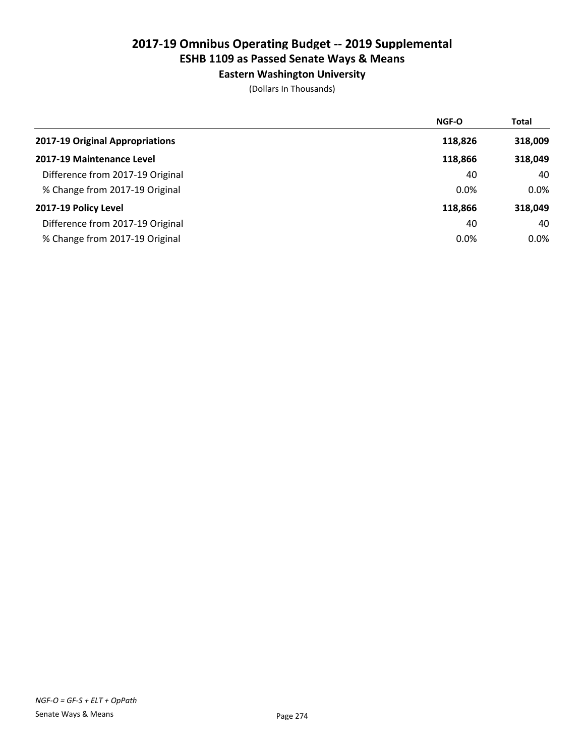## Eastern Washington University

|                                  | NGF-O   | <b>Total</b> |
|----------------------------------|---------|--------------|
| 2017-19 Original Appropriations  | 118,826 | 318,009      |
| 2017-19 Maintenance Level        | 118,866 | 318,049      |
| Difference from 2017-19 Original | 40      | 40           |
| % Change from 2017-19 Original   | 0.0%    | $0.0\%$      |
| 2017-19 Policy Level             | 118,866 | 318,049      |
| Difference from 2017-19 Original | 40      | 40           |
| % Change from 2017-19 Original   | 0.0%    | $0.0\%$      |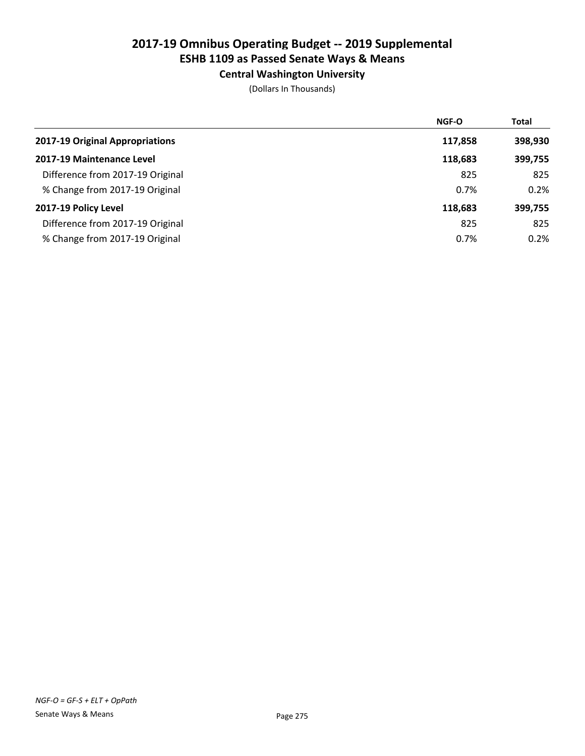Central Washington University

|                                  | NGF-O   | <b>Total</b> |
|----------------------------------|---------|--------------|
| 2017-19 Original Appropriations  | 117,858 | 398,930      |
| 2017-19 Maintenance Level        | 118,683 | 399,755      |
| Difference from 2017-19 Original | 825     | 825          |
| % Change from 2017-19 Original   | 0.7%    | 0.2%         |
| 2017-19 Policy Level             | 118,683 | 399,755      |
| Difference from 2017-19 Original | 825     | 825          |
| % Change from 2017-19 Original   | 0.7%    | 0.2%         |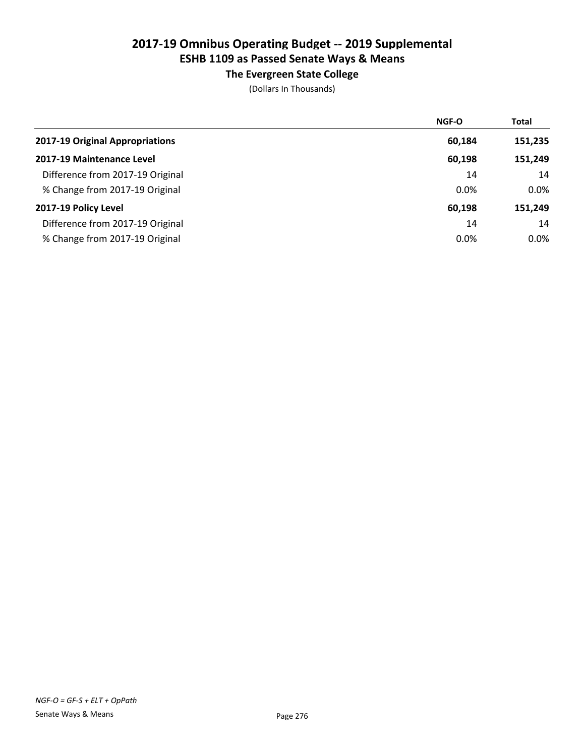## The Evergreen State College

|                                  | NGF-O  | <b>Total</b> |
|----------------------------------|--------|--------------|
| 2017-19 Original Appropriations  | 60,184 | 151,235      |
| 2017-19 Maintenance Level        | 60,198 | 151,249      |
| Difference from 2017-19 Original | 14     | 14           |
| % Change from 2017-19 Original   | 0.0%   | $0.0\%$      |
| 2017-19 Policy Level             | 60,198 | 151,249      |
| Difference from 2017-19 Original | 14     | 14           |
| % Change from 2017-19 Original   | 0.0%   | $0.0\%$      |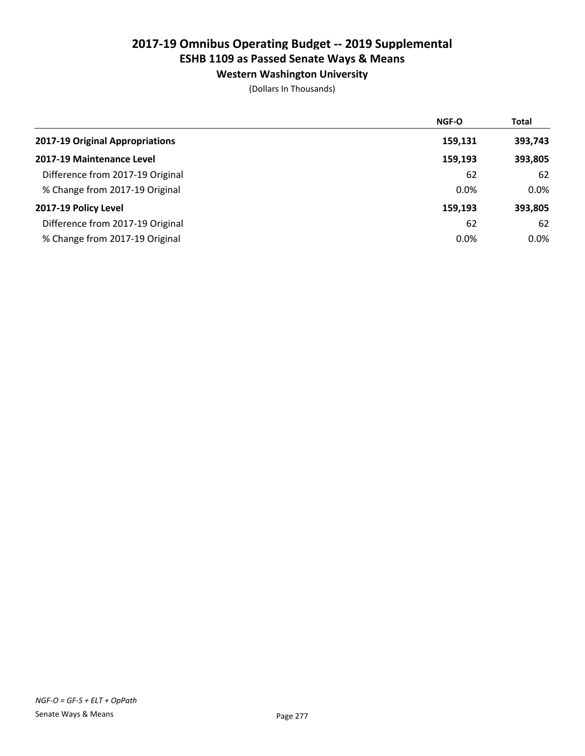## Western Washington University

|                                  | NGF-O   | <b>Total</b> |
|----------------------------------|---------|--------------|
| 2017-19 Original Appropriations  | 159,131 | 393,743      |
| 2017-19 Maintenance Level        | 159,193 | 393,805      |
| Difference from 2017-19 Original | 62      | 62           |
| % Change from 2017-19 Original   | 0.0%    | $0.0\%$      |
| 2017-19 Policy Level             | 159,193 | 393,805      |
| Difference from 2017-19 Original | 62      | 62           |
| % Change from 2017-19 Original   | 0.0%    | $0.0\%$      |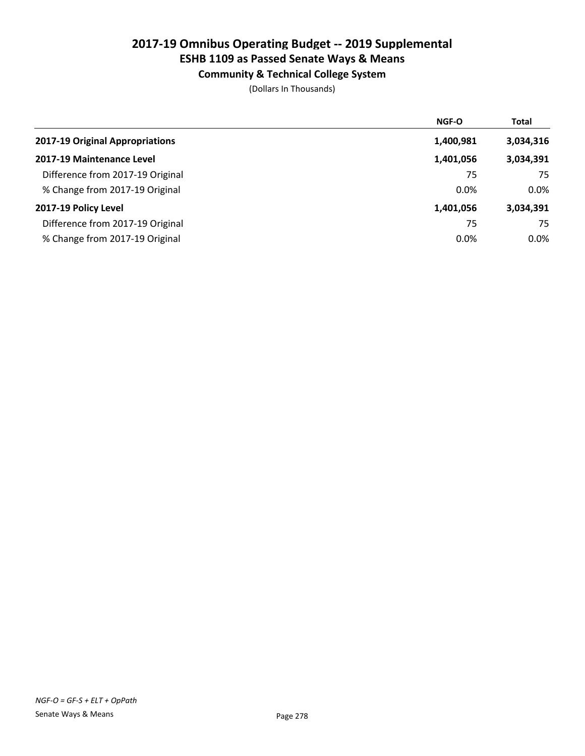# 2017-19 Omnibus Operating Budget -- 2019 Supplemental

# ESHB 1109 as Passed Senate Ways & Means

Community & Technical College System

|                                  | <b>NGF-O</b> | <b>Total</b> |
|----------------------------------|--------------|--------------|
| 2017-19 Original Appropriations  | 1,400,981    | 3,034,316    |
| 2017-19 Maintenance Level        | 1,401,056    | 3,034,391    |
| Difference from 2017-19 Original | 75           | 75           |
| % Change from 2017-19 Original   | 0.0%         | 0.0%         |
| 2017-19 Policy Level             | 1,401,056    | 3,034,391    |
| Difference from 2017-19 Original | 75           | 75           |
| % Change from 2017-19 Original   | 0.0%         | 0.0%         |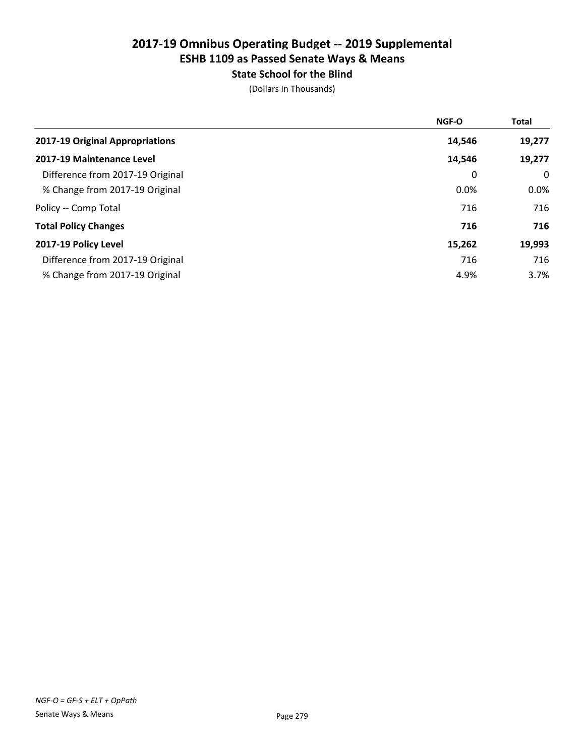# State School for the Blind

|                                  | NGF-O  | <b>Total</b> |
|----------------------------------|--------|--------------|
| 2017-19 Original Appropriations  | 14,546 | 19,277       |
| 2017-19 Maintenance Level        | 14,546 | 19,277       |
| Difference from 2017-19 Original | 0      | 0            |
| % Change from 2017-19 Original   | 0.0%   | 0.0%         |
| Policy -- Comp Total             | 716    | 716          |
| <b>Total Policy Changes</b>      | 716    | 716          |
| 2017-19 Policy Level             | 15,262 | 19,993       |
| Difference from 2017-19 Original | 716    | 716          |
| % Change from 2017-19 Original   | 4.9%   | 3.7%         |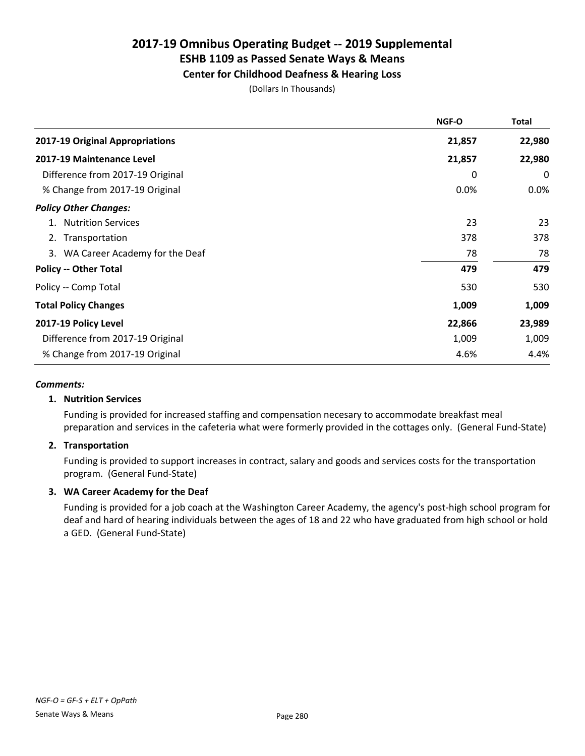## Center for Childhood Deafness & Hearing Loss

(Dollars In Thousands)

|                                   | NGF-O  | Total  |
|-----------------------------------|--------|--------|
| 2017-19 Original Appropriations   | 21,857 | 22,980 |
| 2017-19 Maintenance Level         | 21,857 | 22,980 |
| Difference from 2017-19 Original  | 0      | 0      |
| % Change from 2017-19 Original    | 0.0%   | 0.0%   |
| <b>Policy Other Changes:</b>      |        |        |
| <b>Nutrition Services</b><br>1.   | 23     | 23     |
| 2. Transportation                 | 378    | 378    |
| 3. WA Career Academy for the Deaf | 78     | 78     |
| <b>Policy -- Other Total</b>      | 479    | 479    |
| Policy -- Comp Total              | 530    | 530    |
| <b>Total Policy Changes</b>       | 1,009  | 1,009  |
| 2017-19 Policy Level              | 22,866 | 23,989 |
| Difference from 2017-19 Original  | 1,009  | 1,009  |
| % Change from 2017-19 Original    | 4.6%   | 4.4%   |

#### *Comments:*

## 1. Nutrition Services

Funding is provided for increased staffing and compensation necesary to accommodate breakfast meal preparation and services in the cafeteria what were formerly provided in the cottages only. (General Fund-State)

## 2. Transportation

Funding is provided to support increases in contract, salary and goods and services costs for the transportation program. (General Fund-State)

## 3. WA Career Academy for the Deaf

Funding is provided for a job coach at the Washington Career Academy, the agency's post-high school program for deaf and hard of hearing individuals between the ages of 18 and 22 who have graduated from high school or hold a GED. (General Fund-State)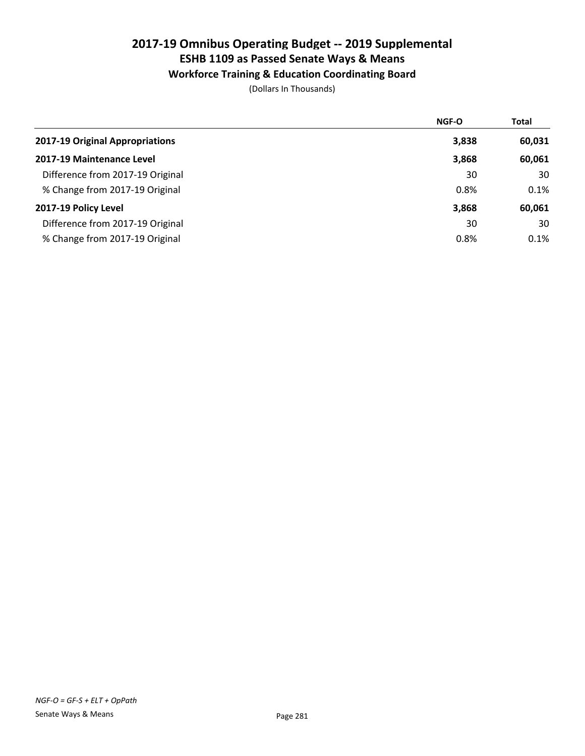## Workforce Training & Education Coordinating Board

|                                  | <b>NGF-O</b> | <b>Total</b> |
|----------------------------------|--------------|--------------|
| 2017-19 Original Appropriations  | 3,838        | 60,031       |
| 2017-19 Maintenance Level        | 3,868        | 60,061       |
| Difference from 2017-19 Original | 30           | 30           |
| % Change from 2017-19 Original   | 0.8%         | 0.1%         |
| 2017-19 Policy Level             | 3,868        | 60,061       |
| Difference from 2017-19 Original | 30           | 30           |
| % Change from 2017-19 Original   | 0.8%         | 0.1%         |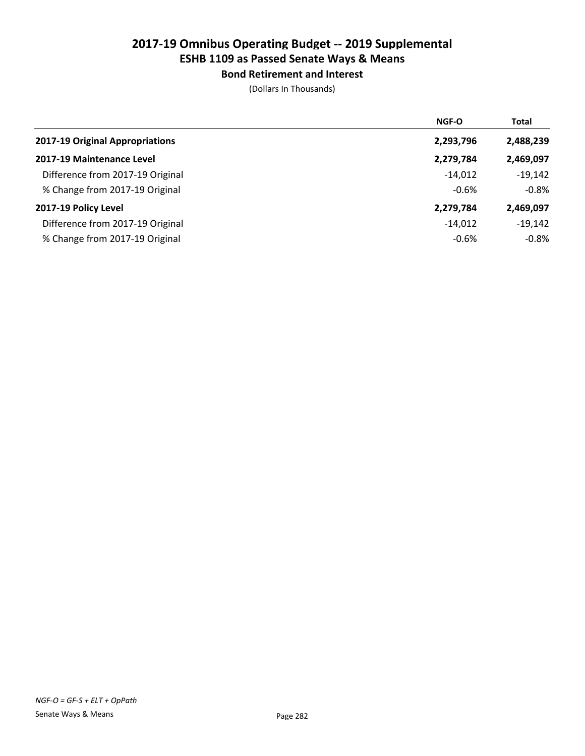Bond Retirement and Interest

|                                  | <b>NGF-O</b> | <b>Total</b> |
|----------------------------------|--------------|--------------|
| 2017-19 Original Appropriations  | 2,293,796    | 2,488,239    |
| 2017-19 Maintenance Level        | 2,279,784    | 2,469,097    |
| Difference from 2017-19 Original | $-14.012$    | $-19,142$    |
| % Change from 2017-19 Original   | $-0.6%$      | $-0.8%$      |
| 2017-19 Policy Level             | 2,279,784    | 2,469,097    |
| Difference from 2017-19 Original | $-14.012$    | $-19,142$    |
| % Change from 2017-19 Original   | $-0.6%$      | $-0.8%$      |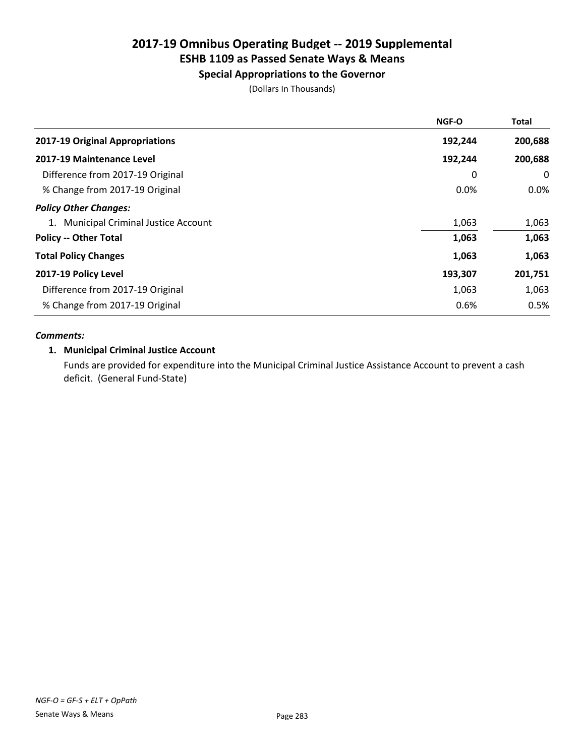# 2017-19 Omnibus Operating Budget -- 2019 Supplemental

# ESHB 1109 as Passed Senate Ways & Means

## Special Appropriations to the Governor

(Dollars In Thousands)

| <b>NGF-O</b> | <b>Total</b> |
|--------------|--------------|
| 192,244      | 200,688      |
| 192,244      | 200,688      |
| 0            | $\mathbf{0}$ |
| 0.0%         | $0.0\%$      |
|              |              |
| 1,063        | 1,063        |
| 1,063        | 1,063        |
| 1,063        | 1,063        |
| 193,307      | 201,751      |
| 1,063        | 1,063        |
| 0.6%         | 0.5%         |
|              |              |

## *Comments:*

## 1. Municipal Criminal Justice Account

Funds are provided for expenditure into the Municipal Criminal Justice Assistance Account to prevent a cash deficit. (General Fund-State)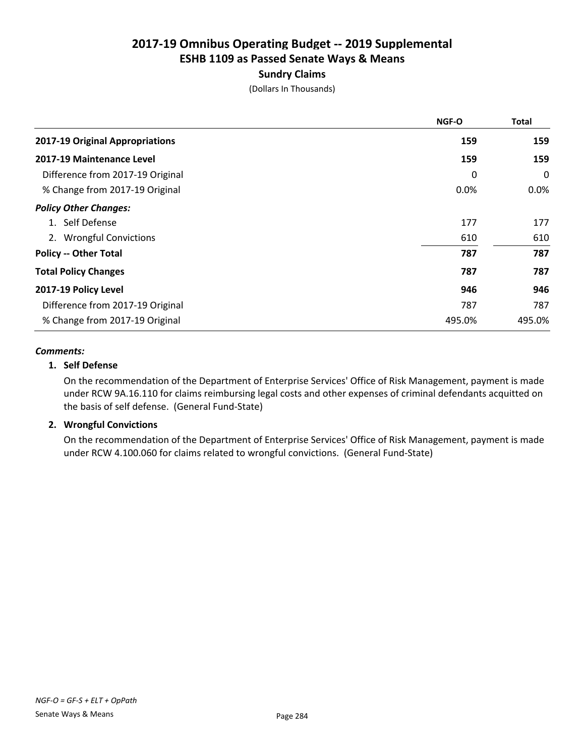## Sundry Claims

(Dollars In Thousands)

|                                  | <b>NGF-O</b> | <b>Total</b> |
|----------------------------------|--------------|--------------|
| 2017-19 Original Appropriations  | 159          | 159          |
| 2017-19 Maintenance Level        | 159          | 159          |
| Difference from 2017-19 Original | 0            | 0            |
| % Change from 2017-19 Original   | 0.0%         | $0.0\%$      |
| <b>Policy Other Changes:</b>     |              |              |
| 1. Self Defense                  | 177          | 177          |
| 2. Wrongful Convictions          | 610          | 610          |
| <b>Policy -- Other Total</b>     | 787          | 787          |
| <b>Total Policy Changes</b>      | 787          | 787          |
| 2017-19 Policy Level             | 946          | 946          |
| Difference from 2017-19 Original | 787          | 787          |
| % Change from 2017-19 Original   | 495.0%       | 495.0%       |

#### *Comments:*

## 1. Self Defense

On the recommendation of the Department of Enterprise Services' Office of Risk Management, payment is made under RCW 9A.16.110 for claims reimbursing legal costs and other expenses of criminal defendants acquitted on the basis of self defense. (General Fund-State)

## 2. Wrongful Convictions

On the recommendation of the Department of Enterprise Services' Office of Risk Management, payment is made under RCW 4.100.060 for claims related to wrongful convictions. (General Fund-State)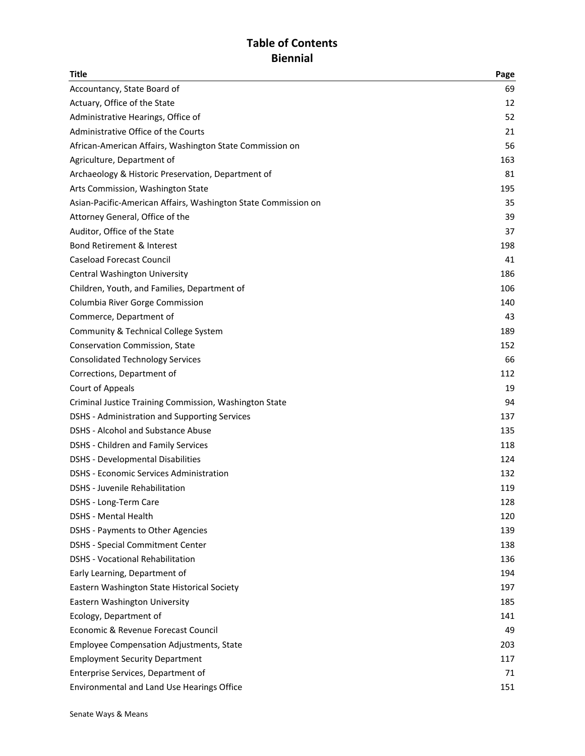# **Table of Contents Biennial**

| Title                                                          | Page |
|----------------------------------------------------------------|------|
| Accountancy, State Board of                                    | 69   |
| Actuary, Office of the State                                   | 12   |
| Administrative Hearings, Office of                             | 52   |
| Administrative Office of the Courts                            | 21   |
| African-American Affairs, Washington State Commission on       | 56   |
| Agriculture, Department of                                     | 163  |
| Archaeology & Historic Preservation, Department of             | 81   |
| Arts Commission, Washington State                              | 195  |
| Asian-Pacific-American Affairs, Washington State Commission on | 35   |
| Attorney General, Office of the                                | 39   |
| Auditor, Office of the State                                   | 37   |
| <b>Bond Retirement &amp; Interest</b>                          | 198  |
| <b>Caseload Forecast Council</b>                               | 41   |
| Central Washington University                                  | 186  |
| Children, Youth, and Families, Department of                   | 106  |
| Columbia River Gorge Commission                                | 140  |
| Commerce, Department of                                        | 43   |
| Community & Technical College System                           | 189  |
| Conservation Commission, State                                 | 152  |
| <b>Consolidated Technology Services</b>                        | 66   |
| Corrections, Department of                                     | 112  |
| Court of Appeals                                               | 19   |
| Criminal Justice Training Commission, Washington State         | 94   |
| <b>DSHS - Administration and Supporting Services</b>           | 137  |
| <b>DSHS - Alcohol and Substance Abuse</b>                      | 135  |
| <b>DSHS - Children and Family Services</b>                     | 118  |
| <b>DSHS - Developmental Disabilities</b>                       | 124  |
| <b>DSHS - Economic Services Administration</b>                 | 132  |
| <b>DSHS - Juvenile Rehabilitation</b>                          | 119  |
| DSHS - Long-Term Care                                          | 128  |
| <b>DSHS - Mental Health</b>                                    | 120  |
| DSHS - Payments to Other Agencies                              | 139  |
| <b>DSHS - Special Commitment Center</b>                        | 138  |
| <b>DSHS - Vocational Rehabilitation</b>                        | 136  |
| Early Learning, Department of                                  | 194  |
| Eastern Washington State Historical Society                    | 197  |
| Eastern Washington University                                  | 185  |
| Ecology, Department of                                         | 141  |
| Economic & Revenue Forecast Council                            | 49   |
| <b>Employee Compensation Adjustments, State</b>                | 203  |
| <b>Employment Security Department</b>                          | 117  |
| Enterprise Services, Department of                             | 71   |
| Environmental and Land Use Hearings Office                     | 151  |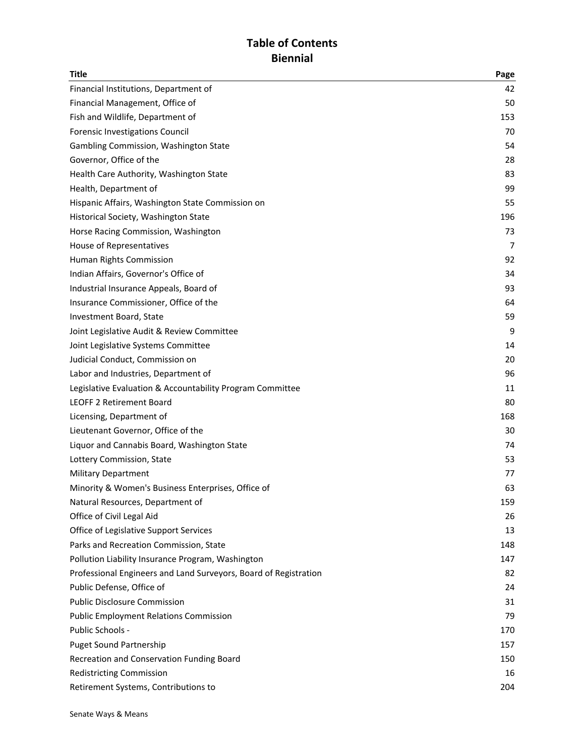# **Table of Contents Biennial**

| Title                                                            | Page |
|------------------------------------------------------------------|------|
| Financial Institutions, Department of                            | 42   |
| Financial Management, Office of                                  | 50   |
| Fish and Wildlife, Department of                                 | 153  |
| Forensic Investigations Council                                  | 70   |
| Gambling Commission, Washington State                            | 54   |
| Governor, Office of the                                          | 28   |
| Health Care Authority, Washington State                          | 83   |
| Health, Department of                                            | 99   |
| Hispanic Affairs, Washington State Commission on                 | 55   |
| Historical Society, Washington State                             | 196  |
| Horse Racing Commission, Washington                              | 73   |
| House of Representatives                                         | 7    |
| Human Rights Commission                                          | 92   |
| Indian Affairs, Governor's Office of                             | 34   |
| Industrial Insurance Appeals, Board of                           | 93   |
| Insurance Commissioner, Office of the                            | 64   |
| Investment Board, State                                          | 59   |
| Joint Legislative Audit & Review Committee                       | 9    |
| Joint Legislative Systems Committee                              | 14   |
| Judicial Conduct, Commission on                                  | 20   |
| Labor and Industries, Department of                              | 96   |
| Legislative Evaluation & Accountability Program Committee        | 11   |
| <b>LEOFF 2 Retirement Board</b>                                  | 80   |
| Licensing, Department of                                         | 168  |
| Lieutenant Governor, Office of the                               | 30   |
| Liquor and Cannabis Board, Washington State                      | 74   |
| Lottery Commission, State                                        | 53   |
| <b>Military Department</b>                                       | 77   |
| Minority & Women's Business Enterprises, Office of               | 63   |
| Natural Resources, Department of                                 | 159  |
| Office of Civil Legal Aid                                        | 26   |
| Office of Legislative Support Services                           | 13   |
| Parks and Recreation Commission, State                           | 148  |
| Pollution Liability Insurance Program, Washington                | 147  |
| Professional Engineers and Land Surveyors, Board of Registration | 82   |
| Public Defense, Office of                                        | 24   |
| <b>Public Disclosure Commission</b>                              | 31   |
| <b>Public Employment Relations Commission</b>                    | 79   |
| Public Schools -                                                 | 170  |
| <b>Puget Sound Partnership</b>                                   | 157  |
| Recreation and Conservation Funding Board                        | 150  |
| <b>Redistricting Commission</b>                                  | 16   |
| Retirement Systems, Contributions to                             | 204  |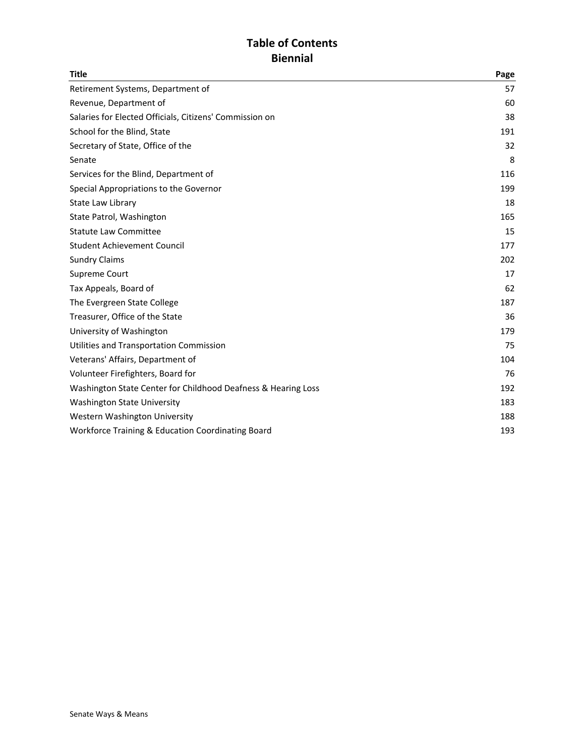# **Table of Contents Biennial**

| <b>Title</b>                                                  | Page |
|---------------------------------------------------------------|------|
| Retirement Systems, Department of                             | 57   |
| Revenue, Department of                                        | 60   |
| Salaries for Elected Officials, Citizens' Commission on       | 38   |
| School for the Blind, State                                   | 191  |
| Secretary of State, Office of the                             | 32   |
| Senate                                                        | 8    |
| Services for the Blind, Department of                         | 116  |
| Special Appropriations to the Governor                        | 199  |
| State Law Library                                             | 18   |
| State Patrol, Washington                                      | 165  |
| <b>Statute Law Committee</b>                                  | 15   |
| <b>Student Achievement Council</b>                            | 177  |
| <b>Sundry Claims</b>                                          | 202  |
| Supreme Court                                                 | 17   |
| Tax Appeals, Board of                                         | 62   |
| The Evergreen State College                                   | 187  |
| Treasurer, Office of the State                                | 36   |
| University of Washington                                      | 179  |
| Utilities and Transportation Commission                       | 75   |
| Veterans' Affairs, Department of                              | 104  |
| Volunteer Firefighters, Board for                             | 76   |
| Washington State Center for Childhood Deafness & Hearing Loss | 192  |
| <b>Washington State University</b>                            | 183  |
| Western Washington University                                 | 188  |
| Workforce Training & Education Coordinating Board             | 193  |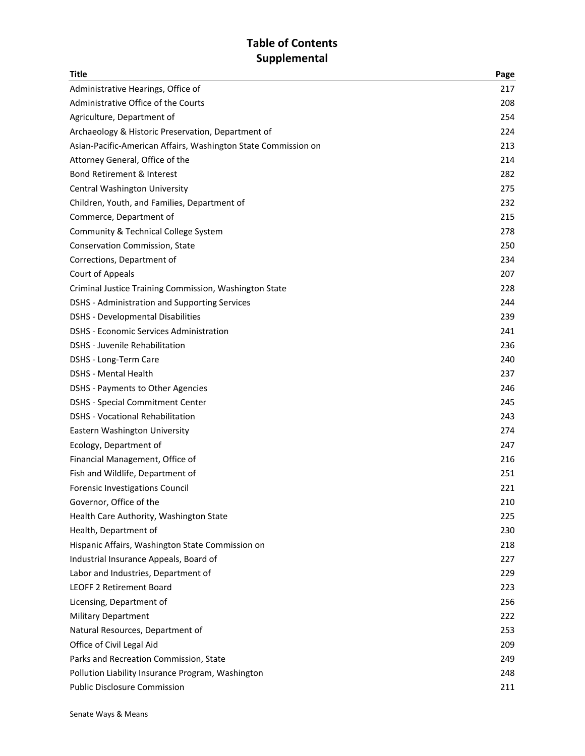## Table of Contents **Supplemental**

| Title                                                          | Page |
|----------------------------------------------------------------|------|
| Administrative Hearings, Office of                             | 217  |
| Administrative Office of the Courts                            | 208  |
| Agriculture, Department of                                     | 254  |
| Archaeology & Historic Preservation, Department of             | 224  |
| Asian-Pacific-American Affairs, Washington State Commission on | 213  |
| Attorney General, Office of the                                | 214  |
| <b>Bond Retirement &amp; Interest</b>                          | 282  |
| Central Washington University                                  | 275  |
| Children, Youth, and Families, Department of                   | 232  |
| Commerce, Department of                                        | 215  |
| Community & Technical College System                           | 278  |
| <b>Conservation Commission, State</b>                          | 250  |
| Corrections, Department of                                     | 234  |
| Court of Appeals                                               | 207  |
| Criminal Justice Training Commission, Washington State         | 228  |
| <b>DSHS</b> - Administration and Supporting Services           | 244  |
| <b>DSHS - Developmental Disabilities</b>                       | 239  |
| <b>DSHS - Economic Services Administration</b>                 | 241  |
| DSHS - Juvenile Rehabilitation                                 | 236  |
| DSHS - Long-Term Care                                          | 240  |
| <b>DSHS - Mental Health</b>                                    | 237  |
| DSHS - Payments to Other Agencies                              | 246  |
| <b>DSHS - Special Commitment Center</b>                        | 245  |
| DSHS - Vocational Rehabilitation                               | 243  |
| Eastern Washington University                                  | 274  |
| Ecology, Department of                                         | 247  |
| Financial Management, Office of                                | 216  |
| Fish and Wildlife, Department of                               | 251  |
| Forensic Investigations Council                                | 221  |
| Governor, Office of the                                        | 210  |
| Health Care Authority, Washington State                        | 225  |
| Health, Department of                                          | 230  |
| Hispanic Affairs, Washington State Commission on               | 218  |
| Industrial Insurance Appeals, Board of                         | 227  |
| Labor and Industries, Department of                            | 229  |
| <b>LEOFF 2 Retirement Board</b>                                | 223  |
| Licensing, Department of                                       | 256  |
| <b>Military Department</b>                                     | 222  |
| Natural Resources, Department of                               | 253  |
| Office of Civil Legal Aid                                      | 209  |
| Parks and Recreation Commission, State                         | 249  |
| Pollution Liability Insurance Program, Washington              | 248  |
| <b>Public Disclosure Commission</b>                            | 211  |